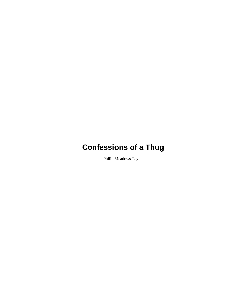Philip Meadows Taylor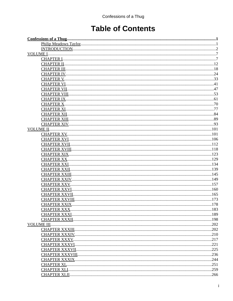# **Table of Contents**

| <b>CHAPTER XXVI.</b> |  |
|----------------------|--|
|                      |  |
|                      |  |
|                      |  |
|                      |  |
|                      |  |
|                      |  |
| <b>VOLUME III</b>    |  |
|                      |  |
|                      |  |
|                      |  |
|                      |  |
|                      |  |
|                      |  |
|                      |  |
|                      |  |
|                      |  |
|                      |  |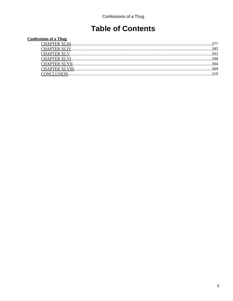# **Table of Contents**

# **Confessions of a Thug**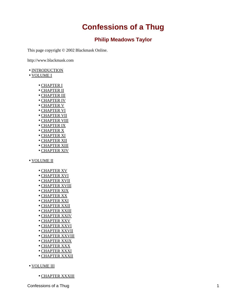# **Philip Meadows Taylor**

<span id="page-3-1"></span><span id="page-3-0"></span>This page copyright © 2002 Blackmask Online.

http://www.blackmask.com

- [INTRODUCTION](#page-4-0)
- [VOLUME I](#page-9-0)
	- [CHAPTER I](#page-9-1)
	- [CHAPTER II](#page-14-0)
	- [CHAPTER III](#page-20-0)
	- [CHAPTER IV](#page-26-0)
	- [CHAPTER V](#page-35-0)
	- [CHAPTER VI](#page-43-0)
	- [CHAPTER VII](#page-49-0)
	- [CHAPTER VIII](#page-55-0)
	- [CHAPTER IX](#page-63-0)
	- [CHAPTER X](#page-72-0)
	- [CHAPTER XI](#page-79-0) • [CHAPTER XII](#page-86-0)
	- [CHAPTER XIII](#page-91-0)
	- [CHAPTER XIV](#page-95-0)
- [VOLUME II](#page-103-0)
	- [CHAPTER XV](#page-103-1)
	- [CHAPTER XVI](#page-108-0)
	- [CHAPTER XVII](#page-114-0)
	- [CHAPTER XVIII](#page-120-0)
	- [CHAPTER XIX](#page-125-0)
	- [CHAPTER XX](#page-131-0)
	- [CHAPTER XXI](#page-136-0)
	- [CHAPTER XXII](#page-141-0)
	- [CHAPTER XXIII](#page-147-0) • [CHAPTER XXIV](#page-151-0)
	- [CHAPTER XXV](#page-159-0)
	- [CHAPTER XXVI](#page-162-0)
	- [CHAPTER XXVII](#page-167-0)
	- [CHAPTER XXVIII](#page-175-0)
	- [CHAPTER XXIX](#page-180-0)
	- [CHAPTER XXX](#page-185-0)
	- [CHAPTER XXXI](#page-191-0)
	- [CHAPTER XXXII](#page-200-0)
- [VOLUME III](#page-204-0)
	- [CHAPTER XXXIII](#page-204-1)

Confessions of a Thug 1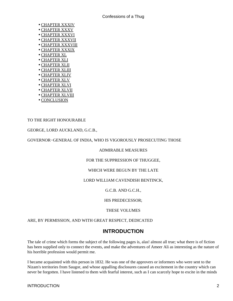- [CHAPTER XXXIV](#page-212-0)
- [CHAPTER XXXV](#page-219-0)
- [CHAPTER XXXVI](#page-223-0)
- [CHAPTER XXXVII](#page-227-0)
- [CHAPTER XXXVIII](#page-238-0)
- [CHAPTER XXXIX](#page-246-0)
- [CHAPTER XL](#page-253-0)
- [CHAPTER XLI](#page-261-0)
- [CHAPTER XLII](#page-268-0)
- [CHAPTER XLIII](#page-279-0)
- [CHAPTER XLIV](#page-287-0)
- [CHAPTER XLV](#page-294-0)
- [CHAPTER XLVI](#page-300-0)
- [CHAPTER XLVII](#page-306-0)
- [CHAPTER XLVIII](#page-311-0)
- [CONCLUSION](#page-321-0)

#### TO THE RIGHT HONOURABLE

#### GEORGE, LORD AUCKLAND, G.C.B.,

#### GOVERNOR−GENERAL OF INDIA, WHO IS VIGOROUSLY PROSECUTING THOSE

#### ADMIRABLE MEASURES

## FOR THE SUPPRESSION OF THUGGEE,

## WHICH WERE BEGUN BY THE LATE

#### LORD WILLIAM CAVENDISH BENTINCK,

#### G.C.B. AND G.C.H.,

HIS PREDECESSOR;

#### THESE VOLUMES

#### <span id="page-4-0"></span>ARE, BY PERMISSION, AND WITH GREAT RESPECT, DEDICATED

# **INTRODUCTION**

The tale of crime which forms the subject of the following pages is, alas! almost all true; what there is of fiction has been supplied only to connect the events, and make the adventures of Ameer Ali as interesting as the nature of his horrible profession would permit me.

I became acquainted with this person in 1832. He was one of the approvers or informers who were sent to the Nizam's territories from Saugor, and whose appalling disclosures caused an excitement in the country which can never be forgotten. I have listened to them with fearful interest, such as I can scarcely hope to excite in the minds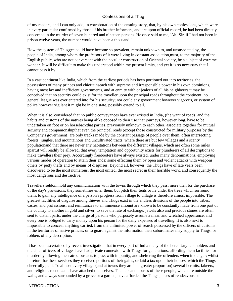of my readers; and I can only add, in corroboration of the ensuing story, that, by his own confessions, which were in every particular confirmed by those of his brother informers, and are upon official record, he had been directly concerned in the murder of seven hundred and nineteen persons. He once said to me, 'Ah! Sir, if I had not been in prison twelve years, the number would have been a thousand!'

How the system of Thuggee could have become so prevalent, remain unknown to, and unsuspected by, the people of India, among whom the professors of it were living in constant association, must, to the majority of the English public, who are not conversant with the peculiar construction of Oriental society, be a subject of extreme wonder. It will be difficult to make this understood within my present limits, and yet it is so necessary that I cannot pass it by.

In a vast continent like India, which from the earliest periods has been portioned out into territories, the possessions of many princes and chieftainseach with supreme and irresponsible power in his own dominions, having most lax and inefficient governments, and at enmity with or jealous of all his neighbours, it may be conceived that no security could exist for the traveller upon the principal roads throughout the continent; no general league was ever entered into for his security; nor could any government however vigorous, or system of police however vigilant it might be in one state, possibly extend to all.

When it is also 'considered that no public conveyances have ever existed in India, (the want of roads, and the habits and customs of the natives being alike opposed to their use) that journeys, however long, have to be undertaken on foot or on horseback that parties, previously unknown to each other, associate together for mutual security and companionship that even the principal roads (except those constructed for military purposes by the Company's government) are only tracks made by the constant passage of people over them, often intersecting forests, jungles, and mountainous and uncultivated tracts, where there are but few villages and a scanty populationand that there are never any habitations between the different villages, which are often some miles apart, it will readily be allowed, that every temptation and opportunity exists for plunderers of all descriptions to make travellers their prey. Accordingly freebooters have always existed, under many denominations, employing various modes of operation to attain their ends; some effecting them by open and violent attacks with weapons, others by petty thefts and by means of disguises. Beyond all, however, the Thugs have of late years been discovered to be the most numerous, the most united, the most secret in their horrible work, and consequently the most dangerous and destructive.

Travellers seldom hold any communication with the towns through which they pass, more than for the purchase of the day's provisions: they sometimes enter them, but pitch their tents or lie under the trees which surround them; to gain any intelligence of a person's progress from village to village is therefore almost impossible. The greatest facilities of disguise among thieves and Thugs exist in the endless divisions of the people into tribes, castes, and professions; and remittances to an immense amount are known to be constantly made from one part of the country to another in gold and silver, to save the rate of exchange; jewels also and precious stones are often sent to distant parts, under the charge of persons who purposely assume a mean and wretched appearance, and every one is obliged to carry money upon his person for the daily expenses of travelling. It is also next to impossible to conceal anything carried, from the unlimited power of search possessed by the officers of customs in the territories of native princes, or to guard against the information their subordinates may supply to Thugs, or robbers of any description.

It has been ascertained by recent investigation that in every part of India many of the hereditary landholders and the chief officers of villages have had private connexion with Thugs for generations, affording them facilities for murder by allowing their atrocious acts to pass with impunity, and sheltering the offenders when in danger; whilst in return for these services they received portions of their gains, or laid a tax upon their houses, which the Thugs cheerfully paid. To almost every village (and at towns they are in a greater proportion) several hermits, fakeers, and religious mendicants have attached themselves. The huts and houses of these people, which are outside the walls, and always surrounded by a grove or a garden, have afforded the Thugs places of rendezvous or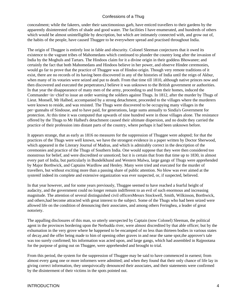concealment; while the fakeers, under their sanctimonious garb, have enticed travellers to their gardens by the apparently disinterested offers of shade and good water. The facilities I have enumerated, and hundreds of others which would be almost unintelligible by description, but which are intimately connected with, and grow out of, the habits of the people, have caused Thuggee to be everywhere spread and practised throughout India.

The origin of Thuggee is entirely lost in fable and obscurity. Colonel Sleeman conjectures that it owed its existence to the vagrant tribes of Mahomedans which continued to plunder the country long after the invasion of India by the Moghuls and Tartars. The Hindoos claim for it a divine origin in their goddess Bhowanee; and certainly the fact that both Mahomedans and Hindoos believe in her power, and observe Hindee ceremonies, would go far to prove that the practice of Thuggee was of Hindoo origin. Though very remote traditions of it exist, there are no records of its having been discovered in any of the histories of India until the reign of Akbur, when many of its votaries were seized and put to death. From that time till 1810, although native princes now and then discovered and executed the perpetrators,I believe it was unknown to the British government or authorities. In that year the disappearance of many men of the army, proceeding to and from their homes, induced the Commander−in−chief to issue an order warning the soldiers against Thugs. In 1812, after the murder by Thugs of Lieut. Monsell, Mr Halhed, accompanied by a strong detachment, proceeded to the villages where the murderers were known to reside, and was resisted. The Thugs were discovered to be occupying many villages in the per−gunnahs of Sindouse, and to have paid, for generations, large sums annually to Sindia's Government for protection. At this time it was computed that upwards of nine hundred were in those villages alone. The resistance offered by the Thugs to Mr Halhed's detachment caused their ultimate dispersion, and no doubt they carried the practice of their profession into distant parts of the country, where perhaps it had been unknown before.

It appears strange, that as early as 1816 no measures for the suppression of Thuggee were adopted; for that the practices of the Thugs were well known, we have the strongest evidence in a paper written by Doctor Sherwood, which appeared in the Literary Journal of Madras, and which is admirably correct in the description of the ceremonies and practice of the Thugs of Southern India. One would suppose that they were then considered too monstrous for belief, and were discredited or unnoticed; but it is certain that from that time up to 1830, in almost every part of India, but particularly in Bundelkhund and Western Malwa, large gangs of Thugs were apprehended by Major Borthwick, and Captains Wardlow and Henley. Many were tried and executed for the murder of travellers, but without exciting more than a passing share of public attention. No blow was ever aimed at the *system*if indeed its complete and extensive organization was ever suspected, or, if suspected, believed.

In that year however, and for some years previously, Thuggee seemed to have reached a fearful height of audacity, and the government could no longer remain indifferent to an evil of such enormous and increasing magnitude. The attention of several distinguished civil officers Messrs Stockwell, Smith, Wilkinson, Borthwick, and others, had become attracted with great interest to the subject. Some of the Thugs who had been seized were allowed life on the condition of denouncing their associates, and among others Feringhea, a leader of great notoriety.

The appalling disclosures of this man, so utterly unexpected by Captain (now Colonel) Sleeman, the political agent in the provinces bordering upon the Nerbudda river, were almost discredited by that able officer; but by the exhumation in the very grove where he happened to be encamped of no less than thirteen bodies in various states of decay, and the offer being made to him of opening other graves in and near the same spot, the approver's tale was too surely confirmed; his information was acted upon, and large gangs, which had assembled in Rajpootana for the purpose of going out on Thuggee, were apprehended and brought to trial.

From this period, the system for the suppression of Thuggee may be said to have commenced in earnest; from almost every gang one or more informers were admitted; and when they found that their only chance of life lay in giving correct information, they unequivocally denounced their associates, and their statements were confirmed by the disinterment of their victims in the spots pointed out.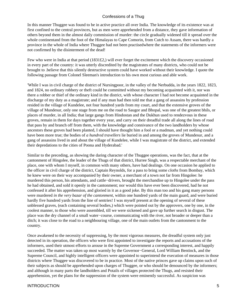In this manner Thuggee was found to be in active practice all over India. The knowledge of its existence was at first confined to the central provinces, but as men were apprehended from a distance, they gave information of others beyond them in the almost daily commission of murder: the circle gradually widened till it spread over the whole continent and from the foot of the Himalayas to Cape Comorin, from Cutch to Assam, there was hardly a province in the whole of India where Thuggee had not been practisedwhere the statements of the informers were not confirmed by the disinterment of the dead!

Few who were in India at that period (1831£2,) will ever forget the excitement which the discovery occasioned in every part of the country: it was utterly discredited by the magistrates of many districts, who could not be brought to .believe that this silently destructive system could have worked without their knowledge. I quote the following passage from Colonel Sleeman's introduction to his own most curious and able work.

'While I was in civil charge of the district of Nursingpoor, in the valley of the Nerbudda, in the years 1822, 1823, and 1824, no ordinary robbery or theft could be committed without my becoming acquainted with it, nor was there a robber or thief of the ordinary kind in the district, with whose character I had not become acquainted in the discharge of my duty as a magistrate; and if any man had then told me that a gang of assassins by profession resided in the village of Kundelee, not four hundred yards from my court, and that the extensive groves of the village of Mundesur, only one stage from me on the road to Saugor and Bhopal, was one of the greatest bhils, or places of murder, in all India; that large gangs from Hindostan and the Dukhun used to rendezvous in these groves, remain in them for days together every year, and carry on their dreadful trade all along the lines of road that pass by and branch off from them, with the knowledge and connivance of the two landholders by whose ancestors these groves had been planted, I should have thought him a fool or a madman, and yet nothing could have been more true; the bodies of *a hundred travellers* lie buried in and among the groves of Mundesur, and a gang of assassins lived in and about the village of Kundelee, while I was magistrate of the district, and extended their depredations to the cities of Poona and Hyderabad.'

Similar to the preceding, as showing the daring character of the Thuggee operations, was the fact, that at the cantonment of Hingolee, the leader of the Thugs of that district, Hurree Singh, was a respectable merchant of the place, one with whom I myself, in common with many others, have had dealings. On one occasion he applied to the officer in civil charge of the district, Captain Reynolds, for a pass to bring some *cloths* from Bombay, which he knew were on their way accompanied by their owner, a merchant of a town not far from Hingolee: he murdered this person, his attendants, and cattle−drivers, brought the merchandise up to Hingolee under the pass he had obtained, and sold it openly in the cantonment; nor would this have ever been discovered, had he not confessed it after his apprehension, and gloried in it as a good joke. By this man too and his gang many persons were murdered *in the very bazar of the cantonment,* within one hundred yards of the main guard, and were buried hardly five hundred yards from the line of sentries! I was myself present at the opening of several of these unblessed graves, (each containing several bodies,) which were pointed out by the approvers, one by one, in the coolest manner, to those who were assembled, till we were sickened and gave up further search in disgust. The place was the dry channel of a small water−course, communicating with the river, not broader or deeper than a ditch; it was close to the road to a neighbouring village, one of the main outlets from the cantonment to the country.

Once awakened to the necessity of suppressing, by the most vigorous measures, the dreadful system only just detected in its operation, the officers who were first appointed to investigate the reports and accusations of the informers, used their utmost efforts to arouse in the Supreme Government a corresponding interest, and happily succeeded. The matter was taken up most warmly by the Governor−General, Lord William Bentinck, and the Supreme Council, and highly intelligent officers were appointed to superintend the execution of measures in those districts where Thuggee was discovered to be in practice. Most of the native princes gave up claims upon such of their subjects as should be apprehended upon charges of Thuggee, or who should be denounced by the informers; and although in many parts the landholders and Potails of villages protected the Thugs, and resisted their apprehension, yet the plans for the suppression of the system were eminently successful. As suspicion was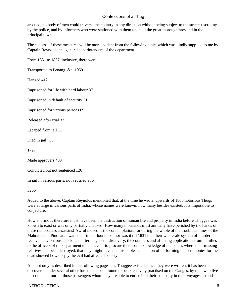aroused, no body of men could traverse the country in any direction without being subject to the strictest scrutiny by the police, and by informers who were stationed with them upon all the great thoroughfares and in the principal towns.

The success of these measures will be more evident from the following table, which was kindly supplied to me by Captain Reynolds, the general superintendent of the department.

From 1831 to 1837, inclusive, there were

Transported to Penang, &c. 1059

Hanged 412

Imprisoned for life with hard labour 87

Imprisoned in default of security 21

Imprisoned for various periods 69

Released after trial 32

Escaped from jail 11

Died in jail 36

1727

Made approvers 483

Convicted but not sentenced 120

In jail in various parts, not yet tried 936

3266

Added to the above, Captain Reynolds mentioned that, at the time he wrote, upwards of 1800 notorious Thugs were at large in various parts of India, whose names were known: how many besides existed, it is impossible to conjecture.

How enormous therefore must have been the destruction of human life and property in India before Thuggee was known to exist or was only partially checked! How many thousands must annually have perished by the hands of these remorseless assassins! Awful indeed is the contemplation; for during the whole of the troublous times of the Mahratta and Pindharee wars their trade flourished; nor was it till 1831 that their wholesale system of murder received any serious check: and after its general discovery, the countless and affecting applications from families to the officers of the department to endeavour to procure them some knowledge of the places where their missing relatives had been destroyed, that they might have the miserable satisfaction of performing the ceremonies for the dead showed how deeply the evil had affected society.

And not only as described in the following pages has Thuggee existed: since they were written, it has been discovered under several other forms, and been found to be extensively practised on the Ganges, by men who live in boats, and murder those passengers whom they are able to entice into their company in their voyages up and

#### INTRODUCTION 6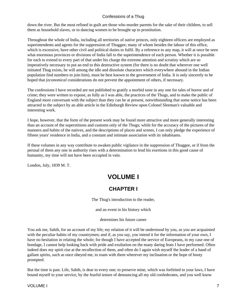down the river. But the most refined in guilt are those who murder parents for the sake of their children, to sell them as household slaves, or to dancing women to be brought up to prostitution.

Throughout the whole of India, including all territories of native princes, only eighteen officers are employed as superintendents and agents for the suppression of Thuggee; many of whom besides the labour of this office, which is excessive, have other civil and political duties to fulfil. By a reference to any map, it will at once be seen what enormous provinces or divisions of India fall to the superintendence of each person. Whether it is possible for each to extend to every part of that under his charge the extreme attention and scrutiny which are so imperatively necessary to put an end to this destructive system (for there is no doubt that wherever one well initiated Thug exists, he will among the idle and dissolute characters which everywhere abound in the Indian population find numbers to join him), must be best known to the government of India. It is only sincerely to be hoped that *(economical* considerations do not prevent the appointment of others, if necessary.

The confessions I have recorded are not published to gratify a morbid taste in any one for tales of horror and of crime; they were written to expose, as fully as I was able, the practices of the Thugs, and to make the public of England more conversant with the subject than they can be at present, notwithstanding that some notice has been attracted to the subject by an able article in the Edinburgh Review upon Colonel Sleeman's valuable and interesting work.

I hope, however, that the form of the present work may be found more attractive and more generally interesting than an account of the superstitions and customs only of the Thugs; while for the accuracy of the pictures of the manners and habits of the natives, and the descriptions of places and scenes, I can only pledge the experience of fifteen years' residence in India, and a constant and intimate association with its inhabitants.

If these volumes in any way contribute to awaken public vigilance in the suppression of Thuggee, or if from the perusal of them any one in authority rises with a determination to lend his exertions in this good cause of humanity, my time will not have been occupied in vain.

<span id="page-9-1"></span><span id="page-9-0"></span>London, July, 1839 M. T.

# **VOLUME I**

# **CHAPTER I**

The Thug's introduction to the reader,

and an event in his history which

determines his future career

You ask me, Sahib, for an account of my life; my relation of it will be understood by you, as you are acquainted with the peculiar habits of my countrymen; and if, as you say, you intend it for the information of your own, I have no hesitation in relating the whole; for though I have accepted the service of Europeans, in my case one of bondage, I cannot help looking back with pride and exultation on the many daring feats I have performed. Often indeed does my spirit rise at the recollection of them, and often do I again wish myself the leader of a band of gallant spirits, such as once obeyed me, to roam with them wherever my inclination or the hope of booty prompted.

But the time is past. Life, Sahib, is dear to every one; to preserve mine, which was forfeited to your laws, I have bound myself to your service, by the fearful tenure of denouncing all my old confederates, and you well know

VOLUME I 7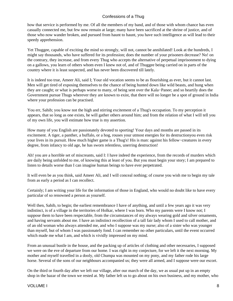how that service is performed by me. Of all the members of my band, and of those with whom chance has even casually connected me, but few now remain at large; many have been sacrificed at the shrine of justice, and of those who now wander broken, and pursued from haunt to haunt, you have such intelligence as will lead to their speedy apprehension.

Yet Thuggee, capable of exciting the mind so strongly, will not, cannot be annihilated! Look at the hundreds, I might say thousands, who have suffered for its profession; does the number of your prisoners decrease? No! on the contrary, they increase, and from every Thug who accepts the alternative of perpetual imprisonment to dying on a gallows, you learn of others whom even I knew not of, and of Thuggee being carried on in parts of the country where it is least suspected, and has never been discovered till lately.

It is indeed too true, Ameer Ali, said I; Your old vocation seems to be as flourishing as ever, but it cannot last. Men will get tired of exposing themselves to the chance of being hunted down like wild beasts, and hung when they are caught; or what is perhaps worse to many, of being sent over the Kala−Panee; and so heartily does the Government pursue Thugs wherever they are known to exist, that there will no longer be a spot of ground in India where your profession can be practised.

You err, Sahib; you know not the high and stirring excitement of a Thug's occupation. To my perception it appears, that so long as one exists, he will gather others around him; and from the relation of what I will tell you of my own life, you will estimate how true is my assertion.

How many of you English are passionately devoted to sporting! Your days and months are passed in its excitement. A tiger, a panther, a buffalo, or a hog, rouses your utmost energies for its destructionyou even risk your lives in its pursuit. How much higher game is a Thug's! His is man: against his fellow−creatures in every degree, from infancy to old age, he has sworn relentless, unerring destruction!

Ah! you are a horrible set of miscreants, said I: I have indeed the experience, from the records of murders which are daily being unfolded to me, of knowing this at least of you. But you must begin your story; I am prepared to listen to details worse than I can imagine human beings to have ever perpetrated.

It will even be as you think, said Ameer Ali, and I will conceal nothing; of course you wish me to begin my tale from as early a period as I can recollect.

Certainly; I am writing your life for the information of those in England, who would no doubt like to have every particular of so renowned a person as yourself.

Well then, Sahib, to begin; the earliest remembrance I have of anything, and until a few years ago it was very indistinct, is of a village in the territories of Holkar, where I was born. Who my parents were I know not; I suppose them to have been respectable, from the circumstances of my always wearing gold and silver ornaments, and having servants about me. I have an indistinct recollection of a tall fair lady whom I used to call mother, and of an old woman who always attended me, and who I suppose was my nurse; also of a sister who was younger than myself, but of whom I was passionately fond. I can remember no other particulars, until the event occurred which made me what I am, and which is vividly impressed on my mind.

From an unusual bustle in the house, and the packing up of articles of clothing and other necessaries, I supposed we were on the eve of departure from our home. I was right in my conjecture, for we left it the next morning. My mother and myself travelled in a dooly, old Chumpa was mounted on my pony, and my father rode his large horse. Several of the sons of our neighbours accompanied us; they were all armed, and I suppose were our escort.

On the third or fourth day after we left our village, after our march of the day, we as usual put up in an empty shop in the bazar of the town we rested at. My father left us to go about on his own business, and my mother, who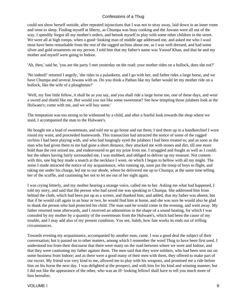could not show herself outside, after repeated injunctions that I was not to stray away, laid down in an inner room and went to sleep. Finding myself at liberty, as Chumpa was busy cooking and the Juwans were all out of the way, I speedily forgot all my mother's orders, and betook myself to play with some other children in the street. We were all at high romps, when a good–looking man of middle age addressed me, and asked me who I was I must have been remarkable from the rest of the ragged urchins about me, as I was well dressed, and had some silver and gold ornaments on my person. I told him that my father's name was Yoosuf Khan, and that he and my mother and myself were going to Indoor.

'Ah, then,' said he, 'you are the party I met yesterday on the road: your mother rides on a bullock, does she not?'

'No indeed!' retorted I angrily, 'she rides in a palankeen, and I go with her, and father rides a large horse, and we have Chumpa and several Juwans with us. Do you think a Pathan like my father would let my mother ride on a bullock, like the wife of a ploughman?'

'Well, my fine little fellow, it shall be as you say, and you shall ride a large horse too, one of these days, and wear a sword and shield like me. But would you not like some sweetmeat? See how tempting those julabees look at the Hulwaee's; come with me, and we will buy some.'

The temptation was too strong to be withstood by a child, and after a fearful look towards the shop where we staid, I accompanied the man to the Hulwaee's.

He bought me a load of sweetmeats, and told me to go home and eat them; I tied them up in a handkerchief I wore round my waist, and proceeded homewards. This transaction had attracted the notice of some of the ragged urchins I had been playing with, and who had longingly eyed the julabees I had been treated to; and as soon as the man who had given them to me had gone a short distance, they attacked me with stones and dirt, till one more bold than the rest seized me, and endeavoured to get my prize from me. I struggled and fought as well as I could; but the others having fairly surrounded me, I was mobbed, and obliged to deliver up my treasure. Not content with this, one big boy made a snatch at the necklace I wore, on which I began to bellow with all my might. The noise I made attracted the notice of my acquaintance, who running up, soon put the troop of boys to flight, and taking me under his charge, led me to our abode, where he delivered me up to Chumpa; at the same time telling her of the scuffle, and cautioning her not to let me out of her sight again.

I was crying bitterly, and my mother hearing a strange voice, called me to her. Asking me what had happened, I told my story, and said that the person who had saved me was speaking to Chumpa. She addressed him from behind the cloth, which had been put up as a screen, and thanked him; and added, that my father was absent, but that if he would call again in an hour or two, he would find him at home, and she was sure he would also be glad to thank the person who had protected his child. The man said he would come in the evening, and went away. My father returned soon afterwards, and I received an admonition in the shape of a sound beating, for which I was consoled by my mother by a quantity of the sweetmeats from the Hulwaee's, which had been the cause of my trouble, and I may add also of my present condition. You see, Sahib, how fate works its ends out of trifling circumstances.

Towards evening my acquaintance, accompanied by another man, came. I was a good deal the subject of their conversation; but it passed on to other matters, among which I remember the word Thug to have been first used. I understood too from their discourse that there were many on the road between where we were and Indoor, and that they were cautioning my father against them. The men said that they were soldiers, who had been sent out on some business from Indoor; and as there were a good many of their men with them, they offered to make part of our escort. My friend was very kind to me, allowed me to play with his weapons, and promised me a ride before him on his horse the next day. I was delighted at the prospect, and with him for his kind and winning manner; but I did not like the appearance of the other, who was an ill−looking fellowI shall have to tell you much more of him hereafter.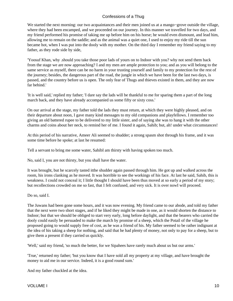We started the next morning: our two acquaintances and their men joined us at a mango−grove outside the village, where they had been encamped, and we proceeded on our journey. In this manner we travelled for two days, and my friend performed his promise of taking me up before him on his horse; he would even dismount, and lead him, allowing me to remain on the saddle; and as the animal was a quiet one, I used to enjoy my ride till the sun became hot, when I was put into the dooly with my mother. On the third day I remember my friend saying to my father, as they rode side by side,

'Yoosuf Khan, why .should you take those poor lads of yours on to Indoor with you? why not send them back from the stage we are now approaching? I and my men are ample protection to you; and as you will belong to the same service as myself, there can be no harm in your trusting yourself and family to my protection for the rest of the journey; besides, the dangerous part of the road, the jungle in which we have been for the last two days, is passed, and the country before us is open. The only fear of Thugs and thieves existed in them, and they are now far behind.'

'It is well said,' replied my father; 'I dare say the lads will be thankful to me for sparing them a part of the long march back, and they have already accompanied us some fifty or sixty coss.'

On our arrival at the stage, my father told the lads they must return, at which they were highly pleased, and on their departure about noon, I gave many kind messages to my old companions and playfellows. I remember too giving an old battered rupee to be delivered to my little sister, and of saying she was to hang it with the other charms and coins about her neck, to remind her of me. I found it again, Sahib; but, ah! under what circumstances!

At this period of his narrative, Ameer Ali seemed to shudder; a strong spasm shot through his frame, and it was some time before he spoke; at last he resumed:

Tell a servant to bring me some water, SahibI am thirsty with having spoken too much.

No, said I, you are not thirsty, but you shall have the water.

It was brought, but he scarcely tasted itthe shudder again passed through him. He got up and walked across the room, his irons clanking as he moved. It was horrible to see the workings of his face. At last he said, Sahib, this is weakness. I could not conceal it; I little thought I should have been thus moved at so early a period of my story; but recollections crowded on me so fast, that I felt confused, and very sick. It is over now I will proceed.

Do so, said I.

The Juwans had been gone some hours, and it was now evening. My friend came to our abode, and told my father that the next were two short stages, and if he liked they might be made in one, as it would shorten the distance to Indoor; but that we should be obliged to start very early, long before daylight, and that the bearers who carried the dooly could easily be persuaded to make the march by promise of a sheep, which the Potail of the village he proposed going to would supply free of cost, as he was a friend of his. My father seemed to be rather indignant at the idea of his taking a sheep for nothing, and said that he had plenty of money, not only to pay for a sheep, but to give them a present if they carried us quickly.

'Well,' said my friend, 'so much the better, for we Sipahees have rarely much about us but our arms.'

'True,' returned my father; 'but you know that I have sold all my property at my village, and have brought the money to aid me in our service. Indeed, it is a good round sum.'

And my father chuckled at the idea.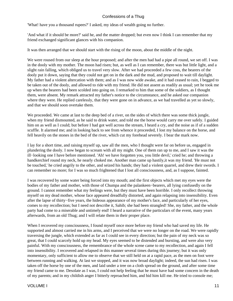'What! have you a thousand rupees?' I asked, my ideas of wealth going no further.

'And what if it should be more?' said he, and the matter dropped; but even now I think I can remember that my friend exchanged significant glances with his companion.

It was then arranged that we should start with the rising of the moon, about the middle of the night.

We were roused from our sleep at the hour proposed; and after the men had had a pipe all round, we set off. I was in the dooly with my mother. The moon had risen; but, as well as I can remember, there was but little light, and a slight rain falling, which obliged us to travel very slow. After we had proceeded a few coss, the bearers of the dooly put it down, saying that they could not get on in the dark and the mud, and proposed to wait till daylight. My father had a violent altercation with them; and as I was now wide awake, and it had ceased to rain, I begged to be taken out of the dooly, and allowed to ride with my friend. He did not assent as readily as usual; yet he took me up when the bearers had been scolded into going on. I remarked to him that some of the soldiers, as I thought them, were absent. My remark attracted my father's notice to the circumstance, and he asked our companion where they were. He replied carelessly, that they were gone on in advance, as we had travelled as yet so slowly, and that we should soon overtake them.

We proceeded. We came at last to the deep bed of a river, on the sides of which there was some thick jungle, when my friend dismounted, as he said to drink water, and told me the horse would carry me over safely. I guided him on as well as I could; but before I had got well across the stream, I heard a cry, and the noise as if of a sudden scuffle. It alarmed me; and in looking back to see from whence it proceeded, I lost my balance on the horse, and fell heavily on the stones in the bed of the river, which cut my forehead severely. I bear the mark now.

I lay for a short time, and raising myself up, saw all the men, who I thought were far on before us, engaged in plundering the dooly. I now began to scream with all my might. One of them ran up to me, and I saw it was the ill−looking one I have before mentioned. 'Ah! we have forgotten you, you little devil,' cried he; and throwing a handkerchief round my neck, he nearly choked me. Another man came up hastily, it was my friend. 'He must not be touched,' he cried angrily to the other, and seized his hands; they had a violent quarrel, and drew their swords. I can remember no more; for I was so much frightened that I lost all consciousness, and, as I suppose, fainted.

I was recovered by some water being forced into my mouth; and the first objects which met my eyes were the bodies of my father and mother, with those of Chumpa and the palankeen−bearers, all lying confusedly on the ground. I cannot remember what my feelings were, but they must have been horrible. I only recollect throwing myself on my dead mother, whose face appeared dreadfully distorted, and again relapsing into insensibility. Even after the lapse of thirty−five years, the hideous appearance of my mother's face, and particularly of her eyes, comes to my recollection; but I need not describe it, Sahib; she had been strangled! She, my father, and the whole party had come to a miserable and untimely end! I heard a narrative of the particulars of the event, many years afterwards, from an old Thug; and I will relate them in their proper place.

When I recovered my consciousness, I found myself once more before my friend who had saved my life. He supported and almost carried me in his arms, and I perceived that we were no longer on the road. We were rapidly traversing the jungle, which extended as far as I could see in every direction; but the pain of my neck was so great, that I could scarcely hold up my head. My eyes seemed to be distended and bursting, and were also very painful. With my consciousness, the remembrance of the whole scene came to my recollection, and again I fell into insensibility. I recovered and relapsed in this manner several times during this journey; but it was only momentary, only sufficient to allow me to observe that we still held on at a rapid pace, as the men on foot were between running and walking. At last we stopped, and it was now broad daylight; indeed, the sun had risen. I was taken off the horse by one of the men, and laid under a tree on a cloth spread on the ground, and after some time my friend came to me. Desolate as I was, I could not help feeling that he must have had some concern in the death of my parents; and in my childish anger I bitterly reproached him, and bid him kill me. He tried to console me;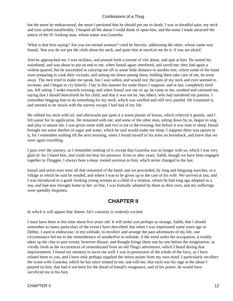but the more he endeavoured, the more I persisted that he should put me to death. I was in dreadful pain; my neck and eyes ached insufferably. I heaped all the abuse I could think of upon him, and the noise I made attracted the notice of the ill−looking man, whose name was Gunesha.

'What is that brat saying? Are you too turned woman?' cried he fiercely, addressing the other, whose name was Ismail, 'that you do not put the cloth about his neck, and quiet him at onceLet me do it, if you are afraid.'

And he approached me. I was reckless, and poured forth a torrent of vile abuse, and spat at him. He untied his waistband, and was about to put an end to me, when Ismail again interfered, and saved me; they had again a violent quarrel, but he succeeded in carrying me off to some little distance to another tree, where some of the band were preparing to cook their victuals; and setting me down among them, bidding them take care of me, he went away. The men tried to make me speak, but I was sullen, and would not; the pain of my neck and eyes seemed to increase, and I began to cry bitterly. I lay in this manner for some hours I suppose; and at last, completely tired out, fell asleep. I woke towards evening; and when Ismail saw me sit up, he came to me, soothed and caressed me, saying that I should henceforth be his child; and that it was not he, but others, who had murdered my parents. I remember begging him to do something for my neck, which was swelled and still very painful. He examined it, and seemed to be struck with the narrow escape I had had of my life.

He rubbed my neck with oil, and afterwards put upon it a warm plaster of leaves, which relieved it greatly, and I felt easier for its application. He remained with me; and some of the other men, sitting down by us, began to sing and play to amuse me. I was given some milk and rice to eat in the evening; but before it was time to sleep, Ismail brought me some sherbet of sugar and water, which he said would make me sleep. I suppose there was opium in it, for I remember nothing till the next morning, when I found myself in his arms on horseback, and knew that we were again travelling.

I pass over the journey, as I remember nothing of it, except that Gunesha was no longer with us, which I was very glad of; for I hated him, and could not bear his presence. Even in after years, Sahib, though we have been engaged together in Thuggee, I always bore a deep−rooted aversion to him, which never changed to the last.

Ismail and seven men were all that remained of the band; and we proceeded, by long and fatiguing marches, to a village in which he said he resided, and where I was to be given up to the care of his wife. We arrived at last, and I was introduced to a good−looking young woman as a child of a relation, whom he had long ago adopted as a son, and had now brought home to her: in fine, I was formally adopted by them as their own, and my sufferings were speedily forgotten.

# **CHAPTER II**

<span id="page-14-0"></span>In which it will appear that Ameer Ali's curiosity is violently excited

I must have been at this time about five years old. It will strike you perhaps as strange, Sahib, that I should remember so many particulars of the event I have described; but when I was imprisoned some years ago at Dehlie, I used to endeavour, in my solitude, to recollect and arrange the past adventures of my life, one circumstance led me to the remembrance of another For in solitude, if the mind seeks the occupation, it readily takes up the clue to past events, however distant, and thought brings them one by one before the imagination, as vividly fresh as the occurrences of yesterdayand from an old Thug's adventures, which I heard during that imprisonment, I found my memory to serve me well. I was in possession of the whole of the facts, as I have related them to you, and I have only perhaps supplied the minor points from my own mind. I particularly recollect the scene with Gunesha, which he has since related to me, and told me, that such was his rage at the abuse I poured on him, that had it not been for the dread of Ismail's vengeance, and of his power, he would have sacrificed me in his fury.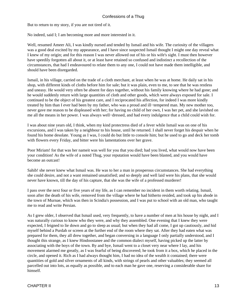But to return to my story, if you are not tired of it.

No indeed, said I; I am becoming more and more interested in it.

Well, resumed Ameer Ali, I was kindly nursed and tended by Ismail and his wife. The curiosity of the villagers was a good deal excited by my appearance, and I have since suspected Ismail thought I might one day reveal what I knew of my origin; and for this reason I was never allowed out of his or his wife's sight. I must then however have speedily forgotten all about it, or at least have retained so confused and indistinct a recollection of the circumstances, that had I endeavoured to relate them to any one, I could not have made them intelligible, and should have been disregarded.

Ismail, in his village, carried on the trade of a cloth merchant, at least when he was at home. He daily sat in his shop, with different kinds of cloths before him for sale; but it was plain, even to me, to see that he was restless and uneasy. He would very often be absent for days together, without his family knowing where he had gone; and he would suddenly return with large quantities of cloth and other goods, which were always exposed for sale. I continued to be the object of his greatest care, and I reciprocated his affection, for indeed I was more kindly treated by him than I ever had been by my father, who was a proud and ill−tempered man. My new mother too, never gave me reason to be displeased with her; for having no child of her own, I was her pet, and she lavished on me all the means in her power. I was always well−dressed, and had every indulgence that a child could wish for.

I was about nine years old, I think, when my kind protectress died of a fever while Ismail was on one of his excursions, and I was taken by a neighbour to his house, until he returned. I shall never forget his despair when he found his home desolate. Young as I was, I could do but little to console him; but he used to go and deck her tomb with flowers every Friday, and bitter were his lamentations over her grave.

Poor Miriam! for that was her name it was well for you that you died; had you lived, what would now have been your condition! As the wife of a noted Thug, your reputation would have been blasted, and you would have become an outcast!

Sahib! she never knew what Ismail was. He was to her a man in prosperous circumstances. She had everything she could desire, and not a want remained unsatisfied; and so deeply and well laid were his plans, that she would never have known, till the day of his capture, that she was the wife of a professed murderer!

I pass over the next four or five years of my life, as I can remember no incident in them worth relating. Ismail, soon after the death of his wife, removed from the village where he had hitherto resided, and took up his abode in the town of Murnae, which was then in Scindia's possession, and I was put to school with an old man, who taught me to read and write Persian.

As I grew older, I observed that Ismail used, very frequently, to have a number of men at his house by night, and I was naturally curious to know who they were, and why they assembled. One evening that I knew they were expected, I feigned to lie down and go to sleep as usual; but when they had all come, I got up cautiously, and hid myself behind a Purdah or screen at the further end of the room where they sat. After they had eaten what was prepared for them, they all drew together, and began conversing in a language I only partially understood, and I thought this strange, as I knew Hindoostanee and the common dialect myself, having picked up the latter by associating with the boys of the town. By and bye, Ismail went to a closet very near where I lay, and his movement alarmed me greatly, as I was fearful of being discovered; he took from it a box, which he placed in the circle, and opened it. Rich as I had always thought him, I had no idea of the wealth it contained; there were quantities of gold and silver ornaments of all kinds, with strings of pearls and other valuables; they seemed all parcelled out into lots, as equally as possible, and to each man he gave one, reserving a considerable share for himself.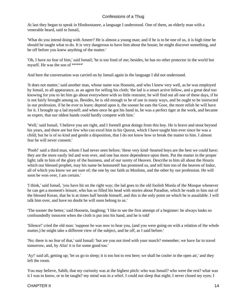At last they began to speak in Hindoostanee, a language I understood. One of them, an elderly man with a venerable beard, said to Ismail,

'What do you intend doing with Ameer? He is almost a young man; and if he is to be one of us, it is high time he should be taught what to do. It is very dangerous to have him about the house; he might discover something, and be off before you knew anything of the matter.'

'Oh, I have no fear of him,' said Ismail; 'he is too fond of me; besides, he has no other protector in the world but myself. He was the son of \*\*\*\*\*'

And here the conversation was carried on by Ismail again in the language I did not understand.

'It does not matter,' said another man, whose name was Hoosein, and who I knew very well, as he was employed by Ismail, to all appearance, as an agent for selling his cloth; 'the lad is a smart active fellow, and a great deal too knowing for you to let him go about everywhere with so little restraint; he will find out all one of these days, if he is not fairly brought among us. Besides, he is old enough to be of use in many ways, and he ought to be instructed in our profession, if he be ever to learn; depend upon it, the sooner he eats the Goor, the more relish he will have for it. I brought up a lad myself; and when once he got his hand in, he was a perfect tiger at the work, and became so expert, that our oldest hands could hardly compete with him.'

'Well,' said Ismail, 'I believe you are right, and I foretell great doings from this boy. He is brave and stout beyond his years, and there are but few who can excel him in his Qusrut, which I have taught him ever since he was a child; but he is of so kind and gentle a disposition, that I do not know how to break the matter to him. I almost fear he will never consent.'

'Pooh!' said a third man, whom I had never seen before; 'these very kind−hearted boys are the best we could have; they are the more easily led and won over, and one has more dependence upon them. Put the matter in the proper light; talk to him of the glory of the business, and of our surety of Heaven. Describe to him all about the Houris which our blessed prophet, may his name be honoured! has promised us, and tell him too of the heaven of Indur, all of which you know we are sure of; the one by our faith as Moslims, and the other by our profession. He will soon be won over, I am certain.'

'I think,' said Ismail, 'you have hit on the right way; the lad goes to the old foolish Moola of the Mosque whenever he can get a moment's leisure, who has so filled his head with stories about Paradise, which he reads to him out of the blessed Koran, that he is at times half beside himself, and this is the only point on which he is assailable. I will talk him over, and have no doubt he will soon belong to us.'

'The sooner the better,' said Hoosein, laughing; 'I like to see the first attempt of a beginner: he always looks so confoundedly innocent when the cloth is put into his hand, and he is told'

'Silence!' cried the old man: 'suppose he was now to hear you, (and you were going on with a relation of the whole matter,) he might take a different view of the subject, and be off, as I said before.'

'No; there is no fear of that,' said Ismail: 'but are you not tired with your march? remember, we have far to travel tomorrow, and, by Alia! it is for some good too.'

'Ay!' said all, getting up; 'let us go to sleep; it is too hot to rest here; we shall be cooler in the open air,' and they left the room.

You may believe, Sahib, that my curiosity was at the highest pitch: who was Ismail? who were the rest? what was it I was to know, or to be taught? my mind was in a whirl. I could not sleep that night; I never closed my eyes; I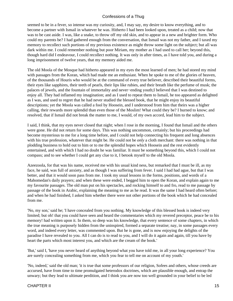seemed to be in a fever, so intense was my curiosity, and, I may say, my desire to know everything, and to become a partner with Ismail in whatever he was. Hitherto I had been looked upon, treated as a child; now that was to be cast aside. I was, like a snake, to throw off my old skin, and to appear in a new and brighter form. Who could my parents be? I had gathered enough from the conversation, that Ismail was not my father, and I taxed my memory to recollect such portions of my previous existence as might throw some light on the subject; but all was dark within me. I could remember nothing but poor Miriam, my mother as I had used to call her; beyond this, though hard did I endeavour, I could recollect nothing. It was only in after times, as I have told you, and during a long imprisonment of twelve years, that my memory aided me.

The old Moola of the Mosque had hitherto appeared in my eyes the most learned of men; he had stored my mind with passages from the Koran, which had made me an enthusiast. When he spoke to me of the glories of heaven, of the thousands of Houris who would be at the command of every true believer, described their beautiful forms, their eyes like sapphires, their teeth of pearls, their lips like rubies, and their breath like the perfume of musk; the palaces of jewels, and the fountain of immortality and never−ending youth;I believed that I was destined to enjoy all. They had inflamed my imagination; and as I used to repeat them to Ismail, he too appeared as delighted as I was, and used to regret that he had never studied the blessed book, that he might enjoy its beautiful descriptions; yet the Moola was called a fool by Hoosein, and I understood from him that theirs was a higher calling, their rewards more splendid than even those of the Moslim! What could they be? I burned to know; and resolved, that if Ismail did not break the matter to me, I would, of my own accord, lead him to the subject.

I said, I think, that my eyes never closed that night; when I rose in the morning, I found that Ismail and the others were gone. He did not return for some days. This was nothing uncommon, certainly; but his proceedings had become mysterious to me for a long time before, and I could not help connecting his frequent and long absences with his true profession, whatever that might be. He could not be *only* a cloth merchant: there was nothing in that plodding business to hold out to him or to me the splendid hopes which Hoosein and the rest evidently entertained, and with which I had no doubt he was familiar. It must be something beyond this, which I could not compass; and to see whether I could get any clue to it, I betook myself to the old Moola.

Azeezoola, for that was his name, received me with his usual kind ness, but remarked that I must be ill, as my face, he said, was full of anxiety, and as though I was suffering from fever. I said I had had ague, but that I was better, and that it would soon pass from me. I took my usual lessons in the forms, positions, and words of a Mahomedan's daily prayers; and when these were ended, I begged him to open the Koran, and explain again to me my favourite passages. The old man put on his spectacles, and rocking himself to and fro, read to me passage by passage of the book in Arabic, explaining the meaning to me as he read. It was the same I had heard often before; and when he had finished, I asked him whether there were not other portions of the book which he had concealed from me.

'No, my son,' said he; 'I have concealed from you nothing. My knowledge of this blessed book is indeed very limited; but oh! that you could have seen and heard the commentaries which my revered preceptor, peace be to his memory! had written upon it. In them, so deep was his knowledge, that every sentence of some chapters, in which the true meaning is purposely hidden from the uninspired, formed a separate treatise; nay, in some passages every word, and indeed every letter, was commented upon. But he is gone, and is now enjoying the delights of the paradise I have revealed to you. All I can do is to read to you, and I will do it again and again, till you have by heart the parts which most interest you, and which are the cream of the book.'

'But,' said I, 'have you never heard of anything beyond what you have told me, in all your long experience? You are surely concealing something from me, which you fear to tell me on account of my youth.'

'No, indeed,' said the old man; 'it is true that some professors of our religion, Sofees and others, whose creeds are accursed, have from time to time promulgated heterodox doctrines, which are plausible enough, and entrap the unwary; but they lead to ultimate perdition, and I think you are now too well grounded in your belief to be led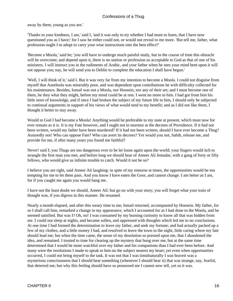away by them, young as you are.'

'Thanks to your kindness, I am,' said I, 'and it was only to try whether I had more to learn, that I have now questioned you as I have;' for I saw he either could not, or would not reveal to me more. 'But tell me, father, what profession ought I to adopt to carry your wise instructions into the best effect?'

'Become a Moola,' said he; 'you will have to undergo much painful study, but in the course of time this obstacle will be overcome; and depend upon it, there is no station or profession so acceptable to God as that of one of his ministers. I will instruct you in the rudiments of Arabic, and your father when he sees your mind bent upon it will not oppose you; nay, he will send you to Dehlie to complete the education I shall have begun.'

'Well, I will think of it,' said I. But it was very far from my intention to become a Moola. I could not disguise from myself that Azeeloola was miserably poor, and was dependent upon contributions he with difficulty collected for his maintenance. Besides, Ismail was not a Moola, nor Hoosein, nor any of their set; and I must become one of them, be they what they might, before my mind could be at rest. I went no more to him. I had got from him his little store of knowledge, and if once I had broken the subject of my future life to him, I should only be subjected to continual arguments in support of his views of what would tend to my benefit; and as I did not like them, I thought it better to stay away.

Would to God I had become a Moola! Anything would be preferable to my state at present, which must now for ever remain as it is. It is my Fate however, and I ought not to murmur at the decrees of Providence. If it had not been written, would my father have been murdered? If it had not been written, should I have ever become a Thug? Assuredly not! Who can oppose Fate? Who can avert its decrees? Yet would you not, Sahib, release me, and provide for me, if after many years you found me faithful?

Never! said I; you Thugs are too dangerous ever to be let loose again upon the world; your fingers would itch to strangle the first man you met, and before long we should hear of Ameer Ali Jemadar, with a gang of forty or fifty fellows, who would give us infinite trouble to catch. Would it not be so?

I believe you are right, said Ameer Ali laughing: in spite of my remorse at times, the opportunities would be too tempting for me to let them pass. And you know I have eaten the Goor, and cannot change. I am better as I am, for if you caught me again you would hang me.

I have not the least doubt we should, Ameer Ali: but go on with your story; you will forget what your train of thought was, if you digress in this manner. He resumed.

Nearly a month elapsed, and after this weary time to me, Ismail returned, accompanied by Hoosein. My father, for so I shall call him, remarked a change in my appearance, which I accounted for as I had done to the Moola, and he seemed satisfied. But was I? Oh, no! I was consumed by my burning curiosity to know all that was hidden from me. I could not sleep at nights, and became sullen, and oppressed with thoughts which led me to no conclusions. At one time I had formed the determination to leave my father, and seek my fortune; and had actually packed up a few of my clothes, and a little money I had, and resolved to leave the town in the night, little caring where my fate should lead me; but when the time came, the sense of my desolation so pressed upon me, that I abandoned the idea, and remained. I trusted to time for clearing up the mystery that hung over me, but at the same time determined that I would be more watchful over my father and his companions than I had ever been before. And many were the resolutions I made to speak to him on the subject nearest my heart; yet even when opportunities occurred, I could not bring myself to the task. It was not that I was timidnaturally I was braveit was a mysterious consciousness that I should hear something (whenever I should hear it) that was strange, nay, fearful, that deterred me; but why this feeling should have so possessed me I cannot now tell, yet so it was.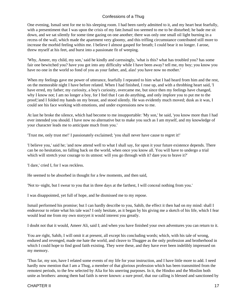One evening, Ismail sent for me to his sleeping room. I had been rarely admitted to it, and my heart beat fearfully, with a presentiment that I was upon the crisis of my fate. Ismail too seemed to me to be disturbed; he bade me sit down, and we sat silently for some time gazing on one another; there was only one small oil light burning in a recess of the wall, which made the apartment very gloomy, and this trifling circumstance contributed still more to increase the morbid feeling within me. I believe I almost gasped for breath; I could bear it no longer. I arose, threw myself at his feet, and burst into a passionate fit of weeping.

'Why, Ameer, my child, my son,' said he kindly and caressingly, 'what is this? what has troubled you? has some fair one bewitched you? have you got into any difficulty while I have been away? tell me, my boy; you know you have no one in the world so fond of you as your father, and, alas! you have now no mother.'

When my feelings gave me power of utterance, fearfully I repeated to him what I had heard from him and the rest, on the memorable night I have before related. When I had finished, I rose up, and with a throbbing heart said, 'I have erred, my father; my curiosity, a boy's curiosity, overcame me, but since then my feelings have changed, why I know not; I am no longer a boy, for I feel that I can do anything, and only implore you to put me to the proof;'and I folded my hands on my breast, and stood silently. He was evidently much moved; dusk as it was, I could see his face working with emotions, and under expressions new to me.

At last he broke the silence, which had become to me insupportable: 'My son,' he said, 'you know more than I had ever intended you should. I have now no alternative but to make you such as I am myself, and my knowledge of your character leads me to anticipate much from you.'

'Trust me, only trust me!' I passionately exclaimed; 'you shall never have cause to regret it!'

'I believe you,' said he; 'and now attend well to what I shall say, for upon it your future existence depends. There can be no hesitation, no falling back on the world, when once you know all. You will have to undergo a trial which will stretch your courage to its utmost: will you go through with it? dare you to brave it?'

'I dare,' cried I, for I was reckless.

He seemed to be absorbed in thought for a few moments, and then said,

'Not to−night, but I swear to you that in three days at the farthest, I will conceal nothing from you.'

I was disappointed, yet full of hope, and he dismissed me to my repose.

Ismail performed his promise; but I can hardly describe to you, Sahib, the effect it then had on my mind: shall I endeavour to relate what his tale was? I only hesitate, as it began by his giving me a sketch of his life, which I fear would lead me from my own story yet it would interest you greatly.

I doubt not that it would, Ameer Ali, said I; and when you have finished your own adventures you can return to it.

You are right, Sahib, I will omit it at present, all except his concluding words; which, with his tale of wrong, endured and revenged, made me hate the world, and cleave to Thuggee as the only profession and brotherhood in which I could hope to find good faith existing. They were these, and they have ever been indelibly impressed on my memory.

'Thus far, my son, have I related some events of my life for your instruction, and I have little more to add. I need hardly now mention that I am a Thug, a member of that glorious profession which has been transmitted from the remotest periods, to the few selected by Alia for his unerring purposes. In it, the Hindoo and the Moslim both unite as brothers: among them bad faith is never known: a sure proof, that our calling is blessed and sanctioned by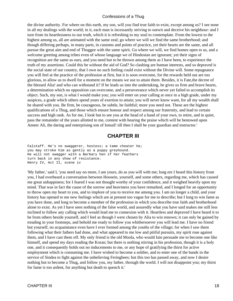the divine authority. For where on this earth, my son, will you find true faith to exist, except among us? I see none in all my dealings with the world; in it, each man is incessantly striving to outwit and deceive his neighbour: and I turn from its heartlessness to our truth, which it is refreshing to my soul to contemplate. From the lowest to the highest among us, all are animated with the same zeal; go where we will we find the same brotherhood; and though differing perhaps, in many parts, in customs and points of practice, yet their hearts are the same, and all pursue the great aim and end of Thuggee with the same spirit. Go where we will, we find homes open to us, and a welcome greeting among tribes even of whose language we of Hindostan are ignorant; yet their signs of recognition are the same as ours, and you need but to be thrown among them as I have been, to experience the truth of my assertions. Could this be without the aid of God? So clashing are human interests, and so depraved is the social state of our country, that I own no such feeling could exist without the Divine will. Some repugnance you will feel at the practice of the profession at first, but it is soon overcome, for the rewards held out are too glorious, to allow us to dwell for a moment on the means we use to attain them. Besides, it is Fate, the decree of the blessed Alia! and who can withstand it? If he leads us into the undertaking, he gives us firm and brave hearts, a determination which no opposition can overcome, and a perseverance which never yet failed to accomplish its object. Such, my son, is what I would make you; you will enter on your calling at once in a high grade, under my auspices, a grade which others spend years of exertion to attain; you will never know want, for all my wealth shall be shared with you. Be firm, be courageous, be subtle, be faithful; more you need not. These are the highest qualifications of a Thug, and those which ensure honour and respect among our fraternity, and lead to certain success and high rank. As for me, I look but to see you at the head of a band of your own, to retire, and in quiet, pass the remainder of the years allotted to me, content with hearing the praise which will be bestowed upon Ameer Ali, the daring and enterprising son of Ismail! till then I shall be your guardian and instructor.'

# **CHAPTER III**

<span id="page-20-0"></span>Falstaff. He's no swaggerer, hostess; a tame cheater he; you may stroke him as gently as a puppy greyhound. He will not swagger with a Barbary hen if her feathers turn back in any show of resistance. Henry IV, Act II, scene iv

'My father,' said I, 'you need say no more, I am yours, do as you will with me; long ere I heard this history from you, I had overheard a conversation between Hoosein, yourself, and some others, regarding me, which has caused me great unhappiness; for I feared I was not thought worthy of your confidence, and it weighed heavily upon my mind. That was in fact the cause of the sorrow and heaviness you have remarked, and I longed for an opportunity to throw open my heart to you, and to implore of you to receive me among you. I am no longer a child, and your history has opened to me new feelings which are at present too vague for me to describe; but I long to win fame as you have done, and long to become a member of the profession in which you describe true faith and brotherhood alone to exist. As yet I have seen nothing of the false world, and assuredly what you have said makes me still less inclined to follow any calling which would lead me to connexion with it. Heartless and depraved I have heard it to be from others beside yourself, and I feel as though I were chosen by Alia to win renown; it can only be gained by treading in your footsteps, and behold me ready to follow you whithersoever you will lead me. I have no friend but yourself, no acquaintance even have I ever formed among the youths of the village; for when I saw them following what their fathers had done, and what appeared to me low and pitiful pursuits, my spirit rose against them, and I have cast them off. My only friend is the old Moola, who would fain persuade me to become one like himself, and spend my days reading the Koran; but there is nothing stirring in his profession, though it is a holy one, and it consequently holds out no inducements to me, or any hope of gratifying the thirst for active employment which is consuming me. I have wished to become a soldier, and to enter one of the bands in the service of Sindea to fight against the unbelieving Feringhees; but this too has passed away, and now I desire nothing but to become a Thug, and follow you, my father, through the world. I will not disappoint you; my thirst for fame is too ardent, for anything but death to quench it.'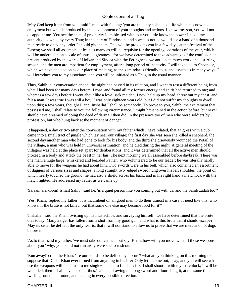'May God keep it far from you,' said Ismail with feeling: 'you are the only solace to a life which has now no enjoyment but what is produced by the development of your thoughts and actions. I know, my son, you will not disappoint me. You see the state of prosperity I am blessed with, but you little know the power I have; my authority is owned by every Thug in this part of Hindostan, and a week's notice would see a band of a thousand men ready to obey any order I should give them. This will be proved to you in a few days, at the festival of the Dasera; we shall all assemble, at least as many as will be requisite for the opening operations of the year, which will be undertaken on a scale of unusual greatness, for we have determined to take advantage of the confusion at present produced by the wars of Holkar and Sindea with the Feringhees, we anticipate much work and a stirring season, and the men are impatient for employment, after a long period of inactivity. I will take you to Sheopoor, which we have decided on as our place of meeting, as the zemindar is friendly to us and assists us in many ways. I will introduce you to my associates, and you will be initiated as a Thug in the usual manner.'

Thus, Sahib, our conversation ended: the night had passed in its relation, and I went to rest a different being from what I had been for many days before. I rose, and found all my former energy and spirit had returned to me; and whereas a few days before I went about like a love−sick maiden, I now held up my head, threw out my chest, and felt a man. It was true I was still a boy, I was only eighteen years old, but I did not suffer my thoughts to dwell upon this; a few years, thought I, and, Inshalla! I shall be somebody. To prove to you, Sahib, the excitement that possessed me, I shall relate to you the following circumstance. I might have joined in the action before, but never should have dreamed of doing the deed of daring I then did, in the presence too of men who were soldiers by profession, but who hung back at the moment of danger.

It happened, a day or two after the conversation with my father which I have related, that a tigress with a cub came into a small tract of jungle which lay near our village; the first day she was seen she killed a shepherd, the second day another man who had gone to look for his body, and the third she grievously wounded the Potail of the village, a man who was held in universal estimation, and he died during the night. A general meeting of the villagers was held at the place set apart for deliberations, and it was determined that all the active men should proceed in a body and attack the beast in her lair. The next morning we all assembled before daybreak. There was one man, a huge large−whiskered and bearded Pathan, who volunteered to be our leader; he was literally hardly able to move for the weapons he had about him. Two swords were in his belt, which also contained an assortment of daggers of various sizes and shapes; a long straight two−edged sword hung over his left shoulder, the point of which nearly touched the ground; he had also a shield across his back, and in his right hand a matchlock with the match lighted. He addressed my father as we came up.

'Salaam aleikoom! Ismail Sahib,' said he, 'is a quiet person like you coming out with us, and the Sahib zadah too?'

'Yes, Khan,' replied my father, 'it is incumbent on all good men to do their utmost in a case of need like this; who knows, if the brute is not killed, but that some one else may become food for it?'

'Inshalla!' said the Khan, twisting up his mustachios, and surveying himself, 'we have determined that the brute dies today. Many a tiger has fallen from a shot from my good gun, and what is this brute that it should escape? May its sister be defiled; the only fear is, that it will not stand to allow us to prove that we are men, and not dogs before it.'

'As to that,' said my father, 'we must take our chance; but say, Khan, how will you move with all those weapons about you? why, you could not run away were she to rush out.'

'Run away!' cried the Khan; 'are our beards to be defiled by a brute? what are you thinking on this morning to suppose that Dildar Khan ever turned from anything in his life? Only let it come out, I say, and you will see what use the weapons will be! Trust to me single−handed to finish it: first I shall shoot it with my matchlock; it will be wounded; then I shall advance on it thus,' said he, drawing the long sword and flourishing it, at the same time twirling round and round, and leaping in every possible direction.

#### CHAPTER III 1999 - 1999 - 1999 - 1999 - 1999 - 1999 - 1999 - 1999 - 1999 - 1999 - 1999 - 1999 - 199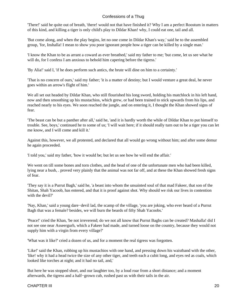'There!' said he quite out of breath, 'there! would not that have finished it? Why I am a perfect Roostum in matters of this kind, and killing a tiger is only child's play to Dildar Khan! why, I could eat one, tail and all.

'But come along, and when the play begins, let no one come in Dildar Khan's way,' said he to the assembled group, 'for, Inshalla! I mean to show you poor ignorant people how a tiger can be killed by a single man.'

'I know the Khan to be as arrant a coward as ever breathed,' said my father to me; 'but come, let us see what he will do, for I confess I am anxious to behold him capering before the tigress.'

'By Alia!' said I, 'if he does perform such antics, the brute will dine on him to a certainty.'

'That is no concern of ours,' said my father; 'it is a matter of destiny; but I would venture a great deal, he never goes within an arrow's flight of him.'

We all set out headed by Dildar Khan, who still flourished his long sword, holding his matchlock in his left hand, now and then smoothing up his mustachios, which grew, or had been trained to stick upwards from his lips, and reached nearly to his eyes. We soon reached the jungle, and on entering it, I thought the Khan showed signs of fear.

'The beast can be but a panther after all,' said he, 'and it is hardly worth the while of Dildar Khan to put himself to trouble. See, boys,' continued he to some of us; 'I will wait here; if it should really turn out to be a tiger you can let me know, and I will come and kill it.'

Against this, however, we all protested, and declared that all would go wrong without him; and after some demur he again proceeded.

'I told you,' said my father, 'how it would be; but let us see how he will end the affair.'

We went on till some bones and torn clothes, and the head of one of the unfortunate men who had been killed, lying near a bush, . proved very plainly that the animal was not far off, and at these the Khan showed fresh signs of fear.

'They say it is a Purrut Bagh,' said he, 'a beast into whom the unsainted soul of that mad Fakeer, that son of the Shitan, Shah Yacoob, has entered, and that it is proof against shot. Why should we risk our lives in contention with the devil<sup>?'</sup>

'Nay, Khan,' said a young dare−devil lad, the scamp of the village, 'you are joking, who ever heard of a Purrut Bagh that was a female? besides, we will burn the beards of fifty Shah Yacoobs.'

'Peace!' cried the Khan, 'be not irreverend; do we not all know that Purrut Baghs can be created? Mashalla! did I not see one near Asseergurh, which a Fakeer had made, and turned loose on the country, because they would not supply him with a virgin from every village?'

'What was it like?' cried a dozen of us, and for a moment the real tigress was forgotten.

'Like!' said the Khan, rubbing up his mustachios with one hand, and pressing down his waistband with the other, 'like! why it had a head twice the size of any other tiger, and teeth each a cubit long, and eyes red as coals, which looked like torches at night; and it had no tail, and,'

But here he was stopped short, and our laughter too, by a loud roar from a short distance; and a moment afterwards, the tigress and a half−grown cub, rushed past us with their tails in the air.

#### CHAPTER III 20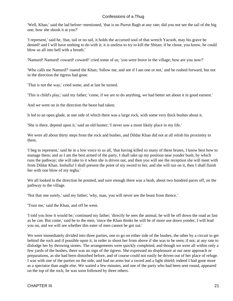'Well, Khan,' said the lad before−mentioned, 'that is no Purrut Bagh at any rate; did you not see the tail of the big one, how she shook it at you?'

'I represent,' said he, 'that, tail or no tail, it holds the accursed soul of that wretch Yacoob, may his grave be denied! and I will have nothing to do with it; it is useless to try to kill the Shitan; if he chose, you know, he could blow us all into hell with a breath.'

'Namurd! Namurd! coward! coward!' cried some of us; 'you were brave in the village; how are you now?'

'Who calls me Namurd?' roared the Khan; 'follow me, and see if I am one or not,' and he rushed forward, but not in the direction the tigress had gone.

'That is not the way,' cried some, and at last he turned.

'This is child's play,' said my father; 'come, if we are to do anything, we had better set about it in good earnest.'

And we went on in the direction the beast had taken.

It led to an open glade, at one side of which there was a large rock, with some very thick bushes about it.

'She is there, depend upon it,' said an old hunter; 'I never saw a more likely place in my life.'

We were all about thirty steps from the rock and bushes, and Dildar Khan did not at all relish his proximity to them.

'I beg to represent,' said he in a low voice to us all, 'that having killed so many of these brutes, I know best how to manage them; and as I am the best armed of the party, I shall take up my position near yonder bush, by which runs the pathway; she will take to it when she is driven out, and then you will see the reception she will meet with from Dildar Khan. Inshalla! I shall present the point of my sword to her, and she will run on it, then I shall finish her with one blow of my tegha.'

We all looked in the direction he pointed, and sure enough there was a bush, about two hundred paces off, on the pathway to the village.

'Not that one surely,' said my father; 'why, man, you will never see the beast from thence.'

'Trust me,' said the Khan, and off he went.

'I told you how it would be,' continued my father; 'directly he sees the animal, he will be off down the road as fast as he can. But come,' said he to the men, 'since the Khan thinks he will be of more use down yonder, I will lead you on, and we will see whether this eater of men cannot be got out.'

We were immediately divided into three parties, one to go on either side of the bushes, the other by a circuit to get behind the rock and if possible upon it, in order to shoot her from above if she was to be seen; if not, at any rate to dislodge her by throwing stones. The arrangements were quickly completed, and though we were all within only a few yards of the bushes, there was no sign of the tigress. She expressed no displeasure at our near approach or preparations, as she had been disturbed before, and of course could not easily be driven out of her place of refuge. I was with one of the parties on the side, and had no arms but a sword and a light shield; indeed I had gone more as a spectator than aught else. We waited a few minutes, and one of the party who had been sent round, appeared on the top of the rock; he was soon followed by three others.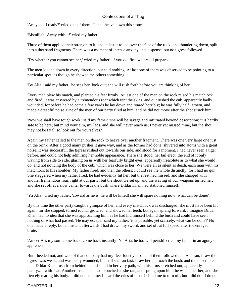'Are you all ready?' cried one of them: 'I shall heave down this stone.'

'Bismillah! Away with it!' cried my father.

Three of them applied their strength to it, and at last it rolled over the face of the rock, and thundering down, split into a thousand fragments. There was a moment of intense anxiety and suspense, but no tigress followed.

'Try whether you cannot see her,' cried my father; 'if you do, fire; we are all prepared.'

The men looked down in every direction, but said nothing. At last one of them was observed to be pointing to a particular spot, as though he showed the others something.

'By Alia!' said my father, 'he sees her; look out; she will rush forth before you are thinking of her.'

Every man blew his match, and planted his feet firmly. At last one of the men on the rock raised his matchlock and fired; it was answered by a tremendous roar which rent the skies, and out rushed the cub, apparently badly wounded, for before he had come a few yards he lay down and roared horribly; he was fully half−grown, and made a dreadful noise. One of the men of our party fired at him, and he did not move after the shot struck him.

'Now we shall have tough work,' said my father; 'she will be savage and infuriated beyond description; it is hardly safe to be here; but mind your aim, my lads, and she will never reach us; I never yet missed mine, but the shot may not be fatal; so look out for yourselves.'

Again my father called to the men on the rock to heave over another fragment. There was one very large one just on the brink. After a good many pushes it gave way, and as the former had done, shivered into atoms with a great noise. It was successful, the tigress rushed out towards our side, and stood for a moment. I had never seen a tiger before, and could not help admiring her noble appearance. There she stood, her tail erect, the end of it only waving from side to side, glaring on us with her fearfully bright eyes, apparently irresolute as to what she would do, and not noticing the body of the cub, which was close to her. We were all as silent as death, each man with his matchlock to his shoulder. My father fired, and then the others; I could see the whole distinctly, for I had no gun. She staggered when my father fired, he had evidently hit her; but the rest had missed, and she charged with another tremendous roar, right at our party; but the shout we set up, and the waving of our weapons turned her, and she set off at a slow canter towards the bush where Dildar Khan had stationed himself.

'Ya Alia!' cried my father, 'coward as he is, he will be killed! she will spare nothing now! what can be done?'

By this time the other party caught a glimpse of her, and every matchlock was discharged; she must have been hit again, for she stopped, turned round, growled, and showed her teeth, but again sprang forward. I imagine Dildar Khan had no idea that she was approaching him, as he had hid himself behind the bush and could have seen nothing of what had passed. 'He may escape,' said my father; 'it is possible, yet scarcely; what can be done?' No one made a reply, but an instant afterwards I had drawn my sword, and set off at full speed after the enraged brute.

'Ameer Ali, my son! come back, come back instantly! Ya Alia, he too will perish!' cried my father in an agony of apprehension.

But I heeded not, and who of that company had my fleet foot? yet some of them followed me. As I ran, I saw the tigress was weak, and was badly wounded, but still she ran fast. I saw her approach the bush, and the miserable man Dildar Khan rush from behind it, and stand in her very path, with his arms stretched out, apparently paralyzed with fear. Another instant she had crouched as she ran, and sprang upon him; he was under her, and she fiercely tearing his body. It did not stop me; I heard the cries of those behind me to turn off, but I did not. I do not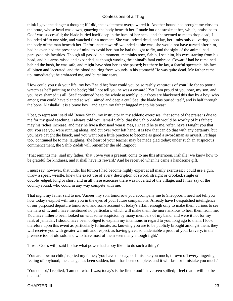think I gave the danger a thought; if I did, the excitement overpowered it. Another bound had brought me close to the brute, whose head was down, gnawing the body beneath her. I made but one stroke at her, which, praise be to God! was successful; the blade buried itself deep in the back of her neck, and she seemed to me to drop dead; I bounded off to one side, and watched for a moment. She was indeed dead, and lay, her limbs only quivering, upon the body of the man beneath her. Unfortunate coward! wounded as she was, she would not have turned after him, had he even had the presence of mind to avoid her; but he had thought to fly, and the sight of the animal had paralyzed his faculties. Though all passed in a moment, methinks now, Sahib, I see him, his eyes starting from his head, and his arms raised and expanded, as though wooing the animal's fatal embrace. Coward! had he remained behind the bush, he was safe, and might have shot her as she passed; but there he lay, a fearful spectacle, his face all bitten and lacerated, and the blood pouring from wounds in his stomach! He was quite dead. My father came up immediately; he embraced me, and burst into tears.

'How could you risk your life, my boy?' said he; 'how could you be so rashly venturous of your life for so poor a wretch as he?' pointing to the body; 'did I not tell you he was a coward? Yet I am proud of you now, my son, and you have shamed us all. See!' continued he to the whole assembly, 'our faces are blackened this day by a boy; who among you could have planted so well−aimed and deep a cut? See! the blade has buried itself, and is half through the bone. Mashalla! it is a brave boy!' and again my father hugged me to his breast.

'I beg to represent,' said old Benee Singh, my instructor in my athletic exercises, 'that some of the praise is due to me for my good teaching. I always told you, Ismail Sahib, that the Sahib Zadah would be worthy of his father; may his riches increase, and may he live a thousand years! Yes, sir,' said he to me, 'often have I taught you that cut; you see you were running along, and cut over your left hand; it is few that can do that with any certainty, but you have caught the knack, and you want but a little practice to become as good a swordsman as myself. Perhaps too,' continued he to me, laughing, 'the heart of your teacher may be made glad today; under such an auspicious commencement, the Sahib Zadah will remember the old Rajpoot.'

'That reminds me,' said my father, 'that I owe you a present; come to me this afternoon. Inshalla! we know how to be grateful for kindness, and it shall have its reward.' And he received when he came a handsome gift.

I must say, however, that under his tuition I had become highly expert at all manly exercises; I could use a gun, throw a spear, wrestle, knew the exact use of every description of sword, straight or crooked, single or double−edged, long or short, and in all these exercises there was not a lad of the village, and I may say of the country round, who could in any way compete with me.

That night my father said to me, 'Ameer, my son, tomorrow you accompany me to Sheopoor. I need not tell you how today's exploit will raise you in the eyes of your future companions. Already have I despatched intelligence of our purposed departure tomorrow, and some account of today's affair, enough only to make them curious to see the hero of it; and I have mentioned no particulars, which will make them the more anxious to hear them from me. You have hitherto been looked on with some suspicion by many members of my band; and were it not for my rank of jemadar, I should have been obliged to explain my intentions in regard to you, long ago to them. I look therefore upon this event as particularly fortunate; as, knowing you are to be publicly brought amongst them, they will receive you with greater warmth and respect, as having given so undeniable a proof of your bravery, in the presence too of old soldiers, who have most of them seen many a tough fight.'

'It was God's will,' said I; 'else what power had a boy like I to do such a thing?'

'You are now no child,' replied my father; 'you have this day, or I mistake you much, thrown off every lingering feeling of boyhood; the change has been sudden, but it has been complete, and it will last, or I mistake you much.'

'You do not,' I replied, 'I am not what I was; today's is the first blood I have seen spilled; I feel that it will not be the last.'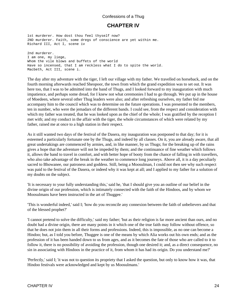# **CHAPTER IV**

<span id="page-26-0"></span>1st murderer. How dost thou feel thyself now? 2ND murderer. Faith, some dregs of conscience are yet within me. Richard III, Act I, scene iv

2nd murderer. I am one, my liege, Whom the vile blows and buffets of the world Have so incensed, that I am reckless what I do to spite the world. Macbeth, Act III, scene i.

The day after my adventure with the tiger, I left our village with my father. We travelled on horseback, and on the fourth morning afterwards reached Sheopoor, the town from which the grand expedition was to set out. It was here too, that I was to be admitted into the band of Thugs, and I looked forward to my inauguration with much impatience, and perhaps some dread, for I knew not what ceremonies I had to go through. We put up in the house of Moedeen, where several other Thug leaders were also; and after refreshing ourselves, my father bid me accompany him to the council which was to determine on the future operations. I was presented to the members, ten in number, who were the jemadars of the different bands. I could see, from the respect and consideration with which my father was treated, that he was looked upon as the chief of the whole; I was gratified by the reception I met with; and my conduct in the affair with the tiger, the whole circumstances of which were related by my father, raised me at once to a high station in their respect.

As it still wanted two days of the festival of the Dasera, my inauguration was postponed to that day; for it is esteemed a particularly fortunate one by the Thugs, and indeed by all classes. On it, you are already aware, that all great undertakings are commenced by armies, and, in like manner, by us Thugs; for the breaking up of the rains gives a hope that the adventure will not be impeded by them; and the continuance of fine weather which follows it, allows the band to travel in comfort, and with better hope of booty from the chance of falling in with travellers, who also take advantage of the break in the weather to commence long journeys. Above all, it is a day peculiarly sacred to Bhowanee, our patroness and goddess. Still, being a Moosulman, I could not then see why such respect was paid to the festival of the Dasera, or indeed why it was kept at all; and I applied to my father for a solution of my doubts on the subject.

'It is necessary to your fully understanding this,' said he, 'that I should give you an outline of our belief in the divine origin of our profession, which is intimately connected with the faith of the Hindoos, and by whom we Moosulmans have been instructed in the art of Thuggee.'

'This is wonderful indeed,' said I; 'how do you reconcile any connexion between the faith of unbelievers and that of the blessed prophet?'

'I cannot pretend to solve the difficulty,' said my father; 'but as their religion is far more ancient than ours, and no doubt had a divine origin, there are many points in it which one of the true faith may follow without offence, so that he does not join them in all their forms and professions. Indeed, this is impossible, as no one can become a Hindoo; but, as I told you before, Thuggee is one of the means by which Alia works out his own ends; and as the profession of it has been handed down to us from ages, and as it becomes the fate of those who are called to it to follow it, there is no possibility of avoiding the profession, though one desired it; and, as a direct consequence, no sin in associating with Hindoos in the practice of it, from whom it has had its origin. Do you understand me?'

'Perfectly,' said I; 'it was not to question its propriety that I asked the question, but only to know how it was, that Hindoo festivals were acknowledged and kept by us Moosulmans.'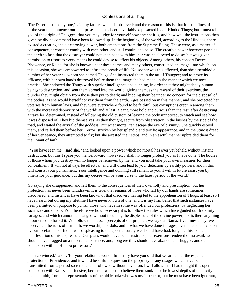'The Dasera is the only one,' said my father, 'which is observed; and the reason of this is, that it is the fittest time of the year to commence our enterprises, and has been invariably kept sacred by all Hindoo Thugs; but I must tell you of the origin of Thuggee, that you may judge for yourself how ancient it is, and how well the instructions then given by divine command have been followed up. In the beginning of the world, according to the Hindoos, there existed a creating and a destroying power, both emanations from the Supreme Being. These were, as a matter of consequence, at constant enmity with each other, and still continue to be so. The creative power however peopled the earth so fast, that the destroyer could not keep pace with him, nor was he allowed to do so; but was given permission to resort to every means he could devise to effect his objects. Among others, his consort Devee, Bhowanee, or Kalee, for she is known under these names and many others, constructed an image, into which, on this occasion, she was empowered to infuse the breath of life. No sooner was this effected, than she assembled a number of her votaries, whom she named Thugs. She instructed them in the art of Thuggee; and to prove its efficacy, with her own hands destroyed before them the image she had made, in the manner which we now practise. She endowed the Thugs with superior intelligence and cunning, in order that they might decoy human beings to destruction, and sent them abroad into the world, giving them, as the reward of their exertions, the plunder they might obtain from those they put to death; and bidding them be under no concern for the disposal of the bodies, as she would herself convey them from the earth. Ages passed on in this manner, and she protected her votaries from human laws, and they were everywhere found to be faithful: but corruptions crept in among them with the increased depravity of the world; and at last, a gang more bold and curious than the rest, after destroying a traveller, determined, instead of following the old custom of leaving the body unnoticed, to watch and see how it was disposed of. They hid themselves, as they thought, secure from observation in the bushes by the side of the road, and waited the arrival of the goddess. But what mortal can escape the eye of divinity? She quickly espied them, and called them before her. Terror−stricken by her splendid and terrific appearance, and in the utmost dread of her vengeance, they attempted to fly; but she arrested their steps, and in an awful manner upbraided them for their want of faith.

' "You have seen me," said she, "and looked upon a power which no mortal has ever yet beheld without instant destruction; but this I spare you; henceforward, however, I shall no longer protect you as I have done. The bodies of those whom you destroy will no longer be removed by me, and you must take your own measures for their concealment. It will not always be effectual, and will often lead to your detection by earthly powers, and in this will consist your punishment. Your intelligence and cunning still remain to you. I will in future assist you by omens for your guidance; but this my decree will be your curse to the latest period of the world."

'So saying she disappeared, and left them to the consequences of their own folly and presumption; but her protection has never been withdrawn. It is true, the remains of those who fall by our hands are sometimes discovered, and instances have been known of that discovery having led to the apprehension of Thugs, at least so I have heard; but during my lifetime I have never known of one, and it is my firm belief that such instances have been permitted on purpose to punish those who have in some way offended our protectress, by neglecting her sacrifices and omens. You therefore see how necessary it is to follow the rules which have guided our fraternity for ages, and which cannot be changed without incurring the displeasure of the divine power; nor is there anything in our creed to forbid it. We follow the blessed precepts of our prophet; we say our Namaz five times a day; we observe all the rules of our faith; we worship no idols; and if what we have done for ages, ever since the invasion by our forefathers of India, was displeasing to the apostle, surely we should have had, long ere this, some manifestation of his displeasure. Our plans would have been frustrated, our exertions rendered of no avail; we should have dragged on a miserable existence; and, long ere this, should have abandoned Thuggee, and our connexion with its Hindoo professors.'

'I am convinced,' said I; 'for your relation is wonderful. Truly have you said that we are under the especial protection of Providence; and it would be sinful to question the propriety of any usages which have been transmitted from a period so remote, and followed without deviation. I will allow that I had thought this open connexion with Kafirs as offensive, because I was led to believe them sunk into the lowest depths of depravity and bad faith, from the representations of the old Moola who was my instructor; but he must have been ignorant,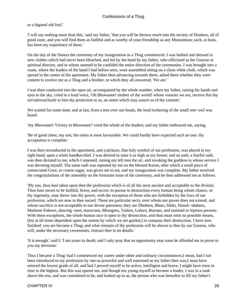or a bigoted old fool.'

'I will say nothing more than this,' said my father, 'that you will be thrown much into the society of Hindoos, all of good caste, and you will find them as faithful and as worthy of your friendship as any Moosulman; such, at least, has been my experience of them.'

On the day of the Dasera the ceremony of my inauguration as a Thug commenced. I was bathed and dressed in new clothes which had never been bleached, and led by the hand by my father, who officiated as the Gooroo or spiritual director, and to whom seemed to be confided the entire direction of the ceremonies. I was brought into a room, where the leaders of the band I had before seen, were assembled sitting on a clean white cloth, which was spread in the centre of the apartment. My father then advancing towards them, asked them whether they were content to receive me as a Thug and a brother, to which they all answered, 'We are.'

I was then conducted into the open air, accompanied by the whole number, when my father, raising his hands and eyes to the sky, cried in a loud voice, 'Oh Bhowanee! mother of the world! whose votaries we are, receive this thy servant vouchsafe to him thy protection to us, an omen which may assure us of thy consent.'

We waited for some time; and at last, from a tree over our heads, the loud twittering of the small tree−owl was heard.

'Jey Bhowanee! Victory to Bhowanee!' cried the whole of the leaders; and my father embraced me, saying,

'Be of good cheer, my son; the omen is most favourable. We could hardly have expected such an one: thy acceptation is complete.'

I was then reconducted to the apartment, and a pickaxe, that holy symbol of our profession, was placed in my right hand, upon a white handkerchief. I was desired to raise it as high as my breast; and an oath, a fearful oath, was then dictated to me, which I repeated, raising my left into the air, and invoking the goddess to whose service I was devoting myself. The same oath was repeated by me on the blessed Koran, after which a small piece of consecrated Goor, or coarse sugar, was given me to eat, and my inauguration was complete. My father received the congratulations of the assembly on the fortunate issue of the ceremony, and he then addressed me as follows.

'My son, thou hast taken upon thee the profession which is of all the most ancient and acceptable to the divinity. Thou hast sworn to be faithful, brave, and secret; to pursue to destruction every human being whom chance, or thy ingenuity, may throw into thy power, with the exception of those who are forbidden by the laws of our profession, which are now to thee sacred. These are particular sects, over whom our power does not extend, and whose sacrifice is not acceptable to our divine patroness; they are Dhobees, Bhats, Sikhs, Nanuk−shahees, Mudaree Fukeers, dancing−men, musicians, Bhungees, Tailees, Lohars, Burraes, and maimed or leprous persons. With these exceptions, the whole human race is open to thy destruction, and thou must omit no possible means, (but at all times dependent upon the omens by which we are guided,) to compass their destruction. I have now finished: you are become a Thug; and what remains of thy profession will be shown to thee by our Gooroo, who will, under the necessary ceremonies, instruct thee in its details.'

'It is enough,' said I; 'I am yours to death; and I only pray that an opportunity may soon be afforded me to prove to you my devotion.'

Thus I became a Thug: had I commenced my career under other and ordinary circumstances, I mean, had I not been introduced to my profession by one so powerful and well esteemed as my father then was, I must have entered the lowest grade of all; and had I proved myself to be active, intelligent and brave, I might have risen in time to the highest. But this was spared me; and though too young myself to become a leader, I was in a rank above the rest, and was considered to be, and looked up to as, the person who was hereafter to fill my father's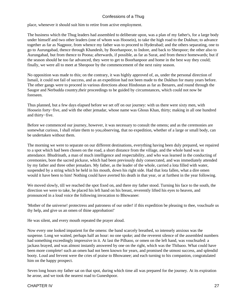place, whenever it should suit him to retire from active employment.

The business which the Thug leaders had assembled to deliberate upon, was a plan of my father's, for a large body under himself and two other leaders (one of whom was Hoosein), to take the high road to the Dukhun; to advance together as far as Nagpoor, from whence my father was to proceed to Hyderabad; and the others separating, one to go to Aurungabad, thence through Khandesh, by Boorhanpoor, to Indore, and back to Sheopoor; the other also to Aurungabad, but from thence to Poona; afterwards, if possible, as far as Surat, and from thence homewards; but if the season should be too far advanced, they were to get to Boorhanpoor and home in the best way they could; finally, we were all to meet at Sheopoor by the commencement of the next rainy season.

No opposition was made to this; on the contrary, it was highly approved of, as, under the personal direction of Ismail, it could not fail of success, and as an expedition had not been made to the Dukhun for many years before. The other gangs were to proceed in various directions about Hindostan as far as Benares, and round through the Saugor and Nerbudda country, their proceedings to be guided by circumstances, which could not now be foreseen.

Thus planned, but a few days elapsed before we set off on our journey: with us there were sixty men, with Hoosein forty−five, and with the other jemadar, whose name was Ghous Khan, thirty; making in all one hundred and thirty−five.

Before we commenced our journey, however, it was necessary to consult the omens; and as the ceremonies are somewhat curious, I shall relate them to you, observing, that no expedition, whether of a large or small body, can be undertaken without them.

The morning we were to separate on our different destinations, everything having been duly prepared, we repaired to a spot which had been chosen on the road, a short distance from the village, and the whole band was in attendance. Bhudrinath, a man of much intelligence and respectability, and who was learned in the conducting of ceremonies, bore the sacred pickaxe, which had been previously duly consecrated, and was immediately attended by my father and three other jemadars. My father, as the leader of the whole, carried a lota filled with water, suspended by a string which he held in his mouth, down his right side. Had that lota fallen, what a dire omen would it have been to him! Nothing could have averted his death in that year, or at furthest in the year following.

We moved slowly, till we reached the spot fixed on, and there my father stood. Turning his face to the south, the direction we were to take, he placed his left hand on his breast, reverently lifted his eyes to heaven, and pronounced in a loud voice the following invocation to Bhowanee:

'Mother of the universe! protectress and patroness of our order! if this expedition be pleasing to thee, vouchsafe us thy help, and give us an omen of thine approbation!'

He was silent, and every mouth repeated the prayer aloud.

Now every one looked impatient for the omens: the band scarcely breathed, so intensely anxious was the suspense. Long we waited, perhaps half an hour: no one spoke; and the reverent silence of the assembled numbers had something exceedingly impressive in it. At last the Pilhaoo, or omen on the left hand, was vouchsafed: a jackass brayed, and was almost instantly answered by one on the right, which was the Thibaoo. What could have been more complete! such an omen had not been known for years, and promised the utmost success, and splendid booty. Loud and fervent were the cries of praise to Bhowanee; and each turning to his companion, congratulated him on the happy prospect.

Seven long hours my father sat on that spot, during which time all was prepared for the journey. At its expiration he arose, and we took the nearest road to Guneshpoor.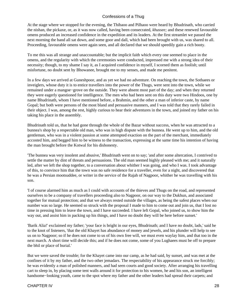At the stage where we stopped for the evening, the Thibaoo and Pilhaoo were heard by Bhudrinath, who carried the nishan, the pickaxe, or, as it was now called, having been consecrated, *khussee;* and these renewed favourable omens produced an increased confidence in the expedition and its leaders. At the first streamlet we passed the next morning the band all sat down, and some goor and dall, which had been brought with us, was shared to all. Proceeding, favourable omens were again seen, and all declared that we should speedily gain a rich booty.

To me this was all strange and unaccountable; but the implicit faith which every one seemed to place in the omens, and the regularity with which the ceremonies were conducted, impressed me with a strong idea of their necessity; though, to my shame I say it, as I acquired confidence in myself, I scorned them as foolish; until misfortune, no doubt sent by Bhowanee, brought me to my senses, and made me penitent.

In a few days we arrived at Guneshpoor, and as yet we had no adventure. On reaching the town, the Sothaees or inveiglers, whose duty it is to entice travellers into the power of the Thugs, were sent into the town, while we remained under a mangoe−grove on the outside. They were absent most part of the day; and when they returned they were eagerly questioned for intelligence. The men who had been sent on this duty were two Hindoos, one by name Bhudrinath, whom I have mentioned before, a Brahmin, and the other a man of inferior caste, by name Gopal; but both were persons of the most bland and persuasive manners, and I was told that they rarely failed in their object. I was, among the rest, highly curious to hear their adventures in the town, and joined my father on his taking his place in the assembly.

Bhudrinath told us, that he had gone through the whole of the Bazar without success, when he was attracted to a bunnea's shop by a respectable old man, who was in high dispute with the bunnea. He went up to him, and the old gentleman, who was in a violent passion at some attempted exaction on the part of the merchant, immediately accosted him, and begged him to be witness to the transaction, expressing at the same time his intention of having the man brought before the Kotwal for his dishonesty.

'The bunnea was very insolent and abusive,' Bhudrinath went on to say; 'and after some altercation, I contrived to settle the matter by dint of threats and persuasions. The old man seemed highly pleased with me; and it naturally led, after we left the shop together, to a conversation about whither I was going, and who I was. I took advantage of this, to convince him that the town was no safe residence for a traveller, even for a night, and discovered that he was a Persian mootsuddee, or writer in the service of the Rajah of Nagpoor, whither he was travelling with his son.

'I of course alarmed him as much as I could with accounts of the thieves and Thugs on the road, and represented ourselves to be a company of travellers proceeding also to Nagpoor, on our way to the Dukhun, and associated together for mutual protection; and that we always rested outside the villages, as being the safest places when our number was so large. He seemed so struck with the proposal I made to him to come out and join us, that I lost no time in pressing him to leave the town, and I have succeeded. I have left Gopal, who joined us, to show him the way out, and assist him in packing up his things, and I have no doubt they will be here before sunset.'

'Barik Alia!' exclaimed my father; 'your face is bright in our eyes, Bhudrinath; and I have no doubt, lads,' said he to the knot of listeners, 'that the old Khayet has abundance of money and jewels, and his plunder will help to see us on to Nagpoor; so if he does not come to us of his own free will, we must even waylay him, and that too in the next march. A short time will decide this; and if he does not come, some of you Lughaees must be off to prepare the bhil or place of burial.'

But we were saved the trouble; for the Khayet came into our camp, as he had said, by sunset, and was met at the confines of it by my father, and the two other jemadars. The respectability of his appearance struck me forcibly; he was evidently a man of polished manners, and had seen courts and good society. After arranging his travelling cart to sleep in, by placing some tent walls around it for protection to his women, he and his son, an intelligent handsome−looking youth, came to the spot where my father and the other leaders had spread their carpets; and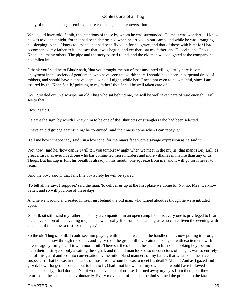many of the band being assembled, there ensued a general conversation.

Who could have told, Sahib, the intentions of those by whom he was surrounded! To me it was wonderful. I knew he was to die that night, for that had been determined when he arrived in our camp, and while he was arranging his sleeping−place. I knew too that a spot had been fixed on for his grave, and that of those with him; for I had accompanied my father to it, and saw that it was begun; and yet there sat my father, and Hoosein, and Ghous Khan, and many others. The pipe and the story passed round, and the old man was delighted at the company he had fallen into.

'I thank you,' said he to Bhudrinath, 'that you brought me out of that unsainted village; truly here is some enjoyment in the society of gentlemen, who have seen the world: there I should have been in perpetual dread of robbers, and should have not have slept a wink all night, while here I need not even to be watchful, since I am assured by the Khan Sahib,' pointing to my father,' that I shall be well taken care of.'

'Ay!' growled out in a whisper an old Thug who sat behind me, 'he will be well taken care of sure enough, I will see to that.'

'How?' said I.

He gave the sign, by which I knew him to be one of the Bhuttotes or stranglers who had been selected.

'I have an old grudge against him,' he continued, 'and the time is come when I can repay it.'

'Tell me how it happened,' said I in a low tone, for the man's face wore a savage expression as he said it.

'Not now,' said he, 'how can I? I will tell you tomorrow night when we meet in the mujlis: that man is Brij Lall, as great a rascal as ever lived, one who has committed more murders and more villanies in his life than any of us Thugs. But his cup is full, his breath is already in his mouth; one squeeze from me, and it will go forth never to return.'

'And the boy,' said I, 'that fair, fine boy, surely he will be spared.'

'To tell all he saw, I suppose,' said the man; 'to deliver us up at the first place we come to! No, no, Mea, we know better, and so will you one of these days.'

And he went round and seated himself just behind the old man, who turned about as though he were intruded upon.

'Sit still, sit still,' said my father; 'it is only a companion: in an open camp like this every one is privileged to hear the conversation of the evening mujlis, and we usually find some one among us who can enliven the evening with a tale, until it is time to rest for the night.'

So the old Thug sat still: I could see him playing with his fatal weapon, the handkerchief, now pulling it through one hand and now through the other; and I gazed on the group till my brain reeled again with excitement, with intense agony I might call it with more truth. There sat the old man: beside him his noble looking boy: behind them their destroyers, only awaiting the signal; and the old man looked so unconscious of danger, was so entirely put off his guard and led into conversation by the mild, bland manners of my father, that what could he have suspected? That he was in the hands of those from whom he was to meet his death? Ah, no! And as I gazed and gazed, how I longed to scream out to him to fly! had I not known that my own death would have followed instantaneously, I had done it. Yet it would have been of no use. I turned away my eyes from them; but they returned to the same place involuntarily. Every movement of the men behind seemed the prelude to the fatal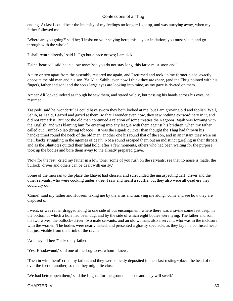ending. At last I could bear the intensity of my feelings no longer: I got up, and was hurrying away, when my father followed me.

'Where are you going?' said he; 'I insist on your staying here; this is your initiation; you must see it, and go through with the whole.'

'I shall return directly,' said I: 'I go but a pace or two; I am sick.'

'Faint−hearted!' said he in a low tone: 'see you do not stay long, this farce must soon end.'

A turn or two apart from the assembly restored me again, and I returned and took up my former place, exactly opposite the old man and his son. Ya Alia! Sahib, even now I think they are *there,* (and the Thug pointed with his finger), father and son; and the son's large eyes are looking into mine, as my gaze is riveted on them.

Ameer Ali looked indeed as though he saw them, and stared wildly, but passing his hands across his eyes, he resumed.

Taajoob! said he, wonderful! I could have sworn they both looked at me; but I am growing old and foolish. Well, Sahib, as I said, I gazed and gazed at them, so that I wonder even now, they saw nothing extraordinary in it, and did not remark it. But no: the old man continued a relation of some treaties the Nagpoor Rajah was forming with the English, and was blaming him for entering into any league with them against his brethren, when my father called out 'Tumbako lao (bring tobacco)!' It was the signal! quicker than thought the Thug had thrown his handkerchief round the neck of the old man, another one his round that of the son, and in an instant they were on their backs struggling in the agonies of death. Not a sound escaped them but an indistinct gurgling in their throats; and as the Bhuttotes quitted their fatal hold, after a few moments, others who had been waiting for the purpose, took up the bodies and bore them away to the already prepared grave.

'Now for the rest,' cried my father in a low tone: 'some of you rush on the servants; see that no noise is made; the bullock−driver and others can be dealt with easily.'

Some of the men ran to the place the khayet had chosen, and surrounded the unsuspecting cart−driver and the other servants, who were cooking under a tree. I saw and heard a scuffle, but they also were all dead ere they could cry out.

'Come!' said my father and Hoosein taking me by the arms and hurrying me along, 'come and see how they are disposed of.'

I went, or was rather dragged along to one side of our encampment, where there was a ravine some feet deep, in the bottom of which a hole had been dug, and by the side of which eight bodies were lying. The father and son, his two wives, the bullock−driver, two male servants, and an old woman; also a servant, who was in the inclosure with the women. The bodies were nearly naked, and presented a ghastly spectacle, as they lay in a confused heap, but just visible from the brink of the ravine.

'Are they all here?' asked my father.

'Yes, Khodawund,' said one of the Lughaees, whom I knew.

'Then in with them!' cried my father; and they were quickly deposited in their last resting−place, the head of one over the feet of another, so that they might lie close.

'We had better open them,' said the Lugha, 'for the ground is loose and they will swell.'

#### CHAPTER IV 30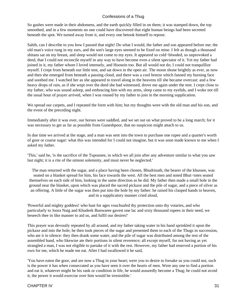So gashes were made in their abdomens, and the earth quickly filled in on them; it was stamped down, the top smoothed, and in a few moments no one could have discovered that eight human beings had been secreted beneath the spot. We turned away from it, and every one betook himself to repose.

Sahib, can I describe to you how I passed that night! Do what I would, the father and son appeared before me; the old man's voice rung in my ears, and the son's large eyes seemed to be fixed on mine. I felt as though a thousand shitans sat on my breast, and sleep would not come to my eyes. It appeared so cold−blooded, so unprovoked a deed, that I could not reconcile myself in any way to have become even a silent spectator of it. Yet my father had joined in it, my father whom I loved intensely, and Hoosein too. But all would not do; I could not tranquillize myself. I crept from beneath our little tent, and sat down in the open air. The moon shone brightly as ever, as now and then she emerged from beneath a passing cloud, and there was a cool breeze which fanned my burning face and soothed me. I watched her as she appeared to travel along in the heavens till she became overcast: and a few heavy drops of rain, as if she wept over the deed she had witnessed, drove me again under the tent. I crept close to my father, who was sound asleep, and embracing him with my arms, sleep came to my eyelids, and I woke not till the usual hour of prayer arrived, when I was roused by my father to join in the morning supplication.

We spread our carpets, and I repeated the form with him; but my thoughts were with the old man and his son, and the event of the preceding night.

Immediately after it was over, our horses were saddled, and we set out on what proved to be a long march; for it was necessary to get as far as possible from Guneshpoor, that no suspicion might attach to us.

In due time we arrived at the stage, and a man was sent into the town to purchase one rupee and a quarter's worth of goor or coarse sugar: what this was intended for I could not imagine, but it was soon made known to me when I asked my father.

'This,' said he, 'is the sacrifice of the Tupounee, in which we all join after any adventure similar to what you saw last night; it is a rite of the utmost solemnity, and must never be neglected.'

The man returned with the sugar, and a place having been chosen, Bhudrinath, the bearer of the khussee, was seated on a blanket spread for him, his face towards the west. All the best men and noted Bhut−totes seated themselves on each side of him, looking in the same direction as he did. My father then made a small hole in the ground near the blanket, upon which was placed the sacred pickaxe and the pile of sugar, and a piece of silver as an offering. A little of the sugar was then put into the hole by my father: he raised his clasped hands to heaven, and in a supplicatory manner cried aloud,

'Powerful and mighty goddess! who hast for ages vouchsafed thy protection unto thy votaries, and who particularly to Joora Naig and Khudeek Bunwaree gavest one lac and sixty thousand rupees in their need, we beseech thee in like manner to aid us, and fulfil our desires!'

This prayer was devoutly repeated by all around, and my father taking water in his hand sprinkled it upon the pickaxe and into the hole; he then took pieces of the sugar and presented them to each of the Thugs in succession, who ate it in silence: they then drank some water, and the pile of sugar was distributed among the rest of the assembled band, who likewise ate their portions in silent reverence; all except myself, for not having as yet strangled a man, I was not eligible to partake of it with the rest. However, my father had reserved a portion of his own for me, which he made me eat. After I had swallowed it he said,

'You have eaten the goor, and are now a Thug in your heart; were you to desire to forsake us you could not, such is the power it has when consecrated as you have seen it over the hearts of men. Were any one to find a portion and eat it, whatever might be his rank or condition in life, he would assuredly become a Thug; he could not avoid it, the power it would exercise over him would be irresistible.'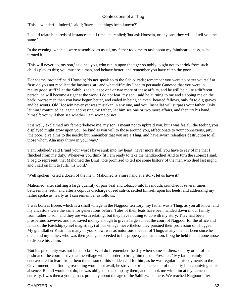'This is wonderful indeed,' said I; 'have such things been known?'

'I could relate hundreds of instances had I time,' he replied; 'but ask Hoosein, or any one, they will all tell you the same.'

In the evening, when all were assembled as usual, my father took me to task about my faintheartedness, as he termed it.

'This will never do, my son,' said he; 'you, who ran in upon the tiger so nobly, ought not to shrink from such child's play as this; you must be a man, and behave better, and remember you have eaten the goor.'

'For shame, brother!' said Hoosein; 'do not speak so to the Sahib−zada; remember you were no better yourself at first: do you not recollect the business .at , and what difficulty I had to persuade Gunesha that you were in reality good stuff? Let the Sahib−zada but see one or two more of these affairs, and he will be quite a different person, he will become a tiger at the work. I do not fear, my son,' said he, turning to me and slapping me on the back; 'worse men than you have begun better, and ended in being chicken−hearted fellows, only fit to dig graves and be scouts. Old Hoosein never yet was mistaken in any one, and you, Inshalla! will surpass your father. Only let him,' continued he, again addressing my father, 'let him see one or two more affairs, and then try his hand himself: you will then see whether I am wrong or not.'

'It is well,' exclaimed my father; 'believe me, my son, I meant not to upbraid you, but I was fearful the feeling you displayed might grow upon you: be kind as you will to those around you, affectionate to your connexions, pity .the poor, give alms to the needy; but remember that you are a Thug, and have sworn relentless destruction to all those whom Alia may throw in your way.'

'I am rebuked,' said I, 'and your words have sunk into my heart: never more shall you have to say of me that I flinched from my duty. Whenever you think fit I am ready to take the handkerchief And to turn the subject I said, 'I beg to represent, that Mahomed the Bhut−tote promised to tell me some history of the man who died last night, and I call on him to fulfil his word.'

'Well spoken!' cried a dozen of the men; 'Mahomed is a sure hand at a story, let us have it.'

Mahomed, after stuffing a large quantity of pan−leaf and tobacco into his mouth, crunched it several times between his teeth, and after a copious discharge of red saliva, settled himself upon his heels, and addressing my father spoke as nearly as I can remember as follows.

'I was born at Boree, which is a small village in the Nagpoor territory: my father was a Thug, as you all know, and my ancestors were the same for generations before. Tales of their feats have been handed down in our family from father to son, and they are worth relating, but they have nothing to do with my story. They had been prosperous however, and had saved money enough to give a large sum at the court of Nagpoor for the office and lands of the Patelship (chief magistracy) of our village; nevertheless they pursued their profession of Thuggee. My grandfather Kasim, as many of you know, was as notorious a leader of Thugs as any one has been since he died; and my father, who was then young, succeeded to his property and situation. Long he held it, and none arose to dispute his claim.

'But his prosperity was not fated to last. Well do I remember the day when some soldiers, sent by order of the peshcar of the court, arrived at the village with an order to bring him to "the Presence." My father vainly endeavoured to learn from them the reason of this sudden call for him, as he was regular in his payments to the Government; and finding reasoning would not avail, he strove to bribe the leader of the party into conniving at his absence. But all would not do; he was obliged to accompany them, and he took me with him at my earnest entreaty. I was then a young man, probably about the age of the Sahib−zada there. We reached Nagpoor after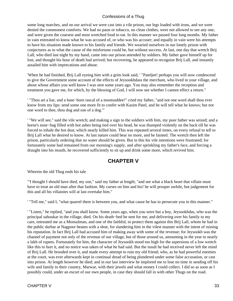some long marches, and on our arrival we were cast into a vile prison, our legs loaded with irons, and we were denied the commonest comforts. We had no paun or tobacco, no clean clothes, were not allowed to see any one, and were given the coarsest and most wretched food to eat. In this manner we passed four long months. My father in vain entreated to know what he was accused of, or who was his accuser; and equally in vain were his attempts to have his situation made known to his family and friends. We wearied ourselves in our lonely prison with conjectures as to what the cause of the misfortune could be, but without success. At last, one day that wretch Brij Lall, who died last night by my hand, came into our prison attended by soldiers. My father gave himself up for lost, and thought his hour of death had arrived; but recovering, he appeared to recognise Brij Lall, and instantly assailed him with imprecations and abuse.

'When he had finished, Brij Lall eyeing him with a grim look said, ' "Pateljee! perhaps you will now condescend to give the Government some account of the effects of Jeysookhdass the merchant, who lived in your village, and about whose affairs you well know I was sent some years ago. You may also remember the reception and treatment you gave me, for which, by the blessing of God, I will now see whether I cannot effect a return."

' "Thou art a liar, and a base−born rascal of a mootsuddee!" cried my father, "and not one word shall thou ever know from my lips: send some one more fit to confer with Kasim Patel, and he will tell what he knows; but not one word to thee, thou dog and son of a dog."'

' "We will see," said the vile wretch; and making a sign to the soldiers with him, my poor father was seized; and a horse's nose−bag filled with hot ashes being tied over his head, he was thumped violently on the back till he was forced to inhale the hot dust, which nearly killed him. This was repeated several times, on every refusal to tell to Brij Lall what he desired to know. At last nature could bear no more, and he fainted. The wretch then left the prison, particularly ordering that no water should be given. But in this his vile intentions were frustrated; for fortunately some had remained from our morning's supply, and after sprinkling my father's face, and forcing a draught into his mouth, he recovered sufficiently to sit up and drink some more, which revived him.

# **CHAPTER V**

<span id="page-35-0"></span>Wherein the old Thug ends his tale

'"I thought I should have died, my son," said my father at length; "and see what a black heart that villain must have to treat an old man after that fashion. My curses on him and his! he will prosper awhile, but judgement for this and all his villainies will at last overtake him."

' "Tell me," said I, "what quarrel there is between you, and what cause he has to persecute you in this manner."

' "Listen," he replied, "and you shall know. Some years ago, when you were but a boy, Jeysookhdas, who was the principal sahoukar in the village, died. On his death−bed he sent for me, and delivering over his family to my care, entreated me as a Moosulman, and one of the faithful, to protect them against this Brij Lall, whom he had in the public durbar at Nagpoor beaten with a shoe, for slandering him in the vilest manner with the intent of ruining his reputation. In fact Brij Lall had accused him of making away with some of the revenue; for Jeysookh was the channel of payment not only of the revenue of our village, but of those around us, amounting in the year to nearly a lakh of rupees. Fortunately for him, the character of Jeysookh stood too high for the aspersions of a low wretch like this to hurt it, and no notice was taken of what he had said. But the insult he had received never left the mind of Brij Lall. He brooded over it, and made every attempt to ruin my old friend; who, as he had powerful enemies at the court, was ever afterwards kept in continual dread of being plundered under some false accusation, or cast into prison. At length however he died; and in our last interview he implored me to lose no time in sending off his wife and family to their country, Marwar, with their jewels and what money I could collect. I did so as soon as I possibly could, under an escort of our own people, in case they should fall in with other Thugs on the road.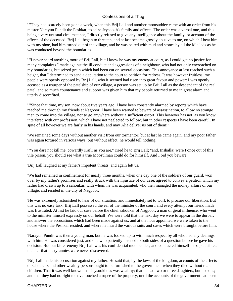' "They had scarcely been gone a week, when this Brij Lall and another mootsuddee came with an order from his master Narayun Pundit the Peshkar, to seize Jeysookh's family and effects. The order was a verbal one, and this being a very unusual circumstance, I directly refused to give any intelligence about the family, or account of the effects of the deceased. Brij Lall began to threaten, and at last became grossly abusive to me, on which I beat him with my shoe, had him turned out of the village, and he was pelted with mud and stones by all the idle lads as he was conducted beyond the boundaries.

' "I never heard anything more of Brij Lall, but I knew he was my enemy at court, as I could get no justice for many complaints I made against the ill conduct and aggressions of a neighbour, who had not only encroached on my boundaries, but seized grain which had been cut on several occasions. This annoyance at last reached such a height, that I determined to send a deputation to the court to petition for redress. It was however fruitless; my people were openly opposed by Brij Lall, who it seemed had risen into great favour and power: I was openly accused as a usurper of the patelship of our village, a person was set up by Brij Lall as the descendant of the real patel, and so much countenance and support was given him that my people returned to me in great alarm and utterly discomfited.

' "Since that time, my son, now about five years ago, I have been constantly alarmed by reports which have reached me through my friends at Nagpoor. I have been warned to beware of assassination, to allow no strange men to come into the village, nor to go anywhere without a sufficient escort. This however has not, as you know, interfered with our profession, which I have not neglected to follow; but in other respects I have been careful. In spite of all however we are fairly in his hands, and may Alia deliver us out of them!"

'We remained some days without another visit from our tormentor; but at last he came again, and my poor father was again tortured in various ways, but without effect: he would tell nothing.

' "You dare not kill me, cowardly Kafir as you are," cried he to Brij Lall; "and, Inshalla! were I once out of this vile prison, you should see what a true Moosulman could do for himself. And I bid you beware."

'Brij Lall laughed at my father's impotent threats, and again left us.

'We had remained in confinement for nearly three months, when one day one of the soldiers of our guard, won over by my father's promises and really struck with the injustice of our case, agreed to convey a petition which my father had drawn up to a sahoukar, with whom he was acquainted, who then managed the money affairs of our village, and resided in the city of Nagpoor.

'He was extremely astonished to hear of our situation, and immediately set to work to procure our liberation. But this was no easy task; Brij Lall possessed the ear of the minister of the court, and every attempt our friend made was frustrated. At last he laid our case before the chief sahoukar of Nagpoor, a man of great influence, who went to the minister himself expressly on our behalf. We were told that the next day we were to appear in the durbar, and answer the accusations which had been made against us; and at the hour appointed we were taken to the house where the Peshkar resided, and where he heard the various suits and cases which were brought before him.

'Narayun Pundit was then a young man, but he was looked up to with much respect by all who had any dealings with him. He was considered just, and one who patiently listened to both sides of a question before he gave his decision. But our bitter enemy Brij Lall was his confidential mootsuddee, and conducted himself in so plausible a manner that his tyrannies were never discovered.

'Brij Lall made his accusation against my father. He said that, by the laws of the kingdom, accounts of the effects of sahoukars and other wealthy persons ought to be furnished to the government when they died without male children. That it was well known that Jeysookhdas was wealthy; that he had two or three daughters, but no sons; and that they had no right to have touched a rupee of the property, until the accounts of the government had been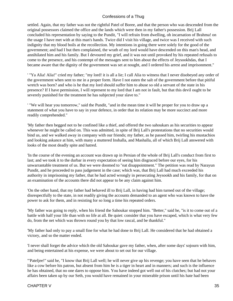settled. Again, that my father was not the rightful Patel of Boree, and that the person who was descended from the original possessors claimed the office and the lands which were then in my father's possession. Brij Lall concluded his representation by saying to the Pundit, "I will refrain from dwelling, oh incarnation of Brahma! on the usage I have met with at this man's hands. Twice did I visit his village, and twice was I received with such indignity that my blood boils at the recollection. My intentions in going there were solely for the good of the government; and had I but then complained, the wrath of my lord would have descended on this man's head, and annihilated him and his family. But I devoured my grief, and it was not until provoked by his repeated refusals to come to the presence, and his contempt of the messages sent to him about the effects of Jeysookhdas, that I became aware that the dignity of the government was set at nought, and I ordered his arrest and imprisonment."

' "Ya Alia! Alia!" cried my father; "my lord! it is all a lie; I call Alia to witness that I never disobeyed any order of the government when sent to me in a proper form. Have I not eaten the salt of the government before that pitiful wretch was born? and who is he that my lord should suffer him to abuse so old a servant of the state in his presence? If I have permission, I will represent to my lord that I am not in fault, but that this devil ought to be severely punished for the treatment he has subjected your slave to."

' "We will hear you tomorrow," said the Pundit, "and in the mean time it will be proper for you to draw up a statement of what you have to say in your defence, in order that its relation may be more succinct and more readily comprehended."

'My father then begged not to be confined like a thief, and offered the two sahoukars as his securities to appear whenever he might be called on. This was admitted, in spite of Brij Lall's protestations that no securities would bind us, and we walked away in company with our friends; my father, as he passed him, twirling his mustachios and looking askance at him, with many a muttered Inshalla, and Mashalla, all of which Brij Lall answered with looks of the most deadly spite and hatred.

'In the course of the evening an account was drawn up in Persian of the whole of Brij Lall's conduct from first to last; and we took it to the durbar in every expectation of seeing him disgraced before our eyes, for his unwarrantable treatment of us. But we were doomed to "eat disappointment." The petition was read by Narayun Pundit, and he proceeded to pass judgement in the case; which was, that Brij Lall had much exceeded his authority in imprisoning my father, that he had acted wrongly in persecuting Jeysookh and his family, for that on an examination of the accounts there did not appear to be any claim against him.

'On the other hand, that my father had behaved ill to Brij Lall, in having had him turned out of the village; disrespectfully to the state, in not readily giving the accounts demanded to an agent who was known to have the power to ask for them, and in resisting for so long a time his repeated orders.

'My father was going to reply, when his friend the Sahoukar stopped him. "Better," said he, "is it to come out of a battle with half your life than with no life at all. Be quiet: consider that you have escaped, which is what very few do, from the net which was thrown round you by that low rascal, and be thankful."

'My father had only to pay a small fine for what he had done to Brij Lall. He considered that he had obtained a victory, and so the matter ended.

'I never shall forget the advice which the old Sahoukar gave my father, when, after some days' sojourn with him, and being entertained at his expense, we were about to set out for our village.

'"Pateljee!" said he, "I know that Brij Lall well; he will never give up his revenge; you have seen that he behaves like a cow before his patron, but absent from him he is a tiger in heart and in manners; and such is the influence he has obtained, that no one dares to oppose him. You have indeed got well out of his clutches; but had not your affairs been taken up by our Seth, you would have remained in your miserable prison until his hate had been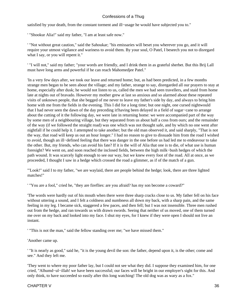satisfied by your death, from the constant torment and ill−usage he would have subjected you to."

' "Shookur Alia!" said my father, "I am at least safe now."

' "Not without great caution," said the Sahoukar; "his emissaries will beset you wherever you go, and it will require your utmost vigilance and wariness to avoid them. By your soul, O Patel, I beseech you not to disregard what I say, or you will repent it."

' "I will not," said my father; "your words are friendly, and I drink them in as grateful sherbet. But this Brij Lall must have long arms and powerful if he can reach Mahomedjee Patel."

'In a very few days after, we took our leave and returned home; but, as had been predicted, in a few months strange men began to be seen about the village; and my father, strange to say, disregarded all our prayers to stay at home, especially after dusk; he would not listen to us, called the men we had seen travellers, and staid from home late at nights out of bravado. However my mother grew at last so anxious and so alarmed about these repeated visits of unknown people, that she begged of me never to leave my father's side by day, and always to bring him home with me from the fields in the evening. This I did for a long time; but one night, one cursed night would that I had never seen the dawn of the day preceding it!having been delayed in a field of sugar−cane to arrange about the cutting of it the following day, we were late in returning home: we were accompanied part of the way by some men of a neighbouring village, but they separated from us about half a coss from ours; and the remainder of the way (if we followed the straight road) was one which was not thought safe, and by which no one went after nightfall if he could help it. I attempted to take another; but the old man observed it, and said sharply, "That is not the way, that road will keep us out an hour longer." I had no reason to give to dissuade him from the road I wished to avoid, though an ill−defined feeling that there was danger in the one before us had led me to endeavour to take the other. But, my friends, who can avoid his fate? If it is the will of Alia that one is to die, of what use is human foresight? We went on, and soon reached the inclosed fields, between the high milk−bush hedges of which the path wound. It was scarcely light enough to see our way, but we knew every foot of the road. All at once, as we proceeded, I thought I saw in a hedge which crossed the road a glimmer, as if of the match of a gun.

'"Look!" said I to my father, "we are waylaid, there are people behind the hedge; look, there are three lighted matches!"

' "You are a fool," cried he, "they are fireflies: are you afraid? has my son become a coward?"

'The words were hardly out of his mouth when there were three sharp cracks close to us. My father fell on his face without uttering a sound, and I felt a coldness and numbness all down my back, with a sharp pain, and the same feeling in my leg. I became sick, staggered a few paces, and then fell; but I was not insensible. Three men rushed out from the hedge, and ran towards us with drawn swords. Seeing that neither of us moved, one of them turned me over on my back and looked into my face. I shut my eyes, for I knew if they were open I should not live an instant.

' "This is not the man," said the fellow standing over me; "we have missed them."

'Another came up.

' "It is nearly as good," said he, "it is the young devil the son: the father, depend upon it, is the other; come and see." And they left me.

'They went to where my poor father lay, but I could not see what they did. I suppose they examined him, for one cried, "Alhumd−ul−illah! we have been successful; our faces will be bright in our employer's sight for this. And only think, to have succeeded so easily after this long watching! The old dog was as wary as a fox."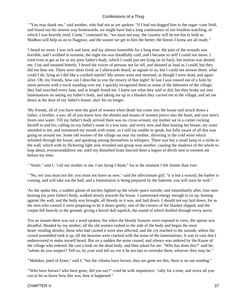' "You may thank me," said another, who had not as yet spoken: "if I had not dogged him to the sugar−cane field, and found out his nearest way homewards, we might have had a long continuance of our fruitless watching, of which I was heartily tired. Come," continued he, "we must not stay, the country will be too hot to hold us. Madhoo will help us on to Nagpoor, and the sooner we get to him the better; the horses I know are all ready."

'I heard no more. I was sick and faint, and lay almost insensible for a long time: the pain of the wounds was horrible, and I writhed in torment; the night too was dreadfully cold, and I became so stiff I could not move. I tried even to get as far as my poor father's body, which I could just see lying on its back; but motion was denied me. I lay and moaned bitterly. I heard the voices of persons not far off, and shouted as loud as I could, but they did not hear me. There were shots fired, as I afterwards heard, as signals to us; but I could not answer them: what could I do, lying as I did like a crushed reptile? My senses went and returned, as though I were dead, and again alive. Oh, my friends, how can I describe to you the misery of that night! At last I was roused out of a faint by some persons with a torch standing over me. I quickly recognised them as some of the labourers of the village; they had searched every lane, and at length found me. I knew not what they said or did; but they broke out into lamentations on seeing my father's body, and taking me up in a blanket they carried me to the village, and set me down at the door of my father's house: alas! his no longer.

'My friends, all of you have seen the grief of women when death has come into the house and struck down a father, a brother, a son; all of you know how the shrieks and moans of women pierce into the heart, and turn men's livers into water. Till my father's body arrived there was no cryno scream; my mother sat in a corner rocking herself to and fro, calling on my father's name in a low tone, and every now and then beating her breast; my sister attended to me, and moistened my mouth with water, as I still lay unable to speak, but fully aware of all that was going on around me. Some old women of the village sat near my mother, shivering in the cold wind which whistled through the house, and speaking among themselves in whispers. There was but a small lamp in a niche in the wall, which with its flickering light now revealed one group now another, causing the shadows of the whole to leap about, over around above me, until my disturbed brain fancied them a legion of devils sent to torment me before my time.

' "Sister," said I, "call our mother to me, I am dying I think;" for at the moment I felt fainter than ever.

' "No, no! you must not die; you must not leave us now," said the affectionate girl; "it is but a wound; the barber is coming, and will take out the ball; and a fomentation is being prepared by the hukeem: you will soon be well."

'As she spoke this, a sudden gleam of torches lighted up the whole space outside; and immediately after, four men bearing my poor father's body, walked slowly towards the house. I summoned energy enough to sit up, leaning against the wall, and the body was brought, all bloody as it was, and laid down. I should not say laid down, for as the men who carried it were preparing to let it down gently, one of the corners of the blanket slipped, and the corpse fell heavily to the ground, giving a horrid dull squelch, the sound of which thrilled through every nerve.

'For an instant there was not a word spoken; but when the bloody features were exposed to view, the uproar was dreadful. Headed by my mother, all the old women rushed to the side of the body and began the most heart−rending shrieks; those who had carried it were also affected, and the cry reached to the outside, where the crowd assembled took it up, till the heavens were cracked with the noise of the lamentations. It was in vain that I endeavoured to make myself heard. But on a sudden the noise ceased, and silence was ordered by the Kazee of the village who entered. He cast a look on the dead body, and then asked for me. "Who has done this?" said he; "whom do you suspect? Tell us, by your soul tell us, ere it be too late to overtake them, whoever they may be."

'"Mahdoo, patel of Etare," said I; "but the villains have horses, they are gone ere this, there is no use sending."

'"Who have horses? who have gone, did you say?" cried he with impatience: "rally for a time, and strive all you can to let us know how this was, how it happened."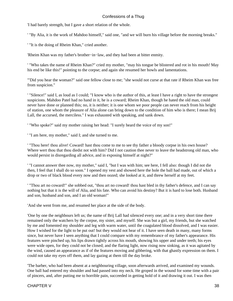'I had barely strength, but I gave a short relation of the whole.

' "By Alia, it is the work of Mahdoo himself," said one, "and we will burn his village before the morning breaks."

' "It is the doing of Rheim Khan," cried another.

'Rheim Khan was my father's brother−in−law, and they had been at bitter enmity.

' "Who takes the name of Rheim Khan?" cried my mother, "may his tongue be blistered and rot in his mouth! May his end be like this!" pointing to the corpse; and again she resumed her howls and lamentations.

'"Did you hear the woman?" said one fellow close to me; "she would not curse at that rate if Rheim Khan was free from suspicion."

' "Silence!" said I, as loud as I could; "I know who is the author of this, at least I have a right to have the strongest suspicions. Mahdoo Patel had no hand in it, he is a coward; Rheim Khan, though he hated the old man, could never have done or planned this; no, it is neither; it is one whom we poor people can never reach from his height of station, one whom the pleasure of Alia alone can bring down to the condition of him who is there; I mean Brij Lall, the accursed, the merciless." I was exhausted with speaking, and sank down.

' "Who spoke?" said my mother raising her head: "I surely heard the voice of my son!"

' "I am here, my mother," said I; and she turned to me.

' "Thou here! thou alive! Coward! hast thou come to me to see thy father a bloody corpse in his own house? Where wert thou that thou diedst not with him? Did I not caution thee never to leave the headstrong old man, who would persist in disregarding all advice, and in exposing himself at night?"

' "I cannot answer thee now, my mother," said I, "but I was with him; see here, I fell also: though I did not die then, I feel that I shall do so soon." I opened my vest and showed here the hole the ball had made, out of which a drop or two of black blood every now and then oozed; she looked at it, and threw herself at my feet.

' "Thou art no coward!" she sobbed out, "thou art no coward! thou hast bled in thy father's defence, and I can say nothing but that it is the will of Alia, and his fate. Who can avoid his destiny? But it is hard to lose both. Husband and son, husband and son, and I an old woman!"

'And she went from me, and resumed her place at the side of the body.

'One by one the neighbours left us; the name of Brij Lall had silenced every one; and in a very short time there remained only the watchers by the corpse, my sister, and myself. She was but a girl, my friends, but she watched by me and fomented my shoulder and leg with warm water, until the coagulated blood dissolved, and I was easier. How I wished for the light to be put out! but they would not hear of it. I have seen death in many, many forms since, but never have I seen anything that I could compare with my remembrance of my father's appearance. His features were pinched up, his lips drawn tightly across his mouth, showing his upper and under teeth; his eyes were wide open, for they could not be closed; and the flaring light, now rising now sinking, as it was agitated by the wind, caused an appearance as if of the features moving and gibbering, with that ghastly expression on them. I could not take my eyes off them, and lay gazing at them till the day broke.

'The barber, who had been absent at a neighbouring village, soon afterwards arrived, and examined my wounds. One ball had entered my shoulder and had passed into my neck. He groped in the wound for some time with a pair of pincers, and, after putting me to horrible pain, succeeded in getting hold of it and drawing it out. I was then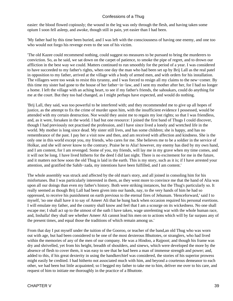easier: the blood flowed copiously; the wound in the leg was only through the flesh, and having taken some opium I soon fell asleep, and awoke, though still in pain, yet easier than I had been.

'My father had by this time been buried, and I was left with the consciousness of having one enemy, and one too who would not forgo his revenge even to the son of his victim.

'The old Kazee could recommend nothing, could suggest no measures to be pursued to bring the murderers to conviction. So, as he said, we sat down on the carpet of patience, to smoke the pipe of regret, and to drown our affliction in the best way we could. Matters continued to run smoothly for the period of a year. I was considered to have succeeded to my father's rights, when one day the man who had been set up by Brij Lall as the real patel in opposition to my father, arrived at the village with a body of armed men, and with orders for his installation. The villagers were too weak to resist this tyranny, and I was forced to resign all my claims to the new−comer. By this time my sister had gone to the house of her father−in−law, and I sent my mother after her, for I had no longer a home. I left the village with an aching heart, to see if my father's friends, the sahoukars, could do anything for me at the court. But they too had changed, as I might perhaps have expected, and would do nothing.

'Brij Lall, they said, was too powerful to be interfered with; and they recommended me to give up all hopes of justice, as the attempt to fix the crime of murder upon him, with the insufficient evidence I possessed, would be attended with my certain destruction. Nor would they assist me to regain my lost rights; so that I was friendless, and, as it were, forsaken in the world. I had but one resource: I joined the first band of Thugs I could discover, though I had previously not practised the profession, and I have since lived a lonely and wretched life in the world. My mother is long since dead. My sister still lives, and has some children; she is happy, and has no remembrance of the past. I pay her a visit now and then, and am received with affection and kindness. She is the only one in this world except you, my friends, who cares for me. She believes me to be a soldier in the service of Holkar, and she will never know to the contrary. Praise be to Alia! however, my enemy has died by my own hand, and I am content, for I am revenged. Some of you, my friends, will lay me in my grave when my time comes, and it will not be long. I have lived hitherto for the deed I did last night. There is no excitement for me in the future, and it matters not how soon the old Thug is laid in the earth. This is my story, such as it is; if I have arrested your attention, and gratified the Sahib−zada, my intentions have been fulfilled, and I am content.'

The whole assembly was struck and affected by the old man's story, and all joined in consoling him for his misfortunes. But I was particularly interested in them, as they went more to convince me that the hand of Alia was upon all our doings than even my father's history. Both were striking instances, but the Thug's particularly so. It really seemed as though Brij Lall had been given into our hands, nay, to the very hands of him he had so oppressed, to receive his punishment on earth previous to the eternal fires of Jehunum. 'Henceforward,' said I to myself, 'no one shall have it to say of Ameer Ali that he hung back when occasion required his personal exertions. I will emulate my father, and the country shall know and feel that I am a scourge on its wickedness. No one shall escape me; I shall act up to the utmost of the oath I have taken, wage unrelenting war with the whole human race, and, Inshalla! they shall see whether Ameer Ali cannot lead his men on to actions which will by far surpass any of the present times, and equal those the traditions of which remain among us.'

From that day I put myself under the tuition of the Gooroo, or teacher of the band, an old Thug who was worn out with age, but had been considered to be one of the most dexterous Bhuttotes, or stranglers, who had lived within the memories of any of the men of our company. He was a Hindoo, a Rajpoot; and though his frame was dry and shrivelled, yet from his height, breadth of shoulders, and sinews, which were developed the more by the absence of flesh to cover them, it was easy to see that he had been a man of immense strength and power; and, added to this, if his great dexterity in using the handkerchief was considered, the stories of his superior prowess might easily be credited. I had hitherto not associated much with him, and beyond a courteous demeanor to each other, we had been but little acquainted; so I begged my father to take me to him, deliver me over to his care, and request of him to initiate me thoroughly in the practice of a Bhuttote.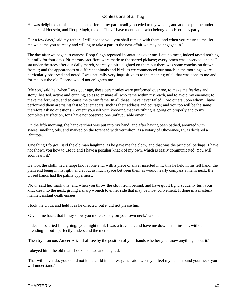He was delighted at this spontaneous offer on my part, readily acceded to my wishes, and at once put me under the care of Hoosein, and Roop Singh, the old Thug I have mentioned, who belonged to Hoosein's party.

'For a few days,' said my father, 'I will not see you; you shall remain with them; and when you return to me, let me welcome you as ready and willing to take a part in the next affair we may be engaged in.'

The day after we began in earnest. Roop Singh repeated incantations over me. I ate no meat, indeed tasted nothing but milk for four days. Numerous sacrifices were made to the sacred pickaxe; every omen was observed, and as I sat under the trees after our daily march, scarcely a bird alighted on them but there was some conclusion drawn from it; and the appearances of different animals and birds as we commenced our march in the mornings were particularly observed and noted. I was naturally very inquisitive as to the meaning of all that was done to me and for me; but the old Gooroo would not enlighten me.

'My son,' said he, 'when I was your age, these ceremonies were performed over me, to make me fearless and stony−hearted, active and cunning, so as to ensnare all who came within my reach, and to avoid my enemies; to make me fortunate, and to cause me to win fame. In all these I have never failed. Two others upon whom I have performed them are rising fast to be jemadars, such is their address and courage; and you too will be the same; therefore ask no questions. Content yourself with knowing that everything is going on properly and to my complete satisfaction, for I have not observed one unfavourable omen.'

On the fifth morning, the handkerchief was put into my hand; and after having been bathed, anointed with sweet−smelling oils, and marked on the forehead with vermilion, as a votary of Bhowanee, I was declared a Bhuttote.

'One thing I forgot,' said the old man laughing, as he gave me the cloth, 'and that was the principal perhaps. I have not shown you how to use it, and I have a peculiar knack of my own, which is easily communicated. You will soon learn it.'

He took the cloth, tied a large knot at one end, with a piece of silver inserted in it; this he held in his left hand, the plain end being in his right, and about as much space between them as would nearly compass a man's neck: the closed hands had the palms uppermost.

'Now,' said he, 'mark this; and when you throw the cloth from behind, and have got it tight, suddenly turn your knuckles into the neck, giving a sharp wrench to either side that may be most convenient. If done in a masterly manner, instant death ensues.'

I took the cloth, and held it as he directed, but it did not please him.

'Give it me back, that I may show you more exactly on your own neck,' said he.

'Indeed, no,' cried I, laughing; 'you might think I was a traveller, and have me down in an instant, without intending it; but I perfectly understand the method.'

'Then try it on *me,* Ameer Ali; I shall see by the position of your hands whether you know anything about it.'

I obeyed him; the old man shook his head and laughed.

'That will never do; you could not kill a child in that way,' he said: 'when you feel my hands round your neck you will understand.'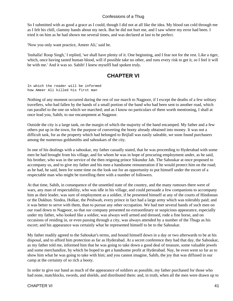So I submitted with as good a grace as I could, though I did not at all like the idea. My blood ran cold through me as I felt his chill, clammy hands about my neck. But he did not hurt me, and I saw where my error had been. I tried it on him as he had shown me several times, and was declared at last to be perfect.

'Now you only want practice, Ameer Ali,' said he.

'Inshalla! Roop Singh,' I replied, 'we shall have plenty of it. One beginning, and I fear not for the rest. Like a tiger, which, once having tasted human blood, will if possible take no other, and runs every risk to get it, so I feel it will be with me.' And it was so. Sahib! I knew myselfI had spoken truly.

## **CHAPTER VI**

In which the reader will be informed how Ameer Ali killed his first man

Nothing of any moment occurred during the rest of our march to Nagpoor, if I except the deaths of a few solitary travellers, who had fallen by the hands of a small portion of the band who had been sent to another road, which ran parallel to the one on which we marched; and as I know no particulars of them worth mentioning, I shall at once lead you, Sahib, to our encampment at Nagpoor.

Outside the city is a large tank, on the margin of which the majority of the band encamped. My father and a few others put up in the town, for the purpose of converting the booty already obtained into money. It was not a difficult task, for as the property which had belonged to Brijlall was easily saleable, we soon found purchasers among the numerous goldsmiths and sahoukars of the city.

In one of his dealings with a sahoukar, my father casually stated, that he was proceeding to Hyderabad with some men he had brought from his village, and for whom he was in hope of procuring employment under, as he said, his brother, who was in the service of the then reigning prince Sikundur Jah. The Sahoukar at once proposed to accompany us, and to give my father and his men a handsome remuneration if he would protect him on the road; as he had, he said, been for some time on the look out for an opportunity to put himself under the escort of a respectable man who might be travelling there with a number of followers.

At that time, Sahib, in consequence of the unsettled state of the country, and the many rumours there were of wars, any man of respectability, who was idle in his village, and could persuade a few companions to accompany him as their leader, was sure of employment as a soldier, if he presented himself at any of the courts of Hindostan or the Dukhun. Sindea, Holkar, the Peshwah, every prince in fact had a large army which was tolerably paid; and it was better to serve with them, than to pursue any other occupation. We had met several bands of such men on our road down to Nagpoor, so that our company presented no extraordinary or suspicious appearance, especially under my father, who looked like a soldier, was always well armed and dressed, rode a fine horse, and on occasions of residing in, or even passing through a city, was always attended by a number of the Thugs as his escort; and his appearance was certainly what he represented himself to be to the Sahoukar.

My father readily agreed to the Sahoukar's terms, and bound himself down in a day or two afterwards to be at his disposal, and to afford him protection as far as Hyderabad. At a secret conference they had that day, the Sahoukar, as my father told me, informed him that he was going to take down a good deal of treasure, some valuable jewels and some merchandize, by which he hoped to get a handsome profit at Hyderabad. Nay, he even went so far as to show him what he was going to take with him; and you cannot imagine, Sahib, the joy that was diffused in our camp at the certainty of so rich a booty.

In order to give our band as much of the appearance of soldiers as possible, my father purchased for those who had none, matchlocks, swords, and shields, and distributed them: and, in truth, when all the men were drawn up to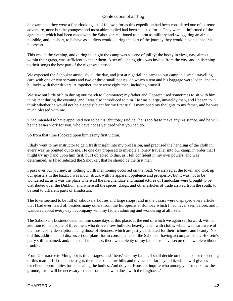be examined, they were a fine−looking set of fellows; for as this expedition had been considered one of extreme adventure, none but the youngest and most able−bodied had been selected for it. They were all informed of the agreement which had been made with the Sahoukar, cautioned to put on as military and swaggering an air as possible, and, in short, to behave as soldiers would, during the part of the journey they would have to appear as his escort.

This was in the evening, and during the night the camp was a scene of jollity; the booty in view, nay, almost within their grasp, was sufficient to cheer them. A set of dancing girls was invited from the city, and in listening to their songs the best part of the night was passed.

We expected the Sahoukar anxiously all the day, and just at nightfall he came to our camp in a small travelling cart, with one or two servants and two or three small ponies, on which a tent and his baggage were laden, and ten bullocks with their drivers. Altogether, there were eight men, including himself.

We saw but little of him during our march to Oomraotee; my father and Hoosein used sometimes to sit with him in his tent during the evening, and I was also introduced to him. He was a large, unwieldy man, and I began to think whether he would not be a good subject for my first trial. I mentioned my thoughts to my father, and he was much pleased with me.

'I had intended to have appointed you to be his Bhuttote,' said he; 'he is too fat to make any resistance, and he will be the easier work for you, who have not as yet tried what you can do.'

So from that time I looked upon him as my first victim.

I daily went to my instructor to gain fresh insight into my profession, and practised the handling of the cloth in every way he pointed out to me. He one day proposed to inveigle a lonely traveller into our camp, in order that I might try my hand upon him first; but I objected to this, as I felt confident in my own powers, and was determined, as I had selected the Sahoukar, that he should be the first man.

I pass over our journey, as nothing worth mentioning occurred on the road. We arrived at the town, and took up our quarters in the bazar. I was much struck with its apparent opulence and prosperity; but it was not to be wondered at, as it was the place where all the merchandize and manufactures of Hindostan were brought to be distributed over the Dukhun, and where all the spices, drugs, and other articles of trade arrived from the south, to be sent to different parts of Hindostan.

The town seemed to be full of sahoukars' houses and large shops; and in the bazars were displayed every article that I had ever heard of, besides many others from the Europeans at Bombay which I had never seen before; and I wandered about every day in company with my father, admiring and wondering at all I saw.

The Sahoukar's business detained him some days at this place, at the end of which we again set forward, with an addition to his people of three men, who drove a few bullocks heavily laden with cloths, which we heard were of the most costly description, being those of Benares, which are justly celebrated for their richness and beauty. Nor did this addition at all disconcert our plans, for in consequence of the Sahoukar having accompanied us, Hoosein's party still remained; and, indeed, if it had not, there were plenty of my father's to have secured the whole without trouble.

From Oomraotee to Mungloor is three stages, and 'there,' said my father, 'I shall decide on the place for the ending of this matter. If I remember right, there are some low hills and ravines not far beyond it, which will give us excellent opportunities for concealing the bodies. And do you, Hoosein, inquire who among your men know the ground, for it will be necessary to send some one who does, with the Lughaees.'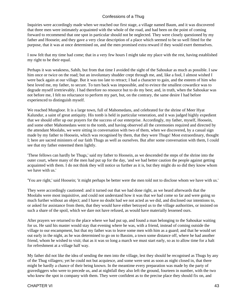Inquiries were accordingly made when we reached our first stage, a village named Baum, and it was discovered that three men were intimately acquainted with the whole of the road, and had been on the point of coming forward to recommend that one spot in particular should not be neglected. They were closely questioned by my father and Hoosein; and they gave a very clear description of a place which seemed to be so well fitted for the purpose, that it was at once determined on, and the men promised extra reward if they would exert themselves.

I now felt that my time had come; that in a very few hours I might take my place with the rest, having established my right to be their equal.

Perhaps it was weakness, Sahib, but from that time I avoided the sight of the Sahoukar as much as possible. I saw him once or twice on the road; but an involuntary shudder crept through me, and, like a fool, I almost wished I were back again at our village. But it was too late to retract; I had a character to gain, and the esteem of him who best loved me, my father, to secure. To turn back was impossible, and to evince the smallest cowardice was to degrade myself irretrievably. I had therefore no resource but to do my best; and, in truth, when the Sahoukar was not before me, I felt no reluctance to perform my part, but, on the contrary, the same desire I had before experienced to distinguish myself.

We reached Mungloor. It is a large town, full of Mahomedans, and celebrated for the shrine of Meer Hyat Kalundur, a saint of great antiquity. His tomb is held in particular veneration, and it was judged highly expedient that we should offer up our prayers for the success of our enterprise. Accordingly, my father, myself, Hoosein, and some other Mahomedans went to the tomb, and having observed all the ceremonies required and directed by the attendant Moolahs, we were sitting in conversation with two of them, when we discovered, by a casual sign made by my father to Hoosein, which was recognised by them, that they were Thugs! Most extraordinary, thought I; here are sacred ministers of our faith Thugs as well as ourselves. But after some conversation with them, I could see that my father esteemed them lightly.

'These fellows can hardly be Thugs,' said my father to Hoosein, as we descended the steps of the shrine into the outer court, where many of the men had put up for the day, 'and we had better caution the people against getting acquainted with them. I do not think they will notice us further as it is, but they might do so did they know whom we have with us.'

'You are right,' said Hoosein; 'it might perhaps be better were the men told not to disclose whom we have with us.'

They were accordingly cautioned: and it turned out that we had done right, as we heard afterwards that the Moolahs were most inquisitive, and could not understand how it was that we had come so far and were going so much further without an object; and I have no doubt had we not acted as we did, and disclosed our intentions to, or asked for assistance from them, that they would have either betrayed us to the village authorities, or insisted on such a share of the spoil, which we dare not have refused, as would have materially lessened ours.

After prayers we returned to the place where we had put up, and found a man belonging to the Sahoukar waiting for us. He said his master would stay that evening where he was, with a friend, instead of coming outside the village to our encampment, but that my father was to leave some men with him as a guard; and that he would set out early in the night, as he was determined to go on to Bassim, a town some distance off, where he had another friend, whom he wished to visit; that as it was so long a march we must start early, so as to allow time for a halt for refreshment at a village half way.

My father did not like the idea of sending the men into the village, lest they should be recognised as Thugs by any of the Thug villagers; yet he could not but acquiesce, and some were sent as soon as night closed in, that there might be hardly a chance of their being known. In the meantime every preparation was made by the party of gravediggers who were to precede us, and at nightfall they also left the ground, fourteen in number, with the two who knew the spot in company with them. They were confident as to the precise place they should fix on, and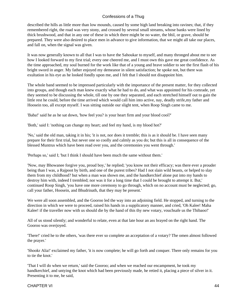described the hills as little more than low mounds, caused by some high land breaking into ravines; that, if they remembered right, the road was very stony, and crossed by several small streams, whose banks were lined by thick brushwood, and that in any one of these in which there might be no water, the bhil, or grave, should be prepared. They were also desired to place men in advance to give information, that we might all take our places, and fall on, when the signal was given.

It was now generally known to all that I was to have the Sahoukar to myself, and many thronged about me to see how I looked forward to my first trial; every one cheered me, and I must own this gave me great confidence. As the time approached, my soul burned for the work like that of a young and brave soldier to see the first flash of his bright sword in anger. My father enjoyed my demeanor in silent satisfaction; he spoke not, but there was exultation in his eye as he looked fondly upon me, and I felt that I should not disappoint him.

The whole band seemed to be impressed particularly with the importance of the present matter, for they collected into groups, and though each man knew exactly what he had to do, and what was appointed for his comrade, yet they seemed to be discussing the whole, till one by one they separated, and each stretched himself out to gain the little rest he could, before the time arrived which would call him into active, nay, deadly strife, my father and Hoosein too, all except myself. I was sitting outside our slight tent, when Roop Singh came to me.

'Baba!' said he as he sat down, 'how feel you? is your heart firm and your blood cool?'

'Both,' said I: 'nothing can change my heart; and feel my hand, is my blood hot?'

'No,' said the old man, taking it in his; 'it is not, nor does it tremble; this is as it should be. I have seen many prepare for their first trial, but never one so coolly and calmly as you do; but this is all in consequence of the blessed Muntrus which have been read over you, and the ceremonies you went through.'

'Perhaps so,' said I; 'but I think I should have been much the same without them.'

'Now, may Bhowanee forgive you, proud boy,' he replied; 'you know not their efficacy; was there ever a prouder being than I was, a Rajpoot by birth, and one of the purest tribes? Had I not slain wild beasts, or helped to slay them from my childhood? but when a man was shown me, and the handkerchief alone put into my hands to destroy him with, indeed I trembled; nor was it for a long time that I could be brought to attempt it. But,' continued Roop Singh, 'you have one more ceremony to go through, which on no account must be neglected; go, call your father, Hoosein, and Bhudrinath, that they may be present.'

We were all soon assembled, and the Gooroo led the way into an adjoining field. He stopped, and turning to the direction in which we were to proceed, raised his hands in a supplicatory manner, and cried, 'Oh Kalee! Maha Kalee! if the traveller now with us should die by the hand of this thy new votary, vouchsafe us the Thibaoo!'

All of us stood silently; and wonderful to relate, even at that late hour an ass brayed on the right hand. The Gooroo was overjoyed.

'There!' cried he to the others, 'was there ever so complete an acceptation of a votary? The omen almost followed the prayer.'

'Shookr Alia!' exclaimed my father, 'it is now complete; he will go forth and conquer. There only remains for you to tie the knot.'

'That I will do when we return,' said the Gooroo; and when we reached our encampment, he took my handkerchief, and untying the knot which had been previously made, he retied it, placing a piece of silver in it. Presenting it to me, he said,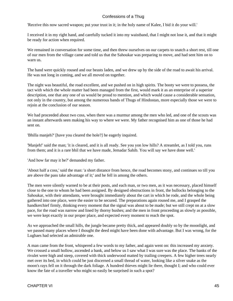'Receive this now sacred weapon; put your trust in it; in the holy name of Kalee, I bid it do your will.'

I received it in my right hand, and carefully tucked it into my waistband, that I might not lose it, and that it might be ready for action when required.

We remained in conversation for some time, and then threw ourselves on our carpets to snatch a short rest, till one of our men from the village came and told us that the Sahoukar was preparing to move, and had sent him on to warn us.

The band were quickly roused and our beasts laden, and we drew up by the side of the road to await his arrival. He was not long in coming, and we all moved on together.

The night was beautiful, the road excellent, and we pushed on in high spirits. The booty we were to possess, the tact with which the whole matter had been managed from the first, would mark it as an enterprise of a superior description, one that any one of us would be proud to mention, and which would cause a considerable sensation, not only in the country, but among the numerous bands of Thugs of Hindostan, more especially those we were to rejoin at the conclusion of our season.

We had proceeded about two coss, when there was a murmur among the men who led, and one of the scouts was an instant afterwards seen making his way to where we were. My father recognised him as one of those he had sent on.

'Bhilla manjeh?' [have you cleared the hole?] he eagerly inquired.

'Manjeh!' said the man; 'it is cleared, and it is all ready. See you yon low hills? A streamlet, as I told you, runs from them; and it is a rare bhil that we have made, Jemadar Sahib. You will say we have done well.'

'And how far may it be?' demanded my father.

'About half a coss,' said the man: 'a short distance from hence, the road becomes stony, and continues so till you are above the pass take advantage of it;' and he fell in among the others.

The men were silently warned to be at their posts, and each man, or two men, as it was necessary, placed himself close to the one to whom he had been assigned. By designed obstructions in front, the bullocks belonging to the Sahoukar, with their attendants, were brought immediately about the cart in which he rode, and the whole being gathered into one place, were the easier to be secured. The preparations again roused me, and I grasped the handkerchief firmly, thinking every moment that the signal was about to be made; but we still crept on at a slow pace, for the road was narrow and lined by thorny bushes; and the men in front proceeding as slowly as possible, we were kept exactly in our proper place, and expected every moment to reach the spot.

As we approached the small hills, the jungle became pretty thick, and appeared doubly so by the moonlight, and we passed many places where I thought the deed might have been done with advantage. But I was wrong, for the Lughaes had selected an admirable one.

A man came from the front, whispered a few words to my father, and again went on: this increased my anxiety. We crossed a small hollow, ascended a bank, and below us I saw what I was sure was the place. The banks of the rivulet were high and steep, covered with thick underwood matted by trailing creepers. A few higher trees nearly met over its bed, in which could be just discerned a small thread of water, looking like a silver snake as the moon's rays fell on it through the dark foliage. A hundred thieves might lie there, thought I; and who could ever know the fate of a traveller who might so easily be surprised in such a spot?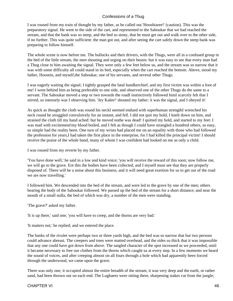I was roused from my train of thought by my father, as he called out 'Hooshiaree!' (caution). This was the preparatory signal. He went to the side of the cart, and represented to the Sahoukar that we had reached the stream, and that the bank was so steep, and the bed so stony, that he must get out and walk over to the other side, if no further. This was quite sufficient: the man got out, and after seeing the cart safely down the steep bank was preparing to follow himself.

The whole scene is now before me. The bullocks and their drivers, with the Thugs, were all in a confused group in the bed of the little stream, the men shouting and urging on their beasts: but it was easy to see that every man had a Thug close to him awaiting the signal. They were only a few feet below us, and the stream was so narrow that it was with some difficulty all could stand in its bed, especially when the cart reached the bottom. Above, stood my father, Hoosein, and myself, the Sahoukar, one of his servants, and several other Thugs.

I was eagerly waiting the signal; I tightly grasped the fatal handkerchief, and my first victim was within a foot of me! I went behind him as being preferable to one side, and observed one of the other Thugs do the same to a servant. The Sahoukar moved a step or two towards the road I instinctively followed him I scarcely felt that I stirred, so intensely was I observing him. 'Jey Kalee!' shouted my father: it was the signal, and I obeyed it!

As quick as thought the cloth was round his neck I seemed endued with superhuman strength I wrenched his neck round he struggled convulsively for an instant, and fell. I did not quit my hold, I knelt down on him, and strained the cloth till my hand ached: but he moved not he was dead! I quitted my hold, and started to my feet: I was mad with excitement! my blood boiled, and I felt as though I could have strangled a hundred others, so easy, so simple had the reality been. One turn of my wrists had placed me on an equality with those who had followed the profession for years,I had taken the first place in the enterprise, for I had killed the principal victim! I should receive the praise of the whole band, many of whom I was confident had looked on me as only a child.

I was roused from my reverie by my father.

'You have done well,' he said in a low and kind voice; 'you will receive the reward of this soon; now follow me, we will go to the grave. Ere this the bodies have been collected, and I myself must see that they are properly disposed of. There will be a noise about this business, and it will need great exertion for us to get out of the road we are now travelling.'

I followed him. We descended into the bed of the stream, and were led to the grave by one of the men; others bearing the body of the Sahoukar followed. We passed up the bed of the stream for a short distance; and near the mouth of a small nulla, the bed of which was dry, a number of the men were standing.

'The grave?' asked my father.

'It is up there,' said one; 'you will have to creep, and the thorns are very bad.'

'It matters not,' he replied; and we entered the place.

The banks of the rivulet were perhaps two or three yards high, and the bed was so narrow that but two persons could advance abreast. The creepers and trees were matted overhead, and the sides so thick that it was impossible that any one could have got down from above. The tangled character of the spot increased as we proceeded, until it became necessary to free our clothes from the thorns which caught us at every step. In a few moments we heard the sound of voices, and after creeping almost on all fours through a hole which had apparently been forced through the underwood, we came upon the grave.

There was only one; it occupied almost the entire breadth of the stream; it was very deep and the earth, or rather sand, had been thrown out on each end. The Lughaees were sitting there, sharpening stakes cut from the jungle;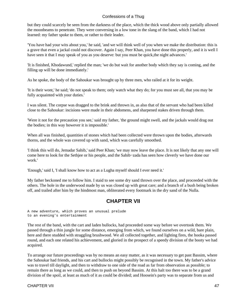but they could scarcely be seen from the darkness of the place, which the thick wood above only partially allowed the moonbeams to penetrate. They were conversing in a low tone in the slang of the band, which I had not learned: my father spoke to them, or rather to their leader.

'You have had your wits about you,' he said, 'and we will think well of you when we make the distribution: this is a grave that even a jackal could not discover. Again I say, Peer Khan, you have done this properly, and it is well I have seen it that I may speak of you as you deserve: but you must be quick, the night advances.'

'It is finished, Khodawund,' replied the man; 'we do but wait for another body which they say is coming, and the filling up will be done immediately.'

As he spoke, the body of the Sahoukar was brought up by three men, who railed at it for its weight.

'It is their wont,' he said; 'do not speak to them; only watch what they do; for you must see all, that you may be fully acquainted with your duties.'

I was silent. The corpse was dragged to the brink and thrown in, as also that of the servant who had been killed close to the Sahoukar: incisions were made in their abdomens, and sharpened stakes driven through them.

'Were it not for the precaution you see,' said my father, 'the ground might swell, and the jackals would drag out the bodies; in this way however it is impossible.'

When all was finished, quantities of stones which had been collected were thrown upon the bodies, afterwards thorns, and the whole was covered up with sand, which was carefully smoothed.

'I think this will do, Jemadar Sahib,' said Peer Khan; 'we may now leave the place. It is not likely that any one will come here to look for the Sethjee or his people, and the Sahib−zada has seen how cleverly we have done our work.'

'Enough,' said I, 'I shall know how to act as a Lugha myself should I ever need it.'

My father beckoned me to follow him. I staid to see some dry sand thrown over the place, and proceeded with the others. The hole in the underwood made by us was closed up with great care; and a branch of a bush being broken off, and trailed after him by the hindmost man, obliterated every footmark in the dry sand of the Nulla.

# **CHAPTER VII**

```
A new adventure, which proves an unusual prelude 
to an evening's entertainment
```
The rest of the band, with the cart and laden bullocks, had proceeded some way before we overtook them. We passed through a thin jungle for some distance, emerging from which, we found ourselves on a wild, bare plain, here and there studded with straggling brushwood. We all collected together, and lighting fires, the hooka passed round, and each one related his achievement, and gloried in the prospect of a speedy division of the booty we had acquired.

To arrange our future proceedings was by no means an easy matter, as it was necessary to get past Bassim, where the Sahoukar had friends, and his cart and bullocks might possibly be recognised in the town. My father's advice was to travel till daylight, and then to withdraw to one side of the road as far from observation as possible; to remain there as long as we could, and then to push on beyond Bassim. At this halt too there was to be a grand division of the spoil, at least as much of it as could be divided; and Hoosein's party was to separate from us and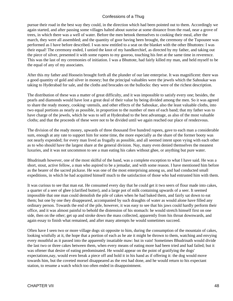pursue their road in the best way they could, in the direction which had been pointed out to them. Accordingly we again started, and after passing some villages halted about sunrise at some distance from the road, near a grove of trees, in which there was a well of water. Before the men betook themselves to cooking their meal, after the march, they were all assembled; and the quantity of goor having been brought, the ceremony of the Tupounee was performed as I have before described. I was now entitled to a seat on the blanket with the other Bhuttotes: I was their equal! The ceremony ended, I untied the knot of my handkerchief, as directed by my father, and taking out the piece of silver, presented it with some rupees to my gooroo, touching his feet at the same time in reverence. This was the last of my ceremonies of initiation. I was a Bhuttote, had fairly killed my man, and held myself to be the equal of any of my associates.

After this my father and Hoosein brought forth all the plunder of our late enterprise. It was magnificent: there was a good quantity of gold and silver in money; but the principal valuables were the jewels which the Sahoukar was taking to Hyderabad for sale, and the cloths and brocades on the bullocks: they were of the richest description.

The distribution of these was a matter of great difficulty, and it was impossible to satisfy every one; besides, the pearls and diamonds would have lost a great deal of their value by being divided among the men. So it was agreed to share the ready money, cooking−utensils, and other effects of the Sahoukar, also the least valuable cloths, into two equal portions as nearly as possible, in proportion to the number of men of each band; that my father was to have charge of the jewels, which he was to sell at Hyderabad to the best advantage, as also of the most valuable cloths; and that the proceeds of these were not to be divided until we again reached our place of rendezvous.

The division of the ready money, upwards of three thousand five hundred rupees, gave to each man a considerable sum, enough at any rate to support him for some time, the more especially as the share of the former booty was not nearly expended; for every man lived as frugally as possible, and all seemed intent upon vying with each other as to who should have the largest share at the general division. Nay, many even denied themselves the meanest luxuries, and it was not uncommon to see a man eating his cakes without ghee, or anything but pure water.

Bhudrinath however, one of the most skilful of the band, was a complete exception to what I have said. He was a short, stout, active fellow, a man who aspired to be a jemadar, and with some reason. I have mentioned him before as the bearer of the sacred pickaxe. He was one of the most enterprising among us, and had conducted small expeditions, in which he had acquitted himself much to the satisfaction of those who had entrusted him with them.

It was curious to see that man eat. He consumed every day that he could get it two seers of flour made into cakes, a quarter of a seer of ghee (clarified butter), and a large pot of milk containing upwards of a seer. It seemed impossible that one man could demolish the pile of cakes when he had baked them, and fairly sat down to eat them; but one by one they disappeared, accompanied by such draughts of water as would alone have filled any ordinary person. Towards the end of the pile, however, it was easy to see that his jaws could hardly perform their office, and it was almost painful to behold the distension of his stomach: he would stretch himself first on one side, then on the other; get up and stroke down the mass collected, apparently from his throat downwards, and again essay to finish what remained, and after many attempts he would sometimes succeed.

Often have I seen two or more village dogs sit opposite to him, during the consumption of the mountain of cakes, looking wistfully at it, the hope that a portion of each as he ate it might be thrown to them, watching and envying every mouthful as it passed into the apparently insatiable maw: but in vain! Sometimes Bhudrinath would divide the last two or three cakes between them, when every means of eating more had been tried and had failed; but it was oftener that desire of eating predominated. He would appear on the point of gratifying the dogs' expectations, nay, would even break a piece off and hold it in his hand as if offering it: the dog would move towards him, but the coveted morsel disappeared as the rest had done, and he would return to his expectant station, to resume a watch which too often ended in disappointment.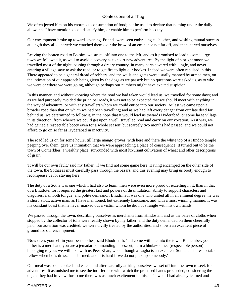We often jeered him on his enormous consumption of food; but he used to declare that nothing under the daily allowance I have mentioned could satisfy him, or enable him to perform his duty.

Our encampment broke up towards evening. Friends were seen embracing each other, and wishing mutual success at length they all departed: we watched them over the brow of an eminence not far off, and then started ourselves.

Leaving the beaten road to Bassim, we struck off into one to the left, and as it promised to lead to some large town we followed it, as well to avoid discovery as to court new adventures. By the light of a bright moon we travelled most of the night, passing through a dreary country, in many parts covered with jungle, and never entering a village save to ask the road, or to get fire to light our hookas. Indeed we were often repulsed in this. There appeared to be a general dread of robbers, and the walls and gates were usually manned by armed men, on the intimation of our approach being given by the dogs as we passed: but no questions were asked us, as to who we were or where we were going, although perhaps our numbers might have excited suspicion.

In this manner, and without knowing where the road we had taken would lead us, we travelled for some days; and as we had purposely avoided the principal roads, it was not to be expected that we should meet with anything in the way of adventure, or with any travellers whom we could entice into our society. At last we came upon a broader road than that on which we had been travelling; and as we had left every danger from our late deed far behind us, we determined to follow it, in the hope that it would lead us towards Hyderabad, or some large village in its direction, from whence we could get upon a well−travelled road and carry on our vocation. As it was, we had gained a respectable booty even for a whole season; but scarcely two months had passed, and we could not afford to go on so far as Hyderabad in inactivity.

The road led us on for some hours, till large mango groves, with here and there the white top of a Hindoo temple peeping over them, gave us intimation that we were approaching a place of consequence. It turned out to be the town of Oomerkher, a wealthy place, surrounded with most luxuriant cultivation of wheat and other descriptions of grain.

'It will be our own fault,' said my father, 'if we find not some game here. Having encamped on the other side of the town, the Sothaees must carefully pass through the bazars, and this evening may bring us booty enough to recompense us for staying here.'

The duty of a Sotha was one which I had also to learn: men were even more proud of excelling in it, than in that of a Bhuttote; for it required the greatest tact and powers of dissimulation, ability to support characters and disguises, a smooth tongue, and polite demeanor. Bhudrinath was one who united all in an eminent degree; he was a short, stout, active man, as I have mentioned, but extremely handsome, and with a most winning manner. It was his constant boast that he never marked out a victim whom he did not strangle with his own hands.

We passed through the town, describing ourselves as merchants from Hindostan; and as the bales of cloths when stopped by the collector of tolls were readily shown by my father, and the duty demanded on them cheerfully paid, our assertion was credited, we were civilly treated by the authorities, and shown an excellent piece of ground for our encampment.

'Now dress yourself in your best clothes,' said Bhudrinath, 'and come with me into the town. Remember, your father is a merchant, you are a jemadar commanding his escort, I am a bhula−admee (respectable person) belonging to you; we will take with us Peer Khan, who although a Lugha is an excellent Sotha, and a respectable fellow when he is dressed and armed: and it is hard if we do not pick up somebody.'

Our meal was soon cooked and eaten, and after carefully attiring ourselves we set off into the town to seek for adventures. It astonished me to see the indifference with which the practised hands proceeded, considering the object they had in view; for to me there was as much excitement in this, as in what I had already learned and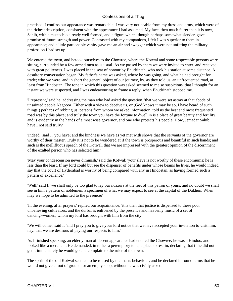practised. I confess our appearance was remarkable. I was very noticeable from my dress and arms, which were of the richest description, consistent with the appearance I had assumed. My face, then much fairer than it is now, Sahib, with a mustachio already well formed, and a figure which, though perhaps somewhat slender, gave promise of future strength and power. Contrasted with my companions, I felt I was superior to them in appearance; and a little pardonable vanity gave me an air and swagger which were not unfitting the military profession I had set up.

We entered the town, and betook ourselves to the Chowree, where the Kotwal and some respectable persons were sitting, surrounded by a few armed men as is usual. As we passed by them we were invited to enter, and received with great politeness. I was placed in the seat of honour by Bhudrinath, who took his station at some distance. A desultory conversation began. My father's name was asked, where he was going, and what he had brought for trade; who we were, and in short the general object of our journey, by, as they told us, an unfrequented road, at least from Hindostan. The tone in which this question was asked seemed to me so suspicious, that I thought for an instant we were suspected, and I was endeavouring to frame a reply, when Bhudrinath stopped me.

'I represent,' said he, addressing the man who had asked the question, 'that we were set astray at that abode of unsainted people Nagpoor. Either with a view to deceive us, or (God knows it may be so, I have heard of such things,) perhaps of robbing us, persons from whom we asked information, told us the best and most frequented road was by this place; and truly the town you have the fortune to dwell in is a place of great beauty and fertility, and is evidently in the hands of a most wise governor, and one who protects his people. How, Jemadar Sahib, have I not said truly?'

'Indeed,' said I, 'you have; and the kindness we have as yet met with shows that the servants of the governor are worthy of their master. Truly it is not to be wondered at if the town is prosperous and beautiful in such hands; and such is the mellifluous speech of the Kotwal, that we are impressed with the greatest opinion of the discernment of the exalted person who has selected him.'

'May your condescension never diminish,' said the Kotwal; 'your slave is not worthy of these encomiums; he is less than the least. If my lord could but see the dispenser of benefits under whose beams he lives, he would indeed say that the court of Hyderabad is worthy of being compared with any in Hindostan, as having formed such a pattern of excellence.'

'Well,' said I, 'we shall only be too glad to lay our nuzzurs at the feet of this patron of yours, and no doubt we shall see in him a pattern of noblemen, a specimen of what we may expect to see at the capital of the Dukhun. When may we hope to be admitted to the presence?'

'In the evening, after prayers,' replied our acquaintance; 'it is then that justice is dispensed to these poor unbelieving cultivators, and the durbar is enlivened by the presence and heavenly music of a set of dancing−women, whom my lord has brought with him from the city.'

'We will come,' said I; 'and I pray you to give your lord notice that we have accepted your invitation to visit him; nay, that we are desirous of paying our respects to him.'

As I finished speaking, an elderly man of decent appearance had entered the Chowree; he was a Hindoo, and looked like a merchant. He demanded, in rather a peremptory tone, a place to rest in, declaring that if he did not get it immediately he would go and complain to the ruler of the town.

The spirit of the old Kotwal seemed to be roused by the man's behaviour, and he declared in round terms that he would not give a foot of ground, or an empty shop, without he was civilly asked.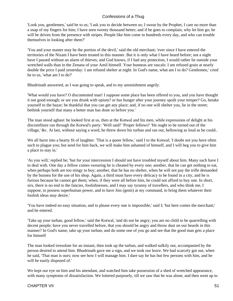'Look you, gentlemen,' said he to us; 'I ask you to decide between us; I swear by the Prophet, I care no more than a snap of my fingers for him; I have seen twenty thousand better; and if he goes to complain, why let him go; he will be driven from the presence with stripes. People like him come in hundreds every day, and who can trouble themselves in looking after them?'

'You and your master may be the portion of the devil,' said the old merchant; 'ever since I have entered the territories of the Nizam I have been treated in this manner. But it is only what I have heard before; not a night have I passed without an alarm of thieves; and God knows, if I had any protection, I would rather lie outside your wretched walls than in the Zenana of your Amil himself. Your bunneas are rascals: I am refused grain at nearly double the price I paid yesterday: I am refused shelter at night. In God's name, what am I to do? Gentlemen,' cried he to us, 'what am I to do?'

Bhudrinath answered, as I was going to speak, and to my astonishment angrily.

'What would you have? O discontented man! I suppose some place has been offered to you, and you have thought it not good enough; or are you drunk with opium? or has hunger after your journey spoilt your temper? Go, betake yourself to the bazar; be thankful that you can get any place; and, if no one will shelter you, lie in the street; bethink yourself that many a better man has done so before you.'

The man stood aghast: he looked first at us, then at the Kotwal and his men, while expressions of delight at his discomfiture ran through the Kotwal's party: 'Well said!' 'Proper fellows!' 'He ought to be turned out of the village,' &c. At last, without saying a word, he threw down his turban and ran out, bellowing as loud as he could..

We all burst into a hearty fit of laughter. 'That is a queer fellow,' said I to the Kotwal; 'I doubt not you have often such to plague you; but send for him back, we will make him ashamed of himself, and I will beg you to give him a place to stay in.'

'As you will,' replied he; 'but for your intercession I should not have troubled myself about him. Many such have I to deal with. One day a fellow comes swearing he is cheated by every one; another, that he can get nothing to eat, when perhaps both are too stingy to buy; another, that he has no shelter, when he will not pay the trifle demanded by the bunnea for the use of his shop. Again, a third must have every delicacy to be found in a city, and he is furious because he cannot get them; when, if they were all before him, he could not afford to buy one. In short, sirs, there is no end to the fancies, foolishnesses, and I may say tyranny of travellers, and who think me, I suppose, to possess superhuman power, and to have Jins (genii) at my command, to bring them whatever their foolish ideas may desire.'

'You have indeed no easy situation, and to please every one is impossible,' said I; 'but here comes the merchant;' and he entered.

'Take up your turban, good fellow,' said the Kotwal, 'and do not be angry; you are no child to be quarrelling with decent people; have you never travelled before, that you should be angry and throw dust on our beards in this manner? In God's name, take up your turban; and do some one of you go and see that the good man gets a place for himself

The man looked irresolute for an instant, then took up the turban, and walked sulkily out, accompanied by the person desired to attend him. Bhudrinath gave me a sign, and we took our leave. We had scarcely got out, when he said, 'That man is ours; now see how I will manage him. I dare say he has but few persons with him, and he will be easily disposed of.'

We kept our eye on him and his attendant, and watched him take possession of a shed of wretched appearance, with many symptoms of dissatisfaction. We loitered purposely, till we saw that he was alone, and then went up to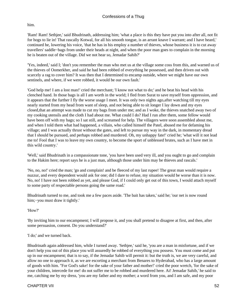him.

'Ram! Ram! Sethjee,' said Bhudrinath, addressing him; 'what a place is this they have put you into after all, not fit for hogs to lie in! That rascally Kotwal, for all his smooth tongue, is an arrant knave I warrant; and I have heard,' continued he, lowering his voice, 'that he has in his employ a number of thieves, whose business it is to cut away travellers' saddle−bags from under their heads at night, and when the poor man goes to complain in the morning he is beaten out of the village. Did we not hear so, Jemadar Sahib?'

'Yes, indeed,' said I; 'don't you remember the man who met us at the village some coss from this, and warned us of the thieves of Oomerkher, and said he had been robbed of everything he possessed, and then driven out with scarcely a rag to cover him? It was then that I determined to encamp outside, where we might have our own sentinels, and where, if we were robbed, it would be our own fault.'

'God help me! I am a lost man!' cried the merchant; 'I know not what to do;' and he beat his head with his clenched hand. In those bags is all I am worth in the world; I fled from Surat to save myself from oppression, and it appears that the further I fly the worse usage I meet. It was only two nights ago,after watching till my eyes nearly started from my head from want of sleep, and not being able to sit longer I lay down and my eyes closed, that an attempt was made to cut my bags from under me; and as I woke, the thieves snatched away two of my cooking utensils and the cloth I had about me. What could I do? Had I run after them, some fellow would have been off with my bags; so I sat still, and screamed for help. The villagers were soon assembled about me, and when I told them what had happened, a villain, who called himself the Patel, abused me for defaming his village; and I was actually thrust without the gates, and left to pursue my way in the dark, in momentary dread that I should be pursued, and perhaps robbed and murdered. Oh, my unhappy fate!' cried he; 'what will it not lead me to! Fool that I was to leave my own country, to become the sport of unblessed brutes, such as I have met in this wild country.'

'Well,' said Bhudrinath in a compassionate tone, 'you have been used very ill, and you ought to go and complain to the Hakim here; report says he is a just man, although those under him may be thieves and rascals.'

'No, no, no!' cried the man; 'go and complain! and be fleeced of my last rupee! The great man would require a nuzzur, and every dependent would ask for one; did I dare to refuse, my situation would be worse than it is now. No, no! I have not been robbed as yet, and please God, if I could only get out of this town, I would attach myself to some party of respectable persons going the same road.'

Bhudrinath turned to me, and took me a few paces aside. 'The bait has taken,' said he; 'our net is now round him;−you must draw it tightly.'

'How?'

'By inviting him to our encampment; I will propose it, and you shall pretend to disagree at first, and then, after some persuasion, consent. Do you understand?'

'I do;' and we turned back.

Bhudrinath again addressed him, while I turned away. 'Sethjee,' said he, 'you are a man in misfortune, and if we don't help you out of this place you will assuredly be robbed of everything you possess. You must come and put up in our encampment; that is to say, if the Jemadar Sahib will permit it: but the truth is, we are very careful, and allow no one to approach it, as we are escorting a merchant from Benares to Hyderabad, who has a large amount of goods with him. ''For God's sake! for the sake of your father and mother!' cried the poor wretch, 'for the sake of your children, intercede for me! do not suffer me to be robbed and murdered here. Ai! Jemadar Sahib,' he said to me, catching me by my dress, 'you are my father and my mother; a word from you, and I am safe, and my poor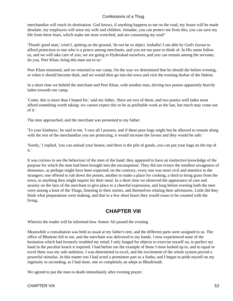merchandize will reach its destination. God knows, if anything happens to me on the road, my house will be made desolate, my employers will seize my wife and children. Jemadar, you can protect me from this; you can save my life from these fears, which make me most wretched, and are consuming my soul!'

'Thooh! good man,' cried I, spitting on the ground, 'do not be so abject. Inshalla! I am able by God's favour to afford protection to one who is a prince among merchants, and you are too poor to think of. In His name follow us, and we will take care of you; we are going to Hyderabad ourselves, and you can remain among the servants; do you, Peer Khan, bring this man out to us.'

Peer Khan remained, and we returned to our camp. On the way we determined that he should die before evening, or when it should become dusk, and we would then go into the town and visit the evening durbar of the Hakim.

In a short time we beheld the merchant and Peer Khan, with another man, driving two ponies apparently heavily laden towards our camp.

'Come, this is more than I hoped for,' said my father, 'there are two of them; and two ponies well laden must afford something worth taking: we cannot expect this to be as profitable work as the last, but much may come out of it.'

The men approached, and the merchant was presented to my father.

'To your kindness,' he said to me, 'I owe all I possess, and if these poor bags might but be allowed to remain along with the rest of the merchandize you are protecting, it would increase the favour and they would be safe.'

'Surely,' I replied, 'you can unload your beasts; and there is the pile of goods, you can put your bags on the top of it.'

It was curious to see the behaviour of the men of the band; they appeared to have an instinctive knowledge of the purpose for which the men had been brought into the encampment. They did not evince the smallest savageness of demeanor, as perhaps might have been expected; on the contrary, every one was most civil and attentive to the strangers; one offered to rub down the ponies, another to make a place for cooking, a third to bring grass from the town, or anything they might require for their meal. In a short time we observed the appearance of care and anxiety on the face of the merchant to give place to a cheerful expression, and long before evening both the men were among a knot of the Thugs, listening to their stories, and themselves relating their adventures. Little did they think what preparations were making, and that in a few short hours they would cease to be counted with the living.

# **CHAPTER VIII**

Wherein the reader will be informed how Ameer Ali passed the evening

Meanwhile a consultation was held as usual at my father's tent, and the different parts were assigned to us. The office of Bhuttote fell to me, and the merchant was delivered to my hands. I now experienced none of the hesitation which had formerly troubled my mind; I only longed for objects to exercise myself on, to perfect my hand in the peculiar knack it required. I had before me the example of those I most looked up to, and to equal or excel them was my sole ambition. I was determined to excel, and the excitement of the whole system proved a powerful stimulus. In this matter too I had acted a prominent part as a Sotha; and I began to pride myself on my ingenuity in seconding, as I had done, one so completely an adept as Bhudrinath.

We agreed to put the men to death immediately after evening prayer.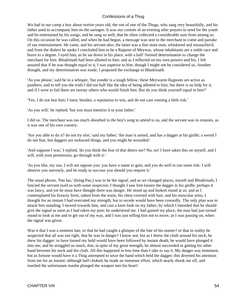We had in our camp a boy about twelve years old, the son of one of the Thugs, who sang very beautifully, and his father used to accompany him on the saringee. It was our custom of an evening after prayers to send for the youth and be entertained by his songs; and he sang so well, that he often collected a considerable sum from among us. On this occasion he was called, and when he had begun, a message was sent to the merchant to come and partake of our entertainment. He came, and his servant also; the latter was a fine stout man, whiskered and mustachio'd, and from the dialect he spoke I concluded him to be a Rajpoot of Meywar, whose inhabitants are a noble race and brave to a degree. I eyed him, as he sat down in his place, with a half−formed determination to change the merchant for him. Bhudrinath had been allotted to him; and as I reflected on my own powers and his, I felt assured that if he was thought equal to it, I was superior to him, though I might not be considered so. Another thought, and my determination was made; I proposed the exchange to Bhudrinath.

'As you please,' said he in a whisper, 'but yonder is a tough fellow; these Meywaree Rajpoots are active as panthers, and to tell you the truth I did not half like the idea of being allotted to him; but there is no help for it, and if I were to fail there are twenty others who would finish him. But do you think yourself equal to him?'

'Yes, I do not fear him; I have, besides, a reputation to win, and do not care running a little risk.'

'As you will,' he replied; 'but you must mention it to your father.'

I did so. The merchant was too much absorbed in the boy's song to attend to us, and the servant was in extasies, as it was one of his own country.

'Are you able to do it? do not try else,' said my father; 'the man is armed, and has a dagger at his girdle; a sword I do not fear, but daggers are awkward things, and you might be wounded.'

'And suppose I was,' I replied, 'do you think the fear of that deters me? No, no! I have taken this on myself, and I will, with your permission, go through with it.'

'As you like, my son, I will not oppose you; you have a name to gain, and you do well to run some risk: I will observe you narrowly, and be ready to succour you should you require it.'

The usual phrase, 'Pan lao,' (bring Pan,) was to be the signal; and as we changed places, myself and Bhudrinath, I fancied the servant eyed us with some suspicion; I thought I saw him loosen the dagger in his girdle; perhaps it was fancy, and yet he must have thought there was danger. He stood up and looked round at us: and as I contemplated his brawny form, naked from the waist, his chest covered with hair, and his muscular arms, I thought for an instant I had overrated my strength; but to recede would have been cowardly. The only plan was to attack him standing; I moved towards him, and cast a keen look on my father, by which I intended that he should give the signal as soon as I had taken my post; he understood me. I had gained my place, the man had just turned round to look at me and to get out of my way, and I was just telling him not to move, as I was passing on, when the signal was given.

Was it that I was a moment late, or that he had caught a glimpse of the fate of his master? or that in reality he suspected that all was not right, that he was in danger? I know not; but as I threw the cloth around his neck, he drew his dagger: to have loosed my hold would have been followed by instant death, he would have plunged it into me; and he struggled so much, that, in spite of my great strength, he almost succeeded in getting his other hand between his neck and the cloth. All this happened in less time than I take to say it. My danger was imminent, but as fortune would have it a Thug attempted to seize the hand which held the dagger; this diverted his attention from me for an instant: although half choked, he made an immense effort, which nearly shook me off, and reached the unfortunate manhe plunged the weapon into his heart!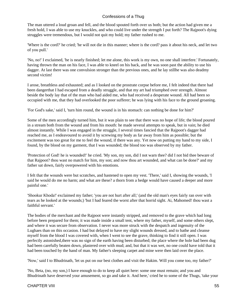The man uttered a loud groan and fell, and the blood spouted forth over us both; but the action had given me a fresh hold, I was able to use my knuckles, and who could live under the strength I put forth? The Rajpoot's dying struggles were tremendous, but I would not quit my hold; my father rushed to me.

'Where is the cord?' he cried; 'he will not die in this manner; where is the cord? pass it about his neck, and let two of you pull.'

'No, no!' I exclaimed, 'he is nearly finished; let me alone, this work is my own, no one shall interfere.' Fortunately, having thrown the man on his face, I was able to kneel on his back, and he was soon past the ability to use his dagger. At last there was one convulsion stronger than the previous ones, and he lay still he was also dead my second victim!

I arose, breathless and exhausted; and as I looked on the prostrate corpse before me, I felt indeed that there had been danger that I had escaped from a deadly struggle, and that my art had triumphed over strength. Almost beside the body lay that of the man who had aided me, who had received a desperate wound. All had been so occupied with me, that they had overlooked the poor sufferer; he was lying with his face to the ground groaning.

'For God's sake,' said I, 'turn him round, the wound is in his stomach: can nothing be done for him?'

Some of the men accordingly turned him, but it was plain to see that there was no hope of life; the blood poured in a stream both from the wound and from his mouth: he made several attempts to speak, but in vain; he died almost instantly. While I was engaged in the struggle, I several times fancied that the Rajpoot's dagger had reached me, as I endeavoured to avoid it by screwing my body as far away from him as possible; but the excitement was too great for me to feel the wound, if there was any. Yet now on putting my hand to my side, I found, by the blood on my garment, that I was wounded; the blood too was observed by my father.

'Protection of God! he is wounded!' he cried. 'My son, my son, did I not warn thee? did I not bid thee beware of that Rajpoot? thou wast no match for him, my son; and now thou art wounded, and what can be done?' and my father sat down, fairly overpowered with his emotions.

I felt that the wounds were but scratches, and hastened to open my vest. 'There,' said I, showing the wounds, 'I said he would do me no harm; and what are these? a thorn from a hedge would have caused a deeper and more painful one.'

'Shookur Khoda!' exclaimed my father; 'you are not hurt after all;' (and the old man's eyes fairly ran over with tears as he looked at the wounds;) 'but I had feared the worst after that horrid sight. Ai, Mahomed! thou wast a faithful servant.'

The bodies of the merchant and the Rajpoot were instantly stripped, and removed to the grave which had long before been prepared for them; it was made inside a small tent, where my father, myself, and some others slept, and where it was secure from observation. I never was more struck with the despatch and ingenuity of the Lughaes than on this occasion. I had but delayed to have my slight wounds dressed, and to bathe and cleanse myself from the blood I was covered with, when I went to see the grave, thinking to find it still open. I was perfectly astonished, there was no sign of the earth having been disturbed; the place where the hole had been dug had been carefully beaten down, plastered over with mud; and, but that it was wet, no one could have told that it had been touched by the hand of man. My father's sleeping carpet and mine were then laid over the place.

'Now,' said I to Bhudrinath, 'let us put on our best clothes and visit the Hakim. Will you come too, my father?'

'No, Beta, (no, my son,) I have enough to do to keep all quiet here: some one must remain; and you and Bhudrinath have deserved your amusement, so go and take it. And here,' cried he to some of the Thugs, 'take your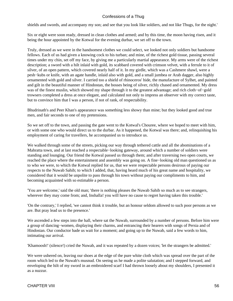shields and swords, and accompany my son; and see that you look like soldiers, and not like Thugs, for the night.'

Six or eight were soon ready, dressed in clean clothes and armed; and by this time, the moon having risen, and it being the hour appointed by the Kotwal for the evening durbar, we set off to the town.

Truly, dressed as we were in the handsomest clothes we could select, we looked not only soldiers but handsome fellows. Each of us had given a knowing cock to his turban; and mine, of the richest gold tissue, passing several times under my chin, set off my face, by giving me a particularly martial appearance. My arms were of the richest description; a sword with a hilt inlaid with gold, its scabbard covered with crimson velvet, with a ferrule to it of silver, of an open pattern, which covered nearly half of it. In my girdle, which was a Cashmere shawl, were a pesh−kubs or knife, with an agate handle, inlaid also with gold, and a small jumbea or Arab dagger, also highly ornamented with gold and silver. I carried too a shield of rhinoceros' hide, the manufacture of Sylhet, and painted and gilt in the beautiful manner of Hindostan, the bosses being of silver, richly chased and ornamented. My dress was of the finest muslin, which showed my shape through it to the greatest advantage; and rich cloth−of−gold trowsers completed a dress at once elegant, and calculated not only to impress an observer with my correct taste, but to convince him that I was a person, if not of rank, of respectability.

Bhudrinath's and Peer Khan's appearance was something less showy than mine; but they looked good and true men, and fair seconds to one of my pretensions.

So we set off to the town, and passing the gate went to the Kotwal's Chouree, where we hoped to meet with him, or with some one who would direct us to the durbar. As it happened, the Kotwal was there; and, relinquishing his employment of caring for travellers, he accompanied us to introduce us.

We walked through some of the streets, picking our way through tethered cattle and all the abominations of a Mahratta town, and at last reached a respectable−looking gateway, around which a number of soldiers were standing and lounging. Our friend the Kotwal passed us through them; and after traversing two open courts, we reached the place where the entertainment and assembly was going on. A fine−looking old man questioned us as to who we were, to which the Kotwal replied for us, that we were respectable persons desirous of paying our respects to the Nuwab Sahib; to which I added, that, having heard much of his great name and hospitality, we considered that it would be unpolite to pass through his town without paying our compliments to him, and becoming acquainted with so estimable a person.

'You are welcome,' said the old man; 'there is nothing pleases the Nuwab Sahib so much as to see strangers, wherever they may come from; and, Inshalla! you will have no cause to regret having taken this trouble.'

'On the contrary,' I replied, 'we cannot think it trouble, but an honour seldom allowed to such poor persons as we are. But pray lead us to the presence.'

We ascended a few steps into the hall, where sat the Nuwab, surrounded by a number of persons. Before him were a group of dancing−women, displaying their charms, and entrancing their hearers with songs of Persia and of Hindostan. Our conductor bade us wait for a moment; and going up to the Nuwab, said a few words to him, intimating our arrival.

'Khamoosh!' (silence!) cried the Nuwab, and it was repeated by a dozen voices; 'let the strangers be admitted.'

We were ushered on, leaving our shoes at the edge of the pure white cloth which was spread over the part of the room which led to the Nuwab's musnud. On seeing us he made a polite salutation; and I stepped forward, and enveloping the hilt of my sword in an embroidered scarf I had thrown loosely about my shoulders, I presented it as a nuzzur.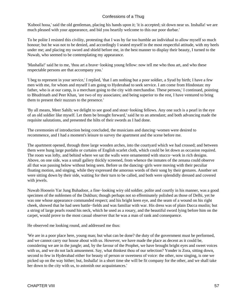'Kubool hooa,' said the old gentleman, placing his hands upon it; 'it is accepted; sit down near us. Inshalla! we are much pleased with your appearance, and bid you heartily welcome to this our poor durbar.'

To be polite I resisted this civility, protesting that I was by far too humble an individual to allow myself so much honour; but he was not to be denied, and accordingly I seated myself in the most respectful attitude, with my heels under me; and placing my sword and shield before me, in the best manner to display their beauty, I turned to the Nuwab, who seemed to be contemplating my appearance.

'Mashalla!' said he to me, 'thou art a brave−looking young fellow: now tell me who thou art, and who these respectable persons are that accompany you.'

'I beg to represent in your service,' I replied, 'that I am nothing but a poor soldier, a Syud by birth; I have a few men with me, for whom and myself I am going to Hyderabad to seek service. I am come from Hindostan: my father, who is at our camp, is a merchant going to the city with merchandise. These persons,' I continued, pointing to Bhudrinath and Peer Khan, 'are two of my associates; and being superior to the rest, I have ventured to bring them to present their nuzzurs to the presence.'

'By all means, Meer Sahib; we delight to see good and stout−looking fellows. Any one such is a pearl in the eye of an old soldier like myself. Let them be brought forward,' said he to an attendant; and both advancing made the requisite salutations, and presented the hilts of their swords as I had done.

The ceremonies of introduction being concluded, the musicians and dancing−women were desired to recommence, and I had a moment's leisure to survey the apartment and the scene before me.

The apartment opened, through three large wooden arches, into the courtyard which we had crossed; and between them were hung large purdahs or curtains of English scarlet cloth, which could be let down as occasion required. The room was lofty, and behind where we sat the walls were ornamented with stucco−work in rich designs. Above, on one side, was a small gallery thickly screened, from whence the inmates of the zenana could observe all that was passing below without being seen. Before us the dancing−girls were moving with their peculiar floating motion, and singing, while they expressed the amorous words of their song by their gestures. Another set were sitting down by their side, waiting for their turn to be called, and both were splendidly dressed and covered with jewels.

Nuwab Hoosein Yar Jung Buhadoor, a fine−looking wiry old soldier, polite and courtly in his manner, was a good specimen of the noblemen of the Dukhun; though perhaps not so effeminately polished as those of Delhi, yet he was one whose appearance commanded respect; and his bright keen eye, and the seam of a wound on his right cheek, showed that he had seen battle−fields and was familiar with war. His dress was of plain Dacca muslin; but a string of large pearls round his neck, which he used as a rosary, and the beautiful sword lying before him on the carpet, would prove to the most casual observer that he was a man of rank and consequence.

He observed me looking round, and addressed me thus:

'We are in a poor place here, young man; but what can be done? the duty of the government must be performed, and we cannot carry our house about with us. However, we have made the place as decent as it could be, considering we are in the jungle; and, by the favour of the Prophet, we have brought bright eyes and sweet voices with us, and we do not lack amusement. Say, what thinkest thou of our selection? Yonder is Zora, sitting down, second to few in Hyderabad either for beauty of person or sweetness of voice: the other, now singing, is one we picked up on the way hither; but, Inshalla! in a short time she will be fit company for the other, and we shall take her down to the city with us, to astonish our acquaintances.'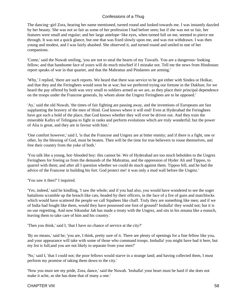The dancing−girl Zora, hearing her name mentioned, turned round and looked towards me. I was instantly dazzled by her beauty. She was not so fair as some of her profession I had before seen; but if she was not so fair, her features were small and regular; and her large antelope−like eyes, when turned full on me, seemed to pierce me through. It was not a quick glance, but one that was fixed slowly upon me, and was riot withdrawn. I was then young and modest, and I was fairly abashed. She observed it, and turned round and smiled to one of her companions.

'Come,' said the Nuwab smiling, 'you are not to steal the hearts of my Tuwaifs. You are a dangerous−looking fellow; and that handsome face of yours will do much mischief if I mistake not. Tell me the news from Hindostan: report speaks of war in that quarter, and that the Mahrattas and Pindarees are arming.'

'Why,' I replied, 'there are such reports. We heard that there was service to be got either with Sindea or Holkar, and that they and the Feringhees would soon be at war; but we preferred trying our fortune in the Dukhun; for we heard the pay offered by both was very small to soldiers armed as we are, as they place their principal dependence on the troops under the Francese generals, by whom alone the Ungrez Feringhees are to be opposed.'

'Ay,' said the old Nuwab, 'the times of fair fighting are passing away, and the inventions of Europeans are fast supplanting the bravery of the men of Hind. God knows where it will end! Even at Hyderabad the Feringhees have got such a hold of the place, that God knows whether they will ever be driven out. And they train the miserable Kafirs of Telingana to fight in ranks and perform evolutions which are truly wonderful; but the power of Alia is great, and they are in favour with him.'

'One comfort however,' said I, 'is that the Francese and Ungrez are at bitter enmity; and if there is a fight, one or other, by the blessing of God, must be beaten. Then will be the time for true believers to rouse themselves, and free their country from the yoke of both.'

'You talk like a young, hot−blooded boy: this cannot be. We of Hyderabad are too much beholden to the Ungrez Feringhees for freeing us from the demands of the Mahrattas, and the oppression of Hyder Ali and Tippoo, to quarrel with them; and after all I question whether we could do much against them. Tippoo fell, and he had the advice of the Francese in building his fort. God protect me! it was only a mud wall before the Ungrez.'

'You saw it then?' I inquired.

'Yes, indeed,' said he kindling, 'I saw the whole; and if you had also, you would have wondered to see the soger battalions scramble up the breach like cats, headed by their officers, in the face of a fire of guns and matchlocks which would have scattered the people *we* call Sipahees like chaff. Truly they are something like men; and if we of India had fought like them, would they have possessed one foot of ground? Inshalla! they would not; but it is no use regretting. And now Sikundur Jah has made a treaty with the Ungrez, and sits in his zenana like a eunuch, leaving them to take care of him and his country.'

'Then you think,' said I, 'that I have no chance of service at the city?'

'By no means,' said he; 'you are, I think, pretty sure of it. There are plenty of openings for a fine fellow like you, and your appearance will take with some of those who command troops. Inshalla! you might have had it here, but my list is full; and you are not likely to separate from your men?'

'No,' said I, 'that I could not; the poor fellows would starve in a strange land; and having collected them, I must perform my promise of taking them down to the city.'

'Now you must see my pride, Zora, dance,' said the Nuwab. 'Inshalla! your heart must be hard if she does not make it ache, as she has done that of many a one.'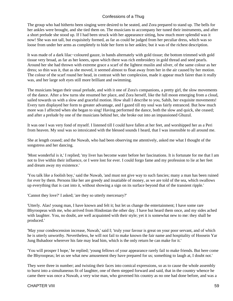The group who had hitherto been singing were desired to be seated, and Zora prepared to stand up. The bells for her ankles were brought, and she tied them on. The musicians to accompany her tuned their instruments, and after a short prelude she stood up. If I had been struck with her appearance sitting, how much more splendid was it now! She was not tall, but exquisitely formed, as far as could be judged from her peculiar dress, which was so loose from under her arms as completely to hide her form to her ankles; but it was of the richest description.

It was made of a dark lilac−coloured gauze, in bands alternately with gold tissue; the bottom trimmed with gold tissue very broad, as far as her knees, upon which there was rich embroidery in gold thread and seed pearls. Around her she had thrown with extreme grace a scarf of the lightest muslin and silver, of the same colour as her dress; so thin was it, that as she moved, it seemed almost to float away from her in the air caused by her motion. The colour of the scarf round her head, in contrast with her complexion, made it appear much fairer than it really was, and her large soft eyes still more brilliant and swimming.

The musicians began their usual prelude, and with it one of Zora's companions, a pretty girl, the slow movements of the dance. After a few turns she resumed her place, and Zora herself, like the full moon emerging from a cloud, sailed towards us with a slow and graceful motion. How shall I describe to you, Sahib, her exquisite movements! Every turn displayed her form to greater advantage, and I gazed till my soul was fairly entranced. But how much more was I affected when she began to sing! Having performed the dance, both the slow and quick, she ceased; and after a prelude by one of the musicians behind her, she broke out into an impassioned Ghuzul.

It was one I was very fond of myself. I listened till I could have fallen at her feet, and worshipped her as a Peri from heaven. My soul was so intoxicated with the blessed sounds I heard, that I was insensible to all around me.

She at length ceased; and the Nuwab, who had been observing me attentively, asked me what I thought of the songstress and her dancing.

'Most wonderful is it,' I replied; 'my liver has become water before her fascinations. It is fortunate for me that I am not to live within their influence, or I were lost for ever. I could forgo fame and my profession to lie at her feet and dream away my existence.'

'You talk like a foolish boy,' said the Nuwab, 'and must not give way to such fancies; many a man has been ruined for ever by them. Persons like her are greedy and insatiable of money, as we are told of the sea, which swallows up everything that is cast into it, without showing a sign on its surface beyond that of the transient ripple.'

'Cannot they love?' I asked; 'are they so utterly mercenary?'

'Utterly. Alas! young man, I have known and felt it; but let us change the entertainment; I have some rare Bhyroopeas with me, who arrived from Hindostan the other day. I have but heard them once, and my sides ached with laughter. You, no doubt, are well acquainted with their style; yet it is somewhat new to me: they shall be produced.'

'May your condescension increase, Nuwab,' said I; 'truly your favour is great on your poor servant, and of which he is utterly unworthy. Nevertheless, he will not fail to make known the fair name and hospitality of Hoosein Yar Jung Buhadoor wherever his fate may lead him, which is the only return he can make for it.'

'You will prosper I hope,' he replied; 'young fellows of your appearance rarely fail to make friends. But here come the Bhyroopeas; let us see what new amusement they have prepared for us; something to laugh at, I doubt not.'

They were three in number; and twisting their faces into comical expressions, so as to cause the whole assembly to burst into a simultaneous fit of laughter, one of them stepped forward and said, that in the country whence he came there was once a Nuwab, a very wise man, who governed his country as no one had done before, and was a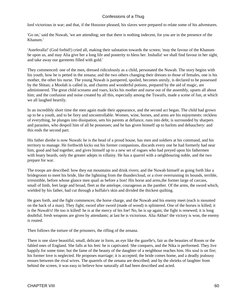lord victorious in war; and that, if the Hoozoor pleased, his slaves were prepared to relate some of his adventures.

'Go on,' said the Nuwab, 'we are attending; see that there is nothing indecent, for you are in the presence of the Khanum.'

'Asteferalla!' (God forbid!) cried all, making their salutation towards the screen; 'may the favour of the Khanum be upon us, and may Alia give her a long life and posterity to bless her. Inshalla! we shall find favour in her sight, and take away our garments filled with gold.'

They commenced: one of the men, dressed ridiculously as a child, personated the Nuwab. The story begins with his youth, how he is petted in the zenana; and the two others changing their dresses to those of females, one is his mother, the other his nurse. The young Nuwab is pampered, spoiled, becomes unruly, is declared to be possessed by the Shitan; a Moolah is called in, and charms and wonderful potions, prepared by the aid of magic, are administered. The great child screams and roars, kicks his mother and nurse out of the assembly, upsets all about him; and the confusion and noise created by all this, especially among the Tuwaifs, made a scene of fun, at which we all laughed heartily.

In an incredibly short time the men again made their appearance, and the second act began. The child had grown up to be a youth, and to be fiery and uncontrollable. Women, wine, horses, and arms are his enjoyments: reckless of everything, he plunges into dissipation, sets his parents at defiance, runs into debt, is surrounded by sharpers and parasites, who despoil him of all he possesses; and he has given himself up to harlots and debauchery: and this ends the second part.

His father dieshe is now Nuwab; he is the head of a proud house, has men and soldiers at his command, and his territory to manage. He forthwith kicks out his former companions, discards every one he had formerly had near him, good and bad together, and gives himself up to a new set of rogues who had preyed upon his fathermen with hoary beards, only the greater adepts in villainy. He has a quarrel with a neighbouring noble, and the two prepare for war.

The troops are described: how they eat mountains and drink rivers; and the Nuwab himself as going forth like a bridegroom to meet his bride, like the lightning from the thundercloud, or a river overrunning its bounds, terrible, irresistible, before whose glance men quail as before a lion! His horse and arms, the former large of carcass, small of limb, feet large and broad, fleet as the antelope, courageous as the panther. Of the arms, the sword which, wielded by his father, had cut through a buffalo's skin and divided the thickest quilting.

He goes forth, and the fight commences; the horse charge, and the Nuwab and his enemy meet (each is mounted on the back of a man). They fight; sword after sword (made of wood) is splintered. One of the horses is killed; it is the Nuwab's! He too is killed! he is at the mercy of his foe! No, he is up again; the fight is renewed; it is long doubtful; fresh weapons are given by attendants; at last he is victorious. Alia Akbar! the victory is won, the enemy is routed.

Then follows the torture of the prisoners, the rifling of the zenana.

There is one slave beautiful, small, delicate in form, an eye like the gazelle's, fair as the beauties of Room or the fabled ones of England. She falls at his feet: he is captivated. She conquers, and the Nika is performed. They live happily for some time; but the fame of the beauty of the daughter of a neighbour reaches him. His soul is on fire; his former love is neglected. He proposes marriage; it is accepted; the bride comes home, and a deadly jealousy ensues between the rival wives. The quarrels of the zenana are described; and by the shrieks of laughter from behind the screen, it was easy to believe how naturally all had been described and acted.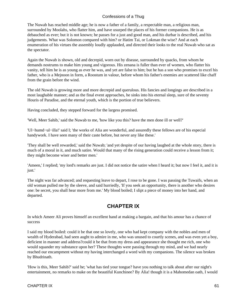The Nuwab has reached middle age; he is now a father of a family, a respectable man, a religious man, surrounded by Moolahs, who flatter him, and have usurped the places of his former companions. He is as debauched as ever; but it is not known; he passes for a just and good man, and his durbar is described, and his judgements. What was Solomon compared with him? or Hatim Tai, or Lokman the wise? And at each enumeration of his virtues the assembly loudly applauded, and directed their looks to the real Nuwab who sat as the spectator.

Again the Nuwab is shown, old and decrepid, worn out by disease, surrounded by quacks, from whom he demands nostrums to make him young and vigorous. His zenana is fuller than ever of women, who flatter his vanity, tell him he is as young as ever he was, and yet are false to him; but he has a son who promises to excel his father, who is a Mejnoon in form, a Roostum in valour, before whom his father's enemies are scattered like chaff from the grain before the wind.

The old Nuwab is growing more and more decrepid and querulous. His fancies and longings are described in a most laughable manner; and as the final event approaches, he sinks into his eternal sleep, sure of the seventy Houris of Paradise, and the eternal youth, which is the portion of true believers.

Having concluded, they stepped forward for the largess promised.

'Well, Meer Sahib,' said the Nuwab to me, 'how like you this? have the men done ill or well?'

'Ul−humd−ul−illa!' said I; 'the works of Alia are wonderful, and assuredly these fellows are of his especial handywork. I have seen many of their caste before, but never any like these.'

'They shall be well rewarded,' said the Nuwab; 'and yet despite of our having laughed at the whole story, there is much of a moral in it, and much satire. Would that many of the rising generation could receive a lesson from it; they might become wiser and better men.'

'Ameen,' I replied; 'my lord's remarks are just. I did not notice the satire when I heard it; but now I feel it, and it is just.'

The night was far advanced; and requesting leave to depart, I rose to be gone. I was passing the Tuwaifs, when an old woman pulled me by the sleeve, and said hurriedly, 'If you seek an opportunity, there is another who desires one: be secret, you shall hear more from me.' My blood boiled; I slipt a piece of money into her hand, and departed.

# **CHAPTER IX**

In which Ameer Ali proves himself an excellent hand at making a bargain, and that his amour has a chance of success

I said my blood boiled: could it be that one so lovely, one who had kept company with the nobles and men of wealth of Hyderabad, had seen aught to admire in me, who was unused to courtly scenes, and was even yet a boy, deficient in manner and address? could it be that from my dress and appearance she thought me rich, one who would squander my substance upon her? These thoughts were passing through my mind, and we had nearly reached our encampment without my having interchanged a word with my companions. The silence was broken by Bhudrinath.

'How is this, Meer Sahib?' said he; 'what has tied your tongue? have you nothing to talk about after our night's entertainment, no remarks to make on the beautiful Kunchinee? By Alia! though it is a Mahomedan oath, I would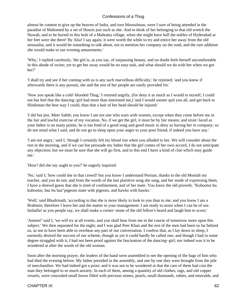almost be content to give up the heaven of Indra, and turn Moosulman, were I sure of being attended in the paradise of Mahomed by a set of Houris just such as she. And to think of her belonging to that old wretch the Nuwab, and to be buried in this hole of a Mahratta village, when she might have half the nobles of Hyderabad at her feet were she there! By Alia! I say again, it were worth the while to try and entice her away from the old sensualist, and it would be something to talk about, not to mention her company on the road, and the rare addition she would make to our evening amusements.'

'Why,' I replied carelessly, 'the girl is, as you say, of surpassing beauty, and no doubt feels herself uncomfortable in this abode of swine; yet to get her away would be no easy task, and what should we do with her when we got her?'

'I shall try and see if her coming with us is any such marvellous difficulty,' he rejoined; 'and you know if afterwards there is any pursuit, she and the rest of her people are easily provided for.'

'Now you speak like a cold−blooded Thug,' I retorted angrily, (for deny it as much as I would to myself, I could not but feel that the dancing−girl had more than interested me,) 'and I would sooner quit you all, and get back to Hindostan the best way I could, than that a hair of her head should be injured.'

'I did but jest, Meer Sahib; you know I am not one who wars with women, except when they come before me in the fair and lawful exercise of my vocation. No, if we get the girl, it must be by fair means; and strait−laced as your father is on many points, he is too fond of a good song and good music to deny us having her in company; so do not mind what I said, and do not go to sleep upon your anger to your poor friend, if indeed you have any.'

'I am not angry,' said I, 'though I certainly felt my blood rise when you alluded to her. We will consider about the rest in the morning, and if we can but persuade my father that the girl comes of her own accord, I do not anticipate any objection; but we must be sure that she will go first, and to this end I have a kind of clue which may guide me.'

'How? did she say aught to you?' he eagerly inquired.

'No,' said I; 'how could she in that crowd? but you know I understand Persian, thanks to the old Moolah my teacher, and you do not; and from the words of the last plaintive song she sang, and her mode of expressing them, I have a shrewd guess that she is tired of confinement, and of her mate. You know the old proverb, "Kubootur bu kubootur, baz bu baz" pigeons mate with pigeons, and hawks with hawks.'

'Well,' said Bhudrinath, 'according to that she is more likely to look to you than to me; and you know I am a Brahmin; therefore I leave her and the matter to your management: I am ready to assist when I can be of use. Inshalla! as you people say, we shall make a corner−stone of the old fellow's beard and laugh him to scorn.'

'Ameen!' said I, 'we will try at all events, and you shall hear from me in the course of tomorrow more upon this subject.' We then separated for the night; and I was glad Peer Khan and the rest of the men had been so far behind us, as not to have been able to overhear any part of our conversation. I confess that, as I lay down to sleep, I earnestly desired the success of our scheme, though as yet it could hardly be called one; and though I had in some degree struggled with it, I had not been proof against the fascination of the dancing−girl; nor indeed was it to be wondered at after the words of the old woman.

Soon after the morning prayer, the leaders of the band were assembled to see the opening of the bags of him who had died the evening before. My father presided in the assembly, and one by one they were brought from the pile of merchandize. We had indeed got a prize; and it was not to be wondered at that the care of them had cost the man they belonged to so much anxiety. In each of them, among a quantity of old clothes, rags, and old copper vessels, were concealed small boxes filled with precious stones, pearls, small diamonds, rubies, and emeralds, and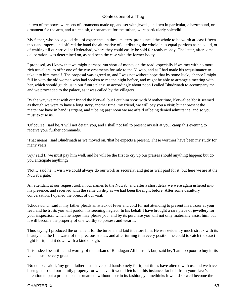in two of the boxes were sets of ornaments made up, and set with jewels; and two in particular, a bazu−bund, or ornament for the arm, and a sir−pesh, or ornament for the turban, were particularly splendid.

My father, who had a good deal of experience in these matters, pronounced the whole to be worth at least fifteen thousand rupees, and offered the band the alternative of distributing the whole in as equal portions as he could, or of waiting till our arrival at Hyderabad, where they could easily be sold for ready money. The latter, after some deliberation, was determined on, as had been the case with the former booty.

I proposed, as I knew that we might perhaps run short of money on the road, especially if we met with no more rich travellers, to offer one of the two ornaments for sale to the Nuwab, and as I had made his acquaintance to take it to him myself. The proposal was agreed to, and I was not without hope that by some lucky chance I might fall in with the old woman who had spoken to me the night before, and might be able to arrange a meeting with her, which should guide us in our future plans; so accordingly about noon I called Bhudrinath to accompany me, and we proceeded to the palace, as it was called by the villagers.

By the way we met with our friend the Kotwal; but I cut him short with 'Another time, Kotwaljee,'for it seemed as though we were to have a long story,'another time, my friend, we will pay you a visit; but at present the matter we have in hand is urgent, and it being past noon we are afraid of being denied admittance, and so you must excuse us.'

'Of course,' said he, 'I will not detain you, and I shall not fail to present myself at your camp this evening to receive your further commands.'

'That means,' said Bhudrinath as we moved on, 'that he expects a present. These worthies have been my study for many years.'

'Ay,' said I, 'we must pay him well, and he will be the first to cry up our praises should anything happen; but do you anticipate anything?'

'Not I,' said he; 'I wish we could always do our work as securely, and get as well paid for it; but here we are at the Nuwab's gate.'

An attendant at our request took in our names to the Nuwab, and after a short delay we were again ushered into his presence, and received with the same civility as we had been the night before. After some desultory conversation, I opened the object of our visit.

'Khodawund,' said I, 'my father pleads an attack of fever and cold for not attending to present his nuzzur at your feet, and he trusts you will pardon his seeming neglect. In his behalf I have brought a rare piece of jewellery for your inspection, which he hopes may please you; and by its purchase you will not only materially assist him, but it will become the property of one worthy to possess and wear it.'

Thus saying I produced the ornament for the turban, and laid it before him. He was evidently much struck with its beauty and the fine water of the precious stones, and after turning it in every position he could to catch the exact light for it, laid it down with a kind of sigh.

'It is indeed beautiful, and worthy of the turban of Bundugan Ali himself; but,' said he, 'I am too poor to buy it; its value must be very great.'

'No doubt,' said I, 'my grandfather must have paid handsomely for it; but times have altered with us, and we have been glad to sell our family property for whatever it would fetch. In this instance, far be it from your slave's intention to put a price upon an ornament without peer in its fashion; yet methinks it would so well become the

#### CHAPTER IX 63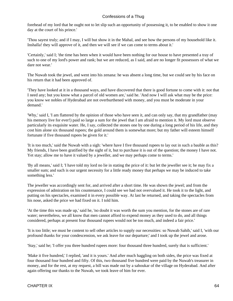forehead of my lord that he ought not to let slip such an opportunity of possessing it, to be enabled to show it one day at the court of his prince.'

'Thou sayest truly; and if I may, I will but show it in the Mahal, and see how the persons of my household like it. Inshalla! they will approve of it, and then we will see if we can come to terms about it.'

'Certainly,' said I; 'the time has been when it would have been nothing for our house to have presented a tray of such to one of my lord's power and rank; but we are reduced, as I said, and are no longer fit possessors of what we dare not wear.'

The Nuwab took the jewel, and went into his zenana: he was absent a long time, but we could see by his face on his return that it had been approved of.

'They have looked at it in a thousand ways, and have discovered that there is good fortune to come with it: not that I need any; but you know what a parcel of old women are,' said he. 'And now I will ask what may be the price: you know we nobles of Hyderabad are not overburthened with money, and you must be moderate in your demand.'

'Why,' said I, 'I am flattered by the opinion of those who have seen it, and can only say, that my grandfather (may his memory live for ever!) paid so large a sum for the jewel that I am afraid to mention it. My lord must observe particularly its exquisite water. He, I say, collected the stones one by one during a long period of his life, and they cost him alone six thousand rupees; the gold around them is somewhat more; but my father will esteem himself fortunate if five thousand rupees be given for it.'

'It is too much,' said the Nuwab with a sigh: 'where have I five thousand rupees to lay out in such a bauble as this? My friends, I have been gratified by the sight of it, but to purchase it is out of the question; the money I have not. Yet stay; allow me to have it valued by a jeweller, and we may perhaps come to terms.'

'By all means,' said I; 'I have told my lord no lie in stating the price of it: but let the jeweller see it; he may fix a smaller sum; and such is our urgent necessity for a little ready money that perhaps we may be induced to take something less.'

The jeweller was accordingly sent for, and arrived after a short time. He was shown the jewel; and from the expression of admiration on his countenance, I could see we had not overvalued it. He took it to the light, and putting on his spectacles, examined it in every possible way. At last he returned, and taking the spectacles from his nose, asked the price we had fixed on it. I told him.

'At the time this was made up,' said he, 'no doubt it was worth the sum you mention, for the stones are of rare water; nevertheless, we all know that men cannot afford to expend money as they used to do, and all things considered, perhaps at present four thousand rupees would not be too much, and indeed a fair price.'

'It is too little; we must be content to sell other articles to supply our necessities: so Nuwab Sahib,' said I, 'with our profound thanks for your condescension, we ask leave for our departure;' and I took up the jewel and arose.

'Stay,' said he; 'I offer you three hundred rupees more: four thousand three hundred, surely that is sufficient.'

'Make it five hundred,' I replied, 'and it is yours.' And after much haggling on both sides, the price was fixed at four thousand four hundred and fifty. Of this, two thousand five hundred were paid by the Nuwab's treasurer in money, and for the rest, at my request, a bill was made out by a sahoukar of the village on Hyderabad. And after again offering our thanks to the Nuwab, we took leave of him for ever.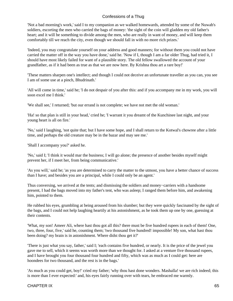'Not a bad morning's work,' said I to my companion as we walked homewards, attended by some of the Nuwab's soldiers, escorting the men who carried the bags of money: 'the sight of the coin will gladden my old father's heart; and it will be something to divide among the men, who are really in want of money, and will keep them comfortably till we reach the city, even though we should fall in with no more rich prizes.'

'Indeed, you may congratulate yourself on your address and good manners; for without them you could not have carried the matter off in the way you have done,' said he. 'Now if I, though I am a far older Thug, had tried it, I should have most likely failed for want of a plausible story. The old fellow swallowed the account of your grandfather, as if it had been as true as that we are now here. By Krishna thou art a rare boy!'

'These matters sharpen one's intellect; and though I could not deceive an unfortunate traveller as you can, you see I am of some use at a pinch, Bhudrinath.'

'All will come in time,' said he; 'I do not despair of you after this: and if you accompany me in my work, you will soon excel me I think.'

'We shall see,' I returned; 'but our errand is not complete; we have not met the old woman.'

'Ha! so that plan is still in your head,' cried he; 'I warrant it you dreamt of the Kunchinee last night, and your young heart is all on fire.'

'No,' said I laughing, 'not quite that; but I have some hope, and I shall return to the Kotwal's chowree after a little time, and perhaps the old creature may be in the bazar and may see me.'

'Shall I accompany you?' asked he.

'No,' said I; 'I think it would mar the business; I will go alone; the presence of another besides myself might prevent her, if I meet her, from being communicative.'

'As you will,' said he; 'as you are determined to carry the matter to the utmost, you have a better chance of success than I have; and besides you are a principal, while I could only be an agent.'

Thus conversing, we arrived at the tents; and dismissing the soldiers and money−carriers with a handsome present, I had the bags moved into my father's tent, who was asleep; I ranged them before him, and awakening him, pointed to them.

He rubbed his eyes, grumbling at being aroused from his slumber; but they were quickly fascinated by the sight of the bags, and I could not help laughing heartily at his astonishment, as he took them up one by one, guessing at their contents.

'What, my son! Ameer Ali, where hast thou got all this? there must be five hundred rupees in each of them! One, two, three, four, five,' said he, counting them; 'two thousand five hundred! impossible! My son, what hast thou been doing? my brain is in astonishment. Where didst thou get it?'

'There is just what you say, father,' said I; 'each contains five hundred, or nearly. It is the price of the jewel you gave me to sell, which it seems was worth more than we thought for. I asked at a venture five thousand rupees, and I have brought you four thousand four hundred and fifty, which was as much as I could get: here are hoondees for two thousand, and the rest is in the bags.'

'As much as you could get, boy!' cried my father; 'why thou hast done wonders. Mashalla! we are rich indeed; this is more than I ever expected:' and, his eyes fairly running over with tears, he embraced me warmly.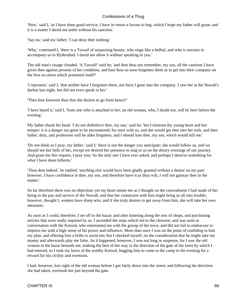'Now,' said I, 'as I have done good service, I have in return a favour to beg, which I hope my father will grant; and it is a matter I dared not settle without his sanction.'

'Say on,' said my father; 'I can deny thee nothing.'

'Why,' continued I, 'there is a Tuwaif of surpassing beauty, who sings like a bulbul, and who is anxious to accompany us to Hyderabad. I dared not allow it without speaking to you.'

The old man's visage clouded. 'A Tuwaif!' said he; 'and dost thou not remember, my son, all the cautions I have given thee against persons of her condition, and hast thou so soon forgotten them as to get into their company on the first occasion which presented itself?'

'I represent,' said I, 'that neither have I forgotten them, nor have I gone into her company. I saw her at the Nuwab's durbar last night, but did not even speak to her.'

'Then how knowest thou that she desires to go from hence?'

'I have heard it,' said I, 'from one who is attached to her, an old woman, who, I doubt not, will be here before the evening.'

My father shook his head. 'I do not disbelieve thee, my son,' said he; 'but I mistrust thy young heart and hot temper: it is a danger too great to be encountered; for once with us, and she would get thee into her toils, and then father, duty, and profession will be alike forgotten, and I should lose thee, my son, which would kill me.'

'Do not think so I pray, my father,' said I; 'there is not the danger you anticipate; she would follow us, and we should see but little of her, except we desired her presence to sing to us on the dreary evenings of our journey. And grant me this request, I pray you; 'tis the only one I have ever asked, and perhaps I deserve something for what I have done hitherto.'

'Thou dost indeed,' he replied; 'anything else would have been gladly granted without a demur on my part: however, I have confidence in thee, my son, and therefore have it as thou wilt, I will not gainsay thee in the matter.'

So far therefore there was no objection: yet my heart smote me as I thought on the concealment I had made of her being in the pay and service of the Nuwab, and that her connexion with him might bring us all into trouble; however, thought I, women have sharp wits; and if she truly desires to get away from him, she will take her own measures.

As soon as I could, therefore, I set off to the bazar; and after loitering along the row of shops, and purchasing articles that were really required by us, I ascended the steps which led to the chowree, and was soon in conversation with the Kotwal, who entertained me with the gossip of the town, and did not fail to endeavour to impress me with a high sense of his power and influence. More than once I was on the point of confiding to him my plan, and offering him a bribe to assist me; but I checked myself, on the consideration that he might take my money and afterwards play me false. As it happened, however, I was not long in suspense, for I saw the old woman in the bazar beneath me, making the best of her way in the direction of the gate of the town by which I had entered; so I took my leave of the worthy Kotwal, begging him to come to the camp in the evening for a reward for his civility and exertions.

I had, however, lost sight of the old woman before I got fairly down into the street; and following the direction she had taken, overtook her just beyond the gate.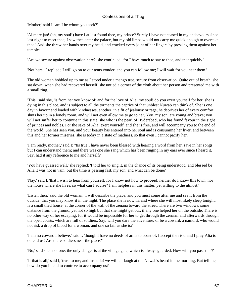'Mother,' said I, 'am I he whom you seek?'

'Ai mere jan! (ah, my soul!) have I at last found thee, my prince? Surely I have not ceased in my endeavours since last night to meet thee; I saw thee enter the palace, but my old limbs would not carry me quick enough to overtake thee.' And she threw her hands over my head, and cracked every joint of her fingers by pressing them against her temples.

'Are we secure against observation here?' she continued, 'for I have much to say to thee, and that quickly.'

'Not here,' I replied; 'I will go on to our tents yonder, and you can follow me; I will wait for you near them.'

The old woman hobbled up to me as I stood under a mango tree, secure from observation. Quite out of breath, she sat down: when she had recovered herself, she untied a corner of the cloth about her person and presented me with a small ring.

'This,' said she, 'is from her you know of: and for the love of Alia, my soul! do you exert yourself for her: she is dying in this place, and is subject to all the torments the caprice of that unblest Nuwab can think of. She is one day in favour and loaded with kindnesses, another, in a fit of jealousy or rage, he deprives her of every comfort, shuts her up in a lonely room, and will not even allow me to go to her. You, my son, are young and brave; you will not suffer her to continue in this state, she who is the pearl of Hyderabad, who has found favour in the sight of princes and nobles. For the sake of Alia, exert yourself, and she is free, and will accompany you to the end of the world. She has seen you, and your beauty has entered into her soul and is consuming her liver; and between this and her former miseries, she is today in a state of madness, so that even I cannot pacify her.'

'I am ready, mother,' said I: "tis true I have never been blessed with hearing a word from her, save in her songs; but I can understand them; and there was one she sang which has been ringing in my ears ever since I heard it. Say, had it any reference to me and herself?'

'You have guessed well,' she replied; 'I told her to sing it, in the chance of its being understood, and blessed be Alia it was not in vain: but the time is passing fast, my son, and what can be done?'

'Nay,' said I, 'that I wish to hear from yourself, for I know not how to proceed; neither do I know this town, nor the house where she lives, so what can I advise? I am helpless in this matter, yet willing to the utmost.'

'Listen then,' said the old woman; 'I will describe the place, and you must come after me and see it from the outside, that you may know it in the night. The place she is now in, and where she will most likely sleep tonight, is a small tiled house, at the corner of the wall of the zenana toward the street. There are two windows, some distance from the ground, yet not so high but that she might get out, if any one helped her on the outside. There is no other way of her escaping; for it would be impossible for her to get through the zenana, and afterwards through the open courts, which are full of soldiers. Say, will you dare the adventure; or be a coward, a namurd, who would not risk a drop of blood for a woman, and one so fair as she is?'

'I am no coward I believe,' said I, 'though I have no deeds of arms to boast of. I accept the risk, and I pray Alia to defend us! Are there soldiers near the place?'

'No,' said she, 'not one; the only danger is at the village gate, which is always guarded. How will you pass this?'

'If that is all,' said I, 'trust to me; and Inshalla! we will all laugh at the Nuwab's beard in the morning. But tell me, how do you intend to contrive to accompany us?'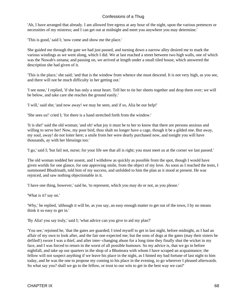'Ah, I have arranged that already. I am allowed free egress at any hour of the night, upon the various pretences or necessities of my mistress; and I can get out at midnight and meet you anywhere you may determine.'

'This is good,' said I; 'now come and show me the place.'

She guided me through the gate we had just passed, and turning down a narrow alley desired me to mark the various windings as we went along, which I did. We at last reached a street between two high walls, one of which was the Nuwab's zenana; and passing on, we arrived at length under a small tiled house, which answered the description she had given of it.

'This is the place,' she said; 'and that is the window from whence she must descend. It is not very high, as you see, and there will not be much difficulty in her getting out.'

'I see none,' I replied, 'if she has only a stout heart. Tell her to tie her sheets together and drop them over; we will be below, and take care she reaches the ground easily.'

'I will,' said she; 'and now away! we may be seen, and if so, Alia be our help!'

'She sees us!' cried I; 'for there is a hand stretched forth from the window.'

'It is she!' said the old woman; 'and oh! what joy it must be to her to know that there are persons anxious and willing to serve her! Now, my poor bird, thou shalt no longer have a cage, though it be a gilded one. But away, my soul, away! do not loiter here; a smile from her were dearly purchased now, and tonight you will have thousands, ay with her blessings too.'

'I go,' said I; 'but fail not, nurse; for your life see that all is right; you must meet us at the corner we last passed.'

The old woman nodded her assent, and I withdrew as quickly as possible from the spot, though I would have given worlds for one glance, for one approving smile, from the object of my love. As soon as I reached the tents, I summoned Bhudrinath, told him of my success, and unfolded to him the plan as it stood at present. He was rejoiced, and saw nothing objectionable in it.

'I have one thing, however,' said he, 'to represent, which you may do or not, as you please.'

'What is it? say on.'

'Why,' he replied, 'although it will be, as you say, an easy enough matter to get out of the town, I by no means think it so easy to get in.'

'By Alia! you say truly,' said I; 'what advice can you give to aid my plan?'

'You see,' rejoined he, 'that the gates are guarded; I tried myself to get in last night, before midnight, as I had an affair of my own to look after, and the fair one expected me; but the sons of dogs at the gates (may their sisters be defiled!) swore I was a thief, and after inter−changing abuse for a long time they finally shut the wicket in my face, and I was forced to return in the worst of all possible humours. So my advice is, that we go in before nightfall, and take up our quarters in the shop of a Bhutteara with whom I have scraped an acquaintance; the fellow will not suspect anything if we leave his place in the night, as I hinted my bad fortune of last night to him today, and he was the one to propose my coming to his place in the evening, to go wherever I pleased afterwards. So what say you? shall we go to the fellow, or trust to our wits to get in the best way we can?'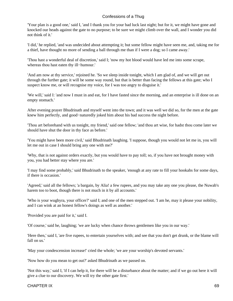'Your plan is a good one,' said I, 'and I thank you for your bad luck last night; but for it, we might have gone and knocked our heads against the gate to no purpose; to be sure we might climb over the wall, and I wonder you did not think of it.'

'I did,' he replied, 'and was undecided about attempting it; but some fellow might have seen me, and, taking me for a thief, have thought no more of sending a ball through me than if I were a dog; so I came away.'

'Thou hast a wonderful deal of discretion,' said I; 'now my hot blood would have led me into some scrape, whereas thou hast eaten thy ill−humour.'

'And am now at thy service,' rejoined he. 'So we sleep inside tonight, which I am glad of, and we will get out through the further gate; it will be some way round, but that is better than facing the fellows at this gate; who I suspect know me, or will recognise my voice, for I was too angry to disguise it.'

'We will,' said I: 'and now I must in and eat, for I have fasted since the morning, and an enterprise is ill done on an empty stomach.'

After evening prayer Bhudrinath and myself went into the town; and it was well we did so, for the men at the gate knew him perfectly, and good−naturedly joked him about his bad success the night before.

'Thou art beforehand with us tonight, my friend,' said one fellow; 'and thou art wise, for hadst thou come later we should have shut the door in thy face as before.'

'You might have been more civil,' said Bhudrinath laughing. 'I suppose, though you would not let me in, you will let me out in case I should bring any one with me?'

'Why, that is not against orders exactly, but you would have to pay toll; so, if you have not brought money with you, you had better stay where you are.'

'I may find some probably,' said Bhudrinath to the speaker, 'enough at any rate to fill your hookahs for some days, if there is occasion.'

'Agreed,' said all the fellows; 'a bargain, by Alia! a few rupees, and you may take any one you please, the Nuwab's harem too to boot, though there is not much in it by all accounts.'

'Who is your wughyra, your officer?' said I; and one of the men stepped out. 'I am he, may it please your nobility, and I can wink at an honest fellow's doings as well as another.'

'Provided you are paid for it,' said I.

'Of course,' said he, laughing; 'we are lucky when chance throws gentlemen like you in our way.'

'Here then,' said I, 'are five rupees, to entertain yourselves with; and see that you don't get drunk, or the blame will fall on us.'

'May your condescension increase!' cried the whole; 'we are your worship's devoted servants.'

'Now how do you mean to get out?' asked Bhudrinath as we passed on.

'Not this way,' said I, 'if I can help it, for there will be a disturbance about the matter; and if we go out here it will give a clue to our discovery. We will try the other gate first.'

#### CHAPTER IX 69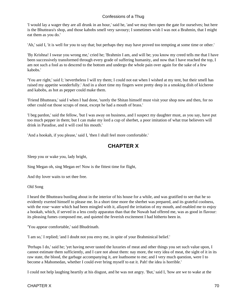'I would lay a wager they are all drunk in an hour,' said he, 'and we may then open the gate for ourselves; but here is the Bhutteara's shop, and those kabobs smell very savoury; I sometimes wish I was not a Brahmin, that I might eat them as you do.'

'Ah,' said I, 'it is well for you to say that; but perhaps they may have proved too tempting at some time or other.'

'By Krishna! I swear you wrong me,' cried he; 'Brahmin I am, and will be; you know my creed tells me that I have been successively transformed through every grade of suffering humanity, and now that I have reached the top, I am not such a fool as to descend to the bottom and undergo the whole pain over again for the sake of a few kabobs.'

'You are right,' said I; 'nevertheless I will try them; I could not eat when I wished at my tent, but their smell has raised my appetite wonderfully.' And in a short time my fingers were pretty deep in a smoking dish of kicheree and kabobs, as hot as pepper could make them.

'Friend Bhutteara,' said I when I had done, 'surely the Shitan himself must visit your shop now and then, for no other could eat those scraps of meat, except he had a mouth of brass.'

'I beg pardon,' said the fellow, 'but I was away on business, and I suspect my daughter must, as you say, have put too much pepper in them; but I can make my lord a cup of sherbet, a poor imitation of what true believers will drink in Paradise, and it will cool his mouth.'

'And a hookah, if you please,' said I, 'then I shall feel more comfortable.'

# **CHAPTER X**

Sleep you or wake you, lady bright,

Sing Megan oh, sing Megan ee! Now is the fittest time for flight,

And thy lover waits to set thee free.

#### Old Song

I heard the Bhutteara bustling about in the interior of his house for a while, and was gratified to see that he so evidently exerted himself to please me. In a short time more the sherbet was prepared, and its grateful coolness, with the rose−water which had been mingled with it, allayed the irritation of my mouth, and enabled me to enjoy a hookah, which, if served in a less costly apparatus than that the Nuwab had offered me, was as good in flavour: its pleasing fumes composed me, and quieted the feverish excitement I had hitherto been in.

'You appear comfortable,' said Bhudrinath.

'I am so,' I replied; 'and I doubt not you envy me, in spite of your Brahminical belief.'

'Perhaps I do,' said he; 'yet having never tasted the luxuries of meat and other things you set such value upon, I cannot estimate them sufficiently, and I care not about them: nay more, the very idea of meat, the sight of it in its raw state, the blood, the garbage accompanying it, are loathsome to me; and I very much question, were I to become a Mahomedan, whether I could ever bring myself to eat it. Pah! the idea is horrible.'

I could not help laughing heartily at his disgust, and he was not angry. 'But,' said I, 'how are we to wake at the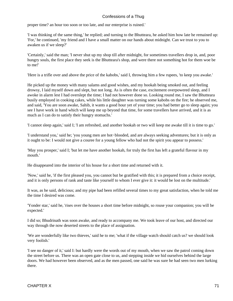proper time? an hour too soon or too late, and our enterprise is ruined.'

'I was thinking of the same thing,' he replied; and turning to the Bhutteara, he asked him how late he remained up: 'For,' he continued, 'my friend and I have a small matter on our hands about midnight. Can we trust to you to awaken us if we sleep?'

'Certainly,' said the man; 'I never shut up my shop till after midnight, for sometimes travellers drop in, and, poor hungry souls, the first place they seek is the Bhutteara's shop, and were there not something hot for them woe be to me!'

'Here is a trifle over and above the price of the kabobs,' said I, throwing him a few rupees, 'to keep you awake.'

He picked up the money with many salams and good wishes, and my hookah being smoked out, and feeling drowsy, I laid myself down and slept, but not long. As is often the case, excitement overpowered sleep, and I awoke in alarm lest I had overslept the time; I had not however done so. Looking round me, I saw the Bhutteara busily employed in cooking cakes, while his little daughter was turning some kabobs on the fire; he observed me, and said, 'You are soon awake, Sahib, it wants a good hour yet of your time; you had better go to sleep again; you see I have work in hand which will keep me up beyond that time, for some travellers have arrived, and it is as much as I can do to satisfy their hungry stomachs.'

'I cannot sleep again,' said I; 'I am refreshed, and another hookah or two will keep me awake till it is time to go.'

'I understand you,' said he; 'you young men are hot−blooded, and are always seeking adventures; but it is only as it ought to be: I would not give a couree for a young fellow who had not the spirit you appear to possess.'

'May you prosper,' said I; 'but let me have another hookah, for truly the first has left a grateful flavour in my mouth.'

He disappeared into the interior of his house for a short time and returned with it.

'Now,' said he, 'if the first pleased you, you cannot but be gratified with this; it is prepared from a choice receipt, and it is only persons of rank and taste like yourself to whom I ever give it: it would be lost on the multitude.'

It was, as he said, delicious; and my pipe had been refilled several times to my great satisfaction, when he told me the time I desired was come.

'Yonder star,' said he, 'rises over the houses a short time before midnight, so rouse your companion; you will be expected.'

I did so; Bhudrinath was soon awake, and ready to accompany me. We took leave of our host, and directed our way through the now deserted streets to the place of assignation.

'We are wonderfully like two thieves,' said he to me; 'what if the village watch should catch us? we should look very foolish.'

'I see no danger of it,' said I: but hardly were the words out of my mouth, when we saw the patrol coming down the street before us. There was an open gate close to us, and stepping inside we hid ourselves behind the large doors. We had however been observed, and as the men passed, one said he was sure he had seen two men lurking there.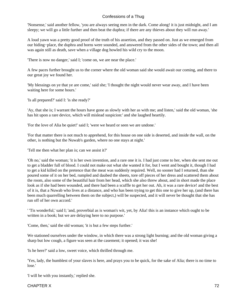'Nonsense,' said another fellow, 'you are always seeing men in the dark. Come along! it is just midnight, and I am sleepy; we will go a little further and then beat the duphra; if there are any thieves about they will run away.'

A loud yawn was a pretty good proof of the truth of his assertion, and they passed on. Just as we emerged from our hiding−place, the duphra and horns were sounded, and answered from the other sides of the town; and then all was again still as death, save when a village dog howled his wild cry to the moon.

'There is now no danger,' said I; 'come on, we are near the place.'

A few paces further brought us to the corner where the old woman said she would await our coming, and there to our great joy we found her.

'My blessings on ye that ye are come,' said she; 'I thought the night would never wear away, and I have been waiting here for some hours.'

'Is all prepared?' said I: 'is she ready?'

'Ay, that she is; I warrant the hours have gone as slowly with her as with me; and listen,' said the old woman, 'she has hit upon a rare device, which will mislead suspicion:' and she laughed heartily.

'For the love of Alia be quiet!' said I; 'were we heard or seen we are undone.'

'For that matter there is not much to apprehend, for this house on one side is deserted, and inside the wall, on the other, is nothing but the Nuwab's garden, where no one stays at night.'

'Tell me then what her plan is; can we assist it?'

'Oh no,' said the woman; 'it is her own invention, and a rare one it is. I had just come to her, when she sent me out to get a bladder full of blood. I could not make out what she wanted it for, but I went and bought it, though I had to get a kid killed on the pretence that the meat was suddenly required. Well, no sooner had I returned, than she poured some of it on her bed, rumpled and daubed the sheets, tore off pieces of her dress and scattered them about the room, also some of the beautiful hair from her head, which she also threw about, and in short made the place look as if she had been wounded, and there had been a scuffle to get her out. Ah, it was a rare device! and the best of it is, that a Nuwab who lives at a distance, and who has been trying to get this one to give her up, (and there has been much quarrelling between them on the subject,) will be suspected, and it will never be thought that she has run off of her own accord.'

' 'Tis wonderful,' said I; 'and, proverbial as is woman's wit, yet, by Alia! this is an instance which ought to be written in a book; but we are delaying here to no purpose.'

'Come, then,' said the old woman; 'it is but a few steps further.'

We stationed ourselves under the window, in which there was a strong light burning; and the old woman giving a sharp but low cough, a figure was seen at the casement; it opened; it was she!

'Is he here?' said a low, sweet voice, which thrilled through me.

'Yes, lady, the humblest of your slaves is here, and prays you to be quick, for the sake of Alia; there is no time to lose.'

'I will be with you instantly,' replied she.

#### CHAPTER X 72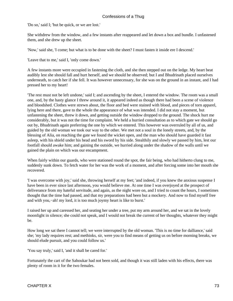'Do so,' said I; 'but be quick, or we are lost.'

She withdrew from the window, and a few instants after reappeared and let down a box and bundle. I unfastened them, and she drew up the sheet.

'Now,' said she, 'I come; but what is to be done with the sheet? I must fasten it inside ere I descend.'

'Leave that to me,' said I, 'only come down.'

A few instants more were occupied in fastening the cloth, and she then stepped out on the ledge. My heart beat audibly lest she should fall and hurt herself, and we should be observed; but I and Bhudrinath placed ourselves underneath, to catch her if she fell. It was however unnecessary, for she was on the ground in an instant, and I had pressed her to my heart!

'The rest must not be left undone,' said I; and ascending by the sheet, I entered the window. The room was a small one, and, by the hasty glance I threw around it, it appeared indeed as though there had been a scene of violence and bloodshed. Clothes were strewn about, the floor and bed were stained with blood, and pieces of torn apparel, lying here and there, gave to the whole the appearance of what was intended. I did not stay a moment, but unfastening the sheet, threw it down, and getting outside the window dropped to the ground. The shock hurt me considerably, but it was not the time for complaint. We held a hurried consultation as to which gate we should go out by, Bhudrinath again preferring the one by which we entered. This however was overruled by all of us, and guided by the old woman we took our way to the other. We met not a soul in the lonely streets, and, by the blessing of Alia, on reaching the gate we found the wicket open, and the man who should have guarded it fast asleep, with his shield under his head and his sword by his side. Stealthily and slowly we passed by him, lest our footfall should awake him; and gaining the outside, we hurried along under the shadow of the walls until we gained the plain on which was our encampment.

When fairly within our guards, who were stationed round the spot, the fair being, who had hitherto clung to me, suddenly sunk down. To fetch water for her was the work of a moment, and after forcing some into her mouth she recovered.

'I was overcome with joy,' said she, throwing herself at my feet; 'and indeed, if you knew the anxious suspense I have been in ever since last afternoon, you would believe me. At one time I was overjoyed at the prospect of deliverance from my hateful servitude, and again, as the night wore on, and I tried to count the hours, I sometimes thought that the time had passed, and that my preparations had been but a mockery. And now to find myself free and with you,−ah! my lord, it is too much joymy heart is like to burst.'

I raised her up and caressed her, and seating her under a tree, put my arm around her, and we sat in the lovely moonlight in silence; she could not speak, and I would not break the current of her thoughts, whatever they might be.

How long we sat there I cannot tell; we were interrupted by the old woman. 'This is no time for dalliance,' said she; 'my lady requires rest; and methinks, sir, were you to find means of getting us on before morning breaks, we should elude pursuit, and you could follow us.'

'You say truly,' said I, 'and it shall be cared for.'

Fortunately the cart of the Sahoukar had not been sold, and though it was still laden with his effects, there was plenty of room in it for the two females.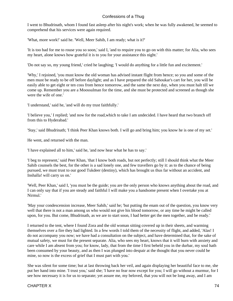I went to Bhudrinath, whom I found fast asleep after his night's work; when he was fully awakened, he seemed to comprehend that his services were again required.

'What, more work!' said he. 'Well, Meer Sahib, I am ready; what is it?'

'It is too bad for me to rouse you so soon,' said I, 'and to require you to go on with this matter; for Alia, who sees my heart, alone knows how grateful it is to you for your assistance this night.'

'Do not say so, my young friend,' cried he laughing; 'I would do anything for a little fun and excitement.'

'Why,' I rejoined, 'you must know the old woman has advised instant flight from hence; so you and some of the men must be ready to be off before daylight; and as I have prepared the old Sahoukar's cart for her, you will be easily able to get eight or ten coss from hence tomorrow, and the same the next day, when you must halt till we come up. Remember you are a Moossulman for the time, and she must be protected and screened as though she were the wife of one.'

'I understand,' said he, 'and will do my trust faithfully.'

'I believe you,' I replied; 'and now for the road, which to take I am undecided. I have heard that two branch off from this to Hyderabad.'

'Stay,' said Bhudrinath; 'I think Peer Khan knows both. I will go and bring him; you know he is one of my set.'

He went, and returned with the man.

'I have explained all to him,' said he, 'and now hear what he has to say.'

'I beg to represent,' said Peer Khan, 'that I know both roads, but not perfectly; still I should think what the Meer Sahib counsels the best, for the other is a sad lonely one, and few travellers go by it: as to the chance of being pursued, we must trust to our good Tukdeer (destiny), which has brought us thus far without an accident, and Inshalla! will carry us on.'

'Well, Peer Khan,' said I, 'you must be the guide; you are the only person who knows anything about the road, and I can only say that if you are steady and faithful I will make you a handsome present when I overtake you at Nirmul.'

'May your condescension increase, Meer Sahib,' said he; 'but putting the enam out of the question, you know very well that there is not a man among us who would not give his blood tomorrow, or any time he might be called upon, for you. But come, Bhudrinath, as we are to start soon, I had better get the men together, and be ready.'

I returned to the tent, where I found Zora and the old woman sitting covered up in their sheets, and warming themselves over a fire they had lighted. In a few words I told them of the necessity of flight, and added, 'Alas! I do not accompany you now; we have had a consultation on the subject, and have determined that, for the sake of mutual safety, we must for the present separate. Alia, who sees my heart, knows that it will burn with anxiety and care while I am absent from you; for know, lady, that from the time I first beheld you in the durbar, my soul hath been consumed by your beauty, and as then I was plunged into despair at the thought that you never could be mine, so now is the excess of grief that I must part with you.'

She was silent for some time; but at last throwing back her veil, and again displaying her beautiful face to me, she put her hand into mine. 'I trust you,' said she; 'I have no fear now except for you; I will go without a murmur, for I see how necessary it is for us to separate; yet assure me, my beloved, that you will not be long away, and I am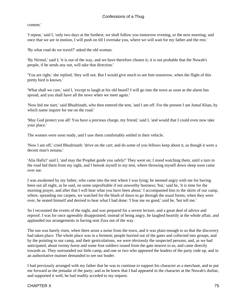content.'

'I repeat,' said I, 'only two days at the furthest; we shall follow you tomorrow evening, or the next morning; and once that we are in motion, I will push on till I overtake you, where we will wait for my father and the rest.'

'By what road do we travel?' asked the old woman.

'By Nirmul,' said I; 'it is out of the way, and we have therefore chosen it; it is not probable that the Nuwab's people, if he sends any out, will take that direction.'

'You are right,' she replied; 'they will not. But I would give much to see him tomorrow, when the flight of this pretty bird is known.'

'What shall we care,' said I, 'except to laugh at his old beard? I will go into the town as soon as the alarm has spread, and you shall have all the news when we meet again.'

'Now bid me start,' said Bhudrinath, who then entered the tent, 'and I am off. For the present I am Jumal Khan, by which name inquire for me on the road.'

'May God protect you all! You have a precious charge, my friend,' said I, 'and would that I could even now take your place.'

The women were soon ready, and I saw them comfortably settled in their vehicle.

'Now I am off,' cried Bhudrinath: 'drive on the cart; and do some of you fellows keep about it, as though it were a decent man's zenana.'

'Alia Hafiz!' said I, 'and may the Prophet guide you safely!' They went on; I stood watching them, until a turn in the road hid them from my sight, and I betook myself to my tent, where throwing myself down sleep soon came over me.

I was awakened by my father, who came into the tent where I was lying; he seemed angry with me for having been out all night, as he said, on some unprofitable if not unworthy business; 'but,' said he, 'it is time for the morning prayer, and after that I will hear what you have been about.' I accompanied him to the skirts of our camp, where, spreading our carpets, we watched for the blush of dawn to go through the usual forms; when they were over, he seated himself and desired to hear what I had done: 'I fear me no good,' said he, 'but tell me.'

So I recounted the events of the night, and was prepared for a severe lecture, and a great deal of advice and reproof. I was for once agreeably disappointed; instead of being angry, he laughed heartily at the whole affair, and applauded our arrangements in having sent Zora out of the way.

The sun was barely risen, when there arose a noise from the town, and it was plain enough to us that the discovery had taken place. The whole place was in a ferment; people hurried out of the gates and collected into groups, and by the pointing to our camp, and their gesticulations, we were obviously the suspected persons; and, as we had anticipated, about twenty horse and some foot soldiers issued from the gate nearest to us, and came directly towards us. They surrounded our little camp, and one or two who appeared the leaders of the party rode up, and in an authoritative manner demanded to see our leader.

I had previously arranged with my father that he was to continue to support his character as a merchant, and to put me forward as the jemadar of the party; and as he knew that I had appeared in the character at the Nuwab's durbar, and supported it well, he had readily acceded to my request.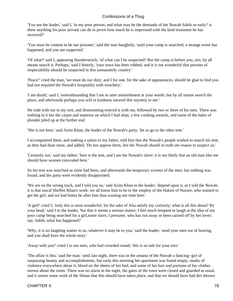'You see the leader,' said I, 'in my poor person; and what may be the demands of the Nuwab Sahib so early? is there anything his poor servant can do to prove how much he is impressed with the kind treatment he has received?'

'You must be content to be our prisoner,' said the man haughtily, 'until your camp is searched; a strange event has happened, and you are suspected.'

'Of what?' said I, appearing thunderstruck; 'of what can I be suspected? But the camp is before you, sirs; by all means search it. Perhaps,' said I bitterly, 'your town has been robbed, and it is not wonderful that persons of respectability should be suspected in this unmannerly country.'

'Peace!' cried the man, 'we must do our duty; and I for one, for the sake of appearances, should be glad to find you had not requited the Nuwab's hospitality with treachery.'

'I am dumb,' said I, 'notwithstanding that I am in utter astonishment at your words; but by all means search the place, and afterwards perhaps you will in kindness unravel this mystery to me.'

He rode with me to my tent, and dismounting entered it with me, followed by two or three of his men. There was nothing in it but the carpet and mattress on which I had slept, a few cooking utensils, and some of the bales of plunder piled up at the further end.

'She is not here,' said Azim Khan, the leader of the Nuwab's party, 'let us go to the other tent.'

I accompanied them, and making a salam to my father, told him that the Nuwab's people wished to search his tent, as they had done mine, and added, 'Do not oppose them, lest the Nuwab should in truth see reason to suspect us.'

'Certainly not,' said my father; 'here is the tent, and I am the Nuwab's slave; it is not likely that an old man like me should have women concealed here.'

So his tent was searched as mine had been, and afterwards the temporary screens of the men; but nothing was found, and the party were evidently disappointed.

'We are on the wrong track, and I told you so,' said Azim Khan to the leader; 'depend upon it, as I told the Nuwab, it is that rascal Sheffee Khan's work: we all know him to be in the employ of the Hakim of Nursee, who wanted to get the girl, and we had better be after him than wasting our time here.'

'A girl!' cried I; 'truly this is most wonderful; for the sake of Alia satisfy my curiosity; what is all this about? By your head,' said I to the leader, 'but that it seems a serious matter, I feel much tempted to laugh at the idea of my poor camp being searched for a girl, some slave, I presume, who has run away or been carried off by her lover; say, Sahib, what has happened?'

'Why, it is no laughing matter to us, whatever it may be to you,' said the leader; 'send your men out of hearing, and you shall have the whole story.'

'Away with you!' cried I to our men, who had crowded round; 'this is no tale for your ears.'

'The affair is this,' said the man: 'until last night, there was in the zenana of the Nuwab a dancing−girl of surpassing beauty and accomplishments; but early this morning her apartment was found empty, marks of violence everywhere about it, blood on the sheets of her bed, and some of her hair and portions of her clothes strewn about the room. There was no alarm in the night, the gates of the town were closed and guarded as usual, and it seems some work of the Shitan that this should have taken place, and that we should have had dirt thrown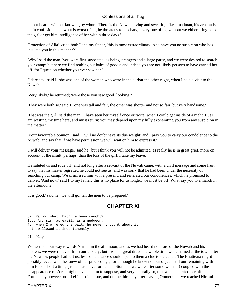on our beards without knowing by whom. There is the Nuwab raving and swearing like a madman, his zenana is all in confusion; and, what is worst of all, he threatens to discharge every one of us, without we either bring back the girl or get him intelligence of her within three days.'

'Protection of Alia!' cried both I and my father, 'this is most extraordinary. And have you no suspicion who has insulted you in this manner?'

'Why,' said the man, 'you were first suspected, as being strangers and a large party, and we were desired to search your camp; but here we find nothing but bales of goods: and indeed you are not likely persons to have carried her off, for I question whether you ever saw her.'

'I dare say,' said I, 'she was one of the women who were in the durbar the other night, when I paid a visit to the Nuwab.'

'Very likely,' he returned; 'were those you saw good−looking?'

'They were both so,' said I: 'one was tall and fair, the other was shorter and not so fair, but very handsome.'

'That was the girl,' said the man; 'I have seen her myself once or twice, when I could get inside of a night. But I am wasting my time here, and must return; you may depend upon my fully exonerating you from any suspicion in the matter.'

'Your favourable opinion,' said I, 'will no doubt have its due weight: and I pray you to carry our condolence to the Nuwab, and say that if we have permission we will wait on him to express it.'

'I will deliver your message,' said he; 'but I think you will not be admitted, as really he is in great grief, more on account of the insult, perhaps, than the loss of the girl. I take my leave.'

He saluted us and rode off; and not long after a servant of the Nuwab came, with a civil message and some fruit, to say that his master regretted he could not see us, and was sorry that he had been under the necessity of searching our camp. We dismissed him with a present, and reiterated our condolences, which he promised to deliver. 'And now,' said I to my father, 'this is no place for us longer; we must be off. What say you to a march in the afternoon?'

'It is good,' said he; 'we will go: tell the men to be prepared.'

# **CHAPTER XI**

Sir Ralph. What! hath he been caught? Boy. Ay, sir, as easily as a gudgeon; for when I offered the bait, he never thought about it, but swallowed it incontinently.

Old Play

We were on our way towards Nirmul in the afternoon, and as we had heard no more of the Nuwab and his distress, we were relieved from our anxiety; but I was in great dread the whole time we remained at the town after the Nuwab's people had left us, lest some chance should open to them a clue to detect us. The Bhutteara might possibly reveal what he knew of our proceedings; for although he knew not our object, still our remaining with him for so short a time, (as he must have formed a notion that we were after some woman,) coupled with the disappearance of Zora, might have led him to suppose, and very naturally so, that we had carried her off. Fortunately however no ill effects did ensue, and on the third day after leaving Oomerkhair we reached Nirmul.

CHAPTER XI AND THE SERVICE STATE OF THE SERVICE STATES OF THE SERVICE STATES OF THE SERVICE STATES OF THE SERVICE STATES OF THE SERVICE STATES OF THE SERVICE STATES OF THE SERVICE STATES OF THE SERVICE STATES OF THE SERVIC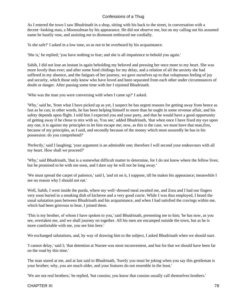As I entered the town I saw Bhudrinath in a shop, sitting with his back to the street, in conversation with a decent−looking man, a Moossulman by his appearance. He did not observe me, but on my calling out his assumed name he hastily rose, and assisting me to dismount embraced me cordially.

'Is she safe?' I asked in a low tone, so as not to be overheard by his acquaintance.

'She is,' he replied; 'you have nothing to fear; and she is all impatience to behold you again.'

Sahib, I did not lose an instant in again beholding my beloved and pressing her once more to my heart. She was more lovely than ever; and after some fond chidings for my delay, and a relation of all the anxiety she had suffered in my absence, and the fatigues of her journey, we gave ourselves up to that voluptuous feeling of joy and security, which those only know who have loved and been separated from each other under circumstances of doubt or danger. After passing some time with her I rejoined Bhudrinath.

'Who was the man you were conversing with when I came up?' I asked.

'Why,' said he, 'from what I have picked up as yet, I suspect he has urgent reasons for getting away from hence as fast as he can; in other words, he has been helping himself to more than he ought in some revenue affair, and his safety depends upon flight. I told him I expected you and your party, and that he would have a good opportunity of getting away if he chose to mix with us<sub>;</sub> You see,' added Bhudrinath, 'that when once I have fixed my eye upon any one, it is against my principles to let him escape me; now, as this is the case, we must have that man, first, because of my principles, as I said, and secondly because of the money which most assuredly he has in his possession: do you comprehend?'

'Perfectly,' said I laughing; 'your argument is an admirable one; therefore I will second your endeavours with all my heart. How shall we proceed?'

'Why,' said Bhudrinath, 'that is a somewhat difficult matter to determine, for I do not know where the fellow lives; but he promised to be with me soon, and I dare say he will not be long away.'

'We must spread the carpet of patience,' said I, 'and sit on it, I suppose, till he makes his appearance; meanwhile I see no reason why I should not eat.'

Well, Sahib, I went inside the purda, where my well−dressed meal awaited me, and Zora and I had our fingers very soon buried in a smoking dish of kicheree and a very good currie. While I was thus employed, I heard the usual salutation pass between Bhudrinath and his acquaintance, and when I had satisfied the cravings within me, which had been grievous to bear, I joined them.

'This is my brother, of whom I have spoken to you,' said Bhudrinath, presenting me to him; 'he has now, as you see, overtaken me, and we shall journey on together. All his men are encamped outside the town, but as he is more comfortable with me, you see him here.'

We exchanged salutations, and, by way of drawing him to the subject, I asked Bhudrinath when we should start.

'I cannot delay,' said I; 'that detention at Nursee was most inconvenient, and but for that we should have been far on the road by this time.'

The man stared at me, and at last said to Bhudrinath, 'Surely you must be joking when you say this gentleman is your brother; why, you are much older, and your features do not resemble in the least.'

'We are not real brothers,' he replied, 'but cousins; you know that cousins usually call themselves brothers.'

#### CHAPTER XI and the contract of the contract of the contract of the contract of the contract of the contract of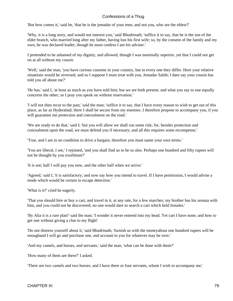'But how comes it,' said he, 'that he is the jemadar of your men, and not you, who are the eldest?'

'Why, it is a long story, and would not interest you,' said Bhudrinath; 'suffice it to say, that he is the son of the elder branch, who married long after my father, having lost his first wife; so, by the consent of the family and my own, he was declared leader, though he must confess I am his adviser.'

I pretended to be ashamed of my dignity, and allowed, though I was nominally superior, yet that I could not get on at all without my *cousin.*

'Well,' said the man, 'you have curious customs in your country, but in every one they differ. Here your relative situations would be reversed; and so I suppose I must treat with you, Jemadar Sahib; I dare say your cousin has told you all about me?'

'He has,' said I, 'at least as much as you have told him; but we are both present, and what you say to one equally concerns the other; so I pray you speak on without reservation.'

'I will not then recur to the past,' said the man; 'suffice it to say, that I have every reason to wish to get out of this place, as far as Hyderabad; there I shall be secure from my enemies. I therefore propose to accompany you, if you will guarantee me protection and concealment on the road.'

'We are ready to do that,' said I; 'but you will allow we shall run some risk; for, besides protection and concealment upon the road, we must defend you if necessary; and all this requires some recompense.'

'True, and I am in no condition to drive a bargain, therefore you must name your own terms.'

'You are liberal, I see,' I rejoined, 'and you shall find us to be so also. Perhaps one hundred and fifty rupees will not be thought by you exorbitant?'

'It is not; half I will pay you now, and the other half when we arrive.'

'Agreed,' said I, 'it is satisfactory; and now say how you intend to travel. If I have permission, I would advise a mode which would be certain to escape detection.'

'What is it?' cried he eagerly.

'That you should hire or buy a cart, and travel in it, at any rate, for a few marches; my brother has his zenana with him, and you could not be discovered; no one would dare to search a cart which held females.'

'By Alia it is a rare plan!' said the man; 'I wonder it never entered into my head. Yet cart I have none; and how to get one without giving a clue to my flight'

'Do not distress yourself about it,' said Bhudrinath; 'furnish us with the moneyabout one hundred rupees will be enoughand I will go and purchase one, and account to you for whatever may be over.'

'And my camels, and horses, and servants,' said the man, 'what can be done with them?'

'How many of them are there?' I asked.

'There are two camels and two horses; and I have three or four servants, whom I wish to accompany me.'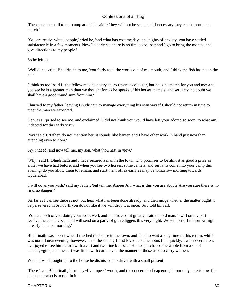'Then send them all to our camp at night,' said I; 'they will not be seen, and if necessary they can be sent on a march.'

'You are ready−witted people,' cried he, 'and what has cost me days and nights of anxiety, you have settled satisfactorily in a few moments. Now I clearly see there is no time to be lost; and I go to bring the money, and give directions to my people.'

So he left us.

'Well done,' cried Bhudrinath to me, 'you fairly took the words out of my mouth, and I think the fish has taken the bait.'

'I think so too,' said I; 'the fellow may be a very sharp revenue collector, but he is no match for you and me; and you see he is a greater man than we thought for, as he speaks of his horses, camels, and servants: no doubt we shall have a good round sum from him.'

I hurried to my father, leaving Bhudrinath to manage everything his own way if I should not return in time to meet the man we expected.

He was surprised to see me, and exclaimed, 'I did not think you would have left your adored so soon; to what am I indebted for this early visit?'

'Nay,' said I, 'father, do not mention her; it sounds like banter, and I have other work in hand just now than attending even to Zora.'

'Ay, indeed! and now tell me, my son, what thou hast in view.'

'Why,' said I, 'Bhudrinath and I have secured a man in the town, who promises to be almost as good a prize as either we have had before; and when you see two horses, some camels, and servants come into your camp this evening, do you allow them to remain, and start them off as early as may be tomorrow morning towards Hyderabad.'

'I will do as you wish,' said my father; 'but tell me, Ameer Ali, what is this you are about? Are you sure there is no risk, no danger?'

'As far as I can see there is not; but hear what has been done already, and then judge whether the matter ought to be persevered in or not. If you do not like it we will drop it at once.' So I told him all.

'You are both of you doing your work well, and I approve of it greatly,' said the old man; 'I will on my part receive the camels, &c., and will send on a party of gravediggers this very night. We will set off tomorrow night or early the next morning.'

Bhudrinath was absent when I reached the house in the town, and I had to wait a long time for his return, which was not till near evening; however, I had the society I best loved, and the hours fled quickly. I was nevertheless overjoyed to see him return with a cart and two fine bullocks. He had purchased the whole from a set of dancing−girls, and the cart was fitted with curtains, in the manner of those used to carry women.

When it was brought up to the house he dismissed the driver with a small present.

'There,' said Bhudrinath, 'is ninety−five rupees' worth, and the concern is cheap enough; our only care is now for the person who is to ride in it.'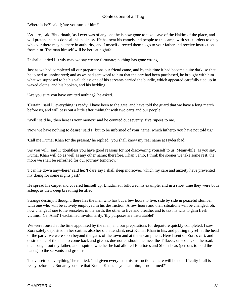'Where is he?' said I; 'are you sure of him?'

'As sure,' said Bhudrinath, 'as I ever was of any one; he is now gone to take leave of the Hakim of the place, and will pretend he has done all his business. He has sent his camels and people to the camp, with strict orders to obey whoever there may be there in authority, and I myself directed them to go to your father and receive instructions from him. The man himself will be here at nightfall.'

'Inshalla!' cried I, 'truly may we say we are fortunate; nothing has gone wrong.'

Just as we had completed all our preparations our friend came, and by this time it had become quite dark, so that he joined us unobserved; and as we had sent word to him that the cart had been purchased, he brought with him what we supposed to be his valuables; one of his servants carried the bundle, which appeared carefully tied up in waxed cloths, and his hookah, and his bedding.

'Are you sure you have omitted nothing?' he asked.

'Certain,' said I; 'everything is ready. I have been to the gate, and have told the guard that we have a long march before us, and will pass out a little after midnight with two carts and our people.'

'Well,' said he, 'then here is your money;' and he counted out seventy−five rupees to me.

'Now we have nothing to desire,' said I, 'but to be informed of your name, which hitherto you have not told us.'

'Call me Kumal Khan for the present,' he replied; 'you shall know my real name at Hyderabad.'

'As you will,' said I; 'doubtless you have good reasons for not discovering yourself to us. Meanwhile, as you say, Kumal Khan will do as well as any other name; therefore, Khan Sahib, I think the sooner we take some rest, the more we shall be refreshed for our journey tomorrow.'

'I can lie down anywhere,' said he; 'I dare say I shall sleep moreover, which my care and anxiety have prevented my doing for some nights past.'

He spread his carpet and covered himself up. Bhudrinath followed his example, and in a short time they were both asleep, as their deep breathing testified.

Strange destiny, I thought; there lies the man who has but a few hours to live, side by side in peaceful slumber with one who will be actively employed in his destruction. A few hours and their situations will be changed, oh, how changed! one to lie senseless in the earth, the other to live and breathe, and to tax his wits to gain fresh victims. 'Ya, Alia!' I exclaimed involuntarily, 'thy purposes are inscrutable!'

We were roused at the time appointed by the men, and our preparations for departure quickly completed. I saw Zora safely deposited in her cart, as also her old attendant, next Kumal Khan in his; and putting myself at the head of the party, we were soon beyond the gates of the town and at the encampment. Here I sent on Zora's cart, and desired one of the men to come back and give us due notice should he meet the Tillaees, or scouts, on the road. I then sought out my father, and inquired whether he had allotted Bhuttotes and Shumsheas (persons to hold the hands) to the servants and grooms.

'I have settled everything,' he replied, 'and given every man his instructions: there will be no difficulty if all is ready before us. But are you sure that Kumal Khan, as you call him, is not armed?'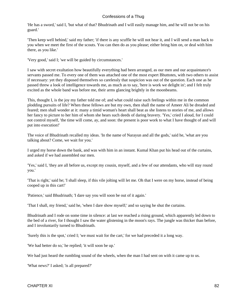'He has a sword,' said I, 'but what of that? Bhudrinath and I will easily manage him, and he will not be on his guard.'

'Then keep well behind,' said my father; 'if there is any scuffle he will not hear it, and I will send a man back to you when we meet the first of the scouts. You can then do as you please; either bring him on, or deal with him there, as you like.'

'Very good,' said I; 'we will be guided by circumstances.'

I saw with secret exultation how beautifully everything had been arranged, as our men and our acquaintance's servants passed me. To every one of them was attached one of the most expert Bhuttotes, with two others to assist if necessary: yet they disposed themselves so carelessly that suspicion was out of the question. Each one as he passed threw a look of intelligence towards me, as much as to say, 'here is work we delight in'; and I felt truly excited as the whole band was before me, their arms glancing brightly in the moonbeams.

This, thought I, is the joy my father told me of; and what could raise such feelings within me in the common plodding pursuits of life? When these fellows are but my own, then shall the name of Ameer Ali be dreaded and feared; men shall wonder at it: many a timid woman's heart shall beat as she listens to stories of me, and allows her fancy to picture to her him of whom she hears such deeds of daring bravery. 'Yes,' cried I aloud, for I could not control myself, 'the time will come, ay, and soon: the present is poor work to what I have thought of and will put into execution!'

The voice of Bhudrinath recalled my ideas. 'In the name of Narayun and all the gods,' said he, 'what are you talking about? Come, we wait for you.'

I urged my horse down the bank, and was with him in an instant. Kumal Khan put his head out of the curtains, and asked if we had assembled our men.

'Yes,' said I, 'they are all before us, except my cousin, myself, and a few of our attendants, who will stay round you.'

'That is right,' said he; 'I shall sleep, if this vile jolting will let me. Oh that I were on my horse, instead of being cooped up in this cart!'

'Patience,' said Bhudrinath; 'I dare say you will soon be out of it again.'

'That I shall, my friend,' said he, 'when I dare show myself;' and so saying he shut the curtains.

Bhudrinath and I rode on some time in silence: at last we reached a rising ground, which apparently led down to the bed of a river, for I thought I saw the water glistening in the moon's rays. The jungle was thicker than before, and I involuntarily turned to Bhudrinath.

'Surely this is the spot,' cried I; 'we must wait for the cart,' for we had preceded it a long way.

'We had better do so,' he replied; 'it will soon be up.'

We had just heard the rumbling sound of the wheels, when the man I had sent on with it came up to us.

'What news?' I asked; 'is all prepared?'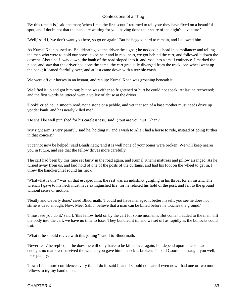'By this time it is,' said the man; 'when I met the first scout I returned to tell you: they have fixed on a beautiful spot, and I doubt not that the band are waiting for you, having done their share of the night's adventure.'

'Well,' said I, 'we don't want you here, so go on again.' But he begged hard to remain, and I allowed him.

As Kumal Khan passed us, Bhudrinath gave the driver the signal; he nodded his head in compliance: and telling the men who were to hold our horses to be near and in readiness, we got behind the cart, and followed it down the descent. About half−way down, the bank of the road sloped into it, and rose into a small eminence. I marked the place, and saw that the driver had done the same: the cart gradually diverged from the track; one wheel went up the bank; it leaned fearfully over, and at last came down with a terrible crash.

We were off our horses in an instant, and ran up: Kumal Khan was groaning beneath it.

We lifted it up and got him out; but he was either so frightened or hurt he could not speak. At last he recovered; and the first words he uttered were a volley of abuse at the driver.

'Look!' cried he; 'a smooth road, not a stone or a pebble, and yet that son of a base mother must needs drive up yonder bank, and has nearly killed me.'

'He shall be well punished for his carelessness,' said I; 'but are you hurt, Khan?'

'My right arm is very painful,' said he, holding it; 'and I wish to Alia I had a horse to ride, instead of going further in that concern.'

'It cannot now be helped,' said Bhudrinath; 'and it is well none of your bones were broken. We will keep nearer you in future, and see that the fellow drives more carefully.'

The cart had been by this time set fairly in the road again, and Kumal Khan's mattress and pillow arranged. As he turned away from us, and laid hold of one of the posts of the curtains, and had his foot on the wheel to get in, I threw the handkerchief round his neck.

'Whatwhat is this?' was all that escaped him; the rest was an indistinct gurgling in his throat for an instant. The wrench I gave to his neck must have extinguished life, for he relaxed his hold of the post, and fell to the ground without sense or motion.

'Neatly and cleverly done,' cried Bhudrinath; 'I could not have managed it better myself; you see he does not stir he is dead enough. Now, Meer Sahib, believe that a man can be killed before he touches the ground.'

'I must see you do it,' said I; 'this fellow held on by the cart for some moments. But come,' I added to the men, 'lift the body into the cart, we have no time to lose.' They bundled it in, and we set off as rapidly as the bullocks could trot.

'What if he should revive with this jolting?' said I to Bhudrinath.

'Never fear,' he replied; 'if he does, he will only have to be killed over again; but depend upon it he is dead enough; no man ever survived the wrench you gave himhis neck is broken. The old Gooroo has taught you well, I see plainly.'

'I own I feel more confidence every time I do it,' said I; 'and I should not care if even now I had one or two more fellows to try my hand upon.'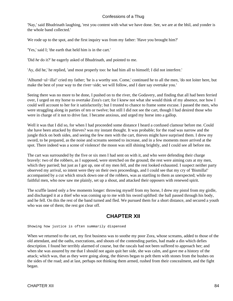'Nay,' said Bhudrinath laughing, 'rest you content with what we have done. See, we are at the bhil, and yonder is the whole band collected.'

We rode up to the spot, and the first inquiry was from my father: 'Have you brought him?'

'Yes,' said I; 'the earth that held him is in the cart.'

'Did *he* do it?' he eagerly asked of Bhudrinath, and pointed to me.

'Ay, did he,' he replied, 'and most properly too: he had him all to himself; I did not interfere.'

'Alhumd−ul−illa!' cried my father; 'he is a worthy son. Come,' continued he to all the men, 'do not loiter here, but make the best of your way to the river−side; we will follow, and I dare say overtake you.'

Seeing there was no more to be done, I pushed on to the river, the Godavery, and finding that all had been ferried over, I urged on my horse to overtake Zora's cart; for I knew not what she would think of my absence, nor how I could well account to her for it satisfactorily; but I trusted to chance to frame some excuse. I passed the men, who were straggling along in parties of ten or twelve; but still I did not see the cart, though I had desired those who were in charge of it not to drive fast. I became anxious, and urged my horse into a gallop.

Well it was that I did so, for when I had proceeded some distance I heard a confused clamour before me. Could she have been attacked by thieves? was my instant thought. It was probable; for the road was narrow and the jungle thick on both sides, and seeing the few men with the cart, thieves might have surprised them. I drew my sword, to be prepared, as the noise and screams seemed to increase, and in a few moments more arrived at the spot. There indeed was a scene of violence! the moon was still shining brightly, and I could see all before me.

The cart was surrounded by the five or six men I had sent on with it, and who were defending their charge bravely: two of the robbers, as I supposed, were stretched on the ground; the rest were aiming cuts at my men, which they parried; but just as I got up, one of my men fell, and the rest looked exhausted. I suspect neither party observed my arrival, so intent were they on their own proceedings, and I could see that my cry of 'Bismilla!' accompanied by a cut which struck down one of the robbers, was as startling to them as unexpected; while my faithful men, who now saw me plainly, set up a shout, and attacked their opposers with renewed spirit.

The scuffle lasted only a few moments longer: throwing myself from my horse, I drew my pistol from my girdle, and discharged it at a thief who was coming up to me with his sword uplifted: the ball passed through his body, and he fell. On this the rest of the band turned and fled. We pursued them for a short distance, and secured a youth who was one of them; the rest got clear off.

# **CHAPTER XII**

Showing how justice is often summarily dispensed

When we returned to the cart, my first business was to soothe my poor Zora, whose screams, added to those of the old attendant, and the oaths, execrations, and shouts of the contending parties, had made a din which defies description. I found her terribly alarmed of course, but the rascals had not been suffered to approach her; and when she was assured by me that I should not again quit her side, she was calm, and gave me a history of the attack; which was, that as they were going along, the thieves began to pelt them with stones from the bushes on the sides of the road; and at last, perhaps not thinking them armed, rushed from their concealment, and the fight began.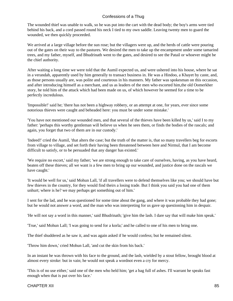The wounded thief was unable to walk, so he was put into the cart with the dead body; the boy's arms were tied behind his back, and a cord passed round his neck I tied to my own saddle. Leaving twenty men to guard the wounded, we then quickly proceeded.

We arrived at a large village before the sun rose; but the villagers were up, and the herds of cattle were pouring out of the gates on their way to the pastures. We desired the men to take up the encampment under some tamarind trees, and my father, myself, and Bhudrinath went to the gates, and desired to see the Patail or whoever might be the chief authority.

After waiting a long time we were told that the Aumil expected us, and were ushered into his house, where he sat in a verandah, apparently used by him generally to transact business in. He was a Hindoo, a Khayet by caste, and, as those persons usually are, was polite and courteous in his manners. My father was spokesman on this occasion, and after introducing himself as a merchant, and us as leaders of the men who escorted him, the old Oomerkher story, he told him of the attack which had been made on us, of which however he seemed for a time to be perfectly incredulous.

'Impossible!' said he; 'there has not been a highway robbery, or an attempt at one, for years, ever since some notorious thieves were caught and beheaded here: you must be under some mistake.'

'You have not mentioned our wounded men, and that several of the thieves have been killed by us,' said I to my father: 'perhaps this worthy gentleman will believe us when he sees them, or finds the bodies of the rascals; and again, you forget that two of them are in our custody.'

'Indeed!' cried the Aumil, 'that alters the case; but the truth of the matter is, that so many travellers beg for escorts from village to village, and set forth their having been threatened between here and Nirmul, that I am become difficult to satisfy, or to be persuaded that any danger has existed.'

'We require no escort,' said my father; 'we are strong enough to take care of ourselves, having, as you have heard, beaten off these thieves; all we want is a few men to bring up our wounded, and justice done on the rascals we have caught.'

'It would be well for us,' said Mohun Lall, 'if all travellers were to defend themselves like you; we should have but few thieves in the country, for they would find theirs a losing trade. But I think you said you had one of them unhurt; where is he? we may perhaps get something out of him.'

I sent for the lad, and he was questioned for some time about the gang, and where it was probable they had gone; but he would not answer a word, and the man who was interpreting for us gave up questioning him in despair.

'He will not say a word in this manner,' said Bhudrinath; 'give him the lash. I dare say that will make him speak.'

'True,' said Mohun Lall; 'I was going to send for a korla;' and he called to one of his men to bring one.

The thief shuddered as he saw it, and was again asked if he would confess; but he remained silent.

'Throw him down,' cried Mohun Lall, 'and cut the skin from his back.'

In an instant he was thrown with his face to the ground, and the lash, wielded by a stout fellow, brought blood at almost every stroke: but in vain; he would not speak a wordnot even a cry for mercy.

'This is of no use either,' said one of the men who held him; 'get a bag full of ashes. I'll warrant he speaks fast enough when that is put over his face.'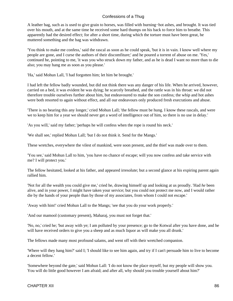A leather bag, such as is used to give grain to horses, was filled with burning−hot ashes, and brought. It was tied over his mouth, and at the same time he received some hard thumps on his back to force him to breathe. This apparently had the desired effect; for after a short time, during which the torture must have been great, he muttered something and the bag was withdrawn.

'You think to make me confess,' said the rascal as soon as he could speak, 'but it is in vain. I know well where my people are gone, and I curse the authors of their discomfiture;' and he poured a torrent of abuse on me. 'Yes,' continued he, pointing to me, 'it was you who struck down my father, and as he is dead I want no more than to die also; you may hang me as soon as you please.'

'Ha,' said Mohun Lall, 'I had forgotten him; let him be brought.'

I had left the fellow badly wounded, but did not think there was any danger of his life. When he arrived, however, carried on a bed, it was evident he was dying; he scarcely breathed, and the rattle was in his throat: we did not therefore trouble ourselves further about him, but endeavoured to make the son confess; the whip and hot ashes were both resorted to again without effect, and all our endeavours only produced fresh execrations and abuse.

'There is no bearing this any longer,' cried Mohun Lall; 'the fellow must be hung. I know these rascals, and were we to keep him for a year we should never get a word of intelligence out of him, so there is no use in delay.'

'As you will,' said my father; 'perhaps he will confess when the rope is round his neck.'

'We shall see,' replied Mohun Lall; 'but I do not think it. Send for the Mangs.'

These wretches, everywhere the vilest of mankind, were soon present, and the thief was made over to them.

'You see,' said Mohun Lall to him, 'you have no chance of escape; will you now confess and take service with me? I will protect you.'

The fellow hesitated, looked at his father, and appeared irresolute; but a second glance at his expiring parent again rallied him.

'Not for all the wealth you could give me,' cried he, drawing himself up and looking at us proudly. 'Had *he* been alive, and in your power, I might have taken your service; but you could not protect me now, and I would rather die by the hands of your people than by those of my associates, from whom I could not escape.'

'Away with him!' cried Mohun Lall to the Mangs; 'see that you do your work properly.'

'And our mamool (customary present), Maharaj, you must not forget that.'

'No, no,' cried he; 'but away with ye; I am polluted by your presence; go to the Kotwal after you have done, and he will have received orders to give you a sheep and as much liquor as will make you all drunk.'

The fellows made many most profound salams, and went off with their wretched companion.

'Where will they hang him?' said I; 'I should like to see him again, and try if I can't persuade him to live to become a decent fellow.'

'Somewhere beyond the gate,' said Mohun Lall: 'I do not know the place myself, but my people will show you. You will do little good however I am afraid; and after all, why should you trouble yourself about him?'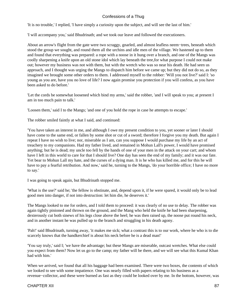'It is no trouble,' I replied, 'I have simply a curiosity upon the subject, and will see the last of him.'

'I will accompany you,' said Bhudrinath; and we took our leave and followed the executioners.

About an arrow's flight from the gate were two scraggy, gnarled, and almost leafless neem−trees, beneath which stood the group we sought, and round them all the urchins and idle men of the village. We hastened up to them and found that everything was prepared: a rope with a noose in it hung over a branch, and one of the Mangs was coolly sharpening a knife upon an old stone idol which lay beneath the tree, for what purpose I could not make out; however my business was not with them, but with the wretch who was so near his death. He had seen us approach, and I thought was urging the Mangs to dispatch him before we came up; but they did not do so, as they imagined we brought some other orders to them. I addressed myself to the robber: 'Will you not live?' said I: 'so young as you are, have you no love of life? I now again promise you protection if you will confess, as you have been asked to do before.'

'Let the cords be somewhat loosened which bind my arms,' said the robber, 'and I will speak to you; at present I am in too much pain to talk.'

'Loosen them,' said I to the Mangs; 'and one of you hold the rope in case he attempts to escape.'

The robber smiled faintly at what I said, and continued:

'You have taken an interest in me, and although I owe my present condition to you, yet sooner or later I should have come to the same end, or fallen by some shot or cut of a sword; therefore I forgive you my death. But again I repeat I have no wish to live; nor, miserable as I am, can you suppose I would purchase my life by an act of treachery to my companions. Had my father lived, and remained in Mohun Lall's power, I would have promised anything; but he is dead; my uncle too fell by the hands of one of your men in the attack on your cart; and whom have I left in this world to care for that I should live? One day has seen the end of my family; and it was our fate. Yet bear to Mohun Lall my hate, and the curses of a dying man. It is he who has killed me, and for this he will have to pay a fearful retribution. And now,' said he, turning to the Mangs, 'do your horrible office; I have no more to say.'

I was going to speak again, but Bhudrinath stopped me.

'What is the use?' said he; 'the fellow is obstinate, and, depend upon it, if he were spared, it would only be to lead good men into danger, if not into destruction: let him die, he deserves it.'

The Mangs looked to me for orders, and I told them to proceed: it was clearly of no use to delay. The robber was again tightly pinioned and thrown on the ground, and the Mang who held the knife he had been sharpening, dexterously cut both sinews of his legs close above the heel; he was then raised up, the noose put round his neck, and in another instant he was pulled up to the branch and struggling in his death agony.

'Pah!' said Bhudrinath, turning away, 'it makes me sick; what a contrast this is to our work, where he who is to die scarcely knows that the handkerchief is about his neck before he is a dead man!'

'You say truly,' said I; 'we have the advantage; but these Mangs are miserable, outcast wretches. What else could you expect from them? Now let us go to the camp; my father will be there, and we will see what this Kumal Khan had with him.'

When we arrived, we found that all his baggage had been examined. There were two boxes, the contents of which we looked to see with some impatience. One was nearly filled with papers relating to his business as a revenue−collector, and these were burned as fast as they could be looked over by me. In the bottom, however, was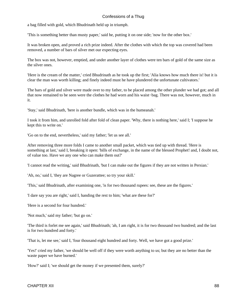a bag filled with gold, which Bhudrinath held up in triumph.

'This is something better than musty paper,' said he, putting it on one side; 'now for the other box.'

It was broken open, and proved a rich prize indeed. After the clothes with which the top was covered had been removed, a number of bars of silver met our expecting eyes.

The box was not, however, emptied, and under another layer of clothes were ten bars of gold of the same size as the silver ones.

'Here is the cream of the matter,' cried Bhudrinath as he took up the first; 'Alia knows how much there is! but it is clear the man was worth killing; and finely indeed must he have plundered the unfortunate cultivators.'

The bars of gold and silver were made over to my father, to be placed among the other plunder we had got; and all that now remained to be seen were the clothes he had worn and his waist−bag. There was not, however, much in it.

'Stay,' said Bhudrinath, 'here is another bundle, which was in the humeanah.'

I took it from him, and unrolled fold after fold of clean paper. 'Why, there is nothing here,' said I; 'I suppose he kept this to write on.'

'Go on to the end, nevertheless,' said my father; 'let us see all.'

After removing three more folds I came to another small packet, which was tied up with thread. 'Here is something at last,' said I, breaking it open: 'bills of exchange, in the name of the blessed Prophet! and, I doubt not, of value too. Have we any one who can make them out?'

'I cannot read the writing,' said Bhudrinath, 'but I can make out the figures if they are not written in Persian.'

'Ah, no,' said I, 'they are Nagree or Guzerattee; so try your skill.'

'This,' said Bhudrinath, after examining one, 'is for two thousand rupees: see, these are the figures.'

'I dare say you are right,' said I, handing the rest to him; 'what are these for?'

'Here is a second for four hundred.'

'Not much,' said my father; 'but go on.'

'The third is for let me see again,' said Bhudrinath; 'ah, I am right, it is for two thousand two hundred; and the last is for two hundred and forty.'

'That is, let me see,' said I, 'four thousand eight hundred and forty. Well, we have got a good prize.'

'Yes!' cried my father, 'we should be well off if they were worth anything to us; but they are no better than the waste paper we have burned.'

'How?' said I; 'we should get the money if we presented them, surely?'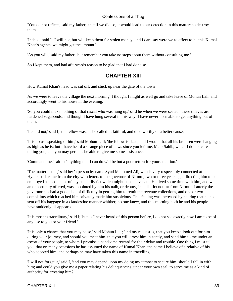'You do not reflect,' said my father, 'that if we did so, it would lead to our detection in this matter: so destroy them.'

'Indeed,' said I, 'I will not, but will keep them for stolen money; and I dare say were we to affect to be this Kumal Khan's agents, we might get the amount.'

'As you will,' said my father; 'but remember you take no steps about them without consulting me.'

So I kept them, and had afterwards reason to be glad that I had done so.

# **CHAPTER XIII**

How Kumal Khan's head was cut off, and stuck up near the gate of the town

As we were to leave the village the next morning, I thought I might as well go and take leave of Mohun Lall, and accordingly went to his house in the evening.

'So you could make nothing of that rascal who was hung up,' said he when we were seated; 'these thieves are hardened vagabonds, and though I have hung several in this way, I have never been able to get anything out of them.'

'I could not,' said I; 'the fellow was, as he called it, faithful, and died worthy of a better cause.'

'It is no use speaking of him,' said Mohun Lall; 'the fellow is dead, and I would that all his brethren were hanging as high as he is; but I have heard a strange piece of news since you left me, Meer Sahib, which I do not care telling you, and you may perhaps be able to give me some assistance.'

'Command me,' said I; 'anything that I can do will be but a poor return for your attention.'

'The matter is this,' said he: 'a person by name Syud Mahomed Ali, who is very respectably connected at Hyderabad, came from the city with letters to the governor of Nirmul, two or three years ago, directing him to be employed as a collector of any small district which might become vacant. He lived some time with him, and when an opportunity offered, was appointed by him his naib, or deputy, in a district not far from Nirmul. Latterly the governor has had a good deal of difficulty in getting him to remit the revenue collections, and one or two complaints which reached him privately made him suspicious. This feeling was increased by hearing that he had sent off his baggage in a clandestine manner, whither, no one knew, and this morning both he and his people have suddenly disappeared.'

'It is most extraordinary,' said I; 'but as I never heard of this person before, I do not see exactly how I am to be of any use to you or your friend.'

'It is only a chance that you may be so,' said Mohun Lall; 'and my request is, that you keep a look out for him during your journey, and should you meet him, that you will arrest him instantly, and send him to me under an escort of your people, to whom I promise a handsome reward for their delay and trouble. One thing I must tell you, that on many occasions he has assumed the name of Kumal Khan, the name I believe of a relative of his who adopted him, and perhaps he may have taken this name in travelling.'

'I will not forget it,' said I, 'and you may depend upon my doing my utmost to secure him, should I fall in with him; and could you give me a paper relating his delinquencies, under your own seal, to serve me as a kind of authority for arresting him?'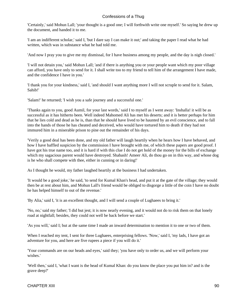'Certainly,' said Mohun Lall; 'your thought is a good one; I will forthwith write one myself.' So saying he drew up the document, and handed it to me.

'I am an indifferent scholar,' said I, 'but I dare say I can make it out;' and taking the paper I read what he had written, which was in substance what he had told me.

'And now I pray you to give me my dismissal, for I have business among my people, and the day is nigh closed.'

'I will not detain you,' said Mohun Lall; 'and if there is anything you or your people want which my poor village can afford, you have only to send for it. I shall write too to my friend to tell him of the arrangement I have made, and the confidence I have in you.'

'I thank you for your kindness,' said I, 'and should I want anything more I will not scruple to send for it. Salam, Sahib!'

'Salam!' he returned; 'I wish you a safe journey and a successful one.'

'Thanks again to you, good Aumil, for your last words,' said I to myself as I went away: 'Inshalla! it will be as successful as it has hitherto been. Well indeed Mahomed Ali has met his deserts; and it is better perhaps for him that he lies cold and dead as he is, than that he should have lived to be haunted by an evil conscience, and to fall into the hands of those he has cheated and deceived, who would have tortured him to death if they had not immured him in a miserable prison to pine out the remainder of his days.

'Verily a good deal has been done, and my old father will laugh heartily when he hears how I have behaved, and how I have baffled suspicion by the commission I have brought with me, of which these papers are good proof. I have got his true name too, and it is hard if with this clue I do not get hold of the money for the bills of exchange which my sagacious parent would have destroyed. Shabash! Ameer Ali, do thou go on in this way, and whose dog is he who shall compete with thee, either in cunning or in daring!'

As I thought he would, my father laughed heartily at the business I had undertaken.

'It would be a good joke,' he said, 'to send for Kumal Khan's head, and put it at the gate of the village; they would then be at rest about him, and Mohun Lall's friend would be obliged to disgorge a little of the coin I have no doubt he has helped himself to out of the revenue.'

'By Alia,' said I, 'it is an excellent thought, and I will send a couple of Lughaees to bring it.'

'No, no,' said my father; 'I did but jest; it is now nearly evening, and it would not do to risk them on that lonely road at nightfall; besides, they could not well be back before we start.'

'As you will,' said I; but at the same time I made an inward determination to mention it to one or two of them.

When I reached my tent, I sent for three Lughaees, enterprising fellows. 'Now,' said I, 'my lads, I have got an adventure for you, and here are five rupees a piece if you will do it.'

'Your commands are on our heads and eyes,' said they; 'you have only to order us, and we will perform your wishes.'

'Well then,' said I, 'what I want is the head of Kumal Khan: do you know the place you put him in? and is the grave deep?'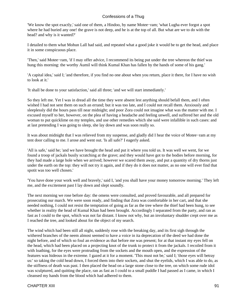'We know the spot exactly,' said one of them, a Hindoo, by name Motee−ram; 'what Lugha ever forgot a spot where he had buried any one! the grave is not deep, and he is at the top of all. But what are we to do with the head? and why is it wanted?'

I detailed to them what Mohun Lall had said, and repeated what a good joke it would be to get the head, and place it in some conspicuous place.

'Then,' said Motee−ram, 'if I may offer advice, I recommend its being put under the tree whereon the thief was hung this morning: the worthy Aumil will think Kumal Khan has fallen by the hands of some of his gang.'

'A capital idea,' said I; 'and therefore, if you find no one about when you return, place it there, for I have no wish to look at it.'

'It shall be done to your satisfaction,' said all three; 'and we will start immediately.'

So they left me. Yet I was in dread all the time they were absent lest anything should befall them, and I often wished I had not sent them on such an errand; but it was too late, and I could not recall them. Anxiously and sleeplessly did the hours pass till near midnight; and poor Zora could not imagine what was the matter with me. I excused myself to her, however, on the plea of having a headache and feeling unwell, and suffered her and the old woman to put quicklime on my temples, and use other remedies which she said were infallible in such cases: and at last pretending I was going to sleep, she lay down and was soon really so.

It was about midnight that I was relieved from my suspense, and gladly did I hear the voice of Motee−ram at my tent door calling to me. I arose and went out. 'Is all safe?' I eagerly asked.

'All is safe,' said he; 'and we have brought the head and put it where you told us. It was well we went, for we found a troop of jackals busily scratching at the grave; and they would have got to the bodies before morning, for they had made a large hole when we arrived; however we scared them away, and put a quantity of dry thorns just under the earth on the top: they will not try it again, and if they do it does not matter, as no one will ever find that spot it was too well chosen.'

'You have done your work well and bravely,' said I, 'and you shall have your money tomorrow morning.' They left me, and the excitement past I lay down and slept soundly.

The next morning we rose before day: the omens were consulted, and proved favourable, and all prepared for prosecuting our march. We were soon ready, and finding that Zora was comfortable in her cart, and that she needed nothing, I could not resist the temptation of going as far as the tree where the thief had been hung, to see whether in reality the head of Kumal Khan had been brought. Accordingly I separated from the party, and ran as fast as I could to the spot, which was not far distant. I know not why, but an involuntary shudder crept over me as I reached the tree, and looked about for the object of my search.

The wind which had been still all night, suddenly rose with the breaking day, and its first sigh through the withered branches of the neem almost seemed to have a voice in ita deprecation of the deed we had done the night before, and of which so foul an evidence as that before me was present; for at that instant my eyes fell on the head, which had been placed on a projecting knot of the trunk to protect it from the jackals. I recoiled from it with loathing, for the eyes were protruding from the sockets and the mouth open, and the expression of the features was hideous in the extreme. I gazed at it for a moment. 'This must not be,' said I; 'those eyes will betray us:' so taking the cold head down, I forced them into their sockets, and shut the eyelids, which I was able to do, as the stiffness of death was past. I then placed the head on a large stone close to the tree, on which some rude idol was sculptured, and quitting the place, ran as fast as I could to a small puddle I had passed as I came, in which I cleansed my hands from the blood which had adhered to them.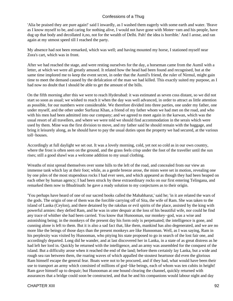'Alia be praised they are pure again!' said I inwardly, as I washed them eagerly with some earth and water. 'Brave as I know myself to be, and caring for nothing alive, I would not have gone with Motee−ram and his people, have dug up that body and decollated it, no, not for the wealth of Delhi. Pah! the idea is horrible.' And I arose, and ran again at my utmost speed till I reached the party.

My absence had not been remarked, which was well; and having mounted my horse, I stationed myself near Zora's cart, which was in front.

After we had reached the stage, and were resting ourselves for the day, a horseman came from the Aumil with a letter, at which we were all greatly amused. It related how the head had been found and recognised, but at the same time implored me to keep the event secret, in order that the Aumil's friend, the ruler of Nirmul, might gain time to meet the demand caused by the defalcation of the man we had killed. This exactly suited my purpose, as I had now no doubt that I should be able to get the amount of the bills.

On the fifth morning after this we were to reach Hyderabad: it was estimated as seven coss distant, so we did not start so soon as usual; we wished to reach it when the day was well advanced, in order to attract as little attention as possible, for our numbers were considerable. We therefore divided into three parties, one under my father, one under myself, and the other under Surfuraz Khan, a friend of my father whom we had met on the road, and who with his men had been admitted into our company; and we agreed to meet again in the karwan, which was the usual resort of all travellers, and where we were told we should find accommodation in the serais which were used by them. Mine was the first division to move, and my father said he should remain with the baggage, and bring it leisurely along, as he should have to pay the usual duties upon the property we had secured, at the various toll−houses.

Accordingly at full daylight we set out. It was a lovely morning, cold, yet not so cold as in our own country, where the frost is often seen on the ground, and the grass feels crisp under the foot of the traveller until the sun rises; still a good shawl was a welcome addition to my usual clothing.

Wreaths of mist spread themselves over some hills to the left of the road, and concealed from our view an immense tank which lay at their foot; while, as a gentle breeze arose, the mists were set in motion, revealing one by one piles of the most stupendous rocks I had ever seen, and which appeared as though they had been heaped on each other by human agency; I had been struck by these extraordinary rocks on our first entering Telingana, and remarked them now to Bhudrinath: he gave a ready solution to my conjectures as to their origin.

'You perhaps have heard of one of our sacred books called the Mahabharut,' said he; 'in it are related the wars of the gods. The origin of one of them was the forcible carrying off of Sita, the wife of Ram. She was taken to the island of Lanka (Ceylon), and there detained by the rakshas or evil spirits of the place, assisted by the king with powerful armies: they defied Ram, and he was in utter despair at the loss of his beautiful wife, nor could he find any trace of whither she had been carried. You know that Hunooman, our monkey−god, was a wise and astonishing being; in the monkeys of the present day his form only is perpetuated; the intelligence is gone, and cunning alone is left to them. But it is also a sad fact that, like them, mankind has also degenerated, and we are no more like the beings of those days than the present monkeys are like Hunooman. Well, as I was saying, Ram in his perplexity was visited by Hunooman, who pitying his state proposed to go in search of the lost fair one, and accordingly departed. Long did he wander, and at last discovered her in Lanka, in a state of as great distress as he had left her lord in. Quickly he returned with the intelligence, and an army was assembled for the conquest of the island. But a difficulty arose when it reached the end of the land; before them certainly lay Lanka, but a wide and rough sea ran between them, the roaring waves of which appalled the stoutest hearts nor did even the glorious Ram himself escape the general fear. Boats were not to be procured, and if they had, what would have been their use to transport an army which consisted of millions of god−like beings, each of whom was ten cubits in height! Ram gave himself up to despair; but Hunooman at one bound clearing the channel, quickly returned with assurances that a bridge could soon be constructed, and that he and his companions would labour night and day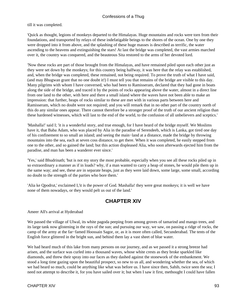till it was completed.

'Quick as thought, legions of monkeys departed to the Himalayas. Huge mountains and rocks were torn from their foundations, and transported by relays of these indefatigable beings to the shores of the ocean. One by one they were dropped into it from above, and the splashing of these huge masses is described as terrific, the water ascending to the heavens and extinguishing the stars! At last the bridge was completed, the vast armies marched over it, the country was conquered, and the beauteous Sita restored to the arms of her devoted lord.

'Now these rocks are part of those brought from the Himalayas, and have remained piled upon each other just as they were set down by the monkeys; for this country being halfway, it was here that the relay was established, and, when the bridge was completed, these remained, not being required. To prove the truth of what I have said, (and may Bhugwan grant that no one doubt it!) I must tell you that remains of the bridge are visible to this day. Many pilgrims with whom I have conversed, who had been to Ramisseram, declared that they had gone in boats along the side of the bridge, and traced it by the points of rocks appearing above the water, almost in a direct line from one land to the other, with here and there a small island where the waves have not been able to make an impression: that further, heaps of rocks similar to these are met with in various parts between here and Ramisseram, which no doubt were not required; and you will remark that in no other part of the country north of this do any similar ones appear. There cannot therefore be a stronger proof of the truth of our ancient religion than these hardened witnesses, which will last to the end of the world, to the confusion of all unbelievers and sceptics.'

'Mashalla!' said I; 'it is a wonderful story, and true enough, for I have heard of the bridge myself. We Moslims have it, that Baba Adam, who was placed by Alia in the paradise of Serendeeb, which is Lanka, got tired one day of his confinement to so small an island; and seeing the main−land at a distance, made the bridge by throwing mountains into the sea, each at seven coss distance, to get there. When it was completed, he easily stepped from one to the other, and so gained the land; but this action displeased Alia, who soon afterwards ejected him from the paradise, and man has been a wanderer ever since.'

'Yes,' said Bhudrinath; 'but is not my story the most probable, especially when you see all these rocks piled up in so extraordinary a manner as if in loads? why, if a man wanted to carry a heap of stones, he would pile them up in the same way; and see, these are in separate heaps, just as they were laid down, some large, some small, according no doubt to the strength of the parties who bore them.'

'Alia ke Qpodrut,' exclaimed I,'it is the power of God. Mashalla! they were great monkeys; it is well we have none of them nowadays, or they would pelt us out of the land.'

# **CHAPTER XIV**

#### Ameer All's arrival at Hyderabad

We passed the village of Ulwal, its white pagoda peeping from among groves of tamarind and mango trees, and its large tank now glistening in the rays of the sun; and pursuing our way, we saw, on passing a ridge of rocks, the camp of the army at the far−famed Hoossain Sagor, or, as it is more often called, Secunderabad. The tents of the English force glittered in the bright sun, and behind them lay a vast sheet of blue water.

We had heard much of this lake from many persons on our journey, and as we passed it a strong breeze had arisen, and the surface was curled into a thousand waves, whose white crests as they broke sparkled like diamonds, and threw their spray into our faces as they dashed against the stonework of the embankment. We stood a long time gazing upon the beautiful prospect, so new to us all, and wondering whether the sea, of which we had heard so much, could be anything like what was before us. I have since then, Sahib, twice seen the sea; I need not attempt to describe it, for you have sailed over it; but when I saw it first, methought I could have fallen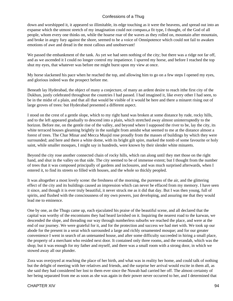down and worshipped it, it appeared so illimitable, its edge touching as it were the heavens, and spread out into an expanse which the utmost stretch of my imagination could not compass, a fit type, I thought, of the God of all people, whom every one thinks on, while the hoarse roar of the waves as they rolled on, mountain after mountain, and broke in angry fury against the shore, seemed to be a voice of Omnipotence which could not fail to awaken emotions of awe and dread in the most callous and unobservant!

We passed the embankment of the tank. As yet we had seen nothing of the city; but there was a ridge not far off, and as we ascended it I could no longer control my impatience. I spurred my horse, and before I reached the top shut my eyes, that whatever was before me might burst upon my view at once.

My horse slackened his pace when he reached the top, and allowing him to go on a few steps I opened my eyes, and glorious indeed was the prospect before me.

Beneath lay Hyderabad, the object of many a conjecture, of many an ardent desire to reach it the first city of the Dukhun, justly celebrated throughout the countries I had passed. I had imagined it, like every other I had seen, to be in the midst of a plain, and that all that would be visible of it would be here and there a minaret rising out of large groves of trees: but Hyderabad presented a different aspect.

I stood on the crest of a gentle slope, which to my right hand was broken at some distance by rude, rocky hills, and to the left appeared gradually to descend into a plain, which stretched away almost uninterruptedly to the horizon. Before me, on the gentle rise of the valley, and beyond where I supposed the river to be, lay the city, its white terraced houses gleaming brightly in the sunlight from amidst what seemed to me at the distance almost a forest of trees. The Char Minar and Mecca Musjid rose proudly from the masses of buildings by which they were surrounded; and here and there a white dome, with its bright gilt spire, marked the tomb of some favourite or holy saint, while smaller mosques, I might say in hundreds, were known by their slender white minarets.

Beyond the city rose another connected chain of rocky hills, which ran along until they met those on the right hand, and shut in the valley on that side. The city seemed to be of immense extent; but I thought from the number of trees that it was composed principally of gardens and inclosures, and was much surprised afterwards, when I entered it, to find its streets so filled with houses, and the whole so thickly peopled.

It was altogether a most lovely scene: the freshness of the morning, the pureness of the air, and the glittering effect of the city and its buildings caused an impression which can never be effaced from my memory. I have seen it since, and though it is ever truly beautiful, it never struck me as it did that day. But I was then young, full of spirits, and flushed with the consciousness of my own powers, just developing, and assuring me that they would lead me to eminence.

One by one, as the Thugs came up, each ejaculated his praise of the beautiful scene, and all declared that the capital was worthy of the encomiums they had heard lavished on it. Inquiring the nearest road to the karwan, we descended the slope, and threading our way through numberless suburbs we reached the place, and were at the end of our journey. We were grateful for it, and for the protection and success we had met with. We took up our abode for the present in a serai which surrounded a large and richly ornamented mosque; and for our greater convenience I went in search of an untenanted house, and after some difficulty succeeded in hiring a small place, the property of a merchant who resided next door. It contained only three rooms, and the verandah, which was the shop; but it was enough for my father and myself, and there was a small room with a strong door, in which we stowed away all our plunder.

Zora was overjoyed at reaching the place of her birth, and what was in reality her home, and could talk of nothing but the delight of meeting with her relatives and friends, and the surprise her arrival would excite in them all, as she said they had considered her lost to them ever since the Nuwab had carried her off. The almost certainty of her being separated from me as soon as she was again in their power never occurred to her, and I determined that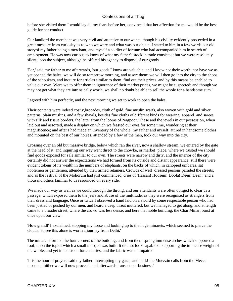before she visited them I would lay all my fears before her, convinced that her affection for me would be the best guide for her conduct.

Our landlord the merchant was very civil and attentive to our wants, though his civility evidently proceeded in a great measure from curiosity as to who we were and what was our object. I stated to him in a few words our old storyof my father being a merchant, and myself a soldier of fortune who had accompanied him in search of employment. He was now curious to know of what my father's stock in trade consisted; but we were resolutely silent upon the subject, although he offered his agency to dispose of our goods.

'For,' said my father to me afterwards, 'our goods I know are valuable, and I know not their worth; nor have we as yet opened the bales; we will do so tomorrow morning, and assort them: we will then go into the city to the shops of the sahoukars, and inquire for articles similar to them, find out their prices, and by this means be enabled to value our own. Were we to offer them in ignorance of their market prices, we might be suspected; and though we may not get what they are intrinsically worth, we shall no doubt be able to sell the whole for a handsome sum.'

I agreed with him perfectly, and the next morning we set to work to open the bales.

Their contents were indeed costly, brocades, cloth of gold, fine muslin scarfs, also woven with gold and silver patterns, plain muslins, and a few shawls, besides fine cloths of different kinds for wearing−apparel, and sarees with silk and tissue borders, the latter from the looms of Nagpoor. These and the jewels in our possession, when laid out and assorted, made a display on which we feasted our eyes for some time, wondering at their magnificence; and after I had made an inventory of the whole, my father and myself, attired in handsome clothes and mounted on the best of our horses, attended by a few of the men, took our way into the city.

Crossing over an old but massive bridge, below which ran the river, now a shallow stream, we entered by the gate at the head of it, and inquiring our way went direct to the chowke, or market−place, where we trusted we should find goods exposed for sale similar to our own. The streets were narrow and dirty, and the interior of the city certainly did not answer the expectations we had formed from its outside and distant appearance; still there were evident tokens of its wealth in the numbers of elephants, on the backs of which, in canopied umbaras, sat noblemen or gentlemen, attended by their armed retainers. Crowds of well−dressed persons paraded the streets, and as the festival of the Mohorum had just commenced, cries of 'Hassan! Hoosein! Doola! Deen! Deen!' and a thousand others familiar to us resounded on every side.

We made our way as well as we could through the throng, and our attendants were often obliged to clear us a passage, which exposed them to the jeers and abuse of the multitude, as they were recognised as strangers from their dress and language. Once or twice I observed a hand laid on a sword by some respectable person who had been jostled or pushed by our men, and heard a deep threat muttered; but we managed to get along, and at length came to a broader street, where the crowd was less dense; and here that noble building, the Char Minar, burst at once upon our view.

'How grand!' I exclaimed, stopping my horse and looking up to the huge minarets, which seemed to pierce the clouds; 'to see this alone is worth a journey from Delhi.'

The minarets formed the four corners of the building, and from them sprang immense arches which supported a roof, upon the top of which a small mosque was built. It did not look capable of supporting the immense weight of the whole, and yet it had stood for centuries, and the fabric was unimpaired.

'It is the hour of prayer,' said my father, interrupting my gaze; 'and hark! the Muezzin calls from the Mecca mosque; thither we will now proceed, and afterwards transact our business.'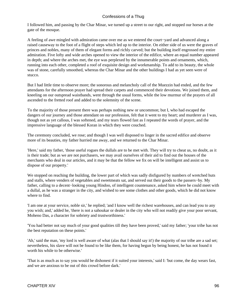I followed him, and passing by the Char Minar, we turned up a street to our right, and stopped our horses at the gate of the mosque.

A feeling of awe mingled with admiration came over me as we entered the court−yard and advanced along a raised causeway to the foot of a flight of steps which led up to the interior. On either side of us were the graves of princes and nobles, many of them of elegant forms and richly carved; but the building itself engrossed my entire admiration. Five lofty and wide arches opened to view the interior of the edifice, where an equal number appeared in depth; and where the arches met, the eye was perplexed by the innumerable points and ornaments, which, running into each other, completed a roof of exquisite design and workmanship. To add to its beauty, the whole was of stone, carefully smoothed, whereas the Char Minar and the other buildings I had as yet seen were of stucco.

But I had little time to observe more; the sonorous and melancholy call of the Muezzin had ended, and the few attendants for the afternoon prayer had spread their carpets and commenced their devotions. We joined them, and kneeling on our outspread waistbands, went through the usual forms, while the low murmur of the prayers of all ascended to the fretted roof and added to the solemnity of the scene.

To the majority of those present there was perhaps nothing new or uncommon; but I, who had escaped the dangers of our journey and those attendant on our profession, felt that it went to my heart; and murderer as I was, though not as yet callous, I was softened, and my tears flowed fast as I repeated the words of prayer, and the impressive language of the blessed Koran in which they were couched.

The ceremony concluded, we rose; and though I was well disposed to linger in the sacred edifice and observe more of its beauties, my father hurried me away, and we returned to the Char Minar.

'Here,' said my father, 'those useful rogues the dullals are to be met with. They will try to cheat us, no doubt, as it is their trade; but as we are not purchasers, we may avail ourselves of their aid to find out the houses of the merchants who deal in our articles, and it may be that the fellow we fix on will be intelligent and assist us to dispose of our property.'

We stopped on reaching the building, the lower part of which was sadly disfigured by numbers of wretched huts and stalls, where venders of vegetables and sweetmeats sat, and served out their goods to the passers−by. My father, calling to a decent−looking young Hindoo, of intelligent countenance, asked him where he could meet with a dullal, as he was a stranger in the city, and wished to see some clothes and other goods, which he did not know where to find.

'I am one at your service, noble sir,' he replied; 'and I know well the richest warehouses, and can lead you to any you wish; and,' added he, 'there is not a sahoukar or dealer in the city who will not readily give your poor servant, Moheno Das, a character for sobriety and trustworthiness.'

'You had better not say much of your good qualities till they have been proved,' said my father; 'your tribe has not the best reputation on these points.'

'Ah,' said the man, 'my lord is well aware of what (alas that I should say it!) the majority of our tribe are a sad set; nevertheless, his slave will not be found to be like them, for having begun by being honest, he has not found it worth his while to be otherwise.'

'That is as much as to say you would be dishonest if it suited your interests,' said I: 'but come, the day wears fast, and we are anxious to be out of this crowd before dark.'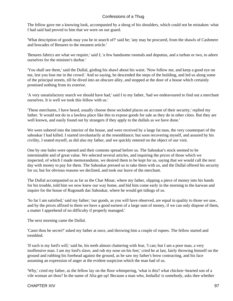The fellow gave me a knowing look, accompanied by a shrug of his shoulders, which could not be mistaken: what I had said had proved to him that we were on our guard.

'What description of goods may you be in search of?' said he; 'any may be procured, from the shawls of Cashmere and brocades of Benares to the meanest article.'

'Benares fabrics are what we require,' said I; 'a few handsome roomals and doputtas, and a turban or two, to adorn ourselves for the minister's durbar.'

'You shall see them,' said the Dullal, girding his shawl about his waist. 'Now follow me, and keep a good eye on me, lest you lose me in the crowd.' And so saying, he descended the steps of the building, and led us along some of the principal streets, till he dived into an obscure alley, and stopped at the door of a house which certainly promised nothing from its exterior.

'A very unsatisfactory search we should have had,' said I to my father, 'had we endeavoured to find out a merchant ourselves. It is well we took this fellow with us.'

'These merchants, I have heard, usually choose these secluded places on account of their security,' replied my father. 'It would not do in a lawless place like this to expose goods for sale as they do in other cities. But they are well known, and easily found out by strangers if they apply to the dullals as we have done.'

We were ushered into the interior of the house, and were received by a large fat man, the very counterpart of the sahoukar I had killed. I started involuntarily at the resemblance; but soon recovering myself, and assured by his civility, I seated myself, as did also my father, and we quickly entered on the object of our visit.

One by one bales were opened and their contents spread before us. The Sahoukar's stock seemed to be interminable and of great value. We selected several articles, and inquiring the prices of those which we inspected, of which I made memorandums, we desired them to be kept for us, saying that we would call the next day with money to pay for them. The Sahoukar pressed us to take them with us, and the Dullal offered his security for us; but for obvious reasons we declined, and took our leave of the merchant.

The Dullal accompanied us as far as the Char Minar, where my father, slipping a piece of money into his hands for his trouble, told him we now knew our way home, and bid him come early in the morning to the karwan and inquire for the house of Rugonath das Sahoukar, where he would get tidings of us.

'So far I am satisfied,' said my father; 'our goods, as you will have observed, are equal in quality to those we saw, and by the prices affixed to them we have a good earnest of a large sum of money, if we can only dispose of them, a matter I apprehend of no difficulty if properly managed.'

The next morning came the Dullal.

'Canst thou be secret?' asked my father at once, and throwing him a couple of rupees. The fellow started and trembled.

'If such is my lord's will,' said he, his teeth almost chattering with fear, 'I can; but I am a poor man, a very inoffensive man. I am my lord's slave, and rub my nose on his feet,' cried he at last, fairly throwing himself on the ground and rubbing his forehead against the ground, as he saw my father's brow contracting, and his face assuming an expression of anger at the evident suspicion which the man had of us.

'Why,' cried my father, as the fellow lay on the floor whimpering, 'what is this? what chicken−hearted son of a vile woman art thou? In the name of Alia get up! Because a man who, Inshalla! is somebody, asks thee whether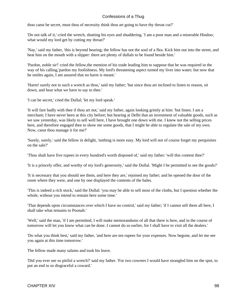thou canst be secret, must thou of necessity think thou art going to have thy throat cut?'

'Do not talk of it,' cried the wretch, shutting his eyes and shuddering. 'I am a poor man and a miserable Hindoo; what would my lord get by cutting my throat?'

'Nay,' said my father, 'this is beyond bearing; the fellow has not the soul of a flea. Kick him out into the street, and beat him on the mouth with a slipper: there are plenty of dullals to be found beside him.'

'Pardon, noble sir!' cried the fellow, the mention of his trade leading him to suppose that he was required in the way of his calling,'pardon my foolishness. My lord's threatening aspect turned my liver into water; but now that he smiles again, I am assured that no harm is meant.'

'Harm! surely not to such a wretch as thou,' said my father; 'but since thou art inclined to listen to reason, sit down, and hear what we have to say to thee.'

'I can be secret,' cried the Dullal; 'let my lord speak.'

'It will fare badly with thee if thou art not,' said my father, again looking grimly at him: 'but listen. I am a merchant; I have never been at this city before; but hearing at Delhi that an investment of valuable goods, such as we saw yesterday, was likely to sell well here, I have brought one down with me. I knew not the selling prices here, and therefore engaged thee to show me some goods, that I might be able to regulate the sale of my own. Now, canst thou manage it for me?'

'Surely, surely,' said the fellow in delight, 'nothing is more easy. My lord will not of course forget my perquisites on the sale?'

'Thou shalt have five rupees in every hundred's worth disposed of,' said my father: 'will this content thee?'

'It is a princely offer, and worthy of my lord's generosity,' said the Dullal. 'Might I be permitted to see the goods?'

'It is necessary that you should see them, and here they are,' rejoined my father; and he opened the door of the room where they were, and one by one displayed the contents of the bales.

'This is indeed a rich stock,' said the Dullal: 'you may be able to sell most of the cloths, but I question whether the whole, without you intend to remain here some time.'

'That depends upon circumstances over which I have no control,' said my father; 'if I cannot sell them all here, I shall take what remains to Poonah.'

'Well,' said the man, 'if I am permitted, I will make memorandums of all that there is here, and in the course of tomorrow will let you know what can be done. I cannot do so earlier, for I shall have to visit all the dealers.'

'Do what you think best,' said my father, 'and here are ten rupees for your expenses. Now begone, and let me see you again at this time tomorrow.'

The fellow made many salams and took his leave.

'Did you ever see so pitiful a wretch?' said my father. 'For two cowrees I would have strangled him on the spot, to put an end to so disgraceful a coward.'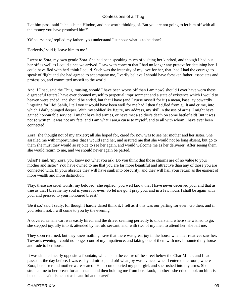'Let him pass,' said I; 'he is but a Hindoo, and not worth thinking of. But you are not going to let him off with all the money you have promised him?'

'Of course not,' replied my father; 'you understand I suppose what is to be done?'

'Perfectly,' said I; 'leave him to me.'

I went to Zora, my own gentle Zora. She had been speaking much of visiting her kindred, and though I had put her off as well as I could since we arrived, I saw with concern that I had no longer any pretext for detaining her. I could have fled with herI think I could. Such was the intensity of my love for her, that, had I had the courage to speak of flight and she had agreed to accompany me, I verily believe I should have forsaken father, associates and profession, and committed myself to the world.

And if I had, said the Thug, musing, should I have been worse off than I am now? should I ever have worn these disgraceful fetters? have ever doomed myself to perpetual imprisonment and a state of existence which I would to heaven were ended, and should be ended, but that I have (and I curse myself for it,) a mean, base, ay cowardly lingering for life! Sahib, I tell you it would have been well for me had I then fled, fled from guilt and crime, into which I daily plunged deeper. With my soldierlike figure, my address, my skill in the use of arms, I might have gained honourable service; I might have led armies, or have met a soldier's death on some battlefield! But it was not so written; it was not my fate, and I am what I am, a curse to myself, and to all with whom I have ever been connected.

Zora! she thought not of my anxiety; all she hoped for, cared for now was to see her mother and her sister. She assailed me with importunities that I would send her, and assured me that she would not be long absent, but go to them she must, they would so rejoice to see her again, and would welcome me as her deliverer. After seeing them she would return to me, and we should never again be parted.

'Alas!' I said, 'my Zora, you know not what you ask. Do you think that those charms are of no value to your mother and sister? You have owned to me that you are far more beautiful and attractive than any of those you are connected with. In your absence they will have sunk into obscurity, and they will hail your return as the earnest of more wealth and more distinction.'

'Nay, these are cruel words, my beloved,' she replied; 'you well know that I have never deceived you, and that as true as that I breathe my soul is yours for ever. So let me go, I pray you, and in a few hours I shall be again with you, and pressed to your honoured breast.'

'Be it so,' said I sadly, for though I hardly dared think it, I felt as if this was our parting for ever. 'Go then; and if you return not, I will come to you by the evening.'

A covered zenana cart was easily hired, and the driver seeming perfectly to understand where she wished to go, she stepped joyfully into it, attended by her old servant, and, with two of my men to attend her, she left me.

They soon returned, but they knew nothing, save that there was great joy in the house when her relatives saw her. Towards evening I could no longer control my impatience, and taking one of them with me, I mounted my horse and rode to her house.

It was situated nearly opposite a fountain, which is in the centre of the street below the Char Minar, and I had passed it the day before. I was easily admitted; and oh! what joy was evinced when I entered the room, where Zora, her sister and mother were seated! 'He is come!' cried my poor girl, and she rushed into my arms. She strained me to her breast for an instant, and then holding me from her, 'Look, mother!' she cried; 'look on him; is he not as I said; is he not as beautiful and brave?'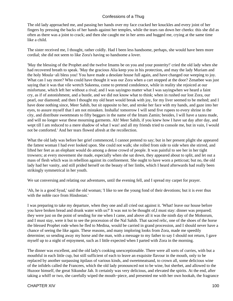The old lady approached me, and passing her hands over my face cracked her knuckles and every joint of her fingers by pressing the backs of her hands against her temples, while the tears ran down her cheeks: this she did as often as there was a joint to crack; and then she caught me in her arms and hugged me, crying at the same time like a child.

The sister received me, I thought, rather coldly. Had I been less handsome, perhaps, she would have been more cordial; she did not seem to like Zora's having so handsome a lover.

'May the blessing of the Prophet and the twelve Imams be on you and your posterity!' cried the old lady when she had recovered breath to speak. 'May the gracious Alia keep you in his protection, and may the lady Muriam and the holy Moula−ali bless you! You have made a desolate house full again, and have changed our weeping to joy. What can I say more? Who could have thought it was our Zora when a cart stopped at the door? Zenatbee was just saying that it was that vile wretch Sukeena, come to pretend condolence, while in reality she rejoiced at our misfortune, which left her without a rival; and I was saying no matter what I was saying when we heard a faint cry, as if of astonishment, and a bustle, and we did not know what to think; when in rushed our lost Zora, our pearl, our diamond; and then I thought my old heart would break with joy, for my liver seemed to be melted; and I have done nothing since, Meer Sahib, but sit opposite to her, and stroke her face with my hands, and gaze into her eyes, to assure myself that I am not mistaken. Inshalla! tomorrow I will send five rupees to every shrine in the city, and distribute sweetmeats to fifty beggars in the name of the Imam Zamin; besides, I will have a tazea made, and will no longer wear these mourning garments. Ah! Meer Sahib, if you knew how I have sat day after day, and wept till I am reduced to a mere shadow of what I was! and all my friends tried to console me, but in vain, I would not be comforted.' And her tears flowed afresh at the recollection.

What the old lady was before her grief commenced, I cannot pretend to say; but in her present plight she appeared the fattest woman I had ever looked upon. She could not walk; she rolled from side to side when she stirred, and lifted her feet as an elephant would do among a dense crowd of people. It was painful to see her in her tight trowsers; at every movement she made, especially when she sat down, they appeared about to split, and let out a mass of flesh which was in rebellion against its confinement. She ought to have worn a petticoat; but no, the old lady had her vanity, and still prided herself on the beauty of her limbs, which I heard afterwards had really been strikingly symmetrical in her youth.

We sat conversing and relating our adventures, until the evening fell, and I spread my carpet for prayer.

'Ah, he is a good Syud,' said the old woman; 'I like to see the young fond of their devotions; but it is ever thus with the noble race from Hindostan.'

I was preparing to take my departure, when they one and all cried out against it. 'What! leave our house before you have broken bread and drunk water with us?' It was not to be thought of,I must stay: dinner was prepared; they were just on the point of sending for me when I came, and above all it was the ninth day of the Mohorum, and I must stay, were it but to see the procession of the Nal Sahib. That sacred relic, one of the shoes of the horse the blessed Prophet rode when he fled to Medina, would be carried in grand procession, and I should never have a chance of seeing the like again. These reasons, and many imploring looks from Zora, made me speedily determine; so sending away my horse and the man, with a message to my father to say I should not return, I gave myself up to a night of enjoyment, such as I little expected when I parted with Zora in the morning.

The dinner was excellent, and the old lady's cooking unexceptionable. There were all sorts of curries, with but a mouthful in each little cup, but still sufficient of each to leave an exquisite flavour in the mouth, only to be replaced by another surpassing it pilaus of various kinds, and sweetmeats and, to crown all, some delicious wine of the infidels called the Francees, which the old lady pronounced not to be wine, but sherbet, and allowed to the Huzoor himself, the great Sikundur Jah. It certainly was very delicious, and elevated the spirits. At the end, after taking a whiff or two, she carefully wiped the mouth−piece, and presented me with her own hookah, the fragrance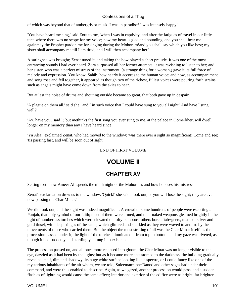of which was beyond that of ambergris or musk. I was in paradise! I was intensely happy!

'You have heard me sing,' said Zora to me, 'when I was in captivity, and after the fatigues of travel in our little tent, where there was no scope for my voice; now my heart is glad and bounding, and you shall hear me again may the Prophet pardon me for singing during the Mohorum! and you shall say which you like best; my sister shall accompany me till I am tired, and I will then accompany her.'

A saringhee was brought; Zenat tuned it, and taking the bow played a short prelude. It was one of the most entrancing sounds I had ever heard. Zora surpassed all her former attempts, it was ravishing to listen to her; and her sister, who was a perfect mistress of the instrument, (a strange thing for a woman,) gave it its full force of melody and expression. You know, Sahib, how nearly it accords to the human voice; and now, as accompaniment and song rose and fell together, it appeared as though two of the richest, fullest voices were pouring forth strains such as angels might have come down from the skies to hear.

But at last the noise of drums and shouting outside became so great, that both gave up in despair.

'A plague on them all,' said she; 'and I in such voice that I could have sung to you all night! And have I sung well?'

'Ay, have you,' said I; 'but methinks the first song you ever sung to me, at the palace in Oomerkher, will dwell longer on my memory than any I have heard since.'

'Ya Alia!' exclaimed Zenat, who had moved to the window; 'was there ever a sight so magnificent! Come and see; 'tis passing fast, and will be soon out of sight.'

#### END OF FIRST VOLUME

# **VOLUME II**

# **CHAPTER XV**

Setting forth how Ameer Ali spends the ninth night of the Mohorum, and how he loses his mistress

Zenat's exclamation drew us to the window. 'Quick!' she said; 'look out, or you will lose the sight; they are even now passing the Char Minar.'

We did look out, and the sight was indeed magnificent. A crowd of some hundreds of people were escorting a Punjah, that holy symbol of our faith; most of them were armed, and their naked weapons gleamed brightly in the light of numberless torches which were elevated on lofty bamboos; others bore aftab−geers, made of silver and gold tinsel, with deep fringes of the same, which glittered and sparkled as they were waved to and fro by the movements of those who carried them. But the object the most striking of all was the Char Minar itself, as the procession passed under it; the light of the torches illuminated it from top to bottom, and my gaze was riveted, as though it had suddenly and startlingly sprung into existence.

The procession passed on, and all once more relapsed into gloom: the Char Minar was no longer visible to the eye, dazzled as it had been by the lights; but as it became more accustomed to the darkness, the building gradually revealed itself, dim and shadowy, its huge white surface looking like a spectre, or I could fancy like one of the mysterious inhabitants of the air whom, we are told, Suleeman−ibn−Daood and other sages had under their command, and were thus enabled to describe. Again, as we gazed, another procession would pass, and a sudden flash as of lightning would cause the same effect; interior and exterior of the edifice were as bright, far brighter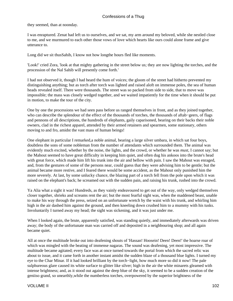they seemed, than at noonday.

I was enraptured. Zenat had left us to ourselves, and we sat, my arm around my beloved, while she nestled close to me, and we murmured to each other those vows of love which hearts like ours could alone frame and give utterance to.

Long did we sit thus Sahib, I know not how long the hours fled like moments.

'Look!' cried Zora, 'look at that mighty gathering in the street below us; they are now lighting the torches, and the procession of the Nal Sahib will presently come forth.'

I had not observed it, though I had heard the hum of voices; the gloom of the street had hitherto prevented my distinguishing anything; but as torch after torch was lighted and raised aloft on immense poles, the sea of human heads revealed itself. There were thousands. The street was so packed from side to side, that to move was impossible; the mass was closely wedged together, and we waited impatiently for the time when it should be put in motion, to make the tour of the city.

One by one the processions we had seen pass before us ranged themselves in front, and as they joined together, who can describe the splendour of the effect of the thousands of torches, the thousands of aftab−geers, of flags and pennons of all descriptions, the hundreds of elephants, gaily caparisoned, bearing on their backs their noble owners, clad in the richest apparel, attended by their armed retainers and spearmen, some stationary, others moving to and fro, amidst the vast mass of human beings!

One elephant in particular I remarked, a noble animal, bearing a large silver umbara, in which sat four boys, doubtless the sons of some nobleman from the number of attendants which surrounded them. The animal was evidently much excited, whether by the noise, the lights, and the crowd, or whether he was *must,* I cannot say; but the Mahout seemed to have great difficulty in keeping him quiet, and often dug his ankoos into the brute's head with great force, which made him lift his trunk into the air and bellow with pain. I saw the Mahout was enraged, and, from the gestures of some of the persons near, could guess that they were advising him to be gentle; but the animal became more restive, and I feared there would be some accident, as the Mahout only punished him the more severely. At last, by some unlucky chance, the blazing part of a torch fell from the pole upon which it was raised on the elephant's back; he screamed out with the sudden pain, and raising his trunk, rushed into the crowd.

Ya Alia what a sight it was! Hundreds, as they vainly endeavoured to get out of the way, only wedged themselves closer together, shrieks and screams rent the air; but the most fearful sight was, when the maddened beast, unable to make his way through the press, seized on an unfortunate wretch by the waist with his trunk, and whirling him high in the air dashed him against the ground, and then kneeling down crushed him to a mummy with his tusks. Involuntarily I turned away my head; the sight was sickening, and it was just under me.

When I looked again, the brute, apparently satisfied, was standing quietly, and immediately afterwards was driven away; the body of the unfortunate man was carried off and deposited in a neighbouring shop; and all again became quiet.

All at once the multitude broke out into deafening shouts of 'Hassan! Hoosein! Deen! Deen!' the hoarse roar of which was mingled with the beating of immense nagaras. The sound was deafening, yet most impressive. The multitude became agitated; every face was at once turned towards the portal from which the sacred relic was about to issue, and it came forth in another instant amidst the sudden blaze of a thousand blue lights. I turned my eye to the Char Minar. If it had looked brilliant by the torch−light, how much more so did it now! The pale sulphureous glare caused its white surface to glitter like silver; high in the air the white minarets gleamed with intense brightness; and, as it stood out against the deep blue of the sky, it seemed to be a sudden creation of the genii so grand, so unearthly, while the numberless torches, overpowered by the superior brightness of the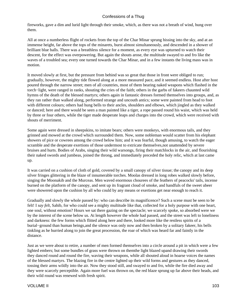fireworks, gave a dim and lurid light through their smoke, which, as there was not a breath of wind, hung over them.

All at once a numberless flight of rockets from the top of the Char Minar sprung hissing into the sky, and at an immense height, far above the tops of the minarets, burst almost simultaneously, and descended in a shower of brilliant blue balls. There was a breathless silence for a moment, as every eye was upturned to watch their descent, for the effect was overpowering. But again the shouts arose, the multitude swayed to and fro like the waves of a troubled sea; every one turned towards the Char Minar, and in a few instants the living mass was in motion.

It moved slowly at first, but the pressure from behind was so great that those in front were obliged to run; gradually, however, the mighty tide flowed along at a more measured pace, and it seemed endless. Host after host poured through the narrow street; men of all countries, most of them bearing naked weapons which flashed in the torch−light, were ranged in ranks, shouting the cries of the faith; others in the garbs of fakeers chaunted wild hymns of the death of the blessed martyrs; others again in fantastic dresses formed themselves into groups, and, as they ran rather than walked along, performed strange and uncouth antics; some were painted from head to foot with different colours; others had hung bells to their ancles, shoulders and elbows, which jingled as they walked or danced; here and there would be seen a man painted like a tiger, a rope passed round his waist, which was held by three or four others, while the tiger made desperate leaps and charges into the crowd, which were received with shouts of merriment.

Some again were dressed in sheepskins, to imitate bears; others were monkeys, with enormous tails, and they grinned and mowed at the crowd which surrounded them. Now, some nobleman would scatter from his elephant showers of pice or cowrees among the crowd below him; and it was fearful, though amusing, to watch the eager scramble and the desperate exertions of those undermost to extricate themselves, not unattended by severe bruises and hurts. Bodies of Arabs, singing their wild warsongs, firing their matchlocks in the air, and flourishing their naked swords and jumbeas, joined the throng, and immediately preceded the holy relic, which at last came up.

It was carried on a cushion of cloth of gold, covered by a small canopy of silver tissue; the canopy and its deep silver fringes glittering in the blaze of innumerable torches. Moolas dressed in long robes walked slowly before, singing the Moonakib and the Murceas. Men waved enormous chourees of the feathers of peacocks' tails, incense burned on the platform of the canopy, and sent up its fragrant cloud of smoke, and handfuls of the sweet ubeer were showered upon the cushion by all who could by any means or exertions get near enough to reach it.

Gradually and slowly the whole passed by: who can describe its magnificence? Such a scene must be seen to be felt! I *say felt,* Sahib, for who could see a mighty multitude like that, collected for a holy purpose with one heart, one soul, without emotion? Hours we sat there gazing on the spectacle; we scarcely spoke, so absorbed were we by the interest of the scene below us. At length however the whole had passed, and the street was left to loneliness and darkness: the few forms which flitted along here and there, looked more like the restless spirits of a burial–ground than human beings, and the silence was only now and then broken by a solitary fakeer, his bells tinkling as he hurried along to join the great procession, the roar of which was heard far and faintly in the distance.

Just as we were about to retire, a number of men formed themselves into a circle around a pit in which were a few lighted embers; but some bundles of grass were thrown on them the light blazed up and drawing their swords they danced round and round the fire, waving their weapons, while all shouted aloud in hoarse voices the names of the blessed martyrs. The blazing fire in the centre lighted up their wild forms and gestures as they danced, tossing their arms wildly into the air. Now they stood still, and swayed to and fro, while the fire died away and they were scarcely perceptible. Again more fuel was thrown on, the red blaze sprung up far above their heads, and their wild round was renewed with fresh spirit.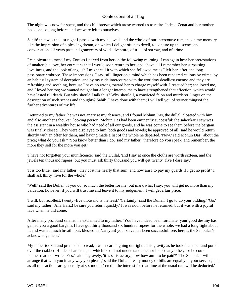The night was now far spent, and the chill breeze which arose warned us to retire. Indeed Zenat and her mother had done so long before, and we were left to ourselves.

Sahib! that was the last night I passed with my beloved, and the whole of our intercourse remains on my memory like the impression of a pleasing dream, on which I delight often to dwell, to conjure up the scenes and conversations of years past and goneyears of wild adventure, of trial, of sorrow, and of crime.

I can picture to myself my Zora as I parted from her on the following morning; I can again hear her protestations of unalterable love, her entreaties that I would soon return to her; and above all I remember her surpassing loveliness, and the look of anguish I might call it with which she followed me as I left her, after one long passionate embrace. These impressions, I say, still linger on a mind which has been rendered callous by crime, by an habitual system of deception, and by my rude intercourse with the worldmy deadliest enemy; and they are refreshing and soothing, because I have no wrong toward her to charge myself with. I rescued her; she loved me, and I loved her too; we wanted nought but a longer intercourse to have strengthened that affection, which would have lasted till death. But why should I talk thus? Why should I, a convicted felon and murderer, linger on the description of such scenes and thoughts? Sahib, I have done with them; I will tell you of sterner things of the further adventures of my life.

I returned to my father: he was not angry at my absence, and I found Mohun Das, the dullal, closeted with him, and also another sahoukar−looking person. Mohun Das had been eminently successful: the sahoukar I saw was the assistant in a wealthy house who had need of all our goods, and he was come to see them before the bargain was finally closed. They were displayed to him, both goods and jewels; he approved of all, said he would return shortly with an offer for them, and having made a list of the whole he departed. 'Now,' said Mohun Das, 'about the price; what do you ask?' 'You know better than I do,' said my father, 'therefore do you speak, and remember, the more they sell for the more you get.'

'I have not forgotten your munificence,' said the Dullal, 'and I say at once the cloths are worth sixteen, and the jewels ten thousand rupees; but you must ask thirty thousand,you will get twenty−five I dare say.'

'It is too little,' said my father; 'they cost me nearly that sum; and how am I to pay my guards if I get no profit? I shall ask thirty−five for the whole.'

'Well,' said the Dullal, 'if you do, so much the better for me; but mark what I say, you will get no more than my valuation; however, if you will trust me and leave it to my judgement, I will get a fair price.'

'I will, but recollect, twenty−five thousand is the least.' 'Certainly,' said the Dullal; 'I go to do your bidding.' 'Go,' said my father; 'Alia Hafiz! be sure you return quickly.' It was noon before he returned, but it was with a joyful face when he did come.

After many profound salams, he exclaimed to my father: 'You have indeed been fortunate; your good destiny has gained you a good bargain. I have got thirty thousand six hundred rupees for the whole; we had a long fight about it, and wasted much breath; but, blessed be Narayun! your slave has been successful: see, here is the Sahoukar's acknowledgement.'

My father took it and pretended to read; I was near laughing outright at his gravity as he took the paper and pored over the crabbed Hindee characters, of which he did not understand one,nor indeed any other; for he could neither read nor write. 'Yes,' said he gravely, 'it is satisfactory; now how am I to be paid?' 'The Sahoukar will arrange that with you in any way you please,' said the Dullal: 'ready money or bills are equally at your service; but as all transactions are generally at six months' credit, the interest for that time at the usual rate will be deducted.'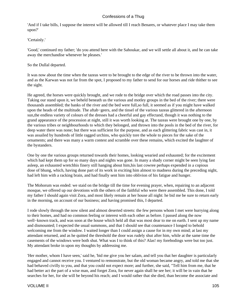'And if I take bills, I suppose the interest will be allowed till I reach Benares, or whatever place I may take them upon?'

'Certainly.'

'Good,' continued my father; 'do you attend here with the Sahoukar, and we will settle all about it, and he can take away the merchandise whenever he pleases.'

So the Dullal departed.

It was now about the time when the tazeas were to be brought to the edge of the river to be thrown into the water, and as the Karwan was not far from the spot, I proposed to my father to send for our horses and ride thither to see the sight.

He agreed, the horses were quickly brought, and we rode to the bridge over which the road passes into the city. Taking our stand upon it, we beheld beneath us the various and motley groups in the bed of the river; there were thousands assembled; the banks of the river and the bed were full, so full, it seemed as if you might have walked upon the heads of the multitude. The aftab−geers, and the tinsel of the various tazeas glittered in the afternoon sun, the endless variety of colours of the dresses had a cheerful and gay effect and, though it was nothing to the grand appearance of the procession at night, still it was worth looking at. The tazeas were brought one by one, by the various tribes or neighbourhoods to which they belonged, and thrown into the pools in the bed of the river, for deep water there was none; but there was sufficient for the purpose, and as each glittering fabric was cast in, it was assailed by hundreds of little ragged urchins, who quickly tore the whole to pieces for the sake of the ornaments; and there was many a warm contest and scramble over these remains, which excited the laughter of the bystanders.

One by one the various groups returned towards their homes, looking wearied and exhausted; for the excitement which had kept them up for so many days and nights was gone. In many a shady corner might be seen lying fast asleep, an exhausted wretch his finery still hanging about him, his last cowree perhaps expended in a copious dose of bhung, which, having done part of its work in exciting him almost to madness during the preceding night, had left him with a racking brain, and had finally sent him into oblivion of his fatigue and hunger.

The Mohorum was ended: we staid on the bridge till the time for evening prayer, when, repairing to an adjacent mosque, we offered up our devotions with the others of the faithful who were there assembled. This done, I told my father I should again visit Zora, and most likely remain at her house all night: he bid me be sure to return early in the morning, on account of our business; and having promised this, I departed.

I rode slowly through the now silent and almost deserted streets: the few persons whom I met were hurrying along to their homes, and had no common feeling or interest with each other as before. I passed along the now well−known track, and was soon at the house which held all that was most dear to me on earth. I sent up my name and dismounted; I expected the usual summons, and that I should see that countenance I longed to behold welcoming me from the window. I waited longer than I could assign a cause for in my own mind; at last my attendant returned, and as he quitted the threshold the door was rudely shut after him, while at the same time the casements of the windows were both shut. What was I to think of this? Alas! my forebodings were but too just. My attendant broke in upon my thoughts by addressing me.

'Her mother, whom I have seen,' said he, 'bid me give you her salam, and tell you that her daughter is particularly engaged and cannot receive you. I ventured to remonstrate, but the old woman became angry, and told me that she had behaved civilly to you, and that you could not expect more; and further, she said, "Tell him from me, that he had better act the part of a wise man, and forget Zora, for never again shall he see her; it will be in vain that he searches for her, for she will be beyond his reach; and I would rather that she died, than become the associate and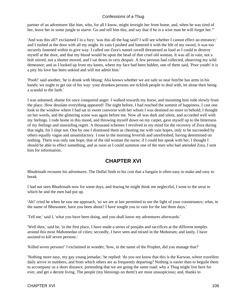partner of an adventurer like him, who, for all I know, might inveigle her from home, and, when he was tired of her, leave her in some jungle to starve. Go and tell him this, and say that if he is a wise man he will forget her."'

'And was this all?' exclaimed I in a fury; 'was this all the hag said? I will see whether I cannot effect an entrance;' and I rushed at the door with all my might. In vain I pushed and battered it with the hilt of my sword, it was too securely fastened within to give way. I called out Zora's name I raved I threatened as loud as I could to destroy myself at the door, and that my blood would be upon the head of that cruel old woman. It was all in vain, not a bolt stirred, not a shutter moved, and I sat down in very despair. A few persons had collected, observing my wild demeanor; and as I looked up from my knees, where my face had been hidden, one of them said, 'Poor youth! it is a pity his love has been unkind and will not admit him.'

'Pooh!' said another, 'he is drunk with bhung; Alia knows whether we are safe so near him! he has arms in his hands; we ought to get out of his way: your drunken persons are ticklish people to deal with, let alone their being a scandal to the faith.'

I was ashamed; shame for once conquered anger. I walked towards my horse, and mounting him rode slowly from the place. How desolate everything appeared! The night before, I had reached the summit of happiness. I cast one look to the window where I had sat in sweet converse with her whom I was destined no more to behold; I thought on her words, and the glittering scene was again before me. Now all was dark and silent, and accorded well with my feelings. I rode home in this mood, and throwing myself down on my carpet, gave myself up to the bitterness of my feelings and unavailing regret. A thousand schemes I revolved in my mind for the recovery of Zora during that night, for I slept not. One by one I dismissed them as cheating me with vain hopes, only to be succeeded by others equally vague and unsatisfactory. I rose in the morning feverish and unrefreshed, having determined on nothing. There was only one hope, that of the old woman the nurse; if I could but speak with her, I thought I should be able to effect something, and as soon as I could summon one of the men who had attended Zora, I sent him for information.

# **CHAPTER XVI**

Bhudrinath recounts his adventures. The Dullal finds to his cost that a bargain is often easy to make and easy to break

I had not seen Bhudrinath now for some days, and fearing he might think me neglectful, I went to the serai in which he and the men had put up.

'Ah!' cried he when he saw me approach, 'so we are at last permitted to see the light of your countenance; what, in the name of Bhowanee, have you been about? I have sought you in vain for the last three days.'

'Tell me,' said I, 'what you have been doing, and you shall know my adventures afterwards.'

'Well then,' said he, 'in the first place, I have made a series of poojahs and sacrifices at the different temples around this most Mahomedan of cities; secondly, I have seen and mixed in the Mohorum; and lastly, I have assisted to kill seven persons.'

'Killed seven persons!' I exclaimed in wonder, 'how, in the name of the Prophet, did you manage that?'

'Nothing more easy, my gay young jemadar,' he replied: 'do you not know that this is the Karwan, where travellers daily arrive in numbers, and from which others are as frequently departing? Nothing is easier than to beguile them to accompany us a short distance, pretending that we are going the same road: why a Thug might live here for ever, and get a decent living. The people (my blessings on them!) are most unsuspicious; and, thanks to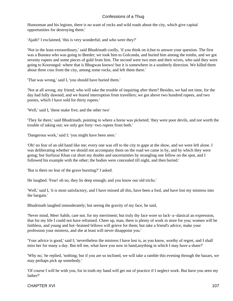Hunooman and his legions, there is no want of rocks and wild roads about the city, which give capital opportunities for destroying them.'

'Ajaib!' I exclaimed, 'this is very wonderful; and who were they?'

'Not in the least extraordinary,' said Bhudrinath coolly, 'if you think on it; but to answer your question. The first was a Bunnea who was going to Beeder; we took him to Golconda, and buried him among the tombs, and we got seventy rupees and some pieces of gold from him. The second were two men and their wives, who said they were going to Koorungul: where that is Bhugwan knows! but it is somewhere in a southerly direction. We killed them about three coss from the city, among some rocks, and left them there.'

'That was wrong,' said I, 'you should have buried them.'

'Not at all wrong, my friend; who will take the trouble of inquiring after them? Besides, we had not time, for the day had fully dawned, and we feared interruption from travellers; we got above two hundred rupees, and two ponies, which I have sold for thirty rupees.'

'Well,' said I, 'these make five; and the other two'

'They lie there,' said Bhudrinath, pointing to where a horse was picketed; 'they were poor devils, and not worth the trouble of taking out; we only got forty−two rupees from both.'

'Dangerous work,' said I; 'you might have been seen.'

'Oh! no fear of an old hand like me; every one was off to the city to gape at the show, and we were left alone. I was deliberating whether we should not accompany them on the road we came in by, and by which they were going; but Surfuraz Khan cut short my doubts and uncertainties by strangling one fellow on the spot, and I followed his example with the other; the bodies were concealed till night, and then buried.'

'But is there no fear of the grave bursting?' I asked.

He laughed. 'Fear! oh no, they lie deep enough; and you know our old tricks.'

'Well,' said I, 'it is most satisfactory, and I have missed all this, have been a fool, and have lost my mistress into the bargain.'

Bhudrinath laughed immoderately; but seeing the gravity of my face, he said,

'Never mind, Meer Sahib, care not. for my merriment; but truly thy face wore so lack−a−daisical an expression, that for my life I could not have refrained. Cheer up, man, there is plenty of work in store for you; women will be faithless, and young and hot−brained fellows will grieve for them; but take a friend's advice, make your profession your mistress, and she at least will never disappoint you.'

'Your advice is good,' said I; 'nevertheless the mistress I have lost is, as you know, worthy of regret, and I shall miss her for many a day. But tell me, what have you now in hand, anything in which I may have a share?'

'Why no,' he replied, 'nothing; but if you are so inclined, we will take a ramble this evening through the bazars, we may perhaps pick up somebody.'

'Of course I will be with you, for in truth my hand will get out of practice if I neglect work. But have you seen my father?'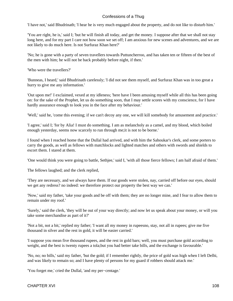'I have not,' said Bhudrinath; 'I hear he is very much engaged about the property, and do not like to disturb him.'

'You are right, he is,' said I; 'but he will finish all today, and get the money. I suppose after that we shall not stay long here, and for my part I care not how soon we set off; I am anxious for new scenes and adventures, and we are not likely to do much here. Is not Surfuraz Khan here?'

'No; he is gone with a party of seven travellers towards Puttuncherroo, and has taken ten or fifteen of the best of the men with him; he will not be back probably before night, if then.'

'Who were the travellers?'

'Bunneas, I heard,' said Bhudrinath carelessly; 'I did not see them myself, and Surfuraz Khan was in too great a hurry to give me any information.'

'Out upon me!' I exclaimed, vexed at my idleness; 'here have I been amusing myself while all this has been going on: for the sake of the Prophet, let us do something soon, that I may settle scores with my conscience, for I have hardly assurance enough to look you in the face after my behaviour.'

'Well,' said he, 'come this evening; if we can't decoy any one, we will kill somebody for amusement and practice.'

'I agree,' said I; 'for by Alia! I must do something. I am as melancholy as a camel, and my blood, which boiled enough yesterday, seems now scarcely to run through me; it is not to be borne.'

I found when I reached home that the Dullal had arrived, and with him the Sahoukar's clerk, and some porters to carry the goods, as well as fellows with matchlocks and lighted matches and others with swords and shields to escort them. I stared at them.

'One would think you were going to battle, Sethjee,' said I, 'with all those fierce fellows; I am half afraid of them.'

The fellows laughed; and the clerk replied,

'They are necessary, and we always have them. If our goods were stolen, nay, carried off before our eyes, should we get any redress? no indeed: we therefore protect our property the best way we can.'

'Now,' said my father, 'take your goods and be off with them; they are no longer mine, and I fear to allow them to remain under my roof.'

'Surely,' said the clerk, 'they will be out of your way directly; and now let us speak about your money, or will you take some merchandise as part of it?'

'Not a bit, not a bit,' replied my father; 'I want all my money in rupees no, stay, not all in rupees; give me five thousand in silver and the rest in gold, it will be easier carried.'

'I suppose you mean five thousand rupees, and the rest in gold bars; well, you must purchase gold according to weight, and the best is twenty rupees a tola; but you had better take bills, and the exchange is favourable.'

'No, no; no bills,' said my father, 'but the gold; if I remember rightly, the price of gold was high when I left Delhi, and was likely to remain so; and I have plenty of persons for my guard if robbers should attack me.'

'You forget me,' cried the Dullal, 'and my per−centage.'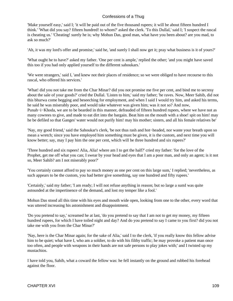'Make yourself easy,' said I; 'it will be paid out of the five thousand rupees; it will be about fifteen hundred I think.' 'What did you say? fifteen hundred! to whom?' asked the clerk. 'To this Dullal,' said I; 'I suspect the rascal is cheating us.' 'Cheating! surely he is; why Mohun Das, good man, what have you been about? are you mad, to ask so much?'

'Ah, it was my lord's offer and promise,' said he, 'and surely I shall now get it; pray what business is it of yours?'

'What ought he to have?' asked my father. 'One per cent is ample,' replied the other; 'and you might have saved this too if you had only applied yourself to the different sahoukars.'

'We were strangers,' said I, 'and knew not their places of residence; so we were obliged to have recourse to this rascal, who offered his services.'

'What! did you not take me from the Char Minar? did you not promise me five per cent, and bind me to secresy about the sale of your goods?' cried the Dullal. 'Listen to him,' said my father; 'he raves. Now, Meer Sahib, did not this bhurwa come begging and beseeching for employment, and when I said I would try him, and asked his terms, he said he was miserably poor, and would take whatever was given him; was it not so? And now, Punah−i−Khoda, we are to be bearded in this manner, defrauded of fifteen hundred rupees, where we have not as many cowrees to give, and made to eat dirt into the bargain. Beat him on the mouth with a shoe! spit on him! may he be defiled so that Ganges' water would not purify him! may his mother; sisters, and all his female relatives be'

'Nay, my good friend,' said the Sahoukar's clerk, 'be not thus rash and hot−headed, nor waste your breath upon so mean a wretch; since you have employed him something must be given, it is the custom, and next time you will know better; say, may I pay him the one per cent, which will be three hundred and six rupees?'

'Three hundred and six rupees! Alia, Alia! where am I to get the half?' cried my father: 'for the love of the Prophet, get me off what you can; I swear by your head and eyes that I am a poor man, and only an agent; is it not so, Meer Sahib? am I not miserably poor?'

'You certainly cannot afford to pay so much money as one per cent on this large sum,' I replied; 'nevertheless, as such appears to be the custom, you had better give something, say one hundred and fifty rupees.'

'Certainly,' said my father; 'I am ready; I will not refuse anything in reason; but so large a sumI was quite astounded at the impertinence of the demand, and lost my temper like a fool.'

Mohun Das stood all this time with his eyes and mouth wide open, looking from one to the other, every word that was uttered increasing his astonishment and disappointment.

'Do you pretend to say,' screamed he at last, 'do you pretend to say that I am not to get my money, my fifteen hundred rupees, for which I have toiled night and day? And do you pretend to say I came to you first? did you not take me with you from the Char Minar?'

'Nay, here is the Char Minar again; for the sake of Alia,' said I to the clerk, 'if you really know this fellow advise him to be quiet; what have I, who am a soldier, to do with his filthy traffic; he may provoke a patient man once too often, and people with weapons in their hands are not safe persons to play jokes with;' and I twisted up my mustachios.

I have told you, Sahib, what a coward the fellow was: he fell instantly on the ground and rubbed his forehead against the floor.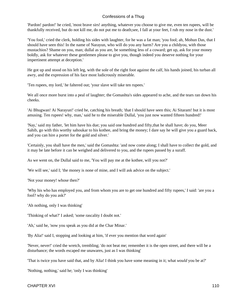'Pardon! pardon!' he cried, 'most brave sirs! anything, whatever you choose to give me, even ten rupees, will be thankfully received, but do not kill me, do not put me to death; see, I fall at your feet, I rub my nose in the dust.'

'You fool,' cried the clerk, holding his sides with laughter, for he was a fat man; 'you fool; ah, Mohun Das, that I should have seen this! In the name of Narayun, who will do you any harm? Are you a child you, with those mustachios? Shame on you, man; dullal as you are, be something less of a coward; get up, ask for your money boldly, ask for whatever these gentlemen please to give you, though indeed you deserve nothing for your impertinent attempt at deception.'

He got up and stood on his left leg, with the sole of the right foot against the calf, his hands joined, his turban all awry, and the expression of his face most ludicrously miserable.

'Ten rupees, my lord,' he faltered out; 'your slave will take ten rupees.'

We all once more burst into a peal of laughter; the Gomashta's sides appeared to ache, and the tears ran down his cheeks.

'Ai Bhugwan! Ai Narayun!' cried he, catching his breath; 'that I should have seen this; Ai Sitaram! but it is most amusing. Ten rupees! why, man,' said he to the miserable Dullal, 'you just now wanted fifteen hundred!'

'Nay,' said my father, 'let him have his due; you said one hundred and fifty, that he shall have; do you, Meer Sahib, go with this worthy sahoukar to his kothee, and bring the money; I dare say he will give you a guard back, and you can hire a porter for the gold and silver.'

'Certainly, you shall have the men,' said the Gomashta: 'and now come along; I shall have to collect the gold, and it may be late before it can be weighed and delivered to you, and the rupees passed by a suraff.

As we went on, the Dullal said to me, 'You will pay me at the kothee, will you not?'

'We will see,' said I; 'the money is none of mine, and I will ask advice on the subject.'

'Not your money! whose then?'

'Why his who has employed you, and from whom you are to get one hundred and fifty rupees,' I said: 'are you a fool? why do you ask?'

'Ah nothing, only I was thinking'

'Thinking of what?' I asked; 'some rascality I doubt not.'

'Ah,' said he, 'now you speak as you did at the Char Minar.'

'By Alia!' said I, stopping and looking at him, 'if ever you mention that word again'

'Never, never!' cried the wretch, trembling; 'do not beat me; remember it is the open street, and there will be a disturbance; the words escaped me unawares, just as I was thinking'

'That is twice you have said that, and by Alia! I think you have some meaning in it; what *would* you be at?'

'Nothing, nothing,' said he; 'only I was thinking'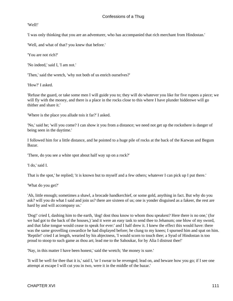'Well!'

'I was only thinking that you are an adventurer, who has accompanied that rich merchant from Hindostan.'

'Well, and what of that? you knew that before.'

'You are not rich?'

'No indeed,' said I, 'I am not.'

'Then,' said the wretch, 'why not both of us enrich ourselves?'

'How?' I asked.

'Refuse the guard, or take some men I will guide you to; they will do whatever you like for five rupees a piece; we will fly with the money, and there is a place in the rocks close to this where I have plunder hidden we will go thither and share it.'

'Where is the place you allude to is it far?' I asked.

'No,' said he; 'will you come? I can show it you from a distance; we need not get up the rocks there is danger of being seen in the daytime.'

I followed him for a little distance, and he pointed to a huge pile of rocks at the back of the Karwan and Begum Bazar.

'There, do you see a white spot about half way up on a rock?'

'I do,' said I.

That is the spot,' he replied; 'it is known but to myself and a few others; whatever I can pick up I put there.'

'What do you get?'

'Ah, little enough; sometimes a shawl, a brocade handkerchief, or some gold, anything in fact. But why do you ask? will you do what I said and join us? there are sixteen of us; one is yonder disguised as a fakeer, the rest are hard by and will accompany us.'

'Dog!' cried I, dashing him to the earth, 'dog! dost thou know to whom thou speakest? Here there is no one,' (for we had got to the back of the houses,) 'and it were an easy task to send thee to Jehanum; one blow of my sword, and that false tongue would cease to speak for ever:' and I half drew it. I knew the effect this would have: there was the same grovelling cowardice he had displayed before; he clung to my knees; I spurned him and spat on him. 'Reptile!' cried I at length, wearied by his abjectness, 'I would scorn to touch thee; a Syud of Hindostan is too proud to stoop to such game as thou art; lead me to the Sahoukar, for by Alia I distrust thee!'

'Nay, in this matter I have been honest,' said the wretch; 'the money is sure.'

'It will be well for thee that it is,' said I, 'or I swear to be revenged; lead on, and beware how you go; if I see one attempt at escape I will cut you in two, were it in the middle of the bazar.'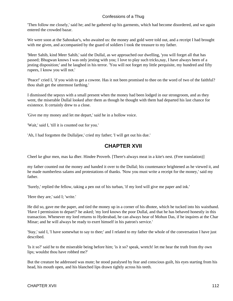'Then follow me closely,' said he; and he gathered up his garments, which had become disordered, and we again entered the crowded bazar.

We were soon at the Sahoukar's, who awaited us: the money and gold were told out, and a receipt I had brought with me given, and accompanied by the guard of soldiers I took the treasure to my father.

'Meer Sahib, kind Meer Sahib,' said the Dullal, as we approached our dwelling, 'you will forget all that has passed; Bhugwan knows I was only jesting with you; I love to play such tricks, nay, I have always been of a jesting disposition;' and he laughed in his terror. 'You will not forget my little perquisite, my hundred and fifty rupees, I know you will not.'

'Peace!' cried I, 'if you wish to get a cowree. Has it not been promised to thee on the word of two of the faithful? thou shalt get the uttermost farthing.'

I dismissed the sepoys with a small present when the money had been lodged in our strongroom, and as they went, the miserable Dullal looked after them as though he thought with them had departed his last chance for existence. It certainly drew to a close.

'Give me my money and let me depart,' said he in a hollow voice.

'Wait,' said I, 'till it is counted out for you.'

'Ah, I had forgotten the Dullaljee,' cried my father; 'I will get out his due.'

# **CHAPTER XVII**

Cheel ke ghur men, mas ka dher. Hindee Proverb. [There's always meat in a kite's nest. (Free translation)]

my father counted out the money and handed it over to the Dullal; his countenance brightened as he viewed it, and he made numberless salams and protestations of thanks. 'Now you must write a receipt for the money,' said my father.

'Surely,' replied the fellow, taking a pen out of his turban, 'if my lord will give me paper and ink.'

'Here they are,' said I; 'write.'

He did so, gave me the paper, and tied the money up in a corner of his dhotee, which he tucked into his waistband. 'Have I permission to depart?' he asked; 'my lord knows the poor Dullal, and that he has behaved honestly in this transaction. Whenever my lord returns to Hyderabad, he can always hear of Mohun Das, if he inquires at the Char Minar; and he will always be ready to exert himself in his patron's service.'

'Stay,' said I, 'I have somewhat to say to thee;' and I related to my father the whole of the conversation I have just described.

'Is it so?' said he to the miserable being before him; 'is it so? speak, wretch! let me hear the truth from thy own lips; wouldst thou have robbed me?'

But the creature he addressed was mute; he stood paralysed by fear and conscious guilt, his eyes starting from his head, his mouth open, and his blanched lips drawn tightly across his teeth.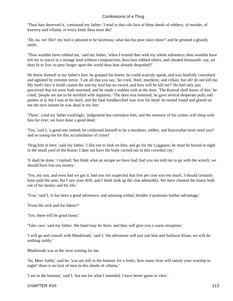'Thou hast deserved it,' continued my father; 'I read in that vile face of thine deeds of robbery, of murder, of knavery and villainy of every kind; thou must die!'

'Ah, no, no! Die? my lord is pleased to be facetious; what has his poor slave done?' and he grinned a ghastly smile.

'Thou wouldst have robbed me,' said my father, 'when I trusted thee with my whole substance; thou wouldst have left me to starve in a strange land without compunction; thou hast robbed others, and cheated thousands: say, art thou fit to live, to prey longer upon the world thou hast already despoiled?'

He threw himself at my father's feet; he grasped his knees; he could scarcely speak, and was fearfully convulsed and agitated by extreme terror. 'I am all that you say,' he cried, 'thief, murderer, and villain; but oh! do not kill me. My lord's face is kind I cannot die and my lord has no sword, and how will he kill me?' He had only just perceived that we were both unarmed, and he made a sudden rush at the door. 'The Kotwal shall know of this,' he cried; 'people are not to be terrified with impunity.' The door was fastened; he gave several desperate pulls and pushes at it; but I was at his back, and the fatal handkerchief was over his head: he turned round and glared on me the next instant he was dead at my feet.

'There,' cried my father exultingly, 'judgement has overtaken him, and the memory of his crimes will sleep with him for ever; we have done a good deed.'

'Yes,' said I, 'a good one indeed; he confessed himself to be a murderer, robber, and knavewhat more need you? and so young too for this accumulation of crime!'

'Drag him in here,' said my father, 'I like not to look on him; and go for the Luggaees; he must be buried at night in the small yard of the house; I dare not have the body carried out in this crowded city.'

'It shall be done,' I replied; 'but think what an escape we have had; had you not told me to go with the wretch, we should have lost our money.'

'Yes, my son, and even had we got it, had you not suspected that five per cent was too much, I should certainly have paid the sum; but I saw your drift, and I think took up the clue admirably. We have cheated the knave both out of his money and his life.'

'True,' said I, 'it has been a good adventure, and amusing withal; besides it promises further advantage.'

'From the rock and the fakeer?'

'Yes; there will be good booty.'

'Take care,' said my father; 'the band may be there, and they will give you a warm reception.'

'I will go and consult with Bhudrinath,' said I; 'the adventure will just suit him and Surfuraz Khan; we will do nothing rashly.'

Bhudrinath was at the serai waiting for me.

'So, Meer Sahib,' said he, 'you are still in the humour for a frolic; how many lives will satisfy your worship to night? there is no lack of men in this abode of villainy.'

'I am in the humour,' said I, 'but not for what I intended; I have better game in view.'

#### CHAPTER XVII 113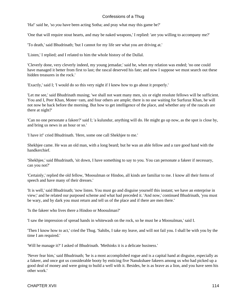'Ha!' said he, 'so *you* have been acting Sotha; and pray what may this game be?'

'One that will require stout hearts, and may be naked weapons,' I replied: 'are you willing to accompany me?'

'To death,' said Bhudrinath; 'but I cannot for my life see what you are driving at.'

'Listen,' I replied; and I related to him the whole history of the Dullal.

'Cleverly done, very cleverly indeed, my young jemadar,' said he, when my relation was ended; 'no one could have managed it better from first to last; the rascal deserved his fate; and now I suppose we must search out these hidden treasures in the rock.'

'Exactly,' said I; 'I would do so this very night if I knew how to go about it properly.'

'Let me see,' said Bhudrinath musing; 'we shall not want many men, six or eight resolute fellows will be sufficient. You and I, Peer Khan, Motee−ram, and four others are ample; there is no use waiting for Surfuraz Khan, he will not now be back before the morning. But how to get intelligence of the place, and whether any of the rascals are there at night?'

'Can no one personate a fakeer?' said I; 'a kulundur, anything will do. He might go up now, as the spot is close by, and bring us news in an hour or so.'

'I have it!' cried Bhudrinath. 'Here, some one call Shekhjee to me.'

Shekhjee came. He was an old man, with a long beard; but he was an able fellow and a rare good hand with the handkerchief.

'Shekhjee,' said Bhudrinath, 'sit down, I have something to say to you. You can personate a fakeer if necessary, can you not?'

'Certainly,' replied the old fellow, 'Moosulman or Hindoo, all kinds are familiar to me. I know all their forms of speech and have many of their dresses.'

'It is well,' said Bhudrinath; 'now listen. You must go and disguise yourself this instant; we have an enterprise in view;' and he related our purposed scheme and what had preceded it. 'And now,' continued Bhudrinath, 'you must be wary, and by dark you must return and tell us of the place and if there are men there.'

'Is the fakeer who lives there a Hindoo or Moosulman?'

'I saw the impression of spread hands in whitewash on the rock, so he must be a Moosulman,' said I.

'Then I know how to act,' cried the Thug. 'Sahibs, I take my leave, and will not fail you. I shall be with you by the time I am required.'

'Will he manage it?' I asked of Bhudrinath. 'Methinks it is a delicate business.'

'Never fear him,' said Bhudrinath; 'he is a most accomplished rogue and is a capital hand at disguise, especially as a fakeer, and once got us considerable booty by enticing five Nanukshaee fakeers among us who had picked up a good deal of money and were going to build a well with it. Besides, he is as brave as a lion, and you have seen his other work.'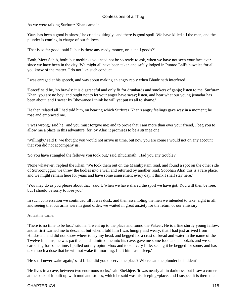As we were talking Surfuraz Khan came in.

'Ours has been a good business,' he cried exultingly, 'and there is good spoil. We have killed all the men, and the plunder is coming in charge of our fellows.'

'That is so far good,' said I; 'but is there any ready money, or is it all goods?'

'Both, Meer Sahib, both; but methinks you need not be so ready to ask, when we have not seen your face ever since we have been in the city. We might all have been taken and safely lodged in Puntoo Lall's huwelee for all you knew of the matter. I do not like such conduct.'

I was enraged at his speech, and was about making an angry reply when Bhudrinath interfered.

'Peace!' said he, 'no brawls: it is disgraceful and only fit for drunkards and smokers of ganja; listen to me. Surfuraz Khan, you are no boy, and ought not to let your anger have sway; listen, and hear what our young jemadar has been about, and I swear by Bhowanee I think he will yet put us all to shame.'

He then related all I had told him, on hearing which Surfuraz Khan's angry feelings gave way in a moment; he rose and embraced me.

'I was wrong,' said he, 'and you must forgive me; and to prove that I am more than ever your friend, I beg you to allow me a place in this adventure, for, by Alia! it promises to be a strange one.'

'Willingly,' said I; 'we thought you would not arrive in time, but now you are come I would not on any account that you did not accompany us.'

'So you have strangled the fellows you took out,' said Bhudrinath. 'Had you any trouble?'

'None whatever,' replied the Khan. 'We took them out on the Masulipatam road, and found a spot on the other side of Surroonuggur; we threw the bodies into a well and returned by another road. Soobhan Alia! this is a rare place, and we might remain here for years and have some amusement every day. I think I shall stay here.'

'You may do as you please about that', said I, 'when we have shared the spoil we have got. You will then be free, but I should be sorry to lose you.'

In such conversation we continued till it was dusk, and then assembling the men we intended to take, eight in all, and seeing that our arms were in good order, we waited in great anxiety for the return of our emissary.

At last he came.

'There is no time to be lost,' said he. 'I went up to the place and found the Fakeer. He is a fine sturdy young fellow, and at first warned me to descend; but when I told him I was hungry and weary, that I had just arrived from Hindostan, and did not know where to lay my head, and begged for a crust of bread and water in the name of the Twelve Imaums, he was pacified, and admitted me into his cave, gave me some food and a hookah, and we sat carousing for some time. I pulled out my opium−box and took a very little; seeing it he begged for some, and has taken such a dose that he will not wake till morning. I left him fast asleep.'

'He shall never wake again,' said I: 'but did you observe the place? Where can the plunder be hidden?'

'He lives in a cave, between two enormous rocks,' said Shekhjee. 'It was nearly all in darkness, but I saw a corner at the back of it built up with mud and stones, which he said was his sleeping−place, and I suspect it is there that

#### CHAPTER XVII 115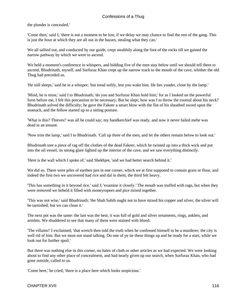the plunder is concealed.'

'Come then,' said I; 'there is not a moment to be lost; if we delay we may chance to find the rest of the gang. This is just the hour at which they are all out in the bazars, stealing what they can.'

We all sallied out, and conducted by our guide, crept stealthily along the foot of the rocks till we gained the narrow pathway by which we were to ascend.

We held a moment's conference in whispers, and bidding five of the men stay below until we should tell them to ascend, Bhudrinath, myself, and Surfuraz Khan crept up the narrow track to the mouth of the cave, whither the old Thug had preceded us.

'He still sleeps,' said he in a whisper; 'but tread softly, lest you wake him. He lies yonder, close by the lamp.'

'Mind, he is mine,' said I to Bhudrinath; 'do you and Surfuraz Khan hold him;' for as I looked on the powerful form before me, I felt this precaution to be necessary. But he slept; how was I to throw the roomal about his neck? Bhudrinath solved the difficulty; he gave the Fakeer a smart blow with the flat of his sheathed sword upon the stomach, and the fellow started up to a sitting posture.

'What is this? Thieves!' was all he could say; my handkerchief was ready, and now it never failed mehe was dead in an instant.

'Now trim the lamp,' said I to Bhudrinath. 'Call up three of the men, and let the others remain below to look out.'

Bhudrinath tore a piece of rag off the clothes of the dead Fakeer, which he twisted up into a thick wick and put into the oil vessel; its strong glare lighted up the interior of the cave, and we saw everything distinctly.

'Here is the wall which I spoke of,' said Shekhjee, 'and we had better search behind it.'

We did so. There were piles of earthen jars in one corner, which we at first supposed to contain grain or flour, and indeed the first two we uncovered had rice and dal in them; the third felt heavy.

'This has something in it beyond rice,' said I; 'examine it closely.' The mouth was stuffed with rags, but when they were removed we beheld it filled with money rupees and pice mixed together.

'This was not wise,' said Bhudrinath; 'the Shah Sahib ought not to have mixed his copper and silver, the silver will be tarnished; but we can clean it.'

The next pot was the same: the last was the best; it was full of gold and silver ornaments, rings, anklets, and armlets. We shuddered to see that many of them were stained with blood.

'The villains!' I exclaimed; 'that wretch then told the truth when he confessed himself to be a murderer; the city is well rid of him. But we must not stand talking. Do one of ye tie these things up and be ready for a start, while we look out for further spoil.'

But there was nothing else in this corner, no bales of cloth or other articles as we had expected. We were looking about to find any other place of concealment, and had nearly given up our search, when Surfuraz Khan, who had gone outside, called to us.

'Come here,' he cried; 'there is a place here which looks suspicious.'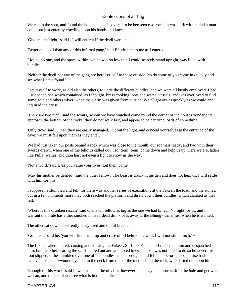We ran to the spot, and found the hole he had discovered to be between two rocks; it was dark within, and a man could but just enter by crawling upon his hands and knees.

'Give me the light,' said I; 'I will enter it if the devil were inside.'

'Better the devil than any of this infernal gang,' said Bhudrinath to me as I entered.

I found no one, and the space within, which was so low that I could scarcely stand upright, was filled with bundles.

'Neither the devil nor any of the gang are here,' cried I to those outside, 'so do some of you come in quickly and see what I have found.'

I set myself to work, as did also the others, to untie the different bundles, and we were all busily employed. I had just opened one which contained, as I thought, brass cooking−pots and water−vessels, and was overjoyed to find some gold and others silver, when the alarm was given from outside. We all got out as quickly as we could and inquired the cause.

'There are two men,' said the scouts, 'whom we have watched come round the corner of the houses yonder and approach the bottom of the rocks; they do not walk fast, and appear to be carrying loads of something.'

'Only two?' said I, 'then they are easily managed. Put out the light, and conceal yourselves at the entrance of the cave; we must fall upon them as they enter.'

We had just taken our posts behind a rock which was close to the mouth, our roomals ready, and two with their swords drawn, when one of the fellows called out, 'Ho! Sein! Sein! come down and help us up. Here we are, laden like Pulla−wallas, and thou hast not even a light to show us the way.'

'Not a word,' said I, 'as you value your lives. Let them come.'

'May his mother be defiled!' said the other fellow. 'The beast is drunk in his den and does not hear us. I will settle with him for this.'

I suppose he stumbled and fell, for there was another series of execrations at the Fakeer, the load, and the stones; but in a few moments more they both reached the platform and threw down their bundles, which clanked as they fell.

'Where is this drunken rascal?' said one, a tall fellow as big as the one we had killed. 'No light for us, and I warrant the brute has either smoked himself dead drunk or is away at the Bhung−khana just when he is wanted.'

The other sat down, apparently fairly tired and out of breath.

'Go inside,' said he; 'you will find the lamp and cruse of oil behind the wall. I will not stir an inch.' −

The first speaker entered, cursing and abusing the Fakeer. Surfuraz Khan and I rushed on him and despatched him; but the other hearing the scuffle cried out and attempted to escape. He was not fated to do so however; his foot slipped, or he stumbled over one of the bundles he had brought, and fell, and before he could rise had received his death−wound by a cut in the neck from one of the men behind the rock, who darted out upon him.

'Enough of this work,' said I; 'we had better be off; first however let us pay one more visit to the hole and get what we can, and do one of you see what is in the bundles.'

### CHAPTER XVII 117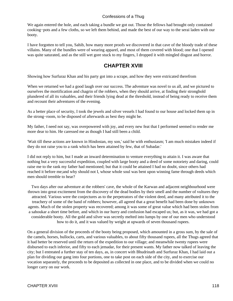We again entered the hole, and each taking a bundle we got out. Those the fellows had brought only contained cooking−pots and a few cloths, so we left them behind, and made the best of our way to the serai laden with our booty.

I have forgotten to tell you, Sahib, how many more proofs we discovered in that cave of the bloody trade of these villains. Many of the bundles were of wearing apparel, and most of them covered with blood; one that I opened was quite saturated, and as the still wet gore stuck to my fingers, I dropped it with mingled disgust and horror.

# **CHAPTER XVIII**

Showing how Surfuraz Khan and his party got into a scrape, and how they were extricated therefrom

When we returned we had a good laugh over our success. The adventure was novel to us all, and we pictured to ourselves the mortification and chagrin of the robbers, when they should arrive, at finding their stronghold plundered of all its valuables, and their friends lying dead at the threshold, instead of being ready to receive them and recount their adventures of the evening.

As a better place of security, I took the jewels and silver vessels I had found to our house and locked them up in the strong−room, to be disposed of afterwards as best they might be.

My father, I need not say, was overpowered with joy, and every new feat that I performed seemed to render me more dear to him. He caressed me as though I had still been a child.

'Wait till these actions are known in Hindostan, my son,' said he with enthusiasm; 'I am much mistaken indeed if they do not raise you to a rank which has been attained by few, that of Subadar.'

I did not reply to him, but I made an inward determination to venture everything to attain it. I was aware that nothing but a very successful expedition, coupled with large booty and a deed of some notoriety and daring, could raise me to the rank my father had mentioned; but that it could be attained I had no doubt, since others had reached it before me; and why should not I, whose whole soul was bent upon winning fame through deeds which men should tremble to hear?

Two days after our adventure at the robbers' cave, the whole of the Karwan and adjacent neighbourhood were thrown into great excitement from the discovery of the dead bodies by their smell and the number of vultures they attracted. Various were the conjectures as to the perpetrators of the violent deed, and many attributed it to the treachery of some of the band of robbers; however, all agreed that a great benefit had been done by unknown agents. Much of the stolen property was recovered; among it was some of great value which had been stolen from a sahoukar a short time before, and which in our hurry and confusion had escaped us; but, as it was, we had got a considerable booty. All the gold and silver was secretly melted into lumps by one of our men who understood how to do it, and it was valued by weight at upwards of seven thousand rupees.

On a general division of the proceeds of the booty being proposed, which amounted in a gross sum, by the sale of the camels, horses, bullocks, carts, and various valuables, to about fifty thousand rupees, all the Thugs agreed that it had better be reserved until the return of the expedition to our village; and meanwhile twenty rupees were disbursed to each inferior, and fifty to each jemadar, for their present wants. My father now talked of leaving the city; but I entreated a further stay of ten days, as, in concert with Bhudrinath and Surfuraz Khan, I had laid out a plan for dividing our gang into four portions, one to take post on each side of the city, and to exercise our vocation separately, the proceeds to be deposited as collected in one place, and to be divided when we could no longer carry on our work.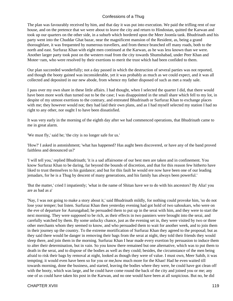The plan was favourably received by him, and that day it was put into execution. We paid the trifling rent of our house, and on the pretence that we were about to leave the city and return to Hindostan, quitted the Karwan and took up our quarters on the other side, in a suburb which bordered upon the Meer Joomla tank. Bhudrinath and his party went into the Chuddar Ghat bazar, near the magnificent mansion of the Resident, as, being a grand thoroughfare, it was frequented by numerous travellers, and from thence branched off many roads, both to the north and east. Surfuraz Khan with eight men continued at the Karwan, as he was less known than we were. Another larger party took post on the western road from the city towards Shumshabad, under Peer Khan and Motee−ram, who were resolved by their exertions to merit the trust which had been confided to them.

Our plan succeeded wonderfully; not a day passed in which the destruction of several parties was not reported, and though the booty gained was inconsiderable, yet it was probably as much as we could expect, and it was all collected and deposited in our new abode, from whence my father disposed of such as met a ready sale.

I pass over my own share in these little affairs. I had thought, when I selected the quarter I did, that there would have been more work than turned out to be the case; I was disappointed in the small share which fell to my lot, in despite of my utmost exertions to the contrary, and entreated Bhudrinath or Surfuraz Khan to exchange places with me; they however would not; they had laid their own plans, and as I had myself selected my station I had no right to any other, nor ought I to have been dissatisfied.

It was very early in the morning of the eighth day after we had commenced operations, that Bhudrinath came to me in great alarm.

'We must fly,' said he; 'the city is no longer safe for us.'

'How?' I asked in astonishment; 'what has happened? Has aught been discovered, or have any of the band proved faithless and denounced us?'

'I will tell you,' replied Bhudrinath; 'it is a sad affairsome of our best men are taken and in confinement. You know Surfuraz Khan to be daring, far beyond the bounds of discretion, and that for this reason few hitherto have liked to trust themselves to his guidance; and but for this fault he would ere now have been one of our leading jemadars, for he is a Thug by descent of many generations, and his family has always been powerful.'

'But the matter,' cried I impatiently; 'what in the name of Shitan have we to do with his ancestors? By Alia! you are as bad as a'

'Nay, I was not going to make a story about it,' said Bhudrinath mildly, for nothing could provoke him, 'so do not lose your temper; but listen. Surfuraz Khan then yesterday evening had got hold of two sahoukars, who were on the eve of departure for Aurungabad; he persuaded them to put up in the serai with him, and they were to start the next morning. They were supposed to be rich, as their effects in two panniers were brought into the serai, and carefully watched by them. By some unlucky chance, just as the evening set in, they were visited by two or three other merchants whom they seemed to know, and who persuaded them to wait for another week, and to join them in their journey up the country. To the extreme mortification of Surfuraz Khan they agreed to the proposal; but as they said there would be danger in removing their bags from the serai at night, they told their friends they would sleep there, and join them in the morning. Surfuraz Khan I hear made every exertion by persuasion to induce them to alter their determination, but in vain. So you know there remained but one alternative, which was to put them to death in the serai, and to dispose of the bodies as well as they could; besides, the circumstance of the men being afraid to risk their bags by removal at night, looked as though they were of value. I must own, Meer Sahib, it was tempting; it would even have been so for you or me, how much more for the Khan! Had he even waited till towards morning, done the business, and started, leaving the bodies where they were, he could have got clean off with the booty, which was large, and he could have come round the back of the city and joined you or me; any one of us could have taken his post in the Karwan, and no one would have been at all suspicious. But no, he did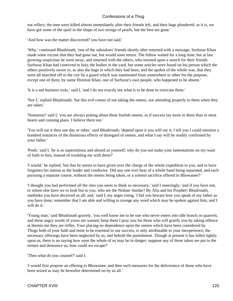not reflect; the men were killed almost immediately after their friends left, and their bags plundered: as it is, we have got some of the spoil in the shape of two strings of pearls, but the best are gone.'

'And how was the matter discovered? you have not said.'

'Why,' continued Bhudrinath, 'one of the sahoukars' friends shortly after returned with a message; Surfuraz Khan made some excuse that they had gone out, but would soon return. The fellow waited for a long time; but at last growing suspicious he went away, and returned with the others, who insisted upon a search for their friends. Surfuraz Khan had contrived to bury the bodies in the yard, but some articles were found on his person which the others positively swore to, as also the bags in which they had been; and the upshot of the whole was, that they were all marched off to the city by a guard which was summoned from somewhere or other for the purpose, except one of them, by name Himmat Khan, one of Surfuraz's own people, who happened to be absent.'

'It is a sad business truly,' said I, 'and I do not exactly see what is to be done to extricate them.'

'Nor I,' replied Bhudrinath; 'but this evil comes of not taking the omens, nor attending properly to them when they are taken.'

'Nonsense!' said I; 'you are always prating about these foolish omens, as if success lay more in them than in stout hearts and cunning plans. I believe them not.'

'You will rue it then one day or other,' said Bhudrinath; 'depend upon it you will rue it; I tell you I could mention a hundred instances of the disastrous effects of disregard of omens, and what I say will be readily confirmed by your father.'

'Pooh,' said I, 'he is as superstitious and absurd as yourself; why do you not make your lamentations on my want of faith to him, instead of troubling me with them?'

'I would,' he replied, 'but that he seems to have given over the charge of the whole expedition to you, and to have forgotten his station as the leader and conductor. Did any one ever hear of a whole band being separated, and each pursuing a separate course, without the omens being taken, or a solemn sacrifice offered to Bhowanee?'

'I thought you had performed all the rites you seem to think so necessary,' said I sneeringly; 'and if you have not, to whom else have we to look but to you, who are the Nishan−burdar? By Alia and his Prophet! Bhudrinath, methinks you have deceived us all; and,' said I, my anger rising, 'I bid you beware how you speak of my father as you have done; remember that I am able and willing to avenge any word which may be spoken against him, and I will do it.'

'Young man,' said Bhudrinath gravely, 'you well know me to be one who never enters into idle brawls or quarrels, and these angry words of yours are wasted; keep them I pray you for those who will gratify you by taking offence at themto me they are trifles. Your placing no dependence upon the omens which have been considered by Thugs both of your faith and mine to be essential to our success, is only attributable to your inexperience; the necessary offerings have been neglected by us, and behold the punishment. Though at present it has fallen lightly upon us, there is no saying how soon the whole of us may be in danger; suppose any of those taken are put to the torture and denounce us, how could we escape?'

'Then what do you counsel?' said I.

'I would first propose an offering to Bhowanee, and then such measures for the deliverance of those who have been seized as may be hereafter determined on by us all.'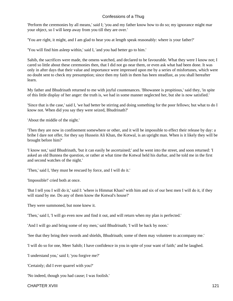'Perform the ceremonies by all means,' said I; 'you and my father know how to do so; my ignorance might mar your object, so I will keep away from you till they are over.'

'You are right, it might, and I am glad to hear you at length speak reasonably: where is your father?'

'You will find him asleep within,' said I, 'and you had better go to him.'

Sahib, the sacrifices were made, the omens watched, and declared to be favourable. What they were I know not; I cared so little about these ceremonies then, that I did not go near them, or even ask what had been done. It was only in after days that their value and importance were impressed upon me by a series of misfortunes, which were no doubt sent to check my presumption; since then my faith in them has been steadfast, as you shall hereafter learn.

My father and Bhudrinath returned to me with joyful countenances. 'Bhowanee is propitious,' said they, 'in spite of this little display of her anger: the truth is, we had in some manner neglected her, but she is now satisfied.'

'Since that is the case,' said I, 'we had better be stirring and doing something for the poor fellows; but what to do I know not. When did you say they were seized, Bhudrinath?'

'About the middle of the night.'

'Then they are now in confinement somewhere or other, and it will be impossible to effect their release by day: a bribe I dare not offer, for they say Hussein Ali Khan, the Kotwal, is an upright man. When is it likely they will be brought before him?'

'I know not,' said Bhudrinath, 'but it can easily be ascertained;' and he went into the street, and soon returned: 'I asked an old Bunnea the question, or rather at what time the Kotwal held his durbar, and he told me in the first and second watches of the night.'

'Then,' said I, 'they must be rescued by force, and I will do it.'

'Impossible!' cried both at once.

'But I tell you I will do it,' said I: 'where is Himmat Khan? with him and six of our best men I will do it, if they will stand by me. Do any of them know the Kotwal's house?'

They were summoned, but none knew it.

'Then,' said I, 'I will go even now and find it out, and will return when my plan is perfected.'

'And I will go and bring some of my men,' said Bhudrinath; 'I will be back by noon.'

'See that they bring their swords and shields, Bhudrinath; some of them may volunteer to accompany me.'

'I will do so for one, Meer Sahib; I have confidence in you in spite of your want of faith;' and he laughed.

'I understand you,' said I; 'you forgive me?'

'Certainly; did I ever quarrel with you?'

'No indeed, though you had cause; I was foolish.'

#### CHAPTER XVIII 121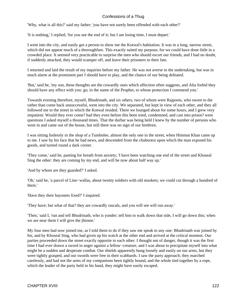'Why, what is all this?' said my father; 'you have not surely been offended with each other?'

'It is nothing,' I replied, 'for you see the end of it; but I am losing time, I must depart.'

I went into the city, and easily got a person to show me the Kotwal's habitation. It was in a long, narrow street, which did not appear much of a thoroughfare. This exactly suited my purpose, for we could have done little in a crowded place. It seemed very practicable to surprise the men who should escort our friends, and I had no doubt, if suddenly attacked, they would scamper off, and leave their prisoners to their fate.

I returned and laid the result of my inquiries before my father. He was not averse to the undertaking, but was in much alarm at the prominent part I should have to play, and the chance of our being defeated.

'But,' said he, 'my son, these thoughts are the cowardly ones which affection often suggests, and Alia forbid they should have any effect with you: go, in the name of the Prophet, to whose protection I commend you.'

Towards evening therefore, myself, Bhudrinath, and six others, two of whom were Rajpoots, who swore to die rather than come back unsuccessful, went into the city. We separated, but kept in view of each other, and they all followed me to the street in which the Kotwal resided. There we lounged about for some hours, and I grew very impatient. Would they ever come? had they even before this been tried, condemned, and cast into prison? were questions I asked myself a thousand times. That the durbar was being held I knew by the number of persons who went in and came out of the house, but still there was no sign of our brethren.

I was sitting listlessly in the shop of a Tumbolee, almost the only one in the street, when Himmat Khan came up to me. I saw by his face that he had news, and descended from the chubootra upon which the man exposed his goods, and turned round a dark corner.

'They come,' said he, panting for breath from anxiety; 'I have been watching one end of the street and Khoseal Sing the other: they are coming by my end, and will be now about half way up.'

'And by whom are they guarded?' I asked.

'Oh,' said he, 'a parcel of Line−wallas, about twenty soldiers with old muskets; we could cut through a hundred of them.'

'Have they their bayonets fixed?' I inquired.

'They have; but what of that? they are cowardly rascals, and you will see will run away.'

'Then,' said I, 'run and tell Bhudrinath, who is yonder; tell him to walk down that side, I will go down this; when we are near them I will give the jhirnee.'

My four men had now joined me, as I told them to do if they saw me speak to any one: Bhudrinath was joined by his, and by Khoseal Sing, who had given up his watch at the other end and arrived at the critical moment. Our parties proceeded down the street exactly opposite to each other. I thought not of danger, though it was the first time I had ever drawn a sword in anger against a fellow−creature, and I was about to precipitate myself into what might be a sudden and desperate combat. Our shields apparently hung loosely and easily on our arms, but they were tightly grasped, and our swords were free in their scabbards. I saw the party approach; they marched carelessly, and had not the arms of my companions been tightly bound, and the whole tied together by a rope, which the leader of the party held in his hand, they might have easily escaped.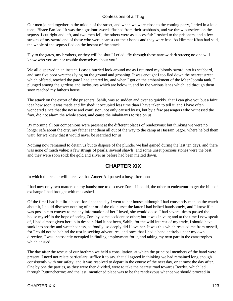Our men joined together in the middle of the street, and when we were close to the coming party, I cried in a loud tone, 'Bhaee Pan lao!' It was the signal our swords flashed from their scabbards, and we threw ourselves on the sepoys. I cut right and left, and two men fell; the others were as successful: I rushed to the prisoners, and a few strokes of my sword and of those who were nearest cut their bonds and they were free. As Himmat Khan had said, the whole of the sepoys fled on the instant of the attack.

'Fly to the gates, my brothers, or they will be shut!' I cried; 'fly through these narrow dark streets; no one will know who you are nor trouble themselves about you.'

We all dispersed in an instant. I cast a hurried look around me as I returned my bloody sword into its scabbard, and saw five poor wretches lying on the ground and groaning. It was enough: I too fled down the nearest street which offered, reached the gate I had entered by, and when I got on the embankment of the Meer Joomla tank, I plunged among the gardens and inclosures which are below it, and by the various lanes which led through them soon reached my father's house.

The attack on the escort of the prisoners, Sahib, was so sudden and over so quickly, that I can give you but a faint idea how soon it was made and finished: it occupied less time than I have taken to tell it, and I have often wondered since that the noise and confusion, not only caused by us, but by a few passengers who witnessed the fray, did not alarm the whole street, and cause the inhabitants to rise on us.

By morning all our companions were present at the different places of rendezvous: but thinking we were no longer safe about the city, my father sent them all out of the way to the camp at Hassain Sagor, where he bid them wait, for we knew that it would never be searched for us.

Nothing now remained to detain us but to dispose of the plunder we had gained during the last ten days, and there was none of much value; a few strings of pearls, several shawls, and some unset precious stones were the best, and they were soon sold: the gold and silver as before had been melted down.

# **CHAPTER XIX**

In which the reader will perceive that Ameer Ali passed a busy afternoon

I had now only two matters on my hands; one to discover Zora if I could, the other to endeavour to get the bills of exchange I had brought with me cashed.

Of the first I had but little hope; for since the day I went to her house, although I had constantly men on the watch about it, I could discover nothing of her or of the old nurse; the latter I had bribed handsomely, and I knew if it was possible to convey to me any information of her I loved, she would do so. I had several times passed the house myself in the hope of seeing Zora by some accident or other; but it was in vain; and at the time I now speak of, I had almost given her up in despair. Had it not been, Sahib, for the wild interest of my trade, I should have sunk into apathy and wretchedness, so fondly, so deeply did I love her. It was this which rescued me from myself, for I could not be behind the rest in seeking adventures; and once that I had a band entirely under my own direction, I was incessantly occupied in finding employment for it, and taking my own part in the catastrophes which ensued.

The day after the rescue of our brethren we held a consultation, at which the principal members of the band were present. I need not relate particulars; suffice it to say, that all agreed in thinking we had remained long enough consistently with our safety, and it was resolved to depart in the course of the next day, or at most the day after. One by one the parties, as they were then divided, were to take the nearest road towards Beeder, which led through Puttuncherroo; and the last−mentioned place was to be the rendezvous whence we should proceed in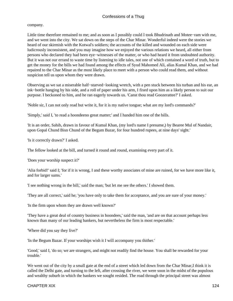company.

Little time therefore remained to me; and as soon as I possibly could I took Bhudrinath and Motee−ram with me, and we went into the city. We sat down on the steps of the Char Minar. Wonderful indeed were the stories we heard of our skirmish with the Kotwal's soldiers; the accounts of the killed and wounded on each side were ludicrously inconsistent, and you may imagine how we enjoyed the various relations we heard, all either from persons who declared they had been eye−witnesses of the matter, or who had heard it from undoubted authority. But it was not our errand to waste time by listening to idle tales, not one of which contained a word of truth, but to get the money for the bills we had found among the effects of Syud Mahomed Ali, alias Kumal Khan, and we had repaired to the Char Minar as the most likely place to meet with a person who could read them, and without suspicion tell us upon whom they were drawn.

Observing as we sat a miserable half−starved−looking wretch, with a pen stuck between his turban and his ear, an ink−bottle hanging by his side, and a roll of paper under his arm, I fixed upon him as a likely person to suit our purpose. I beckoned to him, and he ran eagerly towards us. 'Canst thou read Goozerattee?' I asked.

'Noble sir, I can not only read but write it, for it is my native tongue; what are my lord's commands?'

'Simply,' said I, 'to read a hoondeeno great matter;' and I handed him one of the bills.

'It is an order, Sahib, drawn in favour of Kumal Khan, (my lord's name I presume,) by Bearee Mul of Nandair, upon Gopal Chund Bisn Chund of the Begum Bazar, for four hundred rupees, at nine days' sight.'

'Is it correctly drawn?' I asked.

The fellow looked at the bill, and turned it round and round, examining every part of it.

'Does your worship suspect it?'

'Alia forbid!' said I; 'for if it is wrong, I and these worthy associates of mine are ruined, for we have more like it, and for larger sums.'

'I see nothing wrong in the bill,' said the man; 'but let me see the others.' I showed them.

'They are all correct,' said he; 'you have only to take them for acceptance, and you are sure of your money.'

'Is the firm upon whom they are drawn well known?'

'They have a great deal of country business in hoondees,' said the man, 'and are on that account perhaps less known than many of our leading bankers, but nevertheless the firm is most respectable.'

'Where did you say they live?'

'In the Begum Bazar. If your worships wish it I will accompany you thither.'

'Good,' said I, 'do so; we are strangers, and might not readily find the house. You shall be rewarded for your trouble.'

We went out of the city by a small gate at the end of a street which led down from the Char Minar, I think it is called the Delhi gate, and turning to the left, after crossing the river, we were soon in the midst of the populous and wealthy suburb in which the bankers we sought resided. The road through the principal street was almost

#### CHAPTER XIX 124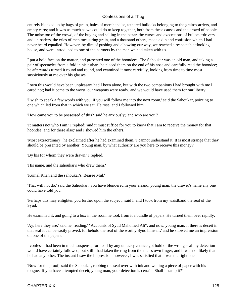entirely blocked up by bags of grain, bales of merchandise, tethered bullocks belonging to the grain−carriers, and empty carts; and it was as much as we could do to keep together, both from these causes and the crowd of people. The noise too of the crowd, of the buying and selling in the bazar, the curses and execrations of bullock−drivers and unloaders, the cries of men measuring grain, and a thousand others, made a din and confusion which I had never heard equalled. However, by dint of pushing and elbowing our way, we reached a respectable−looking house, and were introduced to one of the partners by the man we had taken with us.

I put a bold face on the matter, and presented one of the hoondees. The Sahoukar was an old man, and taking a pair of spectacles from a fold in his turban, he placed them on the end of his nose and carefully read the hoondee; he afterwards turned it round and round, and examined it most carefully, looking from time to time most suspiciously at me over his glasses.

I own this would have been unpleasant had I been alone, but with the two companions I had brought with me I cared not; had it come to the worst, our weapons were ready, and we would have used them for our liberty.

'I wish to speak a few words with you, if you will follow me into the next room,' said the Sahoukar, pointing to one which led from that in which we sat. He rose, and I followed him.

'How came you to be possessed of this?' said he anxiously; 'and who are you?'

'It matters not who I am,' I replied; 'and it must suffice for you to know that I am to receive the money for that hoondee, and for these also;' and I showed him the others.

'Most extraordinary!' he exclaimed after he had examined them. 'I cannot understand it. It is most strange that they should be presented by another. Young man, by what authority are you here to receive this money?'

'By his for whom they were drawn,' I replied.

'His name, and the sahoukar's who drew them?

'Kumal Khan, and the sahoukar's, Bearee Mul.'

'That will not do,' said the Sahoukar; 'you have blundered in your errand, young man; the drawer's name any one could have told you.'

'Perhaps this may enlighten you further upon the subject,' said I, and I took from my waistband the seal of the Syud.

He examined it, and going to a box in the room he took from it a bundle of papers. He turned them over rapidly.

'Ay, here they are,' said he, reading,' "Accounts of Syud Mahomed Ali"; and now, young man, if there is deceit in that seal it can be easily proved, for behold the seal of the worthy Syud himself;' and he showed me an impression on one of the papers.

I confess I had been in much suspense, for had I by any unlucky chance got hold of the wrong seal my detection would have certainly followed; but still I had taken the ring from the man's own finger, and it was not likely that he had any other. The instant I saw the impression, however, I was satisfied that it was the right one.

'Now for the proof,' said the Sahoukar, rubbing the seal over with ink and welting a piece of paper with his tongue. 'If you have attempted deceit, young man, your detection is certain. Shall I stamp it?'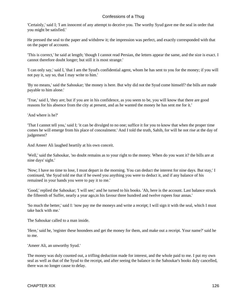'Certainly,' said I; 'I am innocent of any attempt to deceive you. The worthy Syud gave me the seal in order that you might be satisfied.'

He pressed the seal to the paper and withdrew it; the impression was perfect, and exactly corresponded with that on the paper of accounts.

'This is correct,' he said at length; 'though I cannot read Persian, the letters appear the same, and the size is exact. I cannot therefore doubt longer; but still it is most strange.'

'I can only say,' said I, 'that I am the Syud's confidential agent, whom he has sent to you for the money; if you will not pay it, say so, that I may write to him.'

'By no means,' said the Sahoukar; 'the money is here. But why did not the Syud come himself? the bills are made payable to him alone.'

'True,' said I, 'they are; but if you are in his confidence, as you seem to be, you will know that there are good reasons for his absence from the city at present, and as he wanted the money he has sent me for it.'

'And where is he?'

'That I cannot tell you,' said I; 'it can be divulged to no one; suffice it for you to know that when the proper time comes he will emerge from his place of concealment.' And I told the truth, Sahib, for will he not rise at the day of judgement?

And Ameer Ali laughed heartily at his own conceit.

'Well,' said the Sahoukar, 'no doubt remains as to your right to the money. When do you want it? the bills are at nine days' sight.'

'Now; I have no time to lose, I must depart in the morning. You can deduct the interest for nine days. But stay,' I continued, 'the Syud told me that if he owed you anything you were to deduct it, and if any balance of his remained in your hands you were to pay it to me.'

'Good,' replied the Sahoukar; 'I will see;' and he turned to his books. 'Ah, here is the account. Last balance struck the fifteenth of Suffer, nearly a year ago, in his favour three hundred and twelve rupees four annas.'

'So much the better,' said I: 'now pay me the moneys and write a receipt; I will sign it with the seal, which I must take back with me.'

The Sahoukar called to a man inside.

'Here,' said he, 'register these hoondees and get the money for them, and make out a receipt. Your name?' said he to me.

'Ameer Ali, an unworthy Syud.'

The money was duly counted out, a trifling deduction made for interest, and the whole paid to me. I put my own seal as well as that of the Syud to the receipt, and after seeing the balance in the Sahoukar's books duly cancelled, there was no longer cause to delay.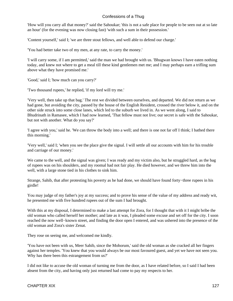'How will you carry all that money?' said the Sahoukar; 'this is not a safe place for people to be seen out at so late an hour' (for the evening was now closing fast) 'with such a sum in their possession.'

'Content yourself,' said I; 'we are three stout fellows, and well able to defend our charge.'

'You had better take two of my men, at any rate, to carry the money.'

'I will carry some, if I am permitted,' said the man we had brought with us. 'Bhugwan knows I have eaten nothing today, and knew not where to get a meal till these kind gentlemen met me; and I may perhaps earn a trifling sum above what they have promised me.'

'Good,' said I; 'how much can you carry?'

'Two thousand rupees,' he replied, 'if my lord will try me.'

'Very well, then take up that bag.' The rest we divided between ourselves, and departed. We did not return as we had gone, but avoiding the city, passed by the house of the English Resident, crossed the river below it, and on the other side struck into some close lanes, which led to the suburb we lived in. As we went along, I said to Bhudrinath in Ramasee, which I had now learned, 'That fellow must not live; our secret is safe with the Sahoukar, but not with another. What do you say?'

'I agree with you,' said he. 'We can throw the body into a well; and there is one not far off I think; I bathed there this morning.'

'Very well,' said I; 'when you see the place give the signal. I will settle all our accounts with him for his trouble and carriage of our money.'

We came to the well, and the signal was given; I was ready and my victim also, but he struggled hard, as the bag of rupees was on his shoulders, and my roomal had not fair play. He died however, and we threw him into the well, with a large stone tied in his clothes to sink him.

Strange, Sahib, that after protesting his poverty as he had done, we should have found forty−three rupees in his girdle!

You may judge of my father's joy at my success; and to prove his sense of the value of my address and ready wit, he presented me with five hundred rupees out of the sum I had brought.

With this at my disposal, I determined to make a last attempt for Zora, for I thought that with it I might bribe the old woman who called herself her mother; and late as it was, I pleaded some excuse and set off for the city. I soon reached the now well−known street, and finding the door open I entered, and was ushered into the presence of the old woman and Zora's sister Zenat.

They rose on seeing me, and welcomed me kindly.

'You have not been with us, Meer Sahib, since the Mohorum,' said the old woman as she cracked all her fingers against her temples. 'You knew that you would always be our most favoured guest, and yet we have not seen you. Why has there been this estrangement from us?'

I did not like to accuse the old woman of turning me from the door, as I have related before, so I said I had been absent from the city, and having only just returned had come to pay my respects to her.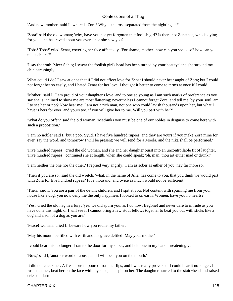'And now, mother,' said I, 'where is Zora? Why is the rose separated from the nightingale?'

'Zora!' said the old woman; 'why, have you not yet forgotten that foolish girl? Is there not Zenatbee, who is dying for you, and has raved about you ever since she saw you?'

'Toba! Toba!' cried Zenat, covering her face affectedly. 'For shame, mother! how can you speak so? how can you tell such lies?'

'I say the truth, Meer Sahib; I swear the foolish girl's head has been turned by your beauty;' and she stroked my chin caressingly.

What could I do? I saw at once that if I did not affect love for Zenat I should never hear aught of Zora; but I could not forget her so easily, and I hated Zenat for her love. I thought it better to come to terms at once if I could.

'Mother,' said I, 'I am proud of your daughter's love, and to one so young as I am such marks of preference as you say she is inclined to show me are most flattering; nevertheless I cannot forget Zora: and tell me, by your soul, am I to see her or not? Now hear me; I am not a rich man, not one who could lavish thousands upon her, but what I have is hers for ever, and yours too, if you will give her to me. Will you part with her?'

'What do you offer?' said the old woman. 'Methinks you must be one of our nobles in disguise to come here with such a proposition.'

'I am no noble,' said I, 'but a poor Syud. I have five hundred rupees, and they are yours if you make Zora mine for ever; say the word, and tomorrow I will be present; we will send for a Moola, and the nika shall be performed.'

'Five hundred rupees!' cried the old woman, and she and her daughter burst into an uncontrollable fit of laughter. 'Five hundred rupees!' continued she at length, when she could speak; 'oh, man, thou art either mad or drunk!'

'I am neither the one nor the other,' I replied very angrily; 'I am as sober as either of you, nay far more so.'

'Then if you are so,' said the old wretch, 'what, in the name of Alia, has come to you, that you think we would part with Zora for five hundred rupees? Five thousand, and twice as much would not be sufficient.'

'Then,' said I, 'you are a pair of the devil's children, and I spit at you. Not content with spurning me from your house like a dog, you now deny me the only happiness I looked to on earth. Women, have you no hearts?'

'Yes,' cried the old hag in a fury; 'yes, we did spurn you, as I do now. Begone! and never dare to intrude as you have done this night, or I will see if I cannot bring a few stout fellows together to beat you out with sticks like a dog and a son of a dog as you are.'

'Peace! woman,' cried I; 'beware how you revile my father.'

'May his mouth be filled with earth and his grave defiled! May your mother'

I could bear this no longer. I ran to the door for my shoes, and held one in my hand threateningly.

'Now,' said I, 'another word of abuse, and I will beat you on the mouth.'

It did not check her. A fresh torrent poured from her lips, and I was really provoked. I could bear it no longer. I rushed at her, beat her on the face with my shoe, and spit on her. The daughter hurried to the stair−head and raised cries of alarm.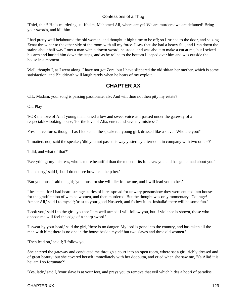'Thief, thief! He is murdering us! Kasim, Mahomed Ali, where are ye? We are murdered we are defamed! Bring your swords, and kill him!'

I had pretty well belaboured the old woman, and thought it high time to be off; so I rushed to the door, and seizing Zenat threw her to the other side of the room with all my force. I saw that she had a heavy fall, and I ran down the stairs: about half way I met a man with a drawn sword; he stood, and was about to make a cut at me, but I seized his arm and hurled him down the steps, and as he rolled to the bottom I leaped over him and was outside the house in a moment.

Well, thought I, as I went along, I have not got Zora, but I have slippered the old shitan her mother, which is some satisfaction, and Bhudrinath will laugh rarely when he hears of my exploit.

# **CHAPTER XX**

CIL. Madam, your song is passing passionate. alv. And wilt thou not then pity my estate?

Old Play

'FOR the love of Alia! young man,' cried a low and sweet voice as I passed under the gateway of a respectable−looking house; 'for the love of Alia, enter, and save my mistress!'

Fresh adventures, thought I as I looked at the speaker, a young girl, dressed like a slave. 'Who are you?'

'It matters not,' said the speaker; 'did you not pass this way yesterday afternoon, in company with two others?'

'I did, and what of that?'

'Everything; my mistress, who is more beautiful than the moon at its full, saw you and has gone mad about you.'

'I am sorry,' said I, 'but I do not see how I can help her.'

'But you must,' said the girl; 'you must, or she will die; follow me, and I will lead you to her.'

I hesitated, for I had heard strange stories of lures spread for unwary personshow they were enticed into houses for the gratification of wicked women, and then murdered. But the thought was only momentary. 'Courage! Ameer Ali,' said I to myself; 'trust to your good Nusseeb, and follow it up. Inshalla! there will be some fun.'

'Look you,' said I to the girl, 'you see I am well armed; I will follow you, but if violence is shown, those who oppose me will feel the edge of a sharp sword.'

'I swear by your head,' said the girl, 'there is no danger. My lord is gone into the country, and has taken all the men with him; there is no one in the house beside myself but two slaves and three old women.'

'Then lead on,' said I; 'I follow you.'

She entered the gateway and conducted me through a court into an open room, where sat a girl, richly dressed and of great beauty; but she covered herself immediately with her dooputta, and cried when she saw me, 'Ya Alia! it is he; am I so fortunate?'

'Yes, lady,' said I, 'your slave is at your feet, and prays you to remove that veil which hides a hoori of paradise

#### CHAPTER XX 129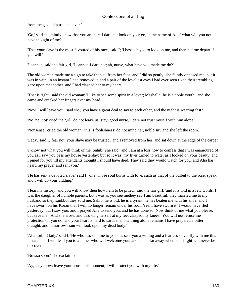from the gaze of a true believer.'

'Go,' said she faintly; 'now that you are here I dare not look on you; go, in the name of Alia! what will you not have thought of me?'

'That your slave is the most favoured of his race,' said I; 'I beseech you to look on me, and then bid me depart if you will.'

'I cannot,' said the fair girl, 'I cannot, I dare not; ah, nurse, what have you made me do?'

The old woman made me a sign to take the veil from her face, and I did so gently; she faintly opposed me, but it was in vain; in an instant I had removed it, and a pair of the loveliest eyes I had ever seen fixed their trembling gaze upon me another, and I had clasped her to my heart.

'That is right,' said the old woman; 'I like to see some spirit in a lover; Mashalla! he is a noble youth;' and she came and cracked her fingers over my head.

'Now I will leave you,' said she; 'you have a great deal to say to each other, and the night is wearing fast.'

'No, no, no!' cried the girl; 'do not leave us; stay, good nurse, I dare not trust myself with him alone.'

'Nonsense,' cried the old woman, 'this is foolishness; do not mind her, noble sir;' and she left the room.

'Lady,' said I, 'fear not, your slave may be trusted;' and I removed from her, and sat down at the edge of the carpet.

'I know not what you will think of me, Sahib,' she said, 'and I am at a loss how to confess that I was enamoured of you as I saw you pass my house yesterday; but so it was; my liver turned to water as I looked on your beauty, and I pined for you till my attendants thought I should have died. They said they would watch for you, and Alia has heard my prayer and sent you.'

'He has sent a devoted slave,' said I; 'one whose soul burns with love, such as that of the bulbul to the rose: speak, and I will do your bidding.'

'Hear my history, and you will know then how I am to be pitied,' said the fair girl; 'and it is told in a few words. I was the daughter of humble parents, but I was as you see methey say I am beautiful; they married me to my husband, so they said, but they sold me. Sahib, he is old, he is a tyrant, he has beaten me with his shoe, and I have sworn on his Koran that I will no longer remain under his roof. Yes, I have sworn it: I would have fled yesterday, but I saw you, and I prayed Alia to send you, and he has done so. Now think of me what you please, but save me!' And she arose, and throwing herself at my feet clasped my knees. 'You will not refuse me protection? if you do, and your heart is hard towards me, one thing alone remains I have prepared a bitter draught, and tomorrow's sun will look upon my dead body.'

'Alia forbid! lady,' said I. 'He who has sent me to you has sent you a willing and a fearless slave: fly with me this instant, and I will lead you to a father who will welcome you, and a land far away where our flight will never be discovered.'

'Nowso soon?' she exclaimed.

'Ay, lady, now; leave your house this moment; I will protect you with my life.'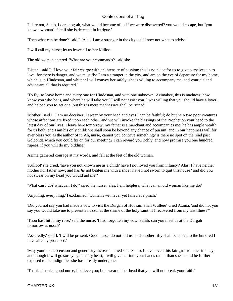'I dare not, Sahib, I dare not; ah, what would become of us if we were discovered? you would escape, but Iyou know a woman's fate if she is detected in intrigue.'

'Then what can be done?' said I. 'Alas! I am a stranger in the city, and know not what to advise.'

'I will call my nurse; let us leave all to her.Kulloo!'

The old woman entered. 'What are your commands?' said she.

'Listen,' said I; 'I love your fair charge with an intensity of passion; this is no place for us to give ourselves up to love, for there is danger, and we must fly: I am a stranger in the city, and am on the eve of departure for my home, which is in Hindostan, and whither I will convey her safely; she is willing to accompany me, and your aid and advice are all that is required.'

'To fly! to leave home and every one for Hindostan, and with one unknown! Azimabee, this is madness; how know you who he is, and where he will take you? I will not assist you. I was willing that you should have a lover, and helped you to get one; but this is mere madness we shall be ruined.'

'Mother,' said I, 'I am no deceiver; I swear by your head and eyes I can be faithful; do but help two poor creatures whose affections are fixed upon each other, and we will invoke the blessings of the Prophet on your head to the latest day of our lives. I leave here tomorrow; my father is a merchant and accompanies me; he has ample wealth for us both, and I am his only child: we shall soon be beyond any chance of pursuit, and in our happiness will for ever bless you as the author of it. Ah, nurse, cannot you contrive something? is there no spot on the road past Golconda which you could fix on for our meeting? I can reward you richly, and now promise you one hundred rupees, if you will do my bidding.'

Azima gathered courage at my words, and fell at the feet of the old woman.

'Kulloo!' she cried, 'have you not known me as a child? have I not loved you from infancy? Alas! I have neither mother nor father now; and has *he* not beaten me with a shoe? have I not sworn to quit this house? and did you not swear on my head you would aid me?'

'What can I do? what can I do?' cried the nurse; 'alas, I am helpless; what can an old woman like me do?'

'Anything, everything,' I exclaimed; 'woman's wit never yet failed at a pinch.'

'Did you not say you had made a vow to visit the Durgah of Hoosain Shah Wullee?' cried Azima; 'and did not you say you would take me to present a nuzzur at the shrine of the holy saint, if I recovered from my last illness?'

'Thou hast hit it, my rose,' said the nurse; 'I had forgotten my vow. Sahib, can you meet us at the Durgah tomorrow at noon?'

'Assuredly,' said I, 'I will be present. Good nurse, do not fail us, and another fifty shall be added to the hundred I have already promised.'

'May your condescension and generosity increase!' cried she. 'Sahib, I have loved this fair girl from her infancy, and though it will go sorely against my heart, I will give her into your hands rather than she should be further exposed to the indignities she has already undergone.'

'Thanks, thanks, good nurse, I believe you; but swear oh her head that you will not break your faith.'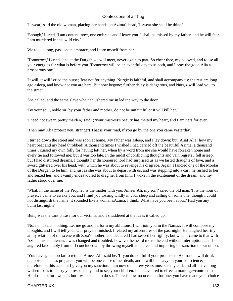'I swear,' said the old woman, placing her hands on Azima's head, 'I swear she shall be thine.'

'Enough,' I cried, 'I am content; now, one embrace and I leave you. I shall be missed by my father, and he will fear I am murdered in this wild city.'

We took a long, passionate embrace, and I tore myself from her.

'Tomorrow,' I cried, 'and at the Durgah we will meet, never again to part. So cheer thee, my beloved, and rouse all your energies for what is before you. Tomorrow will be an eventful day to us both, and I pray the good Alia a prosperous one.'

'It will, it will,' cried the nurse; 'fear not for anything. Nurgiz is faithful, and shall accompany us; the rest are long ago asleep, and know not you are here. But now begone; further delay is dangerous, and Nurgiz will lead you to the street.'

She called, and the same slave who had ushered me in led the way to the door.

'By your soul, noble sir, by your father and mother, do not be unfaithful or it will kill her.'

'I need not swear, pretty maiden,' said I; 'your mistress's beauty has melted my heart, and I am hers for ever.'

'Then may Alia protect you, stranger! That is your road, if you go by the one you came yesterday.'

I turned down the street and was soon at home. My father was asleep, and I lay down; but, Alia! Alia! how my heart beat and my head throbbed! A thousand times I wished I had carried off the beautiful Azima; a thousand times I cursed my own folly for having left her, when by a word from me she would have forsaken home and every tie and followed me; but it was too late. In the midst of conflicting thoughts and vain regrets I fell asleep: but I had disturbed dreams. I thought her dishonoured lord had surprised us as we tasted draughts of love, and a sword glittered over his head, with which he was about to revenge his disgrace. Again I fancied one of the Moolas of the Durgah to be him, and just as she was about to depart with us, and was stepping into a cart, he rushed to her and seized her, and I vainly endeavoured to drag her from him. I woke in the excitement of the dream, and my father stood over me.

'What, in the name of the Prophet, is the matter with you, Ameer Ali, my son?' cried the old man. 'It is the hour of prayer, I came to awake you, and I find you tossing wildly in your sleep and calling on some one, though I could not distinguish the name; it sounded like a woman's Azima, I think. What have you been about? Had you any bunij last night?'

Bunij was the cant phrase for our victims, and I shuddered at the ideas it called up.

'No, no,' I said, 'nothing. Let me go and perform my ablutions; I will join you in the Namaz. It will compose my thoughts, and I will tell you.' Our prayers finished, I related my adventures of the past night. He laughed heartily at my relation of the scene with Zora's mother, and declared I had served her rightly; but when I came to that with Azima, his countenance was changed and troubled; however he heard me to the end without interruption, and I augured favourably from it. I concluded all by throwing myself at his feet and imploring his sanction to our union.

'You have gone too far to retract, Ameer Ali,' said he. 'If you do not fulfil your promise to Azima she will drink the poison she has prepared; you will be one cause of her death, and it will lie heavy on your conscience; therefore on this account I give you my sanction. I am now old, a few years must see my end, and all I have long wished for is to marry you respectably and to see your children. I endeavoured to effect a marriage−contract in Hindostan before we left, but I was unable to do so. There is now no occasion for one; you have made your choice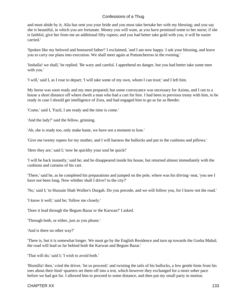and must abide by it; Alia has sent you your bride and you must take her take her with my blessing; and you say she is beautiful, in which you are fortunate. Money you will want, as you have promised some to her nurse; if she is faithful, give her from me an additional fifty rupees; and you had better take gold with you, it will be easier carried.'

'Spoken like my beloved and honoured father!' I exclaimed, 'and I am now happy. I ask your blessing, and leave you to carry our plans into execution. We shall meet again at Puttuncherroo in the evening.'

'Inshalla! we shall,' he replied. 'Be wary and careful. I apprehend no danger, but you had better take some men with you.'

'I will,' said I, as I rose to depart; 'I will take some of my own, whom I can trust;' and I left him.

My horse was soon ready and my men prepared; but some conveyance was necessary for Azima, and I ran to a house a short distance off where dwelt a man who had a cart for hire. I had been in previous treaty with him, to be ready in case I should get intelligence of Zora, and had engaged him to go as far as Beeder.

'Come,' said I, 'Fazil, I am ready and the time is come.'

'And the lady?' said the fellow, grinning.

'Ah, she is ready too, only make haste, we have not a moment to lose.'

'Give me twenty rupees for my mother, and I will harness the bullocks and put in the cushions and pillows.'

'Here they are,' said I; 'now be quick by your soul be quick!'

'I will be back instantly,' said he; and he disappeared inside his house, but returned almost immediately with the cushions and curtains of his cart.

'There,' said he, as he completed his preparations and jumped on the pole, where was his driving−seat, 'you see I have not been long. Now whither shall I drive? to the city?'

'No,' said I; 'to Hussain Shah Wullee's Durgah. Do you precede, and we will follow you, for I know not the road.'

'I know it well,' said he; 'follow me closely.'

'Does it lead through the Begum Bazar or the Karwan?' I asked.

'Through both, or either, just as you please.'

'And is there no other way?'

'There is, but it is somewhat longer. We must go by the English Residence and turn up towards the Gosha Mahal; the road will lead us far behind both the Karwan and Begum Bazar.'

'That will do,' said I; 'I wish to avoid both.'

'Bismilla! then,' cried the driver, 'let us proceed;' and twisting the tails of his bullocks, a few gentle hints from his toes about their hind−quarters set them off into a trot, which however they exchanged for a more sober pace before we had got far. I allowed him to proceed to some distance, and then put my small party in motion.

#### CHAPTER XX 133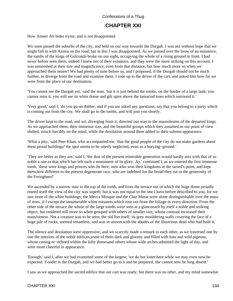# **CHAPTER XXI**

How Ameer Ali bides tryste, and is not disappointed

We soon passed the suburbs of the city, and held on our way towards the Durgah. I was not without hope that we might fall in with Azima on the road; but in this I was disappointed. As we passed over the brow of an eminence, the tombs of the kings of Golconda broke on our sight, occupying the whole of a rising ground in front. I had never before seen them, indeed I knew not of their existence, and they were the more striking on this account. I was astonished at their size and magnificence, even from that distance; but how much more so when we approached them nearer! We had plenty of time before us, and I proposed, if the Durgah should not be much further, to diverge from the road and examine them. I rode up to the driver of the cart, and asked him how far we were from the place of our destination.

'You cannot see the Durgah yet,' said the man, 'but it is just behind the tombs, on the border of a large tank; you cannot miss it; you will see its white dome and gilt spire above the tamarind trees which surround it.'

'Very good,' said I; 'do you go on thither, and if you are asked any questions, say that you belong to a party which is coming out from the city. We shall go to the tombs, and will join you shortly.'

The driver kept to the road, and we, diverging from it, directed our way to the mausoleums of the departed kings. As we approached them, their immense size, and the beautiful groups which they assumed as our point of view shifted, struck forcibly on the mind, while the desolation around them added to their solemn appearance.

'What a pity,' said Peer Khan, who accompanied me, 'that the good people of the city do not make gardens about these proud buildings! the spot seems to be utterly neglected, even as a burying−ground.'

'They are better as they are,' said I; 'the dust of the present miserable generation would hardly mix with that of so noble a one as that which has left such a monument of its glory. Ay,' continued I, as we entered the first immense tomb, 'these were kings and princes who lie here; men who won their kingdoms at the sword's point, and kept them, how different to the present degenerate race, who are indebted for the bread they eat to the generosity of the Feringhees!'

We ascended by a narrow stair to the top of the tomb, and from the terrace out of which the huge dome proudly reared itself the view of the city was superb; but it was not equal to the one I have before described to you, for we saw none of the white buildings; the Mecca Mosque and the Char Minar were alone distinguishable over the mass of trees, if I except the innumerable white minarets which rose out from the foliage in every direction. From the other side of the terrace the whole of the large tombs were seen at a glance each by itself a noble and striking object; but rendered still more so when grouped with others of smaller size, whose contrast increased their massiveness. Not a creature was to be seen; the old fort itself, its grey mouldering walls covering the face of a huge pile of rocks, seemed tenantless, and was in unison with the abodes of the illustrious dead who had built it.

The silence and desolation were oppressive, and we scarcely made a remark to each other, as we traversed one by one the interiors of the noble edifices, some of them dark and gloomy and filled with bats and wild pigeons, whose cooing re–echoed within the lofty domes and others whose wide arches admitted the light of day, and were more cheerful in appearance.

'Enough,' said I, after we had examined some of the largest; 'we do but loiter here while we may even now be expected. Yonder is the Durgah, and we had better go to it and be prepared, she cannot now be long absent.'

I saw as we approached the sacred edifice that our cart was ready; but there was no other, and my mind somewhat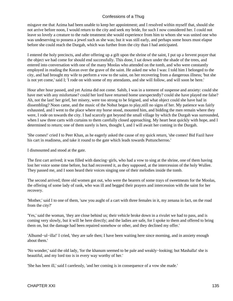misgave me that Azima had been unable to keep her appointment; and I resolved within myself that, should she not arrive before noon, I would return to the city and seek my bride, for such I now considered her. I could not leave so lovely a creature to the rude treatment she would experience from him to whom she was united one who was undeserving to possess a jewel such as she was; but it was still early, and perhaps some hours must elapse before she could reach the Durgah, which was further from the city than I had anticipated.

I entered the holy precincts, and after offering up a gift upon the shrine of the saint, I put up a fervent prayer that the object we had come for should end successfully. This done, I sat down under the shade of the trees, and entered into conversation with one of the many Moolas who attended on the tomb, and who were constantly employed in reading the Koran over the grave of the saint. He asked me who I was: I told him I belonged to the city, and had brought my wife to perform a vow to the saint, on her recovering from a dangerous illness; 'but she is not yet come,' said I; 'I rode on with some of my attendants, and she will follow, and will soon be here.'

Hour after hour passed, and yet Azima did not come. Sahib, I was in a torment of suspense and anxiety: could she have met with any misfortune? could her lord have returned home unexpectedly? could she have played me false? Ah, not the last! her grief, her misery, were too strong to be feigned, and what object could she have had in dissembling? Noon came, and the music of the Nobut began to play, still no signs of her. My patience was fairly exhausted, and I went to the place where my horse stood, mounted him, and bidding the men remain where they were, I rode on towards the city. I had scarcely got beyond the small village by which the Durgah was surrounded, when I saw three carts with curtains to them carefully closed approaching. My heart beat quickly with hope, and I determined to return; one of them surely is hers, thought I, and I will await her coming in the Durgah.

'She comes!' cried I to Peer Khan, as he eagerly asked the cause of my quick return, 'she comes! Bid Fazil have his cart in readiness, and take it round to the gate which leads towards Puttuncherroo.'

I dismounted and stood at the gate.

The first cart arrived; it was filled with dancing−girls, who had a vow to sing at the shrine, one of them having lost her voice some time before, but had recovered it, as they supposed, at the intercession of the holy Wullee. They passed me, and I soon heard their voices singing one of their melodies inside the tomb.

The second arrived; three old women got out, who were the bearers of some trays of sweetmeats for the Moolas, the offering of some lady of rank, who was ill and begged their prayers and intercession with the saint for her recovery.

'Mother,' said I to one of them, 'saw you aught of a cart with three females in it, my zenana in fact, on the road from the city?'

'Yes,' said the woman, 'they are close behind us; their vehicle broke down in a rivulet we had to pass, and is coming very slowly, but it will be here directly; and the ladies are safe, for I spoke to them and offered to bring them on, but the damage had been repaired somehow or other, and they declined my offer.'

'Alhumd−ul−illa!' I cried, 'they are safe then; I have been waiting here since morning, and in anxiety enough about them.'

'No wonder,' said the old lady, 'for the khanum seemed to be pale and weakly−looking; but Mashalla! she is beautiful, and my lord too is in every way worthy of her.'

'She has been ill,' said I carelessly, 'and her coming is in consequence of a vow she made.'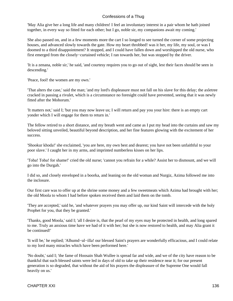'May Alia give her a long life and many children! I feel an involuntary interest in a pair whom he hath joined together, in every way so fitted for each other; but I go, noble sir, my companions await my coming.'

She also passed on, and in a few moments more the cart I so longed to see turned the corner of some projecting houses, and advanced slowly towards the gate. How my heart throbbed! was it her, my life, my soul, or was I doomed to a third disappointment? It stopped, and I could have fallen down and worshipped the old nurse, who first emerged from the closely−curtained vehicle; I ran towards her, but was stopped by the driver.

'It is a zenana, noble sir,' he said, 'and courtesy requires you to go out of sight, lest their faces should be seen in descending.'

'Peace, fool! the women are my own.'

'That alters the case,' said the man; 'and my lord's displeasure must not fall on his slave for this delay; the axletree cracked in passing a rivulet, which is a circumstance no foresight could have prevented, seeing that it was newly fitted after the Mohorum.'

'It matters not,' said I; 'but you may now leave us; I will return and pay you your hire: there is an empty cart yonder which I will engage for them to return in.'

The fellow retired to a short distance, and my breath went and came as I put my head into the curtains and saw my beloved sitting unveiled, beautiful beyond description, and her fine features glowing with the excitement of her success.

'Shookur khoda!' she exclaimed, 'you are here, my own best and dearest; you have not been unfaithful to your poor slave.' I caught her in my arms, and imprinted numberless kisses on her lips.

'Toba! Toba! for shame!' cried the old nurse; 'cannot you refrain for a while? Assist her to dismount, and we will go into the Durgah.'

I did so, and closely enveloped in a boorka, and leaning on the old woman and Nurgiz, Azima followed me into the inclosure.

Our first care was to offer up at the shrine some money and a few sweetmeats which Azima had brought with her; the old Moola to whom I had before spoken received them and laid them on the tomb.

'They are accepted,' said he, 'and whatever prayers you may offer up, our kind Saint will intercede with the holy Prophet for you, that they be granted.'

'Thanks, good Moola,' said I; 'all I desire is, that the pearl of my eyes may be protected in health, and long spared to me. Truly an anxious time have we had of it with her; but she is now restored to health, and may Alia grant it be continued!'

'It will be,' he replied; 'Alhumd−ul−illa! our blessed Saint's prayers are wonderfully efficacious, and I could relate to my lord many miracles which have been performed here.'

'No doubt,' said I; 'the fame of Hoosain Shah Wullee is spread far and wide, and we of the city have reason to be thankful that such blessed saints were led in days of old to take up their residence near it; for our present generation is so degraded, that without the aid of his prayers the displeasure of the Supreme One would fall heavily on us.'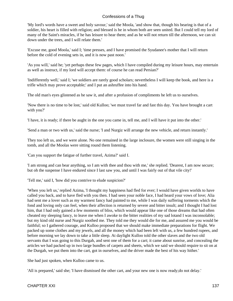'My lord's words have a sweet and holy savour,' said the Moola, 'and show that, though his bearing is that of a soldier, his heart is filled with religion; and blessed is he in whom both are seen united. But I could tell my lord of many of the Saint's miracles, if he has leisure to hear them; and as he will not return till the afternoon, we can sit down under the trees, and I will relate them.'

'Excuse me, good Moola,' said I; 'time presses, and I have promised the Syudanee's mother that I will return before the cold of evening sets in, and it is now past noon.'

'As you will,' said he; 'yet perhaps these few pages, which I have compiled during my leisure hours, may entertain as well as instruct, if my lord will accept them: of course he can read Persian?'

'Indifferently well,' said I; 'we soldiers are rarely good scholars; nevertheless I will keep the book, and here is a trifle which may prove acceptable;' and I put an ashruffee into his hand.

The old man's eyes glistened as he saw it, and after a profusion of compliments he left us to ourselves.

'Now there is no time to be lost,' said old Kulloo; 'we must travel far and fast this day. You have brought a cart with you?'

'I have, it is ready; if there be aught in the one you came in, tell me, and I will have it put into the other.'

'Send a man or two with us,' said the nurse; 'I and Nurgiz will arrange the new vehicle, and return instantly.'

They too left us, and we were alone. No one remained in the large inclosure, the women were still singing in the tomb, and all the Moolas were sitting round them listening.

'Can you support the fatigue of further travel, Azima?' said I.

'I am strong and can bear anything, so I am with thee and thou with me,' she replied. 'Dearest, I am now secure; but oh the suspense I have endured since I last saw you, and until I was fairly out of that vile city!'

'Tell me,' said I, 'how did you contrive to elude suspicion?'

'When you left us,' replied Azima, 'I thought my happiness had fled for ever; I would have given worlds to have called you back, and to have fled with you then. I had seen your noble face, I had heard your vows of love; Alia had sent me a lover such as my warmest fancy had painted to me, while I was daily suffering torments which the fond and loving only can feel, when their affection is returned by severe and bitter insult; and I thought I had lost him, that I had only gained a few moments of bliss, which would appear like one of those dreams that had often cheated my sleeping fancy, to leave me when I awoke to the bitter realities of my sad lotand I was inconsolable; but my kind old nurse and Nurgiz soothed me. They told me they would die for me, and assured me you would be faithful; so I gathered courage, and Kulloo proposed that we should make immediate preparations for flight. We packed up some clothes and my jewels, and all the money which had been left with us, a few hundred rupees, and before morning we lay down to take a little sleep. At daylight Kulloo told the other slaves and the two old servants that I was going to this Durgah, and sent one of them for a cart; it came about sunrise, and concealing the articles we had packed up in two large bundles of carpets and sheets, which we said we should require to sit on at the Durgah, we put them into the cart, got in ourselves, and the driver made the best of his way hither.'

She had just spoken, when Kulloo came to us.

'All is prepared,' said she; 'I have dismissed the other cart, and your new one is now ready; do not delay.'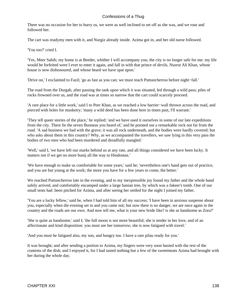There was no occasion for her to hurry us, we were as well inclined to set off as she was, and we rose and followed her.

The cart was readymy men with it, and Nurgiz already inside. Azima got in, and her old nurse followed.

'You too?' cried I.

'Yes, Meer Sahib; my home is at Beeder, whither I will accompany you; the city is no longer safe for me: my life would be forfeited were I ever to enter it again, and fall in with that prince of devils, Nusrut Ali Khan, whose house is now dishonoured, and whose beard we have spat upon.'

'Drive on,' I exclaimed to Fazil; 'go as fast as you can; we must reach Puttuncherroo before night−fall.'

The road from the Durgah, after passing the tank upon which it was situated, led through a wild pass; piles of rocks frowned over us, and the road was at times so narrow that the cart could scarcely proceed.

'A rare place for a little work,' said I to Peer Khan, as we reached a low barrier−wall thrown across the road, and pierced with holes for musketry; 'many a wild deed has been done here in times past, I'll warrant.'

'They tell queer stories of the place,' he replied; 'and we have used it ourselves in some of our late expeditions from the city. There lie the seven Bunneas you heard of,' and he pointed out a remarkable rock not far from the road. 'A sad business we had with the grave; it was all rock underneath, and the bodies were hardly covered; but who asks about them in this country? Why, as we accompanied the travellers, we saw lying in this very pass the bodies of two men who had been murdered and dreadfully mangled.'

'Well,' said I, 'we have left our marks behind us at any rate, and all things considered we have been lucky. It matters not if we get no more bunij all the way to Hindostan.'

'We have enough to make us comfortable for some years,' said he; 'nevertheless one's hand gets out of practice, and you are but young at the work; the more you have for a few years to come, the better.'

We reached Puttuncherroo late in the evening, and to my inexpressible joy found my father and the whole band safely arrived, and comfortably encamped under a large banian tree, by which was a fakeer's tomb. One of our small tents had .been pitched for Azima, and after seeing her settled for the night I joined my father.

'You are a lucky fellow,' said he, when I had told him of all my success; 'I have been in anxious suspense about you, especially when die evening set in and you came not; but now there is no danger, we are once again in the country and the roads are our own. And now tell me, what is your new bride like? is she as handsome as Zora?'

'She is quite as handsome,' said I; 'the full moon is not more beautiful; she is tender in her love, and of an affectionate and kind disposition: you must see her tomorrow; she is now fatigued with travel.'

'And you must be fatigued also, my son, and hungry too. I have a rare pilau ready for you.'

It was brought; and after sending a portion to Azima, my fingers were very soon busied with the rest of the contents of the dish; and I enjoyed it, for I had tasted nothing but a few of the sweetmeats Azima had brought with her during the whole day.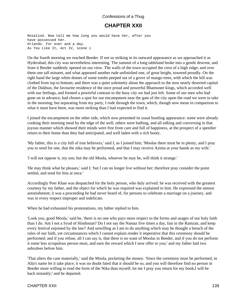# **CHAPTER XXII**

Rosalind. Now tell me how long you would have her, after you have possessed her. Orlando. For ever and a day. As You Like It, Act IV, scene i

On the fourth morning we reached Beeder. If not so striking in its outward appearance as we approached it as Hyderabad, this city was nevertheless interesting. The summit of a long tableland broke into a gentle descent, and from it Beeder suddenly opened on our view. The walls of the town occupied the crest of a high ridge; and over them one tall minaret, and what appeared another rude unfinished one, of great height, towered proudly. On the right hand the large white domes of some tombs peeped out of a grove of mango trees, with which the hill was clothed from top to bottom; and there was a quiet solemnity about the approach to the now nearly deserted capital of the Dukhun, the favourite residence of the once proud and powerful Bhamunee kings, which accorded well with our feelings, and formed a powerful contrast to the busy city we had just left. Some of our men who had gone on in advance, had chosen a spot for our encampment near the gate of the city upon the road we were to take in the morning; but separating from my party, I rode through the town, which, though now mean in comparison to what it must have been, was more striking than I had expected to find it.

I joined the encampment on the other side, which now presented its usual bustling appearance: some were already cooking their morning meal by the edge of the well, others were bathing, and all talking and conversing in that joyous manner which showed their minds were free from care and full of happiness, at the prospect of a speedier return to their home than they had anticipated, and well laden with a rich booty.

'My father, this is a city full of true believers,' said I, as I joined him; 'Moolas there must be in plenty, and I pray you to send for one, that the nika may be performed, and that I may receive Azima at your hands as my wife.'

'I will not oppose it, my son; but the old Moola, whoever he may be, will think it strange.'

'He may think what he pleases,' said I; 'but I can no longer live without her; therefore pray consider the point settled, and send for him at once.'

Accordingly Peer Khan was despatched for the holy person, who duly arrived: he was received with the greatest courtesy by my father, and the object for which he was required was explained to him. He expressed the utmost astonishment; it was a proceeding he had never heard of, for persons to celebrate a marriage on a journey, and was in every respect improper and indelicate.

When he had exhausted his protestations, my father replied to him.

'Look you, good Moola,' said he, 'there is no one who pays more respect to the forms and usages of our holy faith than I do. Am I not a Syud of Hindostan? Do I not say the Namaz five times a day, fast in the Ramzan, and keep every festival enjoined by the law? And unwilling as I am to do anything which may be thought a breach of the rules of our faith, yet circumstances which I cannot explain render it imperative that this ceremony should be performed; and if you refuse, all I can say is, that there is no want of Moolas in Beeder, and if you do not perform it some less scrupulous person must, and earn the reward which I now offer to you;' and my father laid two ashrufees before him.

'That alters the case materially,' said the Moola, pocketing the money. 'Since the ceremony must be performed, in Alla's name let it take place; it was no doubt fated that it should be so, and you will therefore find no person in Beeder more willing to read the form of the Nika than myself; let me I pray you return for my book, I will be back instantly;' and he departed.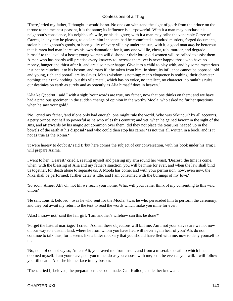'There,' cried my father, 'I thought it would be so. No one can withstand the sight of gold: from the prince on the throne to the meanest peasant, it is the same; its influence is all−powerful. With it a man may purchase his neighbour's conscience, his neighbour's wife, or his daughter; with it a man may bribe the venerable Cazee of Cazees, in any city he pleases, to declare him innocent, had he committed a hundred murders, forged documents, stolen his neighbour's goods, or been guilty of every villainy under the sun; with it, a good man *may* be betterbut that is rarea bad man increases his own damnation: for it, any one will lie, cheat, rob, murder, and degrade himself to the level of a beast; young women will dishonour their lords; old women will be bribed to assist them. A man who has hoards will practise every knavery to increase them, yet is never happy; those who have no money, hunger and thirst after it, and are also never happy. Give it to a child to play with, and by some mysterious instinct he clutches it to his bosom, and roars if it be taken from him. In short, its influence cannot be opposed; old and young, rich and poorall are its slaves. Men's wisdom is nothing; men's eloquence is nothing; their character nothing; their rank nothing: but this vile metal, which has no voice, no intellect, no character, no rankthis rules our destinies on earth as surely and as potently as Alia himself does in heaven.'

'Alia ke Qpodrut!' said I with a sigh; 'your words are true, my father, now that one thinks on them; and we have had a precious specimen in the sudden change of opinion in the worthy Moola, who asked no further questions when he saw your gold.'

'No!' cried my father, 'and if one only had enough, one might rule the world. Who was Sikundur? by all accounts, a petty prince, not half so powerful as he who rules this country; and yet, when he gained favour in the sight of the Jins, and afterwards by his magic got dominion over them, did they not place the treasures heaped up in the bowels of the earth at his disposal? and who could then stop his career? Is not this all written in a book, and is it not as true as the Koran?'

'It were heresy to doubt it,' said I; 'but here comes the subject of our conversation, with his book under his arm; I will prepare Azima.'

I went to her. 'Dearest,' cried I, seating myself and passing my arm round her waist, 'Dearest, the time is come, when, with the blessing of Alia and my father's sanction, you will be mine for ever, and when the law shall bind us together, for death alone to separate us. A Moola has come; and with your permission, now, even now, the Nika shall be performed; further delay is idle, and I am consumed with the burnings of my love.'

'So soon, Ameer Ali? oh, not till we reach your home. What will your father think of my consenting to this wild union?'

'He sanctions it, beloved! 'twas he who sent for the Moola; 'twas he who persuaded him to perform the ceremony; and they but await my return to the tent to read the words which make you mine for ever.'

'Alas! I know not,' said the fair girl; 'I am another's wife how can this be done?'

'Forget the hateful marriage,' I cried; 'Azima, these objections will kill me. Am I not your slave? are we not now on our way to a distant land, where he from whom you have fled will never again hear of you? Ah, do not continue to talk thus, for it seems like a bitter mockery that you should have fled with me, now to deny yourself to me.'

'No, no, no! do not say so, Ameer Ali; you saved me from insult, and from a miserable death to which I had doomed myself. I am your slave, not you mine; do as you choose with me; let it be even as you will. I will follow you till death.' And she hid her face in my bosom.

'Then,' cried I, 'beloved, the preparations are soon made. Call Kulloo, and let her know all.'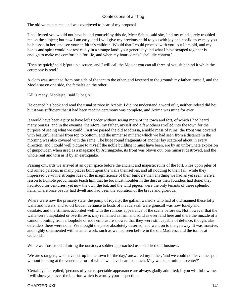The old woman came, and was overjoyed to hear of my proposal.

'I had feared you would not have bound yourself by this tie, Meer Sahib,' said she, 'and my mind sorely troubled me on the subject; but now I am easy, and I will give my precious child to you with joy and confidence: may you be blessed in her, and see your children's children. Would that I could proceed with you! but I am old, and my bones and spirit would not rest easily in a strange land: your generosity and what I have scraped together is enough to make me comfortable for life, and when my hour comes I shall die content.'

'Then be quick,' said I; 'put up a screen, and I will call the Moola; you can all three of you sit behind it while the ceremony is read.'

A cloth was stretched from one side of the tent to the other, and fastened to the ground: my father, myself, and the Moola sat on one side, the females on the other.

'All is ready, Moolajee,' said I; 'begin.'

He opened his book and read the usual service in Arabic. I did not understand a word of it, neither indeed did he; but it was sufficient that it had been read the ceremony was complete, and Azima was mine for ever.

It would have been a pity to have left Beeder without seeing more of the town and fort, of which I had heard many praises; and in the evening, therefore, my father, myself and a few others strolled into the town for the purpose of seeing what we could. First we passed the old Madressa, a noble mass of ruins; the front was covered with beautiful enamel from top to bottom, and the immense minaret which we had seen from a distance in the morning was also covered with the same. The huge round fragments of another lay scattered about in every direction, and I could well picture to myself the noble building it must have been, ere by an unfortunate explosion of gunpowder, when used as a magazine by Aurungzebe, its front was blown out, one minaret destroyed, and the whole rent and torn as if by an earthquake.

Passing onwards we arrived at an open space before the ancient and majestic ruins of the fort. Piles upon piles of old ruined palaces, in many places built upon the walls themselves, and all nodding to their fall, while they impressed us with a stronger idea of the magnificence of their builders than anything we had as yet seen, were a lesson to humble proud manto teach him that he too must moulder in the dust as their founders had done: they had stood for centuries; yet now the owl, the bat, and the wild pigeon were the only tenants of these splendid halls, where once beauty had dwelt and had been the adoration of the brave and glorious.

Where were now the princely state, the pomp of royalty, the gallant warriors who had of old manned these lofty walls and towers, and so oft bidden defiance to hosts of invaders? all were gone, all was now lonely and desolate, and the stillness accorded well with the ruinous appearance of the scene before us. Not however that the walls were dilapidated or overthrown; *they* remained as firm and solid as ever; and here and there the muzzle of a cannon pointing from a loophole or rude embrasure showed that they were still capable of defence, though, alas! defenders there were none. We thought the place absolutely deserted, and went on to the gateway. It was massive, and highly ornamented with enamel work, such as we had seen before in the old Madressa and the tombs at Golconda.

While we thus stood admiring the outside, a soldier approached us and asked our business.

'We are strangers, who have put up in the town for the day,' answered my father, 'and we could not leave the spot without looking at the venerable fort of which we have heard so much. May we be permitted to enter?'

'Certainly,' he replied; 'persons of your respectable appearance are always gladly admitted; if you will follow me, I will show you over the interior, which is worthy your inspection.'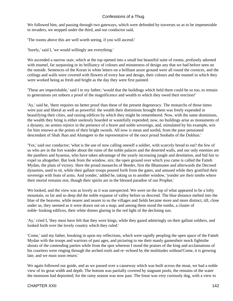We followed him, and passing through two gateways, which were defended by traverses so as to be impenetrable to invaders, we stopped under the third, and our conductor said,

'The rooms above this are well worth seeing, if you will ascend.'

'Surely,' said I, 'we would willingly see everything.'

We ascended a narrow stair, which at the top opened into a small but beautiful suite of rooms, profusely adorned with enamel, far surpassing in its brilliancy of colours and minuteness of design any that we had before seen on the outside. Sentences of the Koran in white letters on a brilliant azure ground were all round the cornices, and the ceilings and walls were covered with flowers of every hue and design, their colours and the enamel in which they were worked being as fresh and bright as the day they were first painted.

'These are imperishable,' said I to my father; 'would that the buildings which held them could be so too, to remain to generations yet unborn a proof of the magnificence and wealth to which they owed their erection!'

'Ay,' said he, 'there requires no better proof than these of the present degeneracy. The monarchs of those times were just and liberal as well as powerful: the wealth their dominions brought them was freely expended in beautifying their cities, and raising edifices by which they might be remembered. Now, with the same dominions, the wealth they bring is either uselessly hoarded or wastefully expended; now, no buildings arise as monuments of a dynasty, no armies rejoice in the presence of a brave and noble sovereign, and, stimulated by his example, win for him renown at the points of their bright swords. All now is mean and sordid, from the poor pensioned descendant of Shah Jhan and Alumgeer to the representative of the once proud Soobahs of the Dukhun.'

'Yes,' said our conductor; 'what is the use of now calling oneself a soldier, with scarcely bread to eat? the few of us who are in the fort wander about the ruins of the noble palaces and the deserted walls, and our only enemies are the panthers and hyaenas, who have taken advantage of the yearly increasing jungle and desolation, and bid fair to expel us altogether. But look from the window, sirs; the open ground over which you came is called the Fatteh Mydan, the plain of victory. Here the proud monarchs of Beeder, first the Bhamunee and afterwards the Decreed dynasties, used to sit, while their gallant troops poured forth from the gates, and amused while they gratified their sovereign with feats of arms. And yonder,' added he, taking us to another window, 'yonder are their tombs where their mortal remains rest, though their spirits are in the blessed paradise of our Prophet.'

We looked, and the view was as lovely as it was unexpected. We were on the top of what appeared to be a lofty mountain, so far and so deep did the noble expanse of valley before us descend. The blue distance melted into the blue of the heavens, while nearer and nearer to us the villages and fields became more and more distinct, till, close under us, they seemed as it were drawn out on a map; and among them stood the tombs, a cluster of noble−looking edifices, their white domes glaring in the red light of the declining sun.

'Ay,' cried I, 'they must have felt that they were kings, while they gazed admiringly on their gallant soldiers, and looked forth over the lovely country which they ruled.'

'Come,' said my father, breaking in upon my reflections, which were rapidly peopling the open space of the Fatteh Mydan with the troops and warriors of past ages, and picturing to me their manly games their mock fights the shouts of the contending parties while from the spot whereon I stood the praises of the king and acclamations of his courtiers were ringing through the arched roofs and re−echoed by the multitudes without'Come, it is growing late, and we must soon return.'

We again followed our guide, and as we passed over a causeway which was built across the moat, we had a noble view of its great width and depth. The bottom was partially covered by stagnant pools, the remains of the water the monsoon had deposited; for the rainy season was now past. The fosse was very curiously dug, with a view to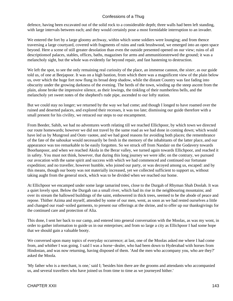defence, having been excavated out of the solid rock to a considerable depth; three walls had been left standing, with large intervals between each; and they would certainly pose a most formidable interruption to an invader.

We entered the fort by a large gloomy archway, within which some soldiers were lounging; and from thence traversing a large courtyard, covered with fragments of ruins and rank brushwood, we emerged into an open space beyond. Here a scene of still greater desolation than even the outside presented opened on our view; ruins of all descriptions of palaces, stables, offices, baths, magazines for arms and ammunition strewed the ground; it was a melancholy sight, but the whole was evidently far beyond repair, and fast hastening to destruction.

We left the spot, to see the only remaining real curiosity of the place, an immense cannon, the *sister*, as our guide told us, of one at Beejapoor. It was on a high bastion, from which there was a magnificent view of the plain below us, over which the huge fort now flung its broad deep shadow, while the distant Country was fast fading into obscurity under the growing darkness of the evening. The herds of the town, winding up the steep ascent from the plain, alone broke the impressive silence, as their lowings, the tinkling of their numberless bells, and the melancholy yet sweet notes of the shepherd's rude pipe, ascended to our lofty station.

But we could stay no longer; we returned by the way we had come; and though I longed to have roamed over the ruined and deserted palaces, and explored their recesses, it was too late; dismissing our guide therefore with a small present for his civility, we retraced our steps to our encampment.

From Beeder, Sahib, we had no adventures worth relating till we reached Ellichpoor, by which town we directed our route homewards; however we did not travel by the same road as we had done in coming down; which would have led us by Mungrool and Oom−raotee, and we had good reasons for avoiding both places; the remembrance of the fate of the sahoukar would necessarily be fresh in the memory of the inhabitants of the latter place, and our appearance was too remarkable to be easily forgotten. So we struck off from Nandair on the Godavery towards Boorhanpoor, and when we reached Akola in the Berar valley, we turned again towards Ellichpoor, and reached it in safety. You must not think, however, that during this long journey we were idle; on the contrary, we pursued our avocation with the same spirit and success with which we had commenced and continued our fortunate expedition; and no traveller, however humble, who joined our party, or was decoyed among us, escaped: and by this means, though our booty was not materially increased, yet we collected sufficient to support us, without taking aught from the general stock, which was to be divided when we reached our home.

At Ellichpoor we encamped under some large tamarind trees, close to the Durgah of Rhyman Shah Doolah. It was a quiet lovely spot. Below the Durgah ran a small river, which had its rise in the neighbouring mountains; and over its stream the hallowed buildings of the saint, embowered in thick trees, seemed to be the abode of peace and repose. Thither Azima and myself, attended by some of our men, went, as soon as we had rested ourselves a little and changed our road−soiled garments, to present our offerings at the shrine, and to offer up our thanksgivings for the continued care and protection of Alia.

This done, I sent her back to our camp, and entered into general conversation with the Moolas, as was my wont, in order to gather information to guide us in our enterprises; and from so large a city as Ellichpoor I had some hope that we should gain a valuable booty.

We conversed upon many topics of everyday occurrence; at last, one of the Moolas asked me where I had come from, and whither I was going. I said I was a horse−dealer, who had been down to Hyderabad with horses from Hindostan, and was now returning, having disposed of them. 'And the men who accompany you, who are they?' asked the Moola.

'My father who is a merchant, is one,' said I; 'besides him there are the grooms and attendants who accompanied us, and several travellers who have joined us from time to time as we journeyed hither.'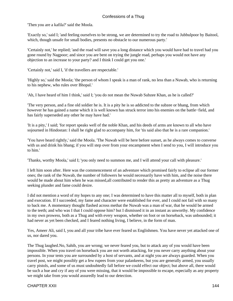'Then you are a kafila?' said the Moola.

'Exactly so,' said I; 'and feeling ourselves to be strong, we are determined to try the road to Jubbulpoor by Baitool, which, though unsafe for small bodies, presents no obstacle to our numerous party.'

'Certainly not,' he replied; 'and the road will save you a long distance which you would have had to travel had you gone round by Nagpoor; and since you are bent on trying the jungle road, perhaps you would not have any objection to an increase to your party? and I think I could get you one.'

'Certainly not,' said I, 'if the travellers are respectable.'

'Highly so,' said the Moola; 'the person of whom I speak is a man of rank, no less than a Nuwab, who is returning to his nephew, who rules over Bhopal.'

'Ah, I have heard of him I think,' said I; 'you do not mean the Nuwab Subzee Khan, as he is called?'

'The very person, and a fine old soldier he is. It is a pity he is so addicted to the subzee or bhang, from which however he has gained a name which it is well known has struck terror into his enemies on the battle−field, and has fairly superseded any other he may have had.'

'It is a pity,' I said; 'for report speaks well of the noble Khan, and his deeds of arms are known to all who have sojourned in Hindostan: I shall be right glad to accompany him, for 'tis said also that he is a rare companion.'

'You have heard rightly,' said the Moola. 'The Nuwab will be here before sunset, as he always comes to converse with us and drink his bhang; if you will step over from your encampment when I send to you, I will introduce you to him.'

'Thanks, worthy Moola,' said I; 'you only need to summon me, and I will attend your call with pleasure.'

I left him soon after. Here was the commencement of an adventure which promised fairly to eclipse all our former ones; the rank of the Nuwab, the number of followers he would necessarily have with him, and the noise there would be made about him when he was missed, all contributed to render this as pretty an adventure as a Thug seeking plunder and fame could desire.

I did not mention a word of my hopes to any one; I was determined to have this matter all to myself, both in plan and execution. If I succeeded, my fame and character were established for ever, and I could not fail with so many to back me. A momentary thought flashed across methat the Nuwab was a man of war, that he would be armed to the teeth; and who was I that I could oppose him? but I dismissed it in an instant as unworthy. My confidence in my own prowess, both as a Thug and with every weapon, whether on foot or on horseback, was unbounded; it had never as yet been checked, and I feared nothing living, I believe, in the form of man.

Yes, Ameer Ali, said I, you and all your tribe have ever feared us Englishmen. You have never yet attacked one of us, nor dared you.

The Thug laughed.No, Sahib, you are wrong; we never feared you, but to attack any of you would have been impossible. When you travel on horseback you are not worth attacking, for you never carry anything about your persons. In your tents you are surrounded by a host of servants, and at night you are always guarded. When you travel post, we might possibly get a few rupees from your palankeens, but you are generally armed, you usually carry pistols, and some of us must undoubtedly fall before we could effect our object; but above all, there would be such a hue and cry if any of you were missing, that it would be impossible to escape, especially as any property we might take from you would assuredly lead to our detection.

#### CHAPTER XXII 244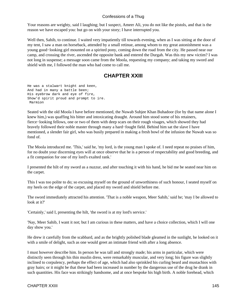Your reasons are weighty, said I laughing; but I suspect, Ameer Ali, you do not like the pistols, and that is the reason we have escaped you: but go on with your story; I have interrupted you.

Well then, Sahib, to continue. I waited very impatiently till towards evening, when as I was sitting at the door of my tent, I saw a man on horseback, attended by a small retinue, among whom to my great astonishment was a young good−looking girl mounted on a spirited pony, coming down the road from the city. He passed near our camp, and crossing the river, ascended the opposite bank and entered the Durgah. Was this my new victim? I was not long in suspense; a message soon came from the Moola, requesting my company; and taking my sword and shield with me, I followed the man who had come to call me.

# **CHAPTER XXIII**

```
He was a stalwart knight and keen, 
And had in many a battle been; 
His eyebrow dark and eye of fire, 
Show'd spirit proud and prompt to ire.
 Marmion
```
Seated with the old Moola I have before mentioned, the Nuwab Subjee Khan Buhadoor (for by that name alone I knew him,) was quaffing his bitter and intoxicating draught. Around him stood some of his retainers, fierce−looking fellows, one or two of them with deep scars on their rough visages, which showed they had bravely followed their noble master through many a hard−fought field. Behind him sat the slave I have mentioned, a slender fair girl, who was busily prepared in making a fresh bowl of the infusion the Nuwab was so fond of.

The Moola introduced me. 'This,' said he, 'my lord, is the young man I spoke of. I need repeat no praises of him, for no doubt your discerning eyes will at once observe that he is a person of respectability and good breeding, and a fit companion for one of my lord's exalted rank.'

I presented the hilt of my sword as a nuzzur, and after touching it with his hand, he bid me be seated near him on the carpet.

This I was too polite to do; so excusing myself on the ground of unworthiness of such honour, I seated myself on my heels on the edge of the carpet, and placed my sword and shield before me.

The sword immediately attracted his attention. 'That is a noble weapon, Meer Sahib,' said he; 'may I be allowed to look at it?'

'Certainly,' said I, presenting the hilt, 'the sword is at my lord's service.'

'Nay, Meer Sahib, I want it not; but I am curious in these matters, and have a choice collection, which I will one day show you.'

He drew it carefully from the scabbard, and as the brightly polished blade gleamed in the sunlight, he looked on it with a smile of delight, such as one would greet an intimate friend with after a long absence.

I must however describe him. In person he was tall and strongly made; his arms in particular, which were distinctly seen through his thin muslin dress, were remarkably muscular, and very long; his figure was slightly inclined to corpulency, perhaps the effect of age, which had also sprinkled his curling beard and mustachios with gray hairs; or it might be that these had been increased in number by the dangerous use of the drug he drank in such quantities. His face was strikingly handsome, and at once bespoke his high birth. A noble forehead, which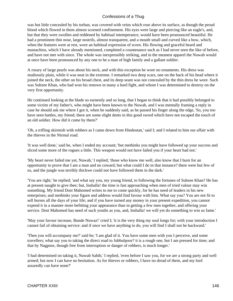was but little concealed by his turban, was covered with veins which rose above its surface, as though the proud blood which flowed in them almost scorned confinement. His eyes were large and piercing like an eagle's, and, but that they were swollen and reddened by habitual intemperance, would have been pronounced beautiful. He had a prominent thin nose, large nostrils, almost transparent, and a mouth small and curved like a bow, which, when the features were at rest, wore an habitual expression of scorn. His flowing and graceful beard and mustachios, which I have already mentioned, completed a countenance such as I had never seen the like of before, and have not met with since. The whole was inexpressibly striking, and in the meanest apparel the Nuwab would at once have been pronounced by any one to be a man of high family and a gallant soldier.

A rosary of large pearls was about his neck, and with this exception he wore no ornaments. His dress was studiously plain, while it was neat in the extreme. I remarked two deep scars, one on the back of his head where it joined the neck, the other on his broad chest, and its deep seam was not concealed by the thin dress he wore. Such was Subzee Khan, who had won his renown in many a hard fight, and whom I was determined to destroy on the very first opportunity.

He continued looking at the blade so earnestly and so long, that I began to think that it had possibly belonged to some victim of my father's, who might have been known to the Nuwab, and I was mentally framing a reply in case he should ask me where I got it, when he suddenly said, as he passed his finger along the edge, 'So, you too have seen battles, my friend; there are some slight dents in this good sword which have not escaped the touch of an old soldier. How did it come by them?'

'Oh, a trifling skirmish with robbers as I came down from Hindostan,' said I; and I related to him our affair with the thieves in the Nirmul road.

'It was well done,' said he, when I ended my account; 'but methinks you might have followed up your success and sliced some more of the rogues a little. This weapon would not have failed you if your heart had not.'

'My heart never failed me yet, Nuwab,' I replied; 'those who know me well, also know that I burn for an opportunity to prove that I am a man and no coward; but what could I do in that instance? there were but few of us, and the jungle was terribly thick we could not have followed them in the dark.'

'You are right,' he replied; 'and what say you, my young friend, to following the fortunes of Subzee Khan? He has at present naught to give thee; but, Inshalla! the time is fast approaching when men of tried valour may win something. My friend Dost Mahomed writes to me to come quickly, for he has need of leaders in his new enterprises; and methinks your figure and address would find favour with him. What say you? You are not fit to sell horses all the days of your life; and if you have turned any money in your present expedition, you cannot expend it in a manner more befitting your appearance than in getting a few men together, and offering your service. Dost Mahomed has need of such youths as you, and, Inshalla! we will yet do something to win us fame.'

'May your favour increase, Bunde Nuwaz!' cried I; 'it is the very thing my soul longs for; with your introduction I cannot fail of obtaining service: and if once we have anything to do, you will find I shall not be backward.'

'Then you will accompany me?' said he; 'I am glad of it. You have some men with you I perceive, and some travellers; what say you to taking the direct road to Jubbulpoor? it is a rough one, but I am pressed for time; and that by Nagpoor, though free from interruption or danger of robbers, is much longer.'

'I had determined on taking it, Nuwab Sahib,' I replied, 'even before I saw you, for we are a strong party and well armed; but now I can have no hesitation. As for thieves or robbers, I have no dread of them, and my lord assuredly can have none?'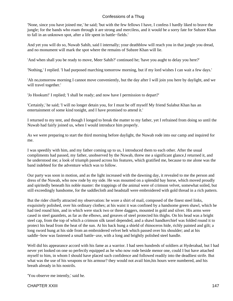'None, since you have joined me,' he said; 'but with the few fellows I have, I confess I hardly liked to brave the jungle; for the bands who roam through it are strong and merciless, and it would be a sorry fate for Subzee Khan to fall in an unknown spot, after a life spent in battle−fields.'

And yet you will do so, Nuwab Sahib, said I internally; your deathblow will reach you in that jungle you dread, and no monument will mark the spot where the remains of Subzee Khan will lie.

'And when shall you be ready to move, Meer Sahib?' continued he; 'have you aught to delay you here?'

'Nothing,' I replied. 'I had purposed marching tomorrow morning, but if my lord wishes I can wait a few days.'

'Ah no,tomorrow morning I cannot move conveniently, but the day after I will join you here by daylight, and we will travel together.'

'Jo Hookum!' I replied; 'I shall be ready; and now have I permission to depart?'

'Certainly,' he said; 'I will no longer detain you, for I must be off myself My friend Sulabut Khan has an entertainment of some kind tonight, and I have promised to attend it.'

I returned to my tent, and though I longed to break the matter to my father, yet I refrained from doing so until the Nuwab had fairly joined us, when I would introduce him properly.

As we were preparing to start the third morning before daylight, the Nuwab rode into our camp and inquired for me.

I was speedily with him, and my father coming up to us, I introduced them to each other. After the usual compliments had passed, my father, unobserved by the Nuwab, threw me a significant glance, I returned it, and he understood me; a look of triumph passed across his features, which gratified me, because to me alone was the band indebted for the adventure which was to follow.

Our party was soon in motion, and as the light increased with the dawning day, it revealed to me the person and dress of the Nuwab, who now rode by my side. He was mounted on a splendid bay horse, which moved proudly and spiritedly beneath his noble master: the trappings of the animal were of crimson velvet, somewhat soiled, but still exceedingly handsome, for the saddlecloth and headstall were embroidered with gold thread in a rich pattern.

But the rider chiefly attracted my observation: he wore a shirt of mail, composed of the finest steel links, exquisitely polished, over his ordinary clothes; at his waist it was confined by a handsome green shawl, which he had tied round him, and in which were stuck two or three daggers, mounted in gold and silver. His arms were cased in steel gauntlets, as far as the elbows, and greaves of steel protected his thighs. On his head was a bright steel cap, from the top of which a crimson silk tassel depended, and a shawl handkerchief was folded round it to protect his head from the heat of the sun. At his back hung a shield of rhinoceros hide, richly painted and gilt; a long sword hung at his side from an embroidered velvet belt which passed over his shoulder; and at his saddle−bow was fastened a small battle−axe, with a long and brightly polished steel handle.

Well did his appearance accord with his fame as a warrior. I had seen hundreds of soldiers at Hyderabad, but I had never yet looked on one so perfectly equipped as he who now rode beside menor one, could I but have attached myself to him, in whom I should have placed such confidence and followed readily into the deadliest strife. But what was the use of his weapons or his armour? they would not avail him, his hours were numbered, and his breath already in his nostrils.

'You observe me intently,' said he.

#### CHAPTER XXIII 147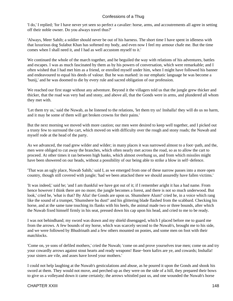'I do,' I replied; 'for I have never yet seen so perfect a cavalier: horse, arms, and accoutrements all agree in setting off their noble owner. Do you always travel thus?'

'Always, Meer Sahib; a soldier should never be out of his harness. The short time I have spent in idleness with that luxurious dog Sulabut Khan has softened my body, and even now I feel my armour chafe me. But the time comes when I shall need it, and I had as well accustom myself to it.'

We continued the whole of the march together, and he beguiled the way with relations of his adventures, battles and escapes. I was as much fascinated by them as by his powers of conversation, which were remarkable; and I often wished that I had met him as a friend, or enrolled myself under him, when I might have followed his banner and endeavoured to equal his deeds of valour. But he was marked: in our emphatic language he was become a 'bunij,' and he was doomed to die by every rule and sacred obligation of our profession.

We reached our first stage without any adventure. Beyond it the villagers told us that the jungle grew thicker and thicker, that the road was very bad and stony, and above all, that the Gonds were in arms, and plundered all whom they met with.

'Let them try us,' said the Nuwab, as he listened to the relations, 'let them try us! Inshalla! they will do us no harm, and it may be some of them will get broken crowns for their pains.'

But the next morning we moved with more caution; our men were desired to keep well together, and I picked out a trusty few to surround the cart, which moved on with difficulty over the rough and stony roads; the Nuwab and myself rode at the head of the party.

As we advanced, the road grew wilder and wilder; in many places it was narrowed almost to a foot−path, and the, men were obliged to cut away the branches, which often nearly met across the road, so as to allow the cart to proceed. At other times it ran between high banks, which almost overhung us, and from which missiles might have been showered on our heads, without a possibility of our being able to strike a blow in self−defence.

'That was an ugly place, Nuwab Sahib,' said I, as we emerged from one of these narrow passes into a more open country, though still covered with jungle; 'had we been attacked there we should assuredly have fallen victims.'

'It was indeed,' said he; 'and I am thankful we have got out of it; if I remember aright it has a bad name. From hence however I think there are no more; the jungle becomes a forest, and there is not so much underwood. But look,' cried he, 'what is that? By Alia! the Gonds are upon us. Shumshere Alum!' cried he, in a voice which rang like the sound of a trumpet, 'Shumshere bu dust!' and his glittering blade flashed from the scabbard. Checking his horse, and at the same tune touching its flanks with his heels, the animal made two or three bounds, after which the Nuwab fixed himself firmly in his seat, pressed down his cap upon his head, and cried to me to be ready.

I was not behindhand; my sword was drawn and my shield disengaged, which I placed before me to guard me from the arrows. A few bounds of my horse, which was scarcely second to the Nuwab's, brought me to his side, and we were followed by Bhudrinath and a few others mounted on ponies, and some men on foot with their matchlocks.

'Come on, ye sons of defiled mothers,' cried the Nuwab; 'come on and prove yourselves true men; come on and try your cowardly arrows against stout hearts and ready weapons! Base−born kafirs are ye, and cowards; Inshalla! your sisters are vile, and asses have loved your mothers.'

I could not help laughing at the Nuwab's gesticulations and abuse, as he poured it upon the Gonds and shook his sword at them. They would not move, and perched up as they were on the side of a hill, they prepared their bows to give us a volleyand down it came certainly; the arrows whistled past us, and one wounded the Nuwab's horse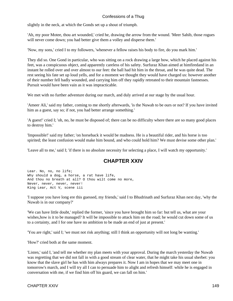slightly in the neck, at which the Gonds set up a shout of triumph.

'Ah, my poor Motee, thou art wounded,' cried he, drawing the arrow from the wound. 'Meer Sahib, those rogues will never come down; you had better give them a volley and disperse them.'

'Now, my sons,' cried I to my followers, 'whenever a fellow raises his body to fire, do you mark him.'

They did so. One Gond in particular, who was sitting on a rock drawing a large bow, which he placed against his feet, was a conspicuous object, and apparently careless of his safety. Surfuraz Khan aimed at him fired and in an instant he rolled over and over almost to our feet: the ball had hit him in the throat, and he was quite dead. The rest seeing his fate set up loud yells, and for a moment we thought they would have charged us: however another of their number fell badly wounded, and carrying him off they rapidly retreated to their mountain fastnesses. Pursuit would have been vain as it was impracticable.

We met with no further adventure during our march, and duly arrived at our stage by the usual hour.

'Ameer Ali,' said my father, coming to me shortly afterwards, 'is the Nuwab to be ours or not? If you have invited him as a guest, say so; if not, you had better arrange something.'

'A guest!' cried I; 'oh, no, he must be disposed of; there can be no difficulty where there are so many good places to destroy him.'

'Impossible!' said my father; 'on horseback it would be madness. He is a beautiful rider, and his horse is too spirited; the least confusion would make him bound, and who could hold him? We must devise some other plan.'

'Leave all to me,' said I; 'if there is no absolute necessity for selecting a place, I will watch my opportunity.'

## **CHAPTER XXIV**

Lear. No, no, no life; Why should a dog, a horse, a rat have life, And thou no breath at all? O thou wilt come no more, Never, never, never, never! King Lear, Act V, scene iii

'I suppose you have long ere this guessed, my friends,' said I to Bhudrinath and Surfuraz Khan next day, 'why the Nuwab is in our company?'

'We can have little doubt,' replied the former, 'since you have brought him so far: but tell us, what are your wishes, how is it to be managed? It will be impossible to attack him on the road; he would cut down some of us to a certainty, and I for one have no ambition to be made an end of just at present.'

'You are right,' said I; 'we must not risk anything; still I think an opportunity will not long be wanting.'

'How?' cried both at the same moment.

'Listen,' said I, 'and tell me whether my plan meets with your approval. During the march yesterday the Nuwab was regretting that we did not fall in with a good stream of clear water, that he might take his usual sherbet: you know that the slave girl he has with him always prepares it. Now I am in hopes that we may meet one in tomorrow's march, and I will try all I can to persuade him to alight and refresh himself: while he is engaged in conversation with me, if we find him off his guard, we can fall on him.'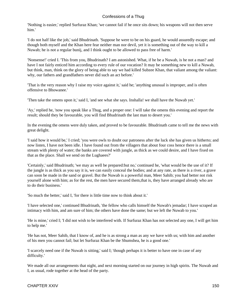'Nothing is easier,' replied Surfuraz Khan; 'we cannot fail if he once sits down; his weapons will not then serve him.'

'I do not half like the job,' said Bhudrinath. 'Suppose he were to be on his guard, he would assuredly escape; and though both myself and the Khan here fear neither man nor devil, yet it is something out of the way to kill a Nuwab; he is not a regular bunij, and I think ought to be allowed to pass free of harm.'

'Nonsense!' cried I. 'This from you, Bhudrinath? I am astonished. What, if he be a Nuwab, is he not a man? and have I not fairly enticed him according to every rule of our vocation? It may be something new to kill a Nuwab, but think, man, think on the glory of being able to say we had killed Subzee Khan, that valiant among the valiant: why, our fathers and grandfathers never did such an act before.'

'That is the very reason why I raise my voice against it,' said he; 'anything unusual is improper, and is often offensive to Bhowanee.'

'Then take the omens upon it,' said I, 'and see what she says. Inshalla! we shall have the Nuwab yet.'

'Ay,' replied he, 'now you speak like a Thug, and a proper one: I will take the omens this evening and report the result; should they be favourable, you will find Bhudrinath the last man to desert you.'

In the evening the omens were duly taken, and proved to be favourable. Bhudrinath came to tell me the news with great delight.

'I said how it would be,' I cried; 'you were owls to doubt our patroness after the luck she has given us hitherto; and now listen, I have not been idle. I have found out from the villagers that about four coss hence there is a small stream with plenty of water; the banks are covered with jungle, as thick as we could desire, and I have fixed on that as the place. Shall we send on the Lughaees?'

'Certainly,' said Bhudrinath; 'we may as well be prepared: but no,' continued he, 'what would be the use of it? If the jungle is as thick as you say it is, we can easily conceal the bodies; and at any rate, as there is a river, a grave can soon be made in the sand or gravel. But the Nuwab is a powerful man, Meer Sahib; you had better not risk yourself alone with him; as for the rest, the men have secured them, that is, they have arranged already who are to do their business.'

'So much the better,' said I, 'for there is little time now to think about it.'

'I have selected one,' continued Bhudrinath, 'the fellow who calls himself the Nuwab's jemadar; I have scraped an intimacy with him, and am sure of him; the others have done the same; but we left the Nuwab to you.'

'He is mine,' cried I; 'I did not wish to be interfered with. If Surfuraz Khan has not selected any one, I will get him to help me.'

'He has not, Meer Sahib, that I know of, and he is as strong a man as any we have with us; with him and another of his men you cannot fail; but let Surfuraz Khan be the Shumshea, he is a good one.'

'I scarcely need one if the Nuwab is sitting,' said I; 'though perhaps it is better to have one in case of any difficulty.'

We made all our arrangements that night, and next morning started on our journey in high spirits. The Nuwab and I, as usual, rode together at the head of the party.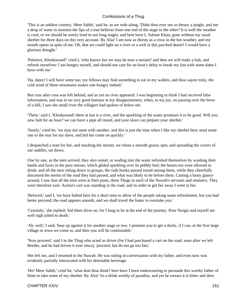'This is an unblest country, Meer Sahib,' said he, as we rode along. 'Didst thou ever see so dreary a jungle, and not a drop of water to moisten the lips of a true believer from one end of the stage to the other? It is well the weather is cool, or we should be sorely tired in our long stages; and here have I, Subzee Khan, gone without my usual sherbet for three days on this very account. By Alia! I am now as thirsty as a crow in the hot weather, and my mouth opens in spite of me. Oh, that we could light on a river or a well in this parched desert! I would have a glorious draught.'

'Patience, Khodawund!' cried I, 'who knows but we may be near a stream? and then we will make a halt, and refresh ourselves: I am hungry myself, and should not care for an hour's delay to break my fast with some dates I have with me.'

'Ha, dates! I will have some too; my fellows may find something to eat in my wallets, and thou sayest truly, the cold wind of these mountains makes one hungry indeed.'

But coss after coss was left behind, and as yet no river appeared. I was beginning to think I had received false information, and was in no very good humour at my disappointment, when, to my joy, on passing over the brow of a hill, I saw the small river the villagers had spoken of below me.

'There,' said I, 'Khodawund! there at last is a river, and the sparkling of the water promises it to be good. Will you now halt for an hour? we can have a pipe all round, and your slave can prepare your sherbet.'

'Surely,' cried he; 'we may not meet with another, and this is just the time when I like my sherbet best; send some one to the rear for my slave, and bid her come on quickly.'

I despatched a man for her, and reaching the stream, we chose a smooth grassy spot, and spreading the covers of our saddles, sat down.

One by one, as the men arrived, they also rested, or wading into the water refreshed themselves by washing their hands and faces in the pure stream, which glided sparkling over its pebbly bed; the beasts too were allowed to drink; and all the men sitting down in groups, the rude hooka passed round among them, while they cheerfully discussed the merits of the road they had passed, and what was likely to be before them. Casting a hasty glance around, I saw that all the men were at their posts, three Thugs to each of the Nuwab's servants and retainers. They were therefore sure. Azima's cart was standing in the road, and in order to get her away I went to her.

'Beloved,' said I, 'we have halted here for a short time to allow of the people taking some refreshment, but you had better proceed; the road appears smooth, and we shall travel the faster to overtake you.'

'Certainly,' she replied; 'bid them drive on, for I long to be at the end of the journey. Poor Nurgiz and myself are well nigh jolted to death.'

'Ah, well,' I said, 'bear up against it for another stage or two. I promise you to get a dooly, if I can, at the first large village or town we come to, and then you will be comfortable.'

'Now proceed,' said I to the Thug who acted as driver (for I had purchased a cart on the road, soon after we left Beeder, and he had driven it ever since), 'proceed, but do not go too fast.'

She left me, and I returned to the Nuwab. He was sitting in conversation with my father, and even now was evidently partially intoxicated with his detestable beverage.

'Ho! Meer Sahib,' cried he; 'what dost *thou* think? here have I been endeavouring to persuade this worthy father of thine to take some of my sherbet. By Alia! 'tis a drink worthy of paradise, and yet he swears it is bitter and does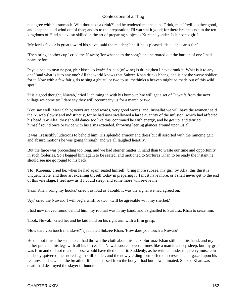not agree with his stomach. Wilt thou take a drink?' and he tendered me the cup. 'Drink, man! 'twill do thee good, and keep the cold wind out of thee; and as to the preparation, I'll warrant it good; for there breathes not in the ten kingdoms of Hind a slave so skilled in the art of preparing subjee as Kureena yonder. Is it not so, girl?'

'My lord's favour is great toward his slave,' said the maiden; 'and if he is pleased, 'tis all she cares for.'

'Then bring another cup,' cried the Nuwab; 'for what saith the song?' and he roared out the burden of one I had heard before

Peyala pea, to myn ne pea, phir kisee ko kya!\* \*A cup (of wine) is drunk, then I have drunk it; What is it to any one? 'and what is it to any one? All the world knows that Subzee Khan drinks bhang, and is not the worse soldier for it. Now with a few fair girls to sing a ghuzul or two to us, methinks a heaven might be made out of this wild spot.'

'It is a good thought, Nuwab,' cried I, chiming in with his humour; 'we will get a set of Tuwaifs from the next village we come to; I dare say they will accompany us for a march or two.'

'You say well, Meer Sahib; yours are good words, very good words; and, Inshalla! we will have the women,' said the Nuwab slowly and indistinctly, for he had now swallowed a large quantity of the infusion, which had affected his head. 'By Alia! they should dance too like this' continued he with energy, and he got up, and twirled himself round once or twice with his arms extended, throwing leering glances around upon us all.

It was irresistibly ludicrous to behold him. His splendid armour and dress but ill assorted with the mincing gait and absurd motions he was going through, and we all laughed heartily.

But the farce was proceeding too long, and we had sterner matter in hand than to waste our time and opportunity in such fooleries. So I begged him again to be seated, and motioned to Surfuraz Khan to be ready the instant he should see me go round to his back.

'Ho! Kureena,' cried he, when he had again seated himself, 'bring more subzee, my girl: by Alia! this thirst is unquenchable, and thou art excelling thyself today in preparing it. I must have more, or I shall never get to the end of this vile stage. I feel now as if I could sleep, and some more will revive me.'

'Fazil Khan, bring my hooka,' cried I as loud as I could. It was the signal we had agreed on.

'Ay,' cried the Nuwab, 'I will beg a whiff or two, 'twill be agreeable with my sherbet.'

I had now moved round behind him; my roomal was in my hand, and I signalled to Surfuraz Khan to seize him.

'Look, Nuwab!' cried he; and he laid hold on his right arm with a firm grasp.

'How dare you touch me, slave?' ejaculated Subzee Khan. 'How dare you touch a Nuwab?'

He did not finish the sentence. I had thrown the cloth about his neck, Surfuraz Khan still held his hand, and my father pulled at his legs with all his force. The Nuwab snored several times like a man in a deep sleep, but my grip was firm and did not relax: a horse would have died under it. Suddenly, as he writhed under me, every muscle in his body quivered; he snored again still louder, and the now yielding form offered no resistance. I gazed upon his features, and saw that the breath of life had passed from the body it had but now animated. Subzee Khan was dead I had destroyed the slayer of hundreds!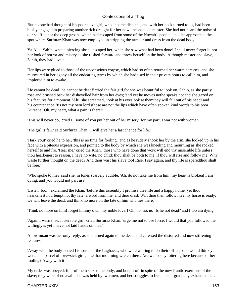But no one had thought of his poor slave girl, who at some distance, and with her back turned to us, had been busily engaged in preparing another rich draught for her now unconscious master. She had not heard the noise of our scuffle, nor the deep groans which had escaped from some of the Nuwab's people, and she approached the spot where Surfuraz Khan was now employed in stripping the armour and dress from the dead body.

Ya Alia! Sahib, what a piercing shriek escaped her, when she saw what had been done! I shall never forget it, nor her look of horror and misery as she rushed forward and threw herself on the body. Although master and slave, Sahib, they had loved.

Her lips were glued to those of the unconscious corpse, which had so often returned her warm caresses, and she murmured in her agony all the endearing terms by which she had used in their private hours to call him, and implored him to awake.

'He cannot be dead! he cannot be dead!' cried the fair girl, for she was beautiful to look on, Sahib, as she partly rose and brushed back her dishevelled hair from her eyes; 'and yet he moves nothe speaks not'and she gazed on his features for a moment. 'Ah!' she screamed, 'look at his eyes look at them they will fall out of his head! and his countenance, 'tis not my own lord's those are not the lips which have often spoken kind words to his poor Kureena! Oh, my heart, what a pain is there!'

'This will never do,' cried I; 'some of you put her out of her misery; for my part, I war not with women.'

'The girl is fair,' said Surfuraz Khan; 'I will give her a last chance for life.'

'Hark you!' cried he to her, 'this is no time for fooling;' and as he rudely shook her by the arm, she looked up in his face with a piteous expression, and pointed to the body by which she was kneeling and mourning as she rocked herself to and fro. 'Hear me,' cried the Khan, 'those who have done that work will end thy miserable life unless thou hearkenest to reason. I have no wife, no child: thou shalt be both to me, if thou wilt rise and follow me. Why waste further thought on the dead? And thou wast his slave too! Rise, I say again, and thy life is spared thou shalt be free.'

'Who spoke to me?' said she, in tones scarcely audible. 'Ah, do not take me from him; my heart is broken! I am dying, and you would not part us?'

'Listen, fool!' exclaimed the Khan; 'before this assembly I promise thee life and a happy home, yet thou hearkenest not: tempt not thy fate; a word from me, and thou diest. Wilt thou then follow me? my horse is ready, we will leave the dead, and think no more on the fate of him who lies there.'

'Think no more on him! forget himmy own, my noble lover! Oh, no, no, no! Is he not dead? and I too am dying.'

'Again I warn thee, miserable girl,' cried Surfuraz Khan; 'urge me not to use force; I would that you followed me willingly as yet I have not laid hands on thee.'

A low moan was her only reply, as she turned again to the dead, and caressed the distorted and now stiffening features.

'Away with the body!' cried I to some of the Lughaees, who were waiting to do their office; 'one would think ye were all a parcel of love−sick girls, like that mourning wretch there. Are we to stay loitering here because of her fooling? Away with it!'

My order was obeyed; four of them seized the body, and bore it off in spite of the now frantic exertions of the slave; they were of no avail; she was held by two men, and her struggles to free herself gradually exhausted her.

#### CHAPTER XXIV 153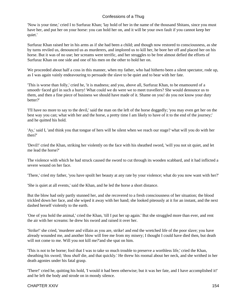'Now is your time,' cried I to Surfuraz Khan; 'lay hold of her in the name of the thousand Shitans, since you must have her, and put her on your horse: you can hold her on, and it will be your own fault if you cannot keep her quiet.'

Surfuraz Khan raised her in his arms as if she had been a child; and though now restored to consciousness, as she by turns reviled us, denounced us as murderers, and implored us to kill her, he bore her off and placed her on his horse. But it was of no use; her screams were terrific, and her struggles to be free almost defied the efforts of Surfuraz Khan on one side and one of his men on the other to hold her on.

We proceeded about half a coss in this manner, when my father, who had hitherto been a silent spectator, rode up, as I was again vainly endeavouring to persuade the slave to be quiet and to bear with her fate.

'This is worse than folly,' cried he, 'it is madness; and you, above all, Surfuraz Khan, to be enamoured of a smooth−faced girl in such a hurry! What could we do were we to meet travellers? She would denounce us to them, and then a fine piece of business we should have made of it. Shame on you! do you not know your duty better?'

'I'll have no more to say to the devil,' said the man on the left of the horse doggedly; 'you may even get her on the best way you can; what with her and the horse, a pretty time I am likely to have of it to the end of the journey;' and he quitted his hold.

'Ay,' said I, 'and think you that tongue of hers will be silent when we reach our stage? what will you do with her then?'

'Devil!' cried the Khan, striking her violently on the face with his sheathed sword, 'will you not sit quiet, and let me lead the horse?'

The violence with which he had struck caused the sword to cut through its wooden scabbard, and it had inflicted a severe wound on her face.

'There,' cried my father, 'you have spoilt her beauty at any rate by your violence; what do you now want with her?'

'She is quiet at all events,' said the Khan, and he led the horse a short distance.

But the blow had only partly stunned her, and she recovered to a fresh consciousness of her situation; the blood trickled down her face, and she wiped it away with her hand; she looked piteously at it for an instant, and the next dashed herself violently to the earth.

'One of you hold the animal,' cried the Khan, 'till I put her up again.' But she struggled more than ever, and rent the air with her screams: he drew his sword and raised it over her.

'Strike!' she cried, 'murderer and villain as you are, strike! and end the wretched life of the poor slave; you have already wounded me, and another blow will free me from my misery; I thought I could have died then, but death will not come to me. Will you not kill me?' and she spat on him.

'This is not to be borne; fool that I was to take so much trouble to preserve a worthless life,' cried the Khan, sheathing his sword; 'thou *shall* die, and that quickly.' He threw his roomal about her neck, and she writhed in her death agonies under his fatal grasp.

'There!' cried he, quitting his hold, 'I would it had been otherwise; but it was her fate, and I have accomplished it!' and he left the body and strode on in moody silence.

#### CHAPTER XXIV 154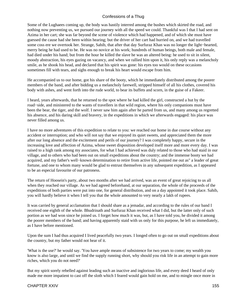Some of the Lughaees coming up, the body was hastily interred among the bushes which skirted the road, and nothing now preventing us, we pursued our journey with all the speed we could. Thankful was I that I had sent on Azima in her cart; she was far beyond the scene of violence which had happened, and of which she must have guessed the cause had she been within hearing; but the driver of her cart had hurried on, and we had travelled some coss ere we overtook her. Strange, Sahib, that after that day Surfuraz Khan was no longer the light−hearted, merry being he had used to be. He was no novice at his work; hundreds of human beings, both male and female, had died under his hand; but from the hour he killed the slave he was an altered being: he used to sit in silent, moody abstraction, his eyes gazing on vacancy, and when we rallied him upon it, his only reply was a melancholy smile, as he shook his head, and declared that his spirit was gone: his eyes too would on these occasions sometimes fill with tears, and sighs enough to break his heart would escape from him.

He accompanied us to our home, got his share of the booty, which he immediately distributed among the poorer members of the band, and after bidding us a melancholy farewell, stripped himself of all his clothes, covered his body with ashes, and went forth into the rude world, to bear its buffets and scorn, in the guise of a Fakeer.

I heard, years afterwards, that he returned to the spot where he had killed the girl, constructed a hut by the road−side, and ministered to the wants of travellers in that wild region, where his only companions must have been the bear, the tiger, and the wolf. I never saw him again after he parted from us, and many among us regretted his absence, and his daring skill and bravery, in the expeditions in which we afterwards engaged: his place was never filled among us.

I have no more adventures of this expedition to relate to you: we reached our home in due course without any accident or interruption; and who will not say that we enjoyed its quiet sweets, and appreciated them the more after our long absence and the excitement and perils of our journey? I was completely happy, secure in the increasing love and affection of Azima, whose sweet disposition developed itself more and more every day. I was raised to a high rank among my associates, for what I had achieved was duly related to those who had staid in our village, and to others who had been out on small expeditions about the country; and the immense booty we had acquired, and my father's well−known determination to retire from active life, pointed me out as" a leader of great fortune, and one to whom many would be glad to entrust themselves in any subsequent expedition, as I appeared to be an especial favourite of our patroness.

The return of Hoosein's party, about two months after we had arrived, was an event of great rejoicing to us all when they reached our village. As we had agreed beforehand, at our separation, the whole of the proceeds of the expeditions of both parties were put into one, for general distribution, and on a day appointed it took place. Sahib, you will hardly believe it when I tell you that the whole amounted to very nearly a lakh of rupees.

It was carried by general acclamation that I should share as a jemadar, and according to the rules of our band I received one eighth of the whole. Bhudrinath and Surfuraz Khan received what I did, but the latter only of such portion as we had won since he joined us. I forget how much it was, but, as I have told you, he divided it among the poorer members of the band; and having apparently staid with us only for this purpose, he left us immediately, as I have before mentioned.

Upon the sum I had thus acquired I lived peacefully two years. I longed often to go out on small expeditions about the country, but my father would not hear of it.

'What is the use?' he would say. 'You have ample means of subsistence for two years to come; my wealth you know is also large, and until we find the supply running short, why should you risk life in an attempt to gain more riches, which you do not need?'

But my spirit sorely rebelled against leading such an inactive and inglorious life, and every deed I heard of only made me more impatient to cast off the sloth which I feared would gain hold on me, and to mingle once more in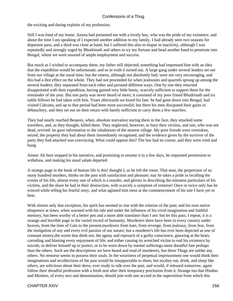the exciting and daring exploits of my profession.

Still I was fond of my home. Azima had presented me with a lovely boy, who was the pride of my existence, and about the time I am speaking of I expected another addition to my family. I had already seen two seasons for departure pass, and a third was close at hand, but I suffered this also to elapse in inactivity, although I was repeatedly and strongly urged by Bhudrinath and others to try my fortune and head another band to penetrate into Bengal, where we were assured of ample employment and success.

But much as I wished to accompany them, my father still objected; something had impressed him with an idea that the expedition would be unfortunate; and so in truth it turned out. A large gang under several leaders set out from our village at the usual time; but the omens, although not absolutely bad, were not very encouraging, and this had a dire effect on the whole. They had not proceeded far when jealousies and quarrels sprung up among the several leaders; they separated from each other and pursued different ways. One by one they returned disappointed with their expedition, having gained very little booty, scarcely sufficient to support them for the remainder of the year. But one party was never heard of more; it consisted of my poor friend Bhudrinath and six noble fellows he had taken with him. Years afterwards we heard his fate: he had gone down into Bengal, had visited Calcutta, and up to that period had been most successful; but there his men dissipated their gains in debauchery, and they set out on their return with barely sufficient to carry them a few marches.

They had nearly reached Benares, when, absolute starvation staring them in the face, they attacked some travellers, and, as they thought, killed them. They neglected, however, to bury their victims, and one, who was not dead, revived: he gave information to the inhabitants of the nearest village. My poor friends were overtaken, seized, the property they had about them immediately recognised, and the evidence given by the survivor of the party they had attacked was convincing. What could oppose this? The law had its course, and they were tried and hung.

Ameer Ali here stopped in his narrative, and promising to resume it in a few days, he requested permission to withdraw, and making his usual salam departed.

A strange page in the book of human life is this! thought I, as he left the room. That man, the perpetrator of so many hundred murders, thinks on the past with satisfaction and pleasure; nay he takes a pride in recalling the events of his life, almost every one of which is a murder, and glories in describing the minutest particulars of his victims, and the share he had in their destruction, with scarcely a symptom of remorse! Once or twice only has he winced while telling his fearful story, and what agitated him most at the commencement of his tale I have yet to hear.

With almost only that exception, his spirit has seemed to rise with the relation of the past; and his own native eloquence at times, when warmed with his tale and under the influence of his vivid imagination and faithful memory, has been worthy of a better pen and a more able translator than I am: but let this pass; I repeat, it is a strange and horrible page in the varied record of humanity. Murderers there have been in every country under heaven, from the time of Cain to the present, murderers from hate, from revenge, from jealousy, from fear, from the instigation of any and every evil passion of our nature; but a murderer's life has ever been depicted as one of constant misery, the worm that dieth not, the agony and reproach of a guilty conscience, gnawing at the heart, corroding and blasting every enjoyment of life, and either causing its wretched victim to end his existence by suicide, to deliver himself up to justice, or to be worn down by mental sufferinga more dreadful fate perhaps than the others. Such are the descriptions we have heard and read of murderers, but these Thugs are unlike any others. No remorse seems to possess their souls. In the weariness of perpetual imprisonment one would think their imaginations and recollections of the past would be insupportable to them; but no, they eat, drink, and sleep like others, are solicitous about their dress, ever ready to talk over the past, and would, if released tomorrow, again follow their dreadful profession with a fresh zest after their temporary preclusion from it. Strange too that Hindoo and Moslem, of every sect and denomination, should join with one accord in the superstition from which this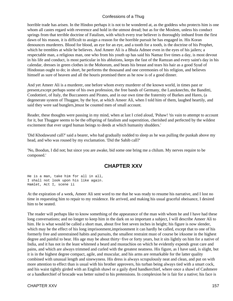horrible trade has arisen. In the Hindoo perhaps it is not to be wondered at, as the goddess who protects him is one whom all castes regard with reverence and hold in the utmost dread; but as for the Moslem, unless his conduct springs from that terrible doctrine of Fatalism, with which every true believer is thoroughly imbued from the first dawn of his reason, it is difficult to assign a reason for the horrible pursuit he has engaged in. His Koran denounces murderers. Blood for blood, an eye for an eye, and a tooth for a tooth, is the doctrine of his Prophet, which he trembles at while he believes. And Ameer Ali is a Bhula Admee even in the eyes of his jailers; a respectable man, a religious man, one who from his youth up has said his Namaz five times a day, is most devout in his life and conduct, is most particular in his ablutions, keeps the fast of the Ramzan and every saint's day in his calendar, dresses in green clothes in the Mohorum, and beats his breast and tears his hair as a good Syud of Hindostan ought to do; in short, he performs the thousand and one ceremonies of his religion, and believes himself as sure of heaven and all the houris promised there as he now is of a good dinner.

And yet Ameer Ali is a murderer, one before whom every murderer of the known world, in times past or present, except perhaps some of his own profession, the free bands of Germany, the Lanzknechts, the Banditti, Condottieri, of Italy, the Buccaneers and Pirates, and in our own time the fraternity of Burkes and Hares, (a degenerate system of Thuggee, by the bye, at which Ameer Ali, when I told him of them, laughed heartily, and said they were sad bunglers, must be counted men of small account.

Reader, these thoughts were passing in my mind, when at last I cried aloud, 'Pshaw! 'tis vain to attempt to account for it, but Thuggee seems to be the offspring of fatalism and superstition, cherished and perfected by the wildest excitement that ever urged human beings to deeds at which humanity shudders.'

'Did Khodawund call?' said a bearer, who had gradually nodded to sleep as he was pulling the punkah above my head, and who was roused by my exclamation. 'Did the Sahib call?'

'No, Boodun, I did not; but since you are awake, bid some one bring me a chilum. My nerves require to be composed.'

## **CHAPTER XXV**

He is a man, take him for all in all, I shall not look upon his like again. Hamlet, Act I, scene ii

At the expiration of a week, Ameer Ali sent word to me that he was ready to resume his narrative, and I lost no time in requesting him to repair to my residence. He arrived, and making his usual graceful obeisance, I desired him to be seated.

The reader will perhaps like to know something of the appearance of the man with whom he and I have had these long conversations; and no longer to keep him in the dark on so important a subject, I will describe Ameer Ali to him. He is what would be called a short man, about five feet seven inches in height; his figure is now slender, which may be the effect of his long imprisonment, imprisonment it can hardly be called, except that to one of his formerly free and unrestrained habits and pursuits, the smallest restraint must of course be irksome in the highest degree and painful to bear. His age may be about thirty−five or forty years, but it sits lightly on him for a native of India, and it has not in the least whitened a beard and mustachios on which he evidently expends great care and pains, and which are always trimmed and curled with the greatest neatness. His figure, as I have said, is slight, but it is in the highest degree compact, agile, and muscular, and his arms are remarkable for the latter quality combined with unusual length and sinewyness. His dress is always scrupulously neat and clean, and put on with more attention to effect than is usual with his brother approvers, his turban being always tied with a smart cock, and his waist tightly girded with an English shawl or a gaily dyed handkerchief, where once a shawl of Cashmere or a handkerchief of brocade was better suited to his pretensions. In complexion he is fair for a native; his face is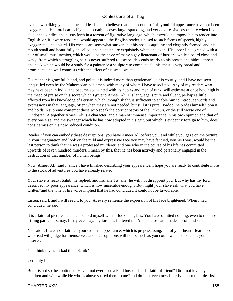even now strikingly handsome, and leads me to believe that the accounts of his youthful appearance have not been exaggerated. His forehead is high and broad; his eyes large, sparkling, and very expressive, especially when his eloquence kindles and bursts forth in a torrent of figurative language, which it would be impossible to render into English, or, if it were rendered, would appear to the English reader, unused to such forms of speech, highly exaggerated and absurd. His cheeks are somewhat sunken, but his nose is aquiline and elegantly formed, and his mouth small and beautifully chiselled, and his teeth are exquisitely white and even. His upper lip is graced with a pair of small mus−tachios, which would be the envy of many a gay lieutenant of hussars; while a beard close and wavy, from which a straggling hair is never suffered to escape, descends nearly to his breast, and hides a throat and neck which would be a study for a painter or a sculptor: to complete all, his chest is very broad and prominent, and well contrasts with the effect of his small waist.

His manner is graceful, bland, and polite, it is indeed more than gentlemanlike it is courtly, and I have not seen it equalled even by the Mahomedan noblemen, with many of whom I have associated. Any of my readers who may have been in India, and become acquainted with its nobles and men of rank, will estimate at once how high is the meed of praise on this score which I give to Ameer Ali. His language is pure and fluent, perhaps a little affected from his knowledge of Persian, which, though slight, is sufficient to enable him to introduce words and expressions in that language, often when they are not needed, but still it is pure Oordoo; he prides himself upon it, and holds in supreme contempt those who speak the corrupt patois of the Dukhun, or the still worse one of Hindostan. Altogether Ameer Ali is a character, and a man of immense importance in his own opinion and that of every one else; and the swagger which he has now adopted in his gait, but which is evidently foreign to him, does not sit amiss on his now reduced condition.

Reader, if you can embody these descriptions, you have Ameer Ali before you; and while you gaze on the picture in your imagination and look on the mild and expressive face you may have fancied, you, as I was, would be the last person to think that he was a professed murderer, and one who in the course of his life has committed upwards of seven hundred murders. I mean by this, that he has been actively and personally engaged in the destruction of that number of human beings.

Now, Ameer Ali, said I, since I have finished describing your appearance, I hope you are ready to contribute more to the stock of adventures you have already related.

Your slave is ready, Sahib, he replied, and Inshalla Ta−alla! he will not disappoint you. But why has my lord described my poor appearance, which is now miserable enough? But might your slave ask what you have written? and the tone of his voice implied that he had concluded it could not be favourable.

Listen, said I, and I will read it to you. At every sentence the expression of his face brightened. When I had concluded, he said,

It is a faithful picture, such as I behold myself when I look in a glass. You have omitted nothing, even to the most trifling particulars; nay, I may even say, my lord has flattered me.And he arose and made a profound salam.

No, said I, I have not flattered your external appearance, which is prepossessing; but of your heart I fear those who read will judge for themselves, and their opinions will not be such as you could wish, but such as you deserve.

You think my heart bad then, Sahib?

Certainly I do.

But it is not so, he continued. Have I not ever been a kind husband and a faithful friend? Did I not love my children and wife while He who is above spared them to me? and do I not even now bitterly mourn their deaths?

#### CHAPTER XXV 158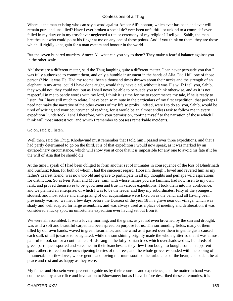Where is the man existing who can say a word against Ameer Ali's honour, which ever has been and ever will remain pure and unsullied? Have I ever broken a social tie? ever been unfaithful or unkind to a comrade? ever failed in my duty or in my trust? ever neglected a rite or ceremony of my religion? I tell you, Sahib, the man breathes not who could point his finger at me on any one of these points. And if you think on them, they are those which, if rigidly kept, gain for a man esteem and honour in the world.

But the seven hundred murders, Ameer Ali, what can you say to them? They make a fearful balance against you in the other scale.

Ah! those are a different matter, said the Thug laughing, quite a different matter. I can never persuade you that I was fully authorized to commit them, and only a humble instrument in the hands of Alia. Did I kill one of those persons? No! it was He. Had my roomal been a thousand times thrown about their necks and the strength of an elephant in my arms, could I have done aught, would they have died, without it was His will? I tell you, Sahib, they would not, they could not; but as I shall never be able to persuade you to think otherwise, and as it is not respectful in me to bandy words with my lord, I think it is time for me to recommence my tale, if he is ready to listen, for I have still much to relate. I have been so minute in the particulars of my first expedition, that perhaps I need not make the narrative of the other events of my life so prolix; indeed, were I to do so, you, Sahib, would be tired of writing and your countrymen of reading, for it would be an almost endless task to follow me in every expedition I undertook. I shall therefore, with your permission, confine myself to the narration of those which I think will most interest you, and which I remember to possess remarkable incidents.

#### Go on, said I; I listen.

Well then, said the Thug, Khodawund must remember that I told him I passed over three expeditions, and that I had partly determined to go on the third. It is of that expedition I would now speak, as it was marked by an extraordinary circumstance, which will show you at once that it is impossible for any one to avoid his fate if it be the will of Alia that he should die.

At the time I speak of I had been obliged to form another set of intimates in consequence of the loss of Bhudrinath and Surfuraz Khan, for both of whom I had the sincerest regard. Hoosein, though I loved and revered him as my father's dearest friend, was now too old and grave to participate in all my thoughts and perhaps wild aspirations for distinction. So as Peer Khan and Motee−ram, with whose names you are familiar, had now risen to my own rank, and proved themselves to be 'good men and true' in various expeditions, I took them into my confidence, and we planned an enterprise, of which I was to be the leader and they my subordinates. Fifty of the youngest, stoutest, and most active and enterprising of our acquaintance were fixed on as the band; and all having been previously warned, we met a few days before the Dussera of the year 18 in a grove near our village, which was shady and well adapted for large assemblies, and was always used as a place of meeting and deliberation; it was considered a lucky spot, no unfortunate expedition ever having set out from it.

We were all assembled. It was a lovely morning, and the grass, as yet not even browned by the sun and drought, was as if a soft and beautiful carpet had been spread on purpose for us. The surrounding fields, many of them tilled by our own hands, waved in green luxuriance, and the wind as it passed over them in gentle gusts caused each stalk of tall jowaree to be agitated, while the sun shining brightly made the whole glitter so that it was almost painful to look on for a continuance. Birds sang in the lofty banian trees which overshadowed us; hundreds of green parroquets sported and screamed in their branches, as they flew from bough to bough, some in apparent sport, others to feed on the now ripening berries of the trees; and the whole grove resounded with the cooing of innumerable turtle−doves, whose gentle and loving murmurs soothed the turbulence of the heart, and bade it be at peace and rest and as happy as they were.

My father and Hoosein were present to guide us by their counsels and experience, and the matter in hand was commenced by a sacrifice and invocation to Bhowanee; but as I have before described these ceremonies, it is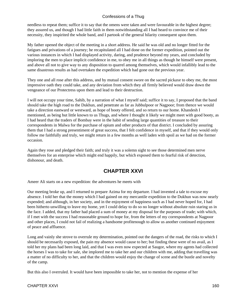needless to repeat them; suffice it to say that the omens were taken and were favourable in the highest degree; they assured us, and though I had little faith in them notwithstanding all I had heard to convince me of their necessity, they inspirited the whole band, and I partook of the general hilarity consequent upon them.

My father opened the object of the meeting in a short address. He said he was old and no longer fitted for the fatigues and privations of a journey; he recapitulated all I had done on the former expedition, pointed out the various instances in which I had displayed activity, daring, and prudence beyond my years, and concluded by imploring the men to place implicit confidence in me, to obey me in all things as though he himself were present, and above all not to give way to any disposition to quarrel among themselves, which would infallibly lead to the same disastrous results as had overtaken the expedition which had gone out the previous year.

They one and all rose after this address, and by mutual consent swore on the sacred pickaxe to obey me, the most impressive oath they could take, and any deviation from which they all firmly believed would draw down the vengeance of our Protectress upon them and lead to their destruction.

I will not occupy your time, Sahib, by a narration of what I myself said; suffice it to say, I proposed that the band should take the high road to the Dukhun, and penetrate as far as Jubbulpoor or Nagpoor; from thence we would take a direction eastward or westward, as hope of booty offered, and so return to our home. Khandesh I mentioned, as being but little known to us Thugs, and where I thought it likely we might meet with good booty, as I had heard that the traders of Bombay were in the habit of sending large quantities of treasure to their correspondents in Malwa for the purchase of opium and other products of that district. I concluded by assuring them that I had a strong presentiment of great success, that I felt confidence in myself, and that if they would only follow me faithfully and truly, we might return in a few months as well laden with spoil as we had on the former occasion.

Again they rose and pledged their faith; and truly it was a solemn sight to see those determined men nerve themselves for an enterprise which might end happily, but which exposed them to fearful risk of detection, dishonour, and death.

# **CHAPTER XXVI**

Ameer Ali starts on a new expedition: the adventures he meets with

Our meeting broke up, and I returned to prepare Azima for my departure. I had invented a tale to excuse my absence. I told her that the money which I had gained on my mercantile expedition to the Dukhun was now nearly expended; and although, in her society, and in the enjoyment of happiness such as I had never hoped for, I had been hitherto unwilling to leave my home, yet I could delay to do so no longer without absolute ruin staring us in the face. I added, that my father had placed a sum of money at my disposal for the purposes of trade; with which, if I met with the success I had reasonable ground to hope for, from the letters of my correspondents at Nagpoor and other places, I could not fail of realizing a handsome profit enough to allow us another continued enjoyment of peace and affluence.

Long and vainly she strove to overrule my determination, pointed out the dangers of the road, the risks to which I should be necessarily exposed, the pain my absence would cause to her; but finding these were of no avail, as I told her my plans had been long laid, and that I was even now expected at Saugor, where my agents had collected the horses I was to take for sale, she implored me to take her and our children with me, adding that travelling was a matter of no difficulty to her, and that the children would enjoy the change of scene and the bustle and novelty of the camp.

But this also I overruled. It would have been impossible to take her, not to mention the expense of her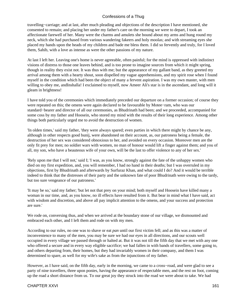travelling−carriage; and at last, after much pleading and objections of the description I have mentioned, she consented to remain; and placing her under my father's care on the morning we were to depart, I took an affectionate farewell of her. Many were the charms and amulets she bound about my arms and hung round my neck, which she had purchased from various wandering fakeers and holy moolas; and with streaming eyes she placed my hands upon the heads of my children and bade me bless them. I did so fervently and truly, for I loved them, Sahib, with a love as intense as were the other passions of my nature.

At last I left her. Leaving one's home is never agreeable, often painful; for the mind is oppressed with indistinct visions of distress to those one leaves behind, and is too prone to imagine sources from which it might spring, though in reality they exist not. It was thus with me; but the appearance of my gallant band, as they greeted my arrival among them with a hearty shout, soon dispelled my vague apprehensions, and my spirit rose when I found myself in the condition which had been the object of many a fervent aspiration. I was my own master, with men willing to obey me, and Inshalla! I exclaimed to myself, now Ameer Ali's star is in the ascendant, and long will it gleam in brightness!

I have told you of the ceremonies which immediately preceded our departure on a former occasion; of course they were repeated on this; the omens were again declared to be favourable by Motee−ram, who was our standard−bearer and director of all our ceremonies, as Bhudrinath had been; and we proceeded, accompanied for some coss by my father and Hoosein, who stored my mind with the results of their long experience. Among other things both particularly urged me to avoid the destruction of women.

'In olden times,' said my father, 'they were always spared; even parties in which there might by chance be any, although in other respects good bunij, were abandoned on their account, as, our patroness being a female, the destruction of her sex was considered obnoxious to her, and avoided on every occasion. Moreover men are the only fit prey for men; no soldier wars with women, no man of honour would lift a finger against them; and you of all, my son, who have a beauteous wife of your own, will be the last to offer violence to any of her sex.'

'Rely upon me that I will not,' said I; 'I was, as you know, strongly against the fate of the unhappy women who died on my first expedition, and, you will remember, I had no hand in their deaths; but I was overruled in my objections, first by Bhudrinath and afterwards by Surfuraz Khan, and what could I do? And it would be terrible indeed to think that the distresses of their party and the unknown fate of poor Bhudrinath were owing to the tardy, but too sure vengeance of our patroness.'

'It may be so,' said my father; 'but let not that prey on your mind; both myself and Hoosein have killed many a woman in our time, and, as you know, no ill effects have resulted from it. But bear in mind what I have said, act with wisdom and discretion, and above all pay implicit attention to the omens, and your success and protection are sure.'

We rode on, conversing thus, and when we arrived at the boundary stone of our village, we dismounted and embraced each other, and I left them and rode on with my men.

According to our rules, no one was to shave or eat *pan* until our first victim fell; and as this was a matter of inconvenience to many of the men, you may be sure we had our eyes in all directions, and our scouts well occupied in every village we passed through or halted at. But it was not till the fifth day that we met with any one who offered a secure and in every way eligible sacrifice; we had fallen in with bands of travellers, some going to, and others departing from, their homes, but they had invariably women in their company, and them I was determined to spare, as well for my wife's sake as from the injunctions of my father.

However, as I have said, on the fifth day, early in the morning, we came to a cross−road, and were glad to see a party of nine travellers, three upon ponies, having the appearance of respectable men, and the rest on foot, coming up the road a short distance from us. To our great joy they struck into the road we were about to take. We had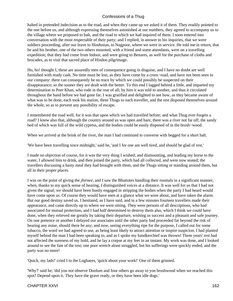halted in pretended indecision as to the road, and when they came up we asked it of them. They readily pointed to the one before us, and although expressing themselves astonished at our numbers, they agreed to accompany us to the village where we proposed to halt, and the road to which we had inquired of them. I soon entered into conversation with the most respectable of their party; and I replied, in answer to his inquiries, that we were soldiers proceeding, after our leave to Hindostan, to Nagpoor, where we were in service. He told me in return, that he and his brother, one of the two others mounted, with a friend and some attendants, were on a travelling expedition; that they had come from Indoor, and were going to Benares, as well for the purchase of cloths and brocades, as to visit that sacred place of Hindoo pilgrimage.

Ho, ho! thought I, these are assuredly men of consequence going in disguise, and I have no doubt are well furnished with ready cash. No time must be lost, as they have come by a cross−road, and have not been seen in our company: there can consequently be no trace by which we could possibly be suspected on their disappearance; so the sooner they are dealt with the better. To this end I lagged behind a little, and imparted my determination to Peer Khan, who rode in the rear of all; by him it was told to another, and thus it circulated throughout the band before we had gone far. I was gratified and delighted to see how, as they became aware of what was to be done, each took his station, three Thugs to each traveller, and the rest disposed themselves around the whole, so as to prevent any possibility of escape.

I remembered the road well, for it was that upon which we had travelled before; and what Thug ever forgets a road? I knew also that, although the country around us was open and bare, there was a river not far off, the sandy bed of which was full of the wild cypress, and the bodies could be easily disposed of in the brush−wood.

When we arrived at the brink of the river, the man I had continued to converse with begged for a short halt.

'We have been travelling since midnight,' said he, 'and I for one am well tired, and should be glad of rest.'

I made no objection of course, for it was the very thing I wished; and dismounting, and leading my horse to the water, I allowed him to drink, and then joined the party, which had all collected, and were now seated; the travellers discussing a hasty meal they had brought with them, and the Thugs sitting or standing around them, but all in their proper places.

I was on the point of giving the *jhirnee,* and I saw the Bhuttotes handling their roomals in a significant manner, when, thanks to my quick sense of hearing, I distinguished voices at a distance. It was well for us that I had not given the signal; we should have been busily engaged in stripping the bodies when the party I had heard would have come upon us. Of course they would have seen at a glance what we were about, and have taken the alarm. But our good destiny saved us. I hesitated, as I have said, and in a few minutes fourteen travellers made their appearance, and came directly up to where we were sitting. They were persons of all descriptions, who had associated for mutual protection, and I had half determined to destroy them also, which I think we could have done, when they relieved me greatly by taking their departure, wishing us success and a pleasant and safe journey. On one pretence or another I delayed our associates until the other party had proceeded far beyond the risk of hearing any noise, should there be any; and now, seeing everything ripe for the purpose, I called out for some tobacco, the word we had agreed to use, as being least likely to attract attention or inspire suspicion. I had planted myself behind the man I had been speaking to, and as I spoke my handkerchief was thrown! Three years' rest had not affected the sureness of my hold, and he lay a corpse at my feet in an instant. My work was done, and I looked around to see the fate of the rest; one poor wretch alone struggled, but his sufferings were quickly ended, and the party was no more!

'Quick, my lads!' cried I to the Lughaees, 'quick about your work!' One of them grinned.

'Why?' said he; 'did you not observe Doolum and four others go away to yon brushwood when we reached this spot? Depend upon it. They have the grave ready, or they have been idle dogs.'

#### CHAPTER XXVI and the state of the state of the state of the state of the state of the state of the state of the state of the state of the state of the state of the state of the state of the state of the state of the state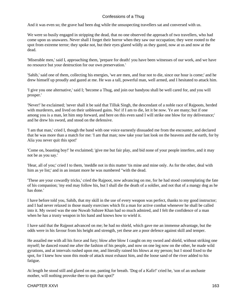And it was even so; the grave had been dug while the unsuspecting travellers sat and conversed with us.

We were so busily engaged in stripping the dead, that no one observed the approach of two travellers, who had come upon us unawares. Never shall I forget their horror when they saw our occupation; they were rooted to the spot from extreme terror; they spoke not, but their eyes glared wildly as they gazed, now at us and now at the dead.

'Miserable men,' said I, approaching them, 'prepare for death! you have been witnesses of our work, and we have no resource but your destruction for our own preservation.'

'Sahib,' said one of them, collecting his energies, 'we are men, and fear not to die, since our hour is come;' and he drew himself up proudly and gazed at me. He was a tall, powerful man, well armed, and I hesitated to attack him.

'I give you one alternative,' said I; 'become a Thug, and join our bandyou shall be well cared for, and you will prosper.'

'Never!' he exclaimed; 'never shall it be said that Tilluk Singh, the descendant of a noble race of Rajpoots, herded with murderers, and lived on their unblessed gains. No! if I am to die, let it be now. Ye are many; but if one among you is a man, let him step forward, and here on this even sand I will strike one blow for my deliverance;' and he drew his sword, and stood on the defensive.

'I am that man,' cried I, though the band with one voice earnestly dissuaded me from the encounter, and declared that he was more than a match for me: 'I am that man; now take your last look on the heavens and the earth, for by Alia you never quit this spot!'

'Come on, boasting boy!' he exclaimed; 'give me but fair play, and bid none of your people interfere, and it may not be as you say.'

'Hear, all of you;' cried I to them, 'meddle not in this matter 'tis mine and mine only. As for the other, deal with him as ye list;' and in an instant more he was numbered "with the dead.

'These are your cowardly tricks,' cried the Rajpoot, now advancing on me, for he had stood contemplating the fate of his companion; 'my end may follow his, but I shall die the death of a soldier, and not that of a mangy dog as he has done.'

I have before told you, Sahib, that my skill in the use of every weapon was perfect, thanks to my good instructor; and I had never relaxed in those manly exercises which fit a man for active combat whenever he shall be called into it. My sword was the one Nuwab Subzee Khan had so much admired, and I felt the confidence of a man when he has a trusty weapon in his hand and knows how to wield it.

I have said that the Rajpoot advanced on me; he had no shield, which gave me an immense advantage, but the odds were in his favour from his height and strength, yet these are a poor defence against skill and temper.

He assailed me with all his force and fury; blow after blow I caught on my sword and shield, without striking one myself; he danced round me after the fashion of his people, and now on one leg now on the other, he made wild gyrations, and at intervals rushed upon me, and literally rained his blows at my person; but I stood fixed to the spot, for I knew how soon this mode of attack must exhaust him, and the loose sand of the river added to his fatigue.

At length he stood still and glared on me, panting for breath. 'Dog of a Kafir!' cried he, 'son of an unchaste mother, will nothing provoke thee to quit that spot?'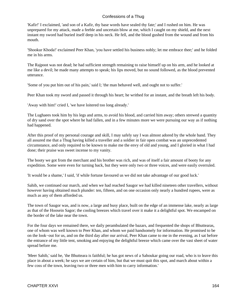'Kafir!' I exclaimed, 'and son of a Kafir, thy base words have sealed thy fate;' and I rushed on him. He was unprepared for my attack, made a feeble and uncertain blow at me, which I caught on my shield, and the next instant my sword had buried itself deep in his neck. He fell, and the blood gushed from the wound and from his mouth.

'Shookur Khoda!' exclaimed Peer Khan, 'you have settled his business nobly; let me embrace thee;' and he folded me in his arms.

The Rajpoot was not dead; he had sufficient strength remaining to raise himself up on his arm, and he looked at me like a devil; he made many attempts to speak; his lips moved, but no sound followed, as the blood prevented utterance.

'Some of you put him out of his pain,' said I; 'the man behaved well, and ought not to suffer.'

Peer Khan took my sword and passed it through his heart; he writhed for an instant, and the breath left his body.

'Away with him!' cried I, 'we have loitered too long already.'

The Lughaees took him by his legs and arms, to avoid his blood, and carried him away; others strewed a quantity of dry sand over the spot where he had fallen, and in a few minutes more we were pursuing our way as if nothing had happened.

After this proof of my personal courage and skill, I may safely say I was almost adored by the whole band. They all assured me that a Thug having killed a traveller and a soldier in fair open combat was an unprecedented circumstance, and only required to be known to make me the envy of old and young, and I gloried in what I had done; their praise was sweet incense to my vanity.

The booty we got from the merchant and his brother was rich, and was of itself a fair amount of booty for any expedition. Some were even for turning back, but they were only two or three voices, and were easily overruled.

'It would be a shame,' I said, 'if while fortune favoured us we did not take advantage of our good luck.'

Sahib, we continued our march, and when we had reached Saugor we had killed nineteen other travellers, without however having obtained much plunder: ten, fifteen, and on one occasion only nearly a hundred rupees, were as much as any of them afforded us.

The town of Saugor was, and is now, a large and busy place, built on the edge of an immense lake, nearly as large as that of the Hoosein Sagor; the cooling breezes which travel over it make it a delightful spot. We encamped on the border of the lake near the town.

For the four days we remained there, we daily perambulated the bazars, and frequented the shops of Bhuttearas, one of whom was well known to Peer Khan, and whom we paid handsomely for information. He promised to be on the look−out for us, and on the third day after our arrival, Peer Khan came to me in the evening, as I sat before the entrance of my little tent, smoking and enjoying the delightful breeze which came over the vast sheet of water spread before me.

'Meer Sahib,' said he, 'the Bhutteara is faithful; he has got news of a Sahoukar going our road, who is to leave this place in about a week; he says we are certain of him, but that we must quit this spot, and march about within a few coss of the town, leaving two or three men with him to carry information.'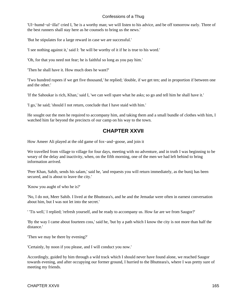'Ul−humd−ul−illa!' cried I, 'he is a worthy man; we will listen to his advice, and be off tomorrow early. Three of the best runners shall stay here as he counsels to bring us the news.'

'But he stipulates for a large reward in case we are successful.'

'I see nothing against it,' said I: 'he will be worthy of it if he is true to his word.'

'Oh, for that you need not fear; he is faithful so long as you pay him.'

'Then he shall have it. How much does he want?'

'Two hundred rupees if we get five thousand,' he replied; 'double, if we get ten; and in proportion if between one and the other.'

'If the Sahoukar is rich, Khan,' said I, 'we can well spare what he asks; so go and tell him he shall have it.'

'I go,' he said; 'should I not return, conclude that I have staid with him.'

He sought out the men he required to accompany him, and taking them and a small bundle of clothes with him, I watched him far beyond the precincts of our camp on his way to the town.

# **CHAPTER XXVII**

How Ameer Ali played at the old game of fox−and−goose, and join it

We travelled from village to village for four days, meeting with no adventure, and in truth I was beginning to be weary of the delay and inactivity, when, on the fifth morning, one of the men we had left behind to bring information arrived.

'Peer Khan, Sahib, sends his salam,' said he, 'and requests you will return immediately, as the bunij has been secured, and is about to leave the city.'

'Know you aught of who he is?'

'No, I do not, Meer Sahib. I lived at the Bhutteara's, and he and the Jemadar were often in earnest conversation about him, but I was not let into the secret.'

' 'Tis well,' I replied; 'refresh yourself, and be ready to accompany us. How far are we from Saugor?'

'By the way I came about fourteen coss,' said he, 'but by a path which I know the city is not more than half the distance.'

'Then we may be there by evening?'

'Certainly, by noon if you please, and I will conduct you now.'

Accordingly, guided by him through a wild track which I should never have found alone, we reached Saugor towards evening, and after occupying our former ground, I hurried to the Bhutteara's, where I was pretty sure of meeting my friends.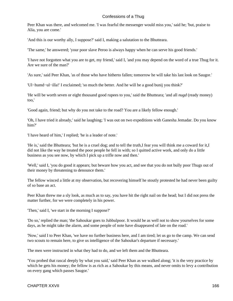Peer Khan was there, and welcomed me. 'I was fearful the messenger would miss you,' said he; 'but, praise to Alia, you are come.'

'And this is our worthy ally, I suppose?' said I, making a salutation to the Bhutteara.

'The same,' he answered; 'your poor slave Peroo is always happy when he can serve his good friends.'

'I have not forgotten what you are to get, my friend,' said I, 'and you may depend on the word of a true Thug for it. Are we sure of the man?'

'As sure,' said Peer Khan, 'as of those who have hitherto fallen; tomorrow he will take his last look on Saugor.'

'Ul−humd−ul−illa!' I exclaimed; 'so much the better. And he will be a good bunij you think?'

'He will be worth seven or eight thousand good rupees to you,' said the Bhutteara; 'and all *nugd* (ready money) too,'

'Good again, friend; but why do you not take to the road? You are a likely fellow enough.'

'Oh, I have tried it already,' said he laughing; 'I was out on two expeditions with Ganesha Jemadar. Do you know him?'

'I have heard of him,' I replied; 'he is a leader of note.'

'He is,' said the Bhutteara; 'but he is a cruel dog; and to tell the truth, I fear you will think me a coward for it, I did not like the way he treated the poor people he fell in with; so I quitted active work, and only do a little business as you see now, by which I pick up a trifle now and then.'

'Well,' said I, 'you do good it appears; but beware how you act, and see that you do not bully poor Thugs out of their money by threatening to denounce them.'

The fellow winced a little at my observation, but recovering himself he stoutly protested he had never been guilty of so base an act.

Peer Khan threw me a sly look, as much as to say, you have hit the right nail on the head; but I did not press the matter further, for we were completely in his power.

'Then,' said I, 'we start in the morning I suppose?'

'Do so,' replied the man; 'the Sahoukar goes to Jubbulpoor. It would be as well not to show yourselves for some days, as he might take the alarm, and some people of note have disappeared of late on the road.'

'Now,' said I to Peer Khan, 'we have no further business here, and I am tired; let us go to the camp. We can send two scouts to remain here, to give us intelligence of the Sahoukar's departure if necessary.'

The men were instructed in what they had to do, and we left them and the Bhutteara.

'You probed that rascal deeply by what you said,' said Peer Khan as we walked along; 'it is the very practice by which he gets his money; the fellow is as rich as a Sahoukar by this means, and never omits to levy a contribution on every gang which passes Saugor.'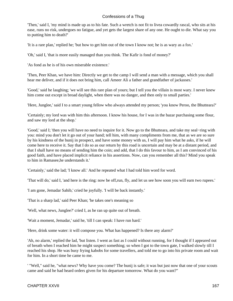'Then,' said I, 'my mind is made up as to his fate. Such a wretch is not fit to livea cowardly rascal, who sits at his ease, runs no risk, undergoes no fatigue, and yet gets the largest share of any one. He ought to die. What say you to putting him to death?'

'It is a rare plan,' replied he; 'but how to get him out of the town I know not; he is as wary as a fox.'

'Oh,' said I, 'that is more easily managed than you think. The Kafir is fond of money?'

'As fond as he is of his own miserable existence.'

'Then, Peer Khan, we have him: Directly we get to the camp I will send a man with a message, which you shall hear me deliver, and if it does not bring him, call Ameer Ali a father and grandfather of jackasses.'

'Good,' said he laughing; 'we will see this rare plan of yours; but I tell you the villain is most wary. I never knew him come out except in broad daylight, when there was no danger, and then only to small parties.'

'Here, Junglee,' said I to a smart young fellow who always attended my person; 'you know Peroo, the Bhutteara?'

'Certainly; my lord was with him this afternoon. I know his house, for I was in the bazar purchasing some flour, and saw my lord at the shop.'

'Good,' said I; 'then you will have no need to inquire for it. Now go to the Bhutteara, and take my seal−ring with you: mind you don't let it go out of your hand; tell him, with many compliments from me, that as we are so sure by his kindness of the bunij in prospect, and have some money with us, I will pay him what he asks, if he will come here to receive it. Say that I do so as our return by this road is uncertain and may be at a distant period, and that I shall have no means of sending him the coin; and add, that I do this favour to him, as I am convinced of his good faith, and have placed implicit reliance in his assertions. Now, can you remember all this? Mind you speak to him in Ramasee, he understands it.'

'Certainly,' said the lad; 'I know all.' And he repeated what I had told him word for word.

'That will do,' said I, 'and here is the ring: now be off, run, fly, and let us see how soon you will earn two rupees.'

'I am gone, Jemadar Sahib,' cried he joyfully. 'I will be back instantly.'

'That is a sharp lad,' said Peer Khan; 'he takes one's meaning so

'Well, what news, Junglee?' cried I, as he ran up quite out of breath.

'Wait a moment, Jemadar,' said he, 'till I can speak: I have run hard.'

'Here, drink some water: it will compose you. What has happened? Is there any alarm?'

'Ah, no alarm,' replied the lad, 'but listen. I went as fast as I could without running, for I thought if I appeared out of breath when I reached him he might suspect something; so when I got to the town gate, I walked slowly till I reached his shop. He was busy frying kabobs for some travellers, and told me to go into his private room and wait for him. In a short time he came to me.

' "Well," said he, "what news? Why have you come? The bunij is safe; it was but just now that one of your scouts came and said he had heard orders given for his departure tomorrow. What do you want?"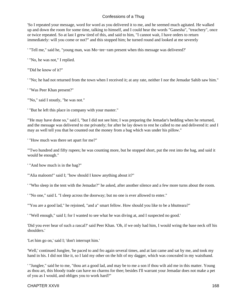'So I repeated your message, word for word as you delivered it to me, and he seemed much agitated. He walked up and down the room for some time, talking to himself, and I could hear the words "Ganesha", "treachery", once or twice repeated. So at last I grew tired of this, and said to him, "I cannot wait, I have orders to return immediately: will you come or not?" and this stopped him; he turned round and looked at me severely

' "Tell me," said he, "young man, was Mo−tee−ram present when this message was delivered?'

' "No, he was not," I replied.

'"Did he know of it?"

' "No; he had not returned from the town when I received it; at any rate, neither I nor the Jemadar Sahib saw him."

' "Was Peer Khan present?"

'"No," said I stoutly, "he was not."

' "But he left this place in company with your master."

'"He may have done so," said I, "but I did not see him; I was preparing the Jemadar's bedding when he returned, and the message was delivered to me privately; for after he lay down to rest he called to me and delivered it: and I may as well tell you that he counted out the money from a bag which was under his pillow."

' "How much was there set apart for me?"

'"Two hundred and fifty rupees; he was counting more, but he stopped short, put the rest into the bag, and said it would be enough."

' "And how much is in the bag?"

'"Alia maloom!" said I; "how should I know anything about it?"

' "Who sleep in the tent with the Jemadar?" he asked, after another silence and a few more turns about the room.

' "No one," said L "I sleep across the doorway; but no one is ever allowed to enter."

'"You are a good lad," he rejoined, "and a" smart fellow. How should you like to be a bhutteara?"

' "Well enough," said I; for I wanted to see what he was diving at, and I suspected no good.'

'Did you ever hear of such a rascal?' said Peer Khan. 'Oh, if we only had him, I would wring the base neck off his shoulders.'

'Let him go on,' said I; 'don't interrupt him.'

'Well,' continued Junglee, 'he paced to and fro again several times, and at last came and sat by me, and took my hand in his. I did not like it, so I laid my other on the hilt of my dagger, which was concealed in my waistband.

' "Junglee," said he to me, "thou art a good lad, and may be to me a son if thou wilt aid me in this matter. Young as thou art, this bloody trade can have no charms for thee; besides I'll warrant your Jemadar does not make a pet of you as I would, and obliges you to work hard?"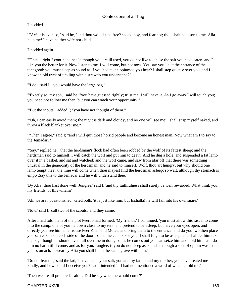#### 'I nodded.

' "Ay! it is even so," said he, "and thou wouldst be free? speak, boy, and fear not; thou shalt be a son to me. Alia help me! I have neither wife nor child."

#### 'I nodded again.

'"That is right," continued he; "although you are ill used, you do not like to abuse the salt you have eaten, and I like you the better for it. Now listen to me. I will come, but not now. You say you lie at the entrance of the tent, good: you must sleep as sound as if you had taken opium do you hear? I shall step quietly over you, and I know an old trick of tickling with a straw do you understand?"

'"I do," said I; "you would have the large bag."

'"Exactly so, my son," said he, "you have guessed rightly; trust me, I will have it. As I go away I will touch you; you need not follow me then, but you can watch your opportunity."

'"But the scouts," added I; "you have not thought of them."

'"Oh, I can easily avoid them; the night is dark and cloudy, and no one will see me; I shall strip myself naked, and throw a black blanket over me."

' "Then I agree," said I; "and I will quit those horrid people and become an honest man. Now what am I to say to the Jemadar?"

'"Say," replied he, "that the herdsman's flock had often been robbed by the wolf of its fattest sheep; and the herdsman said to himself, I will catch the wolf and put him to death. And he dug a hole, and suspended a fat lamb over it in a basket, and sat and watched; and the wolf came, and saw from afar off that there was something unusual in the generosity of the herdsman, and he said to himself, Wolf, thou art hungry, but why should one lamb tempt thee? the time will come when thou mayest find the herdsman asleep; so wait, although thy stomach is empty.Say this to the Jemadar and he will understand thee."'

'By Alia! thou hast done well, Junglee,' said I, 'and thy faithfulness shall surely be well rewarded. What think you, my friends, of this villain?'

'Ah, we are not astonished,' cried both, 'it is just like him; but Inshalla! he will fall into his own snare.'

'Now,' said I, 'call two of the scouts;' and they came.

After I had told them of the plot Peeroo had formed, 'My friends,' I continued, 'you must allow this rascal to come into the camp: one of you lie down close to my tent, and pretend to be asleep; but have your eyes open, and directly you see him enter rouse Peer Khan and Motee, and bring them to the entrance; and do you two then place yourselves one on each side of the door, so that he cannot see you. I shall feign to be asleep, and shall let him take the bag, though he should even fall over me in doing so; as he comes out you can seize him and hold him fast; do him no harm till I come: and as for you, Junglee, if you do not sleep as sound as though a seer of opium was in your stomach, I swear by Alia you shall lie in the same grave with him.'

'Do not fear me,' said the lad; 'I have eaten your salt, you are my father and my mother, you have treated me kindly, and how could I deceive you? had I intended it, I had not mentioned a word of what he told me.'

'Then we are all prepared,' said I. 'Did he say when he would come?'

#### CHAPTER XXVII 169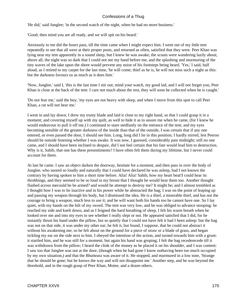'He did,' said Junglee; 'in the second watch of the night, when he had no more business.'

'Good; then mind you are all ready, and we will spit on his beard.'

Anxiously to me did the hours pass, till the time came when I might expect him. I went out of my little tent repeatedly to see that all were at their proper posts, and returned as often, satisfied that they were. Peer Khan was lying near my tent apparently in a sound sleep, but I knew he was awake; the scouts were wandering lazily about; above all, the night was so dark that I could not see my hand before me, and the splashing and murmuring of the tiny waves of the lake upon the shore would prevent any noise of his footsteps being heard. 'Yes,' I said, half aloud, as I retired to my carpet for the last time, 'he will come; thief as he is, he will not miss such a night as this: but the darkness favours us as much as it does him.'

'Now, Junglee,' said I, 'this is the last time I stir out; mind your watch, my good lad, and I will not forget you; Peer Khan is close at the back of the tent: I care not much about the rest, they will soon be collected when he is caught.'

'Do not fear me,' said the boy; 'my eyes are not heavy with sleep, and when I move from this spot to call Peer Khan, a rat will not hear me.'

I went in and lay down; I drew my trusty blade and laid it close to my right hand, so that I could grasp it in a moment; and covering myself up with my quilt, as well to hide it as to assure me when he came, (for I knew he would endeavour to pull it off me,) I continued to stare stedfastly on the entrance of the tent; and my eyes becoming sensible of the greater darkness of the inside than that of the outside, I was certain that if any one entered, or even passed the door, I should see him. Long, long did I lie in this position; I hardly stirred, lest Peeroo should be outside listening whether I was awake. It was now, I guessed, considerably past midnight; still no one came, and I should have been inclined to despair, did I not feel certain that his fate would lead him to destruction. Why is it, Sahib, that one has these presentiments? I have often felt them during my lifetime, but I never could account for them.

At last he came. I saw an object darken the doorway, hesitate for a moment, and then pass in over the body of Junglee, who snored so loudly and naturally that I could have declared he was asleep, had I not known the contrary by having spoken to him a short time before. Alia! Alia! Sahib, how my heart beat!I could hear its throbbings, and they seemed to be so loud in my breast that I thought he would hear them too. Another thought flashed across mecould he be armed? and would he attempt to destroy me? It might be; and I almost trembled as I thought how I was to lie inactive and in his power while he abstracted the bag; I was on the point of leaping up and passing my weapon through his body, but I dismissed the idea. He is a thief, a miserable thief, and has not the courage to bring a weapon, much less to use it; and he will want both his hands too he cannot have one. So I lay quiet, with my hands on the hilt of my sword. The tent was very low, and he was obliged to advance stooping: he reached my side and knelt down, and as I feigned the hard breathing of sleep, I felt his warm breath when he looked over me and into my eyes to see whether I really slept or not. He appeared satisfied that I did, for he instantly thrust his hand under the pillow, but so quietly that I could not have felt it had I been asleep: but the bag was not on that side, it was under my other ear; he felt it, but found, I suppose, that he could not abstract it without his awakening me; so he felt about on the ground for a piece of straw or a blade of grass, and began tickling my ear on the side next to him. I obeyed the intention of the action, and turned towards him with a grunt: it startled him, and he was still for a moment; but again his hand was groping; I felt the bag recederecede till it was withdrawn from the pillow; I heard the clink of the money as he placed it on his shoulder, and I was content: I saw too that Junglee was not at the door, (though when he had gone I know not having been too much occupied by my own situation,) and that the Bhutteara was aware of it. He stopped, and murmured in a low tone, 'Strange that he should be gone; but he knows the way and will not disappoint me.' Another step, and he was beyond the threshold, and in the rough grasp of Peer Khan, Motee, and a dozen others.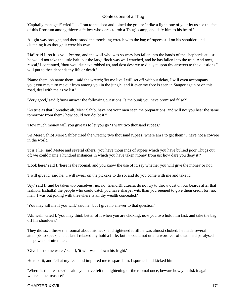'Capitally managed!' cried I, as I ran to the door and joined the group: 'strike a light, one of you; let us see the face of this Roostum among thieves a fellow who dares to rob a Thug's camp, and defy him to his beard.'

A light was brought, and there stood the trembling wretch with the bag of rupees still on his shoulder, and clutching it as though it were his own.

'Ha!' said I, 'so it is you, Peeroo, and the wolf who was so wary has fallen into the hands of the shepherds at last; he would not take the little bait, but the large flock was well watched, and he has fallen into the trap. And now, rascal,' I continued, 'thou wouldst have robbed us, and dost deserve to die, yet upon thy answers to the questions I will put to thee depends thy life or death.'

'Name them, oh name them!' said the wretch; 'let me live,I will set off without delay, I will even accompany you; you may turn me out from among you in the jungle, and if ever my face is seen in Saugor again or on this road, deal with me as ye list.'

'Very good,' said I; 'now answer the following questions. Is the bunij you have promised false?'

'As true as that I breathe: ah, Meer Sahib, have not your men seen the preparations, and will not you hear the same tomorrow from them? how could you doubt it?'

'How much money will you give us to let you go? I want two thousand rupees.'

'Ai Mere Sahib! Mere Sahib!' cried the wretch; 'two thousand rupees! where am I to get them? I have not a cowree in the world.'

'It is a lie,' said Motee and several others; 'you have thousands of rupees which you have bullied poor Thugs out of; we could name a hundred instances in which you have taken money from us: how dare you deny it?'

'Look here,' said I, 'here is the roomal, and you know the use of it; say whether you will give the money or not.'

'I will give it,' said he; 'I will swear on the pickaxe to do so, and do you come with me and take it.'

'Ay,' said I, 'and be taken too ourselves! no, no, friend Bhutteara, do not try to throw dust on our beards after that fashion. Inshalla! the people who could catch you have sharper wits than you seemed to give them credit for: no, man, I was but joking with theewhere is all thy wealth concealed?'

'You may kill me if you will,' said he, 'but I give no answer to that question.'

'Ah, well,' cried I, 'you may think better of it when you are choking; now you two hold him fast, and take the bag off his shoulders.'

They did so. I threw the roomal about his neck, and tightened it till he was almost choked: he made several attempts to speak, and at last I relaxed my hold a little; but he could not utter a word fear of death had paralysed his powers of utterance.

'Give him some water,' said I, 'it will wash down his fright.'

He took it, and fell at my feet, and implored me to spare him. I spurned and kicked him.

'Where is the treasure?' I said: 'you have felt the tightening of the roomal once, beware how you risk it again: where is the treasure?'

#### CHAPTER XXVII 271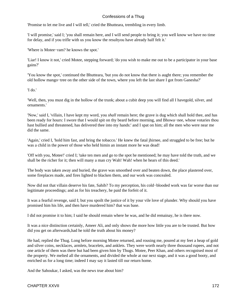'Promise to let me live and I will tell,' cried the Bhutteara, trembling in every limb.

'I will promise,' said I; 'you shall remain here, and I will send people to bring it; you well know we have no time for delay, and if you trifle with us you know the result you have already half felt it.'

'Where is Motee−ram? he knows the spot.'

'Liar! I know it not,' cried Motee, stepping forward; 'do you wish to make me out to be a participator in your base gains?'

'You know the spot,' continued the Bhutteara, 'but you do not know that there is aught there; you remember the old hollow mango−tree on the other side of the town, where you left the last share I got from Ganesha?'

'I do.'

'Well, then, you must dig in the hollow of the trunk; about a cubit deep you will find all I have gold, silver, and ornaments.'

'Now,' said I, 'villain, I have kept my word, you *shall* remain here; the grave is dug which shall hold thee, and has been ready for hours: I swore that I would spit on thy beard before morning, and Bhowa−nee, whose votaries thou hast bullied and threatened, has delivered thee into my hands:' and I spat on him; all the men who were near me did the same.

'Again,' cried I, 'hold him fast, and bring the tobacco.' He knew the fatal jhirnee, and struggled to be free; but he was a child in the power of those who held him in an instant more he was dead!

'Off with you, Motee!' cried I; 'take ten men and go to the spot he mentioned; he may have told the truth, and we shall be the richer for it; then will many a man cry Wah! Wah! when he hears of this deed.'

The body was taken away and buried, the grave was smoothed over and beaten down, the place plastered over, some fireplaces made, and fires lighted to blacken them, and our work was concealed.

Now did not that villain deserve his fate, Sahib? To my perception, his cold−blooded work was far worse than our legitimate proceedings; and as for his treachery, he paid the forfeit of it.

It was a fearful revenge, said I; but you spoilt the justice of it by your vile love of plunder. Why should you have promised him his life, and then have murdered him? that was base.

I did not promise it to him; I said he should remain where he was, and he did remainay, he is there now.

It was a nice distinction certainly, Ameer Ali, and only shows the more how little you are to be trusted. But how did you get on afterwards, had he told the truth about his money?

He had, replied the Thug. Long before morning Motee returned, and rousing me, poured at my feet a heap of gold and silver coins, necklaces, armlets, bracelets, and anklets. They were worth nearly three thousand rupees, and not one article of them was there but had been given him by Thugs. Motee, Peer Khan, and others recognised most of the property. We melted all the ornaments, and divided the whole at our next stage, and it was a good booty, and enriched us for a long time; indeed I may say it lasted till our return home.

And the Sahoukar, I asked, was the news true about him?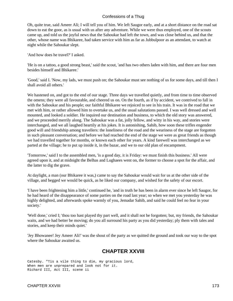Oh, quite true, said Ameer Ali; I will tell you of him. We left Saugor early, and at a short distance on the road sat down to eat the goor, as is usual with us after any adventure. While we were thus employed, one of the scouts came up, and told us the joyful news that the Sahoukar had left the town, and was close behind us, and that the other, whose name was Bhikaree, had taken service with him as far as Jubbulpoor as an attendant, to watch at night while the Sahoukar slept.

'And how does he travel?' I asked.

'He is on a tattoo, a good strong beast,' said the scout, 'and has two others laden with him, and there are four men besides himself and Bhikaree.'

'Good,' said I. 'Now, my lads, we must push on; the Sahoukar must see nothing of us for some days, and till then I shall avoid all others.'

We hastened on, and got to the end of our stage. Three days we travelled quietly, and from time to time observed the omens; they were all favourable, and cheered us on. On the fourth, as if by accident, we contrived to fall in with the Sahoukar and his people; our faithful Bhikaree we rejoiced to see in his train. It was in the road that we met with him, or rather allowed him to overtake us, and the usual salutations passed. I was well dressed and well mounted, and looked a soldier. He inquired our destination and business, to which the old story was answered, and we proceeded merrily along. The Sahoukar was a fat, jolly fellow, and witty in his way, and stories were interchanged, and we all laughed heartily at his jokes. It is astonishing, Sahib, how soon these trifles engender good will and friendship among travellers: the loneliness of the road and the weariness of the stage are forgotten in such pleasant conversation; and before we had reached the end of the stage we were as great friends as though we had travelled together for months, or known each other for years. A kind farewell was interchanged as we parted at the village; he to put up inside it, in the bazar, and we to our old plan of encampment.

'Tomorrow,' said I to the assembled men, 'is a good day, it is Friday: we must finish this business.' All were agreed upon it, and at midnight the Belhas and Lughaees went on, the former to choose a spot for the affair, and the latter to dig the grave.

At daylight, a man (our Bhikaree it was,) came to say the Sahoukar would wait for us at the other side of the village, and begged we would be quick, as he liked our company, and wished for the safety of our escort.

'I have been frightening him a little,' continued he, 'and in truth he has been in alarm ever since he left Saugor, for he had heard of the disappearance of some parties on the road last year; so when we met you yesterday he was highly delighted, and afterwards spoke warmly of you, Jemadar Sahib, and said he could feel no fear in your society.'

'Well done,' cried I; 'thou too hast played thy part well, and it shall not be forgotten; but, my friends, the Sahoukar waits, and we had better be moving; do you all surround his party as you did yesterday; ply them with tales and stories, and keep their minds quiet.'

'Jey Bhowanee! Jey Ameer Ali!' was the shout of the party as we quitted the ground and took our way to the spot where the Sahoukar awaited us.

# **CHAPTER XXVIII**

Catesby. "Tis a vile thing to die, my gracious lord, When men are unprepared and look not for it. Richard III, Act III, scene ii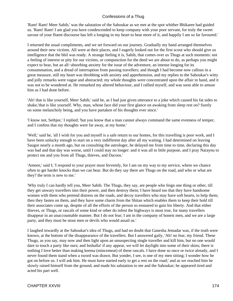'Ram! Ram! Meer Sahib,' was the salutation of the Sahoukar as we met at the spot whither Bhikaree had guided us. 'Ram! Ram! I am glad you have condescended to keep company with your poor servant, for truly the sweet savour of your fluent discourse has left a longing in my heart to hear more of it, and happily I am so far favoured.'

I returned the usual compliments, and we set forward on our journey. Gradually my band arranged themselves around their new victims. All were at their places, and I eagerly looked out for the first scout who should give us intelligence that the bhil was ready. A strange feeling it is, Sahib, that comes over us Thugs at such moments: not a feeling of interest or pity for our victims, or compunction for the deed we are about to do, as perhaps you might expect to hear, but an all−absorbing anxiety for the issue of the adventure, an intense longing for its consummation, and a dread of interruption from passing travellers; and though I had become now callous in a great measure, still my heart was throbbing with anxiety and apprehension, and my replies to the Sahoukar's witty and jolly remarks were vague and abstracted; my whole thoughts were concentrated upon the affair in hand, and it was not to be wondered at. He remarked my altered behaviour, and I rallied myself, and was soon able to amuse him as I had done before.

'Ah! that is like yourself, Meer Sahib,' said he, as I had just given utterance to a joke which caused his fat sides to shake,'that is like yourself. Why, man, whose face did your first glance on awaking from sleep rest on? Surely on some melancholy being, and you have partaken of his thoughts ever since.'

'I know not, Sethjee,' I replied; 'but you know that a man cannot always command the same evenness of temper, and I confess that my thoughts were far away, at my home.'

'Well,' said he, 'all I wish for you and myself is a safe return to our homes, for this travelling is poor work, and I have been unlucky enough to start on a very indifferent day after all my waiting. I had determined on leaving Saugor nearly a month ago, but on consulting the astrologer, he delayed me from time to time, declaring this day was bad and that day was worse, until I could stay no longer: and it was all to little purpose, and I pray Naraynu to protect me and you from all Thugs, thieves, and Dacoos.'

'Ameen,' said I; 'I respond to your prayer most fervently, for I am on my way to my service, where we chance often to get harder knocks than we can bear. But do they say there are Thugs on the road, and who or what are they? the term is new to me.'

'Why truly I can hardly tell you, Meer Sahib. The Thugs, they say, are people who feign one thing or other, till they get unwary travellers into their power, and then destroy them; I have heard too that they have handsome women with them who pretend distress on the roads, and decoy travellers who may have soft hearts, to help them; then they fasten on them, and they have some charm from the Shitan which enables them to keep their hold till their associates come up, despite of all the efforts of the person so ensnared to gain his liberty. And that either thieves, or Thugs, or rascals of some kind or other do infest the highways is most true, for many travellers disappear in an unaccountable manner. But I do not fear; I am in the company of honest men, and we are a large party, and they must be stout men or devils who would assail us.'

I laughed inwardly at the Sahoukar's idea of Thugs, and had no doubt that Ganesha Jemadar was, if the truth were known, at the bottom of the disappearance of the travellers. But I answered gaily, 'Ah! no fear, my friend. These Thugs, as you say, may now and then light upon an unsuspecting single traveller and kill him, but no one would dare to touch a party like ours; and Inshalla! if any appear, we will let daylight into some of their skins; there is nothing I love better than making keema (mincemeat) of these rascals. I have done so once or twice already, and I never found them stand when a sword was drawn. But yonder, I see, is one of my men sitting; I wonder how he got on before us. I will ask him. He must have started early to get a rest on the road;' and as we reached him he slowly raised himself from the ground, and made his salutation to me and the Sahoukar; he appeared tired and acted his part well.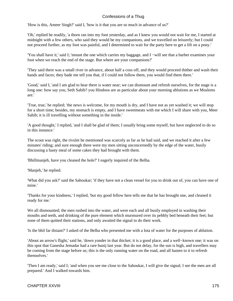'How is this, Ameer Singh?' said I, 'how is it that you are so much in advance of us?'

'Oh,' replied he readily, 'a thorn ran into my foot yesterday, and as I knew you would not wait for me, I started at midnight with a few others, who said they would be my companions, and we travelled on leisurely; but I could not proceed further, as my foot was painful, and I determined to wait for the party here to get a lift on a pony.'

'You shall have it,' said I; 'mount the one which carries my baggage, and I −will see that a barber examines your foot when we reach the end of the stage. But where are your companions?'

'They said there was a small river in advance, about half a coss off, and they would proceed thither and wash their hands and faces; they bade me tell you that, if I could not follow them, you would find them there.'

'Good,' said I, 'and I am glad to hear there is water near; we can dismount and refresh ourselves, for the stage is a long one: how say you, Seth Sahib? you Hindoos are as particular about your morning ablutions as we Moslems are.'

'True, true,' he replied; 'the news is welcome, for my mouth is dry, and I have not as yet washed it; we will stop for a short time; besides, my stomach is empty, and I have sweetmeats with me which I will share with you, Meer Sahib; it is ill travelling without something in the inside.'

'A good thought,' I replied, 'and I shall be glad of them; I usually bring some myself, but have neglected to do so in this instance.'

The scout was right, the rivulet he mentioned was scarcely as far as he had said, and we reached it after a few minutes' riding; and sure enough there were my men sitting unconcernedly by the edge of the water, busily discussing a hasty meal of some cakes they had brought with them.

'Bhillmanjeh, have you cleaned the hole?' I eagerly inquired of the Belha.

'Manjeh,' he replied.

'What did you ask?' said the Sahoukar; 'if they have not a clean vessel for you to drink out of, you can have one of mine.'

'Thanks for your kindness,' I replied, 'but my good fellow here tells me that he has brought one, and cleaned it ready for me.'

We all dismounted; the men rushed into the water, and were each and all busily employed in washing their mouths and teeth, and drinking of the pure element which murmured over its pebbly bed beneath their feet; but none of them quitted their stations, and only awaited the signal to do their work.

'Is the bhil far distant?' I asked of the Belha who presented me with a lota of water for the purposes of ablution.

'About an arrow's flight,' said he, 'down yonder in that thicket; it is a good place, and a well−known one; it was on this spot that Ganesha Jemadar had a rare bunij last year. But do not delay, for the sun is high, and travellers may be coming from the stage before us; this is the only running water on the road, and all hasten to it to refresh themselves.'

'Then I am ready,' said I; 'and when you see me close to the Sahoukar, I will give the signal; I see the men are all prepared.' And I walked towards him.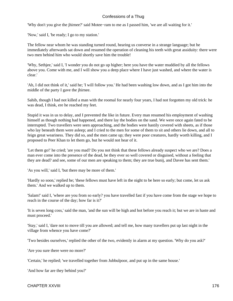'Why don't you give the jhirnee?' said Motee−ram to me as I passed him, 'we are all waiting for it.'

'Now,' said I, 'be ready; I go to my station.'

The fellow near whom he was standing turned round, hearing us converse in a strange language; but he immediately afterwards sat down and resumed the operation of cleaning his teeth with great assiduity: there were two men behind him who would shortly save him the trouble!

'Why, Sethjee,' said I, 'I wonder you do not go up higher; here you have the water muddied by all the fellows above you. Come with me, and I will show you a deep place where I have just washed, and where the water is clear.'

'Ah, I did not think of it,' said he; 'I will follow you.' He had been washing low down, and as I got him into the middle of the party I gave the jhirnee.

Sahib, though I had not killed a man with the roomal for nearly four years, I had not forgotten my old trick: he was dead, I think, ere he reached my feet.

Stupid it was in us to delay, and I prevented the like in future. Every man resumed his employment of washing himself as though nothing had happened, and there lay the bodies on the sand. We were once again fated to be interrupted. Two travellers were seen approaching, and the bodies were hastily covered with sheets, as if those who lay beneath them were asleep; and I cried to the men for some of them to sit and others lie down, and all to feign great weariness. They did so, and the men came up; they were poor creatures, hardly worth killing, and I proposed to Peer Khan to let them go, but he would not hear of it.

'Let them go!' he cried; 'are you mad? Do you not think that these fellows already suspect who we are? Does a man ever come into the presence of the dead, be they ever so well covered or disguised, without a feeling that they are dead? and see, some of our men are speaking to them; they are true bunij, and Davee has sent them.'

'As you will,' said I, 'but there may be more of them.'

'Hardly so soon,' replied he; 'these fellows must have left in the night to be here so early; but come, let us ask them.' And we walked up to them.

'Salam!' said I, 'where are you from so early? you have travelled fast if you have come from the stage we hope to reach in the course of the day; how far is it?'

'It is seven long coss,' said the man, 'and the sun will be high and hot before you reach it; but we are in haste and must proceed.'

'Stay,' said I, 'dare not to move till you are allowed; and tell me, how many travellers put up last night in the village from whence you have come?'

'Two besides ourselves,' replied the other of the two, evidently in alarm at my question. 'Why do you ask?'

'Are you sure there were no more?'

'Certain,' he replied; 'we travelled together from Jubbulpoor, and put up in the same house.'

'And how far are they behind you?'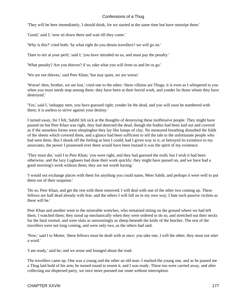'They will be here immediately, I should think, for we started at the same time but have outstript them.'

'Good,' said I; 'now sit down there and wait till they come.'

'Why is this?' cried both; 'by what right do you detain travellers? we will go on.'

'Dare to stir at your peril,' said I; 'you have intruded on us, and must pay the penalty.'

'What penalty? Are you thieves? if so, take what you will from us and let us go.'

'We are not thieves,' said Peer Khan; 'but stay quiet, we are worse.'

'Worse! then, brother, we are lost,' cried one to the other; 'these villains are Thugs; it is even as I whispered to you when you must needs stop among them: they have been at their horrid work, and yonder lie those whom they have destroyed.'

'Yes,' said I, 'unhappy men, you have guessed right; yonder lie the dead, and you will soon be numbered with them; it is useless to strive against your destiny.'

I turned away, for I felt, SahibI felt sick at the thoughts of destroying these inoffensive people. They might have passed on but Peer Khan was right, they had detected the dead, though the bodies had been laid out and covered as if the senseless forms were sleeping but they lay like lumps of clay. No measured breathing disturbed the folds of the sheets which covered them, and a glance had been sufficient to tell the tale to the unfortunate people who had seen them. But I shook off the feeling as best I could; had I given way to it, or betrayed its existence to my associates, the power I possessed over them would have been lostand it was the spirit of my existence.

'They must die,' said I to Peer Khan; 'you were right, and they had guessed the truth; but I wish it had been otherwise, and the lazy Lughaees had done their work quickly; they might have passed on, and we have had a good morning's work without them; they are not worth having.'

'I would not exchange places with them for anything you could name, Meer Sahib, and perhaps it were well to put them out of their suspense.'

'Do so, Peer Khan, and get the rest with them removed; I will deal with one of the other two coming up. These fellows are half dead already with fear, and the others I will fall on in my own way; I hate such passive victims as these will be.'

Peer Khan and another went to the miserable wretches, who remained sitting on the ground where we had left them. I watched them; they stood up mechanically when they were ordered to do so, and stretched out their necks for the fatal roomal, and were slain as unresistingly as sheep beneath the knife of the butcher. The rest of the travellers were not long coming, and were only two, as the others had said.

'Now,' said I to Motee, 'these fellows must be dealt with at once: you take one, I will the other; they must not utter a word.'

'I am ready,' said he; and we arose and lounged about the road.

The travellers came up. One was a young and the other an old man. I marked the young one, and as he passed me a Thug laid hold of his arm; he turned round to resent it, and I was ready. These too were carried away, and after collecting our dispersed party, we once more pursued our route without interruption.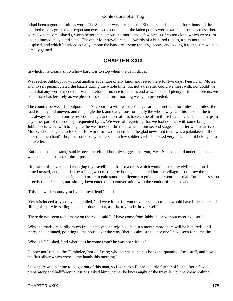It had been a good morning's work. The Sahoukar was as rich as the Bhutteara had said, and four thousand three hundred rupees greeted our expectant eyes as the contents of the laden ponies were examined: besides these there were six handsome shawls, worth better than a thousand more, and a few pieces of cotton cloth, which were torn up and immediately distributed. The other four travellers had upwards of a hundred rupees, a sum not to be despised, and which I divided equally among the band, reserving the large booty, and adding it to the sum we had already gained.

# **CHAPTER XXIX**

In which it is clearly shown how hard it is to stop when the devil drives

We reached Jubbulpoor without another adventure of any kind, and rested there for two days. Peer Khan, Motee, and myself perambulated the bazars during the whole time, but not a traveller could we meet with, nor could we learn that any were expected; it was therefore of no use to remain, and as we had still plenty of time before us, we could travel as leisurely as we pleased: so on the third morning we again proceeded.

The country between Jubbulpoor and Nagpoor is a wild waste. Villages are not met with for miles and miles, the road is stony and uneven, and the jungle thick and dangerous for nearly the whole way. On this account the tract has always been a favourite resort of Thugs, and more affairs have come off in those few marches than perhaps in any other part of the country frequented by us. We were all regretting that we had not met with some bunij at Jubbulpoor, wherewith to beguile the weariness of the road, when at our second stage, soon after we had arrived, Motee, who had gone to look out for work for us, returned with the glad news that there was a palankeen at the door of a merchant's shop, surrounded by bearers and a few soldiers, which looked very much as if it belonged to a traveller.

'But he must be of rank,' said Motee, 'therefore I humbly suggest that you, Meer Sahib, should undertake to see who he is, and to secure him if possible.'

I followed his advice, and changing my travelling attire for a dress which would ensure my civil reception, I armed myself, and, attended by a Thug who carried my hooka, I sauntered into the village. I soon saw the palankeen and men about it, and in order to gain some intelligence to guide me, I went to a small Tumbolee's shop directly opposite to it, and sitting down entered into conversation with the vendor of tobacco and pan.

'This is a wild country you live in, my friend,' said I.

'Yes it is indeed as you say,' he replied, 'and were it not for you travellers, a poor man would have little chance of filling his belly by selling pan and tobacco, but, as it is, my trade thrives well.'

'There do not seem to be many on the road,' said I; 'I have come from Jubbulpoor without meeting a soul.'

'Why the roads are hardly much frequented yet,' he rejoined, 'but in a month more there will be hundreds; and there,' he continued, pointing to the house over the way, 'there is almost the only one I have seen for some time.'

'Who is it?' I asked, 'and where has he come from? he was not with us.'

'I know not,' replied the Tumbolee, 'nor do I care; whoever he is, he has bought a quantity of my stuff, and it was the first silver which crossed my hands this morning.'

I saw there was nothing to be got out of this man, so I went to a Bunnea a little further off, and after a few preparatory and indifferent questions asked him whether he knew aught of the traveller; but he knew nothing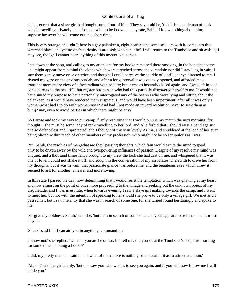either, except that a slave girl had bought some flour of him. 'They say,' said he, 'that it is a gentleman of rank who is travelling privately, and does not wish to be known; at any rate, Sahib, I know nothing about him; I suppose however he will come out in a short time.'

This is very strange, thought I; here is a gay palankeen, eight bearers and some soldiers with it, come into this wretched place, and yet no one's curiosity is aroused; who can it be? I will return to the Tumbolee and sit awhile; I may see, though I cannot hear anything of this mysterious person.

I sat down at the shop, and calling to my attendant for my hooka remained there smoking, in the hope that some one might appear from behind the cloths which were stretched across the verandah: nor did I stay long in vain; I saw them gently move once or twice, and thought I could perceive the sparkle of a brilliant eye directed to me. I riveted my gaze on the envious purdah, and after a long interval it was quickly opened, and afforded me a transient momentary view of a face radiant with beauty; but it was as instantly closed again, and I was left in vain conjecture as to the beautiful but mysterious person who had thus partially discovered herself to me. It would not have suited my purpose to have personally interrogated any of the bearers who were lying and sitting about the palankeen, as it would have rendered them suspicious, and would have been impertinent: after all it was only a woman, what had I to do with women now? And had I not made an inward resolution never to seek them as bunij? nay, even to avoid parties in which there might be any?

So I arose and took my way to our camp, firmly resolving that I would pursue my march the next morning; for, thought I, she must be some lady of rank travelling to her lord, and Alia forbid that I should raise a hand against one so defenceless and unprotected; and I thought of my own lovely Azima, and shuddered at the idea of her ever being placed within reach of other members of my profession, who might not be so scrupulous as I was.

But, Sahib, the resolves of men, what are they? passing thoughts, which fain would excite the mind to good, only to be driven away by the wild and overpowering influences of passion. Despite of my resolve my mind was unquiet, and a thousand times fancy brought to my view the look she had cast on me, and whispered that it was one of love. I could not shake it off, and sought in the conversation of my associates wherewith to drive her from my thoughts; but it was in vain; that passionate glance was before me, and the beauteous eyes which threw it seemed to ask for another, a nearer and more loving.

In this state I passed the day, now determining that I would resist the temptation which was gnawing at my heart, and now almost on the point of once more proceeding to the village and seeking out the unknown object of my disquietude; and I was irresolute, when towards evening I saw a slave girl making towards the camp, and I went to meet her, but not with the intention of speaking to her should she prove to be only a village girl. We met and I passed her, but I saw instantly that she was in search of some one, for she turned round hesitatingly and spoke to me.

'Forgive my boldness, Sahib,' said she, 'but I am in search of some one, and your appearance tells me that it must be you.'

'Speak,' said I; 'if I can aid you in anything, command me.'

'I know not,' she replied, 'whether you are he or not; but tell me, did you sit at the Tumbolee's shop this morning for some time, smoking a hooka?'

'I did, my pretty maiden,' said I; 'and what of that? there is nothing so unusual in it as to attract attention.'

'Ah, no!' said the girl archly; 'but one saw you who wishes to see you again, and if you will now follow me I will guide you.'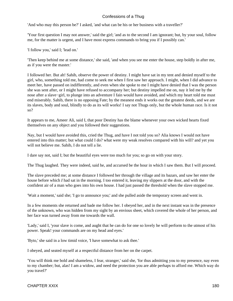'And who may this person be?' I asked, 'and what can be his or her business with a traveller?'

'Your first question I may not answer,' said the girl; 'and as to the second I am ignorant; but, by your soul, follow me, for the matter is urgent, and I have most express commands to bring you if I possibly can.'

'I follow you,' said I; 'lead on.'

'Then keep behind me at some distance,' she said, 'and when you see me enter the house, step boldly in after me, as if you were the master.'

I followed her. But ah! Sahib, observe the power of destiny. I might have sat in my tent and denied myself to the girl, who, something told me, had come to seek me when I first saw her approach. I might, when I did advance to meet her, have passed on indifferently, and even when she spoke to me I might have denied that I was the person she was sent after, or I might have refused to accompany her; but destiny impelled me on, nay it led me by the nose after a slave−girl, to plunge into an adventure I fain would have avoided, and which my heart told me must end miserably. Sahib, there is no opposing Fate; by the meanest ends it works out the greatest deeds, and we are its slaves, body and soul, blindly to do as its will works! I say not Thugs only, but the whole human race. Is it not so?

It appears to me, Ameer Ali, said I, that poor Destiny has the blame whenever your own wicked hearts fixed themselves on any object and you followed their suggestions.

Nay, but I would have avoided this, cried the Thug, and have I not told you so? Alia knows I would not have entered into this matter; but what could I do? what were my weak resolves compared with his will? and yet you will not believe me. Sahib, I do not tell a lie.

I dare say not, said I; but the beautiful eyes were too much for you; so go on with your story.

The Thug laughed. They were indeed, said he, and accursed be the hour in which I saw them. But I will proceed.

The slave preceded me; at some distance I followed her through the village and its bazars, and saw her enter the house before which *I* had sat in the morning. I too entered it, leaving my slippers at the door, and with the confident air of a man who goes into his own house. I had just passed the threshold when the slave stopped me.

'Wait a moment,' said she; 'I go to announce you;' and she pulled aside the temporary screen and went in.

In a few moments she returned and bade me follow her. I obeyed her, and in the next instant was in the presence of the unknown, who was hidden from my sight by an envious sheet, which covered the whole of her person, and her face was turned away from me towards the wall.

'Lady,' said I, 'your slave is come, and aught that he can do for one so lovely he will perform to the utmost of his power. Speak! your commands are on my head and eyes.'

'Byto,' she said in a low timid voice, 'I have somewhat to ask thee.'

I obeyed, and seated myself at a respectful distance from her on the carpet.

'You will think me bold and shameless, I fear, stranger,' said she, 'for thus admitting you to my presence, nay even to my chamber; but, alas! I am a widow, and need the protection you are able perhaps to afford me. Which way do you travel?'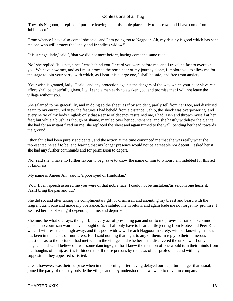'Towards Nagpoor,' I replied; 'I purpose leaving this miserable place early tomorrow, and I have come from Jubbulpoor.'

'From whence I have also come,' she said, 'and I am going too to Nagpoor. Ah, my destiny is good which has sent me one who will protect the lonely and friendless widow!'

'It is strange, lady,' said I, 'that we did not meet before, having come the same road.'

'No,' she replied, 'it is not, since I was behind you. I heard you were before me, and I travelled fast to overtake you. We have now met, and as I must proceed the remainder of my journey alone, I implore you to allow me for the stage to join your party, with which, as I hear it is a large one, I shall be safe, and free from anxiety.'

'Your wish is granted, lady,' I said; 'and any protection against the dangers of the way which your poor slave can afford shall be cheerfully given. I will send a man early to awaken you, and promise that I will not leave the village without you.'

She salamed to me gracefully, and in doing so the sheet, as if by accident, partly fell from her face, and disclosed again to my enraptured view the features I had beheld from a distance. Sahib, the shock was overpowering, and every nerve of my body tingled; only that a sense of decency restrained me, I had risen and thrown myself at her feet; but while a blush, as though of shame, mantled over her countenance, and she hastily withdrew the glance she had for an instant fixed on me, she replaced the sheet and again turned to the wall, bending her head towards the ground.

I thought it had been purely accidental, and the action at the time convinced me that she was really what she represented herself to be; and fearing that my longer presence would not be agreeable nor decent, I asked her if she had any further commands and for permission to depart.

'No,' said she, 'I have no further favour to beg, save to know the name of him to whom I am indebted for this act of kindness.'

'My name is Ameer Ali,' said I; 'a poor syud of Hindostan.'

'Your fluent speech assured me you were of that noble race; I could not be mistaken,'tis seldom one hears it. Fazil! bring the pan and utr.'

She did so, and after taking the complimentary gift of dismissal, and anointing my breast and beard with the fragrant utr, I rose and made my obeisance. She saluted me in return, and again bade me not forget my promise. I assured her that she might depend upon me, and departed.

She must be what she says, thought I; the very act of presenting pan and utr to me proves her rank; no common person, no courtesan would have thought of it. I shall only have to bear a little jeering from Motee and Peer Khan, which I will resist and laugh away; and this poor widow will reach Nagpoor in safety, without knowing that she has been in the hands of murderers. But I said nothing that night to any of them. In reply to their numerous questions as to the fortune I had met with in the village, and whether I had discovered the unknown, I only laughed, and said I believed it was some dancing−girl, for I knew the mention of one would turn their minds from the thoughts of bunij, as it is forbidden to kill those persons by the laws of our profession; and with my supposition they appeared satisfied.

Great, however, was their surprise when in the morning, after having delayed our departure longer than usual, I joined the party of the lady outside the village and they understood that we were to travel in company.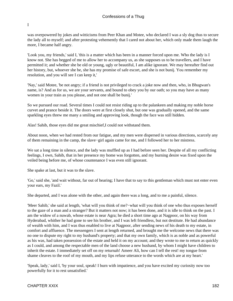I

was overpowered by jokes and witticisms from Peer Khan and Motee, who declared I was a sly dog thus to secure the lady all to myself; and after protesting vehemently that I cared not about her, which only made them laugh the more, I became half angry.

'Look you, my friends,' said I, 'this is a matter which has been in a manner forced upon me. Who the lady is I know not. She has begged of me to allow her to accompany us, as she supposes us to be travellers, and I have permitted it; and whether she be old or young, ugly or beautiful, I am alike ignorant. We may hereafter find out her history, but, whoever she be, she has my promise of safe escort, and she is not bunij. You remember my resolution, and you will see I can keep it,'

'Nay,' said Motee, 'be not angry; if a friend is not privileged to crack a joke now and then, who, in Bhugwan's name, is? And as for us, we are your servants, and bound to obey you by our oath; so you may have as many women in your train as you please, and not one shall be bunij.'

So we pursued our road. Several times I could not resist riding up to the palankeen and making my noble horse curvet and prance beside it. The doors were at first closely shut, but one was gradually opened, and the same sparkling eyes threw me many a smiling and approving look, though the face was still hidden.

Alas! Sahib, those eyes did me great mischief, I could not withstand them.

About noon, when we had rested from our fatigue, and my men were dispersed in various directions, scarcely any of them remaining in the camp, the slave−girl again came for me, and I followed her to her mistress.

We sat a long time in silence, and the lady was muffled up as I had before seen her. Despite of all my conflicting feelings, I own, Sahib, that in her presence my home was forgotten, and my burning desire was fixed upon the veiled being before me, of whose countenance I was even still ignorant.

She spake at last, but it was to the slave.

'Go,' said she, 'and wait without, far out of hearing; I have that to say to this gentleman which must not enter even your ears, my Fazil.'

She departed, and I was alone with the other, and again there was a long, and to me a painful, silence.

'Meer Sahib,' she said at length, 'what will you think of me?−what will you think of one who thus exposes herself to the gaze of a man and a stranger? But it matters not now; it has been done, and it is idle to think on the past. I am the widow of a nuwab, whose estate is near Agra; he died a short time ago at Nagpoor, on his way from Hyderabad, whither he had gone to see his brother, and I was left friendless, but not destitute. He had abundance of wealth with him, and I was thus enabled to live at Nagpoor, after sending news of his death to my estate, in comfort and affluence. The messengers I sent at length returned, and brought me the welcome news that there was no one to dispute my right to my husband's property; and that my own family, which is as noble and as powerful as his was, had taken possession of the estate and held it on my account; and they wrote to me to return as quickly as I could, and among the respectable men of the land choose a new husband, by whom I might have children to inherit the estate. I immediately set off on my returnah! Ameer Ali, how can I tell the rest! my tongue from shame cleaves to the roof of my mouth, and my lips refuse utterance to the words which are at my heart.'

'Speak, lady,' said I, 'by your soul, speak! I burn with impatience, and you have excited my curiosity now too powerfully for it to rest unsatisfied.'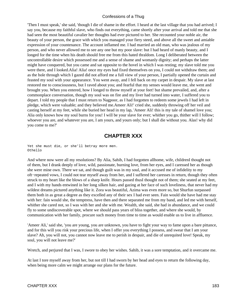'Then I must speak,' she said, 'though I die of shame in the effort. I heard at the last village that you had arrived; I say you, because my faithful slave, who finds out everything, came shortly after your arrival and told me that she had seen the most beautiful cavalier her thoughts had ever pictured to her. She recounted your noble air, the beauty of your person, the grace with which you managed your fiery steed, and above all the sweet and amiable expression of your countenance. The account inflamed me. I had married an old man, who was jealous of my person, and who never allowed me to see any one but my poor slave: but I had heard of manly beauty, and I longed for the time when his death should free me from this hated thraldom. Long I deliberated between the uncontrollable desire which possessed me and a sense of shame and womanly dignity; and perhaps the latter might have conquered, but you came and sat opposite to the hovel in which I was resting; my slave told me you were there, and I looked. Alia! Alia! once my eyes had fixed themselves on you, I could not withdraw them; and as the hole through which I gazed did not afford me a full view of your person, I partially opened the curtain and feasted my soul with your appearance. You went away, and I fell back on my carpet in despair. My slave at last restored me to consciousness, but I raved about you; and fearful that my senses would leave me, she went and brought you. When you entered, how I longed to throw myself at your feet! but shame prevailed, and, after a commonplace conversation, though my soul was on fire and my liver had turned into water, I suffered you to depart. I told my people that I must return to Nagpoor, as I had forgotten to redeem some jewels I had left in pledge, which were valuable; and they believed me.Ameer Ali!' cried she, suddenly throwing off her veil and casting herself at my feet, while she buried her head in my lap, 'Ameer Ali! this is my tale of shame I love you; Alia only knows how my soul burns for you! I will be your slave for ever; whither you go, thither will I follow; whoever you are, and whatever you are, I am yours, and yours only; but I shall die without you. Alas! why did you come to me?'

## **CHAPTER XXX**

Yet she must die, or she'll betray more men. Othello

And where now were all my resolutions? By Alia, Sahib, I had forgotten all home, wife, children I thought not of them, but I drank deeply of love, wild, passionate, burning love, from her eyes, and I caressed her as though she were mine own. There we sat, and though guilt was in my soul, and it accused me of infidelity to my oft−repeated vows, I could not tear myself away from her, and I suffered her caresses in return, though they often struck to my heart like the blows of a sharp knife. Hours passed thus I thought not of them; she seated at my feet, and I with my hands entwined in her long silken hair, and gazing at her face of such loveliness, that never had my wildest dreams pictured anything like it. Zora was beautiful, Azima was even more so, but Shurfun surpassed them both in as great a degree as they excelled any of their sex I had ever seen. Fain would she have had me stay with her: fain would she, the temptress, have then and there separated me from my band, and led me with herself, whither she cared not, so I was with her and she with me. Wealth, she said, she had in abundance, and we could fly to some undiscoverable spot, where we should pass years of bliss together, and where she would, by communication with her family, procure such money from time to time as would enable us to live in affluence.

'Ameer Ali,' said she, 'you are young, you are unknown, you have to fight your way to fame upon a bare pittance, and for this will you risk your precious life, when I offer you everything I possess, and swear that I am your slave? Ah, you will not, you cannot now leave me to perish in despair, and die of unrequited love! Speak, my soul, you will not leave me?'

Wretch, and perjured that I was, I swore to obey her wishes. Sahib, it was a sore temptation, and it overcame me.

At last I tore myself away from her, but not till I had sworn by her head and eyes to return the following day, when being more calm we might arrange our plans for the future.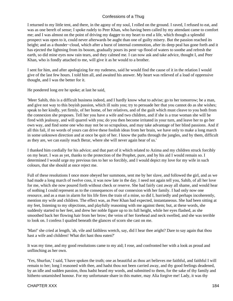I returned to my little tent, and there, in the agony of my soul, I rolled on the ground. I raved, I refused to eat, and was as one bereft of sense; I spoke rudely to Peer Khan, who having been called by my attendant came to comfort me; and I was almost on the point of driving my dagger to my heart to end a life, which though a splendid prospect was open to it, could never afterwards be aught than one of guilty misery. But the passion reached its height; and as a thunder−cloud, which after a burst of internal commotion, after its deep peal has gone forth and it has ejected the lightning from its bosom, gradually pours its pent−up flood of waters to soothe and refresh the earth, so did mine eyes now rain tears, and they calmed me. I can now ask and take advice, thought I, and Peer Khan, who is fondly attached to me, will give it as he would to a brother.

I sent for him, and after apologizing for my rudeness, said he would find the cause of it in the relation I would give of the last few hours. I told him all, and awaited his answer. My heart was relieved of a load of oppressive thought, and I was the better for it.

He pondered long ere he spoke; at last he said,

'Meer Sahib, this is a difficult business indeed, and I hardly know what to advise; go to her tomorrow; be a man, and give not way to this boyish passion, which ill suits you; try to persuade her that you cannot do as she wishes; speak to her kindly, yet firmly, of her home, of her relatives, and of the guilt which must cleave to you both from the connexion she proposes. Tell her you have a wife and two children, and if she is a true woman she will be fired with jealousy, and will quarrel with you; do you then become irritated in your turn, and leave her to go her own way, and find some one who may not be so scrupulous, and may take advantage of her blind passions. And if all this fail, if no words of yours can drive these foolish ideas from her brain, we have only to make a long march in some unknown direction and at once be quit of her. I know the paths through the jungles, and by them, difficult as they are, we can easily reach Berar, where she will never again hear of us.'

I thanked him cordially for his advice; and that part of it which related to Azima and my children struck forcibly on my heart. I was as yet, thanks to the protection of the Prophet, pure, and by his aid I would remain so. I determined I would urge my previous ties to her so forcibly, and I would depict my love for my wife in such colours, that she should at once reject me.

Full of these resolutions I once more obeyed her summons, sent me by her slave, and followed the girl, and as we had made a long march of twelve coss, it was now late in the day. I need not again tell you, Sahib, of all her love for me, which she now poured forth without check or reserve. She had fairly cast away all shame, and would hear of nothing I could represent as to the consequences of our connexion with her family. I had only now one resource, and as a man in alarm for his life fires the train of a mine, so did I, hurriedly and perhaps incoherently, mention my wife and children. The effect was, as Peer Khan had expected, instantaneous. She had been sitting at my feet, listening to my objections, and playfully reasoning with me against them; but, at these words, she suddenly started to her feet, and drew her noble figure up to its full height, while her eyes flashed, as she smoothed back her flowing hair from her brow; the veins of her forehead and neck swelled, and she was terrible to look on. I confess I quailed beneath the glances of scorn she cast on me.

'Man!' she cried at length, 'ah, vile and faithless wretch, say, did I hear thee aright? Dare to say again that thou hast a wife and children! What dirt hast thou eaten?'

It was my time, and my good resolutions came to my aid; I rose, and confronted her with a look as proud and unflinching as her own.

'Yes, Shurfun,' I said, 'I have spoken the truth; one as beautiful as thou art believes me faithful, and faithful I will remain to her; long I reasoned with thee, and hadst thou not been carried away, and thy good feelings deadened, by an idle and sudden passion, thou hadst heard my words, and submitted to them, for the sake of thy family and hitherto untarnished honour. For my unfortunate share in this matter, may Alia forgive me! Lady, it was thy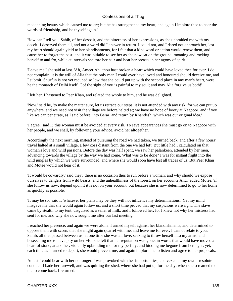maddening beauty which caused me to err; but he has strengthened my heart, and again I implore thee to hear the words of friendship, and be thyself again.'

How can I tell you, Sahib, of her despair, and the bitterness of her expressions, as she upbraided me with my deceit! I deserved them all, and not a word did I answer in return. I could not, and I dared not approach her, lest my heart should again yield to her blandishments, for I felt that a kind word or action would renew them, and cause her to forget the past; and it was pitiable to see her as she now sat on the ground, moaning and rocking herself to and fro, while at intervals she tore her hair and beat her breasts in her agony of spirit.

'Leave me!' she said at last. 'Ah, Ameer Ah', thou hast broken a heart which could have loved thee for ever. I do not complain: it is the will of Alia that the only man I could ever have loved and honoured should deceive me, and I submit. Shurfun is not yet reduced so low that she could put up with the second place in any man's heart, were he the monarch of Delhi itself. Go! the sight of you is painful to my soul; and may Alia forgive us both!'

I left her. I hastened to Peer Khan, and related the whole to him, and he was delighted.

'Now,' said he, 'to make the matter sure, let us retrace our steps; it is not attended with any risk, for we can put up anywhere, and we need not visit the village we before halted at; we have no hope of booty at Nagpoor, and if you like we can penetrate, as I said before, into Berar, and return by Khandesh, which was our original idea.'

'I agree,' said I; 'this woman must be avoided at every risk. To save appearances she must go on to Nagpoor with her people, and we shall, by following your advice, avoid her altogether.'

Accordingly the next morning, instead of pursuing the road we had taken, we turned back, and after a few hours' travel halted at a small village, a few coss distant from the one we had left. But little had I calculated on that woman's love and wild passions. Before the day was half spent, we saw her palankeen, attended by her men, advancing towards the village by the way we had come. What was to be done? I was for instant flight into the wild jungles by which we were surrounded, and where she would soon have lost all traces of us. But Peer Khan and Motee would not hear of it.

'It would be cowardly,' said they; 'there is no occasion thus to run before a woman; and why should we expose ourselves to dangers from wild beasts, and the unhealthiness of the forest, on her account? And,' added Motee, 'if she follow us now, depend upon it it is not on your account, but because she is now determined to go to her home as quickly as possible.'

'It may be so,' said I; 'whatever her plans may be they will not influence my determinations.' Yet my mind misgave me that she would again follow us, and a short time proved that my suspicions were right. The slave came by stealth to my tent, disguised as a seller of milk, and I followed her, for I knew not why her mistress had sent for me, and why she now sought me after our last meeting.

I reached her presence, and again we were alone. I armed myself against her blandishments, and determined to oppose them with scorn, that she might again quarrel with me, and leave me for ever. I cannot relate to you, Sahib, all that passed between us; at one time she was all love, seeking to throw herself into my arms, and beseeching me to have pity on her,−for she felt that her reputation was gone, in words that would have moved a heart of stone; at another, violently upbraiding me for my perfidy, and bidding me begone from her sight; yet, each time as I turned to depart, she would prevent me, and again implore me to listen and agree to her proposals.

At last I could bear with her no longer. I was provoked with her importunities, and vexed at my own irresolute conduct. I bade her farewell, and was quitting the shed, where she had put up for the day, when she screamed to me to come back. I returned.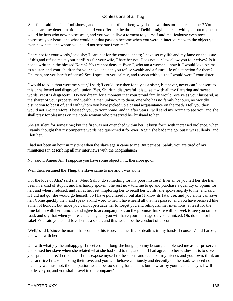'Shurfun,' said I, 'this is foolishness, and the conduct of children; why should we thus torment each other? You have heard my determination; and could you offer me the throne of Delhi, I might share it with you, but my heart would be hers who now possesses it, and you would live a torment to yourself and me. Jealousy even now possesses your heart, and what would not that passion become when you were in intercourse with the object you even now hate, and whom you could not separate from me?'

'I care not for your words,' said she; 'I care not for the consequences; I have set my life and my fame on the issue of this,and refuse me at your peril! As for your wife, I hate her not. Does not our law allow you four wives? Is it not so written in the blessed Koran? You cannot deny it. Even I, who am a woman, know it. I would love Azima as a sister, and your children for your sake; and can you refuse wealth and a future life of distinction for them? Oh, man, are you bereft of sense? See, I speak to you calmly, and reason with you as I would were I your sister.'

'I would to Alia thou wert my sister,' I said; 'I could love thee fondly as a sister, but never, never can I consent to this unhallowed and disgraceful union. Yes, Shurfun, disgraceful! disguise it with all thy flattering and sweet words, yet it is disgraceful. Do you dream for a moment that your proud family would receive as your husband, as the sharer of your property and wealth, a man unknown to them, one who has no family honours, no worldly distinction to boast of, and with whom you have picked up a casual acquaintance on the road? I tell you they would not. Go therefore, I beseech you, to your home, and in after years I will send my Azima to see you, and she shall pray for blessings on the noble woman who preserved her husband to her.'

She sat silent for some time; but the fire was not quenched within her; it burst forth with increased violence, when I vainly thought that my temperate words had quenched it for ever. Again she bade me go, but it was sullenly, and I left her.

I had not been an hour in my tent when the slave again came to me. But perhaps, Sahib, you are tired of my minuteness in describing all my interviews with the Moghulanee?

No, said I, Ameer Ali: I suppose you have some object in it, therefore go on.

Well then, resumed the Thug, the slave came to me and I was alone.

'For the love of Alia,' said she, 'Meer Sahib, do something for my poor mistress! Ever since you left her she has been in a kind of stupor, and has hardly spoken. She just now told me to go and purchase a quantity of opium for her; and when I refused, and fell at her feet, imploring her to recall her words, she spoke angrily to me, and said, if I did not go, she would go herself. So I have purchased it; but alas! I know its fatal use: and you alone can save her. Come quickly then, and speak a kind word to her; I have heard all that has passed, and you have behaved like a man of honour; but since you cannot persuade her to forget you and relinquish her intentions, at least for the time fall in with her humour, and agree to accompany her, on the promise that she will not seek to see you on the road; and say that when you reach her Jagheer you will have your marriage duly solemnized. Oh, do this for her sake! You said you could love her as a sister, and this would be the conduct of a brother.'

'Well,' said I, 'since the matter has come to this issue, that her life or death is in my hands, I consent;' and I arose, and went with her.

Oh, with what joy the unhappy girl received me! long she hung upon my bosom, and blessed me as her preserver, and kissed her slave when she related what she had said to me, and that I had agreed to her wishes. 'It is to save your precious life,' I cried, 'that I thus expose myself to the sneers and taunts of my friends and your own: think on the sacrifice I make in losing their love, and you will behave cautiously and decently on the road; we need not meet nay we must not, the temptation would be too strong for us both; but I swear by your head and eyes I will not leave you, and you shall travel in our company.'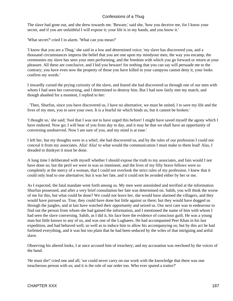The slave had gone out, and she drew towards me. 'Beware,' said she, 'how you deceive me, for I know your secret, and if you are unfaithful I will expose it; your life is in my hands, and you know it.'

'What secret?' cried I in alarm. 'What can you mean?'

'I know that you are a Thug,' she said in a low and determined voice; 'my slave has discovered you, and a thousand circumstances impress the belief that you are one upon my mindyour men, the way you encamp, the ceremonies my slave has seen your men performing, and the freedom with which you go forward or return at your pleasure. All these are conclusive, and I bid you beware! for nothing that you can say will persuade me to the contrary; you have even now the property of those you have killed in your campyou cannot deny it, your looks confirm my words.'

I inwardly cursed the prying curiosity of the slave, and feared she had discovered us through one of our men with whom I had seen her conversing, and I determined to destroy him. But I had now fairly met my match, and though abashed for a moment, I replied to her:

. 'Then, Shurfun, since you have discovered us, I have no alternative, we must be united, I to save my life and the lives of my men, you to save your own. It is a fearful tie which binds us, but it cannot be broken.'

'I thought so,' she said; 'fool that I was not to have urged this before! I might have saved myself the agony which I have endured. Now go; I will hear of you from day to day, and it may be that we shall have an opportunity of conversing unobserved. Now I am sure of you, and my mind is at ease.'

I left her, but my thoughts were in a whirl; she had discovered us, and by the rules of our profession I could not conceal it from my associates. Alia! Alia! to what would the communication I must make to them lead! Alas, I dreaded to think yet it must be done.

A long time I deliberated with myself whether I should expose the truth to my associates, and fain would I not have done so; but the peril we were in was so imminent, and the lives of my fifty brave fellows were so completely at the mercy of a woman, that I could not overlook the strict rules of my profession. I knew that it could only lead to one alternative; but it was her fate, and it could not be avoided either by her or me.

As I expected, the fatal mandate went forth among us. My men were astonished and terrified at the information Shurfun possessed, and after a very brief consultation her fate was determined on. Sahib, you will think the worse of me for this, but what could be done? We could not leave her, she would have alarmed the villagers, and they would have pursued us. True, they could have done but little against us there; but they would have dogged us through the jungles, and at last have watched their opportunity and seized us. Our next care was to endeavour to find out the person from whom she had gained the information, and I mentioned the name of him with whom I had seen the slave conversing. Sahib, as I did it, his face bore the evidence of conscious guilt. He was a young man but little known to any of us, and was one of the Lughaees. He had accompanied Peer Khan in his last expedition, and had behaved well, so well as to induce him to allow his accompanying us; but by this act he had forfeited everything, and it was but too plain that he had been seduced by the wiles of that intriguing and artful slave.

Observing his altered looks, I at once accused him of treachery; and my accusation was reechoed by the voices of the band.

'He must die!' cried one and all; 'we could never carry on our work with the knowledge that there was one treacherous person with us; and it is the rule of our order too. Who ever spared a traitor?'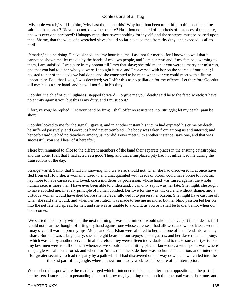'Miserable wretch,' said I to him, 'why hast thou done this? Why hast thou been unfaithful to thine oath and the salt thou hast eaten? Didst thou not know the penalty? Hast thou not heard of hundreds of instances of treachery, and was ever one pardoned? Unhappy man! thou sayest nothing for thyself, and the sentence must be passed upon thee. Shame, that the wiles of a wretched slave should so far have led thee from thy duty, and exposed us all to peril!'

'Jemadar,' said he rising, 'I have sinned, and my hour is come. I ask not for mercy, for I know too well that it cannot be shown me; let me die by the hands of my own people, and I am content; and if my fate be a warning to them, I am satisfied. I was pure in my honour till I met that slave; she told me that you were to marry her mistress, and that you had told her who you were. I thought it true, and I conversed with her on the secrets of our band; I boasted to her of the deeds we had done, and she consented to be mine whenever we could meet with a fitting opportunity. Fool that I was, I was deceived; yet I offer this as no palliation for my offence. Let therefore Goordut kill me; his is a sure hand, and he will not fail in his duty.'

Goordut, the chief of our Lughaees, stepped forward. 'Forgive me your death,' said he to the fated wretch; 'I have no enmity against you, but this is my duty, and I must do it.'

'I forgive you,' he replied. 'Let your hand be firm; I shall offer no resistance, nor struggle; let my death−pain be short.'

Goordut looked to me for the signal, I gave it, and in another instant his victim had expiated his crime by death; he suffered passively, and Goordut's hand never trembled. The body was taken from among us and interred; and henceforward we had no treachery among us, nor did I ever meet with another instance, save one, and that was successful; you shall hear of it hereafter.

There but remained to allot to the different members of the band their separate places in the ensuing catastrophe; and this done, I felt that I had acted as a good Thug, and that a misplaced pity had not influenced me during the transactions of the day.

Strange was it, Sahib, that Shurfun, knowing who we were, should not, when she had discovered it, at once have fled from us! How she, a woman unused to and unacquainted with deeds of blood, could have borne to look on, nay more to have caressed and loved, one a murderer by profession, whose hand was raised against the whole human race, is more than I have ever been able to understand: I can only say it was her fate. She might, she ought to have avoided me; in every principle of human conduct, her love for me was wicked and without shame, and a virtuous woman would have died before she had ever allowed it to possess her bosom. She might have cast me off when she said she would, and when her resolution was made to see me no more; but her blind passion led her on into the net fate had spread for her, and she was as unable to avoid it, as you or I shall be to die, Sahib, when our hour comes.

We started in company with her the next morning. I was determined I would take no active part in her death, for I could not bear the thought of lifting my hand against one whose caresses I had allowed, and whose kisses were, I may say, still warm upon my lips. Motee and Peer Khan were allotted to her, and one of her attendants, was my share. But hers was a large party; she had eight bearers, four sepoys as her guards, and her slave rode on a pony, which was led by another servant. In all therefore they were fifteen individuals, and to make sure, thirty−five of my best men were to fall on them whenever we should meet a fitting place. I knew one, a wild spot it was, where the jungle was almost a forest, and where for "miles on either side there was no human habitation; and I intended, for greater security, to lead the party by a path which I had discovered on our way down, and which led into the thickest part of the jungle, where I knew our deadly work would be sure of no interruption.

We reached the spot where the road diverged which I intended to take, and after much opposition on the part of her bearers, I succeeded in persuading them to follow me, by telling them, both that the road was a short one, and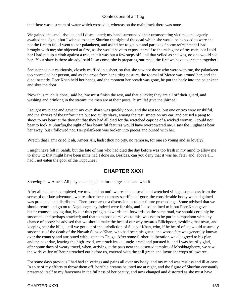that there was a stream of water which crossed it, whereas on the main track there was none.

We gained the small rivulet, and I dismounted; my band surrounded their unsuspecting victims, and eagerly awaited the signal; but I wished to spare Shurfun the sight of the dead which she would be exposed to were she not the first to fall. I went to her palankeen, and asked her to get out and partake of some refreshment I had brought with me; she objected at first, as she would have to expose herself to the rash gaze of my men; but I told her I had put up a cloth against a tree, that it was but a few steps off, and that veiled as she was, no one would see her. 'Your slave is there already,' said I; 'so come, she is preparing our meal, the first we have ever eaten together.'

She stepped out cautiously, closely muffled in a sheet, so that she saw not those who were with me, the palankeen too concealed her person, and as she arose from her sitting posture, the roomal of Motee was around her, and she died instantly. Peer Khan held her hands, and the moment her breath was gone, he put the body into the palankeen and shut the door.

'Now thus much is done,' said he, 'we must finish the rest, and that quickly; they are all off their guard, and washing and drinking in the stream; the men are at their posts. Bismilla! give the jhirnee!'

I sought my place and gave it: my own share was quickly done, and the rest too; but one or two were unskilful, and the shrieks of the unfortunate but too guilty slave, among the rest, smote on my ear, and caused a pang to shoot to my heart at the thought that they had all died for the wretched caprice of a wicked woman. I could not bear to look at Shurfun, the sight of her beautiful features would have overpowered me. I saw the Lughaees bear her away, but I followed not. Her palankeen was broken into pieces and buried with her.

Wretch that I am! cried I: ah, Ameer Ali, hadst thou no pity, no remorse, for one so young and so lovely?

I might have felt it, Sahib, but the fate of him who had died the day before was too fresh in my mind to allow me to show it: that might have been mine had I done so. Besides, can you deny that it was her fate? and, above all, had I not eaten the goor of the Tupounee?

# **CHAPTER XXXI**

Showing how Ameer Ali played a deep game for a large stake and won it

After all had been completed, we travelled on until we reached a small and wretched village, some coss from the scene of our late adventure, where, after the customary sacrifice of goor, the considerable booty we had gained was produced and distributed. There soon arose a discussion as to our future proceedings. Some advised that we should return and go on to Nagpoor; many indeed were for this, and I also inclined to it; but Peer Khan gave better counsel, saying that, by our thus going backwards and forwards on the same road, we should certainly be suspected and perhaps attacked; and that to expose ourselves to this, was not to be put in comparison with any chance of booty: he advised that we should make the best of our way towards Ellichpoor, avoiding that town, and keeping near the hills, until we got out of the jurisdiction of Sulabat Khan, who, if he heard of us, would assuredly suspect us of the death of the Nuwab Subzee Khan, who had been his guest, and whose fate was generally known over the country and attributed with justice to Thugs. After some further deliberation we all agreed to his plan, and the next day, leaving the high−road, we struck into a jungle−track and pursued it; and I was heartily glad, after some days of weary travel, when, arriving at the pass near the deserted temples of Mookhtagherry, we saw the wide valley of Berar stretched out before us, covered with the still green and luxuriant crops of jowaree.

For some days previous I had had shiverings and pains all over my body, and my mind was restless and ill at ease. In spite of my efforts to throw them off, horrible dreams haunted me at night, and the figure of Shurfun constantly presented itself to my fancy now in the fullness of her beauty, and now changed and distorted as she must have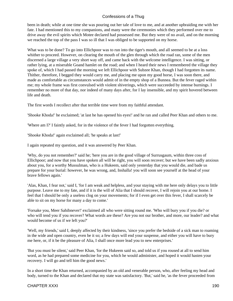been in death; while at one time she was pouring out her tale of love to me, and at another upbraiding me with her fate. I had mentioned this to my companions, and many were the ceremonies which they performed over me to drive away the evil spirits which Motee declared had possessed me. But they were of no avail, and on the morning we reached the top of the pass I was so ill that I was obliged to be supported on my horse.

What was to be done? To go into Ellichpoor was to run into the tiger's mouth, and all seemed to be at a loss whither to proceed. However, on clearing the mouth of the glen through which the road ran, some of the men discerned a large village a very short way off, and came back with the welcome intelligence. I was sitting, or rather lying, at a miserable Goand hamlet on the road; and when I heard their news I remembered the village they spoke of, which I had passed the morning we left Ellichpoor with Subzee Khan, though I had forgotten its name. Thither, therefore, I begged they would carry me, and placing me upon my good horse, I was soon there, and made as comfortable as circumstances would admit of in the empty shop of a Bunnea. But the fever raged within me; my whole frame was first convulsed with violent shiverings, which were succeeded by intense burnings. I remember no more of that day, nor indeed of many days after, for I lay insensible, and my spirit hovered between life and death.

The first words I recollect after that terrible time were from my faithful attendant.

'Shooke Khoda!' he exclaimed; 'at last he has opened his eyes!' and he ran and called Peer Khan and others to me.

'Where am I?' I faintly asked, for in the violence of the fever I had forgotten everything.

'Shooke Khoda!' again exclaimed all; 'he speaks at last!'

I again repeated my question, and it was answered by Peer Khan.

'Why, do you not remember?' said he; 'here you are in the good village of Surrusgaum, within three coss of Ellichpoor; and now that you have spoken all will be right, you will soon recover; but we have been sadly anxious about you, for a worthy Mussulman, who is a Hukeem, said only yesterday that you would die, and bade us prepare for your burial: however, he was wrong, and, Inshalla! you will soon see yourself at the head of your brave fellows again.'

'Alas, Khan, I fear not,' said I, 'for I am weak and helpless, and your staying with me here only delays you to little purpose. Leave me to my fate, and if it is the will of Alia that I should recover, I will rejoin you at our home. I feel that I should be only a useless clog on your movements; for if I even get over this fever, I shall scarcely be able to sit on my horse for many a day to come.'

'Forsake you, Meer Sahib never!' exclaimed all who were sitting round me. 'Who will bury you if you die? or who will tend you if you recover? What words are these? Are you not our brother, and more, our leader? and what would become of us if we left you?'

'Well, my friends,' said I, deeply affected by their kindness, 'since you prefer the bedside of a sick man to roaming in the wide and open country, even be it so; a few days will end your suspense, and either you will have to bury me here, or, if it be the pleasure of Alia, I shall once more lead you to new enterprises.'

'But you must be silent,' said Peer Khan, 'for the Hukeem said so, and told us if you roused at all to send him word, as he had prepared some medicine for you, which he would administer, and hoped it would hasten your recovery. I will go and tell him the good news.'

In a short time the Khan returned, accompanied by an old and venerable person, who, after feeling my head and body, turned to the Khan and declared that my state was satisfactory. 'But,' said he, 'as the fever proceeded from

### CHAPTER XXXI 200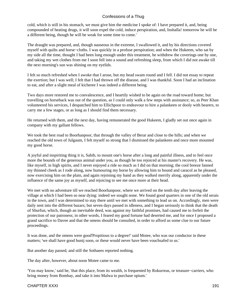cold, which is still in his stomach, we must give him the medicine I spoke of: I have prepared it, and, being compounded of heating drugs, it will soon expel the cold, induce perspiration, and, Inshalla! tomorrow he will be a different being, though he will be weak for some time to come.'

The draught was prepared, and, though nauseous in the extreme, I swallowed it, and by his directions covered myself with quilts and horse−cloths. I was quickly in a profuse perspiration; and when the Hukeem, who sat by my side all the time, thought I had been long enough under this treatment, he withdrew the coverings one by one, and taking my wet clothes from me I soon fell into a sound and refreshing sleep, from which I did not awake till the next morning's sun was shining on my eyelids.

I felt so much refreshed when I awoke that I arose, but my head swam round and I fell. I did not essay to repeat the exertion; but I was well; I felt that I had thrown off the disease, and I was thankful. Soon I had an inclination to eat, and after a slight meal of kicheree I was indeed a different being.

Two days more restored me to convalescence, and I heartily wished to be again on the road toward home; but travelling on horseback was out of the question, as I could only walk a few steps with assistance; so, as Peer Khan volunteered his services, I despatched him to Ellichpoor to endeavour to hire a palankeen or dooly with bearers, to carry me a few stages, or as long as I should find them necessary.

He returned with them, and the next day, having remunerated the good Hukeem, I gladly set out once again in company with my gallant fellows.

We took the best road to Boorhanpoor, that through the valley of Berar and close to the hills; and when we reached the old town of Julgaum, I felt myself so strong that I dismissed the palankeen and once more mounted my good horse.

A joyful and inspiriting thing it is, Sahib, to mount one's horse after a long and painful illness, and to feel once more the bounds of the generous animal under you, as though he too rejoiced at his master's recovery. He was, like myself, in high spirits, and I never enjoyed a ride so much as I did on that morning; the cool breeze fanned my thinned cheek as I rode along, now humouring my horse by allowing him to bound and caracol as he pleased, now exercising him on the plain, and again rejoining my band as they walked merrily along, apparently under the influence of the same joy as myself, and rejoicing to see me once more at their head.

We met with no adventure till we reached Boorhanpoor, where we arrived on the tenth day after leaving the village at which I had been so near dying: indeed we sought none. We found good quarters in one of the old serais in the town, and I was determined to stay there until we met with something to lead us on. Accordingly, men were daily sent into the different bazars; but seven days passed in idleness, and I began seriously to think that the death of Shurfun, which, though an inevitable deed, was against my faithful promises, had caused me to forfeit the protection of our patroness; in other words, I feared my good fortune had deserted me, and for once I proposed a grand sacrifice to Davee and that the omens should be consulted, in order to afford us some clue to our future proceedings.

It was done, and the omens were good'Propitious to a degree!' said Motee, who was our conductor in these matters; 'we shall have good bunij soon, or these would never have been vouchsafed to us.'

But another day passed, and still the Sothaees reported nothing.

The day after, however, about noon Motee came to me.

'You may know,' said he, 'that this place, from its wealth, is frequented by Rokurreas, or treasure−carriers, who bring money from Bombay, and take it into Malwa to purchase opium.'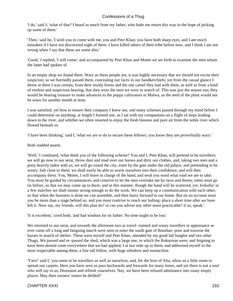'I do,' said I; 'what of that? I heard as much from my father, who bade me return this way in the hope of picking up some of them.'

'Then,' said he, 'I wish you to come with me, you and Peer Khan; you have both sharp eyes, and I am much mistaken if I have not discovered eight of them. I have killed others of their tribe before now, and I think I am not wrong when I say that these are some also.'

'Good,' I replied, 'I will come;' and accompanied by Peer Khan and Motee we set forth to examine the men whom the latter had spoken of.

In an empty shop we found them. Wary as these people are, it was highly necessary that we should not excite their suspicion; so we hurriedly passed them, concealing our faces in our handkerchiefs; yet from the casual glance I threw at them I was certain, from their sturdy forms and the one camel they had with them, as well as from a kind of restless and suspicious bearing, that they were the men we were in search of. This was just the season too; they would be bearing treasure to make advances to the poppy cultivators in Malwa, as the seed of the plant would not be sown for another month at least.

I was satisfied; yet how to ensure their company I knew not, and many schemes passed through my mind before I could determine on anything: at length I formed one, as I sat with my companions on a flight of steps leading down to the river, and whither we often resorted to enjoy the fresh breezes and pure air from the noble river which flowed beneath us.

'I have been thinking,' said I, 'what we are to do to secure these fellows; you know they are proverbially wary.'

Both nodded assent.

'Well,' I continued, 'what think you of the following scheme? You and I, Peer Khan, will pretend to be travellers; we will go now to our serai, throw dust and mud over our horses and dirty our clothes, and, taking two men and a pony heavily laden with us, we will go round the city, enter by the gate under the old palace, and pretending to be weary, halt close to them; we shall easily be able to worm ourselves into their confidence, and will then accompany them. You, Motee, I will leave in charge of the band, and send you word what road we are to take. You must be guided by circumstances, and contrive to let the men overtake me by twos and threes; some must go on before, so that we may come up to them; and in this manner, though the band will be scattered, yet, Inshalla! in a few marches we shall muster strong enough to do the work. We can keep up a communication with each other, so that when the business is done we can assemble, and then hurry forward to our home. But on no account must you be more than a stage behind us; and you must contrive to reach our halting−place a short time after we have left it. Now say, my friends, will this plan do? or can you advise any other more practicable? if so, speak.'

'It is excellent,' cried both, 'and had wisdom for its father. No time ought to be lost.'

We returned to our serai, and towards the afternoon two as travel−stained and weary travellers in appearance as ever came off a long and fatiguing march were seen to enter the south gate of Boorhan−poor and traverse the bazars in search of shelter. These were myself and Peer Khan, attended by my good lad Junglee and two other Thugs. We passed and re−passed the shed, which was a large one, in which the Rokurreas were; and feigning to have been denied room everywhere that we had applied, I at last rode up to them, and addressed myself to the most respectable among them, a fine tall fellow, with huge whiskers and mustachios.

'Yaro!' said I, 'you seem to be travellers as well as ourselves, and, for the love of Alia, allow us a little room to spread our carpets. Here you have seen us pass backwards and forwards for many times, and yet there is not a soul who will say to us, Dismount and refresh yourselves. Nay, we have been refused admittance into many empty places. May their owners' sisters be defiled!'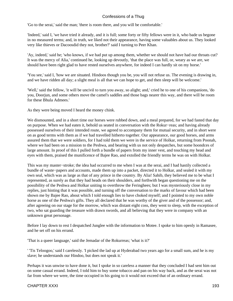'Go to the serai,' said the man; 'there is room there, and you will be comfortable.'

'Indeed,' said I, 'we have tried it already, and it is full; some forty or fifty fellows were in it, who bade us begone in no measured terms; and, in truth, we liked not their appearance, having some valuables about us. They looked very like thieves or Dacoos did they not, brother?' said I turning to Peer Khan.

'Ay, indeed,' said he; 'who knows, if we had put up among them, whether we should not have had our throats cut? It was the mercy of Alia,' continued he, looking up devoutly, 'that the place was full, or, weary as we are, we should have been right glad to have rested ourselves anywhere, for indeed I can hardly sit on my horse.'

'You see,' said I, 'how we are situated. Hindoos though you be, you will not refuse us. The evening is drawing in, and we have ridden all day; a slight meal is all that we can hope to get, and then sleep will be welcome.'

'Well,' said the fellow, 'it will be uncivil to turn you away, so alight; and,' cried he to one of his companions, 'do you, Doorjun, and some others move the camel's saddles and those bags nearer this way, and there will be room for these Bhula Admees.'

As they were being moved I heard the money chink.

We dismounted, and in a short time our horses were rubbed down, and a meal prepared, for we had fasted that day on purpose. When we had eaten it, behold us seated in conversation with the Rokur−reas; and having already possessed ourselves of their intended route, we agreed to accompany them for mutual security, and in short were on as good terms with them as if we had travelled hitherto together. Our appearance, our good horses, and arms assured them that we were soldiers, for I had told them we were in the service of Holkar, returning from Poonah, where we had been on a mission to the Peshwa, and bearing with us not only despatches, but some hoondces of large amount. In proof of this I pulled forth a bundle of papers from my inner vest, and touching my head and eyes with them, praised the munificence of Bajee Rao, and extolled the friendly terms he was on with Holkar.

This was my master−stroke; the idea had occurred to me when I was at the serai, and I had hastily collected a bundle of waste−papers and accounts, made them up into a packet, directed it to Holkar, and sealed it with my own seal, which was as large as that of any prince in the country. By Alia! Sahib, they believed me to be what I represented, as surely as that they had heads on their shoulders, and forthwith began questioning me on the possibility of the Peshwa and Holkar uniting to overthrow the Feringhees; but I was mysteriously close in my replies, just hinting that it was possible, and turning off the conversation to the marks of favour which had been shown me by Bajee Rao, about which I told enough lies to have choked myself; and I pointed to my own noble horse as one of the Peshwa's gifts. They all declared that he was worthy of the giver and of the possessor; and, after agreeing on our stage for the morrow, which was distant eight coss, they went to sleep, with the exception of two, who sat guarding the treasure with drawn swords, and all believing that they were in company with an unknown great personage.

Before I lay down to rest I despatched Junglee with the information to Motee. I spoke to him openly in Ramasee, and he set off on his errand.

'That is a queer language,' said the Jemadar of the Rokurreas; 'what is it?'

' 'Tis Teloogoo,' said I carelessly. 'I picked the lad up at Hyderabad two years ago for a small sum, and he is my slave; he understands our Hindoo, but does not speak it.'

Perhaps it was unwise to have done it, but I spoke in so careless a manner that they concluded I had sent him out on some casual errand. Indeed, I told him to buy some tobacco and pan on his way back, and as the serai was not far from where we were, the time occupied in his going to it would not exceed that of an ordinary errand.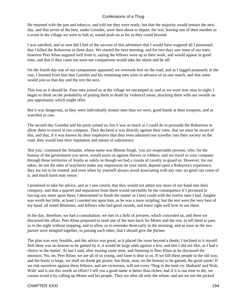He returned with the pan and tobacco, and told me they were ready, but that the majority would remain the next day, and that seven of the best, under Goordut, were then about to depart; the rest, leaving one of their number as a scout in the village we were to halt at, would push on as far as they could beyond.

I was satisfied, and so sure did I feel of the success of this adventure that I would have wagered all I possessed that I killed the Rokurreas in three days. We started the next morning, and for two days saw none of our men; however Peer Khan augured well from it, saying the fellows were up to their work, and would appear in good time, and that if they came too soon our companions would take the alarm and be off.

On the fourth day one of our companions appeared; we overtook him on the road, and as I lagged purposely in the rear, I learned from him that Goordut and his remaining men were in advance of us one march, and that some would join us that day and the rest the next.

This was as it should be. Four men joined us at the village we encamped at; and as we were now nine to eight, I began to think on the probability of putting them to death by violenceI mean, attacking them with our swords on any opportunity which might offer.

But it was dangerous, as they were individually stouter men than we were, good hands at their weapons, and as watchful as cats.

The second day Goordut and his party joined us, but it was as much as I could do to persuade the Rokurreas to allow them to travel in our company. They declared it was directly against their rules, that we must be aware of this, and that, if it was known by their employers that they even admitted one traveller into their society on the road, they would lose their reputation and means of subsistence.

'But you,' continued the Jemadar, whose name was Bheem Singh, 'you are respectable persons, who, for the honour of the government you serve, would assist us against thieves or robbers, and we travel in your company through these territories of Sindia as safely as though we had a rissala of cavalry to guard us. However, for our sakes, let not the tales of wayfarers make any impression on your mind; depend upon a Rokurrea's experience, they are not to be trusted: and even when by yourself always avoid associating with any one; no good can come of it, and much harm may ensue.'

I promised to take his advice, and as I saw clearly that they would not admit any more of our band into their company, and that a quarrel and separation from them would inevitably be the consequence if I persisted in forcing any more upon them, I determined to finish the matter as I best could with the twelve men I had. Junglee was worth but little, at least I counted not upon him, as he was a mere stripling; but the rest were the very best of my band, all noted Bhuttotes, and fellows who had good swords, and knew right well how to use them.

In the day, therefore, we had a consultation; we met in a field of jowaree, which concealed us, and there we discussed the affair. Peer Khan proposed to send one of the men back for Motee and the rest, to tell them to pass us in the night without stopping, and to allow us to overtake them early in the morning; and as soon as the two parties were mingled together, in passing each other, that I should give the jhirnee.

The plan was very feasible, and the advice was good, as it placed the issue beyond a doubt; I inclined to it myself. Still there was no honour to be gained by it; it would be large odds against a few, and this I did not like, as I had a choice in the matter. At last I said, after musing some time, and listening to Peer Khan as he discussed the measure, 'No, no, Peer Khan; we are all of us young, and fame is dear to us. If we kill these people in the old way, and the booty is large, we shall no doubt get praise; but think, man, on the honour to be gained, the good name! If we risk ourselves against these fellows, and are victorious, will not every Thug in the land cry Shabash! and Wah, Wah! and is not this worth an effort? I tell you a good name is better than riches; and if it is our time to die, we cannot avoid it by calling up Motee and his people. They are after all only the refuse; and are we not the picked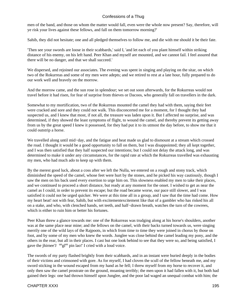men of the band, and those on whom the matter would fall, even were the whole now present? Say, therefore, will ye risk your lives against these fellows, and fall on them tomorrow morning?'

Sahib, they did not hesitate; one and all pledged themselves to follow me, and die with me should it be their fate.

'Then see your swords are loose in their scabbards,' said I, 'and let each of you plant himself within striking distance of his enemy, on his left hand. Peer Khan and myself are mounted, and we cannot fail. I feel assured that there will be no danger, and that we shall succeed.'

We dispersed, and rejoined our associates. The evening was spent in singing and playing on the sitar, on which two of the Rokurreas and some of my men were adepts; and we retired to rest at a late hour, fully prepared to do our work well and bravely on the morrow.

And the morrow came, and the sun rose in splendour; we set out soon afterwards, for the Rokurreas would not travel before it had risen, for fear of surprise from thieves or Dacoos, who generally fall on travellers in the dark.

Somewhat to my mortification, two of the Rokurreas mounted the camel they had with them, saying their feet were cracked and sore and they could not walk. This disconcerted me for a moment, for I thought they had suspected us, and I knew that most, if not all, the treasure was laden upon it. But I affected no surprise, and was determined, if they showed the least symptoms of flight, to wound the camel, and thereby prevent its getting away from us by the great speed I knew it possessed, for they had put it to its utmost the day before, to show me that it could outstrip a horse.

We travelled along until mid−day, and the fatigue and heat made us glad to dismount at a stream which crossed the road. I thought it would be a good opportunity to fall on them, but I was disappointed; they all kept together, and I was then satisfied that they half suspected our intentions; but I could not delay the attack long, and was determined to make it under any circumstances, for the rapid rate at which the Rokurreas travelled was exhausting my men, who had much ado to keep up with them.

By the merest good luck, about a coss after we left the Nulla, we entered on a rough and stony track, which diminished the speed of the camel, whose feet were hurt by the stones, and he picked his way cautiously, though I saw the men on his back used every exertion to urge him on. This slowness enabled my men to take their places, and we continued to proceed a short distance, but ready at any moment for the onset. I wished to get as near the camel as I could, in order to prevent its escape; but the road became worse, our pace still slower, and I was satisfied it could not be urged quicker. We were at this time all in a group, and I saw that the time had come. How my heart beat! not with fear, Sahib, but with excitement excitement like that of a gambler who has risked his all on a stake, and who, with clenched hands, set teeth, and half−drawn breath, watches the turn of the cowrees, which is either to ruin him or better his fortunes.

Peer Khan threw a glance towards me: one of the Rokurreas was trudging along at his horse's shoulders, another was at the same place near mine; and the fellows on the camel, with their backs turned towards us, were singing merrily one of the wild lays of the Rajpoots, in which from time to time they were joined in chorus by those on foot, and by some of my men who knew the words. Junglee was close behind the camel leading my pony, and the others in the rear, but all in their places. I cast but one look behind to see that they were so, and being satisfied, I gave the jhirnee 'J  $\text{u}_\text{gl}^\text{ee}$  pin lao!' I cried with a loud voice.

The swords of my party flashed brightly from their scabbards, and in an instant were buried deeply in the bodies of their victims and crimsoned with gore. As for myself, I had cloven the scull of the fellow beneath me, and my sword sticking in the wound escaped from my hand as he fell; I threw myself from my horse to recover it, and only then saw the camel prostrate on the ground, moaning terribly; the men upon it had fallen with it, but both had gained their legs: one had thrown himself upon Junglee, and the poor lad waged an unequal combat with him; the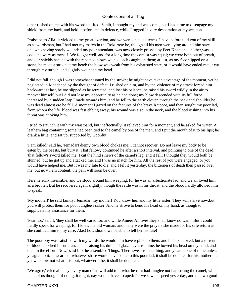other rushed on me with his sword uplifted. Sahib, I thought my end was come, but I had time to disengage my shield from my back, and held it before me in defence, while I tugged in very desperation at my weapon.

Praise be to Alia! it yielded to my great exertion, and we were on equal terms. I have before told you of my skill as a swordsman, but I had met my match in the Rokurrea: he, though all his men were lying around him save one, who having sorely wounded my poor attendant, was now closely pressed by Peer Khan and another, was as cool and wary as myself. We fought well, and for a long time the contest was equal; we were both out of breath, and our shields hacked with the repeated blows we had each caught on them; at last, as my foot slipped on a stone, he made a stroke at my head: the blow was weak from his exhausted state, or it would have ended me: it cut through my turban, and slightly wounded my head.

I did not fall, though I was somewhat stunned by the stroke; he might have taken advantage of the moment, yet he neglected it. Maddened by the thought of defeat, I rushed on him, and by the violence of my attack forced him backward: at last, he too slipped as he retreated, and lost his balance; he raised his sword wildly in the air to recover himself, but I did not lose my opportunity as he had done; my blow descended with its full force, increased by a sudden leap I made towards him, and he fell to the earth cloven through the neck and shoulder, he was dead almost ere he fell. A moment I gazed on the features of the brave Rajpoot, and then sought my poor lad, from whom the life−blood was fast ebbing away; his wound was also in the neck, and the blood rushing into his throat was choking him.

I tried to staunch it with my waistband, but ineffectually; it relieved him for a moment, and he asked for water. A leathern bag containing some had been tied to the camel by one of the men, and I put the mouth of it to his lips; he drank a little, and sat up, supported by Goordut.

'I am killed,' said he, 'JemadarI diemy own blood chokes me: I cannot recover. Do not leave my body to be eaten by the beasts, but bury it. That fellow,' continued he after a short interval, and pointing to one of the dead, 'that fellow's sword killed me. I cut the hind sinews of the camel's leg, and it fell; I thought they would both be stunned, but he got up and attacked me, and I was no match for him. All the rest of you were engaged, or you would have helped me. But it was my fate to die, and I felt it yesterday, the bitterness of death then passed over me, but now I am content: the pain will soon be over.'

Here he sunk insensible, and we stood around him weeping, for he was an affectionate lad, and we all loved him as a brother. But he recovered again slightly, though the rattle was in his throat, and the blood hardly allowed him to speak.

'My mother!' he said faintly, 'Jemadar, my mother! You know her, and my little sister. They will starve now; but you will protect them for poor Junglee's sake?' And he strove to bend his head on my hand, as though to supplicate my assistance for them.

'Fear not,' said I, 'they shall be well cared for, and while Ameer Ali lives they shall know no want.' But I could hardly speak for weeping, for I knew the old woman, and many were the prayers she made for his safe return as she confided him to my care. Alas! how should we be able to tell her his fate!

The poor boy was satisfied with my words; he would fain have replied to them, and his lips moved; but a torrent of blood checked his utterance, and raising his dull and glazed eyes to mine, he bowed his head on my hand, and died in the effort. 'Now,' said I to the assembled Thugs, 'I here swear to one thing, and ye are none of mine unless ye agree to it. I swear that whatever share would have come to this poor lad, it shall be doubled for his mother: as yet we know not what it is, but, whatever it be, it shall be doubled.'

'We agree,' cried all; 'nay, every man of us will add to it what he can; had Junglee not hamstrung the camel, which none of us thought of doing, it might, nay would, have escaped: for we saw its speed yesterday, and the two good

### CHAPTER XXXI and the contract of the contract of the contract of the contract of the contract of the contract of the contract of the contract of the contract of the contract of the contract of the contract of the contract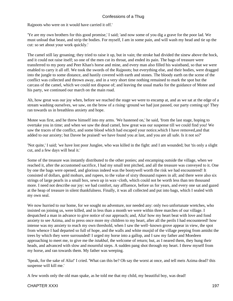Rajpoots who were on it would have carried it off.'

'Ye are my own brothers for this good promise,' I said; 'and now some of you dig a grave for the poor lad. We must unload that beast, and strip the bodies. For myself, I am in some pain, and will wash my head and tie up the cut: so set about your work quickly.'

The camel still lay groaning; they tried to raise it up, but in vain; the stroke had divided the sinew above the hock, and it could not raise itself; so one of the men cut its throat, and ended its pain. The bags of treasure were transferred to my pony and Peer Khan's horse and mine, and every man also filled his waistband, so that we were enabled to carry it all off. We took the swords of the Rajpoots; but everything else, and their bodies, were dragged into the jungle to some distance, and hastily covered with earth and stones. The bloody earth on the scene of the conflict was collected and thrown away, and in a very short time nothing remained to mark the spot but the carcass of the camel, which we could not dispose of; and leaving the usual marks for the guidance of Motee and his party, we continued our march on the main road.

Ah, how great was our joy when, before we reached the stage we were to encamp at, and as we sat at the edge of a stream washing ourselves, we saw, on the brow of a rising−ground we had just passed, our party coming up! They ran towards us in breathless anxiety and hope.

Motee was first, and he threw himself into my arms. 'We hastened on,' he said, 'from the last stage, hoping to overtake you in time; and when we saw the dead camel, how great was our suspense till we could find you! We saw the traces of the conflict, and some blood which had escaped your notice, which I have removed, and that added to our anxiety; but Davee be praised! we have found you at last, and you are all safe. Is it not so?'

'Not quite,' I said; 'we have lost poor Junglee, who was killed in the fight: and I am wounded; but 'tis only a slight cut, and a few days will heal it.'

Some of the treasure was instantly distributed to the other ponies; and encamping outside the village, when we reached it, after the accustomed sacrifice, I had my small tent pitched, and all the treasure was conveyed to it. One by one the bags were opened, and glorious indeed was the bootywell worth the risk we had encountered! It consisted of dollars, gold mohurs, and rupees, to the value of sixty thousand rupees in all; and there were also six strings of large pearls in a small box, sewn up in wax−cloth, which could not be worth less than ten thousand more. I need not describe our joy: we had comfort, nay affluence, before us for years, and every one sat and gazed at the heap of treasure in silent thankfulness. Finally, it was all collected and put into bags, which I sealed with my own seal.

We now hurried to our home, for we sought no adventure, nor needed any: only two unfortunate wretches, who insisted on joining us, were killed, and in less than a month we were within three marches of our village. I despatched a man in advance to give notice of our approach; and, Alia! how my heart beat with love and fond anxiety to see Azima, and to press once more my children to my heart, after all the perils I had encountered! how intense was my anxiety to reach my own threshold, when I saw the well−known grove appear in view, the spot from whence I had departed so full of hope, and the walls and white musjid of the village peeping from amidst the trees by which they were surrounded! I urged my horse into a gallop, and I saw my father and Moedeen approaching to meet me, to give me the *istukbal,* the welcome of return; but, as I neared them, they hung their heads, and advanced with slow and mournful steps. A sudden pang shot through my heart. I threw myself from my horse, and ran towards them. My father was weeping.

'Speak, for the sake of Alia!' I cried. 'What can this be? Oh say the worst at once, and tell meis Azima dead? this suspense will kill me.'

A few words only the old man spake, as he told me that my child, my beautiful boy, was dead!

### CHAPTER XXXI 2007 197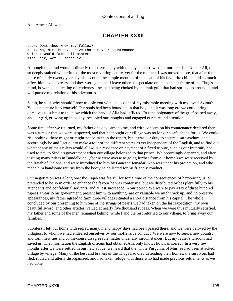And Ameer Ali wept.

# **CHAPTER XXXII**

Lear. Dost thou know me, fellow? kent. No, sir; but you have that in your countenance which I would fain call master. King Lear, Act I, scene iv

Although the mind would ordinarily reject sympathy with the joys or sorrows of a murderer like Ameer Ali, one so deeply stained with crime of the most revolting nature, yet for the moment I was moved to see, that after the lapse of nearly twenty years by his account, the simple mention of the death of his favourite child could so much affect him, even to tears, and they were genuine. I leave others to speculate on the peculiar frame of the Thug's mind, how this one feeling of tenderness escaped being choked by the rank guilt that had sprung up around it, and will pursue my relation of his adventures.

Sahib, he said, why should I now trouble you with an account of my miserable meeting with my loved Azima? You can picture it to yourself. Our souls had been bound up in that boy, and it was long ere we could bring ourselves to submit to the blow which the hand of Alia had inflicted. But the poignancy of the grief passed away, and our girl, growing up in beauty, occupied our thoughts and engaged our care and attention.

Some time after we returned, my father one day came to me, and with concern on his countenance declared there was a rumour that we were suspected, and that he thought our village was no longer a safe abode for us. We could risk nothing; there might or might not be truth in the report, but it was our duty to secure a safe asylum: and accordingly he and I set out to make a tour of the different states as yet independent of the English, and to find out whether any of their rulers would allow us a residence on payment of a fixed tribute, such as our fraternity had used to pay to Sindia's government when our village belonged to that prince. We accordingly departed, and after visiting many rulers in Bundelkund, (for we were averse to going further from our home,) we were received by the Rajah of Jhalone, and were introduced to him by Ganesha Jemadar, who was under his protection, and who made him handsome returns from the booty he collected for his friendly conduct.

Our negotiation was a long one: the Rajah was fearful for some time of the consequences of harbouring us, or pretended to be so in order to enhance the favour he was conferring; but we distributed bribes plentifully to his attendants and confidential servants, and at last succeeded in our object. We were to pay a tax of three hundred rupees a year to his government, present him with anything rare or valuable we might pick up, and, to preserve appearances, my father agreed to farm three villages situated a short distance from his capital. The whole concluded by our presenting to him one of the strings of pearls we had taken on the last expedition, my own beautiful sword, and other articles, valued at nearly five thousand rupees. When we were thus mutually satisfied, my father and some of the men remained behind, while I and the rest returned to our village, to bring away our families.

I confess I left our home with regret; many, many happy days had been passed there, and we were beloved by the villagers, to whom we had endeared ourselves by our inoffensive conduct. We were now to seek a new country, and form new ties and connexions a disagreeable matter under any circumstances. But my father's wisdom had saved us. The information the English officers had obtained Alia only knows how was correct. In a very few months after we were settled in our new abode, we heard that the whole Purgunna of Murnae had been attacked, village by village. Many of the best and bravest of the Thugs had died defending their homes; the survivors had fled, routed and utterly disorganized, and had taken refuge with those who had made previous settlements as we had done.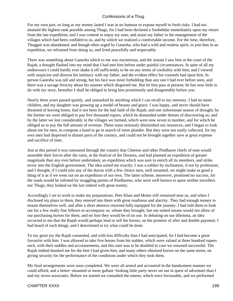For my own part, so long as my money lasted I was in no humour to expose myself to fresh risks. I had too attained the highest rank possible among Thugs, for I had been declared a Soobehdar immediately upon my return from the last expedition; and I was content to enjoy my ease, and assist my father in the management of the villages which had been confided to us, and by which we realized a comfortable income. For the time, therefore, Thuggee was abandoned; and though often urged by Ganesha, who had a wild and restless spirit, to join him in an expedition, we refrained from doing so, and lived peacefully and respectably.

There was something about Ganesha which to me was mysterious, and the instant I saw him at the court of the Rajah, a thought flashed into my mind that I had met him before under painful circumstances. In spite of all my endeavours I could hardly ever shake it off sufficiently to be on any terms of cordiality with him; and I viewed with suspicion and distrust his intimacy with my father, and the evident effect his counsels had upon him. In person Ganesha was tall and strong, but his face was more forbidding than any one I had ever before seen, and there was a savage ferocity about his manner which disgusted me. But let him pass at present; he has now little to do with my story, hereafter I shall be obliged to bring him prominently and disagreeably before you.

Nearly three years passed quietly, and unmarked by anything which I can recall to my memory. I had no more children, and my daughter was growing up a model of beauty and grace. I was happy, and never should have dreamed of leaving home, had it not been for the bad faith of the Rajah, and one unfortunate season of drought; by the former we were obliged to pay five thousand rupees, which he demanded under threats of discovering us; and by the latter we lost considerably in the villages we farmed, which were now seven in number, and for which he obliged us to pay the full amount of revenue. These sums seriously diminished our resources; and I began to look about me for men, to compose a band to go in search of more plunder. But they were not easily collected, for my own men had dispersed to distant parts of the country, and could not be brought together save at great expense and sacrifice of time.

Just at this period it was rumoured through the country that Cheetoo and other Pindharee chiefs of note would assemble their forces after the rains, at the festival of the Dussera, and had planned an expedition of greater magnitude than any ever before undertaken; an expedition which was sure to enrich all its members, and strike terror into the English government. The idea suited me exactly; I was a soldier by inclination, if not by profession; and I thought, if I could join any of the durras with a few choice men, well mounted, we might make as good a thing of it as if we went out on an expedition of our own. The latter scheme, moreover, promised no success, for the roads would be infested by straggling parties of Pindharees, who were well known to spare neither travellers nor Thugs; they looked on the last indeed with great enmity.

Accordingly I set to work to make my preparations. Peer Khan and Motee still remained near us, and when I disclosed my plans to them, they entered into them with great readiness and alacrity. They had enough money to mount themselves well, and after a short absence returned fully equipped for the journey. I had told them to look out for a few really fine fellows to accompany us, whom they brought; but our united means would not allow of our purchasing horses for them, and on foot they would be of no use. In debating on our dilemma, an idea occurred to me that the Rajah would perhaps lend or sell the horses, on the promise of after and double payment. I had heard of such things, and I determined to try what could be done.

To my great joy the Rajah consented, and with less difficulty than I had anticipated, for I had become a great favourite with him. I was allowed to take five horses from his stables, which were valued at three hundred rupees each, with their saddles and accoutrements, and this sum was to be doubled in case we returned successful. The Rajah indeed thanked me for the hint I had given him, and many others obtained horses on the same terms, on giving security for the performance of the conditions under which they took them.

My final arrangements were soon completed. We were all armed and accoutred in the handsomest manner we could afford; and a better−mounted or more gallant−looking little party never set out in quest of adventure than I and my seven associates. Before we started we consulted the omens, which were favourable, and we performed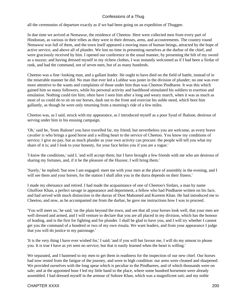all the ceremonies of departure exactly as if we had been going on an expedition of Thuggee.

In due time we arrived at Nemawur, the residence of Cheetoo. Here were collected men from every part of Hindostan, as various in their tribes as they were in their dresses, arms, and accoutrements. The country round Nemawur was full of them, and the town itself appeared a moving mass of human beings, attracted by the hope of active service, and above all of plunder. We lost no time in presenting ourselves at the durbar of the chief, and were graciously received by him. I opened our conference in the usual manner, by presenting the hilt of my sword as a nuzzur; and having dressed myself in my richest clothes, I was instantly welcomed as if I had been a Sirdar of rank, and had the command, not of seven men, but of as many hundreds.

Cheetoo was a fine−looking man, and a gallant leader. He ought to have died on the field of battle, instead of in the miserable manner he did. No man that ever led a Lubhur was juster in the division of plunder; no one was ever more attentive to the wants and complaints of those under him than was Cheetoo Pindharee. It was this which gained him so many followers, while his personal activity and hardihood stimulated his soldiers to exertion and emulation. Nothing could tire him; often have I seen him after a long and weary march, when it was as much as most of us could do to sit on our horses, dash out to the front and exercise his noble steed, which bore him gallantly, as though he were only returning from a morning's ride of a few miles.

Cheetoo was, as I said, struck with my appearance, as I introduced myself as a poor Syud of Jhalone, desirous of serving under him in his ensuing campaign.

'Oh,' said he, 'from Jhalone! you have travelled far, my friend; but nevertheless you are welcome, as every brave cavalier is who brings a good horse and a willing heart to the service of Cheetoo. You know my conditions of service; I give no pay, but as much plunder as your own activity can procure: the people will tell you what my share of it is; and I look to your honesty, for your face belies you if you are a rogue.'

'I know the conditions,' said I, 'and will accept them; but I have brought a few friends with me who are desirous of sharing my fortunes, and, if it be the pleasure of the Huzoor, I will bring them.'

'Surely,' he replied; 'but now I am engaged: meet me with your men at the place of assembly in the evening, and I will see them and your horses, for the station I shall allot you in the durra depends on their fitness.'

I made my obeisance and retired. I had made the acquaintance of one of Cheetoo's Sirdars, a man by name Ghuffoor Khan, a perfect savage in appearance and deportment, a fellow who had Pindharee written on his face, and had served with much distinction in the durras of Dost Mahomed and Kureem Khan. He had introduced me to Cheetoo, and now, as he accompanied me from the durbar, he gave me instructions how I was to proceed.

'You will meet us,' he said, 'on the plain beyond the town, and see that all your horses look well, that your men are well dressed and armed, and I will venture to declare that you are all placed in my division, which has the honour of leading, and is the first for fighting and for plunder. I shall be glad to have you, and I will try whether I cannot get you the command of a hundred or two of my own rissala. We want leaders, and from your appearance I judge that you will do justice to my patronage.'

'It is the very thing I have ever wished for,' I said; 'and if you will but favour me, I will do my utmost to please you. It is true I have as yet seen no service; but that is easily learned when the heart is willing.'

We separated, and I hastened to my men to get them in readiness for the inspection of our new chief. Our horses had now rested from the fatigue of the journey, and were in high condition: our arms were cleaned and sharpened. We provided ourselves with the long spear which is peculiar to the Pindharees, and of which thousands were on sale; and at the appointed hour I led my little band to the place, where some hundred horsemen were already assembled. I had dressed myself in the armour of Subzee Khan, which was a magnificent suit; and my noble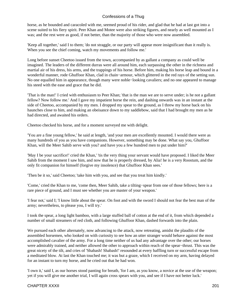horse, as he bounded and caracoled with me, seemed proud of his rider, and glad that he had at last got into a scene suited to his fiery spirit. Peer Khan and Motee were also striking figures, and nearly as well mounted as I was; and the rest were as good, if not better, than the majority of those who were now assembled.

'Keep all together,' said I to them; 'do not straggle, or our party will appear more insignificant than it really is. When you see the chief coming, watch my movements and follow me.'

Long before sunset Cheetoo issued from the town, accompanied by as gallant a company as could well be imagined. The leaders of the different durras were all around him, each surpassing the other in the richness and martial air of his dress, his arms, and the trappings of his horse. Before him, making his horse leap and bound in a wonderful manner, rode Ghuffoor Khan, clad in chain−armour, which glittered in the red rays of the setting sun. No one equalled him in appearance, though many were noble−looking cavaliers; and no one appeared to manage his steed with the ease and grace that he did.

'That is the man!' I cried with enthusiasm to Peer Khan; 'that is the man we are to serve under; is he not a gallant fellow? Now follow me.' And I gave my impatient horse the rein, and dashing onwards was in an instant at the side of Cheetoo, accompanied by my men. I dropped my spear to the ground, as I threw my horse back on his haunches close to him, and making an obeisance down to my saddlebow, said that I had brought my men as he had directed, and awaited his orders.

Cheetoo checked his horse, and for a moment surveyed me with delight.

'You are a fine young fellow,' he said at length, 'and your men are excellently mounted. I would there were as many hundreds of you as you have companions. However, something may be done. What say you, Ghuffoor Khan, will the Meer Sahib serve with you? and have you a few hundred men to put under him?'

'May I be your sacrifice!' cried the Khan,' 'tis the very thing your servant would have proposed. I liked the Meer Sahib from the moment I saw him, and now that he is properly dressed, by Alia! he is a very Roostum, and the only fit companion for himself (forgive my insolence) that Ghuffoor Khan sees.'

'Then be it so,' said Cheetoo; 'take him with you, and see that you treat him kindly.'

'Come,' cried the Khan to me, 'come then, Meer Sahib, take a tilting−spear from one of those fellows; here is a rare piece of ground, and I must see whether you are master of your weapon.'

'I fear not,' said I; 'I know little about the spear. On foot and with the sword I should not fear the best man of the army; nevertheless, to please you, I will try.'

I took the spear, a long light bamboo, with a large stuffed ball of cotton at the end of it, from which depended a number of small streamers of red cloth, and following Ghuffoor Khan, dashed forwards into the plain.

We pursued each other alternately, now advancing to the attack, now retreating, amidst the plaudits of the assembled horsemen, who looked on with curiosity to see how an utter stranger would behave against the most accomplished cavalier of the army. For a long time neither of us had any advantage over the other; our horses were admirably trained, and neither allowed the other to approach within reach of the spear−thrust. This was the great nicety of the tilt, and cries of 'Shabash! Shabash!' resounded at every baffling turn or successful escape from a meditated blow. At last the Khan touched me; it was but a graze, which I received on my arm, having delayed for an instant to turn my horse, and he cried out that he had won.

'I own it,' said I, as our horses stood panting for breath, 'for I am, as you know, a novice at the use of the weapon; yet if you will give me another trial, I will again cross spears with you, and see if I have not better luck.'

### CHAPTER XXXII 201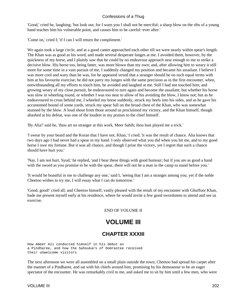'Good,' cried he, laughing; 'but look out, for I warn you I shall not be merciful; a sharp blow on the ribs of a young hand teaches him his vulnerable point, and causes him to be careful−ever after.'

'Come on,' cried I; 'if I can I will return the compliment.'

We again took a large circle, and at a good canter approached each other till we were nearly within spear's length. The Khan was as good as his word, and made several desperate lunges at me. I avoided them, however, by the quickness of my horse, and I plainly saw that he could by no endeavour approach near enough to me to strike a decisive blow. His horse too, being fatter, was more blown than my own; and, after allowing him to weary it still more for some time in a vain pursuit of me, I suddenly changed my position and became his assailant. I believe I was more cool and wary than he was, for he appeared vexed that a stranger should be on such equal terms with him at his favourite exercise; he did not parry my lunges with the same precision as in the first encounter, when, notwithstanding all my efforts to touch him, he avoided and laughed at me. Still I had not touched him; and growing weary of my close pursuit, he endeavoured to turn again and become the assailant; but whether his horse was slow in wheeling round, or whether I was too near to allow of his avoiding the blow, I know not; but as he endeavoured to cross behind me, I wheeled my horse suddenly, struck my heels into his sides, and as he gave his accustomed bound of some yards, struck my spear full on the broad chest of the Khan, who was somewhat stunned by the blow. A loud shout from those around us proclaimed my victory, and the Khan himself, though abashed at his defeat, was one of the loudest in my praises to the chief himself.

'By Alia!' said he, 'thou art no stranger at this work, Meer Sahib; thou hast played me a trick.'

'I swear by your beard and the Koran that I have not, Khan,' I cried; 'it was the result of chance. Alia knows that two days ago I had never had a spear in my hand. I only observed what you did when you hit me, and to my good horse I owe my fortune. But it was all chance, and though I prize the victory, yet I regret that such a chance should have hurt you.'

'Nay, I am not hurt, Syud,' he replied, 'and I bear these things with good humour; but if you are as good a hand with the sword as you promise to be with the spear, there will not be a man in the camp to stand before you.'

'It would be boastful in me to challenge any one,' said I, 'seeing that I am a stranger among you; yet if the noble Cheetoo wishes to try me, I will essay what I can do tomorrow.'

'Good, good!' cried all; and Cheetoo himself, vastly pleased with the result of my encounter with Ghuffoor Khan, bade me present myself early at his residence, where he would invite a few good swordsmen to attend and see us exercise.

END OF VOLUME II

# **VOLUME III**

## **CHAPTER XXXIII**

How Ameer Ali conducted himself in his debut as a Pindharee, and how the Sahoukars of Oomraotee received their unwelcome visitors

The next afternoon we were all assembled on a small plain outside the town; Cheetoo had spread his carpet after the manner of a Pindharee, and sat with his chiefs around him, promising by his demeanour to be an eager spectator of the encounter. He was remarkably civil to me, and asked me to sit by him until a few men, who were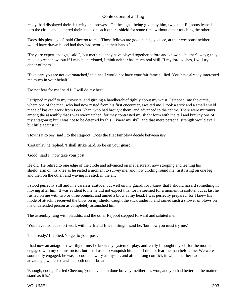ready, had displayed their dexterity and prowess. On the signal being given by him, two stout Rajpoots leaped into the circle and clattered their sticks on each other's shield for some time without either touching the other.

'Does this please you?' said Cheetoo to me. 'Those fellows are good hands, you see, at their weapons: neither would have drawn blood had they had swords in their hands.'

'They are expert enough,' said I, 'but methinks they have played together before and know each other's ways; they make a great show, but if I may be pardoned, I think neither has much real skill. If my lord wishes, I will try either of them.'

'Take care you are not overmatched,' said he; 'I would not have your fair fame sullied. You have already interested me much in your behalf.'

'Do not fear for me,' said I; 'I will do my best.'

I stripped myself to my trowsers, and girding a handkerchief tightly about my waist, I stepped into the circle, where one of the men, who had now rested from his first encounter, awaited me. I took a stick and a small shield made of basket−work from Peer Khan, who had brought them, and advanced to the centre. There were murmurs among the assembly that I was overmatched, for they contrasted my slight form with the tall and brawny one of my antagonist; but I was not to be deterred by this. I knew my skill, and that mere personal strength would avail but little against it.

'How is it to be?' said I to the Rajpoot. 'Does the first fair blow decide between us?'

'Certainly,' he replied. 'I shall strike hard, so be on your guard.'

'Good,' said I: 'now take your post.'

He did. He retired to one edge of the circle and advanced on me leisurely, now stooping and leaning his shield−arm on his knee as he rested a moment to survey me, and now circling round me, first rising on one leg and then on the other, and waving his stick in the air.

I stood perfectly still and in a careless attitude, but well on my guard, for I knew that I should hazard something in moving after him. It was evident to me he did not expect this, for he seemed for a moment irresolute, but at last he rushed on me with two or three bounds, and aimed a blow at my head. I was perfectly prepared, for I knew his mode of attack; I received the blow on my shield, caught the stick under it, and rained such a shower of blows on his undefended person as completely astonished him.

The assembly rang with plaudits, and the other Rajpoot stepped forward and saluted me.

'You have had but short work with my friend Bheem Singh,' said he; 'but now you must try me.'

'I am ready,' I replied; 'so get to your post.'

I had now an antagonist worthy of me; he knew my system of play, and verily I thought myself for the moment engaged with my old instructor; but I had used to vanquish him, and I did not fear the man before me. We were soon hotly engaged: he was as cool and wary as myself, and after a long conflict, in which neither had the advantage, we rested awhile, both out of breath.

'Enough, enough!' cried Cheetoo; 'you have both done bravely; neither has won, and you had better let the matter stand as it is.'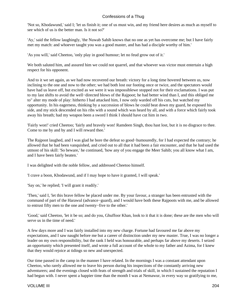'Not so, Khodawund,' said I; 'let us finish it; one of us must win, and my friend here desires as much as myself to see which of us is the better man. Is it not so?'

'Ay,' said the fellow laughingly, 'the Nuwab Sahib knows that no one as yet has overcome me; but I have fairly met my match: and whoever taught you was a good master, and has had a disciple worthy of him.'

'As you will,' said Cheetoo, 'only play in good humour; let no feud grow out of it.'

We both saluted him, and assured him we could not quarrel, and that whoever was victor must entertain a high respect for his opponent.

And to it we set again, as we had now recovered our breath: victory for a long time hovered between us, now inclining to the one and now to the other; we had both lost our footing once or twice, and the spectators would have had us leave off, but excited as we were it was impossible we stopped not for their exclamations. I was put to my last shifts to avoid the well−directed blows of the Rajpoot; he had better wind than I, and this obliged me to" alter my mode of play: hitherto I had attacked him, I now only warded off his cuts, but watched my opportunity. In his eagerness, thinking by a succession of blows he could beat down my guard, he exposed his side, and my stick descended on his ribs with a sound which was heard by all, and with a force which fairly took away his breath; had my weapon been a sword I think I should have cut him in two.

'Fairly won!' cried Cheetoo; 'fairly and bravely won! Ramdeen Singh, thou hast lost, but it is no disgrace to thee. Come to me by and by and I will reward thee.'

The Rajpoot laughed, and I was glad he bore the defeat so good−humouredly, for I had expected the contrary; he allowed that he had been vanquished, and cried out to all that it had been a fair encounter, and that he had used the utmost of his skill: 'So beware,' he continued, 'how any of you engage the Meer Sahib; you all know what I am, and I have been fairly beaten.'

I was delighted with the noble fellow, and addressed Cheetoo himself.

'I crave a boon, Khodawund, and if I may hope to have it granted, I will speak.'

'Say on,' he replied; 'I will grant it readily.'

'Then,' said I, 'let this brave fellow be placed under me. By your favour, a stranger has been entrusted with the command of part of the Harawul (advance−guard), and I would have both these Rajpoots with me, and be allowed to entrust fifty men to the one and twenty−five to the other.'

'Good,' said Cheetoo, 'let it be so; and do you, Ghuffoor Khan, look to it that it is done; these are the men who will serve us in the time of need.'

A few days more and I was fairly installed into my new charge. Fortune had favoured me far above my expectations, and I saw naught before me but a career of distinction under my new master. True, I was no longer a leader on my own responsibility, but the rank I held was honourable, and perhaps far above my deserts. I seized an opportunity which presented itself, and wrote a full account of the whole to my father and Azima, for I knew that they would rejoice at tidings so new and unexpected.

Our time passed in the camp in the manner I have related. In the mornings I was a constant attendant upon Cheetoo, who rarely allowed me to leave his person during his inspections of the constantly arriving new adventurers; and the evenings closed with feats of strength and trials of skill, in which I sustained the reputation I had begun with. I never spent a happier time than the month I was at Nemawur, in every way so gratifying to me,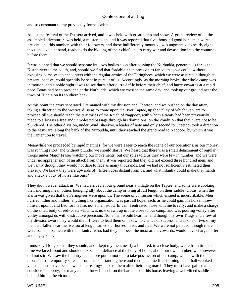and so consonant to my previously formed wishes.

At last the festival of the Dussera arrived, and it was held with great pomp and show. A grand review of all the assembled adventurers was held, a muster taken, and it was reported that five thousand good horsemen were present; and this number, with their followers, and those indifferently mounted, was augmented to nearly eight thousanda gallant band, ready to do the bidding of their chief, and to carry war and devastation into the countries before them.

It was planned that we should separate into two bodies soon after passing the Nurbudda, penetrate as far as the Kistna river to the south, and, should we find that fordable, then press on as far south as we could, without exposing ourselves to encounters with the regular armies of the Feringhees, which we were assured, although at present inactive, could speedily be sent in pursuit of us. Accordingly, as the morning broke, the whole camp was in motion; and a noble sight it was to see durra after durra defile before their chief, and hurry onwards at a rapid pace. Boats had been provided at the Nurbudda, which we crossed the same day, and took up our ground near the town of Hindia on its southern bank.

At this point the army separated. I remained with my division and Cheetoo, and we pushed on the day after, taking a direction to the westward, so as to come upon the river Taptee, up the valley of which we were to proceed till we should reach the territories of the Rajah of Nagpoor, with whom a treaty had been previously made to allow us a free and unmolested passage through his dominions, on the condition that they were not to be plundered. The other division, under Syud Bheekoo, a leader of note and only second to Cheetoo, took a direction to the eastward, along the bank of the Nurbudda, until they reached the grand road to Nagpoor, by which it was their intention to travel.

Meanwhile we proceeded by rapid marches; for we were eager to reach the scene of our operations, as our money was running short, and without plunder we should starve. We heard that there was a small detachment of regular troops under Major Fraser watching our movements; but our spies told us they were few in number, and we were under no apprehension of an attack from them: it was reported that they did not exceed three hundred men, and we vainly thought they would not dare to face as many thousands. But we had not sufficiently estimated their bravery. We knew they were upwards of −fifteen coss distant from us, and what infantry could make that march and attack a body of horse like ours?

They did however attack us. We had arrived at our ground near a village on the Taptee, and some were cooking their morning meal, others lounging idly about the camp or lying at full length on their saddle−cloths, when the alarm was given that the Feringhees were upon us. The scene of confusion which ensued is indescribable. Men hurried hither and thither; anything like organization was past all hope; each, as he could gain his horse, threw himself upon it and fled for his life: not a man stood. In vain I entreated those with me to rally, and make a charge on the small body of red−coats which was now drawn up in line close to our camp, and was pouring volley after volley amongst us with destructive precision. Not a man would hear me, and though my own Thugs and a few of my division swore they would die if I were to lead them on, I saw no chance of success; and as one or two of my men had fallen near me, we too at length turned our horses' heads and fled. We were not pursued, though there were some horsemen with the infantry, who, had they not been the most arrant cowards, would have charged after and engaged us.

I must say I longed that they should, and I kept my men, nearly a hundred, in a close body, while from time to time we faced about and shook our spears in defiance at the body of horse, about our own number, who however did not stir. We saw the infantry once more put in motion, to take possession of our camp, which, with the thousands of temporary screens from the sun standing here and there, and the fires burning under half−cooked victuals, must have been a welcome resting−place to them after their long march. They must have gained a considerable booty, for many a man threw himself on the bare back of his horse, leaving a well−lined saddle behind him to the victors.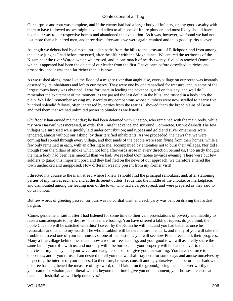Our surprise and rout was complete, and if the enemy had had a larger body of infantry, or any good cavalry with them to have followed us, we might have bid adieu to all hopes of future plunder, and most likely should have taken our way to our respective homes and abandoned the expedition. As it was, however, we found we had not lost more than a hundred men, and three days afterwards we were again reunited and in as good spirits as ever.

At length we debouched by almost untrodden paths from the hills to the eastward of Ellichpoor, and from among the dense jungles I had before traversed, after the affair with the Moghulanee. We entered the territories of the Nizam near the river Wurda, which we crossed, and in one march of nearly twenty−five coss reached Oomraotee, which it appeared had been the object of our leader from the first. I have once before described its riches and prosperity, and it was then far richer than it is now.

As we rushed along, more like the flood of a mighty river than aught else, every village on our route was instantly deserted by its inhabitants and left to our mercy. They were one by one ransacked for treasure, and in some of the largest much booty was obtained. I was fortunate in leading the advance−guard on this day, and well do I remember the excitement of the moment, as we passed the last defile in the hills, and rushed in a body into the plain. Well do I remember waving my sword to my companions,whose numbers were now swelled to nearly five hundred splendid fellows, often increased by parties from the rear, as I showed them the broad plains of Berar, and told them that we had unlimited power to plunder as we listed!

Ghuffoor Khan envied me that day; he had been detained with Cheetoo, who remained with the main body, while my own Harawul was increased, in order that I might advance and surround Oomraotee. On we dashed! The few villages we surprised were quickly laid under contribution; and rupees and gold and silver ornaments were tendered, almost without our asking, by their terrified inhabitants. As we proceeded, the news that we were coming had spread through every village, and thousands of the people were seen flying from their homes; while a few only remained in each, with an offering to me, accompanied by entreaties not to burn their villages. Nor did I; though from the pillars of smoke which not long afterwards arose in every direction behind us, I too justly thought the main body had been less merciful than we had. We reached Oomraotee towards evening. There were but few soldiers to guard this important post, and they had fled on the news of our approach; we therefore entered the town unchecked and unopposed. How different was my present from my former visit!

I directed my course to the main street, where I knew I should find the principal sahoukars; and, after stationing parties of my men at each end and at the different outlets, I rode into the middle of the chouke, or marketplace, and dismounted among the leading men of the town, who had a carpet spread, and were prepared as they said to do us honour.

But few words of greeting passed, for ours was no cordial visit, and each party was bent on driving the hardest bargain.

'Come, gentlemen,' said I, after I had listened for some time to their vain protestations of poverty and inability to raise a sum adequate to my desires, 'this is mere fooling. You have offered a lakh of rupees; do you think the noble Cheetoo will be satisfied with this? I swear by the Koran he will not, and you had better at once be reasonable and listen to my words. The whole Lubhur will be here before it is dark, and if any of you will take the trouble to ascend one of your tall houses, or one of the bastions, you will see how Pindharees mark their progress. Many a fine village behind me has not now a roof or tree standing, and your good town will assuredly share the same fate if you trifle with us; and not only will it be burned, but your property will be handed over to the tender mercies of my menay, and your wives and daughters also; so I give you fair warning. You have no force to oppose us; and if you refuse, I am desired to tell you that we shall stay here for some days and amuse ourselves by inspecting the interior of your houses. Go therefore, be wise, consult among yourselves, and before the shadow of this tree has lengthened the measure of my sword, (and I laid it on the ground,) bring me an answer worthy of your name for wisdom, and liberal withal; beyond that time I give you not a moment; your houses are close at hand, and Inshalla! we will help ourselves.'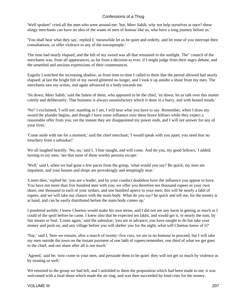'Well spoken!' cried all the men who were around me; 'but, Meer Sahib, why not help ourselves at once? these stingy merchants can have no idea of the wants of men of honour like us, who have a long journey before us.'

'You shall hear what they say,' replied I; 'meanwhile let us be quiet and orderly, and let none of you interrupt their consultations, or offer violence to any of the townspeople.'

The time had nearly elapsed, and the hilt of my sword was all that remained in the sunlight. The" council of the merchants was, from all appearances, as far from a decision as ever, if I might judge from their angry debate, and the unsettled and anxious expressions of their countenances.

Eagerly I watched the increasing shadow, as from time to time I called to them that the period allowed had nearly elapsed; at last the bright hilt of my sword glittered no longer, and I took it up amidst a shout from my men. The merchants saw my action, and again advanced in a body towards me.

'Sit down, Meer Sahib,' said the fattest of them, who appeared to be the chief, 'sit down; let us talk over this matter calmly and deliberately. That business is always unsatisfactory which is done in a hurry, and with heated minds.'

'No!' I exclaimed, 'I will not: standing as I am, I will hear what you have to say. Remember, when I draw my sword the plunder begins, and though I have some influence over these brave fellows while they expect a reasonable offer from you, yet the instant they are disappointed my power ends, and I will not answer for any of your lives.'

'Come aside with me for a moment,' said the chief merchant; 'I would speak with you apart; you need fear no treachery from a sahoukar!'

We all laughed heartily. 'No, no,' said I, 'I fear naught, and will come. And do you, my good fellows,' I added, turning to my men, 'see that none of these worthy persons escape.'

'Well,' said I, when we had gone a few paces from the group, 'what would you say? Be quick; my men are impatient, and your houses and shops are provokingly and temptingly near.'

'Listen then,' replied he; 'you are a leader, and by your conduct doubtless have the influence you appear to have. You have not more than five hundred men with you; we offer you therefore ten thousand rupees as your own share, one thousand to each of your sirdars, and one hundred apiece to your men; this will be nearly a lakh of rupees, and we will take our chance with the main body. What do you say? be quick and tell me, for the money is at hand, and can be easily distributed before the main body comes up.'

I pondered awhile; I knew Cheetoo would make his own terms, and I did not see any harm in getting as much as I could of the spoil before he came. I knew also that he expected ten lakhs, and would get it, or nearly the sum, by fair means or foul. 'Listen again,' said the sahoukar; 'you are in advance; you have naught to do but take your money and push on, and any village before you will shelter you for the night; what will Cheetoo know of it?'

'Nay,' said I, 'here we remain; after a march of twenty−five coss, we are in no humour to proceed; but I will take my men outside the town on the instant payment of one lakh of rupees; remember, one third of what we get goes to the chief, and our share after all is not much.'

'Agreed,' said he; 'now come to your men, and persuade them to be quiet: they will not get so much by violence as by treating us well.'

We returned to the group we had left, and I unfolded to them the proposition which had been made to me; it was welcomed with a loud shout which made the air ring, and was then succeeded by loud cries for the money.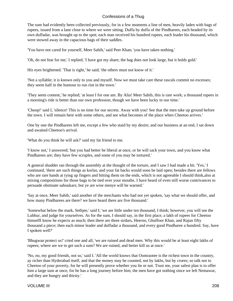The sum had evidently been collected previously, for in a few moments a line of men, heavily laden with bags of rupees, issued from a lane close to where we were sitting. Duffa by duffa of the Pindharees, each headed by its own duffadar, was brought up to the spot; each man received his hundred rupees, each leader his thousand, which were stowed away in the capacious bags of their saddles.

'You have not cared for yourself, Meer Sahib,' said Peer Khan; 'you have taken nothing.'

'Oh, do not fear for me,' I replied; 'I have got my share; the bag does not look large, but it holds gold.'

His eyes brightened. 'That is right,' he said; 'the others must not know of it.'

'Not a syllable; it is known only to you and myself. Now we must take care these rascals commit no excesses; they seem half in the humour to run riot in the town.'

'They seem content,' he replied; 'at least I for one am. By Alia! Meer Sahib, this is rare work; a thousand rupees in a morning's ride is better than our own profession, though we have been lucky in our time.'

'Choop!' said I, 'silence! This is no time for our secrets. Away with you! See that the men take up ground before the town. I will remain here with some others, and see what becomes of the place when Cheetoo arrives.'

One by one the Pindharees left me, except a few who staid by my desire; and our business at an end, I sat down and awaited Cheetoo's arrival.

'What do you think he will ask?' said my fat friend to me.

'I know not,' I answered; 'but you had better be liberal at once, or he will sack your town, and you know what Pindharees are; they have few scruples, and some of you may be tortured.'

A general shudder ran through the assembly at the thought of the torture, and I saw I had made a hit. 'Yes,' I continued, 'there are such things as korlas, and your fat backs would soon be laid open; besides there are fellows who are rare hands at tying up fingers and hitting them on the ends, which is not agreeable I should think, also at mixing compositions for those bags to be tied over your mouths. I have heard of even still worse contrivances to persuade obstinate sahoukars; but ye are wise menye will be warned.'

'Say at once, Meer Sahib,' said another of the merchants who had not yet spoken, 'say what we should offer, and how many Pindharees are there? we have heard there are five thousand.'

'Somewhat below the mark, Sethjee,' said I; 'we are little under ten thousand, I think; however, you will see the Lubhur, and judge for yourselves. As for the sum, I should say, in the first place, a lakh of rupees for Cheetoo himself I know he expects as much; then there are three sirdars, Heeroo, Ghuffoor Khan, and Rajun fifty thousand a piece; then each minor leader and duffadar a thousand, and every good Pindharee a hundred. Say, have I spoken well?'

'Bhugwan protect us!' cried one and all, 'we are ruined and dead men. Why this would be at least eight lakhs of rupees; where are we to get such a sum? We are ruined, and better kill us at once.'

'No, no, my good friends, not so,' said I. 'All the world knows that Oomraotee is the richest town in the country, ay richer than Hyderabad itself, and that the money may be counted, not by lakhs, but by crores; so talk not to Cheetoo of your poverty, for he will presently prove whether you lie or not. Trust me, your safest plan is to offer him a large sum at once, for he has a long journey before him; the men have got nothing since we left Nemawur, and they are hungry and thirsty.'

### VOLUME III 208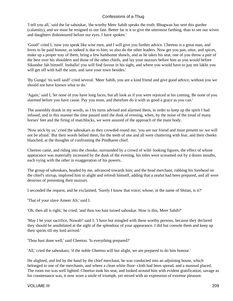'I tell you all,' said the fat sahoukar, 'the worthy Meer Sahib speaks the truth. Bhugwan has sent this gurdee (calamity), and we must be resigned to our fate. Better far is it to give the uttermost farthing, than to see our wives and daughters dishonoured before our eyes. I have spoken.'

'Good!' cried I; 'now you speak like wise men, and I will give you further advice. Cheetoo is a great man, and loves to be paid honour, as indeed is due to him; so also do the other leaders. Now get you pan, uttur, and spices, make up a proper tray of them, bring a few handsome shawls, and as he takes his seat, one of you throw a pair of the best over his shoulders and those of the other chiefs, and lay your nuzzurs before him as you would before Sikundur Jah himself. Inshalla! you will find favour in his sight, and where you would have to pay ten lakhs you will get off with half the sum, and save your town besides.'

'By Gunga! 'tis well said!' cried several. 'Meer Sahib, you are a kind friend and give good advice; without you we should not have known what to do.'

'Again,' said I, 'let none of you have long faces, but all look as if you were rejoiced at his coming. Be none of you alarmed before you have cause. Pay you must, and therefore do it with as good a grace as you can.'

The assembly drank in my words, as I by turns advised and alarmed them, in order to keep up the spirit I had infused; and in this manner the time passed until the dusk of evening, when, by the noise of the tread of many horses' feet and the firing of matchlocks, we were assured of the approach of the main body.

'Now stick by us,' cried the sahoukars as they crowded round me; 'you are our friend and must present us: we will not be afraid.' But their words belied them, for the teeth of one and all were chattering with fear, and their cheeks blanched, at the thoughts of confronting the Pindharee chief.

Cheetoo came, and riding into the chouke, surrounded by a crowd of wild−looking figures, the effect of whose appearance was materially increased by the dusk of the evening, his titles were screamed out by a dozen mouths, each vying with the other in exaggeration of his powers.

The group of sahoukars, headed by me, advanced towards him; and the head merchant, rubbing his forehead on the chief's stirrup, implored him to alight and refresh himself, adding that a zeafut had been prepared, and all were desirous of presenting their nuzzurs.

I seconded the request, and he exclaimed, 'Surely I know that voice; whose, in the name of Shitan, is it?'

'That of your slave Ameer Ali,' said I.

'Oh, then all is right,' he cried; 'and thou too hast turned sahoukar. How is this, Meer Sahib?'

'May I be your sacrifice, Nuwab!' said I; 'I have but mingled with these worthy persons, because they declared they should be annihilated at the sight of the splendour of your appearance. I did but console them and keep up their spirits till my lord arrived.'

'Thou hast done well,' said Cheetoo. 'Is everything prepared?'

'All,' cried the sahoukars; 'if the noble Cheetoo will but alight, we are prepared to do him honour.'

He alighted, and led by the hand by the chief merchant, he was conducted into an adjoining house, which belonged to one of the merchants, and where a clean white floor−cloth had been spread, and a musnud placed. The room too was well lighted. Cheetoo took his seat, and looked around him with evident gratification; savage as his countenance was, it now wore a smile of triumph, yet mixed with an expression of extreme pleasure.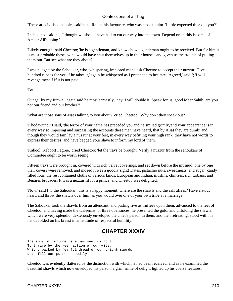'These are civilised people,' said he to Rajun, his favourite, who was close to him. 'I little expected this: did you?'

'Indeed no,' said he; 'I thought we should have had to cut our way into the town. Depend on it, this is some of Ameer Ali's doing.'

'Likely enough,' said Cheetoo; 'he is a gentleman, and knows how a gentleman ought to be received. But for him it is most probable these swine would have shut themselves up in their houses, and given us the trouble of pulling them out. But see, what are they about?'

I was nudged by the Sahoukar, who, whispering, implored me to ask Cheetoo to accept their nuzzur. 'Five hundred rupees for you if he takes it,' again he whispered as I pretended to hesitate. 'Agreed,' said I; 'I will revenge myself if it is not paid.'

### 'By

Gunga! by my Junwa!' again said he most earnestly, 'nay, I will double it. Speak for us, good Meer Sahib, are you not our friend and our brother?'

'What are those sons of asses talking to you about?' cried Cheetoo. 'Why don't they speak out?'

'Khodawund!' I said, 'the terror of your name has preceded you'and he smiled grimly,'and your appearance is in every way so imposing and surpassing the accounts these men have heard, that by Alia! they are dumb; and though they would fain lay a nuzzur at your feet, in every way befitting your high rank, they have not words to express their desires, and have begged your slave to inform my lord of them.'

'Kabool, Kabool! I agree,' cried Cheetoo; 'let the trays be brought. Verily a nuzzur from the sahoukars of Oomraotee ought to be worth seeing.'

Fifteen trays were brought in, covered with rich velvet coverings, and set down before the musnud; one by one their covers were removed, and indeed it was a goodly sight! Dates, pistachio nuts, sweetmeats, and sugar−candy filled four; the rest contained cloths of various kinds, European and Indian, muslins, chintzes, rich turbans, and Benares brocades. It was a nuzzur fit for a prince, and Cheetoo was delighted.

'Now,' said I to the Sahoukar, 'this is a happy moment; where are the shawls and the ashruffees? Have a stout heart, and throw the shawls over him, as you would over one of your own tribe at a marriage.'

The Sahoukar took the shawls from an attendant, and putting five ashruffees upon them, advanced to the feet of Cheetoo; and having made the tusleemat, or three obeisances, he presented the gold, and unfolding the shawls, which were very splendid, dexterously enveloped the chief's person in them, and then retreating, stood with his hands folded on his breast in an attitude of respectful humility.

# **CHAPTER XXXIV**

The sons of fortune, she has sent us forth To thrive by the keen action of our wits, Which, backed by fearful dread of our bright swords, Doth fill our purses speedily.

Cheetoo was evidently flattered by the distinction with which he had been received, and as he examined the beautiful shawls which now enveloped his person, a grim smile of delight lighted up his coarse features.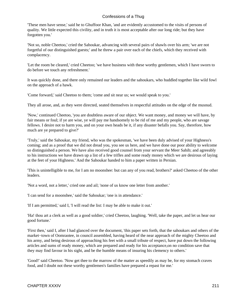'These men have sense,' said he to Ghuffoor Khan, 'and are evidently accustomed to the visits of persons of quality. We little expected this civility, and in truth it is most acceptable after our long ride; but they have forgotten you.'

'Not so, noble Cheetoo,' cried the Sahoukar, advancing with several pairs of shawls over his arm; 'we are not forgetful of our distinguished guests;' and he threw a pair over each of the chiefs, which they received with complacency.

'Let the room be cleared,' cried Cheetoo; 'we have business with these worthy gentlemen, which I have sworn to do before we touch any refreshment.'

It was quickly done, and there only remained our leaders and the sahoukars, who huddled together like wild fowl on the approach of a hawk.

'Come forward,' said Cheetoo to them; 'come and sit near us; we would speak to you.'

They all arose, and, as they were directed, seated themselves in respectful attitudes on the edge of the musnud.

'Now,' continued Cheetoo, 'you are doubtless aware of our object. We want money, and money we will have, by fair means or foul; if ye are wise, ye will pay me handsomely to be rid of me and my people, who are savage fellows. I desire not to harm you, and on your own heads be it, if any disaster befalls you. Say, therefore, how much are ye prepared to give?'

'Truly,' said the Sahoukar, my friend, who was the spokesman, 'we have been duly advised of your Highness's coming; and as a proof that we did not dread you, you see us here, and we have done our poor ability to welcome so distinguished a person. We have also received good counsel from your servant the Meer Sahib; and agreeably to his instructions we have drawn up a list of a few trifles and some ready money which we are desirous of laying at the feet of your Highness.' And the Sahoukar handed to him a paper written in Persian.

'This is unintelligible to me, for I am no moonshee: but can any of you read, brothers?' asked Cheetoo of the other leaders.

'Not a word, not a letter,' cried one and ail; 'none of us know one letter from another.'

'I can send for a moonshee,' said the Sahoukar; 'one is in attendance.'

'If I am permitted,' said I, 'I will read the list: I may be able to make it out.'

'Ha! thou art a clerk as well as a good soldier,' cried Cheetoo, laughing. 'Well, take the paper, and let us hear our good fortune.'

'First then,' said I, after I had glanced over the document, 'this paper sets forth, that the sahoukars and others of the market−town of Oomraotee, in council assembled, having heard of the near approach of the mighty Cheetoo and his army, and being desirous of approaching his feet with a small tribute of respect, have put down the following articles and sums of ready money, which are prepared and ready for his acceptance, on no condition save that they may find favour in his sight, and be the humble means of insuring his clemency to others.'

'Good!' said Cheetoo. 'Now get thee to the marrow of the matter as speedily as may be, for my stomach craves food, and I doubt not these worthy gentlemen's families have prepared a repast for me.'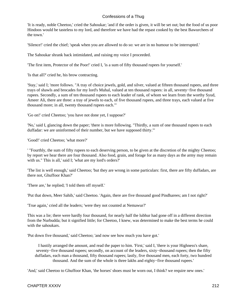'It is ready, noble Cheetoo,' cried the Sahoukar; 'and if the order is given, it will be set out; but the food of us poor Hindoos would be tasteless to my lord, and therefore we have had the repast cooked by the best Bawurchees of the town.'

'Silence!' cried the chief; 'speak when you are allowed to do so: we are in no humour to be interrupted.'

The Sahoukar shrank back intimidated, and raising my voice I proceeded.

'The first item, Protector of the Poor!' cried I, 'is a sum of fifty thousand rupees for yourself.'

'Is that all?' cried he, his brow contracting.

'Stay,' said I; 'more follows. "A tray of choice jewels, gold, and silver, valued at fifteen thousand rupees, and three trays of shawls and brocades for my lord's Muhal, valued at ten thousand rupees: in all, seventy−five thousand rupees. Secondly, a sum of ten thousand rupees to each leader of rank, of whom we learn from the worthy Syud, Ameer Ali, there are three: a tray of jewels to each, of five thousand rupees, and three trays, each valued at five thousand more; in all, twenty thousand rupees each."'

'Go on!' cried Cheetoo; 'you have not done yet, I suppose?'

'No,' said I, glancing down the paper; 'there is more following. "Thirdly, a sum of one thousand rupees to each duffadar: we are uninformed of their number, but we have supposed thirty."'

'Good!' cried Cheetoo; 'what more?'

' "Fourthly, the sum of fifty rupees to each deserving person, to be given at the discretion of the mighty Cheetoo; by report we hear there are four thousand. Also food, grain, and forage for as many days as the army may remain with us." This is all,' said I; 'what are my lord's orders?'

'The list is well enough,' said Cheetoo; 'but they are wrong in some particulars: first, there are fifty duffadars, are there not, Ghuffoor Khan?'

'There are,' he replied; 'I told them off myself.'

'Put that down, Meer Sahib,' said Cheetoo. 'Again, there are five thousand good Pindharees; am I not right?'

'True again,' cried all the leaders; 'were they not counted at Nemawur?'

This was a lie; there were hardly four thousand, for nearly half the lubhur had gone off in a different direction from the Nurbudda; but it signified little; for Cheetoo, I knew, was determined to make the best terms he could with the sahoukars.

'Put down five thousand,' said Cheetoo; 'and now see how much you have got.'

I hastily arranged the amount, and read the paper to him. 'First,' said I, 'there is your Highness's share, seventy−five thousand rupees; secondly, on account of the leaders, sixty−thousand rupees; then the fifty duffadars, each man a thousand, fifty thousand rupees; lastly, five thousand men, each forty, two hundred thousand. And the sum of the whole is three lakhs and eighty−five thousand rupees.'

'And,' said Cheetoo to Ghuffoor Khan, 'the horses' shoes must be worn out, I think? we require new ones.'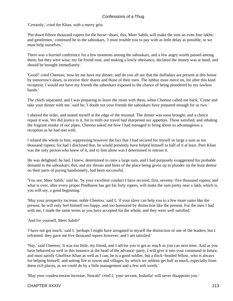'Certainly,' cried the Khan, with a merry grin.

'Put down fifteen thousand rupees for the horse−shoes, this, Meer Sahib, will make the sum an even four lakhs; and gentlemen,' continued he to the sahoukars, 'I must trouble you to pay with as little delay as possible, or we must help ourselves.'

There was a hurried conference for a few moments among the sahoukars, and a few angry words passed among them; but they were wise; my fat friend rose, and making a lowly obeisance, declared the money was at hand, and should be brought immediately.

'Good!' cried Cheetoo; 'now let me have my dinner, and do you all see that the duffadars are present at this house by tomorrow's dawn, to receive their shares and those of their men. The lubhur must move on, for after this kind reception, I would not have my friends the sahoukars exposed to the chance of being plundered by my lawless bands.'

The chiefs separated, and I was preparing to leave the room with them, when Cheetoo called me back; 'Come and take your dinner with me,' said he; 'I doubt not your friends the sahoukars have prepared enough for us two.'

I obeyed the order, and seated myself at the edge of the musnud. The dinner was soon brought, and a choice repast it was. We did justice to it, for in truth our travel had sharpened our appetites. These satisfied, and inhaling the fragrant smoke of our pipes, Cheetoo asked me how I had managed to bring about so advantageous a reception as he had met with.

I related the whole to him, suppressing however the fact that I had secured for myself so large a sum as ten thousand rupees; for had I disclosed that, he would presently have helped himself to half of it at least. Peer Khan was the only person who knew of it, and to him alone was I determined to entrust it.

He was delighted; he had, I knew, determined to raise a large sum, and I had purposely exaggerated his probable demand to the sahoukars; this, and my threats and hints of the place being given up to plunder on the least demur on their parts of paying handsomely, had been successful.

'You see, Meer Sahib,' said he, 'by your excellent conduct I have secured, first, seventy−five thousand rupees; and what is over, after every proper Pindharee has got his forty rupees, will make the sum pretty near a lakh; which is, you will say, a good beginning.'

'May your prosperity increase, noble Cheetoo,' said I; 'if your slave can help you to a few more sums like the present, he will only feel himself too happy, and too honoured by distinction like the present. For the men I had with me, I made the same terms as you have accepted for the whole, and they were well satisfied.'

'And for yourself, Meer Sahib?'

'I have not got much,' said I; 'perhaps I might have arrogated to myself the distinction of one of the leaders, but I refrained: they gave me five thousand rupees however, and I am satisfied.'

'Nay,' said Cheetoo; 'it was too little, my friend, and I advise you to get as much as you can next time. And as you have behaved so well in this instance at the head of the advance−party, I will give it into your command in future, and must satisfy Ghuffoor Khan as well as I can; he is a good soldier, but a thick−headed fellow, who is always for helping himself, and setting fire to towns and villages, by which we seldom get half as much, especially from these rich places, as we could do by a little management and a few soft words.'

'May your condescension increase, Nuwab!' cried I; 'your servant, Inshalla! will never disappoint you.'

### CHAPTER XXXIV 213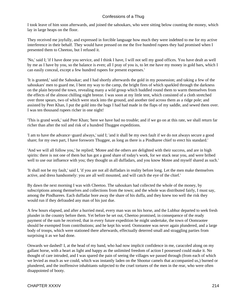I took leave of him soon afterwards, and joined the sahoukars, who were sitting below counting the money, which lay in large heaps on the floor.

They received me joyfully, and expressed in forcible language how much they were indebted to me for my active interference in their behalf. They would have pressed on me the five hundred rupees they had promised when I presented them to Cheetoo, but I refused it.

'No,' said I; 'if I have done you service, and I think I have, I will not sell my good offices. You have dealt as well by me as I have by you, so the balance is even; all I pray of you is, to let me have my money in gold bars, which I can easily conceal, except a few hundred rupees for present expenses.'

'It is granted,' said the Sahoukar; and I had shortly afterwards the gold in my possession; and taking a few of the sahoukars' men to guard me, I bent my way to the camp, the bright fires of which sparkled through the darkness on the plain beyond the town, revealing many a wild group which huddled round them to warm themselves from the effects of the almost chilling night breeze. I was soon at my little tent, which consisted of a cloth stretched over three spears, two of which were stuck into the ground, and another tied across them as a ridge pole; and assisted by Peer Khan, I put the gold into the bags I had had made in the flaps of my saddle, and sewed them over. I was ten thousand rupees richer in one night!

'This is grand work,' said Peer Khan; 'here we have had no trouble; and if we go on at this rate, we shall return far richer than after the toil and risk of a hundred Thuggee expeditions.

'I am to have the advance−guard always,' said I; 'and it shall be my own fault if we do not always secure a good share; for my own part, I have forsworn Thuggee, as long as there is a Pindharee chief to erect his standard.'

'And we will all follow you,' he replied; 'Motee and the others are delighted with their success, and are in high spirits: there is not one of them but has got a good share of today's work, for we stuck near you, and were bribed well to use our influence with you; they thought us all duffadars, and you know Motee and myself shared as such.'

'It shall not be my fault,' said I, 'if you are not all duffadars in reality before long. Let the men make themselves active, and dress handsomely: you are all well mounted, and will catch the eye of the chief.'

By dawn the next morning I was with Cheetoo. The sahoukars had collected the whole of the money, by subscriptions among themselves and collections from the town; and the whole was distributed fairly, I must say, among the Pindharees. Each duffadar bore away the share of his duffa, and they knew too well the risk they would run if they defrauded any man of his just due.

A few hours elapsed, and after a hurried meal, every man was on his horse, and the Lubhur departed to seek fresh plunder in the country before them. Yet before he set out, Cheetoo promised, in consequence of the ready payment of the sum he received, that in every future expedition he might undertake, the town of Oomraotee should be exempted from contributions; and he kept his word. Oomraotee was never again plundered, and a large body of troops, which were stationed there afterwards, effectually deterred small and straggling parties from surprising it as we had done.

Onwards we dashed! I, at the head of my band, who had now implicit confidence in me, caracoled along on my gallant horse, with a heart as light and happy as the unlimited freedom of action I possessed could make it. No thought of care intruded, and I was spared the pain of seeing the villages we passed through (from each of which we levied as much as we could, which was instantly laden on the Shootur camels that accompanied us,) burned or plundered, and the inoffensive inhabitants subjected to the cruel tortures of the men in the rear, who were often disappointed of booty.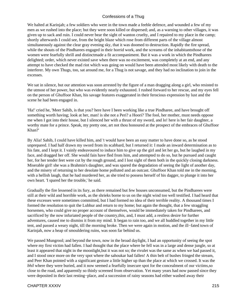We halted at Karinjah; a few soldiers who were in the town made a feeble defence, and wounded a few of my men as we rushed into the place; but they were soon killed or dispersed; and, as a warning to other villages, it was given up to sack and ruin. I could never bear the sight of wanton cruelty, and I repaired to my place in the camp; shortly afterwards I could see, from the bright blaze which rose from different parts of the village almost simultaneously against the clear gray evening sky, that it was doomed to destruction. Rapidly the fire spread, while the shouts of the Pindharees engaged in their horrid work, and the screams of the inhabitants those of the women were fearfully shrill and distinct made a fit accompaniment. But it was a work in which the Pindharees delighted; order, which never existed save when there was no excitement, was completely at an end, and any attempt to have checked the mad riot which was going on would have been attended most likely with death to the interferer. My own Thugs, too, sat around me, for a Thug is not savage, and they had no inclination to join in the excesses.

We sat in silence, but our attention was soon arrested by the figure of a man dragging along a girl, who resisted to the utmost of her power, but who was evidently nearly exhausted. I rushed forward to her rescue, and my eyes fell on the person of Ghuffoor Khan, his savage features exaggerated in their ferocious expression by lust and the scene he had been engaged in.

'Ha!' cried he, 'Meer Sahib, is that you? here have I been working like a true Pindharee, and have brought off something worth having; look at her, man! is she not a Peri? a Hoori? The fool, her mother, must needs oppose me when I got into their house, but I silenced her with a thrust of my sword, and lo! here is her fair daughter, a worthy mate for a prince. Speak, my pretty one, art not thou honoured at the prospect of the embraces of Ghuffoor Khan?'

By Alia! Sahib, I could have killed him, and 't would have been an easy matter to have done so, as he stood unprepared. I had half drawn my sword from its scabbard, but I returned it: I made an inward determination as to his fate, and I kept it. I vainly endeavoured to induce him to give up the girl and let her go, but he laughed in my face, and dragged her off. She would fain have fled from him, and attempted to do so, but he pursued and caught her, for her tender feet were cut by the rough ground, and I lost sight of them both in the quickly closing darkness. Miserable girl! she was a Brahmin's daughter, and was spared the degradation of seeing the light of another day, and the misery of returning to her desolate home polluted and an outcast. Ghuffoor Khan told me in the morning, with a hellish laugh, that he had murdered her, as she tried to possess herself of his dagger, to plunge it into her own heart. 'I spared her the trouble,' he said.

Gradually the fire lessened in its fury, as there remained but few houses unconsumed, but the Pindharees were still at their wild and horrible work, as the shrieks borne to us on the night wind too well testified. I had heard that these excesses were sometimes committed, but I had formed no idea of their terrible reality. A thousand times I formed the resolution to quit the Lubhur and return to my home; but again the thought, that a few straggling horsemen, who could give no proper account of themselves, would be immediately taken for Pindharees, and sacrificed by the now infuriated people of the country, this, and, I must add, a restless desire for further adventures, caused me to dismiss it from my mind. It began to rain too, and we all huddled together in my little tent, and passed a weary night, till the morning broke. Then we were again in motion, and the ill−fated town of Karinjah, now a heap of smouldering ruins, was soon far behind us.

We passed Mungrool; and beyond the town, now in the broad daylight, I had an opportunity of seeing the spot where my first victim had fallen. I had thought that the place where he fell was in a large and dense jungle, so at least it appeared that night in the moonlight, but it was not so; the rivulet was the same as when we had passed it, and I stood once more on the very spot where the sahoukar had fallen! A thin belt of bushes fringed the stream, and Peer Khan pointed with a significant gesture a little higher up than the place at which we crossed. It was the *bhil* where they were buried, and it now seemed a fearfully insecure spot for the concealment of our victims, so close to the road, and apparently so thinly screened from observation. Yet many years had now passed since they were deposited in their last resting−place, and a succession of rainy seasons had either washed away their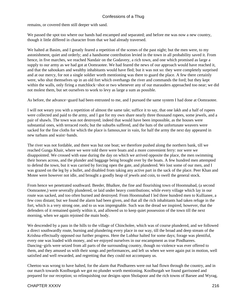remains, or covered them still deeper with sand.

We passed the spot too where our bands had encamped and separated; and before me was now a new country, though it little differed in character from that we had already traversed.

We halted at Basim, and I greatly feared a repetition of the scenes of the past night; but the men were, to my astonishment, quiet and orderly; and a handsome contribution levied in the town in all probability saved it. From hence, in five marches, we reached Nandair on the Godavery, a rich town, and one which promised as large a supply to our army as we had got at Oomraotee. We had feared the news of our approach would have reached it, and that the sahoukars and wealthy inhabitants would have fled; but it was not so: they were completely surprised and at our mercy, for not a single soldier worth mentioning was there to guard the place. A few there certainly were, who shut themselves up in an old fort which overhangs the river and commands the ford; but they kept within the walls, only firing a matchlock–shot or two whenever any of our marauders approached too near; we did not molest them, but set ourselves to work to levy as large a sum as possible.

As before, the advance−guard had been entrusted to me, and I pursued the same system I had done at Oomraotee.

I will not weary you with a repetition of almost the same tale; suffice it to say, that one lakh and a half of rupees were collected and paid to the army, and I got for my own share nearly three thousand rupees, some jewels, and a pair of shawls. The town was not destroyed; indeed that would have been impossible, as the houses were substantial ones, with terraced roofs; but the suburbs suffered, and the huts of the unfortunate weavers were sacked for the fine cloths for which the place is famous, nor in vain, for half the army the next day appeared in new turbans and waist−bands.

The river was not fordable, and there was but one boat; we therefore pushed along the northern bank, till we reached Gunga Khair, where we were told there were boats and a more convenient ferry: nor were we disappointed. We crossed with ease during the day on which we arrived opposite the place, the men swimming their horses across, and the plunder and baggage being brought over by the boats. A few hundred men attempted to defend the town, but it was carried by forcing open the gate, and plundered. We lost some of our men, and I was grazed on the leg by a bullet, and disabled from taking any active part in the sack of the place. Peer Khan and Motee were however not idle, and brought a goodly heap of jewels and coin, to swell the general stock.

From hence we penetrated southward. Beeder, Bhalkee, the fine and flourishing town of Hoomnabad, (a second Oomraotee,) were severally plundered, or laid under heavy contributions; while every village which lay in our route was sacked, and too often burned and destroyed. From Hoomnabad I led three hundred men to Kullianee, a few coss distant; but we found the alarm had been given, and that all the rich inhabitants had taken refuge in the fort, which is a very strong one, and to us was impregnable. Such was the dread we inspired, however, that the defenders of it remained quietly within it, and allowed us to keep quiet possession of the town till the next morning, when we again rejoined the main body.

We descended by a pass in the hills to the village of Chincholee, which was of course plundered, and we followed a direct southwardly route, burning and plundering every place in our way, till the broad and deep stream of the Krishna effectually opposed our further progress. Here the Lubhur halted for some days; forage was plentiful, every one was loaded with money, and we enjoyed ourselves in our encampment as true Pindharees. Dancing−girls were seized from all parts of the surrounding country, though no violence was ever offered to them, and they amused us with their songs and performances, and left us when we were again put in motion, well satisfied and well rewarded, and regretting that they could not accompany us.

Cheetoo was wrong to have halted, for the alarm that Pindharees were out had flown through the country, and in our march towards Koolburgah we got no plunder worth mentioning. Koolburgah we found garrisoned and prepared for our reception; so relinquishing our designs upon Sholapoor and the rich towns of Barsee and Wyrag,

#### CHAPTER XXXIV 216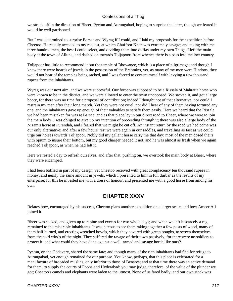we struck off in the direction of Bheer, Pyetun and Aurungabad, hoping to surprise the latter, though we feared it would be well garrisoned.

But I was determined to surprise Barsee and Wyrag if I could, and I laid my proposals for the expedition before Cheetoo. He readily acceded to my request, at which Ghuffoor Khan was extremely savage; and taking with me three hundred men, the best I could select, and dividing them into duffas under my own Thugs, I left the main body at the town of Allund, and dashed on towards Toljapoor, from whence there is a pass into the low country.

Toljapoor has little to recommend it but the temple of Bhowanee, which is a place of pilgrimage; and though I knew there were hoards of jewels in the possession of the Brahmins, yet, as many of my men were Hindoos, they would not hear of the temples being sacked, and I was forced to content myself with levying a few thousand rupees from the inhabitants.

Wyrag was our next aim, and we were successful. Our force was supposed to be a Rissala of Mahratta horse who were known to be in the district, and we were allowed to enter the town unopposed. We sacked it, and got a large booty, for there was no time for a proposal of contribution; indeed I thought not of that alternative, nor could I restrain my men after their long march. Yet they were not cruel, nor did I hear of any of them having tortured any one, and the inhabitants gave up enough of their valuables to satisfy them easily. Here we heard that the Rissala we had been mistaken for was at Barsee, and as that place lay in our direct road to Bheer, where we were to join the main body, I was obliged to give up my intention of proceeding through it; there was also a large body of the Nizam's horse at Purendah, and I feared that we might be cut off. An instant return by the road we had come was our only alternative; and after a few hours' rest we were again in our saddles, and travelling as fast as we could urge our horses towards Toljapoor. Nobly did my gallant horse carry me that day: most of the men dosed theirs with opium to insure their bottom, but my good charger needed it not, and he was almost as fresh when we again reached Toljapoor, as when he had left it.

Here we rested a day to refresh ourselves, and after that, pushing on, we overtook the main body at Bheer, where they were encamped.

I had been baffled in part of my design, yet Cheetoo received with great complacency ten thousand rupees in money, and nearly the same amount in jewels, which I presented to him in full durbar as the results of my enterprise; for this he invested me with a dress of honour, and presented me with a good horse from among his own.

# **CHAPTER XXXV**

Relates how, encouraged by his success, Cheetoo plans another expedition on a larger scale, and how Ameer Ali joined it

Bheer was sacked, and given up to rapine and excess for two whole days; and when we left it scarcely a rag remained to the miserable inhabitants. It was piteous to see them raking together a few posts of wood, many of them half burned, and erecting wretched hovels, which they covered with green boughs, to screen themselves from the cold winds of the night. They suffered the ravage of their town passively, for there were no soldiers to protect it; and what could they have done against a well−armed and savage horde like ours?

Pyetun, on the Godavery, shared the same fate; and though many of the rich inhabitants had fled for refuge to Aurungabad, yet enough remained for our purpose. You know, perhaps, that this place is celebrated for a manufacture of brocaded muslins, only inferior to those of Benares; and at that time there was an active demand for them, to supply the courts of Poona and Hyderabad: you may judge, therefore, of the value of the plunder we got; Cheetoo's camels and elephants were laden to the utmost. None of us fared badly; and our own stock was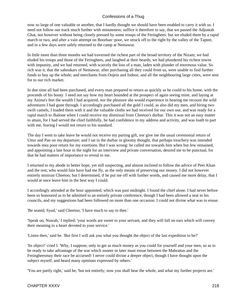now so large of one valuable or another, that I hardly thought we should have been enabled to carry it with us. I need not follow our track much further with minuteness; suffice it therefore to say, that we passed the Adjuntah Ghat, not however without being closely pressed by some troops of the Feringhees: but we eluded them by a rapid march or two, and after a vain attempt on Boorhan−poor, we struck off to the right by the valley of the Taptee, and in a few days were safely returned to the camp at Nemawur.

In little more than three months we had traversed the richest part of the broad territory of the Nizam; we had eluded his troops and those of the Feringhees, and laughed at their beards; we had plundered his richest towns with impunity, and we had returned, with scarcely the loss of a man, laden with plunder of enormous value. So rich was it, that the sahoukars of Nemawur, after purchasing all they could from us, were unable to find further funds to buy up the whole; and merchants from Oojein and Indoor, and all the neighbouring large cities, were sent for to our rich market.

In due time all had been purchased, and every man prepared to return as quickly as he could to his home, with the proceeds of his booty. I need not say how my heart bounded at the prospect of again seeing mine, and laying at my Azima's feet the wealth I had acquired, nor the pleasure she would experience in hearing me recount the wild adventures I had gone through. I accordingly purchased all the gold I could, as also did my men, and hiring two swift camels, I loaded them with it and the valuable cloths we had received for our own use, and was ready for a rapid march to Jhalone when I could receive my dismissal from Cheetoo's durbar. This it was not an easy matter to attain, for I had served the chief faithfully, he had confidence in my address and activity, and was loath to part with me, fearing I would not return to his standard.

The day I went to take leave he would not receive my parting gift, nor give me the usual ceremonial return of Uttur and Pan on my departure; and I sat in the durbar in gloomy thought, that perhaps treachery was intended towards mea poor return for my exertions. But I was wrong: he called me towards him when but few remained, and appointing a late hour in the night for an interview and private conversation, desired me to be punctual, for that he had matters of importance to reveal to me.

I returned to my abode in better hope, yet still suspecting, and almost inclined to follow the advice of Peer Khan and the rest, who would fain have had me fly, as the only means of preserving our money. I did not however entirely mistrust Cheetoo; but I determined, if he put me off with further words, and caused me more delay, that I would at once leave him in the best way I could.

I accordingly attended at the hour appointed, which was past midnight. I found the chief alone. I had never before been so honoured as to be admitted to an entirely private conference, though I had been allowed a seat in his councils, and my suggestions had been followed on more than one occasion. I could not divine what was to ensue.

'Be seated, Syud,' said Cheetoo; 'I have much to say to thee.'

'Speak on, Nuwab,' I replied; 'your words are sweet to your servant, and they will fall on ears which will convey their meaning to a heart devoted to your service.'

'Listen then,' said he. 'But first I will ask you what you thought the object of the last expedition to be?'

'Its object!' cried I. 'Why, I suppose, only to get as much money as you could for yourself and your men, so as to be ready to take advantage of the war which sooner or later must ensue between the Mahrattas and the Feringhees may their race be accursed! I never could divine a deeper object, though I have thought upon the subject myself, and heard many opinions expressed by others.'

'You are partly right,' said he, 'but not entirely; now you shall hear the whole, and what my further projects are.'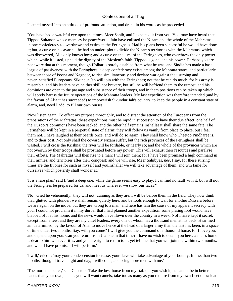I settled myself into an attitude of profound attention, and drank in his words as he proceeded.

'You have had a watchful eye upon the times, Meer Sahib, and I expected it from you. You may have heard that Tippoo Sultan on whose memory be peace! would fain have enlisted the Nizam and the whole of the Mahrattas in one confederacy to overthrow and extirpate the Feringhees. Had his plans been successful he would have done it; but, a curse on his avarice! he had an under−plot to divide the Nizam's territories with the Mahrattas, which was discovered, Alia only knows how; and a curse on the luck of the Feringhees, who overthrew the only power which, while it lasted, upheld the dignity of the Moslem's faith. Tippoo is gone, and his power. Perhaps you are not aware that at this moment, though Holkar is sorely disabled from what he was, and Sindia has made a base league of passiveness with the Feringhees, a deep confederacy exists among the Mahratta states, and particularly between those of Poona and Nagpoor, to rise simultaneously and declare war against the usurping and never−satisfied Europeans. Sikundur Jah will join with the Feringhees; not that he can do much, for his army is miserable, and his leaders have neither skill nor bravery, but still he will befriend them to the utmost, and his dominions are open to the passage and subsistence of their troops, and in them positions can be taken up which will sorely harass the future operations of the Mahratta leaders. My last expedition was therefore intended (and by the favour of Alia it has succeeded) to impoverish Sikundur Jah's country, to keep the people in a constant state of alarm, and, need I add, to fill our own purses.

'Now listen again. To effect my purpose thoroughly, and to distract the attention of the Europeans from the preparations of the Mahrattas, these expeditions must be rapid in succession to have their due effect: one half of the Huzoor's dominions have been sacked, and the other half remains;Inshalla! it shall share the same fate. The Feringhees will be kept in a perpetual state of alarm; they will follow us vainly from place to place, but I fear them not. I have laughed at their beards once, and will do so again. They shall know who Cheetoo Pindharee is, and to their cost. Not only shall the cowardly Nizam suffer, but the rich provinces of the Feringhees shall be wasted. I will cross the Krishna; the river will be fordable, or nearly so; and the whole of the provinces which are not overrun by their troops shall be prostrated before my power. This will exhaust their resources and paralyse their efforts. The Mahrattas will then rise to a man: I will join them; for I have been promised a high command in their armies, and territories after their conquest; and we will rise, Meer Sahibyes, *nee,* I say, for these stirring times are the fit ones for such as myself and you Inshalla! we will take advantage of them, and win fame for ourselves which posterity shall wonder at.'

'It is a rare plan,' said I, 'and a deep one, while the game seems easy to play. I can find no fault with it; but will not the Feringhees be prepared for us, and meet us wherever we show our faces?'

'No!' cried he vehemently, 'they will not! cunning as they are, I will be before them in the field. They now think that, glutted with plunder, we shall remain quietly here, and be fools enough to wait for another Dussera before we are again on the move; but they are wrong to a man: and here has lain the cause of my apparent secrecy with you. I could not proclaim it in my durbar that I had planned another expedition; some prating fool would have blabbed of it at his home, and the news would have flown over the country in a week. No! I have kept it secret, except from a few, and they are my chief leaders, every one of whom has a thousand men at his back. Hear me, I am determined, by the favour of Alia, to move hence at the head of a larger army than the last has been, in a space of time under two months. Say, will you come? I will give you the command of a thousand horse, for I love you, and depend upon you. Can you return from Jhalone in that time? I have no wish to detain you here; a man's home is dear to him wherever it is, and you are right to return to it: yet tell me that you will join me within two months, and what I have promised I will perform.'

'I will,' cried I; 'may your condescension increase, your slave will take advantage of your bounty. In less than two months, though I travel night and day, I will come, and bring more men with me.'

'The more the better,' said Cheetoo. 'Take the best horse from my stable if you wish it, he cannot be in better hands than your own; and as you will want camels, take too as many as you require from my own fleet ones: load

#### CHAPTER XXXV 219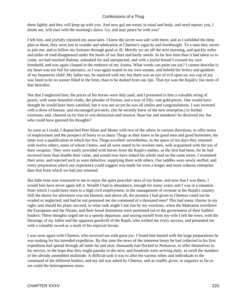them lightly and they will keep up with you. And now go I am weary in mind and body, and need repose; you, I doubt not, will start with the morning's dawn. Go, and may peace be with you!'

I left him, and joyfully rejoined my associates. I knew the secret was safe with them; and as I unfolded the deep plan to them, they were lost in wonder and admiration at Cheetoo's sagacity and forethought. To a man they swore to join me, and to follow my fortunes through good or ill. Merrily we set off the next morning, and quickly miles and miles of road disappeared under the hoofs of our fleet and hardy steeds. In far less time than it had taken us to come, we had reached Jhalone, unlooked for and unexpected, and with a joyful bound I crossed my own threshold, and was again clasped in the embrace of my Azima. What words can paint our joy? I cannot describe it; my heart was too full for utterance, as I was again seated in my own zenana, and beheld the frolics and gambols of my beauteous child. My father too, he rejoiced with me; but there was an eye of evil upon us; our cup of joy was fated to be no sooner filled to the brim, than to be dashed from our lips. That eye was the Rajah's: but more of that hereafter.

Not that I neglected him; the prices of his horses were duly paid, and I presented to him a valuable string of pearls, with some beautiful cloths, the plunder of Pyetun, and a tray of fifty−one gold pieces. One would have thought he would have been satisfied, but it was not so:yet he was all smiles and congratulations. I was invested with a dress of honour, and encouraged privately, (for he secretly knew of the new enterprise,) to further exertions, and. cheered on by him to win distinction and renown. Base liar and murderer! he deceived me; but who could have guessed his thoughts?

As soon as I could, I dispatched Peer Khan and Motee with two of the others in various directions, to offer terms of employment and the prospect of booty to as many Thugs as they knew to be good men and good horsemen; the latter was a qualification in which but few Thugs excelled: nevertheless, in the space of ten days they returned with twelve others, some of whom I knew, and all were stated to be resolute men, well acquainted with the use of their weapons. They were easily provided with horses from the Rajah's stables, as the first had been, for he had received more than double their value, and would now have risked his whole stud on the same terms. I examined their arms, and rejected such as were defective, supplying them with others. Our saddles were newly stuffed, and every preparation which our experience could suggest was made for even a longer and more arduous enterprise than that from which we had just returned.

But little time now remained to me to enjoy the quiet peaceful−ness of my home, and now that I was there, I would fain have never again left it. Wealth I had in abundance, enough for many years; and I was in a situation from which I could have risen to a high civil employment, in the management of revenue in the Rajah's country. Still the desire for adventure was not blunted, and above all, the promise I had given to Cheetoo could not be evaded or neglected; and had he not promised me the command of a thousand men? This had many charms in my sight; and should his plans succeed, to what rank might I not rise by my exertions, when the Mahrattas overthrew the Europeans and the Nizam, and their broad dominions were portioned out to the government of their faithful leaders! These thoughts urged me to a speedy departure, and tearing myself from my wife I left the town, with the blessings of my father and the apparent goodwill of the Rajah, who wished me every success, and presented me with a valuable sword as a mark of his especial favour.

I was soon again with Cheetoo, who received me with great joy: I found him busied with the large preparations he was making for his intended expedition. By this time the news of the immense booty he had collected in his first expedition had spread through all lands far and near; thousands had flocked to Nemawur, to offer themselves to his service, in the hope that they might partake in the next; and hundreds were arriving daily, to swell the numbers of the already assembled multitude. A difficult task it was to allot the various tribes and individuals to the command of the different leaders; and my aid was asked by Cheetoo, and as readily given, to organize as far as we could the heterogeneous mass.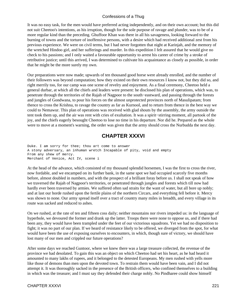It was no easy task, for the men would have preferred acting independently, and on their own account; but this did not suit Cheetoo's intentions, as his irruption, though for the sole purpose of ravage and plunder, was to be of a more regular kind than the preceding. Ghuffoor Khan was there in all his savageness, looking forward to the burning of towns and the torture of inoffensive persons, with a desire which had received additional zest from his previous experience. We were on civil terms, but I had never forgotten that night at Karinjah, and the memory of the wretched Hindoo girl, and her sufferings and murder. In this expedition I felt assured that he would give no check to his passions; and I only waited a favourable opportunity to arrest his career of crime by a stroke of retributive justice; until this arrived, I was determined to cultivate his acquaintance as closely as possible, in order that he might be the more surely my own.

Our preparations were now made; upwards of ten thousand good horse were already enrolled, and the number of their followers was beyond computation; how they existed on their own resources I know not, but they did so, and right merrily too, for our camp was one scene of revelry and enjoyment. As a final ceremony, Cheetoo held a general durbar, at which all the chiefs and leaders were present: he disclosed his plan of operations, which was, to penetrate through the territories of the Rajah of Nagpoor to the south−eastward, and passing through the forests and jungles of Gondwana, to pour his forces on the almost unprotected provinces north of Masulipatam; from thence to cross the Krishna, to ravage the country as far as Kurnool, and to return from thence in the best way we could to Nemawur. This plan of operations was received with glad shouts by the assembly, the army outside the tent took them up, and the air was rent with cries of exultation. It was a spirit−stirring moment, all partook of the joy, and the chiefs eagerly besought Cheetoo to lose no time in his departure. Nor did he. Prepared as the whole were to move at a moment's warning, the order was given that the army should cross the Nurbudda the next day.

# **CHAPTER XXXVI**

Duke. I am sorry for thee; thou art come to answer A stony adversary, an inhuman wretch Incapable of pity, void and empty From any shew of mercy. Merchant of Venice, Act IV, scene i

At the head of the advance, which consisted of my thousand splendid horsemen, I was the first to cross the river, now fordable, and we encamped on its further bank, in the same spot we had occupied scarcely five months before, almost doubled in numbers, and with the prospect of a brilliant foray before us. I shall not speak of how we traversed the Rajah of Nagpoor's territories, or penetrated through jungles and forests which till now had hardly ever been traversed by armies. We suffered often sad straits for the want of water, but all bore up nobly; and at last our horde rushed upon the fertile plains of the northern Circars, and everything fell before it. Mercy was shown to none. Our army spread itself over a tract of country many miles in breadth, and every village in its route was sacked and reduced to ashes.

On we rushed, at the rate of ten and fifteen coss daily; neither mountains nor rivers impeded us: in the language of hyperbole, we devoured the former and drank up the latter. Troops there were none to oppose us, and if there had been any, they would have been trampled under the feet of our victorious squadrons. Yet we had no disposition to fight; it was no part of our plan. If we heard of resistance likely to be offered, we diverged from the spot, for what would have been the use of exposing ourselves to encounters, in which, though sure of victory, we should have lost many of our men and crippled our future operations?

After some days we reached Guntoor, where we knew there was a large treasure collected, the revenue of the province we had desolated. To gain this was an object on which Cheetoo had set his heart, as he had heard it amounted to many lakhs of rupees, and it belonged to the detested Europeans. My men rushed with yells more like those of demons than men upon the devoted town. To restrain them would have been vain, and I did not attempt it. It was thoroughly sacked in the presence of the British officers, who confined themselves to a building in which was the treasure; and I must say they defended their charge nobly. No Pindharee could show himself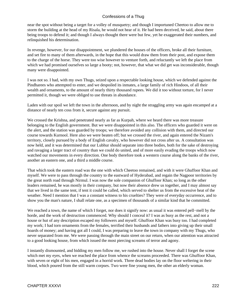near the spot without being a target for a volley of musquetry; and though I importuned Cheetoo to allow me to storm the building at the head of my Risala, he would not hear of it. He had been deceived, he said, about there being troops to defend it; and though I always thought there were but few, yet he exaggerated their numbers, and relinquished his determination.

In revenge, however, for our disappointment, we plundered the houses of the officers, broke all their furniture, and set fire to many of them afterwards, in the hope that this would draw them from their post, and expose them to the charge of the horse. They were too wise however to venture forth, and reluctantly we left the place from which we had promised ourselves so large a booty; not, however, that what we did get was inconsiderable, though many were disappointed.

I was not so. I had, with my own Thugs, seized upon a respectable looking house, which we defended against the Pindharees who attempted to enter, and we despoiled its inmates, a large family of rich Hindoos, of all their wealth and ornaments, to the amount of nearly thirty thousand rupees. We did it too without torture, for I never permitted it, though we were obliged to use threats in abundance.

Laden with our spoil we left the town in the afternoon, and by night the straggling army was again encamped at a distance of nearly ten coss from it, secure against any pursuit.

We crossed the Krishna, and penetrated nearly as far as Kurpah, where we heard there was more treasure belonging to the English government. But we were disappointed in this also. The officers who guarded it were on the alert, and the station was guarded by troops; we therefore avoided any collision with them, and directed our course towards Kurnool. Here also we were beaten off; but we crossed the river, and again entered the Nizam's territory, closely pursued by a body of English cavalry, who however did not cross after us. A consultation was now held, and it was determined that our Lubhur should separate into three bodies, both for the sake of destroying and ravaging a larger tract of country than we could do united, and of more easily evading the troops which now watched our movements in every direction. One body therefore took a western course along the banks of the river, another an eastern one, and a third a middle course.

That which took the eastern road was the one with which Cheetoo remained, and with it were Ghuffoor Khan and myself. We were to pass through the country to the eastward of Hyderabad, and regain the Nagpoor territories by the great north road through Nirmul. I was now the sole companion of Ghuffoor Khan; so long as the other leaders remained, he was mostly in their company, but now their absence drew us together, and I may almost say that we lived in the same tent, if tent it could be called, which served to shelter us from the excessive heat of the weather. Need I mention that I was a constant witness to his cruelties? They were of everyday occurrence, and to show you the man's nature, I shall relate one, as a specimen of thousands of a similar kind that he committed.

We reached a town, the name of which I forget, nor does it signify now: as usual it was entered pell−mell by the horde, and the work of destruction commenced. Why should I conceal it? I was as busy as the rest, and not a house or hut of any description escaped my followers and myself. Ghuffoor Khan was busy too. I had completed my work; I had torn ornaments from the females, terrified their husbands and fathers into giving up their small hoards of money; and having got all I could, I was preparing to leave the town in company with my Thugs, who never separated from me. We were passing through the main street on our return, when our attention was attracted to a good looking house, from which issued the most piercing screams of terror and agony.

I instantly dismounted, and bidding my men follow me, we rushed into the house. Never shall I forget the scene which met my eyes, when we reached the place from whence the screams proceeded. There was Ghuffoor Khan, with seven or eight of his men, engaged in a horrid work. Three dead bodies lay on the floor weltering in their blood, which poured from the still warm corpses. Two were fine young men, the other an elderly woman.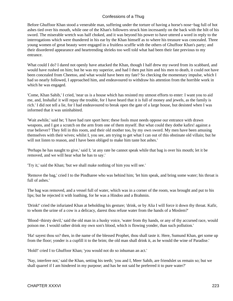Before Ghuffoor Khan stood a venerable man, suffering under the torture of having a horse's nose−bag full of hot ashes tied over his mouth, while one of the Khan's followers struck him incessantly on the back with the hilt of his sword. The miserable wretch was half choked, and it was beyond his power to have uttered a word in reply to the interrogations which were thundered in his ear by the Khan himself as to where his treasure was concealed. Three young women of great beauty were engaged in a fruitless scuffle with the others of Ghuffoor Khan's party; and their disordered appearance and heartrending shrieks too well told what had been their fate previous to my entrance.

What could I do? I dared not openly have attacked the Khan, though I half drew my sword from its scabbard, and would have rushed on him; but he was my superior, and had I then put him and his men to death, it could not have been concealed from Cheetoo, and what would have been my fate? So checking the momentary impulse, which I had so nearly followed, I approached him, and endeavoured to withdraw his attention from the horrible work in which he was engaged.

'Come, Khan Sahib,' I cried, 'near us is a house which has resisted my utmost efforts to enter: I want you to aid me, and, Inshalla! it will repay the trouble, for I have heard that it is full of money and jewels, as the family is rich.' I did not tell a lie, for I had endeavoured to break open the gate of a large house, but desisted when I was informed that it was uninhabited.

'Wait awhile,' said he; 'I have had rare sport here; these fools must needs oppose our entrance with drawn weapons, and I got a scratch on the arm from one of them myself. But what could they dothe kafirs! against a true believer? They fell in this room, and their old mother too, by my own sword. My men have been amusing themselves with their wives; whilst I, you see, am trying to get what I can out of this obstinate old villain; but he will not listen to reason, and I have been obliged to make him taste hot ashes.'

'Perhaps he has naught to give,' said I; 'at any rate he cannot speak while that bag is over his mouth; let it be removed, and we will hear what he has to say.'

'Try it,' said the Khan; 'but we shall make nothing of him you will see.'

'Remove the bag,' cried I to the Pindharee who was behind him; 'let him speak, and bring some water; his throat is full of ashes.'

The bag was removed, and a vessel full of water, which was in a corner of the room, was brought and put to his lips; but he rejected it with loathing, for he was a Hindoo and a Brahmin.

'Drink!' cried the infuriated Khan at beholding his gesture; 'drink, or by Alia I will force it down thy throat. Kafir, to whom the urine of a cow is a delicacy, darest thou refuse water from the hands of a Moslem?'

'Blood−thirsty devil,' said the old man in a husky voice, 'water from thy hands, or any of thy accursed race, would poison me. I would rather drink my own son's blood, which is flowing yonder, than such pollution.'

'Ha! sayest thou so? then, in the name of the blessed Prophet, thou shall taste it. Here, Sumund Khan, get some up from the floor; yonder is a cup fill it to the brim; the old man shall drink it, as he would the wine of Paradise.'

'Hold!' cried I to Ghuffoor Khan; 'you would not do so inhuman an act.'

'Nay, interfere not,' said the Khan, setting his teeth; 'you and I, Meer Sahib, are friendslet us remain so; but we shall quarrel if I am hindered in my purpose; and has he not said he preferred it to pure water?'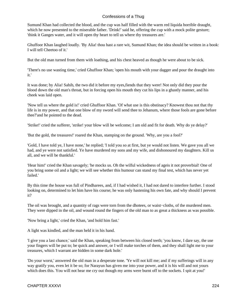Sumund Khan had collected the blood, and the cup was half filled with the warm red liquida horrible draught, which he now presented to the miserable father. 'Drink!' said he, offering the cup with a mock polite gesture; 'think it Ganges water, and it will open thy heart to tell us where thy treasures are.'

Ghuffoor Khan laughed loudly. 'By Alia! thou hast a rare wit, Sumund Khan; the idea should be written in a book: I will tell Cheetoo of it.'

But the old man turned from them with loathing, and his chest heaved as though he were about to be sick.

'There's no use wasting time,' cried Ghuffoor Khan; 'open his mouth with your dagger and pour the draught into it.'

It was done; by Alia! Sahib, the two did it before my eyes, fiends that they were! Not only did they pour the blood down the old man's throat, but in forcing open his mouth they cut his lips in a ghastly manner, and his cheek was laid open.

'Now tell us where the gold is!' cried Ghuffoor Khan. 'Of what use is this obstinacy? Knowest thou not that thy life is in my power, and that one blow of my sword will send thee to Jehanum, where those fools are gone before thee?'and he pointed to the dead.

'Strike!' cried the sufferer, 'strike! your blow will be welcome; I am old and fit for death. Why do ye delay?'

'But the gold, the treasures!' roared the Khan, stamping on the ground. 'Why, are you a fool?'

'Gold, I have told ye, I have none,' he replied; 'I told you so at first, but ye would not listen. We gave you all we had, and ye were not satisfied. Ye have murdered my sons and my wife, and dishonoured my daughters. Kill us all, and we will be thankful.'

'Hear him!' cried the Khan savagely; 'he mocks us. Oh the wilful wickedness of age is it not proverbial! One of you bring some oil and a light; we will see whether this humour can stand my final test, which has never yet failed.'

By this time the house was full of Pindharees, and, if I had wished it, I had not dared to interfere further. I stood looking on, determined to let him have his course; he was only hastening his own fate, and why should I prevent it?

The oil was brought, and a quantity of rags were torn from the dhotees, or waist–cloths, of the murdered men. They were dipped in the oil, and wound round the fingers of the old man to as great a thickness as was possible.

'Now bring a light,' cried the Khan, 'and hold him fast.'

A light was kindled, and the man held it in his hand.

'I give you a last chance,' said the Khan, speaking from between his closed teeth; 'you know, I dare say, the use your fingers will be put to; be quick and answer, or I will make torches of them, and they shall light me to your treasures, which I warrant are hidden in some dark hole.'

'Do your worst,' answered the old man in a desperate tone. 'Ye will not kill me; and if my sufferings will in any way gratify you, even let it be so; for Narayun has given me into your power, and it is his will and not yours which does this. You will not hear me cry out though my arms were burnt off to the sockets. I spit at you!'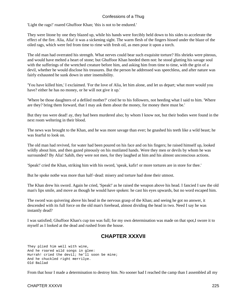'Light the rags!' roared Ghuffoor Khan; 'this is not to be endured.'

They were litone by one they blazed up, while his hands were forcibly held down to his sides to accelerate the effect of the fire. Alia, Alia! it was a sickening sight. The warm flesh of the fingers hissed under the blaze of the oiled rags, which were fed from time to rime with fresh oil, as men pour it upon a torch.

The old man had overrated his strength. What nerves could bear such exquisite torture? His shrieks were piteous, and would have melted a heart of stone; but Ghuffoor Khan heeded them not: he stood glutting his savage soul with the sufferings of the wretched creature before him, and asking him from time to time, with the grin of a devil, whether he would disclose his treasures. But the person he addressed was speechless, and after nature was fairly exhausted he sunk down in utter insensibility.

'You have killed him,' I exclaimed. 'For the love of Alia, let him alone, and let us depart; what more would you have? either he has no money, or he will not give it up.'

'Where be those daughters of a defiled mother?' cried he to his followers, not heeding what I said to him. 'Where are they? bring them forward, that I may ask them about the money, for money there must be.'

But they too were dead! ay, they had been murdered also; by whom I know not, but their bodies were found in the next room weltering in their blood.

The news was brought to the Khan, and he was more savage than ever; he gnashed his teeth like a wild beast; he was fearful to look on.

The old man had revived, for water had been poured on his face and on his fingers; he raised himself up, looked wildly about him, and then gazed piteously on his mutilated hands. Were they men or devils by whom he was surrounded? By Alia! Sahib, they were not men, for they laughed at him and his almost unconscious actions.

'Speak!' cried the Khan, striking him with his sword, 'speak, kafir! or more tortures are in store for thee.'

But he spoke not he was more than half–dead: misery and torture had done their utmost.

The Khan drew his sword. Again he cried, 'Speak!' as he raised the weapon above his head. I fancied I saw the old man's lips smile, and move as though he would have spoken: he cast his eyes upwards, but no word escaped him.

The sword was quivering above his head in the nervous grasp of the Khan; and seeing he got no answer, it descended with its full force on the old man's forehead, almost dividing the head in two. Need I say he was instantly dead?

I was satisfied; Ghuffoor Khan's cup too was full; for my own determination was made on that spot,I swore it to myself as I looked at the dead and rushed from the house.

## **CHAPTER XXXVII**

They plied him well with wine, And he roared wild songs in glee: Hurrah! cried the devil; he'll soon be mine; And he chuckled right merrilye. Old Ballad

From that hour I made a determination to destroy him. No sooner had I reached the camp than I assembled all my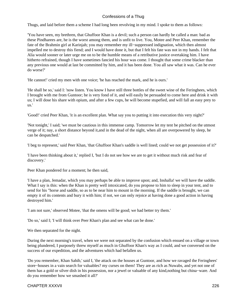Thugs, and laid before them a scheme I had long been revolving in my mind. I spoke to them as follows:

'You have seen, my brethren, that Ghuffoor Khan is a devil; such a person can hardly be called a man: bad as these Pindharees are, he is the worst among them, and is unfit to live. You, Motee and Peer Khan, remember the fate of the Brahmin girl at Karinjah; you may remember my ill−suppressed indignation, which then almost impelled me to destroy this fiend; and I would have done it, but that I felt his fate was not in my hands. I felt that Alia would sooner or later urge me on to be the humble means of a retributive justice overtaking him. I have hitherto refrained, though I have sometimes fancied his hour was come. I thought that some crime blacker than any previous one would at last be committed by him, and it has been done. You all saw what it was. Can he ever do worse?'

'He cannot!' cried my men with one voice; 'he has reached the mark, and he is ours.'

'He shall be so,' said I: 'now listen. You know I have still three bottles of the sweet wine of the Feringhees, which I brought with me from Guntoor; he is very fond of it, and will easily be persuaded to come here and drink it with us; I will dose his share with opium, and after a few cups, he will become stupefied, and will fall an easy prey to us.'

'Good!' cried Peer Khan, 'it is an excellent plan. What say you to putting it into execution this very night?'

'Not tonight,' I said; 'we must be cautious in this immense camp. Tomorrow let my tent be pitched on the utmost verge of it; nay, a short distance beyond it, and in the dead of the night, when all are overpowered by sleep, he can be despatched.'

'I beg to represent,' said Peer Khan, 'that Ghuffoor Khan's saddle is well lined; could we not get possession of it?'

'I have been thinking about it,' replied I, 'but I do not see how we are to get it without much risk and fear of discovery.'

Peer Khan pondered for a moment; he then said,

'I have a plan, Jemadar, which you may perhaps be able to improve upon; and, Inshalla! we will have the saddle. What I say is this: when the Khan is pretty well intoxicated, do you propose to him to sleep in your tent, and to send for his "horse and saddle, so as to be near him to mount in the morning. If the saddle is brought, we can empty it of its contents and bury it with him; if not, we can only rejoice at having done a good action in having destroyed him.'

'I am not sure,' observed Motee, 'that the omens will be good; we had better try them.'

'Do so,' said I; 'I will think over Peer Khan's plan and see what can be done.'

We then separated for the night.

During the next morning's travel, when we were not separated by the confusion which ensued on a village or town being plundered, I purposely threw myself as much in Ghuffoor Khan's way as I could, and we conversed on the success of our expedition, and the adventures which had befallen us.

'Do you remember, Khan Sahib,' said I, 'the attack on the houses at Guntoor, and how we ravaged the Feringhees' store−houses in a vain search for valuables? my curses on them! They are as rich as Nuwabs, and yet not one of them has a gold or silver dish in his possession, nor a jewel or valuable of any kind, nothing but china–ware. And do you remember how we smashed it all?'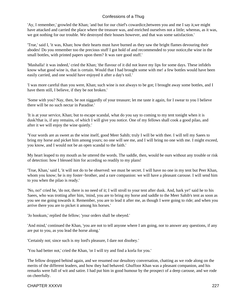'Ay, I remember,' growled the Khan; 'and but for our chief's cowardice, between you and me I say it, we might have attacked and carried the place where the treasure was, and enriched ourselves not a little; whereas, as it was, we got nothing for our trouble. We destroyed their houses however, and that was some satisfaction.'

'True,' said I, 'it was, Khan; how their hearts must have burned as they saw the bright flames devouring their abodes! Do you remember too the precious stuff I got hold of and recommended to your notice, the wine in the small bottles, with printed papers upon them? It was rare good stuff.'

'Mashalla! it was indeed,' cried the Khan; 'the flavour of it did not leave my lips for some days. These infidels know what good wine is, that is certain. Would that I had brought some with me! a few bottles would have been easily carried, and one would have enjoyed it after a day's toil.'

'I was more careful than you were, Khan; such wine is not always to be got; I brought away some bottles, and I have them still, I believe, if they be not broken.'

'Some with you? Nay, then, be not niggardly of your treasure; let me taste it again, for I swear to you I believe there will be no such nectar in Paradise.'

'It is at your service, Khan; but to escape scandal, what do you say to coming to my tent tonight when it is dusk? that is, if any remains, of which I will give you notice. One of my fellows shall cook a good pilao, and after it we will enjoy the wine quietly.'

'Your words are as sweet as the wine itself, good Meer Sahib; truly I will be with thee. I will tell my Saees to bring my horse and picket him among yours; no one will see me, and I will bring no one with me. I might exceed, you know, and I would not be an open scandal to the faith.'

My heart leaped to my mouth as he uttered the words. The saddle, then, would be ours without any trouble or risk of detection: how I blessed him for acceding so readily to my plans!

'True, Khan,' said I, 'it will not do to be observed: we must be secret. I will have no one in my tent but Peer Khan, whom you know; he is my foster−brother, and a rare companion: we will have a pleasant carouse. I will send him to you when the pilao is ready.'

'No, no!' cried he, 'do not, there is no need of it; I will stroll to your tent after dusk. And, hark ye!' said he to his Saees, who was trotting after him, 'mind, you are to bring my horse and saddle to the Meer Sahib's tent as soon as you see me going towards it. Remember, you are to lead it after me, as though I were going to ride; and when you arrive there you are to picket it among his horses.'

'Jo hookum,' replied the fellow; 'your orders shall be obeyed.'

'And mind,' continued the Khan, 'you are not to tell anyone where I am going, nor to answer any questions, if any are put to you, as you lead the horse along.'

'Certainly not; since such is my lord's pleasure, I dare not disobey.'

'You had better not,' cried the Khan, 'or I will try and find a korla for you.'

The fellow dropped behind again, and we resumed our desultory conversation, chatting as we rode along on the merits of the different leaders, and how they had behaved. Ghuffoor Khan was a pleasant companion, and his remarks were full of wit and satire. I had put him in good humour by the prospect of a deep carouse, and we rode on cheerfully.

#### CHAPTER XXXVII 227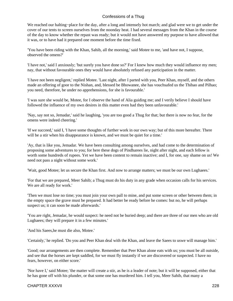We reached our halting−place for the day, after a long and intensely hot march; and glad were we to get under the cover of our tents to screen ourselves from the noonday heat. I had several messages from the Khan in the course of the day to know whether the repast was ready; but it would not have answered my purpose to have allowed that it was, or to have had it prepared one moment before the time fixed.

'You have been riding with the Khan, Sahib, all the morning,' said Motee to me, 'and have not, I suppose, observed the omens?'

'I have not,' said I anxiously; 'but surely you have done so?' For I knew how much they would influence my men; nay, that without favourable ones they would have absolutely refused any participation in the matter.

'I have not been negligent,' replied Motee. 'Last night, after I parted with you, Peer Khan, myself, and the others made an offering of goor to the Nishan, and, blessed be Bhowanee, she has vouchsafed us the Thibao and Pilhao; you need, therefore, be under no apprehensions, for she is favourable.'

'I was sure she would be, Motee, for I observe the hand of Alia guiding me; and I verily believe I should have followed the influence of my own desires in this matter even had they been unfavourable.'

'Nay, say not so, Jemadar,' said he laughing, 'you are too good a Thug for that; but there is now no fear, for the omens were indeed cheering.'

'If we succeed,' said I, 'I have some thoughts of further work in our own way; but of this more hereafter. There will be a stir when his disappearance is known, and we must be quiet for a time.'

'Ay, that is like you, Jemadar. We have been consulting among ourselves, and had come to the determination of proposing some adventures to you; for here these dogs of Pindharees lie, night after night, and each fellow is worth some hundreds of rupees. Yet we have been content to remain inactive; and I, for one, say shame on us! We need not pass a night without some work.'

'Wait, good Motee; let us secure the Khan first. And now to arrange matters; we must be our own Lughaees.'

'For that we are prepared, Meer Sahib; a Thug must do his duty in any grade when occasion calls for his services. We are all ready for work.'

'Then we must lose no time; you must join your own pall to mine, and put some screen or other between them; in the empty space the grave must be prepared. It had better be ready before he comes: but no, he will perhaps suspect us; it can soon be made afterwards.'

'You are right, Jemadar, he would suspect: he need not be buried deep; and there are three of our men who are old Lughaees; they will prepare it in a few minutes.'

'And his Saees, he must die also, Motee.'

'Certainly,' he replied. 'Do you and Peer Khan deal with the Khan, and leave the Saees to uswe will manage him.'

'Good; our arrangements are then complete. Remember that Peer Khan alone eats with us; you must be all outside, and see that the horses are kept saddled, for we must fly instantly if we are discovered or suspected. I have no fears, however, on either score.'

'Nor have I,' said Motee; 'the matter will create a stir, as he is a leader of note; but it will be supposed, either that he has gone off with his plunder, or that some one has murdered him. I tell you, Meer Sahib, that many a

#### CHAPTER XXXVII 228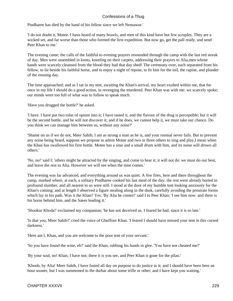Pindharee has died by the hand of his fellow since we left Nemawur.'

'I do not doubt it, Motee. I have heard of many brawls, and men of this kind have but few scruples. They are a wicked set, and far worse than those who formed the first expedition. But now go, get the pall ready, and send Peer Khan to me.'

The evening came; the calls of the faithful to evening prayers resounded through the camp with the last red streak of day. Men were assembled in knots, kneeling on their carpets, addressing their prayers to Alia,men whose hands were scarcely cleansed from the blood they had that day shed! The ceremony over, each separated from his fellow, to lie beside his faithful horse, and to enjoy a night of repose, to fit him for the toil, the rapine, and plunder of the ensuing day.

The time approached; and as I sat in my tent, awaiting the Khan's arrival, my heart exulted within me, that for once in my life I should do a good action, in revenging the murdered. Peer Khan was with me: we scarcely spoke; our minds were too full of what was to follow to speak much.

'Have you drugged the bottle?' he asked.

'I have. I have put two tolas of opium into it; I have tasted it, and the flavour of the drug is perceptible; but it will be the second bottle, and he will not discover it; and if he does, we cannot help it, we must take our chance. Do you think we can manage him between us, without any noise?'

'Shame on us if we do not, Meer Sahib; I am as strong a man as he is, and your roomal never fails. But to prevent any noise being heard, suppose we propose to admit Motee and two or three others to sing and play, I mean when the Khan has swallowed his first bottle. Motee has a sitar and a small drum with him, and its noise will drown all others.'

'No, no!' said I; 'others might be attracted by the singing, and come to hear it; it will not do: we must do our best, and leave the rest to Alia. However we will see when the time comes.'

The evening was far advanced, and everything around us was quiet. A few fires, here and there throughout the camp, marked where, at each, a solitary Pindharee cooked his last meal of the day; the rest were already buried in profound slumber, and all nearest to us were still. I stood at the door of my humble tent looking anxiously for the Khan's coming; and at length I observed a figure stealing along in the dusk, carefully avoiding the prostrate forms which lay in his path. Was it the Khan? Yes. 'By Alia he comes!' said I to Peer Khan; 'I see him now: and there is his horse behind him, and the Saees leading it.'

'Shookur Khoda!' exclaimed my companion; 'he has not deceived us. I feared he had, since it is so late.'

'Is that you, Meer Sahib?' cried the voice of Ghuffoor Khan. 'I feared I should have missed your tent in this cursed darkness.'

'Here am I, Khan, and you are welcome to the poor tent of your servant.'

'So you have found the wine, eh?' said the Khan, rubbing his hands in glee. 'You have not cheated me?'

'By your soul, no! Khan, I have not; there it is you see, and Peer Khan is gone for the pilao.'

'Khoob, by Alia! Meer Sahib, I have fasted all day on purpose to do justice to it; and I should have been here an hour sooner, but I was summoned to the durbar about some trifle or other; and I have kept you waiting.'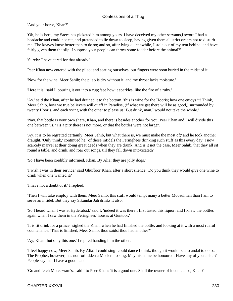'And your horse, Khan?'

'Oh, he is here; my Saees has picketed him among yours. I have deceived my other servants, I swore I had a headache and could not eat, and pretended to lie down to sleep, having given them all strict orders not to disturb me. The knaves knew better than to do so; and so, after lying quiet awhile, I stole out of my tent behind, and have fairly given them the slip. I suppose your people can throw some fodder before the animal?'

'Surely: I have cared for that already.'

Peer Khan now entered with the pilao; and seating ourselves, our fingers were soon buried in the midst of it.

'Now for the wine, Meer Sahib; the pilao is dry without it, and my throat lacks moisture.'

'Here it is,' said I, pouring it out into a cup; 'see how it sparkles, like the fire of a ruby.'

'Ay,' said the Khan, after he had drained it to the bottom, 'this is wine for the Hooris; how one enjoys it! Think, Meer Sahib, how we true believers will quaff in Paradise, (if what we get there will be as good,) surrounded by twenty Hooris, and each vying with the other to please us! But drink, man,I would not take the whole.'

'Nay, that bottle is your own share, Khan, and there is besides another for you; Peer Khan and I will divide this one between us. 'Tis a pity there is not more, or that the bottles were not larger.'

'Ay, it is to be regretted certainly, Meer Sahib, but what there is, we must make the most of;' and he took another draught. 'Only think,' continued he, 'of those infidels the Feringhees drinking such stuff as this every day. I now scarcely marvel at their doing great deeds when they are drunk. And is it not the case, Meer Sahib, that they all sit round a table, and drink, and roar out songs, till they fall down intoxicated?'

'So I have been credibly informed, Khan. By Alia! they are jolly dogs.'

'I wish I was in their service,' said Ghuffoor Khan, after a short silence. 'Do you think they would give one wine to drink when one wanted it?'

'I have not a doubt of it,' I replied.

'Then I will take employ with them, Meer Sahib; this stuff would tempt many a better Moosulman than I am to serve an infidel. But they say Sikundar Jah drinks it also.'

'So I heard when I was at Hyderabad,' said I; 'indeed it was there I first tasted this liquor; and I knew the bottles again when I saw them in the Feringhees' houses at Guntoor.'

'It is fit drink for a prince,' sighed the Khan, when he had finished the bottle, and looking at it with a most rueful countenance. 'That is finished, Meer Sahib; thou saidst thou had another?'

'Ay, Khan! but only this one,' I replied handing him the other.

'I feel happy now, Meer Sahib. By Alia! I could singI could dance I think, though it would be a scandal to do so. The Prophet, however, has not forbidden a Moslem to sing. May his name be honoured! Have any of you a sitar? People say that I have a good hand.'

'Go and fetch Motee−ram's,' said I to Peer Khan; 'it is a good one. Shall the owner of it come also, Khan?'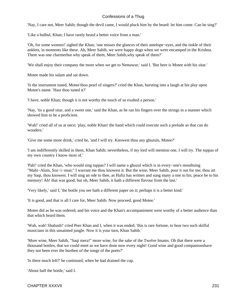'Nay, I care not, Meer Sahib; though the devil came, I would pluck him by the beard: let him come. Can he sing?'

'Like a bulbul, Khan; I have rarely heard a better voice from a man.'

'Oh, for some women!' sighed the Khan; 'one misses the glances of their antelope−eyes, and the tinkle of their anklets, in moments like these. Ah, Meer Sahib, we were happy dogs when we were encamped in the Krishna. There was one charmer but why speak of them, Meer Sahib, why speak of them?'

'We shall enjoy their company the more when we get to Nemawur,' said I. 'But here is Motee with his sitar.'

Motee made his salam and sat down.

'Is the instrument tuned, Motee<sup>:</sup> thou pearl of singers?' cried the Khan, bursting into a laugh at his play upon Motee's name. 'Hast thou tuned it?'

'I have, noble Khan; though it is not worthy the touch of so exalted a person.'

'Nay, 'tis a good sitar, and a sweet one,' said the Khan, as he ran his fingers over the strings in a manner which showed him to be a proficient.

'Wah!' cried all of us at once; 'play, noble Khan! the hand which could execute such a prelude as that can do wonders.'

'Give me some more drink,' cried he, 'and I will try. Knowest thou any ghuzuls, Motee?'

'I am indifferently skilled in them, Khan Sahib; nevertheless, if my lord will mention one, I will try. The tuppas of my own country I know most of.'

'Pah!' cried the Khan, 'who would sing tuppas? I will name a ghuzul which is in every−one's mouthsing "Mahi−Alum, Soz−i−mun;" I warrant me thou knowest it. But the wine, Meer Sahib, pour it out for me; thou art my Saqi, thou knowest. I will sing an ode to thee, as Hafiz has written and sung many a one to his; peace be to his memory! Ah! that was good; but oh, Meer Sahib, it hath a different flavour from the last.'

'Very likely,' said I; 'the bottle you see hath a different paper on it; perhaps it is a better kind.'

'It is good, and that is all I care for, Meer Sahib. Now proceed, good Motee.'

Motee did as he was ordered, and his voice and the Khan's accompaniment were worthy of a better audience than that which heard them.

'Wah, wah! Shabash!' cried Peer Khan and I, when it was ended; 'this is rare fortune, to hear two such skilful musicians in this unsainted jungle. Now it is your turn, Khan Sahib.'

'More wine, Meer Sahib, "Saqi mera!" more wine, for the sake of the Twelve Imams. Oh that there were a thousand bottles, that we could meet as we have done now every night! Good wine and good companions have they not been ever the burthen of the songs of the poets?'

'Is there much left?' he continued, when he had drained the cup.

'About half the bottle,' said I.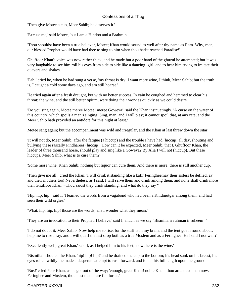'Then give Motee a cup, Meer Sahib; he deserves it.'

'Excuse me,' said Motee, 'but I am a Hindoo and a Brahmin.'

'Thou shouldst have been a true believer, Motee; Khan would sound as well after thy name as Ram. Why, man, our blessed Prophet would have had thee to sing to him when thou hadst reached Paradise!'

Ghuffoor Khan's voice was now rather thick, and he made but a poor hand of the ghuzul he attempted; but it was very laughable to see him roll his eyes from side to side like a dancing−girl, and to hear him trying to imitate their quavers and shakes.

'Pah!' cried he, when he had sung a verse, 'my throat is dry; I want more wine, I think, Meer Sahib; but the truth is, I caught a cold some days ago, and am still hoarse.'

He tried again after a fresh draught, but with no better success. In vain he coughed and hemmed to clear his throat; the wine, and the still better opium, were doing their work as quickly as we could desire.

'Do you sing again, Motee, meree Motee! meree Goweya!' said the Khan insinuatingly. 'A curse on the water of this country, which spoils a man's singing. Sing, man, and I will play; it cannot spoil that, at any rate; and the Meer Sahib hath provided an antidote for this night at least.'

Motee sang again; but the accompaniment was wild and irregular, and the Khan at last threw down the sitar.

'It will not do, Meer Sahib, after the fatigue (a hiccup) and the trouble I have had (hiccup) all day, shouting and bullying these rascally Pindharees (hiccup). How can it be expected, Meer Sahib, that I, Ghuffoor Khan, the leader of three thousand horse, should play and sing like a Goweya? By Alia I will not (hiccup). But these hiccups, Meer Sahib, what is to cure them?'

'Some more wine, Khan Sahib; nothing but liquor can cure them. And there is more; there is still another cup.'

'Then give me all!' cried the Khan; 'I will drink it standing like a kafir Feringhee may their sisters be defiled, ay and their mothers too! Nevertheless, as I said, I will serve them and drink among them, and none shall drink more than Ghuffoor Khan. −Thou saidst they drink standing; and what do they say?'

'Hip, hip, hip!' said I; 'I learned the words from a vagabond who had been a Khidmutgar among them, and had seen their wild orgies.'

'What, hip, hip, hip! those are the words, eh? I wonder what they mean.'

'They are an invocation to their Prophet, I believe;' said I, 'much as we say "Bismilla ir ruhman ir ruheem!"'

'I do not doubt it, Meer Sahib. Now help me to rise, for the stuff is in my brain, and the tent goeth round about; help me to rise I say, and I will quaff the last drop both as a true Moslem and as a Feringhee. Ha! said I not well?'

'Excellently well, great Khan,' said I, as I helped him to his feet; 'now, here is the wine.'

'Bismilla!' shouted the Khan, 'hip! hip! hip!' and he drained the cup to the bottom; his head sunk on his breast, his eyes rolled wildly: he made a desperate attempt to rush forward, and fell at his full length upon the ground.

'Bus!' cried Peer Khan, as he got out of the way; 'enough, great Khan! noble Khan, thou art a dead man now. Feringhee and Moslem, thou hast made rare fun for us.'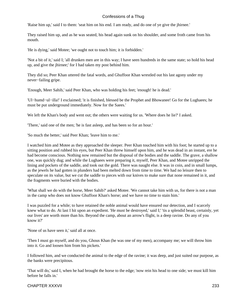'Raise him up,' said I to them: 'seat him on his end. I am ready, and do one of ye give the jhirnee.'

They raised him up, and as he was seated, his head again sunk on his shoulder, and some froth came from his mouth.

'He is dying,' said Motee; 'we ought not to touch him; it is forbidden.'

'Not a bit of it,' said I; 'all drunken men are in this way; I have seen hundreds in the same state; so hold his head up, and give the jhirnee;' for I had taken my post behind him.

They did so; Peer Khan uttered the fatal words, and Ghuffoor Khan wrestled out his last agony under my never−failing gripe.

'Enough, Meer Sahib,' said Peer Khan, who was holding his feet; 'enough! he is dead.'

'Ul−humd−ul−illa!' I exclaimed; 'it is finished, blessed be the Prophet and Bhowanee! Go for the Lughaees; he must be put underground immediately. Now for the Saees.'

We left the Khan's body and went out; the others were waiting for us. 'Where does he lie?' I asked.

'There,' said one of the men; 'he is fast asleep, and has been so for an hour.'

'So much the better,' said Peer Khan; 'leave him to me.'

I watched him and Motee as they approached the sleeper. Peer Khan touched him with his foot; he started up to a sitting position and rubbed his eyes, but Peer Khan threw himself upon him, and he was dead in an instant, ere he had become conscious. Nothing now remained but the disposal of the bodies and the saddle. The grave, a shallow one, was quickly dug; and while the Lughaees were preparing it, myself, Peer Khan, and Motee unripped the lining and pockets of the saddle, and took out the gold. There was naught else. It was in coin, and in small lumps, as the jewels he had gotten in plunders had been melted down from time to time. We had no leisure then to speculate on its value, but we cut the saddle to pieces with our knives to make sure that none remained in it, and the fragments were buried with the bodies.

'What shall we do with the horse, Meer Sahib?' asked Motee. 'We cannot take him with us, for there is not a man in the camp who does not know Ghuffoor Khan's horse; and we have no time to stain him.'

I was puzzled for a while; to have retained the noble animal would have ensured our detection, and I scarcely knew what to do. At last I hit upon an expedient. 'He must be destroyed,' said I;' 'tis a splendid beast, certainly, yet our lives' are worth more than his. Beyond the camp, about an arrow's flight, is a deep ravine. Do any of you know it?'

'None of us have seen it,' said all at once.

'Then I must go myself, and do you, Ghous Khan (he was one of my men), accompany me; we will throw him into it. Go and loosen him from his pickets.'

I followed him, and we conducted the animal to the edge of the ravine; it was deep, and just suited our purpose, as the banks were precipitous.

'That will do,' said I, when he had brought the horse to the edge; 'now rein his head to one side; we must kill him before he falls in.'

#### CHAPTER XXXVII 233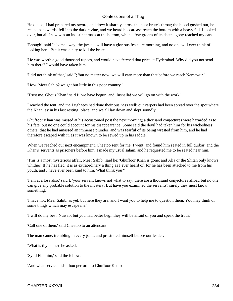He did so; I had prepared my sword, and drew it sharply across the poor brute's throat; the blood gushed out, he reeled backwards, fell into the dark ravine, and we heard his carcase reach the bottom with a heavy fall. I looked over, but all I saw was an indistinct mass at the bottom, while a few groans of its death agony reached my ears.

'Enough!' said I; 'come away; the jackals will have a glorious feast ere morning, and no one will ever think of looking here. But it was a pity to kill the brute.'

'He was worth a good thousand rupees, and would have fetched that price at Hyderabad. Why did you not send him there? I would have taken him.'

'I did not think of that,' said I; 'but no matter now; we will earn more than that before we reach Nemawur.'

'How, Meer Sahib? we get but little in this poor country.'

'Trust me, Ghous Khan,' said I; 'we have begun, and, Inshalla! we will go on with the work.'

I reached the tent, and the Lughaees had done their business well; our carpets had been spread over the spot where the Khan lay in his last resting−place, and we all lay down and slept soundly.

Ghuffoor Khan was missed at his accustomed post the next morning; a thousand conjectures were hazarded as to his fate, but no one could account for his disappearance. Some said the devil had taken him for his wickedness; others, that he had amassed an immense plunder, and was fearful of its being wrested from him, and he had therefore escaped with it, as it was known to be sewed up in his saddle.

When we reached our next encampment, Cheetoo sent for me: I went, and found him seated in full durbar, and the Khan's' servants as prisoners before him. I made my usual salam, and he requested me to be seated near him.

'This is a most mysterious affair, Meer Sahib,' said he; 'Ghuffoor Khan is gone; and Alia or the Shitan only knows whither! If he has fled, it is as extraordinary a thing as I ever heard of; for he has been attached to me from his youth, and I have ever been kind to him. What think you?'

'I am at a loss also,' said I; 'your servant knows not what to say; there are a thousand conjectures afloat, but no one can give any probable solution to the mystery. But have you examined the servants? surely they must know something.'

'I have not, Meer Sahib, as yet; but here they are, and I want you to help me to question them. You may think of some things which may escape me.'

'I will do my best, Nuwab; but you had better beginthey will be afraid of you and speak the truth.'

'Call one of them,' said Cheetoo to an attendant.

The man came, trembling in every joint, and prostrated himself before our leader.

'What is thy name?' he asked.

'Syud Ebrahim,' said the fellow.

'And what service didst thou perform to Ghuffoor Khan?'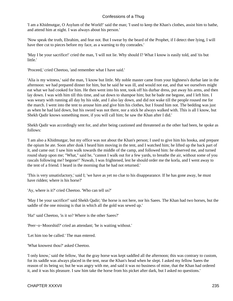'I am a Khidmutgar, O Asylum of the World!' said the man; 'I used to keep the Khan's clothes, assist him to bathe, and attend him at night. I was always about his person.'

'Now speak the truth, Ebrahim, and fear not. But I swear by the beard of the Prophet, if I detect thee lying, I will have thee cut to pieces before my face, as a warning to thy comrades.'

'May I be your sacrifice!' cried the man, 'I will not lie. Why should I? What I know is easily told, and 'tis but little.'

'Proceed,' cried Cheetoo, 'and remember what I have said.'

'Alia is my witness,' said the man, 'I know but little. My noble master came from your highness's durbar late in the afternoon: we had prepared dinner for him, but he said he was ill, and would not eat, and that we ourselves might eat what we had cooked for him. He then went into his tent, took off his durbar dress, put away his arms, and then lay down. I was with him till this time, and sat down to shampoe him; but he bade me begone, and I left him. I was weary with running all day by his side, and I also lay down, and did not wake till the people roused me for the march. I went into the tent to arouse him and give him his clothes, but I found him not. The bedding was just as when he had laid down, but his sword was not there, nor a stick he always walked with. This is all I know, but Shekh Qadir knows something more, if you will call him; he saw the Khan after I did.'

Shekh Qadir was accordingly sent for, and after being cautioned and threatened as the other had been, he spoke as follows:

'I am also a Khidmutgar, but my office was not about the Khan's person; I used to give him his hooka, and prepare the opium he ate. Soon after dusk I heard him moving in the tent, and I watched him; he lifted up the back part of it, and came out: I saw him walk towards the middle of the camp, and followed him: he observed me, and turned round sharp upon me; "What," said he, "cannot I walk out for a few yards, to breathe the air, without some of you rascals following me? begone!" Nuwab, I was frightened, lest he should order me the korla, and I went away to the tent of a friend. I heard in the morning that he had not returned.'

'This is very unsatisfactory,' said I; 'we have as yet no clue to his disappearance. If he has gone away, he must have ridden; where is his horse?'

'Ay, where is it?' cried Cheetoo. 'Who can tell us?'

'May I be your sacrifice!' said Shekh Qadir; 'the horse is not here, nor his Saees. The Khan had two horses, but the saddle of the one missing is that in which all the gold was sewed up.'

'Ha!' said Cheetoo, 'is it so? Where is the other Saees?'

'Peer−o−Moorshid?' cried an attendant; 'he is waiting without.'

'Let him too be called.' The man entered.

'What knowest thou?' asked Cheetoo.

'I only know,' said the fellow, 'that the gray horse was kept saddled all the afternoon; this was contrary to custom, for its saddle was always placed in the tent, near the Khan's head when he slept. I asked my fellow Saees the reason of its being so; but he was angry with me, and said it was no business of mine, that the Khan had ordered it, and it was his pleasure. I saw him take the horse from his picket after dark, but I asked no questions.'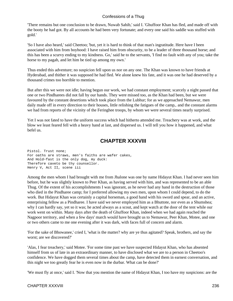'There remains but one conclusion to be drawn, Nuwab Sahib,' said I. 'Ghuffoor Khan has fled, and made off with the booty he had got. By all accounts he had been very fortunate; and every one said his saddle was stuffed with gold.'

'So I have also heard,' said Cheetoo; 'but, yet it is hard to think of that man's ingratitude. Here have I been associated with him from boyhood: I have raised him from obscurity, to be a leader of three thousand horse; and this has been a scurvy ending to my kindness. Go,' said he to the servants, 'I find no fault with any of you; take the horse to my pagah, and let him be tied up among my own.'

Thus ended this adventure; no suspicion fell upon us nor on any one. The Khan was known to have friends at Hyderabad, and thither it was supposed he had fled. We alone knew his fate, and it was one he had deserved by a thousand crimes too horrible to mention.

But after this we were not idle; having begun our work, we had constant employment; scarcely a night passed that one or two Pindharees did not fall by our hands. They were missed too, as the Khan had been, but we were favoured by the constant desertions which took place from the Lubhur; for as we approached Nemawur, men daily made off in every direction to their houses, little relishing the fatigues of the camp,. and the constant alarms we had from reports of the vicinity of the Feringhee troops, by whom we were several times nearly surprised.

Yet I was not fated to have the uniform success which had hitherto attended me. Treachery was at work, and the blow we least feared fell with a heavy hand at last, and dispersed us. I will tell you how it happened, and what befel us.

## **CHAPTER XXXVIII**

Pistol. Trust none; For oaths are straws, men's faiths are wafer cakes, And Hold−fast is the only dog, my duck: Therefore caveto be thy counsellor. Henry V, Act II, scene iii

Among the men whom I had brought with me from Jhalone was one by name Hidayut Khan. I had never seen him before, but he was slightly known to Peer Khan, as having served with him, and was represented to be an able Thug. Of the extent of his accomplishments I was ignorant, as he never had any hand in the destruction of those who died in the Pindharee camp; for I preferred allowing my own men, upon whom I could depend, to do the work. But Hidayut Khan was certainly a capital horseman, a good hand with his sword and spear, and an active, enterprising fellow as a Pindharee. I have said we never employed him as a Bhuttote, nor even as a Shumshea; why I can hardly say, yet so it was; he acted always as a scout, and kept watch at the door of the tent while our work went on within. Many days after the death of Ghuffoor Khan, indeed when we had again reached the Nagpoor territory, and when a few days' march would have brought us to Nemawur, Peer Khan, Motee, and one or two others came to me one evening after it was dark, with faces full of concern and alarm.

'For the sake of Bhowanee,' cried I, 'what is the matter? why are ye thus agitated? Speak, brothers, and say the worst; are we discovered?'

'Alas, I fear treachery,' said Motee. 'For some time past we have suspected Hidayut Khan, who has absented himself from us of late in an extraordinary manner, to have disclosed what we are to a person in Cheetoo's confidence. We have dogged them several times about the camp, have detected them in earnest conversation, and this night we too greatly fear he is even now in the durbar. What can be done?'

'We must fly at once,' said I. 'Now that you mention the name of Hidayut Khan, I too have my suspicions: are the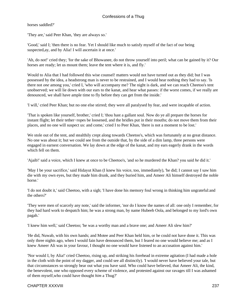horses saddled?'

'They are,' said Peer Khan, 'they are always so.'

'Good,' said I; 'then there is no fear. Yet I should like much to satisfy myself of the fact of our being suspected, ay, and by Alia! I will ascertain it at once.'

'Ah, do not!' cried they; 'for the sake of Bhowanee, do not throw yourself into peril; what can be gained by it? Our horses are ready; let us mount them; leave the tent where it is, and fly.'

Would to Alia that I had followed this wise counsel! matters would not have turned out as they did; but I was possessed by the idea, a headstrong man is never to be restrained, and I would hear nothing they had to say. 'Is there not *one* among you,' cried I, 'who will accompany me? The night is dark, and we can reach Cheetoo's tent unobserved; we will lie down with our ears to the kanat, and hear what passes: if the worst comes, if we really are denounced, we shall have ample time to fly before they can get from the inside.'

'I will,' cried Peer Khan; but no one else stirred; they were all paralysed by fear, and were incapable of action.

'That is spoken like yourself, brother,' cried I; 'thou hast a gallant soul. Now do ye all prepare the horses for instant flight; let their tether−ropes be loosened, and the bridles put in their mouths; do not move them from their places, and no one will suspect us: and come,' cried I to Peer Khan, 'there is not a moment to be lost.'

We stole out of the tent, and stealthily crept along towards Cheetoo's, which was fortunately at no great distance. No one was about it; but we could see from the outside that, by the side of a dim lamp, three persons were engaged in earnest conversation. We lay down at the edge of the kanat, and my ears eagerly drank in the words which fell on them.

'Ajaib!' said a voice, which I knew at once to be Cheetoo's, 'and so he murdered the Khan? you said *he* did it.'

'May I be your sacrifice,' said Hidayut Khan (I knew his voice, too, immediately), 'he did; I cannot say I saw him die with my own eyes, but they made him drunk, and they buried him, and Ameer Ali himself destroyed the noble horse.'

'I do not doubt it,' said Cheetoo, with a sigh; 'I have done his memory foul wrong in thinking him ungrateful:and the others?'

'They were men of scarcely any note,' said the informer, 'nor do I know the names of all: one only I remember, for they had hard work to despatch him; he was a strong man, by name Hubeeb Oola, and belonged to my lord's own pagah.'

'I knew him well,' said Cheetoo; 'he was a worthy man and a brave one; and Ameer Ali slew him?'

'He did, Nuwab, with his own hands; and Motee and Peer Khan held him, or he could not have done it. This was only three nights ago, when I would fain have denounced them, but I feared no one would believe me; and as I knew Ameer Ali was in your favour, I thought no one would have listened to an accusation against him.'

'Nor would I, by Alia!' cried Cheetoo, rising up, and striking his forehead in extreme agitation (I had made a hole in the cloth with the point of my dagger, and could see all distinctly). 'I would never have believed your tale, but that circumstances so strongly bear out what you have said. Who could have believed, that Ameer Ali, the kind, the benevolent, one who opposed every scheme of violence, and protested against our ravages till I was ashamed of them myself,who could have thought *him* a Thug?'

#### CHAPTER XXXVIII 237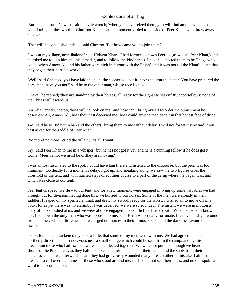'But it is the truth, Nuwab,' said the vile wretch; 'when you have seized them, you will find ample evidence of what I tell you: the sword of Ghuffoor Khan is at this moment girded to the side of Peer Khan, who threw away his own.'

'That will be conclusive indeed,' said Cheetoo. 'But how came you to join them?'

'I was at my village, near Jhalone,' said Hidayut Khan; 'I had formerly known Peeroo, (as we call Peer Khan,) and he asked me to join him and his jemadar, and to follow the Pindharees. I never suspected them to be Thugs, who could, when Ameer Ali and his father were high in favour with the Rajah? and it was not till the Khan's death that they began their horrible work.'

'Well,' said Cheetoo, 'you have laid the plan; the sooner you put it into execution the better. You have prepared the horsemen, have you not?' said he to the other man, whose face I knew.

'I have,' he replied; 'they are standing by their horses, all ready for the signal to set onfifty good fellows; none of the Thugs will escape us.'

'Ya Alia!' cried Cheetoo; 'how will he look on me? and how can I bring myself to order the punishment he deserves? Ah, Ameer Ali, how thou hast deceived me! how could anyone read deceit in that honest face of thine!'

'Go,' said he to Hidayut Khan and the others; 'bring them to me without delay. I will not forget thy reward: thou hast asked for the saddle of Peer Khan.'

'No more! no more!' cried the villain; "tis all I want.'

'Ay,' said Peer Khan to me in a whisper, 'but he has not got it yet, and he is a cunning fellow if he does get it. Come, Meer Sahib, we must be off they are moving.'

I was almost fascinated to the spot. I could have lain there and listened to the discourse; but the peril was too imminent, too deadly for a moment's delay. I got up, and sneaking along, we saw the two figures cross the threshold of the tent, and with hurried steps direct their course to a part of the camp where the pagah was, and which was close to our tent.

Fear lent us speed; we flew to our tent, and for a few moments were engaged in tying up some valuables we had brought out for division; having done this, we hurried to our horses. Some of the men were already in their saddles; I leaped on my spirited animal, and drew my sword, ready for the worst. I wished all to move off in a body, for as yet there was no alarm, but I was deceived; we were surrounded! The instant we were in motion a body of horse dashed at us, and we were at once engaged in a conflict for life or death. What happened I know not; I cut down the only man who was opposed to me; Peer Khan was equally fortunate. I received a slight wound from another, which I little heeded; we urged our horses to their utmost speed, and the darkness favoured our escape.

I soon found, as I slackened my pace a little, that some of my men were with me. We had agreed to take a northerly direction, and rendezvous near a small village which could be seen from the camp; and by this precaution those who had escaped were soon collected together. We were not pursued, though we heard the shouts of the Pindharees, as they hallooed to each other in and about their camp, and the shots from their matchlocks; and we afterwards heard they had grievously wounded many of each other in mistake. I almost dreaded to call over the names of those who stood around me, for I could not see their faces, and no one spoke a word to his companion.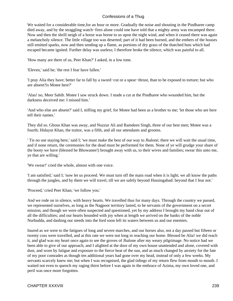We waited for a considerable time, for an hour or more. Gradually the noise and shouting in the Pindharee camp died away, and by the straggling watch−fires alone could one have told that a mighty army was encamped there. Now and then the shrill neigh of a horse was borne to us upon the night wind, and when it ceased there was again a melancholy silence. The little village too was deserted; part of it had been burned, and the embers of the houses still emitted sparks, now and then sending up a flame, as portions of dry grass of the thatched huts which had escaped became ignited. Further delay was useless; I therefore broke the silence, which was painful to all.

'How many are there of us, Peer Khan?' I asked, in a low tone.

'Eleven,' said he; 'the rest I fear have fallen.'

'I pray Alia they have; better far to fall by a sword−cut or a spear−thrust, than to be exposed to torture; but who are absent?is Motee here?'

'Alas! no, Meer Sahib. Motee I saw struck down. I made a cut at the Pindharee who wounded him, but the darkness deceived me: I missed him.'

'And who else are absent?' said I, stifling my grief, for Motee had been as a brother to me; 'let those who are here tell their names.'

They did so. Ghous Khan was away, and Nuzzur Ali and Ramdeen Singh, three of our best men; Motee was a fourth; Hidayut Khan, the traitor, was a fifth, and all our attendants and grooms.

' Tis no use staying here,' said I; 'we must make the best of our way to Jhalone; there we will wait the usual time, and if none return, the ceremonies for the dead must be performed for them. None of ye will grudge your share of the booty we have (blessed be Bhowanee!) brought away with us, to their wives and families; swear this unto me, ye that are willing.'

'We swear!' cried the whole, almost with one voice.

'I am satisfied,' said I; 'now let us proceed. We must turn off the main road when it is light; we all know the paths through the jungles, and by them we will travel, till we are safely beyond Hussingabad: beyond that I fear not.'

'Proceed,' cried Peer Khan; 'we follow you.'

And we rode on in silence, with heavy hearts. We travelled thus for many days. Through the country we passed, we represented ourselves, as long as the Nagpoor territory lasted, to be servants of the government on a secret mission; and though we were often suspected and questioned, yet by my address I brought my band clear out of all the difficulties; and our hearts bounded with joy when at length we arrived on the banks of the noble Nurbudda, and dashing our steeds into the ford soon left its waters between us and our enemies.

Inured as we were to the fatigues of long and severe marches, and our horses also, not a day passed but fifteen or twenty coss were travelled, and at this rate we were not long in reaching our home. Blessed be Alia! we did reach it, and glad was my heart once again to see the groves of Jhalone after my weary pilgrimage. No notice had we been able to give of our approach, and I alighted at the door of my own house unattended and alone, covered with dust, and worn by fatigue and exposure to the fierce heat of the sun, and as much changed by anxiety for the fate of my poor comrades as though ten additional years had gone over my head, instead of only a few weeks. My servants scarcely knew me; but when I was recognised, the glad tidings of my return flew from mouth to mouth. I waited not even to quench my raging thirst before I was again in the embrace of Azima, my own loved one, and peril was once more forgotten.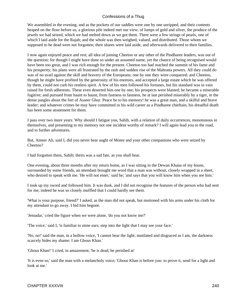We assembled in the evening; and as the pockets of our saddles were one by one unripped, and their contents heaped on the floor before us, a glorious pile indeed met our view, of lumps of gold and silver, the produce of the jewels we had seized, which we had melted down as we got them. There were a few strings of pearls, one of which I laid aside for the Rajah; and the whole was then weighed, valued, and distributed. Those whom we supposed to be dead were not forgotten; their shares were laid aside, and afterwards delivered to their families.

I now again enjoyed peace and rest; all idea of joining Cheetoo or any other of the Pindharee leaders, was out of the question; for though I might have done so under an assumed name, yet the chance of being recognised would have been too great, and I was rich enough for the present. Cheetoo too had reached the summit of his fame and his prosperity; his plans were all frustrated by the rash and sudden rise of the Mahratta powers. All they could do was of no avail against the skill and bravery of the Europeans; one by one they were conquered; and Cheetoo, though he might have profited by the generosity of his enemies, and accepted a large estate which he was offered by them, could not curb his restless spirit. A few of his men followed his fortunes, but his standard was in vain raised for fresh adherents. These even deserted him one by one; his prospects were blasted; he became a miserable fugitive; and pursued from haunt to haunt, from fastness to fastness, he at last perished miserably by a tiger, in the dense jungles about the fort of Asseer Ghur. Peace be to his memory! he was a great man, and a skilful and brave leader; and whatever crimes he may have committed in his wild career as a Pindharee chieftain, his dreadful death has been some atonement for them.

I pass over two more years. Why should I fatigue you, Sahib, with a relation of daily occurrences, monotonous in themselves, and presenting to my memory not one incident worthy of remark? I will again lead you to the road, and to further adventures.

But, Ameer Ali, said I, did you never hear aught of Motee and your other companions who were seized by Cheetoo?

I had forgotten them, Sahib; theirs was a sad fate, as you shall hear.

One evening, about three months after my return home, as I was sitting in the Dewan Khana of my house, surrounded by some friends, an attendant brought me word that a man was without, closely wrapped in a sheet, who desired to speak with me. 'He will not enter,' said he; 'and says that you will know him when you see him.'

I took up my sword and followed him. It was dusk, and I did not recognise the features of the person who had sent for me; indeed he was so closely muffled that I could hardly see them.

'What is your purpose, friend?' I asked, as the man did not speak, but motioned with his arms under his cloth for my attendant to go away. I bid him begone.

'Jemadar,' cried the figure when we were alone, 'do you not know me?'

'The voice,' said I, 'is familiar to mine ears; step into the light that I may see your face.'

'No, no!' said the man, in a hollow voice, 'I cannot bear the light; mutilated and disgraced as I am, the darkness scarcely hides my shame: I am Ghous Khan.'

'Ghous Khan!' I cried, in amazement; 'he is dead, he perished at'

'It is even so,' said the man with a melancholy voice; 'Ghous Khan is before you: to prove it, send for a light and look at me.'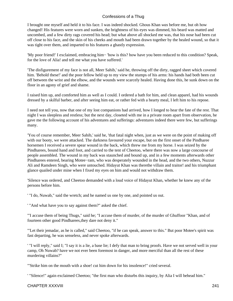I brought one myself and held it to his face. I was indeed shocked. Ghous Khan *was* before me, but oh how changed! His features were worn and sunken, the brightness of his eyes was dimmed, his beard was matted and uncombed, and a few dirty rags covered his head; but what above all shocked me was, that his nose had been cut off close to his face, and the skin of his cheeks and mouth had been drawn together by the healed wound, so that it was tight over them, and imparted to his features a ghastly expression.

'My poor friend!' I exclaimed, embracing him− 'how is this? how have you been reduced to this condition? Speak, for the love of Alia! and tell me what you have suffered.'

'The disfigurement of my face is not all, Meer Sahib,' said he, throwing off the dirty, ragged sheet which covered him. 'Behold these!' and the poor fellow held up to my view the stumps of his arms: his hands had both been cut off between the wrist and the elbow, and the wounds were scarcely healed. Having done this, he sunk down on the floor in an agony of grief and shame.

I raised him up, and comforted him as well as I could. I ordered a bath for him, and clean apparel, had his wounds dressed by a skilful barber, and after seeing him eat, or rather fed with a hearty meal, I left him to his repose.

I need not tell you, now that one of my lost companions had arrived, how I longed to hear the fate of the rest. That night I was sleepless and restless; but the next day, closeted with me in a private room apart from observation, he gave me the following account of his adventures and sufferings: adventures indeed there were few, but sufferings many.

'You of course remember, Meer Sahib,' said he, 'that fatal night when, just as we were on the point of making off with our booty, we were attacked. The darkness favoured your escape, but on the first onset of the Pindharee horsemen I received a severe spear wound in the back, which threw me from my horse. I was seized by the Pindharees, bound hand and foot, and carried to the tent of Cheetoo, where there was now a large concourse of people assembled. The wound in my back was staunched and bound up, and in a few moments afterwards other Pindharees entered, bearing Motee−ram, who was desperately wounded in the head, and the two others, Nuzzur Ali and Ramdeen Singh, who were untouched. Hidayut Khan was there the villain and traitor! and his triumphant glance quailed under mine when I fixed my eyes on him and would not withdraw them.

'Silence was ordered, and Cheetoo demanded with a loud voice of Hidayut Khan, whether he knew any of the persons before him.

' "I do, Nuwab," said the wretch; and he named us one by one, and pointed us out.

' "And what have you to say against them?" asked the chief.

'"I accuse them of being Thugs," said he; "I accuse them of murder, of the murder of Ghuffoor "Khan, and of fourteen other good Pindharees, they dare not deny it."

'"Let their jemadar, as he is called," said Cheetoo, "if he can speak, answer to this." But poor Motee's spirit was fast departing, he was senseless, and never spoke afterwards.

' "I will reply," said I; "I say it is a lie, a base lie; I defy that man to bring proofs. Have we not served well in your camp, Oh Nuwab? have we not ever been foremost in danger, and more merciful than all the rest of these murdering villains?"

'"Strike him on the mouth with a shoe! cut him down for his insolence!" cried several.

' "Silence!" again exclaimed Cheetoo; "the first man who disturbs this inquiry, by Alia I will behead him."

CHAPTER XXXVIII 241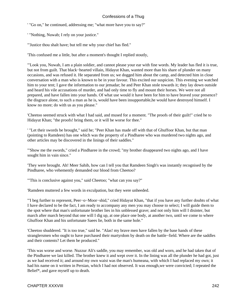' "Go on," he continued, addressing me; "what more have you to say?"

' "Nothing, Nuwab; I rely on your justice."

'"Justice thou shalt have; but tell me why your chief has fled."

'This confused me a little, but after a moment's thought I replied stoutly,

'"Look you, Nuwab, I am a plain soldier, and cannot please your ear with fine words. My leader has fled it is true, but not from guilt. That black−hearted villain, Hidayut Khan, wanted more than his share of plunder on many occasions, and was refused it. He separated from us; we dogged him about the camp, and detected him in close conversation with a man who is known to be in your favour. This excited our suspicion. This evening we watched him to your tent; I gave the information to our jemadar; he and Peer Khan stole towards it; they lay down outside and heard his vile accusations of murder, and had only time to fly and mount their horses. We were not all prepared, and have fallen into your hands. Of what use would it have been for him to have braved your presence? the disgrace alone, to such a man as he is, would have been insupportable, he would have destroyed himself. I know no more; do with us as you please."

'Cheetoo seemed struck with what I had said, and mused for a moment. "The proofs of their guilt!" cried he to Hidayut Khan; "the proofs! bring them, or it will be worse for thee."

' "Let their swords be brought," said he; "Peer Khan has made off with that of Ghuffoor Khan, but that man (pointing to Ramdeen) has one which was the property of a Pindharee who was murdered two nights ago, and other articles may be discovered in the linings of their saddles."

'"Show me the swords," cried a Pindharee in the crowd; "my brother disappeared two nights ago, and I have sought him in vain since."

'They were brought. Ah! Meer Sahib, how can I tell you that Ramdeen Singh's was instantly recognised by the Pindharee, who vehemently demanded our blood from Cheetoo?

'"This is conclusive against you," said Cheetoo; "what can you say?"

'Ramdeen muttered a few words in exculpation, but they were unheeded.

'"I beg further to represent, Peer−o−Moor−shid," cried Hidayut Khan, "that if you have any further doubts of what I have declared to be the fact, I am ready to accompany any men you may choose to select; I will guide them to the spot where that man's unfortunate brother lies in his unblessed grave; and not only him will I disinter, but march after march beyond that one will I dig up, at one place one body, at another two, until we come to where Ghuffoor Khan and his unfortunate Saees lie, both in the same hole."

'Cheetoo shuddered. "It is too true," said he. "Alas! my brave men have fallen by the base hands of these stranglers men who ought to have purchased their martyrdom by death on the battle-field. Where are the saddles and their contents? Let them be produced."

'This was worse and worse. Nuzzur Ali's saddle, you may remember, was old and worn, and he had taken that of the Pindharee we last killed. The brother knew it and wept over it. In the lining was all the plunder he had got, just as we had received it; and around my own waist was the man's humeana, with which I had replaced my own; it had his name on it written in Persian, which I had not observed. It was enough, we were convicted; I repeated the Belief\*, and gave myself up to death.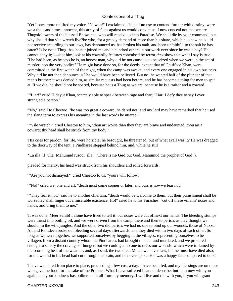'Yet I once more uplifted my voice. "Nuwab!" I exclaimed, "it is of no use to contend further with destiny; were we a thousand times innocent, this array of facts against us would convict us. I now conceal not that we are Thugs followers of the blessed Bhowanee, who will receive us into Paradise. We shall die by your command, but why should that vile wretch live? he who, for a greedy demand of more than his share, which he knew he could not receive according to our laws, has denounced us, has broken his oath, and been unfaithful to the salt he has eaten? Is he not a Thug! has he not joined me and a hundred others in our work ever since he was a boy? He cannot deny it; look at him, look at his cowardly features convulsed by terror, *they* show that what I say is true. If he had been, as he says he is, an honest man, why did he not cause us to be seized when we were in the act of murder upon the very bodies? He might have done so, for the deeds, except that of Ghuffoor Khan, were committed in the first watch of the night, when the camp was awake, and every one engaged in his own business. Why did he not then denounce us? he would have been believed. But no! he wanted half of the plunder of that man's brother; it was denied him, as similar requests had been before, and he has become a thing for men to spit at. If we die, he should not be spared, because he is a Thug as we are, because he is a traitor and a coward!"

' "Liar!" cried Hidayut Khan, scarcely able to speak between rage and fear; "Liar! I defy thee to say I ever strangled a person."

'"No," said I to Cheetoo, "he was too great a coward, he dared not! and my lord may have remarked that he used the slang term to express his meaning in the last words he uttered."

' "Vile wretch!" cried Cheetoo to him, "thou art worse than they they are brave and undaunted, thou art a coward; thy head shall be struck from thy body."

'His cries for pardon, for life, were horrible; he besought, he threatened; but of what avail was it? He was dragged to the doorway of the tent, a Pindharee stepped behind him, and, while he still

\*La illa−il−ulla−Mahumud rusool−illa!' ('There is **no God** but God, Mahumud the prophet of God!').

pleaded for mercy, his head was struck from his shoulders and rolled forwards.

' "Are you not dismayed?" cried Cheetoo to us; "yours will follow."

' "No!" cried we, one and all; "death must come sooner or later, and ours is nowwe fear not."

' "They fear it not," said he to another chieftain; "death would be welcome to them; but their punishment shall be worse they shall linger out a miserable existence. Ho!" cried he to his Furashes, "cut off these villains' noses and hands, and bring them to me."

'It was done, Meer Sahib! I alone have lived to tell it: our noses were cut offnext our hands. The bleeding stumps were thrust into boiling oil, and we were driven from the camp, there and then to perish, as they thought we should, in the wild jungles. And the other two did perish; we had no one to bind up our wounds, those of Nuzzur Ali and Ramdeen broke out bleeding several days afterwards, and they died within two days of each other. So long as we were together, we supported ourselves by begging in the villages, representing ourselves to be villagers from a distant country whom the Pindharees had brought thus far and mutilated, and we procured enough to satisfy the cravings of hunger; but we could get no one to dress our wounds, which were inflamed by the scorching heat of the weather; and, as I said, the two died. Motee we never saw, but he must have died also, for the wound in his head had cut through the brain, and he never spoke. His was a happy fate compared to ours!

'I have wandered from place to place, proceeding a few coss a day. I have been fed, and my blessings are on those who gave me food for the sake of the Prophet. What I have suffered I cannot describe; but I am now with you again, and your kindness has obliterated it all from my memory. I will live and die with you, if you will grant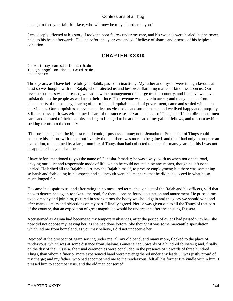enough to feed your faithful slave, who will now be only a burthen to you.'

I was deeply affected at his story. I took the poor fellow under my care, and his wounds were healed, but he never held up his head afterwards. He died before the year was ended, I believe of shame and a sense of his helpless condition.

# **CHAPTER XXXIX**

Oh what may man within him hide, Though angel on the outward side. Shakspeare

Three years, as I have before told you, Sahib, passed in inactivity. My father and myself were in high favour, at least so we thought, with the Rajah, who protected us and bestowed flattering marks of kindness upon us. Our revenue business was increased, we had now the management of a large tract of country, and I believe we gave satisfaction to the people as well as to their prince. The revenue was never in arrear; and many persons from distant parts of the country, hearing of our mild and equitable mode of government, came and settled with us in our villages. Our perquisites as revenue collectors yielded a handsome income, and we lived happy and tranquilly. Still a restless spirit was within me; I heard of the successes of various bands of Thugs in different directions: men came and boasted of their exploits, and again I longed to be at the head of my gallant fellows, and to roam awhile striking terror into the country.

'Tis true I had gained the highest rank I could; I possessed fame; not a Jemadar or Soobehdar of Thugs could compare his actions with mine; but I vainly thought there was more to be gained, and that I had only to propose an expedition, to be joined by a larger number of Thugs than had collected together for many years. In this I was not disappointed, as you shall hear.

I have before mentioned to you the name of Ganesha Jemadar; he was always with us when not on the road, envying our quiet and respectable mode of life, which he could not attain by any means, though he left none untried. He bribed all the Rajah's court, nay the Rajah himself, to procure employment; but there was something so harsh and forbidding in his aspect, and so uncouth were his manners, that he did not succeed in what he so much longed for.

He came in despair to us, and after rating in no measured terms the conduct of the Rajah and his officers, said that he was determined again to take to the road, for there alone he found occupation and amusement. He pressed me to accompany and join him, pictured in strong terms the booty we should gain and the glory we should win; and after many demurs and objections on my part, I finally agreed. Notice was given out to all the Thugs of that part of the country, that an expedition of great magnitude would be undertaken after the ensuing Dussera.

Accustomed as Azima had become to my temporary absences, after the period of quiet I had passed with her, she now did not oppose my leaving her, as she had done before. She thought it was some mercantile speculation which led me from homeland, as you may believe, I did not undeceive her.

Rejoiced at the prospect of again serving under me, all my old band, and many more, flocked to the place of rendezvous, which was at some distance from Jhalone. Ganesha had upwards of a hundred followers; and, finally, on the day of the Dussera, the usual ceremonies were concluded in the presence of upwards of three hundred Thugs, than whom a finer or more experienced band were never gathered under any leader. I was justly proud of my charge; and my father, who had accompanied me to the rendezvous, felt all his former fire kindle within him. I pressed him to accompany us, and the old man consented.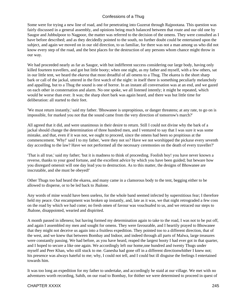Some were for trying a new line of road, and for penetrating into Guzerat through Rajpootana. This question was fairly discussed in a general assembly, and opinions being much balanced between that route and our old one by Saugor and Jubbulpoor to Nagpoor, the matter was referred to the decision of the omens. They were consulted as I have before described; and as they decidedly pointed to the south, no further doubt could be entertained upon the subject, and again we moved on in our old direction, to us familiar, for there was not a man among us who did not know every step of the road, and the best places for the destruction of any persons whom chance might throw in our way.

We had proceeded nearly as far as Saugor, with but indifferent success considering our large body, having only killed fourteen travellers, and got but little booty; when one night, as my father and myself, with a few others, sat in our little tent, we heard the *ekarea* that most dreadful of all omens to a Thug. The ekarea is the short sharp bark or call of the jackal, uttered in the first watch of the night: in itself there is something peculiarly melancholy and appalling, but to a Thug the sound is one of horror. In an instant all conversation was at an end, and we gazed on each other in consternation and alarm. No one spoke, we all listened intently; it might be repeated, which would be worse than ever. It was; the sharp short bark was again heard, and there was but little time for deliberation: all started to their feet.

'We must return instantly,' said my father. 'Bhowanee is unpropitious, or danger threatens; at any rate, to go on is impossible, for marked you not that the sound came from the very direction of tomorrow's march?'

All agreed that it did, and were unanimous in their desire to return. Still I could not divine why the bark of a jackal should change the determination of three hundred men, and I ventured to say that I was sure it was some mistake, and that, even if it was not, we ought to proceed, since the omens had been so propitious at the commencement. 'Why!' said I to my father, 'were they not so? Have we not worshipped the pickaxe every seventh day according to the law? Have we not performed all the necessary ceremonies on the death of every traveller?'

'That is all true,' said my father; 'but it is madness to think of proceeding. Foolish boy! you have never known a reverse, thanks to your good fortune, and the excellent advice by which you have been guided; but beware how you disregard omensit will one day lead you to destruction. As to this matter, the designs of Bhowanee are inscrutable, and she must be obeyed!'

Other Thugs too had heard the ekarea, and many came in a clamorous body to the tent, begging either to be allowed to disperse, or to be led back to Jhalone.

Any words of mine would have been useless, for the whole band seemed infected by superstitious fear; I therefore held my peace. Our encampment was broken up instantly, and, late as it was, we that night retrograded a few coss on the road by which we had come; no fresh omen of favour was vouchsafed to us, and we retraced our steps to Jhalone, disappointed, wearied and dispirited.

A month passed in idleness; but having formed my determination again to take to the road, I was not to be put off, and again I assembled my men and sought for omens. They were favourable, and I heartily prayed to Bhowanee that they might not deceive us again into a fruitless expedition. They pointed too to a different direction, that of the west, and we knew that between Bombay and Indoor, and indeed through all parts of Malwa, large treasures were constantly passing. We had before, as you have heard, reaped the largest booty I had ever got in that quarter, and I hoped to secure a like one again. We accordingly left our home, one hundred and twenty Thugs under myself and Peer Khan, who still stuck to me. Ganesha had gone off in a different directionwhither I knew not; his presence was always hateful to me; why, I could not tell, and I could but ill disguise the feelings I entertained towards him.

It was too long an expedition for my father to undertake, and accordingly he staid at our village. We met with no adventures worth recording, Sahib, on our road to Bombay, for thither we were determined to proceed in quest of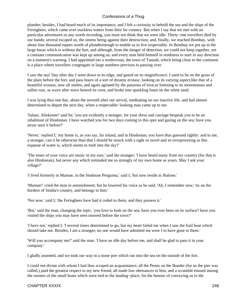plunder; besides, I had heard much of its importance, and I felt a curiosity to behold the sea and the ships of the Feringhees, which came over trackless waters from their far country. But when I say that we met with no particular adventures or any worth recording, you must not think that we were idle. Thirty−one travellers died by our hands; several escaped us, the omens being against their destruction; and, finally, we reached Bombay, with about four thousand rupees worth of plunder enough to enable us to live respectably. In Bombay we put up in the large bazar which is without the fort; and although, from the danger of detection, we could not keep together, yet a constant communication was kept up among us, and every man held himself in readiness to start in any direction on a moment's warning. I had appointed too a rendezvous, the town of Tannah, which being close to the continent is a place where travellers congregate in large numbers previous to passing over.

I saw the sea! Day after day I went down to its edge, and gazed on its magnificence. I used to lie on the grass of the plain before the fort, and pass hours of a sort of dreamy ecstasy, looking on its varying aspect, like that of a beautiful woman, now all smiles, and again agitated by the passions of love, or listening to its monotonous and sullen roar, as wave after wave bowed its crest, and broke into sparkling foam on the white sand.

I was lying thus one day, about the seventh after our arrival, meditating on our inactive life, and had almost determined to depart the next day, when a respectable−looking man came up to me.

'Salam, Aliekoom!' said he; 'you are evidently a stranger, for your dress and carriage bespeak you to be an inhabitant of Hindostan. I have watched you for two days coming to this spot and gazing on the sea; have you never seen it before?'

'Never,' replied I; 'my home is, as you say, far inland, and in Hindostan; you have thus guessed rightly: and to me, a stranger, can it be otherwise than that I should be struck with a sight so novel and so overpowering as this expanse of water is, which seems to melt into the sky?'

'The tones of your voice are music in my ears,' said the stranger; 'I have heard many from my country (for that is also Hindostan), but never any which reminded me so strongly of my own home as yours. May I ask your village?'

'I lived formerly in Murnae, in the Sindouse Pergunna,' said I, 'but now reside in Jhalone.'

'Murnae!' cried the man in astonishment; but he lowered his voice as he said, 'Ah, I remember now; 'tis on the borders of Sindia's country, and belongs to him.'

'Not now,' said I; 'the Feringhees have had it ceded to them, and they possess it.'

'But,' said the man, changing the topic, 'you love to look on the sea; have you ever been on its surface? have you visited the ships you may have seen moored before the town?'

'I have not,' replied I; 'I several times determined to go, but my heart failed me when I saw the frail boat which should take me. Besides, I am a stranger; no one would have admitted me were I to have gone to them.'

'Will you accompany me?' said the man. 'I have an idle day before me, and shall be glad to pass it in your company.'

I gladly assented, and we took our way to a stone pier which ran into the sea on the outside of the fort.

I could not divine with whom I had thus scraped an acquaintance; all the Peons on the Bunder (for so the pier was called,) paid the greatest respect to my new friend; all made low obeisances to him, and a scramble ensued among the owners of the small boats which were tied to the landing−place, for the honour of conveying us to the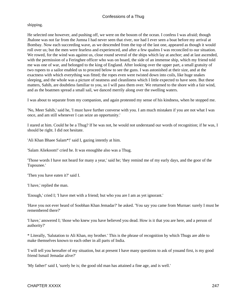#### shipping.

He selected one however, and pushing off, we were on the bosom of the ocean. I confess I was afraid; though Jhalone was not far from the Jumna I had never seen that river, nor had I ever seen a boat before my arrival at Bombay. Now each succeeding wave, as we descended from the top of the last one, appeared as though it would roll over us; but the men were fearless and experienced, and after a few qualms I was reconciled to our situation. We rowed, for the wind was against us, close round several of the ships which lay at anchor; and at last ascended, with the permission of a Feringhee officer who was on board, the side of an immense ship, which my friend told me was one of war, and belonged to the king of England. After looking over the upper part, a small gratuity of two rupees to a sailor enabled us to proceed below to see the guns. I was astonished at their size, and at the exactness with which everything was fitted; the ropes even were twisted down into coils, like huge snakes sleeping, and the whole was a picture of neatness and cleanliness which I little expected to have seen. But these matters, Sahib, are doubtless familiar to you, so I will pass them over. We returned to the shore with a fair wind, and as the boatmen spread a small sail, we danced merrily along over the swelling waters.

I was about to separate from my companion, and again protested my sense of his kindness, when he stopped me.

'No, Meer Sahib,' said he, 'I must have further converse with you. I am much mistaken if you are not what I was once, and am still whenever I can seize an opportunity.'

I stared at him. Could he be a Thug? If he was not, he would not understand our words of recognition; if he was, I should be right. I did not hesitate.

'Ali Khan Bhaee Salam\*!' said I, gazing intently at him.

'Salam Aliekoom!' cried he. It was enough he also was a Thug.

'Those words I have not heard for many a year,' said he; 'they remind me of my early days, and the goor of the Tupounee.'

'Then you have eaten it?' said I.

'I have,' replied the man.

'Enough,' cried I; 'I have met with a friend; but who you are I am as yet ignorant.'

'Have you not ever heard of Soobhan Khan Jemadar?' he asked. 'You say you came from Murnae: surely I must be remembered there?'

'I have,' answered I; 'those who knew you have believed you dead. How is it that you are here, and a person of authority?'

\* Literally, 'Salutation to Ali Khan, my brother.' This is the phrase of recognition by which Thugs are able to make themselves known to each other in all parts of India.

'I will tell you hereafter of my situation, but at present I have many questions to ask of youand first, is my good friend Ismail Jemadar alive?'

'My father!' said I, 'surely he is; the good old man has attained a fine age, and is well.'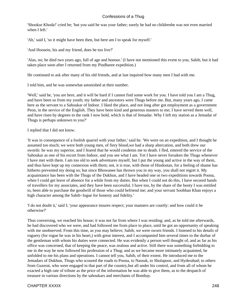'Shookur Khoda!' cried he; 'but you said he was your father; surely he had no children he was not even married when I left.'

'Ah,' said I, 'so it might have been then, but here am I to speak for myself.'

'And Hoosein, his and my friend, does he too live?'

'Alas, no; he died two years ago, full of age and honour.' (I have not mentioned this event to you, Sahib, but it had taken place soon after I returned from my Pindharee expedition.)

He continued to ask after many of his old friends, and at last inquired how many men I had with me.

I told him, and he was somewhat astonished at their number.

'Well,' said he, 'you are here, and it will be hard if I cannot find some work for you. I have told you I am a Thug, and have been so from my youth; my father and ancestors were Thugs before me. But, many years ago, I came here as the servant to a Sahoukar of Indoor. I liked the place, and not long after got employment as a government Peon, in the service of the English. They have been kind and generous masters to me; I have served them well, and have risen by degrees to the rank I now hold, which is that of Jemadar. Why I left my station as a Jemadar of Thugs is perhaps unknown to you?'

#### I replied that I did not know.

'It was in consequence of a foolish quarrel with your father,' said he. 'We were on an expedition, and I thought he assumed too much; we were both young men, of fiery blood,we had a sharp altercation, and both drew our swords: he was my superior, and I feared that he would condemn me to death. I fled, entered the service of the Sahoukar as one of his escort from Indoor, and you see what I am. Yet I have never forsaken the Thugs whenever I have met with them. I am too old to seek adventures myself, but I put the young and active in the way of them, and thus have kept up my connexion with them; not, it is true, with those of Hindostan, for a feeling of shame has hitherto prevented my doing so; but since Bhowanee has thrown you in my way, you shall not regret it. My acquaintance has been with the Thugs of the Dukhun, and I have headed one or two expeditions towards Poona, when I could get leave of absence for a while from my duties. But when I could not do this, I have secured bands of travellers for my associates, and they have been successful. I have too, by the share of the booty I was entitled to, been able to purchase the goodwill of those who could befriend me; and your servant Soobhan Khan enjoys a high character among the Sahib−logue for honesty and fidelity.'

'I do not doubt it,' said I; 'your appearance insures respect; your manners are courtly: and how could it be otherwise?'

Thus conversing, we reached his house; it was not far from where I was residing; and, as he told me afterwards, he had discovered who we were, and had followed me from place to place, until he got an opportunity of speaking with me unobserved. From this time, as you may believe, Sahib, we were sworn friends. I listened to his details of roguery (for rogue he was in his heart,) with great interest, and I accompanied him several times to the durbar of the gentleman with whom his duties were connected. He was evidently a person well thought of, and as far as his office was concerned, that of keeping the peace, was zealous and active. Still there was something forbidding to me in the way he now followed his profession of a Thug; and as we became more intimately acquainted, he unfolded to me his plans and operations. I cannot tell you, Sahib, of their extent. He introduced me to the Jemadars of Dukhun, Thugs who scoured the roads to Poona, to Nassuk, to Sholapoor, and Hyderabad; to others from Guzerat, who were engaged in that part of the country, but all under his control, and from all of whom he exacted a high rate of tribute as the price of the information he was able to give them, as to the despatch of treasure in various directions by the sahoukars and merchants of Bombay.

#### CHAPTER XXXIX 248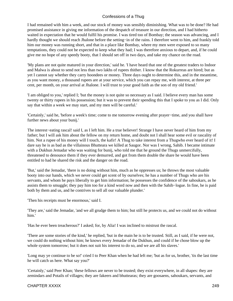I had remained with him a week, and our stock of money was sensibly diminishing. What was to be done? He had promised assistance in giving me information of the despatch of treasure in our direction, and I had hitherto waited in expectation that he would fulfil his promise. I was tired too of Bombay; the season was advancing, and I hardly thought we should reach Jhalone before the setting−in of the rains. I therefore went to him, and frankly told him our money was running short, and that in a place like Bombay, where my men were exposed to so many temptations, they could not be expected to keep what they had; I was therefore anxious to depart, and, if he could give me no hope of any speedy booty, that I should set off in two days, and take my chance on the road.

'My plans are not quite matured in your direction,' said he. 'I have heard that one of the greatest traders to Indoor and Malwa is about to send not less than two lakhs of rupees thither. I know that the Rokurreas are hired; but as yet I cannot say whether they carry hoondees or money. Three days ought to determine this, and in the meantime, as you want money, a thousand rupees are at your service, which you can repay me, with interest, at three per cent, per month, on your arrival at Jhalone. I will trust to your good faith as the son of my old friend.'

'I am obliged to you,' replied I; 'but the money is not quite so necessary as I said. I believe every man has some twenty or thirty rupees in his possession; but it was to prevent their spending this that I spoke to you as I did. Only say that within a week we may start, and my men will be careful.'

'Certainly,' said he, 'before a week's time; come to me tomorrow evening after prayer−time, and you shall have further news about your bunij.'

The interest−eating rascal! said I, as I left him. He a true believer! Strange I have never heard of him from my father; but I will ask him about the fellow on my return home, and doubt not I shall hear some evil or rascality of him. Not a rupee of his money will I touch, the kafir! A Thug to take interest from a Thug who ever heard of it! I dare say he is as bad as the villainous Bhutteara we killed at Saugor. Nor was I wrong, Sahib. I became intimate with a Dukhun Jemadar who was waiting for bunij, who told me that he ground the Thugs unmercifully, threatened to denounce them if they ever demurred, and got from them double the share he would have been entitled to had he shared the risk and the danger on the road.

'But,' said the Jemadar, 'there is no doing without him, much as he oppresses us; he throws the most valuable booty into our hands, which we never could get scent of by ourselves; he has a number of Thugs who are his servants, and whom he pays liberally to get him information; he possesses the confidence of the sahoukars, as he assists them to smuggle; they pay him too for a kind word now and then with the Sahib−logue. In fine, he is paid both by them and us, and he contrives to sell all our valuable plunder.'

'Then his receipts must be enormous,' said I.

'They are,' said the Jemadar, 'and we all grudge them to him; but still he protects us, and we could not do without him.'

'Has he ever been treacherous?' I asked; for, by Alia! I was inclined to mistrust the rascal.

'There are some stories of the kind,' he replied, 'but in the main he is to be trusted. Still, as I said, if he were not, we could do nothing without him; he knows every Jemadar of the Dukhun, and could if he chose blow up the whole system tomorrow; but it does not suit his interest to do so, and we are all his slaves.'

'Long may ye continue to be so!' cried I to Peer Khan when he had left me; 'but as for us, brother, 'tis the last time he will catch us here. What say you?'

'Certainly,' said Peer Khan; 'these fellows are never to be trusted; they exist everywhere, in all shapes: they are zemindars and Potails of villages; they are fakeers and bhuttearas; they are goosaens, sahoukars, servants, and

#### CHAPTER XXXIX 249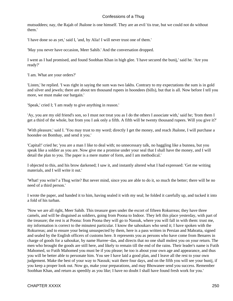mutsuddees; nay, the Rajah of Jhalone is one himself. They are an evil 'tis true, but we could not do without them.'

'I have done so as yet,' said I, 'and, by Alia! I will never trust one of them.'

'May you never have occasion, Meer Sahib.' And the conversation dropped.

I went as I had promised, and found Soobhan Khan in high glee. 'I have secured the bunij,' said he. 'Are you ready?'

'I am. What are your orders?'

'Listen,' he replied. 'I was right in saying the sum was two lakhs. Contrary to my expectations the sum is in gold and silver and jewels; there are about ten thousand rupees in hoondees (bills), but that is all. Now before I tell you more, we must make our bargain.'

'Speak,' cried I; 'I am ready to give anything in reason.'

'Ay, you are my old friend's son, so I must not treat you as I do the others I associate with,' said he; 'from them I get a third of the whole, but from you I ask only a fifth. A fifth will be twenty thousand rupees. Will you give it?'

'With pleasure,' said I. 'You may trust to my word; directly I get the money, and reach Jhalone, I will purchase a hoondee on Bombay, and send it you.'

'Capital!' cried he; 'you are a man I like to deal with; no unnecessary talk, no haggling like a bunnea, but you speak like a soldier as you are. Now give me a promise under your seal that I shall have the money, and I will detail the plan to you. The paper is a mere matter of form, and I am methodical.'

I objected to this, and his brow darkened; I saw it, and instantly altered what I had expressed: 'Get me writing materials, and I will write it out.'

'What! you write? a Thug write? But never mind, since you are able to do it, so much the better; there will be no need of a third person.'

I wrote the paper, and handed it to him, having sealed it with my seal; he folded it carefully up, and tucked it into a fold of his turban.

'Now we are all right, Meer Sahib. This treasure goes under the escort of fifteen Rokurreas; they have three camels, and will be disguised as soldiers, going from Poona to Indoor. They left this place yesterday, with part of the treasure; the rest is at Poona: from Poona they will go to Nassuk, where you will fall in with them: trust me, my information is correct to the minutest particular. I know the sahoukars who send it; I have spoken with the Rokurreas; and to ensure your being unsuspected by them, here is a pass written in Persian and Mahratta, signed and sealed by the English officers of customs here. It represents you as persons who have come from Benares in charge of goods for a sahoukar, by name Hurree−das, and directs that no one shall molest you on your return. The men who brought the goods are still here, and likely to remain till the end of the rains. Their leader's name is Futih Mahomed, so Futih Mahomed you must be if you please; he too is about your own age and appearance, and thus you will be better able to personate him. You see I have laid a good plan, and I leave all the rest to your own judgement. Make the best of your way to Nassuk; wait there four days, and on the fifth you will see your bunij, if you keep a proper look out. Now go, make your preparations, and may Bhowanee send you success. Remember Soobhan Khan, and return as speedily as you like; I have no doubt I shall have found fresh work for you.'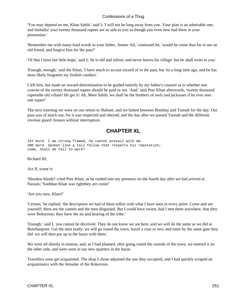'You may depend on me, Khan Sahib,' said I; 'I will not be long away from you. Your plan is an admirable one; and Inshalla! your twenty thousand rupees are as safe to you as though you even now had them in your possession.'

'Remember me with many kind words to your father, Ameer Ali,' continued he; 'would he come thus far to see an old friend, and forgive him for the past?'

'Of that I have but little hope,' said I; 'he is old and infirm, and never leaves his village: but he shall write to you.'

'Enough, enough,' said the Khan; 'I have much to accuse myself of in the past; but 'tis a long time ago, and he has most likely forgotten my foolish conduct.'

I left him, but made an inward determination to be guided entirely by my father's counsel as to whether one cowree of the twenty thousand rupees should be paid or not. 'And,' said Peer Khan afterwards, 'twenty thousand rupees the old villain! *He* get it! Ah, Meer Sahib, we shall be the brothers of owls and jackasses if he ever sees one rupee!'

The next morning we were on our return to Jhalone, and we halted between Bombay and Tannah for the day. Our pass was of much use, for it was respected and obeyed; and the day after we passed Tannah and the different revenue guard−houses without interruption.

# **CHAPTER XL**

1ST murd. I am strong framed, he cannot prevail with me. 2ND murd. Spoken like a tall fellow that respects his reputation; come, shall we fall to work?

Richard III,

Act II, scene iv

'Shookur khoda!' cried Peer Khan, as he rushed into my presence on the fourth day after we had arrived at Nassuk; 'Soobhan Khan was right they are come!'

'Are you sure, Khan?'

'Certain,' he replied; 'the description we had of them tallies with what I have seen in every point. Come and see yourself; there are the camels and the men disguised. But I could have sworn, had I met them anywhere, that they were Rokurreas; they have the air and bearing of the tribe.'

'Enough,' said I, *'you* cannot be deceived. They do not know we are here, and we will do the same as we did at Boorhanpoor. Get the men ready; we will go round the town, travel a coss or two, and enter by the same gate they did: we will then put up in the bazar with them.'

We were all shortly in motion, and, as I had planned, after going round the outside of the town, we entered it on the other side, and were soon in our new quarters in the bazar.

Travellers soon get acquainted. The shop I chose adjoined the one they occupied, and I had quickly scraped an acquaintance with the Jemadar of the Rokurreas.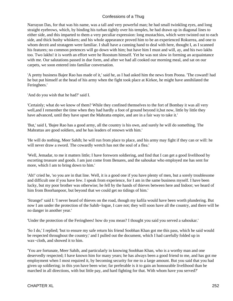Narrayun Das, for that was his name, was a tall and very powerful man; he had small twinkling eyes, and long straight eyebrows, which, by binding his turban tightly over his temples, he had drawn up in diagonal lines to either side, and this imparted to them a very peculiar expression: long mustachios, which were twisted out to each side, and thick bushy whiskers; and his whole appearance proved him to be an experienced Rokurrea, and one to whom deceit and stratagem were familiar. I shall have a cunning hand to deal with here, thought I, as I scanned his features; no common pretences will go down with him; but have him I must and will, ay, and his two lakhs too. Two lakhs! it is worth an effort were he Roostum himself. Yet he was not slow in forming an acquaintance with me. Our salutations passed in due form, and after we had all cooked our morning meal, and sat on our carpets, we soon entered into familiar conversation.

'A pretty business Bajee Rao has made of it,' said he, as I had asked him the news from Poona. 'The coward! had he but put himself at the head of his army when the fight took place at Kirkee, he might have annihilated the Feringhees.'

'And do you wish that he had?' said I.

'Certainly; what do we know of them? While they confined themselves to the fort of Bombay it was all very well, and I remember the time when they had hardly a foot of ground beyond it, but now, little by little they have advanced, until they have upset the Mahratta empire, and are in a fair way to take it.'

'But,' said I, 'Bajee Rao has a good army, all the country is his own, and surely he will do something. The Mahrattas are good soldiers, and he has leaders of renown with him.'

'He will do nothing, Meer Sahib; he will run from place to place, and his army may fight if they can or will: he will never draw a sword. The cowardly wretch has not the soul of a flea.'

'Well, Jemadar, to me it matters little; I have forsworn soldiering, and find that I can get a good livelihood by escorting treasure and goods. I am just come from Benares, and the sahoukar who employed me has sent for more, which I am to bring down to him.'

'Ah!' cried he, 'so you are in that line. Well, it is a good one if you have plenty of men, but a sorely troublesome and difficult one if you have few. I speak from experience, for I am in the same business myself. I have been lucky, but my poor brother was otherwise; he fell by the hands of thieves between here and Indoor; we heard of him from Boorhanpoor, but beyond that we could get no tidings of him.'

'Strange!' said I: 'I never heard of thieves on the road, though my kafila would have been worth plundering. But now I am under the protection of the Sahib−logue, I care not; they will soon have all the country, and there will be no danger in another year.'

'Under the protection of the Feringhees! how do you mean? I thought you said you served a sahoukar.'

'So I do,' I replied; 'but to ensure my safe return his friend Soobhan Khan got me this pass, which he said would be respected throughout the country;' and I pulled out the document, which I had carefully folded up in wax−cloth, and showed it to him.

'You are fortunate, Meer Sahib, and particularly in knowing Soobhan Khan, who is a worthy man and one deservedly respected; I have known him for many years; he has always been a good friend to me, and has got me employment when I most required it, by becoming security for me to a large amount. But you said that you had given up soldiering; in this yon have been wise; far preferable is it to gain an honourable livelihood than be marched in all directions, with but little pay, and hard fighting for that. With whom have you served?'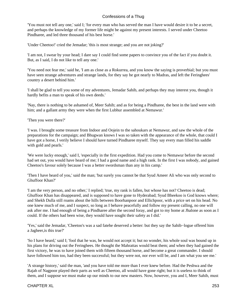'You must not tell any one,' said I; 'for every man who has served the man I have would desire it to be a secret, and perhaps the knowledge of my former life might be against my present interests. I served under Cheetoo Pindharee, and led three thousand of his best horse.'

'Under Cheetoo!' cried the Jemadar; 'this is most strange; and you are not joking?'

'I am not, I swear by your head; I dare say I could find some papers to convince you of the fact if you doubt it. But, as I said, I do not like to tell any one.'

'You need not fear me,' said he, 'I am as close as a Rokurrea, and you know the saying is proverbial; but you must have seen strange adventures and strange lands, for they say he got nearly to Madras, and left the Feringhees' country a desert behind him.'

'I shall be glad to tell you some of my adventures, Jemadar Sahib, and perhaps they may interest you, though it hardly befits a man to speak of his own deeds.'

'Nay, there is nothing to be ashamed of, Meer Sahib; and as for being a Pindharee, the best in the land were with him; and a gallant army they were when the first Lubhur assembled at Nemawur.'

'Then you were there?'

'I was. I brought some treasure from Indoor and Oojein to the sahoukars at Nemawur, and saw the whole of the preparations for the campaign; and Bhugwan knows I was so taken with the appearance of the whole, that could I have got a horse, I verily believe I should have turned Pindharee myself. They say every man filled his saddle with gold and pearls.'

'We were lucky enough,' said I, 'especially in the first expedition. Had you come to Nemawur before the second had set out, you would have heard of me; I had a good name and a high rank. In the first I was nobody, and gained Cheetoo's favour solely because I was a better swordsman than any in his camp.'

'Then I have heard of you,' said the man; 'but surely you cannot be that Syud Ameer Ali who was only second to Ghuffoor Khan?'

'I am the very person, and no other,' I replied; 'true, my rank is fallen, but whose has not? Cheetoo is dead; Ghuffoor Khan has disappeared, and is supposed to have gone to Hyderabad; Syud Bheekoo is God knows where; and Shekh Dulla still roams about the hills between Boorhanpoor and Ellichpoor, with a price set on his head. No one knew much of me, and I suspect, so long as I behave peacefully and follow my present calling, no one will ask after me. I had enough of being a Pindharee after the second foray, and got to my home at Jhalone as soon as I could. If the others had been wise, they would have sought their safety as I did.'

'Yes,' said the Jemadar, 'Cheetoo's was a sad fate he deserved a better: but they say the Sahib–logue offered him a Jagheer, is this true?'

'So I have heard,' said I; 'fool that he was, he would not accept it; but no wonder, his whole soul was bound up in his plans for driving out the Feringhees. He thought the Mahrattas would beat them; and when they had gained the first victory, he was to have joined them with fifteen thousand horse, and become a great commander. I should have followed him too, had they been successful; but they were not, nor ever will be, and I am what you see me.'

'A strange history,' said the man, 'and you have told me more than I ever knew before. Had the Peshwa and the Rajah of Nagpoor played their parts as well as Cheetoo, all would have gone right; but it is useless to think of them, and I suppose we must make up our minds to our new masters. Now, however, you and I, Meer Sahib, must

#### CHAPTER XL 253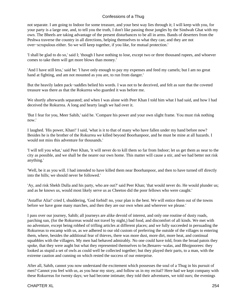not separate. I am going to Indoor for some treasure, and your best way lies through it; I will keep with you, for your party is a large one, and, to tell you the truth, I don't like passing those jungles by the Sindwah Ghat with my own. The Bheels are taking advantage of the present disturbances to be all in arms. Bands of deserters from the Peshwa traverse the country in all directions, helping themselves to what they can; and they are not over−scrupulous either. So we will keep together, if you like, for mutual protection.'

'I shall be glad to do so,' said I; 'though I have nothing to lose, except two or three thousand rupees, and whoever comes to take them will get more blows than money.'

'And I have still less,' said he: 'I have only enough to pay my expenses and feed my camels; but I am no great hand at fighting, and am not mounted as you are, to run from danger.'

But the heavily laden pack−saddles belied his words. I was not to be deceived, and felt as sure that the coveted treasure was there as that the Rokurrea who guarded it was before me.

We shortly afterwards separated; and when I was alone with Peer Khan I told him what I had said, and how I had deceived the Rokurrea. A long and hearty laugh we had over it.

'But I fear for you, Meer Sahib,' said he. 'Compare his power and your own slight frame. You must risk nothing now.'

I laughed. 'His power, Khan!' I said, 'what is it to that of many who have fallen under my hand before now? Besides he is the brother of the Rokurrea we killed beyond Boorhanpoor, and he must be mine at all hazards. I would not miss this adventure for thousands.'

'I will tell you what,' said Peer Khan, 'it will never do to kill them so far from Indoor; let us get them as near to the city as possible, and we shall be the nearer our own home. This matter will cause a stir, and we had better not risk anything.'

'Well, be it as you will. I had intended to have killed them near Boorhanpoor, and then to have turned off directly into the hills; we should never be followed.'

'Ay, and risk Shekh Dulla and his party, who are out?' said Peer Khan; 'that would never do. He would plunder us; and as he knows us, would most likely serve us as Cheetoo did the poor fellows who were caught.'

'Astaffur Alia!' cried I, shuddering, 'God forbid! no, your plan is the best. We will entice them out of the towns before we have gone many marches, and then they are our own when and wherever we please.'

I pass over our journey, Sahib; all journeys are alike devoid of interest, and only one routine of dusty roads, parching sun, (for the Rokurreas would not travel by night,) bad food, and discomfort of all kinds. We met with no adventure, except being robbed of trifling articles at different places; and we fully succeeded in persuading the Rokurreas to encamp with us, as we adhered to our old custom of preferring the outside of the villages to entering them, where, besides the additional fear of thieves, there was more dust, more dirt, more heat, and continual squabbles with the villagers. My men had behaved admirably. No one could have told, from the broad patois they spoke, that they were aught but what they represented themselves to be, Benares–walas, and Bhojpoorees: they looked as stupid a set of owls as could well be collected together; but they played their parts, to a man, with the extreme caution and cunning on which rested the success of our enterprise.

After all, Sahib, cannot you now understand the excitement which possesses the soul of a Thug in his pursuit of men? Cannot you feel with us, as you hear my story, and follow us in my recital? Here had we kept company with these Rokurreas for twenty days; we had become intimate; they told their adventures, we told ours; the evenings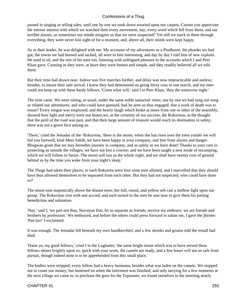passed in singing or telling tales, until one by one we sunk down wearied upon our carpets. Cannot you appreciate the intense interest with which we watched their every movement, nay, every word which fell from them, and our terrible alarms, as sometimes our minds misgave us that we were suspected? Yet still we stuck to them through everything, they were never lost sight of for a moment, and, above all, their minds were kept happy.

As to their leader, he was delighted with me. My accounts of my adventures as a Pindharee, the plunder we had got, the towns we had burned and sacked, all were to him interesting, and day by day I told him of new exploits. He used to sit, and the rest of his men too, listening with unfeigned pleasure to the accounts which I and Peer Khan gave. Cunning as they were, at heart they were honest and simple, and they readily believed all we told them.

But their time had drawn near. Indoor was five marches further, and delay was now impracticable and useless; besides, to insure their safe arrival, I knew they had determined on going thirty coss in one march, and my men could not keep up with these hardy fellows. 'Come what will,' said I to Peer Khan, 'they die tomorrow night.'

The time came. We were sitting, as usual, under the same noble tamarind−trees; one by one we had sung our song or related our adventures; and who could have guessed, had he seen us thus engaged, that a work of death was to ensue? Every tongue was employed, and the hearty laugh which broke at times from one or other of the assembly, showed how light and merry were our hearts, we, at the certainty of our success, the Rokurreas, at the thought that the peril of the road was past, and that their large amount of treasure would reach its destination in safety; there was not a grave face among us.

'There,' cried the Jemadar of the−Rokurreas, 'there is the moon; when she has risen over the trees yonder we will bid you farewell, kind Meer Sahib; we have been happy in your company, and free from alarms and danger. Bhugwan grant that we may hereafter journey in company, and as safely as we have done! Thanks to your care in protecting us outside the villages, we have not lost a cowree; and we have been taught a new mode of encamping, which we will follow in future. The moon will last us the whole night, and we shall have twenty coss of ground behind us by the time you wake from your night's sleep.'

The Thugs had taken their places; to each Rokurrea were four stout men allotted, and I marvelled that they should have thus allowed themselves to be separated from each other. But they had not suspected; who *could* have done so?

The moon rose majestically above the distant trees; her full, round, and yellow orb cast a mellow light upon our group. The Rokurreas rose with one accord, and each turned to the men he was near to give them his parting benediction and salutation.

'Nay,' said I, 'we part not thus, Narrayun Das; let us separate as friends; receive my embrace; we are friends and brothers by profession.' We embraced, and before the others could press forward to salute me, I gave the jhirnee: 'Pan lao!' I exclaimed.

It was enough. The Jemadar fell beneath my own handkerchief, and a few shrieks and groans told the restall had died.

'Haste ye, my good fellows,' cried I to the Lughaees; 'the same bright moon which was to have served these fellows shines brightly upon us; quick with your work, the camels are ready, and a few hours will see us safe from pursuit, though indeed none is to be apprehended from this small place.'

The bodies were stripped; every fellow had a heavy humeana, besides what was laden on the camels. We stopped not to count our money, but hastened on when the interment was finished; and only tarrying for a few moments at the next village we came to, to purchase the goor for the Tupounee, we found ourselves in the morning nearly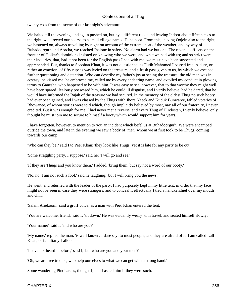twenty coss from the scene of our last night's adventure.

We halted till the evening, and again pushed on, but by a different road; and leaving Indoor about fifteen coss to the right, we directed our course to a small village named Dehalpoor. From this, leaving Oojein also to the right, we hastened on, always travelling by night on account of the extreme heat of the weather, and by way of Buhadoorgurh and Aorcha, we reached Jhalone in safety. No alarm had we but one. The revenue officers on the frontier of Holkar's dominions insisted on knowing who we were, and what we had with us; and so strict were their inquiries, that, had it not been for the English pass I had with me, we must have been suspected and apprehended. But, thanks to Soobhan Khan, it was not questioned; as Futih Mahomed I passed free. A duty, or rather an exaction, of fifty rupees was levied on the treasure, and a fresh pass given to us, by which we escaped further questioning and detention. Who can describe my father's joy at seeing the treasure! the old man was in ecstasy: he kissed me, he embraced me, called me by every endearing name, and extolled my conduct in glowing terms to Ganesha, who happened to be with him. It was easy to see, however, that to that worthy they might well have been spared. Jealousy possessed him, which he could ill disguise, and I verily believe, had he dared, that he would have informed the Rajah of the treasure we had secured. In the memory of the oldest Thug no such booty had ever been gained, and I was classed by the Thugs with Jhora Naeck and Kuduk Bunwaree, fabled votaries of Bhowanee, of whom stories were told which, though implicitly believed by most, nay all of our fraternity, I never credited. But it was enough for me. I had never met a reverse, and every Thug of Hindostan, I verily believe, only thought he must join me to secure to himself a booty which would support him for years.

I have forgotten, however, to mention to you an incident which befel us at Buhadoorgurh. We were encamped outside the town, and late in the evening we saw a body of. men, whom we at first took to be Thugs, coming towards our camp.

'Who can they be?' said I to Peer Khan; 'they look like Thugs, yet it is late for any party to be out.'

'Some straggling party, I suppose,' said he; 'I will go and see.'

'If they are Thugs and you know them,' I added, 'bring them, but say not a word of our booty.'

'No, no, I am not such a fool,' said he laughing; 'but I will bring you the news.'

He went, and returned with the leader of the party. I had purposely kept in my little tent, in order that my face might not be seen in case they were strangers, and to conceal it effectually I tied a handkerchief over my mouth and chin.

'Salam Aliekoom,' said a gruff voice, as a man with Peer Khan entered the tent.

'You are welcome, friend,' said I; 'sit down.' He was evidently weary with travel, and seated himself slowly.

'Your name?' said I; 'and who are you?'

'My name,' replied the man, 'is well known, I dare say, to most people, and they are afraid of it. I am called Lall Khan, or familiarly Lalloo.'

'I have not heard it before,' said I; 'but who are you and your men?'

'Oh, we are free traders, who help ourselves to what we can get with a strong hand.'

Some wandering Pindharees, thought I; and I asked him if they were such.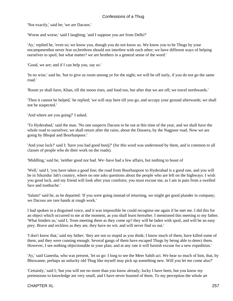'Not exactly,' said he; 'we are Dacoos.'

'Worse and worse,' said I laughing; 'and I suppose you are from Delhi?'

'Ay,' replied he, 'even so; we know you, though you do not know us. We know you to be Thugs by your encampment but never fear us; brethren should not interfere with each other; we have different ways of helping ourselves to spoil, but what matter? we are brothers in a general sense of the word.'

'Good, we are; and if I can help you, say so.'

'In no wise,' said he, 'but to give us room among ye for the night; we will be off early, if you do not go the same road.'

'Room ye shall have, Khan, till the moon rises, and food too, but after that we are off; we travel northwards.'

'Then it cannot be helped,' he replied; 'we will stay here till you go, and occupy your ground afterwards; we shall not be suspected.'

'And where are you going?' I asked.

'To Hyderabad,' said the man. 'No one suspects Dacoos to be out at this time of the year, and we shall have the whole road to ourselves; we shall return after the rains, about the Dussera, by the Nagpoor road. Now we are going by Bhopal and Boorhanpoor.'

'And your luck?' said I; 'have you had good bunij?' (for this word was understood by them, and is common to all classes of people who do their work on the roads).

'Middling,' said he, 'neither good nor bad. We−have had a few affairs, but nothing to boast of

'Well,' said I, 'you have taken a good line; the road from Boorhanpoor to Hyderabad is a good one, and you will be in Sikundur Jah's country, where no one asks questions about the people who are left on the highways. I wish you good luck, and my friend will look after your comforts; you must excuse me, as I am in pain from a swelled face and toothache.'

'Salam!' said he, as he departed: 'If you were going instead of returning, we might get good plunder in company; we Dacoos are rare hands at rough work.'

I had spoken in a disguised voice, and it was impossible he could recognise me again if he met me. I did this for an object which occurred to me at the moment, as you shall learn hereafter. I mentioned this meeting to my father. 'What hinders us,' said I, 'from meeting them as they come up? they will be laden with spoil, and will be an easy prey. Brave and reckless as they are, they have no wit, and will never find us out.'

'I don't know that,' said my father; 'they are not so stupid as you think; I know much of them, have killed some of them, and they were cunning enough. Several gangs of them have escaped Thugs by being able to detect them. However, I see nothing objectionable in your plan; and at any rate it will furnish excuse for a new expedition.'

'Ay,' said Ganesha, who was present, 'let us go: I long to see the Meer Sahib act. We hear so much of him, that, by Bhowanee, perhaps an unlucky old Thug like myself may pick up something new. Will you let me come also?'

'Certainly,' said I; 'but you will see no more than you know already; lucky I have been, but you know my pretensions to knowledge are very small, and I have never boasted of them. To my perception the whole art

#### CHAPTER XL 257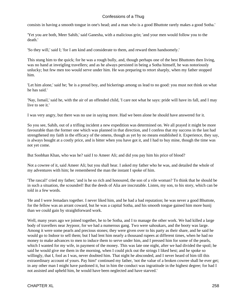consists in having a smooth tongue in one's head; and a man who is a good Bhuttote rarely makes a good Sotha.'

'Yet you are both, Meer Sahib,' said Ganesha, with a malicious grin; 'and your men would follow you to the death.'

'So they will,' said I; 'for I am kind and considerate to them, and reward them handsomely.'

This stung him to the quick; for he was a rough bully, and, though perhaps one of the best Bhuttotes then living, was no hand at inveigling travellers; and as he always persisted in being a Sotha himself, he was notoriously unlucky; but few men too would serve under him. He was preparing to retort sharply, when my father stopped him.

'Let him alone,' said he; 'he is a proud boy, and bickerings among us lead to no good: you must not think on what he has said.'

'Nay, Ismail,' said he, with the air of an offended child, 'I care not what he says: pride will have its fall, and I may live to see it.'

I was very angry, but there was no use in saying more. Had we been alone he should have answered for it.

So you see, Sahib, out of a trifling incident a new expedition was determined on. We all prayed it might be more favourable than the former one which was planned in that direction, and I confess that my success in the last had strengthened my faith in the efficacy of the omens, though as yet by no means established it. Experience, they say, is always bought at a costly price, and is bitter when you have got it, and I had to buy mine, though the time was not yet come.

But Soobhan Khan, who was he? said I to Ameer Ali; and did you pay him his price of blood?

Not a cowree of it, said Ameer Ali; but you shall hear. I asked my father who he was, and detailed the whole of my adventures with him; he remembered the man the instant I spoke of him.

'The rascal!' cried my father; 'and is he so rich and honoured, the son of a vile woman? To think that he should be in such a situation, the scoundrel! But the deeds of Alia are inscrutable. Listen, my son, to his story, which can be told in a few words.

'He and I were Jemadars together. I never liked him, and he had a bad reputation; he was never a good Bhuttote, for the fellow was an arrant coward, but he was a capital Sotha, and his smooth tongue gained him more bunij than we could gain by straightforward work.

Well, many years ago we joined together, he to be Sotha, and I to manage the other work. We had killed a large body of travellers near Jeypoor, for we had a numerous gang. Two were sahoukars, and the booty was large. Among it were some pearls and precious stones; they were given over to his party as their share, and he said he would go to Indoor to sell them; but I had lent him nearly a thousand rupees at different times, when he had no money to make advances to men to induce them to serve under him, and I pressed him for some of the pearls, which I wanted for my wife, in payment of the money. This was late one night, after we had divided the spoil; he said he would give me them in the morning, when I could pick out the strings I liked best; and he spoke so willingly, that I, fool as I was, never doubted him. That night he absconded, and I never heard of him till this extraordinary account of yours. Pay him!' continued my father, 'not the value of a broken cowree shall he ever get; in any other man I might have pardoned it, but in him the conduct was ingratitude in the highest degree; for had I not assisted and upheld him, he would have been neglected and have starved.'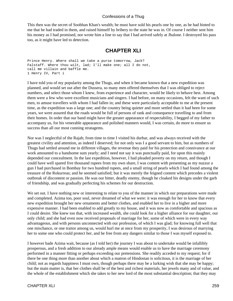This then was the secret of Soobhan Khan's wealth; he must have sold his pearls one by one, as he had hinted to me that he had traded in them, and raised himself by bribery to the state he was in. Of course I neither sent him his money as I had promised, nor wrote him a line to say that I had arrived safely at Jhalone. I destroyed his pass too, as it might have led to detection.

# **CHAPTER XLI**

```
Prince Henry. Where shall we take a purse tomorrow, Jack? 
Falstaff. Where thou wilt, lad; I'll make one; all I do not,
call me villain and baffle me.
1 Henry IV, Part i
```
I have told you of my popularity among the Thugs, and when it became known that a new expedition was planned, and would set out after the Dussera, so many men offered themselves that I was obliged to reject numbers, and select those whom I knew, from experience and character, would be likely to behave best. Among them were a few who were excellent musicians and singers. I had before, on many occasions, felt the want of such men, to amuse travellers with whom I had fallen in; and these were particularly acceptable to me at the present time, as the expedition was a large one; and the country being quieter and more settled than it had been for some years, we were assured that the roads would be full of persons of rank and consequence travelling to and from their homes. In order that our band might have the greater appearance of respectability, I begged of my father to accompany us, for his venerable appearance and polished manners would, I was certain, do more to ensure us success than all our most cunning stratagems.

Nor was I neglectful of the Rajah; from time to time I visited his durbar, and was always received with the greatest civility and attention, as indeed I deserved; for not only was I a good servant to him, but as numbers of Thugs had settled around me in different villages, the revenue they paid for his protection and connivance at our work amounted to a handsome sum yearly; and I need not say it was punctually paid, for upon this mainly depended our concealment. In the last expedition, however, I had pleaded poverty on my return, and though I could have well spared five thousand rupees from my own share, I was content with presenting as my nuzzur a gun I had purchased in Bombay for two hundred rupees, and a small string of pearls which I had found among the treasure of the Rokurreas; and he seemed satisfied; but it was merely the feigned content which precedes a violent outbreak of discontent or passion. He was our bitter, deadly enemy, though he cloaked his designs under the garb of friendship, and was gradually perfecting his schemes for our destruction.

We set out. I have nothing new or interesting to relate to you of the manner in which our preparations were made and completed. Azima too, poor soul, never dreamed of what we were: it was enough for her to know that every new expedition brought her new ornaments and better clothes, and enabled her to live in a higher and more expensive manner. I had been enabled to add greatly to my house, and it was now as comfortable and spacious as I could desire. She knew too that, with increased wealth, she could look for a higher alliance for our daughter, our only child; and she had even now received proposals of marriage for her, some of which were in every way advantageous, and with persons unconnected with our profession, of which I was glad; for knowing full well that one mischance, or one traitor among us, would hurl me at once from my prosperity, I was desirous of marrying her to some one who could protect her, and be free from any dangers similar to those I was myself exposed to.

I however bade Azima wait, because (as I told her) the journey I was about to undertake would be infallibly prosperous, and a fresh addition to our already ample means would enable us to have the marriage ceremony performed in a manner fitting or perhaps exceeding our pretensions. She readily acceded to my request; for if there be one thing more than another about which a matron of Hindostan is solicitous, it is the marriage of her child; not as regards happiness I must own, though perhaps there may be a lurking wish that she may be happy; but the main matter is, that her clothes shall be of the best and richest materials, her jewels many and of value, and the whole of the establishment which she takes to her new lord of the most substantial description; that they may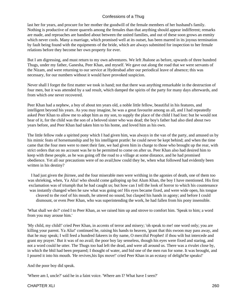last her for years, and procure for her mother the goodwill of the female members of her husband's family. Nothing is productive of more quarrels among the females than that anything should appear indifferent; remarks are made, and reproaches are bandied about between the united families, and out of these soon grows an enmity which never cools. Many a marriage, which promised well at its outset, has been marred in its joyous termination by fault being found with the equipments of the bride, which are always submitted for inspection to her female relations before they become her own property for ever.

But I am digressing, and must return to my own adventures. We left Jhalone as before, upwards of three hundred Thugs, under my father, Ganesha, Peer Khan, and myself. We gave out along the road that we were servants of the Nizam, and were returning to our service at Hyderabad after our periodical leave of absence; this was necessary, for our numbers without it would have provoked suspicion.

Never shall I forget the first matter we took in hand; not that there was anything remarkable in the destruction of four men, but it was attended by a sad result, which damped the spirits of the party for many days afterwards, and from which *one* never recovered.

Peer Khan had a nephew, a boy of about ten years old, a noble little fellow, beautiful in his features, and intelligent beyond his years. As you may imagine, he was a great favourite among us all, and I had repeatedly asked Peer Khan to allow me to adopt him as my son, to supply the place of the child I had lost: but he would not hear of it, for the child was the son of a beloved sister who was dead; the boy's father had also died about two years before, and Peer Khan had taken him to his home, and loved him as his own.

The little fellow rode a spirited pony which I had given him, was always in the van of the party, and amused us by his mimic feats of horsemanship and by his intelligent prattle: he could never be kept behind; and when the time came that the four men were to meet their fate, we had given him in charge to those who brought up the rear, with strict orders that on no account was he to be permitted to come on after us. Peer Khan also had desired him to keep with these people, as he was going off the road to a village at some distance, and he had promised obedience. Yet all our precautions were of no avail; how could they be, when what followed had evidently been written in his destiny?

I had just given the jhirnee, and the four miserable men were writhing in the agonies of death, one of them too was shrieking, when, Ya Alia! who should come galloping up but Alum Khan, the boy I have mentioned. His first exclamation was of triumph that he had caught us; but how can I tell the look of horror to which his countenance was instantly changed when he saw what was going on! His eyes became fixed, and were wide open, his tongue cleaved to the roof of his mouth, he uttered no sound, but clasped his hands in agony; and before I could dismount, or even Peer Khan, who was superintending the work, he had fallen from his pony insensible.

'What shall we do?' cried I to Peer Khan, as we raised him up and strove to comfort him. 'Speak to him; a word from you may arouse him.'

'My child, my child!' cried Peer Khan, in accents of terror and misery; 'oh speak to me! one word only; you are killing your parent. Ya Alia!' continued he, raising his hands to heaven, 'grant that this swoon may pass away, and that he may speak; I will feed a hundred fakeers in thy name, O merciful Prophet! if thou wilt but intercede and grant my prayer.' But it was of no avail; the poor boy lay senseless, though his eyes were fixed and staring, and not a word could he utter. The Thugs too had left the dead, and were all around us. There was a rivulet close by, in which the bhil had been prepared; I thought of water, and bid one of the men run for some. It was brought, and I poured it into his mouth. 'He revives, his lips move!' cried Peer Khan in an ecstasy of delight 'he speaks!'

And the poor boy did speak.

'Where am I, uncle?' said he in a faint voice. 'Where am I? What have I seen?'

#### CHAPTER XLI 260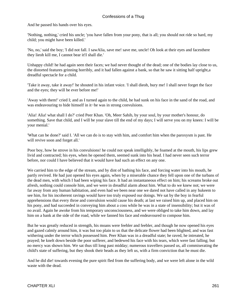And he passed his hands over his eyes.

'Nothing, nothing,' cried his uncle; 'you have fallen from your pony, that is all; you should not ride so hard, my child; you might have been killed.'

'No, no,' said the boy; 'I did not fall. I saw Alia, save me! save me, uncle! Oh look at their eyes and faces there they lie oh kill me, I cannot bear it! I shall die.'

Unhappy child! he had again seen their faces; we had never thought of the dead; one of the bodies lay close to us, the distorted features grinning horribly, and it had fallen against a bank, so that he saw it sitting half upright, a dreadful spectacle for a child.

'Take it away, take it away!' he shouted in his infant voice. 'I shall dieoh, bury me! I shall never forget the face and the eyes; they will be ever before me!'

'Away with them!' cried I; and as I turned again to the child, he had sunk on his face in the sand of the road, and was endeavouring to hide himself in it−he was in strong convulsions.

'Alia! Alia! what shall I do?' cried Peer Khan. 'Oh, Meer Sahib, by your soul, by your mother's honour, do something. Save that child, and I will be your slave till the end of my days; I will serve you on my knees: I will be your menial.'

'What can be done?' said I. 'All we can do is to stay with him, and comfort him when the paroxysm is past. He will revive soon and forget all.'

Poor boy, how he strove in his convulsions! he could not speak intelligibly, he foamed at the mouth, his lips grew livid and contracted; his eyes, when he opened them, seemed sunk into his head. I had never seen such terror before, nor could I have believed that it would have had such an effect on any one.

We carried him to the edge of the stream, and by dint of bathing his face, and forcing water into his mouth, he partly revived. He had just opened his eyes again, when by a miserable chance they fell upon one of the turbans of the dead men, with which I had been wiping his face. It had an instantaneous effect on him; his screams broke out afresh, nothing could console him, and we were in dreadful alarm about him. What to do we knew not; we were far away from any human habitation, and even had we been near one we dared not have called in any hukeem to see him, for his incoherent ravings would have too truly exposed our doings. We sat by the boy in fearful apprehensions that every throe and convulsion would cause his death; at last we raised him up, and placed him on his pony, and had succeeded in conveying him about a coss while he was in a state of insensibility; but it was of no avail. Again he awoke from his temporary unconsciousness, and we were obliged to take him down, and lay him on a bank at the side of the road, while we fanned his face and endeavoured to compose him.

But he was greatly reduced in strength, his moans were feebler and feebler, and though he now opened his eyes and gazed calmly around him, it was but too plain to us that the delicate flower had been blighted, and was fast withering under the terror which possessed him. Peer Khan was in a dreadful state; he raved, he intreated, he prayed; he knelt down beside the poor sufferer, and bedewed his face with his tears, which were fast falling; but no mercy was shown him. We sat thus till long past midday; numerous travellers passed us, all commiserating the child's state of suffering, but they shook their heads as they left us, with a firm conviction that he must die.

And he did die! towards evening the pure spirit fled from the suffering body, and we were left alone in the wild waste with the dead.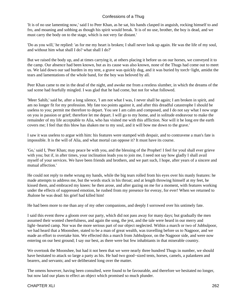'It is of no use lamenting now,' said I to Peer Khan, as he sat, his hands clasped in anguish, rocking himself to and fro, and moaning and sobbing as though his spirit would break. 'It is of no use, brother, the boy is dead, and we must carry the body on to the stage, which is not very far distant.'

'Do as you will,' he replied: 'as for me my heart is broken; I shall never look up again. He was the life of my soul, and without him what shall I do? what shall I do?'

But we raised the body up, and at times carrying it, at others placing it before us on our horses, we conveyed it to the camp. Our absence had been known, but as its cause was also known, none of the Thugs had come out to meet us. We laid down our sad burden in my tent, a grave was quickly dug, and it was buried by torch−light, amidst the tears and lamentations of the whole band, for the boy was beloved by all.

Peer Khan came to me in the dead of the night, and awoke me from a restless slumber, in which the dreams of the sad scene had fearfully mingled. I was glad that he had come, but not for what followed.

'Meer Sahib,' said he, after a long silence, 'I am not what I was, I never shall be again; I am broken in spirit, and am no longer fit for my profession. My fate too points against it, and after this dreadful catastrophe I should be useless to you; permit me therefore to depart. You see I am calm and composed, and I do not say what I now urge on you in passion or grief; therefore let me depart. I will go to my home, and in solitude endeavour to make the remainder of my life acceptable to Alia, who has visited me with this affliction. Nor will it be long ere the earth covers me; I feel that this blow has shaken me to my soul, and it will bow me down to the grave.'

I saw it was useless to argue with him: his features were stamped with despair, and to contravene a man's fate is impossible. It is the will of Alia, and what mortal can oppose it? It must have its course.

'Go,' said I, 'Peer Khan; may peace be with you, and the blessing of the Prophet! I feel for you I shall ever grieve with you; but if, in after times, your inclination leads you to join me, I need not say how gladly I shall avail myself of your services. We have been friends and brothers, and we part such, I hope, after years of a sincere and mutual affection.'

He could not reply to me he wrung my hands, while the big tears rolled from his eyes over his manly features: he made attempts to address me, but the words stuck in his throat; and at length throwing himself at my feet, he kissed them, and embraced my knees: he then arose, and after gazing on me for a moment, with features working under the effects of suppressed emotion, he rushed from my presence for ever ay, for ever! When we returned to Jhalone he was dead: his grief had killed him!

He had been more to me than any of my other companions, and deeply I sorrowed over his untimely fate.

I said this event threw a gloom over our party, which did not pass away for many days; but gradually the men assumed their wonted cheerfulness, and again the song, the jest, and the tale were heard in our merry and light−hearted camp. Nor was the more serious part of our object neglected. Within a march or two of Jubbulpoor, we had heard that a Moonshee, stated to be a man of great wealth, was travelling before us to Nagpoor, and we made an effort to overtake him. We effected this a march from Jubbulpoor, on the Nagpoor side, and were now entering on our best ground; I say our best, as there were but few inhabitants in that miserable country.

We overtook the Moonshee, but had it not been that we were nearly three hundred Thugs in number, we should have hesitated to attack so large a party as his. He had two good−sized tents, horses, camels, a palankeen and bearers, and servants; and we deliberated long over the matter.

The omens however, having been consulted, were found to be favourable, and therefore we hesitated no longer, but now laid our plans to effect an object which promised so much plunder.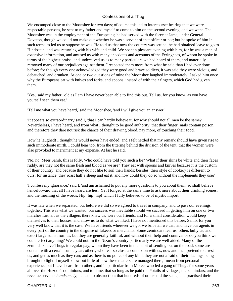We encamped close to the Moonshee for two days; of course this led to intercourse: hearing that we were respectable persons, he sent to my father and myself to come to him on the second evening, and we went. The Moonshee was in the employment of the Europeans; he had served with the force at Jama, under General Doveton, though we could not make out whether he was a servant of that officer or not; but he spoke of him in such terms as led us to suppose he was. He told us that now the country was settled, he had obtained leave to go to Hindostan, and was returning with his wife and child. We spent a pleasant evening with him, for he was a man of extensive information, and amused us with many anecdotes and accounts of the Feringhees, of whom he spoke in terms of the highest praise, and undeceived us as to many particulars we had heard of them, and materially removed many of our prejudices against them. I respected them more from what he said than I had ever done before; for though every one acknowledged they were good and brave soldiers, it was said they were vicious, and debauched, and drunken. At one or two questions of mine the Moonshee laughed immoderately. I asked him once why the Europeans eat with knives and forks, and spoons, instead of with their fingers, which God had given them.

'Yes,' said my father, 'old as I am I have never been able to find this out. Tell us, for you know, as you have yourself seen them eat.'

'Tell me what you have heard,' said the Moonshee, 'and I will give you an answer.'

'It appears so extraordinary,' said I, 'that I can hardly believe it; for why should not all men be the same? Nevertheless, I have heard, and from what I thought to be good authority, that their finger−nails contain poison, and therefore they dare not risk the chance of their drawing blood, nay more, of touching their food.'

How he laughed! I thought he would never have ended; and I felt nettled that my remark should have given rise to such immoderate mirth. I could hear too, from the tittering behind the division of the tent, that the women were also provoked to merriment at my expense. At last he said,

'No, no, Meer Sahib, this is folly. Who could have told you such a lie? What if their skins be white and their faces ruddy, are they not the same flesh and blood as we are? They eat with spoons and knives because it is the custom of their country, and because they do not like to soil their hands; besides, their style of cookery is different to ours; for instance, they roast half a sheep and eat it, and how could they do so without the implements they use?'

'I confess my ignorance,' said I, 'and am ashamed to put any more questions to you about them, so shall believe henceforward that all I have heard are lies.' Yet I longed at the same time to ask more about their drinking scenes, and the meaning of the words, Hip! hip! hip! which I fully believed to be of mystic import.

It was late when we separated, but before we did so we agreed to travel in company, and to pass our evenings together. This was what we wanted; our success was inevitable should we succeed in getting him on one or two marches further, as the villagers there knew us, were our friends, and for a small consideration would keep themselves to their houses, and allow us to do what we liked. I have not mentioned this before, Sahib, for you very well know that it is the case. We have friends wherever we go; we bribe all we can, and have our agents in every part of the country in the disguise of fakeers or merchants. Some zemindars fear us, others bully us, and extort large sums from us, but they are generally faithful; and without their help and connivance do you think we could effect anything? We could not. In the Nizam's country particularly we are well aided. Many of the zemindars have Thugs in regular pay, whom they have been in the habit of sending out on the road: some are content with a certain sum a year; others, who fear so close a connexion with us, now and then pretend to arrest us, and get as much as they can; and as there is no police of any kind, they are not afraid of their dealings being brought to light. I myself know but little of how these matters are managed there,I mean from personal experience, but I have heard from others, and in particular from Motee, who led a gang of Thugs for some years all over the Huzoor's dominions, and told me, that so long as he paid the Potails of villages, the zemindars, and the revenue servants *handsomely,* he had no obstruction; that hundreds of others did the same, and practised their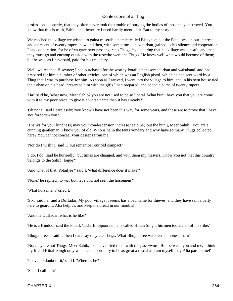profession so openly, that they often never took the trouble of burying the bodies of those they destroyed. You know that this is truth, Sahib, and therefore I need hardly mention it. But to my story.

We reached the village we wished to gain a miserable hamlet called Biseynee; but the Potail was in our interest, and a present of twenty rupees now and then, with sometimes a new turban, gained us his silence and cooperation. I say cooperation, for he often gave over passengers to Thugs, by declaring that his village was unsafe, and that they must go and encamp outside with the restwho were the Thugs. He knew well what would become of them; but he was, as I have said, paid for his treachery.

Well, we reached Biseynee; I had purchased for the worthy Potail a handsome turban and waistband, and had prepared for him a number of other articles, one of which was an English pistol, which he had sent word by a Thug that I was to purchase for him. As soon as I arrived, I went into the village to him, and in his own house tied the turban on his head, presented him with the gifts I had prepared, and added a purse of twenty rupees.

'Ha!' said he, 'what now, Meer Sahib? you are not used to be so liberal. What bunij have you that you are come with it to my poor place, to give it a worse name than it has already?'

'Oh none,' said I carelessly; 'you know I have not been this way for some years, and these are to prove that I have 'not forgotten you.'

'Thanks for your kindness; may your condescension increase,' said he; 'but the bunij, Meer Sahib? You are a cunning gentleman; I know you of old. Who is he in the tents yonder? and why have so many Thugs collected here? You cannot conceal your designs from me.'

'Nor do I wish it,' said I; 'but remember our old compact.'

'I do, I do,' said he hurriedly: 'but times are changed, and with them my masters. Know you not that this country belongs to the Sahib−logue?'

'And what of that, Potailjee?' said I; 'what difference does it make?'

'None,' he replied, 'to *me;* but have you not seen the horsemen?'

'What horsemen?' cried I.

'Six,' said he, 'and a Duffadar. My poor village it seems has a bad name for thieves, and they have sent a party here to guard it. Alia help us, and keep the bread in our mouths!'

'And the Duffadar, what is he like?'

'He is a Hindoo,' said the Potail, 'and a Bhojpooree; he is called Hittah Singh; his men too are all of his tribe.'

'Bhojpoorees!' said I; 'then I dare say they are Thugs. What Bhojpooree was ever an honest man?'

'No, they are not Thugs, Meer Sahib, for I have tried them with the pass−word. But between you and me, I think my friend Hittah Singh only wants an opportunity to be as great a rascal as I am myself, may Alia pardon me!'

'I have no doubt of it,' said I. 'Where is he?'

'Shall I call him?'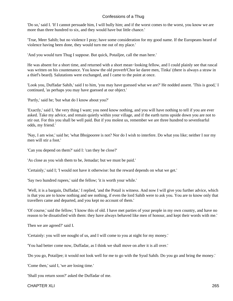'Do so,' said I. 'If I cannot persuade him, I will bully him; and if the worst comes to the worst, you know we are more than three hundred to six, and they would have but little chance.'

'True, Meer Sahib; but no violence I pray; have some consideration for my good name. If the Europeans heard of violence having been done, they would turn me out of my place.'

'And you would turn Thug I suppose. But quick, Potailjee, call the man here.'

He was absent for a short time, and returned with a short mean−looking fellow, and I could plainly see that rascal was written on his countenance. You know the old proverb'Chor ke daree men, Tinka' (there is always a straw in a thief's beard). Salutations were exchanged, and I came to the point at once.

'Look you, Duffadar Sahib,' said I to him, 'you may have guessed what we are?' He nodded assent. 'This is good,' I continued, 'as perhaps you may have guessed at our object.'

'Partly,' said he; 'but what do I know about you?'

'Exactly,' said I, 'the very thing I want; you need know nothing, and you will have nothing to tell if you are ever asked. Take my advice, and remain quietly within your village, and if the earth turns upside down you are not to stir out. For this you shall be well paid. But if you molest us, remember we are three hundred to sevenfearful odds, my friend.'

'Nay, I am wise,' said he; 'what Bhojpooree is not? Nor do I wish to interfere. Do what you like; neither I nor my men will stir a foot.'

'Can you depend on them?' said I: 'can they be close?'

'As close as you wish them to be, Jemadar; but we must be paid.'

'Certainly,' said I; 'I would not have it otherwise: but the reward depends on what we get.'

'Say two hundred rupees,' said the fellow; 'it is worth your while.'

'Well, it is a bargain, Duffadar,' I replied, 'and the Potail is witness. And now I will give you further advice, which is that you are to know nothing and see nothing, if even the lord Sahib were to ask you. You are to know only that travellers came and departed, and you kept no account of them.'

'Of course,' said the fellow; 'I know this of old. I have met parties of your people in my own country, and have no reason to be dissatisfied with them: they have always behaved like men of honour, and kept their words with me.'

Then we are agreed?' said I.

'Certainly: you will see nought of us, and I will come to you at night for my money.'

'You had better come now, Duffadar, as I think we shall move on after it is all over.'

'Do you go, Potailjee; it would not look well for me to go with the Syud Sahib. Do you go and bring the money.'

'Come then,' said I, 'we are losing time.'

'Shall you return soon?' asked the Duffadar of me.

#### CHAPTER XLI 265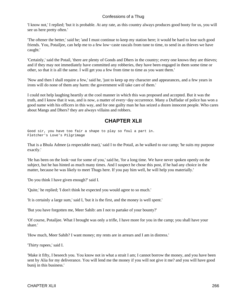'I know not,' I replied; 'but it is probable. At any rate, as this country always produces good booty for us, you will see us here pretty often.'

'The oftener the better,' said he; 'and I must continue to keep my station here; it would be hard to lose such good friends. You, Potailjee, can help me to a few low−caste rascals from tune to time, to send in as thieves we have caught.'

'Certainly,' said the Potail, 'there are plenty of Gonds and Dhers in the country; every one knows they are thieves; and if they may not immediately have committed any robberies, they have been engaged in them some time or other, so that it is all the same. I will get you a few from time to time as you want them.'

'Now and then I shall require a few,' said he, 'just to keep up my character and appearances, and a few years in irons will do none of them any harm: the government will take care of them.'

I could not help laughing heartily at the cool manner in which this was proposed and accepted. But it was the truth, and I know that it was, and is now, a matter of every−day occurrence. Many a Duffadar of police has won a good name with his officers in this way, and for one guilty man he has seized a dozen innocent people. Who cares about Mangs and Dhers? they are always villains and robbers.

# **CHAPTER XLII**

Good sir, you have too fair a shape to play so foul a part in. Fletcher's Love's Pilgrimage

That is a Bhula Admee (a respectable man),' said I to the Potail, as he walked to our camp; 'he suits my purpose exactly.'

'He has been on the look−out for some of you,' said he, 'for a long time. We have never spoken openly on the subject, but he has hinted as much many times. And I suspect he chose this post, if he had any choice in the matter, because he was likely to meet Thugs here. If you pay him well, he will help you materially.'

'Do you think I have given enough?' said I.

'Quite,' he replied; 'I don't think he expected you would agree to so much.'

'It is certainly a large sum,' said I, 'but it is the first, and the money is well spent.'

'But you have forgotten me, Meer Sahib: am I not to partake of your bounty?'

'Of course, Potailjee. What I brought was only a trifle, I have more for you in the camp; you shall have your share.'

'How much, Meer Sahib? I want money; my rents are in arrears and I am in distress.'

'Thirty rupees,' said I.

'Make it fifty, I beseech you. You know not in what a strait I am; I cannot borrow the money, and you have been sent by Alia for my deliverance. You will lend me the money if you will not give it me? and you will have good bunij in this business.'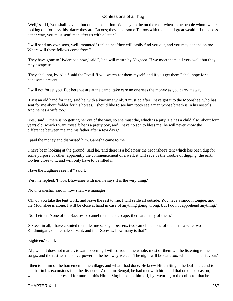'Well,' said I, 'you shall have it, but on one condition. We may not be on the road when some people whom we are looking out for pass this place: they are Dacoos; they have some Tattoos with them, and great wealth. If they pass either way, you must send men after us with a letter.'

'I will send my own sons, well−mounted,' replied he; 'they will easily find you out, and you may depend on me. Where will these fellows come from?'

'They have gone to Hyderabad now,' said I, 'and will return by Nagpoor. If we meet them, all very well; but they may escape us.'

They shall not, by Allal<sup>5</sup> said the Potail. 'I will watch for them myself, and if you get them I shall hope for a handsome present.'

'I will not forget you. But here we are at the camp: take care no one sees the money as you carry it away.'

'Trust an old hand for that,' said he, with a knowing wink. 'I must go after I have got it to the Moonshee, who has sent for me about fodder for his horses. I should like to see him too to see a man whose breath is in his nostrils. And he has a wife too.'

'Yes,' said I, 'there is no getting her out of the way, so she must die, which is a pity. He has a child also, about four years old, which I want myself; he is a pretty boy, and I have no son to bless me; he will never know the difference between me and his father after a few days,'

I paid the money and dismissed him. Ganesha came to me.

'I have been looking at the ground,' said he, 'and there is a hole near the Moonshee's tent which has been dug for some purpose or other, apparently the commencement of a well; it will save us the trouble of digging; the earth too lies close to it, and will only have to be filled in.'

'Have the Lughaees seen it?' said I.

'Yes,' he replied, 'I took Bhowanee with me; he says it is the very thing.'

'Now, Ganesha,' said I, 'how shall we manage?'

'Oh, do you take the tent work, and leave the rest to me; I will settle all outside. You have a smooth tongue, and the Moonshee is alone; I will be close at hand in case of anything going wrong; but I do not apprehend anything.'

'Nor I either. None of the Saeeses or camel men must escape: there are many of them.'

'Sixteen in all; I have counted them: let me see eight bearers, two camel men, one of them has a wife, two Khidmutgars, one female servant, and four Saeeses: how many is that?'

'Eighteen,' said I.

'Ah, well, it does not matter; towards evening I will surround the whole; most of them will be listening to the songs, and the rest we must overpower in the best way we can. The night will be dark too, which is in our favour.'

I then told him of the horsemen in the village, and what I had done. He knew Hittah Singh, the Duffadar, and told me that in his excursions into the district of Arrah, in Bengal, he had met with him; and that on one occasion, when he had been arrested for murder, this Hittah Singh had got him off, by swearing to the collector that he

#### CHAPTER XLII 267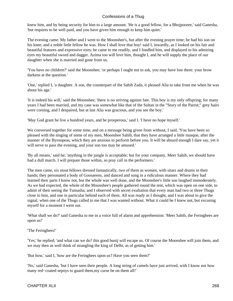knew him, and by being security for him to a large amount. 'He is a good fellow, for a Bhojpooree,' said Ganesha, 'but requires to be well paid, and you have given him enough to keep him quiet.'

The evening came. My father and I went to the Moonshee's, but after the evening prayer time; he had his son on his knee, and a noble little fellow he was. How I shall love that boy! said I, inwardly, as I looked on his fair and beautiful features and expressive eyes: he came to me readily, and I fondled him, and displayed to his admiring eyes my beautiful sword and dagger. Azima too will love him, thought I, and he will supply the place of our daughter when she is married and gone from us.

'You have no children?' said the Moonshee; 'or perhaps I ought not to ask, you may have lost them: your brow darkens at the question.'

'One,' replied I, 'a daughter. A son, the counterpart of the Sahib Zada, it pleased Alia to take from me when he was about his age.'

'It is indeed his will,' said the Moonshee; 'there is no striving against fate. This boy is my only offspring; for many years I had been married, and my case was somewhat like that of the Sultan in the "Story of the Parrot;" grey hairs were corning, and I despaired, but at last Alia was gracious, and you see the boy.'

'May God grant he live a hundred years, and be prosperous,' said I. 'I have no hope myself.'

We conversed together for some time, and on a message being given from without, I said, 'You have been so pleased with the singing of some of my men, Moonshee Sahib, that they have arranged a little masque, after the manner of the Byroopeas, which they are anxious to perform before you. It will be absurd enough I dare say, yet it will serve to pass the evening, and your son too may be amused.'

'By all means,' said he; 'anything in the jungle is acceptable; but for your company, Meer Sahib, we should have had a dull march. I will prepare those within, so pray call in the performers.'

The men came, six stout fellows dressed fantastically, two of them as women, with sitars and drums in their hands; they personated a body of Goosaeens, and danced and sung in a ridiculous manner. Where they had learned their parts I know not, but the whole was well done, and the Moonshee's little son laughed immoderately. As we had expected, the whole of the Moonshee's people gathered round the tent, which was open on one side, to admit of their seeing the Tumasha; and I observed with secret exultation that every man had two or three Thugs close to him, and one in particular behind each of them. All was ready as I thought, and I was about to give the signal, when one of the Thugs called to me that I was wanted without. What it could be I knew not, but excusing myself for a moment I went out.

'What shall we do?' said Ganesha to me in a voice full of alarm and apprehension: 'Meer Sahib, the Feringhees are upon us!'

'The Feringhees!'

'Yes,' he replied; 'and what can we do? this good bunij will escape us. Of course the Moonshee will join them, and we may then as well think of strangling the king of Delhi, as of getting him.'

'But how,' said I, 'how are the Feringhees upon us? Have you seen them?'

'No,' said Ganesha, 'but I have seen their people. A long string of camels have just arrived, with I know not how many red–coated sepoys to guard them, my curse be on them all!'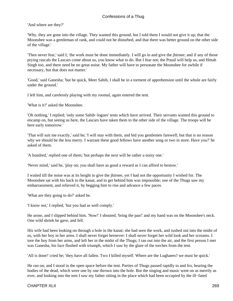'And where are they?'

'Why, they are gone into the village. They wanted this ground, but I told them I would not give it up; that the Moonshee was a gentleman of rank, and could not be disturbed, and that there was better ground on the other side of the village.'

'Then never fear,' said I; 'the work must be done immediately. I will go in and give the jhirnee; and if any of those prying rascals the Lascars come about us, you know what to do. But I fear not; the Potail will help us, and Hittah Singh too, and there need be no great noise. My father will have to personate the Moonshee for awhile if necessary, but that does not matter.'

'Good,' said Ganesha; 'but be quick, Meer Sahib, I shall be in a torment of apprehension until the whole are fairly under the ground.'

I left him, and carelessly playing with my roomal, again entered the tent.

'What is it?' asked the Moonshee.

'Oh nothing,' I replied; 'only some Sahib−logues' tents which have arrived. Their servants wanted this ground to encamp on, but seeing us here, the Lascars have taken them to the other side of the village. The troops will be here early tomorrow.'

'That will suit me exactly,' said he; 'I will stay with them, and bid you gentlemen farewell; but that is no reason why we should be the less merry. I warrant these good fellows have another song or two in store. Have you?' he asked of them.

'A hundred,' replied one of them; 'but perhaps the next will be rather a noisy one.'

'Never mind,' said he, 'play on; you shall have as good a reward as I can afford to bestow.'

I waited till the noise was at its height to give the jhirnee, yet I had not the opportunity I wished for. The Moonshee sat with his back to the kanat, and to get behind him was impossible; one of the Thugs saw my embarrassment, and relieved it, by begging him to rise and advance a few paces.

'What are they going to do?' asked he.

'I know not,' I replied, 'but you had as well comply.'

He arose, and I slipped behind him. 'Now!' I shouted; 'bring the pan!' and my hand was on the Moonshee's neck. One wild shriek he gave, and fell.

His wife had been looking on through a hole in the kanat; she had seen the work, and rushed out into the midst of us, with her boy in her arms. I shall never forget her never: I shall never forget her wild look and her screams. I tore the boy from her arms, and left her in the midst of the Thugs; I ran out into the air, and the first person I met was Ganesha, his face flushed with triumph, which I saw by the glare of the torches from the tent.

'All is done!' cried he; 'they have all fallen. Two I killed myself. Where are the Lughaees? we must be quick.'

He ran on; and I stood in the open space before the tent. Parties of Thugs passed rapidly to and fro, bearing the bodies of the dead, which were one by one thrown into the hole. But the singing and music went on as merrily as ever, and looking into the tent I saw my father sitting in the place which had been occupied by the ill−fated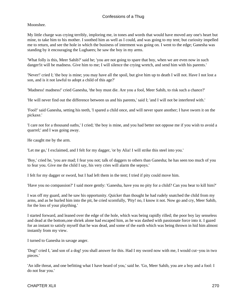#### Moonshee.

My little charge was crying terribly, imploring me, in tones and words that would have moved any one's heart but mine, to take him to his mother. I soothed him as well as I could, and was going to my tent; but curiosity impelled me to return, and see the hole in which the business of interment was going on. I went to the edge; Ganesha was standing by it encouraging the Lughaees; he saw the boy in my arms.

'What folly is this, Meer Sahib?' said he; 'you are not going to spare that boy, when we are even now in such danger! it will be madness. Give him to me; I will silence the crying wretch, and send him with his parents.'

'Never!' cried I; 'the boy is mine; you may have all the spoil, but give him up to death I will not. Have I not lost a son, and is it not lawful to adopt a child of this age?'

'Madness! madness!' cried Ganesha, 'the boy must die. Are you a fool, Meer Sahib, to risk such a chance?'

'He will never find out the difference between us and his parents,' said I; 'and I will not be interfered with.'

'Fool!' said Ganesha, setting his teeth, 'I spared a child once, and will never spare another; I have sworn it on the pickaxe.'

'I care not for a thousand oaths,' I cried; 'the boy is mine, and you had better not oppose me if you wish to avoid a quarrel;' and I was going away.

He caught me by the arm.

'Let me go,' I exclaimed, and I felt for my dagger, 'or by Alia! I will strike this steel into you.'

'Boy,' cried he, 'you are mad; I fear you not; talk of daggers to others than Ganesha; he has seen too much of you to fear you. Give me the child I say, his very cries will alarm the sepoys.'

I felt for my dagger or sword, but I had left them in the tent; I tried if pity could move him.

'Have you no compassion?' I said more gently: 'Ganesha, have you no pity for a child? Can you bear to kill him?'

I was off my guard, and he saw his opportunity. Quicker than thought he had rudely snatched the child from my arms, and as he hurled him into the pit, he cried scornfully, 'Pity! no, I know it not. Now go and cry, Meer Sahib, for the loss of your plaything.'

I started forward, and leaned over the edge of the hole, which was being rapidly rilled; the poor boy lay senseless and dead at the bottom,one shriek alone had escaped him, as he was dashed with passionate force into it. I gazed for an instant to satisfy myself that he was dead, and some of the earth which was being thrown in hid him almost instantly from my view.

I turned to Ganesha in savage anger.

'Dog!' cried I, 'and son of a dog! you shall answer for this. Had I my sword now with me, I would cut−you in two pieces.'

'An idle threat, and one befitting what I have heard of you,' said he. 'Go, Meer Sahib, you are a boy and a fool: I do not fear you.'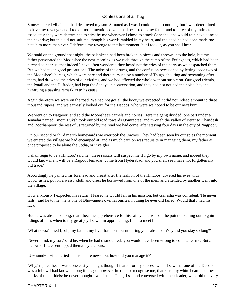Stony−hearted villain, he had destroyed my son. Situated as I was I could then do nothing, but I was determined to have my revenge: and I took it too. I mentioned what had occurred to my father and to three of my intimate associates: they were determined to stick by me whenever I chose to attack Ganesha, and would fain have done so the next day; but this did not suit me, though his words rankled in my heart, and the deed he had done made me hate him more than ever. I deferred my revenge to the last moment, but I took it, as you shall hear.

We staid on the ground that night; the palankeen had been broken in pieces and thrown into the hole, but my father personated the Moonshee the next morning as we rode through the camp of the Feringhees, which had been pitched so near us, that indeed I have often wondered they heard not the cries of the party as we despatched them. But we had taken good precautions. The noise of the drums, and the confusion occasioned by letting loose two of the Moonshee's horses, which were here and there pursued by a number of Thugs, shouting and screaming after them, had drowned the cries of our victims, and we had effected the whole without suspicion. Our good friends, the Potail and the Duffadar, had kept the Sepoys in conversation, and they had not noticed the noise, beyond hazarding a passing remark as to its cause.

Again therefore we were on the road. We had not got all the booty we expected, it did not indeed amount to three thousand rupees, and we earnestly looked out for the Dacoos, who were we hoped to be our next bunij.

We went on to Nagpoor, and sold the Moonshee's camels and horses. Here the gang divided; one part under a Jemadar named Emom Buksh took our old road towards Oomraotee, and through the valley of Berar to Khandesh and Boorhanpoor; the rest of us returned by the road we had come, after staying four days in the city of Nagpoor.

On our second or third march homewards we overtook the Dacoos. They had been seen by our spies the moment we entered the village we had encamped at; and as much caution was requisite in managing them, my father at once proposed to be alone the Sotha, or inveigler.

'I shall feign to be a Hindoo,' said he; 'these rascals will suspect me if I go by my own name, and indeed they would know me. I will be a Rajpoot Jemadar, come from Hyderabad, and you shall see I have not forgotten my old trade.'

Accordingly he painted his forehead and breast after the fashion of the Hindoos, covered his eyes with wood−ashes, put on a waist−cloth and dress he borrowed from one of the men, and attended by another went into the village.

How anxiously I expected his return! I feared he would fail in his mission, but Ganesha was confident. 'He never fails,' said he to me; 'he is one of Bhowanee's own favourites; nothing he ever did failed. Would that I had his luck.'

But he was absent so long, that I became apprehensive for his safety, and was on the point of setting out to gain tidings of him, when to my great joy I saw him approaching. I ran to meet him.

'What news?' cried I; 'oh, my father, my liver has been burnt during your absence. Why did you stay so long?'

'Never mind, my son,' said he, when he had dismounted, 'you would have been wrong to come after me. But ah, the owls! I have entrapped them, they are ours.'

'Ul−humd−ul−illa!' cried I, 'this is rare news; but how did you manage it?'

'Why,' replied he, 'it was done easily enough, though I feared for my success when I saw that one of the Dacoos was a fellow I had known a long time ago; however he did not recognise me, thanks to my white beard and these marks of the infidels: he never thought I was Ismail Thug. I sat and conversed with their leader, who told me very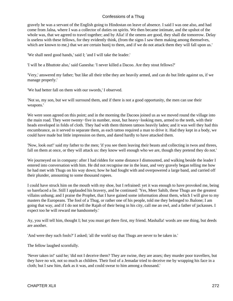gravely he was a servant of the English going to Hindostan on leave of absence. I said I was one also, and had come from Jalna, where I was a collector of duties on spirits. We then became intimate, and the upshot of the whole was, that we agreed to travel together; and by Alia! if the omens are good, they shall die tomorrow. Delay is useless with these fellows, for they evidently think, (from the signs I saw them making among themselves, which are known to me,) that we are certain bunij to them, and if we do not attack them they will fall upon us.'

'We shall need good hands,' said I; 'and I will take the leader.'

'I will be a Bhuttote also,' said Ganesha: 'I never killed a Dacoo. Are they stout fellows?'

'Very,' answered my father; 'but like all their tribe they are heavily armed, and can do but little against us, if we manage properly.'

'We had better fall on them with our swords,' I observed.

'Not so, my son, but we will surround them, and if there is not a good opportunity, the men can use their weapons.'

We were soon agreed on this point; and in the morning the Dacoos joined us as we moved round the village into the main road. They were twenty−five in number, stout, but heavy−looking men, armed to the teeth, with their heads enveloped in folds of cloth. They had with them thirteen tattoos heavily laden; and it was well they had this encumbrance, as it served to separate them, as each tattoo required a man to drive it. Had they kept in a body, we could have made but little impression on them, and dared hardly to have attacked them.

'Now, look out!' said my father to the men; 'if you see them leaving their beasts and collecting in twos and threes, fall on them at once, or they will attack us: they know well enough who we are, though they pretend they do not.'

We journeyed on in company: after I had ridden for some distance I dismounted, and walking beside the leader I entered into conversation with him. He did not recognise me in the least, and very gravely began telling me how he had met with Thugs on his way down; how he had fought with and overpowered a large band, and carried off their plunder, amounting to some thousand rupees.

I could have struck him on the mouth with my shoe, but I refrained: yet it was enough to have provoked me, being so barefaced a lie. Still I applauded his bravery, and he continued: 'Yes, Meer Sahib, these Thugs are the greatest villains unhung; and I praise the Prophet, that I have gained some information about them, which I will give to my masters the Europeans. The fool of a Thug, or rather one of his people, told me they belonged to Jhalone; I am going that way, and if I do not tell the Rajah of their being in his city, call me an owl, and a father of jackasses. I expect too he will reward me handsomely.'

Ay, you will tell him, thought I; but you must get there first, my friend. Mashalla! words are one thing, but deeds are another.

'And were they such fools?' I asked; 'all the world say that Thugs are never to be taken in.'

The fellow laughed scornfully.

'Never taken in!' said he; 'did not I deceive them? They are swine, they are asses; they murder poor travellers, but they have no wit, not so much as children. Their fool of a Jemadar tried to deceive me by wrapping his face in a cloth; but I saw him, dark as it was, and could swear to him among a thousand.'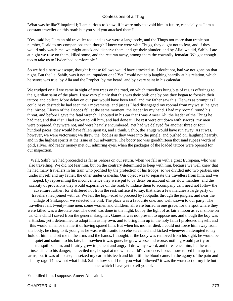'What was he like?' inquired I; 'I am curious to know, if it were only to avoid him in future, especially as I am a constant traveller on this road: but you said you attacked them?'

'Yes,' said he; 'I am an old traveller too, and as we were a large body, and the Thugs not more than treble our number, I said to my companions that, though I knew we were with Thugs, they ought not to fear, and if they would only watch me, we might attack and disperse them, and get their plunder: and by Alia! we did, Sahib. Late at night we rose on them, killed some, and the rest ran away, among them the cowardly Jemadar. We got enough too to take us to Hyderabad comfortably.'

So we had a narrow escape, thought I; these fellows would have attacked us, I doubt not, had we not gone on that night. But the lie, Sahib, was it not an impudent one? Yet I could not help laughing heartily at his relation, which he swore was true, by Alia and the Prophet, by my beard, and by every saint in his calendar.

We trudged on till we came in sight of two trees on the road, on which travellers hung bits of rag as offerings to the guardian saint of the place. I saw very plainly that this was their bhil; one by one they began to forsake their tattoos and collect. More delay on our part would have been fatal, and my father saw this. He was as prompt as I could have desired: he had seen their movements, and just as I had disengaged my roomal from my waist, he gave the jhirnee. Eleven of the Dacoos fell at the same moment, the leader by my hand. I had my roomal round his throat, and before I gave the fatal wrench, I shouted in his ear that I was Ameer Ali, the leader of the Thugs he had met, and that *then* I had sworn to kill him, and had done it. The rest were cut down with swords: my men were prepared, they were not, and were heavily encumbered. Yet had we delayed for another three or four hundred paces, they would have fallen upon us, and I think, Sahib, the Thugs would have run away. As it was, however, we were victorious; we threw the "bodies as they were into the jungle, and pushed on, laughing heartily, and in the highest spirits at the issue of our adventure. The booty too was good thirteen thousand rupees worth of gold, silver, and ready money met our admiring eyes, when the packages of the loaded tattoos were opened for our inspection.

Well, Sahib, we had proceeded as far as Sehora on our return, when we fell in with a great European, who was also travelling. We did not fear him, but on the contrary determined to keep with him, because we well knew that he had many travellers in his train who profited by the protection of his troops; so we divided into two parties, one under myself and my father, the other under Ganesha. Our object was to separate the travellers from him, and we hoped, by representing the inconvenience they were put to by delay on account of his slow marches, and the scarcity of provisions they would experience on the road, to induce them to accompany us. I need not follow the adventure further, for it differed not from the rest; suffice it to say, that after a few marches a large party of travellers had joined with us. We left the high−road to proceed by footpaths through the jungles, and near the village of Shikarpoor we selected the bhil. The place was a favourite one, and well known to our party. The travellers fell, twenty−nine men, some women and children; all were buried in one grave, for the spot where they were killed was a desolate one. The deed was done in the night, but by the light of as fair a moon as ever shone on us. One child I saved from the general slaughter; Ganesha was not present to oppose me; and though the boy was a Hindoo, yet I determined to adopt him as my own, and to bring him up in the holy faith I professed myself, and this would enhance the merit of having spared him. But when his mother died, I could not force him away from the body; he clung to it, young as he was, with frantic force he screamed and kicked whenever I attempted to lay hold of him, and bit me in the arms and the hands. I thought, if the body was removed from his sight, he would be quiet and submit to his fate; but no when it was gone, he grew worse and worse; nothing would pacify or tranquillize him, and I fairly grew impatient and angry. I drew my sword, and threatened him, but he was insensible to his danger; he reviled me, he spat at me with a child's virulence. I once more raised him up in my arms, but it was of no use; he seized my ear in his teeth and bit it till the blood came. In the agony of the pain and in my rage 14tnew not what I did. Sahib, how shall I tell you what followed? it was the worst act of my life but

one, which I have yet to tell you of.

You killed him, I suppose, Ameer Ali, said I.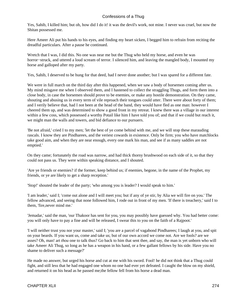Yes, Sahib, I killed him; but oh, how did I do it! it was the devil's work, not mine. I never was cruel, but now the Shitan possessed me.

Here Ameer Ali put his hands to his eyes, and finding my heart sicken, I begged him to refrain from reciting the dreadful particulars. After a pause he continued.

Wretch that I was, I did this. No one was near me but the Thug who held my horse, and even he was horror−struck, and uttered a loud scream of terror. I silenced him, and leaving the mangled body, I mounted my horse and galloped after my party.

Yes, Sahib, I deserved to be hung for that deed, had I never done another; but I was spared for a different fate.

We were in full march on the third day after this happened, when we saw a body of horsemen coming after us. My mind misgave me when I observed them, and I hastened to collect the straggling Thugs, and form them into a close body, in case the horsemen should prove to be enemies, or make any hostile demonstration. On they came, shouting and abusing us in every term of vile reproach their tongues could utter. There were about forty of them; and I verily believe that, had I not been at the head of the band, they would have fled as one man: however I cheered them up, and was determined to show a good front in my retreat. I knew there was a village in our interest within a few coss, which possessed a worthy Potail like him I have told you of; and that if we could but reach it, we might man the walls and towers, and bid defiance to our pursuers.

'Be not afraid,' cried I to my men; 'let the best of ye come behind with me, and we will stop these marauding rascals. I know they are Pindharees, and the veriest cowards in existence. Only be firm; you who have matchlocks take good aim, and when they are near enough, every one mark his man, and see if as many saddles are not emptied.'

On they came; fortunately the road was narrow, and had thick thorny brushwood on each side of it, so that they could not pass us. They were within speaking distance, and I shouted.

'Are ye friends or enemies? if the former, keep behind us; if enemies, begone, in the name of the Prophet, my friends, or ye are likely to get a sharp reception.'

'Stop!' shouted the leader of the party; 'who among you is leader? I would speak to him.'

'I am leader,' said I; 'come out alone and I will meet you; but if any of ye stir, by Alia we will fire on you.' The fellow advanced, and seeing that none followed him, I rode out in front of my men. 'If there is treachery,' said I to them, 'fire, never mind me.'

'Jemadar,' said the man, 'our Thakoor has sent for you, you may possibly have guessed why. You had better come: you will only have to pay a fine and will be released, I swear this to you on the faith of a Rajpoot.'

'I will neither trust you nor your master,' said I; 'you are a parcel of vagabond Pindharees; I laugh at you, and spit on your beards. If you want us, come and take us; but of our own accord we come not. Are we fools? are we asses? Oh, man! art *thou* one to talk thus? Go back to him that sent thee, and say, the man is yet unborn who will take Ameer Ali Thug, so long as he has a weapon in his hand, or a few gallant fellows by his side. Have you no shame to deliver such a message?'

He made no answer, but urged his horse and cut at me with his sword. Fool! he did not think that a Thug could fight, and still less that he had engaged one whom no one had ever yet defeated. I caught the blow on my shield, and returned it on his head as he passed me; the fellow fell from his horse a dead man.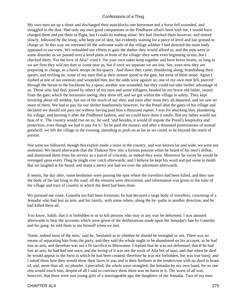My own men set up a shout and discharged their matchlocks one horseman and a horse fell wounded, and struggled in the dust. Had only my own good companions in the Pindharee affairs been with me, I would have charged them and put them to flight, but I could do nothing alone. We had checked them however, and retired slowly, followed by the troop, who kept out of shot, but evidently waiting for a piece of level and fair ground to charge us. In this way we retreated till the welcome walls of the village whither I had directed the main body appeared to our view. We redoubled our efforts to gain the shelter they would afford us, and the men were in some disorder as we passed over a level plain in front of the village: they were even beginning to run, but I checked them. 'For the love of Alia!' cried I, 'for your own sakes keep together and have brave hearts; so long as we are firm they will not dare to come near us, but if once we separate we are lost. See, even now they are preparing to charge, as a hawk stoops on his quarry.' And down they came; thundering along, brandishing their spears, and reviling us: some of my men fled at their utmost speed to the gate, but most of them stood. Again I dashed at one of our enemies and wounded him, but the odds were against us; one of my own men fell, pierced through the breast to the backbone by a spear; another was wounded; but they could not take further advantage of us. Those who had fled, joined by others of my men and some villagers, headed by my brave old father, issued from the gate; which the horsemen seeing, they drew off, and we got within the village in safety. They kept hovering about till midday, but out of the reach of our shot; and soon after noon they all departed, and we saw no more of them. We had to pay for our shelter handsomely however, for the Potail shut the gates of his village and declared we should not pass out without having paid him a thousand rupees. I was for attacking him, plundering his village, and burning it after the Pindharee fashion, and we could have done it easily. But my father would not hear of it: 'The country would rise on us,' he said; 'and besides, it would ill requite the Potail's hospitality and protection, even though we had to pay for it.' So he paid the money; and after a thousand protestations of mutual goodwill, we left the village in the evening, intending to push on as far as we could, to be beyond the reach of pursuit.

Nor were we followed; though this exploit made a noise in the country, and was known far and wide, we were not molested. We heard afterwards that the Thakoor flew into a furious passion when he heard of his men's defeat, and dismissed them from his service as a parcel of cowards, as indeed they were. Moreover he swore he would be revenged upon every Thug he might ever catch afterwards; and I believe he kept his word and put some to death. But we laughed at his beard, and many a merry jest had we over the adventure afterwards.

It seems, the day after, some herdsmen were passing the spot where the travellers had been killed, and they saw the body of the lad lying in the road: all the remains were discovered, and information was given to the ruler of the village and tract of country in which the deed had been done.

We pursued our route. Ganesha too had been fortunate; he had decoyed a large body of travellers, consisting of a Jemadar who had lost an arm, and his family, with some others, along the by−paths in another direction, and he had killed them all.

You know, Sahib, that it is forbidden to us to kill persons who may in any way be deformed. I was amused afterwards to hear the accounts which were given of the deliberations made upon the Jemadar's fate by Ganesha and his gang: he told them to me himself when we met.

'Some, indeed most of the men,' said he, 'hesitated as to whether he should be strangled or not. There was no means of separating him from the party, and they said the whole ought to be abandoned on his account, as he had lost an arm, and therefore was not a fit sacrifice to Bhowanee. I replied that he was not deformed, that if he had lost an arm, he had had one once, and the losing of it was not the work of Alia but of man, and that when he died he would appear in the form in which he had been created; therefore he was not forbidden, but was true bunij; and I asked them how they would show their faces to you and to their brethren at the rendezvous with no deed to boast of, and, more than all, no plunder. I prevailed; the whole were strangled; the Jemadar by my own hand, for no one else would touch him, despite of all I said to convince them there was no harm in it. The worst of all was, however, that there were two young girls of a marriageable age, the daughters of the Jemadar. Two of my men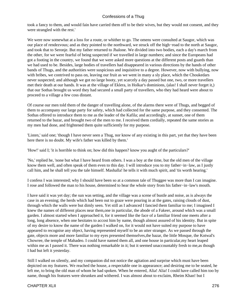took a fancy to them, and would fain have carried them off to be their wives, but they would not consent, and they were strangled with the rest.'

We were now somewhat at a loss for a route, or whither to go. The omens were consulted at Saugor, which was our place of rendezvous; and as they pointed to the northward, we struck off the high−road to the north at Saugor, and took that to Seronje. But my father returned to Jhalone. We divided into two bodies, each a day's march from the other, for we were fearful of being suspected if we travelled in large numbers; and since the Europeans had got a footing in the country, we found that we were asked more questions at the different posts and guards than we had used to be. Besides, large bodies of travellers had disappeared in various directions by the hands of other bands of Thugs, and the authorities were suspicious and inquisitive to a degree. However, now with bullying, now with bribes, we contrived to pass on, leaving our fruit as we went in many a sly place, which the Choukedars never suspected; and although we got no large booty, yet scarcely a day passed but one, two, or more travellers met their death at our hands. It was at the village of Eklera, in Holkar's dominions, (alas! I shall never forget it,) that our Sothas brought us word they had secured a small party of travellers, who they had heard were about to proceed to a village a few coss distant.

Of course our men told them of the danger of travelling alone, of the alarms there were of Thugs, and begged of them to accompany our large party for safety, which had collected for the same purpose, and they consented. The Sothas offered to introduce them to me as the leader of the Kafila; and accordingly, at sunset, one of them returned to the bazar, and brought two of the men to me. I received them cordially, repeated the same stories as my men had done, and frightened them quite sufficiently for my purpose.

'Listen,' said one; 'though I have never seen a Thug, nor know of any existing in this part, yet that they have been here there is no doubt. My wife's father was killed by them.'

'How!' said I; 'it is horrible to think on; how did this happen? know you aught of the particulars?'

'No,' replied he, 'none but what I have heard from others. I was a boy at the time, but the old men of the village know them well, and often speak of them even to this day. I will introduce you to my father−in−law, as I justly call him, and he shall tell you the tale himself. Mashalla! he tells it with much spirit, and 'tis worth hearing.'

I confess I was interested; why I should have been so at a common tale of Thuggee was more than I can imagine. I rose and followed the man to his house, determined to hear the whole story from his father−in−law's mouth.

I have said it was yet day; the sun was setting, and the village was a scene of bustle and noise, as is always the case in an evening; the herds which had been out to graze were pouring in at the gates, raising clouds of dust, through which the walls were but dimly seen. Yet still as I advanced I fancied them familiar to me; I imagined I knew the names of different places near them, one in particular, the abode of a Fakeer, around which was a small garden. I almost started when I approached it, for it seemed like the face of a familiar friend one meets after a long, long absence, when one hesitates to accost him by name, though almost assured of his identity. But in spite of my desire to know the name of the garden I walked on, for it would not have suited my purpose to have appeared to recognise any object, having represented myself to be an utter stranger. As we passed through the gate, objects more and more familiar to my eyes presented themselves,the bazar, the little Mosque, the Kotwal's Chowree, the temple of Mahadeo. I could have named them all, and one house in particular, my heart leaped within me as I passed it. There was nothing remarkable in it; but it seemed unaccountably fresh to me, as though I had but left it yesterday.

Still I walked on silently, and my companion did not notice the agitation and surprise which must have been depicted on my features. We reached the house, a respectable one in appearance; and desiring me to be seated, he left me, to bring the old man of whom he had spoken. When he entered, Alia! Alia! I could have called him too by name, though his features were shrunken and withered. I was almost about to exclaim, Rheim Khan! but I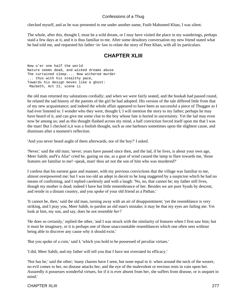checked myself, and as he was presented to me under another name, Futih Mahomed Khan, I was silent.

The whole, after this, thought I, must be a wild dream, or I may have visited the place in my wanderings, perhaps staid a few days at it, and it is thus familiar to me. After some desultory conversation my new friend stated what he had told me, and requested his father−in−law to relate the story of Peer Khan, with all its particulars.

# **CHAPTER XLIII**

Now o'er one half the world Nature seems dead, and wicked dreams abuse The curtained sleep.... Now withered murder ... thus with his stealthy pace, Towards his design moves like a ghost: Macbeth, Act II, scene ii

the old man returned my salutations cordially; and when we were fairly seated, and the hookah had passed round, he related the sad history of the parents of the girl he had adopted. His version of the tale differed little from that of my new acquaintance; and indeed the whole affair appeared to have been as successful a piece of Thuggee as I had ever listened to. I wonder who they were, thought I; I will mention the story to my father; perhaps he may have heard of it, and can give me some clue to the boy whose fate is buried in uncertainty. Yet the lad may even now be among us; and as this thought flashed across my mind, a half conviction forced itself upon me that I was the man! But I checked it, it was a foolish thought, such as one harbours sometimes upon the slightest cause, and dismisses after a moment's reflection.

'And you never heard aught of them afterwards, nor of the boy?' I asked.

'Never,' said the old man; 'never; years have passed since then, and the lad, if he lives, is about your own age, Meer Sahib; andYa Alia!' cried he, gazing on me, as a gust of wind caused the lamp to flare towards me, 'those features are familiar to me!−speak, man! thou art not the son of him who was murdered?'

I confess that his earnest gaze and manner, with my previous convictions that the village was familiar to me, almost overpowered me; but I was too old an adept in deceit to be long staggered by a suspicion which he had no means of confirming, and I replied carelessly and with a laugh: 'No, no, that cannot be; my father still lives, though my mother is dead; indeed I have but little remembrance of her. Besides we are pure Syuds by descent, and reside in a distant country, and you spoke of your old friend as a Pathan.'

'It cannot be, then,' said the old man, turning away with an air of disappointment; 'yet the resemblance is very striking, and I pray you, Meer Sahib, to pardon an old man's mistake; it may be that my eyes are failing me. Yet look at him, my son, and say, does he not resemble *her?*

'He does so certainly,' replied the other, 'and I was struck with the similarity of features when I first saw him; but it must be imaginary, or it is perhaps one of those unaccountable resemblances which one often sees without being able to discover any cause why it should exist.'

'But you spoke of a coin,' said I, 'which you hold to be possessed of peculiar virtues.'

'I did, Meer Sahib, and my father will tell you that I have not overrated its efficacy.'

'Nor has he,' said the other; 'many charms have I seen, but none equal to it: when around the neck of the wearer, no evil comes to her, no disease attacks her, and the eye of the malevolent or envious rests in vain upon her. Assuredly it possesses wonderful virtues, for if it is ever absent from her, she suffers from disease, or is unquiet in mind.'

#### CHAPTER XLIII 277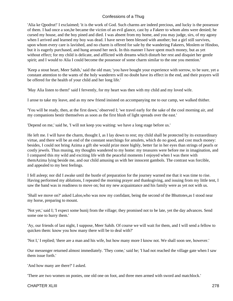'Alia ke Qpodrut!' I exclaimed; 'it is the work of God. Such charms are indeed precious, and lucky is the possessor of them. I had once a son, he became the victim of an evil glance, cast by a Fakeer to whom alms were denied; he cursed my house, and the boy pined and died. I was absent from my home, and you may judge, sirs, of my agony when I arrived and learned my boy was dead. I have never been blessed with another; but a girl still survives, upon whom every care is lavished, and no charm is offered for sale by the wandering Fakeers, Moslem or Hindoo, but it is eagerly purchased, and hung around her neck. In this manner I have spent much money, but as yet without effect; for my child is delicate, and afflicted with dreams which disturb her rest and disquiet her gentle spirit; and I would to Alia I could become the possessor of some charm similar to the one you mention.'

'Keep a stout heart, Meer Sahib,' said the old man; 'you have bought your experience with sorrow, to be sure, yet a constant attention to the wants of the holy wanderers will no doubt have its effect in the end, and their prayers will be offered for the health of your child and her long life.'

'May Alia listen to them!' said I fervently, for my heart was then with my child and my loved wife.

I arose to take my leave, and as my new friend insisted on accompanying me to our camp, we walked thither.

'You will be ready, then, at the first dawn,' observed I; 'we travel early for the sake of the cool morning air, and my companions bestir themselves as soon as the first blush of light spreads over the east.'

'Depend on me,' said he, 'I will not keep you waiting: we have a long stage before us.'

He left me. I will have the charm, thought I, as I lay down to rest; my child shall be protected by its extraordinary virtue, and there will be an end of the constant searchings for amulets, which do no good, and cost much money: besides, I could not bring Azima a gift she would prize more highly, better far in her eyes than strings of pearls or costly jewels. Thus musing, my thoughts wandered to my home: my treasures were before me in imagination, and I compared this my wild and exciting life with the peaceful moments I enjoyed when I was there with themAzima lying beside me, and our child amusing us with her innocent gambols. The contrast was forcible, and appealed to my best feelings.

I fell asleep; nor did I awake until the bustle of preparation for the journey warned me that it was time to rise. Having performed my ablutions, I repeated the morning prayer and thanksgiving, and issuing from my little tent, I saw the band was in readiness to move on; but my new acquaintance and his family were as yet not with us.

'Shall we move on?' asked Laloo, who was now my confidant, being the second of the Bhuttotes, as I stood near my horse, preparing to mount.

'Not yet,' said I; 'I expect some bunij from the village; they promised not to be late, yet the day advances. Send some one to hurry them.'

'Ay, our friends of last night, I suppose, Meer Sahib. Of course we will wait for them, and I will send a fellow to quicken them: know you how many there will be to deal with?'

'Not I,' I replied; 'there are a man and his wife, but how many more I know not. We shall soon see, however.'

Our messenger returned almost immediately. 'They come,' said he; 'I had not reached the village gate when I saw them issue forth.'

'And how many are there?' I asked.

'There are two women on ponies, one old one on foot, and three men armed with sword and matchlock.'

#### CHAPTER XLIII 278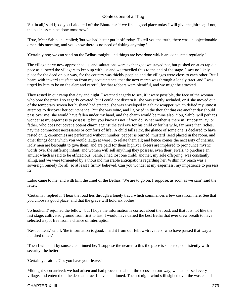'Six in all,' said I; 'do you Laloo tell off the Bhuttotes: if we find a good place today I will give the jhirnee; if not, the business can be done tomorrow.'

'True, Meer Sahib,' he replied; 'but we had better put it off today. To tell you the truth, there was an objectionable omen this morning, and you know there is no need of risking anything.'

'Certainly not; we can send on the Belhas tonight, and things are best done which are conducted regularly.'

The village party now approached us, and salutations were exchanged; we stayed not, but pushed on at as rapid a pace as allowed the villagers to keep up with us; and we travelled thus to the end of the stage. I saw no likely place for the deed on our way, for the country was thickly peopled and the villages were close to each other. But I heard with inward satisfaction from my acquaintance, that the next march was through a lonely tract, and I was urged by him to be on the alert and careful, for that robbers were plentiful, and we might be attacked.

They rested in our camp that day and night. I watched eagerly to see, if it were possible, the face of the woman who bore the prize I so eagerly coveted, but I could not discern it; she was strictly secluded, or if she moved out of the temporary screen her husband had erected, she was enveloped in a thick wrapper, which defied my utmost attempts to discover her countenance. But she was *mine,* and I gloried in the thought that ere another day should pass over me, she would have fallen under my hand, and the charm would be mine also. You, Sahib, will perhaps wonder at my eagerness to possess it; but you know us not, if you do. What mother is there in Hindostan, ay, or father, who does not covet a potent charm against the evil eye for his child or for his wife, far more than riches, nay the commonest necessaries or comforts of life? A child falls sick, the glance of some one is declared to have rested on it, ceremonies are performed without number, pepper is burned, mustard−seed placed in the room, and other things done which you would laugh at were I to relate them all; and hence comes the necessity of charms. Holy men are besought to give them, and are paid for them highly: Fakeers are implored to pronounce mystic words over the suffering infant; and women will sell anything they possess, even their jewels, to purchase an amulet which is said to be efficacious. Sahib, I had lost one child; another, my sole offspring, was constantly ailing, and we were tormented by a thousand miserable anticipations regarding her. Within my reach was a sovereign remedy for all, so at least I firmly believed. Can you wonder at my eagerness, my impatience to possess it?

Laloo came to me, and with him the chief of the Belhas. 'We are to go on, I suppose, as soon as we can?' said the latter.

'Certainly,' replied I; 'I hear the road lies through a lonely tract, which commences a few coss from here. See that you choose a good place, and that the grave will hold six bodies.'

'Jo hookum!' rejoined the fellow; 'but I hope the information is correct about the road, and that it is not like the last stage, cultivated ground from first to last. I would have defied the best Belha that ever drew breath to have selected a spot free from a chance of interruption.'

'Rest content,' said I; 'the information is good, I had it from our fellow−travellers, who have passed that way a hundred times.'

'Then I will start by sunset,' continued he; 'I suppose the nearer to this the place is selected, consistently with security, the better.'

'Certainly,' said I. 'Go; you have your leave.'

Midnight soon arrived: we had arisen and had proceeded about three coss on our way; we had passed every village, and entered on the desolate tract I have mentioned. The hot night wind still sighed over the waste, and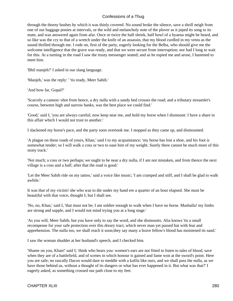through the thorny bushes by which it was thinly covered. No sound broke the silence, save a shrill neigh from one of our baggage ponies at intervals, or the wild and melancholy note of the plover as it piped its song to its mate, and was answered again from afar. Once or twice the half shriek, half howl of a hyaena might be heard, and so like was the cry to that of a wretch under the knife of an assassin, that my blood curdled in my veins as the sound thrilled through me. I rode on, first of the party, eagerly looking for the Belha, who should give me the welcome intelligence that the grave was ready, and that we were secure from interruption; nor had I long to wait for this. At a turning in the road I saw the trusty messenger seated; and as he espied me and arose, I hastened to meet him.

'Bhil manjeh?' I asked in our slang language.

'Manjeh,' was the reply: ' 'tis ready, Meer Sahib.'

'And how far, Gopal?'

'Scarcely a cannon−shot from hence, a dry nulla with a sandy bed crosses the road; and a tributary streamlet's course, between high and narrow banks, was the best place we could find.'

'Good,' said I, 'you are always careful; now keep near me, and hold my horse when I dismount: I have a share in this affair which I would not trust to another.'

I slackened my horse's pace, and the party soon overtook me. I stopped as they came up, and dismounted.

'A plague on these roads of yours, Khan,' said I to my acquaintance; 'my horse has lost a shoe, and his foot is somewhat tender; so I will walk a coss or two to ease him of my weight. Surely there cannot be much more of this stony track.'

'Not much; a coss or two perhaps; we ought to be near a dry nulla, if I am not mistaken, and from thence the next village is a coss and a half; after that the road is good.'

'Let the Meer Sahib ride on my tattoo,' said a voice like music; 'I am cramped and stiff, and I shall be glad to walk awhile.'

It was that of my victim! she who was to die under my hand ere a quarter of an hour elapsed. She must be beautiful with that voice, thought I; but I shall see.

'No, no, Khan,' said I, 'that must not be; I am soldier enough to walk when I have no horse. Mashalla! my limbs are strong and supple, and I would not mind trying you at a long stage.'

'As you will, Meer Sahib, but you have only to say the word, and she dismounts. Alia knows 'tis a small recompense for your safe protection over this dreary tract, which never man yet passed but with fear and apprehension. The nulla too, we shall reach it soon; they say many a brave fellow's blood has moistened its sand.'

I saw the woman shudder at her husband's speech, and I checked him.

'Shame on you, Khan!' said I; 'think who hears you: women's ears are not fitted to listen to tales of blood, save when they are of a battlefield, and of scenes in which honour is gained and fame won at the sword's point. Here you are safe; no rascally Dacoo would dare to meddle with a kafila like ours, and we shall pass the nulla, as we have those behind us, without a thought of its dangers or what has ever happened in it. But what was that?' I eagerly asked, as something crossed our path close to my feet.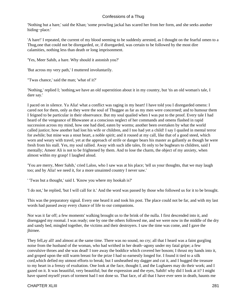'Nothing but a hare,' said the Khan; 'some prowling jackal has scared her from her form, and she seeks another hiding−place.'

'A hare!' I repeated, the current of my blood seeming to be suddenly arrested, as I thought on the fearful omen to a Thug, one that could not be disregarded, or, if disregarded, was certain to be followed by the most dire calamities, nothing less than death or long imprisonment.

'Yes, Meer Sahib, a hare. Why should it astonish you?'

'But across my very path,' I muttered involuntarily.

"Twas chance,' said the man; 'what of it?'

'Nothing,' replied I; 'nothing,we have an old superstition about it in my country, but 'tis an old woman's tale, I dare say.'

I paced on in silence. Ya Alia! what a conflict was raging in my heart! I have told you I disregarded omens: I cared not for them, only as they were the soul of Thuggee as far as my men were concerned; and to humour them I feigned to be particular in their observance. But my soul quailed when I was put to the proof. Every tale I had heard of the vengeance of Bhowanee at a conscious neglect of her commands and omens flashed in rapid succession across my mind, how one had died, eaten by worms; another been overtaken by what the world called justice; how another had lost his wife or children, and I too had yet a child! I say I quailed in mental terror for awhile; but mine was a stout heart, a noble spirit; and it roused at my call, like that of a good steed, which worn and weary with travel, yet at the approach of strife or danger bears his master as gallantly as though he were fresh from his stall. Yes, my soul rallied. Away with such idle tales, fit only to be bugbears to children, said I mentally; Ameer Ali is not to be frightened by them. And to lose the charm, the object of my anxiety, when almost within my grasp! I laughed aloud.

'You are merry, Meer Sahib,' cried Laloo, who I saw was at his place; 'tell us your thoughts, that we may laugh too; and by Alia! we need it, for a more unsainted country I never saw.'

' 'Twas but a thought,' said I. 'Know you where my hookah is?'

'I do not,' he replied, 'but I will call for it.' And the word was passed by those who followed us for it to be brought.

This was the preparatory signal. Every one heard it and took his post. The place could not be far, and with my last words had passed away every chance of life to our companions.

Nor was it far off; a few moments' walking brought us to the brink of the nulla. I first descended into it, and disengaged my roomal. I was ready; one by one the others followed me, and we were now in the middle of the dry and sandy bed, mingled together, the victims and their destroyers. I saw the time was come, and I gave the jhirnee.

They fell, ay all! and almost at the same time. There was no sound, no cry; all that I heard was a faint gurgling noise from the husband of the woman, who had writhed in her death−agony under my fatal gripe; a few convulsive throes and she was dead! I tore away the boddice which covered her bosom; I thrust my hands into it, and groped upon the still warm breast for the prize I had so earnestly longed for. I found it tied to a silk cord,which defied my utmost efforts to break; but I unsheathed my dagger and cut it, and I hugged the treasure to my heart in a frenzy of exultation. One look at the face, thought I, and the Lughaees may do their work; and I gazed on it. It was beautiful, very beautiful; but the expression and the eyes, Sahib! why did I look at it? I might have spared myself years of torment had I not done so. That face, of all that I have ever seen in death, haunts me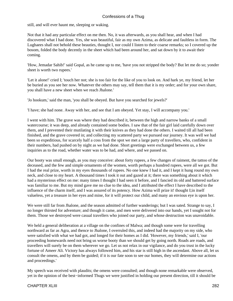still, and will ever haunt me, sleeping or waking.

Not that it had any particular effect on me then. No, it was afterwards, as you shall hear, and when I had discovered what I had done. Yes, she was beautiful, fair as my own Azima, as delicate and faultless in form. The Lughaees shall not behold these beauties, thought I, nor could I listen to their coarse remarks; so I covered up the bosom, folded the body decently in the sheet which had been around her, and sat down by it to await their coming.

'How, Jemadar Sahib!' said Gopal, as he came up to me, 'have you not stripped the body? But let me do so; yonder sheet is worth two rupees.'

'Let it alone!' cried I; 'touch her not; she is too fair for the like of you to look on. And hark ye, my friend, let her be buried as you see her now. Whatever the others may say, tell them that it is my order; and for your own share, you shall have a new sheet when we reach Jhalone.'

'Jo hookum,' said the man, 'you shall be obeyed. But have you searched for jewels?'

'I have; she had none. Away with her, and see that I am obeyed. Yet stay, I will accompany you.'

I went with him. The grave was where they had described it, between the high and narrow banks of a small watercourse; it was deep, and already contained some bodies. I saw that of the fair girl laid carefully down over them, and I prevented their mutilating it with their knives as they had done the others. I waited till all had been finished, and the grave covered in; and collecting my scattered party we pursued our journey. It was well we had been so expeditious, for scarcely half a coss from the spot we met a large party of travellers, who, confident in their numbers, had pushed on by night as we had done. Short greetings were exchanged between us, a few inquiries as to the road, whether water was to be had, and where, and we passed on.

Our booty was small enough, as you may conceive: about forty rupees, a few changes of raiment, the tattoo of the deceased, and the few and simple ornaments of the women, worth perhaps a hundred rupees, were all we got. But I had the real prize, worth in my eyes thousands of rupees. No one knew I had it, and I kept it hung round my own neck, and close to my heart. A thousand times I took it out and gazed at it; there was something about it which had a mysterious effect on me: many times I thought I had seen it before, and I fancied its old and battered surface was familiar to me. But my mind gave me no clue to the idea, and I attributed the effect I have described to the influence of the charm itself, and I was assured of its potency. How Azima will prize it! thought I; in itself valueless, yet a treasure in her eyes and mine, for it will protect our child, and many an envious eye is upon her.

We were still far from Jhalone, and the season admitted of further wanderings; but I was sated. Strange to say, I no longer thirsted for adventure; and though it came, and men were delivered into our hands, yet I sought not for them. Those we destroyed were casual travellers who joined our party, and whose destruction was unavoidable.

We held a general deliberation at a village on the confines of Malwa; and though some were for travelling northward as far as Agra, and thence to Jhalone, I overruled this, and indeed had the majority on my side, who were satisfied with what we had got, and longed for their homes as I did. 'However, my friends,' said I, 'our proceeding homewards need not bring us worse booty than we should get by going north. Roads are roads, and travellers will surely be on them wherever we go. Let us not relax in our vigilance, and do you trust in the lucky fortune of Ameer Ali. Victory has always followed him, and his star is still high in the ascendant. Above all, let us consult the omens, and by them be guided; if it is our fate soon to see our homes, they will determine our actions and proceedings.'

My speech was received with plaudits; the omens were consulted; and though none remarkable were observed, yet in the opinion of the best−informed Thugs we were justified in holding our present direction, till it should be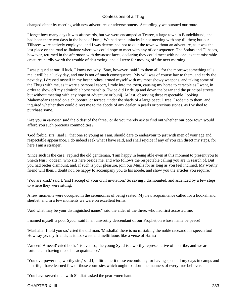changed either by meeting with new adventures or adverse omens. Accordingly we pursued our route.

I forget how many days it was afterwards, but we were encamped at Tearee, a large town in Bundelkhund, and had been there two days in the hope of bunij. We had been unlucky in not meeting with any till then; but our Tilhaees were actively employed, and I was determined not to quit the town without an adventure, as it was the last place on the road to Jhalone where we could hope to meet with any of consequence. The Sothas and Tilhaees, however, returned in the afternoon with downcast faces, declaring they could meet with no one, except miserable creatures hardly worth the trouble of destroying; and all were for moving off the next morning.

I was piqued at our ill luck, I know not why. 'Stay, however,' said I to them all, 'for the morrow; something tells me it will be a lucky day, and one is not of much consequence.' My will was of course law to them, and early the next day, I dressed myself in my best clothes, armed myself with my most showy weapons, and taking some of the Thugs with me, as it were a personal escort, I rode into the town, causing my horse to caracole as I went, in order to show off my admirable horsemanship. Twice did I ride up and down the bazar and the principal streets, but without meeting with any hope of adventure or bunij. At last, observing three respectable−looking Mahomedans seated on a chubootra, or terrace, under the shade of a large peepul−tree, I rode up to them, and inquired whether they could direct me to the abode of any dealer in pearls or precious stones, as I wished to purchase some.

'Are you in earnest?' said the oldest of the three, 'or do you merely ask to find out whether our poor town would afford you such precious commodities?'

'God forbid, sirs,' said I, 'that one so young as I am, should dare to endeavour to jest with men of your age and respectable appearance. I do indeed seek what I have said, and shall rejoice if any of you can direct my steps, for here I am a stranger.'

'Since such is the case,' replied the old gentleman, 'I am happy in being able even at this moment to present you to Shekh Nusr−oodeen, who sits here beside me, and who follows the respectable calling you are in search of. But you had better dismount, and, if such is your pleasure, join our Mujlis for as long as you feel inclined. My worthy friend will then, I doubt not, be happy to accompany you to his abode, and show you the articles you require.'

'You are kind,' said I, 'and I accept of your civil invitation.' So saying I dismounted, and ascended by a few steps to where they were sitting.

A few moments were occupied in the ceremonies of being seated. My new acquaintance called for a hookah and sherbet, and in a few moments we were on excellent terms.

'And what may be your distinguished name?' said the elder of the three, who had first accosted me.

I named myself:'a poor Syud,' said I; 'an unworthy descendant of our Prophet,on whose name be peace!'

'Mashalla! I told you so,' cried the old man. 'Mashalla! there is no mistaking the noble race;and his speech too! How say ye, my friends, is it not sweet and mellifluous like a verse of Hafiz?'

'Ameen! Ameen!' cried both, "tis even so; the young Syud is a worthy representative of his tribe, and we are fortunate in having made his acquaintance.'

'You overpower me, worthy sirs,' said I; 'I little merit these encomiums; for having spent all my days in camps and in strife, I have learned few of those courtesies which ought to adorn the manners of every true believer.'

'You have served then with Sindia?' asked the pearl−merchant.

#### CHAPTER XLIII 283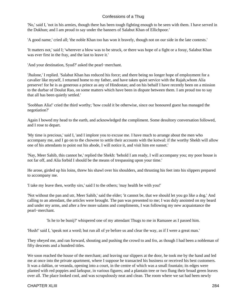'No,' said I, 'not in his armies, though there has been tough fighting enough to be seen with them. I have served in the Dukhun; and I am proud to say under the banners of Salabut Khan of Ellichpoor.'

'A good name,' cried all; 'the noble Khan too has won it bravely, though not on our side in the late contests.'

'It matters not,' said I; 'wherever a blow was to be struck, or there was hope of a fight or a foray, Salabut Khan was ever first in the fray, and the last to leave it.'

'And your destination, Syud?' asked the pearl−merchant.

'Jhalone,' I replied. 'Salabut Khan has reduced his force; and there being no longer hope of employment for a cavalier like myself, I returned home to my father, and have taken quiet service with the Rajah, whom Alia preserve! for he is as generous a prince as any of Hindostan; and on his behalf I have recently been on a mission to the durbar of Doulut Rao, on some matters which have been in dispute between them. I am proud too to say that all has been quietly settled.'

'Soobhan Alia!' cried the third worthy; 'how could it be otherwise, since our honoured guest has managed the negotiation?'

Again I bowed my head to the earth, and acknowledged the compliment. Some desultory conversation followed, and I rose to depart.

'My time is precious,' said I, 'and I implore you to excuse me. I have much to arrange about the men who accompany me, and I go on to the chowree to settle their accounts with the kotwal: if the worthy Shekh will allow one of his attendants to point out his abode, I will notice it, and visit him ere sunset.'

'Nay, Meer Sahib, this cannot be,' replied the Shekh: 'behold I am ready, I will accompany you; my poor house is not far off, and Alia forbid I should be the means of trespassing upon your time.'

He arose, girded up his loins, threw his shawl over his shoulders, and thrusting his feet into his slippers prepared to accompany me.

'I take my leave then, worthy sirs,' said I to the others; 'may health be with you!'

'Not without the pan and utr, Meer Sahib,' said the elder; 'it cannot be, that we should let you go like a dog.' And calling to an attendant, the articles were brought. The pan was presented to me; I was duly anointed on my beard and under my arms, and after a few more salams and compliments, I was following my new acquaintance the pearl−merchant.

'Is he to be bunij?' whispered one of my attendant Thugs to me in Ramasee as I passed him.

'Hush!' said I, 'speak not a word; but run all of ye before us and clear the way, as if I were a great man.'

They obeyed me, and ran forward, shouting and pushing the crowd to and fro, as though I had been a nobleman of fifty descents and a hundred titles.

We soon reached the house of the merchant; and leaving our slippers at the door, he took me by the hand and led me at once into the private apartment, where I suppose he transacted his business or received his best customers. It was a dahlan, or veranda, opening into a court, in the centre of which was a small fountain; its edges were planted with red poppies and larkspur, in various figures; and a plantain tree or two flung their broad green leaves over all. The place looked cool, and was scrupulously neat and clean. The room where we sat had been newly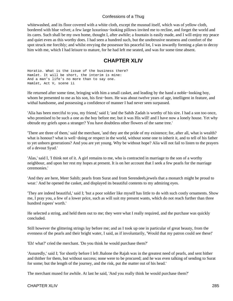whitewashed, and its floor covered with a white cloth, except the musnud itself, which was of yellow cloth, bordered with blue velvet; a few large luxurious−looking pillows invited me to recline, and forget the world and its cares. Such shall be my own home, thought I, after awhile; a fountain is easily made, and I will enjoy my peace and quiet even as this worthy does. I had seen a hundred such, but the unobtrusive neatness and comfort of the spot struck me forcibly; and whilst envying the possessor his peaceful lot, I was inwardly forming a plan to decoy him with me, which I had leisure to mature, for he had left me seated, and was for some time absent.

# **CHAPTER XLIV**

Horatio. What is the issue of the business there? Hamlet. It will be short, the interim is mine: And a man's life's no more than to say one. Hamlet, Act V, scene ii

He returned after some time, bringing with him a small casket, and leading by the hand a noble−looking boy, whom he presented to me as his son, his first−born. He was about twelve years of age, intelligent in feature, and withal handsome, and possessing a confidence of manner I had never seen surpassed.

'Alia has been merciful to you, my friend,' said I; 'and the Sahib Zadah is worthy of his sire. I had a son too once, who promised to be such a one as the boy before me; but it was His will! and I have now a lonely house. Yet why obtrude my griefs upon a stranger? You have doubtless other flowers of the same tree.'

'There are three of them,' said the merchant, 'and they are the pride of my existence; for, after all, what is wealth? what is honour? what is well−doing or respect in the world, without some one to inherit it, and to tell of his father to yet unborn generations? And you are yet young. Why be without hope? Alia will not fail to listen to the prayers of a devout Syud.'

'Alas,' said I, 'I think not of it. A girl remains to me, who is contracted in marriage to the son of a worthy neighbour, and upon her rest my hopes at present. It is on her account that I seek a few pearls for the marriage ceremonies.'

'And they are here, Meer Sahib; pearls from Surat and from Serendeeb, jewels that a monarch might be proud to wear.' And he opened the casket, and displayed its beautiful contents to my admiring eyes.

'They are indeed beautiful,' said I; 'but a poor soldier like myself has little to do with such costly ornaments. Show me, I pray you, a few of a lower price, such as will suit my present wants, which do not reach further than three hundred rupees' worth.'

He selected a string, and held them out to me; they were what I really required, and the purchase was quickly concluded.

Still however the glittering strings lay before me; and as I took up one in particular of great beauty, from the evenness of the pearls and their bright water, I said, as if involuntarily, 'Would that my patron could see these!'

'Eh! what?' cried the merchant. 'Do you think he would purchase them?'

'Assuredly,' said I; 'for shortly before I left Jhalone the Rajah was in the greatest need of pearls, and sent hither and thither for them, but without success; none were to be procured; and he was even talking of sending to Surat for some; but the length of the journey, and the risk, put the matter out of his head.'

The merchant mused for awhile. At last he said, 'And you really think he would purchase them?'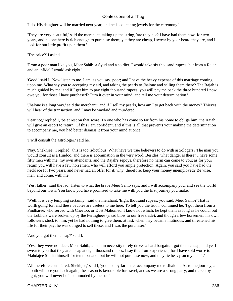'I do. His daughter will be married next year, and he is collecting jewels for the ceremony.'

'They are very beautiful,' said the merchant, taking up the string, 'are they not? I have had them now. for two years, and no one here is rich enough to purchase them; yet they are cheap, I swear by your beard they are, and I look for but little profit upon them.'

'The price?' I asked.

'From a poor man like you, Meer Sahib, a Syud and a soldier, I would take six thousand rupees, but from a Rajah and an infidel I would ask eight.'

'Good,' said I. 'Now listen to me. I am, as you say, poor; and I have the heavy expense of this marriage coming upon me. What say you to accepting my aid, and taking the pearls to Jhalone and selling them there? The Rajah is much guided by me; and if I get him to pay eight thousand rupees, you will pay me back the three hundred I now owe you for those I have purchased? Turn it over in your mind, and tell me your determination.'

'Jhalone is a long way,' said the merchant: 'and if I sell my pearls, how am I to get back with the money? Thieves will hear of the transaction, and I may be waylaid and murdered.'

'Fear not,' replied I, 'be at rest on that score. To one who has come so far from his home to oblige him, the Rajah will give an escort to return. Of this I am confident; and if this is all that prevents your making the determination to accompany me, you had better dismiss it from your mind at once.'

'I will consult the astrologer,' said he.

'Nay, Shekhjee,' I replied, 'this is too ridiculous. What have we true believers to do with astrologers? The man you would consult is a Hindoo, and there is abomination in the very word. Besides, what danger is there? I have some fifty men with me, my own attendants, and the Rajah's sepoys, therefore no harm can come to you; as for your return you will have a few horsemen, who will afford you ample protection. Again, you said you have had the necklace for two years, and never had an offer for it; why, therefore, keep your money unemployed? Be wise, man, and come, with me.'

'Yes, father,' said the lad, 'listen to what the brave Meer Sahib says; and I will accompany you, and see the world beyond our town. You know you have promised to take me with you the first journey you make.'

'Well, it is very tempting certainly,' said the merchant. 'Eight thousand rupees, you said, Meer Sahib? That is worth going for, and these baubles are useless to me here. To tell you the truth,' continued he, 'I got them from a Pindharee, who served with Cheetoo, or Dost Mahomed, I know not which; he kept them as long as he could, but the Lubhurs were broken up by the Feringhees (a sad blow to our free trade), and though a few horsemen, his own followers, stuck to him, yet he had nothing to give them; at last, when they became mutinous, and threatened his life for their pay, he was obliged to sell these, and I was the purchaser.'

'And you got them cheap?' said I.

'Yes, they were not dear, Meer Sahib; a man in necessity rarely drives a hard bargain. I got them cheap; and yet I swear to you that they are cheap at eight thousand rupees. I say this from experience; for I have sold worse to Mahdajee Sindia himself for ten thousand; but he will not purchase now, and they lie heavy on my hands.'

'All therefore considered, Shekhjee,' said I, 'you had by far better accompany me to Jhalone. As to the journey, a month will see you back again; the season is favourable for travel, and as we are a strong party, and march by night, you will never be incommoded by the sun.'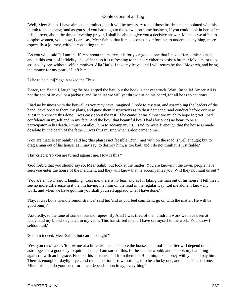'Well, Meer Sahib, I have almost determined; but it will be necessary to tell those inside,' and he pointed with his thumb to the zenana; 'and as you said you had to go to the kotwal on some business, if you could look in here after it is all over, about the time of evening prayer, I shall be able to give you a decisive answer. Much as we affect to despise women, you know, I dare say, Meer Sahib, that it makes one uncomfortable to undertake anything, more especially a journey, without consulting them.'

'As you will,' said I; 'I am indifferent about the matter; it is for your good alone that I have offered this counsel; and in this world of infidelity and selfishness it is refreshing to the heart either to assist a brother Moslem, or to be assisted by one without selfish motives. Alia Hafiz! I take my leave, and I will return by the −Moghreb, and bring the money for my pearls.' I left him.

'Is he to be bunij?' again asked the Thug.

'Peace, fool!' said I, laughing; 'he has gorged the bait, but the hook is not yet struck. Wait. Inshalla! Ameer Ali is not the son of an owl or a jackass; and Inshalla! we will yet throw dirt on his beard, for all he is so cautious.'

I had no business with the kotwal, as you may have imagined. I rode to my tent, and assembling the leaders of the band, developed to them my plans, and gave them instructions as to their demeanor and conduct before our new guest in prospect: this done, I was easy about the rest. If he came! It was almost too much to hope for; yet I had confidence in myself and in my fate. And the boy! that beautiful boy!I had (for once) no heart to be a participator in his death. I must not allow him to accompany us, I said to myself; enough that the house is made desolate by the death of the father. I was thus musing when Laloo came to me.

'You are mad, Meer Sahib,' said he; 'this plan is not feasible. Bunij met with on the road is well enough; but to drag a man out of his house, as I may say, to destroy him, is too bad; and I do not think it is justifiable.'

'Ha!' cried I; 'so you are turned against me. How is this?'

'God forbid that you should say so, Meer Sahib; but look at the matter. You are known in the town, people have seen you enter the house of the merchant, and they will know that he accompanies you. Will they not hunt us out?'

'You are an owl,' said I, laughing; 'trust me, there is no fear; and as for taking the man out of his house, I tell thee I see no more difference in it than in having met him on the road in the regular way. Let me alone, I know my work, and when we have got him you shall yourself applaud what I have done.'

'Nay, it was but a friendly remonstrance,' said he; 'and as you feel confident, go on with the matter. He will be good bunij?'

'Assuredly, to the tune of some thousand rupees. By Alia! I was tired of the humdrum work we have been at lately, and my blood stagnated in my veins. This has stirred it, and I have set myself to the work. You know I seldom fail.'

'Seldom indeed, Meer Sahib; but can I do aught?'

'Yes, you can,' said I: 'follow me at a little distance, and note the house. The fool I am after will depend on his astrologer for a good day to quit his home. I am sure of this, for he said he would; and he took my bantering against it with an ill grace. Find out his servants, and from them the Brahmin; take money with you and pay him. There is enough of daylight yet, and remember tomorrow morning is to be a lucky one, and the next a bad one. Mind this, and do your best, for much depends upon it nay, everything.'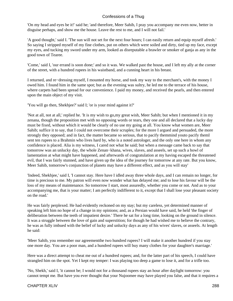'On my head and eyes be it!' said he; 'and therefore, Meer Sahib, I pray you accompany me even now, better in disguise perhaps, and show me the house. Leave the rest to me, and I will not fail.'

'A good thought,' said I. 'The sun will not set for the next four hours; I can easily return and equip myself afresh.' So saying I stripped myself of my fine clothes, put on others which were soiled and dirty, tied up my face, except my eyes, and tucking my sword under my arm, looked as disreputable a brawler or smoker of ganja as any in the good town of Tearee.

'Come,' said I, 'our errand is soon done;' and so it was. We walked past the house, and I left my ally at the corner of the street, with a hundred rupees in his waistband, and a cunning heart in his breast.

I returned, and re−dressing myself, I mounted my horse, and took my way to the merchant's, with the money I owed him. I found him in the same spot; but as the evening was sultry, he led me to the terrace of his house, where carpets had been spread for our convenience. I paid my money, and received the pearls, and then entered upon the main object of my visit.

'You will go then, Shekhjee?' said I; 'or is your mind against it?'

'Not at all, not at all,' replied he. 'It is my wish to go,my great wish, Meer Sahib; but when I mentioned it in my zenana, though the proposition met with no opposing words or tears, they one and all declared that a lucky day must be fixed, without which it would be clearly of no use my going at all. You know what women are, Meer Sahib; suffice it to say, that I could not overcome their scruples; for the more I argued and persuaded, the more strongly they opposed; and in fact, the matter became so serious, that to pacify them mind you to pacify them I sent ten rupees to a Brahmin who lives hard by, who is a noted astrologer, and the only one here in whom any confidence is placed. Alia is my witness, I cared not what he said; but when a message came back to say that tomorrow was an unlucky day, the whole Zenan−khana, wives, slaves, and asseels, set up such a howl of lamentation at what might have happened, and afterwards of congratulation at my having escaped the threatened evil, that I was fairly stunned, and have given up the idea of the journey for tomorrow at any rate. But you know, Meer Sahib, tomorrow's conjunction of planets may have a different effect, and as you will stay'

'Indeed, Shekhjee,' said I, 'I cannot stay. Here have I idled away three whole days, and I can remain no longer, for time is precious to me. My patron will even now wonder what has delayed me; and to lose his favour will be the loss of my means of maintenance. So tomorrow I start, most assuredly, whether you come or not. And as to your accompanying me, that is your matter; I am perfectly indifferent to it, except that I shall lose your pleasant society on the road.'

He was fairly perplexed. He had evidently reckoned on my stay; but my careless, yet determined manner of speaking left him no hope of a change in my opinions; and, as a Persian would have said, he held 'the finger of deliberation between the teeth of impatient desire.' There he sat for a long time, looking on the ground in silence. It was a struggle between the love of gain and superstition; for though he had wished me to believe the contrary, he was as fully imbued with the belief of lucky and unlucky days as any of his wives' slaves, or asseels. At length he said:

'Meer Sahib, you remember our agreement the two hundred rupees? I will make it another hundred if you stay one more day. You are a poor man, and a hundred rupees will buy many clothes for your daughter's marriage.'

Here was a direct attempt to cheat me out of a hundred rupees; and, for the latter part of his speech, I could have strangled him on the spot. Yet I kept my temper: I was playing too deep a game to lose it, and for a trifle too.

'No, Shekh,' said I, 'it cannot be; I would not for a thousand rupees stay an hour after daylight tomorrow: you cannot tempt me. But have you ever thought that your Nujoomee may have played you false, and that it requires a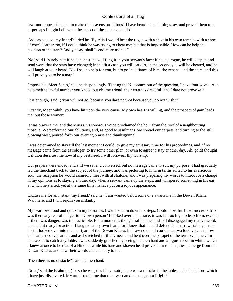few more rupees than ten to make the heavens propitious? I have heard of such things, ay, and proved them too, or perhaps I might believe in the aspect of the stars as you do.'

'Ay! say you so, my friend?' cried he. 'By Alia I would beat the rogue with a shoe in his own temple, with a shoe of cow's leather too, if I could think he was trying to cheat me; but that is impossible. How can he help the position of the stars? And yet say, shall I send more money?'

'No,' said I, 'surely not; if he is honest, he will fling it in your servant's face; if he is a rogue, he will keep it, and send word that the stars have changed; in the first case you will eat dirt, in the second you will be cheated, and he will laugh at your beard. No, I see no help for you, but to go in defiance of him, the zenana, and the stars; and this will prove you to be a man.'

'Impossible, Meer Sahib,' said he despondingly. 'Putting the Nujoomee out of the question, I have four wives, Alia help me! the lawful number you know; but oh! my friend, their wrath is dreadful, and I dare not provoke it.'

'It is enough,' said I; 'you will not go, because you dare not,not because you do not wish it.'

'Exactly, Meer Sahib: you have hit upon the very cause. My own heart is willing, and the prospect of gain leads me; but those women'

It was prayer time, and the Muezzin's sonorous voice proclaimed the hour from the roof of a neighbouring mosque. We performed our ablutions, and, as good Mussulmans, we spread our carpets, and turning to the still glowing west, poured forth our evening praise and thanksgiving.

I was determined to stay till the last moment I could, to give my emissary time for his proceedings, and, if no message came from the astrologer, to try some other plan, or even to agree to stay another day. Ah, gold! thought I, if thou desertest me now at my best need, I will forswear thy worship.

Our prayers were ended, and still we sat and conversed, but no message came to suit my purpose. I had gradually led the merchant back to the subject of the journey, and was picturing to him, in terms suited to his avaricious soul, the reception he would assuredly meet with at Jhalone; and I was preparing my words to introduce a change in my opinions as to staying another day, when a servant came up the steps, and whispered something in his ear, at which he started, yet at the same time his face put on a joyous appearance.

'Excuse me for an instant, my friend,' said he; 'I am wanted belowsome one awaits me in the Dewan Khana. Wait here, and I will rejoin you instantly.'

My heart beat loud and quick in my bosom as I watched him down the steps. Could it be that I had succeeded? or was there any fear of danger to my own person? I looked over the terrace; it was far too high to leap from; escape, if there was danger, was impracticable. But a moment's thought rallied me; and as I disengaged my trusty sword, and held it ready for action, I laughed at my own fears, for I knew that I could defend that narrow stair against a host. I looked over into the courtyard of the Dewan Khana, but saw no one: I could hear two loud voices in low and earnest conversation; and as I stretched forth my neck, and bent over the parapet of the terrace, in the vain endeavour to catch a syllable, I was suddenly gratified by seeing the merchant and a figure robed in white, which I knew at once to be that of a Hindoo, while his bare and shaven head proved him to be a priest, emerge from the Dewan Khana; and now their words came clearly to me.

'Then there is no obstacle?' said the merchant.

'None,' said the Brahmin, (for so he was,) 'as I have said, there was a mistake in the tables and calculations which I have just discovered. My art also told me that thou wert anxious to go; am I right?'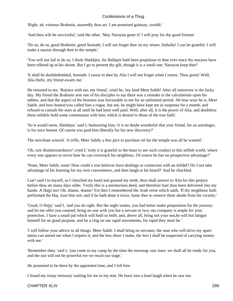'Right, ah, virtuous Brahmin, assuredly thou art. I am promised gain nay, wealth.'

'And thou wilt be successful,' said the other. 'May Narayun grant it! I will pray for thy good fortune.'

'Do so, do so, good Brahmin: good Seonath, I will not forget thee on my return. Inshalla! I can be grateful: I will make a nuzzur through thee to the temple.'

'You will not fail to do so, I think Shekhjee, for Ballajee hath been propitious to thee ever since thy nuzzurs have been offered up at his shrine. But I go to present thy gift, though it is a small one. Narayun keep thee!'

'It shall be doubled trebled, Seonath. I swear to thee by Alia I will not forget when I return. Thou goest! Well, Alia Hafiz, my friend awaits me.'

He returned to me. 'Rejoice with me, my friend,' cried he, 'my kind Meer Sahib! After all tomorrow is the lucky day. My friend the Brahmin sent one of his disciples to say there was a mistake in the calculations upon his tablets, and that the aspect of the heavens was favourable to me for an unlimited period. Ah how wise he is, Meer Sahib, and how honest! you called him a rogue, but see, he might have kept me in suspense for a month, and refused to consult the stars at all until he had been well paid. Well, after all, it is the power of Alia, and doubtless these infidels hold some communion with him, which is denied to those of the true faith.'

'So it would seem, Shekhjee,' said I, humouring him; 'it is no doubt wonderful that your friend, for an astrologer, is for once honest. Of course you paid him liberally for his new discovery?'

The merchant winced. 'A trifle, Meer Sahib; a few pice to purchase oil for the temple was all he wanted.'

'Oh, rare disinterestedness!' cried I; 'truly it is grateful to the heart to see such conduct in this selfish world, where every one appears to strive how he can overreach his neighbour. Of course he has no prospective advantage?'

'None, Meer Sahib, none! How could a true believer have dealings or connexion with an infidel? Do I not take advantage of his learning for my own convenience, and then laugh at his beard?' And he chuckled.

Liar! said I to myself, as I clenched my hand and ground my teeth, thou shall answer to Alia for this perjury before thou art many days older. Verily this is a meritorious deed, and therefore hast thou been delivered into my hands. A Hajji too! Oh, shame, shame! Yet then I remembered the Arab verse which saith, 'If thy neighbour hath performed the Haj, trust him not; and if he hath done it twice, haste thee to remove thine abode from his vicinity.'

'Good, O Hajji,' said I, 'and you do right. But the night wanes, you had better make preparation for the journey; and let me offer you counsel; bring no one with you but a servant or two; my company is ample for your protection. I have a small pal which will hold us both; and, above all, bring not your son, he will but fatigue himself for no good purpose, and be a clog on our rapid movements, for rapid they must be.'

'I will follow your advice in all things, Meer Sahib. I shall bring no servants; the man who will drive my spare tattoo can attend me when I require it; and the less show I make, the less I shall be suspected of carrying money with me.'

'Remember then,' said I, 'you come to my camp by the time the morning−star rises; we shall all be ready for you, and the sun will not be powerful ere we reach our stage.'

He promised to be there by the appointed time, and I left him.

I found my trusty emissary waiting for me in my tent. He burst into a loud laugh when he saw me.

#### CHAPTER XLIV 290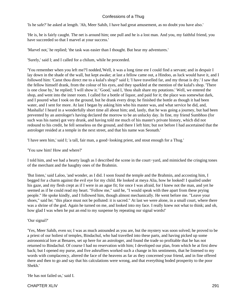'Is he safe?' he asked at length. 'Ah, Meer Sahib, I have had great amusement, as no doubt you have also.'

'He is, he is fairly caught. The net is around him; one pull and he is a lost man. And you, my faithful friend, you have succeeded so that I marvel at your success.'

'Marvel not,' he replied; 'the task was easier than I thought. But hear my adventures.'

'Surely,' said I; and I called for a chilum, while he proceeded.

'You remember when you left me?'I nodded,'Well, it was a long time ere I could find a servant; and in despair I lay down in the shade of the wall, but kept awake; at last a fellow came out, a Hindoo, as luck would have it, and I followed him: 'Canst thou direct me to a kulal's shop?' said I; 'I have travelled far, and my throat is dry.' I saw that the fellow himself drank, from the colour of his eyes, and they sparkled at the mention of the kulal's shop. 'There is one close by,' he replied; 'I will show it.' 'Good,' said I, 'thou shalt share my potations.' Well, we entered the shop, and went into the inner room. I called for a bottle of liquor, and paid for it; the place was somewhat dark, and I poured what I took on the ground, but he drank every drop; he finished the bottle as though it had been water, and I sent for more. At last I began by asking him who his master was, and what service he did, and, Mashalla! I heard in a wonderfully short time all about him; and, lastly, that he was going a journey, but had been prevented by an astrologer's having declared the morrow to be an unlucky day. In fine, my friend Sumbhoo (for such was his name) got very drunk, and having told me much of his master's private history, which did not redound to his credit, he fell senseless on the ground, and there I left him; but not before I had ascertained that the astrologer resided at a temple in the next street, and that his name was Seonath.'

'I have seen him,' said I; 'a tall, fair man, a good−looking priest, and stout enough for a Thug.'

'You saw him! How and where?'

I told him, and we had a hearty laugh as I described the scene in the court−yard, and mimicked the cringing tones of the merchant and the haughty ones of the Brahmin.

'But listen,' said Laloo, 'and wonder, as I did. I soon found the temple and the Brahmin, and accosting him, I begged for a charm against the evil eye for my child. He looked at meya Alia, how he looked! I quailed under his gaze, and my flesh crept as if I were in an ague fit; for once I was afraid, for I knew not the man, and yet he seemed as if he could read my heart. "Follow me," said he, "I would speak with thee apart from these prying people." He spoke kindly, and I followed him, though almost mechanically. He went before me. "Leave your shoes," said he; "this place must not be polluted: it is sacred." At last we were alone, in a small court, where there was a shrine of the god. Again he turned on me, and looked into my face. I really knew not what to think; and oh, how glad I was when he put an end to my suspense by repeating our signal words!'

#### 'Our signal?'

'Yes, Meer Sahib, even so; I was as much astounded as you are, but the mystery was soon solved; he proved to be a priest of our holiest of temples, Bindachul, who had travelled into these parts, and having picked up some astronomical lore at Benares, set up here for an astrologer, and found the trade so profitable that he has not returned to Bindachul. Of course I had no reservation with him; I developed our plan, from which he at first drew back; but I opened my purse, and five ashruffees worked such a change in his sentiments, that he listened to my words with complacency, altered the face of the heavens as far as they concerned your friend, and in fine offered there and then to go and say that his calculations were wrong, and that everything boded prosperity to the poor Shekh.'

'He has not failed us,' said I.

#### CHAPTER XLIV 291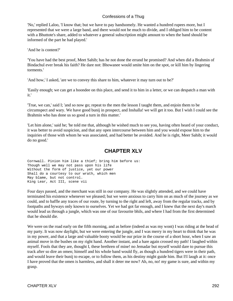'No,' replied Laloo, 'I know that; but we have to pay handsomely. He wanted a hundred rupees more, but I represented that we were a large band, and there would not be much to divide, and I obliged him to be content with a Bhuttote's share, added to whatever a general subscription might amount to when the band should be informed of the part he had played.'

'And he is content?'

'You have had the best proof, Meet Sahib; has he not done the errand he promised? And when did a Brahmin of Bindachul ever break his faith? He dare not: Bhowanee would smite him on the spot, or kill him by lingering torments.'

'And how,' I asked, 'are we to convey this share to him, whatever it may turn out to be?'

'Easily enough; we can get a hoondee on this place, and send it to him in a letter, or we can despatch a man with it.'

'True, we can,' said I; 'and so now go; repeat to the men the lesson I taught them, and enjoin them to be circumspect and wary. We have good bunij in prospect, and Inshalla! we will get it too. But I wish I could see the Brahmin who has done us so good a turn in this matter.'

'Let him alone,' said he; 'he told me that, although he wished much to see you, having often heard of your conduct, it was better to avoid suspicion, and that any open intercourse between him and you would expose him to the inquiries of those with whom he was associated, and had better be avoided. And he is right, Meer Sahib; it would do no good.'

# **CHAPTER XLV**

Cornwall. Pinion him like a thief; bring him before us: Though well we may not pass upon his life Without the form of justice, yet our power Shall do a courtesy to our wrath, which men May blame, but not control. King Lear, Act III, scene vii

Four days passed, and the merchant was still in our company. He was slightly attended, and we could have terminated his existence whenever we pleased; but we were anxious to carry him on as much of the journey as we could, and to baffle any traces of our route, by turning to the right and left, away from the regular tracks, and by footpaths and byways only known to ourselves. Yet we had got far enough, and I knew that the next day's march would lead us through a jungle, which was one of our favourite bhils, and where I had from the first determined that he should die.

We were on the road early on the fifth morning, and as before (indeed as was my wont) I was riding at the head of my party. It was now daylight, but we were entering the jungle, and I was merry in my heart to think that he was in my power, and that a large and valuable booty would be our prize in the course of a short hour, when I saw an animal move in the bushes on my right hand. Another instant, and a hare again crossed my path! I laughed within myself. Fools that they are, thought I, these brethren of mine! no Jemadar but myself would dare to pursue this track after so dire an omen; himself and his whole band would fly, as though a hundred tigers were in their path, and would leave their bunij to escape, or to follow them, as his destiny might guide him. But I!I laugh at it: once I have proved that the omen is harmless, and shall it deter me now? Ah, no, no! my game is sure, and within my grasp.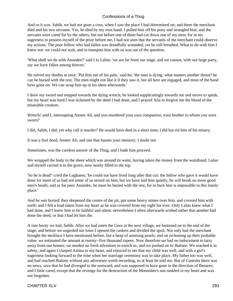And so it was. Sahib, we had not gone a coss, when I saw the place I had determined on; and there the merchant died and his two servants. Yes, he died by my own hand. I pulled him off his pony and strangled him; and the servants were cared for by the others, but not before one of them had cut down one of my men; for in my eagerness to possess myself of the prize before me, I had not seen that the servants of the merchant could observe my actions. The poor fellow who had fallen was dreadfully wounded; yet he still breathed. What to do with him I knew not: we could not wait, and to transport him with us was out of the question.

'What shall we do with Anundee?' said I to Laloo; 'we are far from our stage, and we cannot, with our large party, say we have fallen among thieves.'

He solved my doubts at once. 'Put him out of his pain,' said he; 'the man is dying: what matters another thrust? he can be buried with the rest. The men might not like it if they saw it, but all here are engaged, and most of the band have gone on. We can wrap him up in his sheet afterwards.'

I drew my sword and stepped towards the dying wretch; he looked supplicatingly towards me and strove to speak, but my heart was hard.I was sickened by the deed I had done, and I prayed Alia to forgive me the blood of the miserable creature.

Wretch! said I, interrupting Ameer Ali, and you murdered your own companion, your brother to whom you were sworn?

I did, Sahib, I did; yet why call it murder? He would have died in a short time; I did but rid him of his misery.

It was a foul deed, Ameer Ali; and one that haunts your memory, I doubt not.

Sometimes, was the careless answer of the Thug; and I bade him proceed.

We wrapped the body in the sheet which was around its waist, having taken the money from the waistband. Laloo and myself carried it to the grave, now nearly filled to the top.

'So he is dead!' cried the Lughaees; 'he could not have lived long after that cut: the fellow who gave it would have done for more of us had not some of us seized on him; but we have laid him quietly, he will break no more good men's heads: and as for poor Anundee, he must be buried with the rest, for to burn him is impossible in this lonely place.'

And he *was* buried; they deepened the centre of the pit, put some heavy stones over him, and covered him with earth: and I felt a load taken from my heart as he was covered from my sight for ever. Only Laloo knew what I had done, and I knew him to be faithful and silent: nevertheless I often afterwards wished either that another had done the deed, or that I had let him die.

A rare booty we had, Sahib. After we had eaten the Goor at the next village, we hastened on to the end of the stage; and before we ungirded our loins I opened the caskets and divided the spoil. Not only had the merchant brought the necklace I have mentioned before, but a heap of unstrung pearls; and on reckoning up their probable value, we estimated the amount at twenty−five thousand rupees. Now therefore we had no inducement to tarry away from our homes; we needed no fresh adventure to enrich us, and we pushed on to Jhalone. We reached it in safety, and again I clasped Azima to my heart, and rejoiced to see that my child was well, and with a girl's eagerness looking forward to the time when her marriage ceremony was to take place. My father too was well, and had reached Jhalone without any adventure worth recording, so at least he told me. But of Ganesha there was no news, save that he had diverged to the eastward, and was supposed to have gone in the direction of Benares; and I little cared, except that the revenge for the destruction of the Moonshee's son rankled in my heart and was not forgotten.

#### CHAPTER XLV 293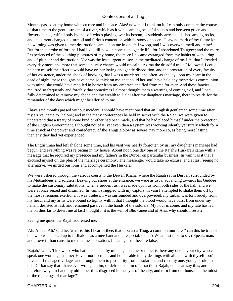Months passed at my home without care and in peace. Alas! now that I think on it, I can only compare the course of that time to the gentle stream of a river, which as it winds among peaceful scenes and between green and flowery banks, ruffled only by the soft winds playing over its bosom, is suddenly arrested, dashed among rocks, and its current changed to turmoil and furious contention with its stony opposers. I saw no mark of my future lot, no warning was given to me; destruction came upon me in one fell swoop, and I was overwhelmed I and mine! But for that stroke of fortune I had lived till now an honest and gentle life, for I abandoned Thuggee; and the more I experienced of the soothing pleasures of my home, the more I became estranged from my habits of wandering and of plunder and destruction. Nor was the least urgent reason in the meditated change of my life, that I dreaded every day more and more that some unlucky chance would reveal to Azima the dreadful trade I followed. I could paint to myself the effect it would have on her loving and gentle disposition, and the prostration of every faculty of her existence, under the shock of knowing that I was a murderer; and often, as she lay upon my heart in the dead of night, these thoughts have come so thick on me, that could her soul have held any mysterious communion with mine, she would have recoiled in horror from my embrace and fled from me for ever. And these fancies recurred so frequently and forcibly that sometimes I almost thought them a warning of coming evil, and I had fully determined to remove my abode and my wealth to Delhi after my daughter's marriage, there to reside for the remainder of the days which might be allotted to me.

I have said months passed without incident; I should have mentioned that an English gentleman some time after my arrival came to Jhalone; and in the many conferences he held in secret with the Rajah, we were given to understand that a treaty of some kind or other had been made, and that he had placed himself under the protection of the English Government. I thought not of it: yet even then a system was working silently yet surely which for a time struck at the power and confederacy of the Thugs, a blow as severe, nay more so, as being more lasting, than any they had yet experienced.

The Englishman had left Jhalone some time, and his visit was nearly forgotten by us; my daughter's marriage had begun, and everything was rejoicing in my house. About noon one day one of the Rajah's Hurkara's came with a message that he required my presence and my father's in the Durbar on particular business. In vain was it that I excused myself on the plea of the marriage ceremony. The messenger would take no excuse; and at last, seeing no alternative, we girded our loins and accompanied the Hurkara.

We were ushered through the various courts to the Dewan Khana, where the Rajah sat in Durbar, surrounded by his Mutsuddees and soldiers. Leaving our shoes at the entrance, we were as usual advancing towards his Guddee to make the customary salutations, when a sudden rush was made upon us from both sides of the hall, and we were at once seized and disarmed. In vain I struggled with my captors, in vain I attempted to shake them off by the most strenuous exertions: it was useless; I was surrounded and overpowered, my turban was torn rudely from my head, and my arms were bound so tightly with it that I thought the blood would have burst from under my nails. I desisted at last, and remained passive in the hands of the soldiers. My hour is come, and my fate has led me on thus far to desert me at last! thought I; it is the will of Bhowanee and of Alia, why should I resist?

Seeing me quiet, the Rajah addressed me.

'Ah, Ameer Ali,' said he; 'what is this I hear of thee, that thou art a Thug, a common murderer? can this be true of one who was looked up to in Jhalone as a merchant and a respectable man? What hast thou to say? Speak, man, and prove if thou canst to me that the accusations I hear against thee are false.'

'Rajah,' said I, 'I know not who hath poisoned thy mind against me or mine; is there any one in your city who can speak one word against me? Have I not been fair and honourable in my dealings with all, and with thyself too? have not I managed villages and brought them to prosperity from desolation; and can any one, young or old, in this Durbar say that I have ever wronged him, or defrauded him of a fraction? Rajah, none can say this; and therefore why am I and my old father thus disgraced in the eyes of the city, and torn from our houses in the midst of the rejoicings of marriage?'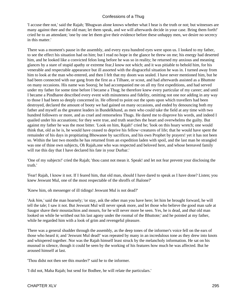'I accuse thee not,' said the Rajah; 'Bhugwan alone knows whether what I hear is the truth or not; but witnesses are many against thee and the old man; let them speak, and we will afterwards decide in your case. Bring them forth!' cried he to an attendant; 'one by one let them give their evidence before these unhappy men, we desire no secrecy in this matter.'

There was a moment's pause in the assembly, and every eye a hundred eyes were upon us. I looked to my father, to see the effect his situation had on him; but I read no hope in the glance he threw on me; his energy had deserted him, and he looked like a convicted felon long before he was so in reality; he returned my anxious and meaning glances by a stare of stupid apathy or extreme fear,I know not which; and it was pitiable to behold him, for his venerable and respectable appearance but ill assorted with the disgraceful situation he was in. I turned away from him to look at the man who entered, and then I felt that my doom was sealed. I have never mentioned him, but he had been connected with our gang from the first as a Tilhaee, or scout, and had afterwards assisted as a Bhuttote on many occasions. His name was Sooruj; he had accompanied me on all my first expeditions, and had served under my father for some time before I became a Thug; he therefore knew every particular of my career; and until I became a Pindharee described every event with minuteness and fidelity, omitting not one nor adding in any way to those I had been so deeply concerned in. He offered to point out the spots upon which travellers had been destroyed, declared the amount of booty we had gained on many occasions, and ended by denouncing both my father and myself as the greatest leaders in Bundelkhund, as men who could take the field at any time with two hundred followers or more, and as cruel and remorseless Thugs. He dared me to disprove his words, and indeed I quailed under his accusations; for they were true, and truth searches the heart and overwhelms the guilty. But against my father he was the most bitter. 'Look on him, Rajah!' cried he; 'look on this hoary wretch; one would think that, old as he is, he would have ceased to deprive his fellow−creatures of life; that he would have spent the remainder of his days in propitiating Bhowanee by sacrifices, and his own Prophet by prayers! yet it has not been so. Within the last two months he has returned from an expedition laden with spoil, and the last man he strangled was one of thine own subjects, Oh Rajah, one who was respected and beloved here, and whose bereaved family will rue this day that I have declared his fate in your Durbar.'

'One of my subjects!' cried the Rajah; 'thou canst not mean it. Speak! and let not fear prevent your disclosing the truth.'

'Fear! Rajah, I know it not. If I feared him, that old man, should I have dared to speak as I have done? Listen; you knew Jeswunt Mul, one of the most respectable of the shroffs of Jhalone?'

'Knew him, oh messenger of ill tidings! Jeswunt Mul is not dead?'

'Ask *him,'* said the man hoarsely; 'or stay, ask the other man you have here; let him be brought forward, he will tell the tale; I saw it not. But Jeswunt Mul will never speak more, and let those who believe the good man safe at Saugor shave their moustachios and mourn, for he will never more be seen. Yes, he is dead, and *that* old man looked on while he writhed out his last agony under the roomal of the Bhuttote;' and he pointed at my father, while he regarded him with a look of grim and revengeful pleasure.

There was a general shudder through the assembly, as the deep tones of the informer's voice fell on the ears of those who heard it; and 'Jeswunt Mul dead!' was repeated by many in an incredulous tone as they drew into knots and whispered together. Nor was the Rajah himself least struck by the melancholy information. He sat on his musnud in silence, though it could be seen by the working of his features how much he was affected. But he aroused himself at last.

'Thou didst not then see this murder?' said he to the informer.

'I did not, Maha Rajah; but send for Bodhee, he will relate the particulars.'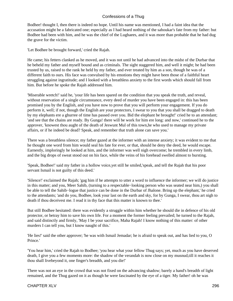Bodhee! thought I, then there is indeed no hope. Until his name was mentioned, I had a faint idea that the accusation might be a fabricated one; especially as I had heard nothing of the sahoukar's fate from my father: but Bodhee had been with him, and he was the chief of the Lughaees, and it was more than probable that he had dug the grave for the victim.

'Let Bodhee be brought forward,' cried the Rajah.

He came; his fetters clanked as he moved, and it was not until he had advanced into the midst of the Durbar that he beheld my father and myself bound and as criminals. The sight staggered him, and well it might; he had been trusted by us, raised to the rank he held by my father, and ever treated by him as a son, though he was of a different faith to ours. His face was convulsed by his emotions they might have been those of a faithful heart struggling against ingratitude; and I looked with a breathless anxiety to the first words which should fall from him. But before he spoke the Rajah addressed him.

'Miserable wretch!' said he, 'your life has been spared on the condition that you speak the truth, and reveal, without reservation of a single circumstance, every deed of murder you have been engaged in: this has been promised you by the English, and you have now to prove that you will perform your engagement. If you do perform it, well; if not, though the English are your protectors, I swear to you that you shall be dragged to death by my elephants ere a ghurree of time has passed over you. Bid the elephant be brought!' cried he to an attendant; 'and see that the chains are ready. By Gunga! there will be work for him ere long: and now,' continued he to the approver, 'knowest thou aught of the death of Jeswunt Mul of this town, he who used to manage my private affairs, or if he indeed be dead? Speak, and remember that truth alone can save you.'

There was a breathless silence; my father gazed at the informer with an intense anxiety; it was evident to me that he thought one word from him would seal his fate for ever, or that, should he deny the deed, he would escape. Earnestly, imploringly he looked at him, and the informer was well nigh overcome; he trembled in every limb, and the big drops of sweat stood out on his face, while the veins of his forehead swelled almost to bursting.

'Speak, Bodhee!' said my father in a hollow voice, yet still he smiled, 'speak, and tell the Rajah that his poor servant Ismail is not guilty of this deed.'

'Silence!' exclaimed the Rajah; 'gag him if he attempts to utter a word to influence the informer; we will do justice in this matter; and you, Meer Sahib, (turning to a respectable−looking person who was seated near him,) you shall be able to tell the Sahib−logue that justice can be done in the Durbar of Jhalone. Bring up the elephant,' he cried to the attendants; 'and do you, Bodhee, look your last on the earth and sky, for by Gunga, I swear, thou art nigh to death if thou deceivest me. I read it in thy face that this matter is known to thee.'

But still Bodhee hesitated: there was evidently a struggle within him whether he should die in defence of his old protector, or betray him to save his own life. For a moment the former feeling prevailed; he turned to the Rajah, and said distinctly and firmly, 'May I be your sacrifice, Maha Rajah! I know nothing of this matter: of other murders I can tell you, but I know naught of this.'

'He lies!' said the other approver; 'he was with Ismail Jemadar; he is afraid to speak out, and has lied to you, O Prince.'

'You hear him,' cried the Rajah to Bodhee; 'you hear what your fellow Thug says; yet, much as you have deserved death, I give you a few moments more: the shadow of the verandah is now close on my musnud, till it reaches it thou shall live beyond it, one finger's breadth, and you die!'

There was not an eye in the crowd that was not fixed on the advancing shadow; barely a hand's breadth of light remained, and the Thug gazed on it as though he were fascinated by the eye of a tiger. My father! oh he was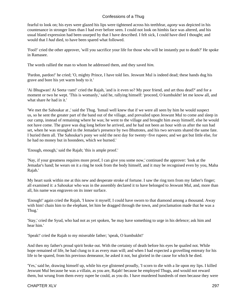fearful to look on; his eyes were glazed his lips were tightened across his teethfear, *agony* was depicted in his countenance in stronger lines than I had ever before seen. I could not look on himhis face was altered, and his usual bland expression had been usurped by that I have described. I felt sick, I could have died I thought; and would that I *had* died, to have been spared what followed.

'Fool!' cried the other approver, 'will you sacrifice your life for those who will be instantly put to death?' He spoke in Ramasee.

The words rallied the man to whom he addressed them, and they saved *him.*

'Pardon, pardon!' he cried; 'O, mighty Prince, I have told lies. Jeswunt Mul is indeed dead; these hands dug his grave and bore his yet warm body to it.'

'Ai Bhugwan! Ai Seeta−ram!' cried the Rajah, 'and is it even so? My poor friend, and art thou dead?' and for a moment or two he wept. 'This is womanly,' said he, rallying himself: 'proceed, O kumbukht! let me know all, and what share *he* had in it.'

'We met the Sahoukar at ,' said the Thug. 'Ismail well knew that if we were all seen by him he would suspect us, so he sent the greater part of the band out of the village, and prevailed upon Jeswunt Mul to come and sleep in our camp, instead of remaining where he was; he went to the village and brought him away himself, else he would not have come. The grave was dug long before he arrived, and he had not been an hour with us after the sun had set, when he was strangled in the Jemadar's presence by two Bhuttotes, and his two servants shared the same fate. I buried them all. The Sahoukar's pony we sold the next day for twenty−five rupees; and we got but little else, for he had no money but in hoondees, which we burned.'

'Enough, enough,' said the Rajah; 'this is ample proof.'

'Nay, if your greatness requires more proof, I can give you some now,' continued the approver: 'look at the Jemadar's hand; he wears on it a ring he took from the body himself, and it may be recognised even by you, Maha Rajah.'

My heart sunk within me at this new and desperate stroke of fortune. I saw the ring torn from my father's finger; all examined it: a Sahoukar who was in the assembly declared it to have belonged to Jeswunt Mul, and, more than all, his name was engraven on its inner surface.

'Enough!' again cried the Rajah, 'I know it myself; I could have sworn to that diamond among a thousand. Away with him! chain him to the elephant, let him be dragged through the town, and proclamation made that he was a Thug.'

'Stay,' cried the Syud, who had not as yet spoken, 'he may have something to urge in his defence; ask him and hear him.'

'Speak!' cried the Rajah to my miserable father; 'speak, O kumbukht!'

And then my father's proud spirit broke out. With the certainty of death before his eyes he quailed not. While hope remained of life, he had clung to it as every man will; and when I had expected a grovelling entreaty for his life to be spared, from his previous demeanor, he asked it not, but gloried in the cause for which he died.

'Yes,' said he, drawing himself up, while his eye glistened proudly, 'I scorn to die with a lie upon my lips. I killed Jeswunt Mul because he was a villain, as you are, Rajah! because he employed Thugs, and would not reward them, but wrung from them every rupee he could, as you do. I have murdered hundreds of men because they were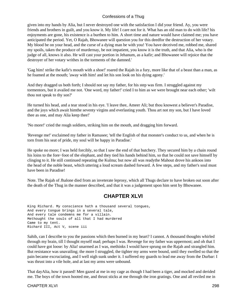given into my hands by Alia, but I never destroyed one with the satisfaction I did your friend. Ay, you were friends and brothers in guilt, and you know it. My life! I care not for it. What has an old man to do with life? his enjoyments are gone, his existence is a burthen to him. A short time and nature would have claimed me; you have anticipated the period. Yet, O Rajah, Bhowanee will question you for this deed for the destruction of her votary. My blood be on your head, and the curse of a dying man be with you! You have deceived me, robbed me, shared my spoils, taken the produce of murder nay, be not impatient, you know it is the truth, and that Alia, who is the judge of all, knows it also. He will cast your portion in Jehanum, as a kafir; and Bhowanee will rejoice that the destroyer of her votary writhes in the torments of the damned.'

'Gag him! strike the kafir's mouth with a shoe!' roared the Rajah in a fury, more like that of a beast than a man, as he foamed at the mouth; 'away with him! and let his son look on his dying agony.'

And they dragged us both forth; I should not say my father, for his step was firm. I struggled against my tormentors, but it availed me not. 'One word, my father!' cried I to him as we were brought near each other; 'wilt thou not speak to thy son?'

He turned his head, and a tear stood in his eye. 'I leave thee, Ameer Ali; but thou knowest a believer's Paradise, and the joys which await him the seventy virgins and everlasting youth. Thou art not my son, but I have loved thee as one, and may Alia keep thee!'

'No more!' cried the rough soldiers, striking him on the mouth, and dragging him forward.

'Revenge me!' exclaimed my father in Ramasee; 'tell the English of that monster's conduct to us, and when he is torn from his seat of pride, my soul will be happy in Paradise.'

He spoke no more; I was held forcibly, so that I saw the end of that butchery. They secured him by a chain round his loins to the fore−foot of the elephant, and they tied his hands behind him, so that he could not save himself by clinging to it. He still continued repeating the Kulma; but now all was readythe Mahout drove his ankoos into the head of the noble beast, which uttering a loud scream dashed forward. A few steps, and my father's soul must have been in Paradise!

Note. The Rajah of Jhalone died from an inveterate leprosy, which all Thugs declare to have broken out soon after the death of the Thug in the manner described, and that it was a judgement upon him sent by Bhowanee.

# **CHAPTER XLVI**

King Richard. My conscience hath a thousand several tongues, And every tongue brings in a several tale, And every tale condemns me for a villain. Methought the souls of all that I had murdered Came to my tent. Richard III, Act V, scene iii

Sahib, can I describe to you the passions which then burned in my heart? I cannot. A thousand thoughts whirled through my brain, till I thought myself mad; perhaps I was. Revenge for my father was uppermost; and oh that I could have got loose: by Alia! unarmed as I was, methinks I would have sprung on the Rajah and strangled him. But resistance was unavailing; the more I struggled, the tighter my arms were bound, until they swelled so that the pain became excruciating, and I well nigh sunk under it. I suffered my guards to lead me away from the Durbar: I was thrust into a vile hole, and at last my arms were unbound.

That dayAlia, how it passed! Men gazed at me in my cage as though I had been a tiger, and mocked and derided me. The boys of the town hooted me, and thrust sticks at me through the iron gratings. One and all reviled me in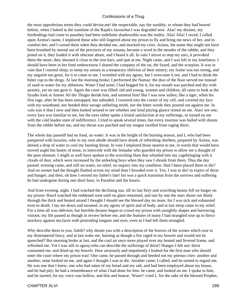the most opprobrious terms they could devise, me! the respectable, nay the wealthy, to whom they had bowed before, when I baked in the sunshine of the Rajah's favour but I was degraded now. Alas! my dreams, my forebodings had come to passthey had been indefinite shadowsthis was the reality. Alia! Alia! I raved, I called upon Azima's name, I implored those who still lingered about my prison to fly and bring me news of her, and to comfort her; and I cursed them when they derided me, and mocked my cries. Azima, the name that might not have been breathed by mortal out of the precincts of my zenana, became a word in the mouths of the rabble, and they jested on it, they loaded it with obscene abuse, and I heard it all. In vain I strove to stop my ears, it provoked them the more; they shouted it close to the iron bars, and spat at me. Night came, and I was left in my loneliness. I should have been in her fond embrace now I shared the company of the rat, the lizard, and the scorpion. It was in vain that I courted sleep, to steep my senses in a temporary oblivion of their misery; my frame was too strong, and my anguish too great, for it to come to me. I wrestled with my agony, but I overcame it not, and I had to drink the bitter cup to the dregs. At last the morning broke; I performed the Namaz: the dust of the floor served me instead of sand or water for my ablutions. Water I had none; I had begged for it, for my mouth was parched and dry with anxiety, yet no one gave it. Again the court was filled; old and young, women and children, all came to look at the Syud to look at Ameer Ali the Thug to deride him, and torment him! But I was now sullen; like a tiger, when his first rage, after he has been entrapped, has subsided, I cowered into the corner of my cell, and covered my face with my waistband, nor heeded their savage unfeeling mirth, nor the bitter words they poured out against me. In vain was it that I now and then looked around to see whether one kind pitying glance rested on me. Alas! not one; every face was familiar to me, but the eyes either spoke a brutal satisfaction at my sufferings, or turned on me with the cold leaden stare of indifference. I tried to speak several times, but every murmur was hailed with shouts from the rabble before me, and my throat was parched and my tongue swelled from raging thirst.

The whole day passed I had no food, no water. It was in the height of the burning season, and I, who had been pampered with luxuries, who in my own abode should have drunk of refreshing sherbets, prepared by Azima, was denied a drop of water to cool my burning throat. In vain I implored those nearest to me, in words that would have moved aught but hearts of stone, to intercede with the Jemadar who guarded my prison to allow me a draught of the pure element. I might as well have spoken to the scorching blast that whistled into my cage bringing with it clouds of dust, which were increased by the unfeeling boys when they saw I shrank from them. Thus the day passed: evening came, and still no water, no relief, no inquiry into my condition. Had I been placed there to die? And no sooner had the thought flashed across my mind than I brooded over it. Yes, I was to die! to expire of thirst and hunger; and then, oh how I envied my father's fate! his was a quick transition from the sorrows and suffering he had undergone during one short hour, to Paradise and the houris.

And from evening, night. I had watched the declining sun, till its last fiery and scorching beams fell no longer on my prison−floorI watched the reddened west until no glare remained, and one by one the stars shone out dimly through the thick and heated airand I thought I should see the blessed day no more, for I was sick and exhausted even to death. I lay me down and moaned, in my agony of spirit and of body, and at last sleep came to my relief. For a time all was oblivion; but horrible dreams began to crowd my prison with unsightly shapes and harrowing visions; my life passed as though in review before me, and the features of many I had strangled rose up in fierce mockery against me,faces with protruding tongues and eyes, even as I had left them strangled.

Why describe them to you, Sahib? why detain you with a description of the horrors of the scenes which rose to my distempered fancy, and at last woke me, burning as though a fire raged in my bowels and would not be quenched? But morning broke at last, and the cool air once more played over my heated and fevered frame, and refreshed me. Yet I was still in agony; who can describe the sufferings of thirst? Hunger I felt not: thirst consumed me, and dried up my bowels. How anxiously and impatiently I looked for the first man who should enter the court where my prison was! One came, he passed through and heeded not my piteous cries: another and another; none looked on me, and again I thought I was to die. Another came; I called, and he turned to regard me. He was one that I knew, one who had eaten of my bread and my salt, and had been employed about my house, and he had pity; he had a remembrance of what I had done for him: he came, and looked on me. I spoke to him, and he started, for my voice was hollow, and thin and hoarse. 'Water!' cried I, 'for the sake of the blessed Prophet,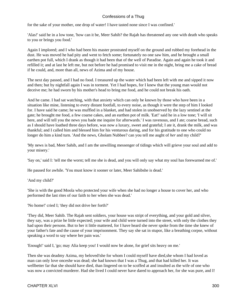for the sake of your mother, one drop of water! I have tasted none since I was confined.'

'Alas!' said he in a low tone, 'how can it be, Meer Sahib? the Rajah has threatened any one with death who speaks to you or brings you food.'

Again I implored; and I who had been his master prostrated myself on the ground and rubbed my forehead in the dust. He was moved he had pity and went to fetch some; fortunately no one saw him, and he brought a small earthen pot full, which I drank as though it had been that of the well of Paradise. Again and again he took it and refilled it; and at last he left me, but not before he had promised to visit me in the night, bring me a cake of bread if he could, and, more than all, news of Azima and of my house.

The next day passed, and I had no food. I treasured up the water which had been left with me and sipped it now and then; but by nightfall again I was in torment. Yet I had hopes, for I knew that the young man would not deceive me; he had sworn by his mother's head to bring me food, and he could not break his oath.

And he came. I had sat watching, with that anxiety which can only be known by those who have been in a situation like mine, listening to every distant footfall, to every noise, as though it were the step of him I looked for. I have said he came; he was muffled in a blanket, and had stolen in unobserved by the lazy sentinel at the gate; he brought me food, a few coarse cakes, and an earthen pot of milk. 'Eat!' said he in a low tone; 'I will sit here, and will tell you the news you bade me inquire for afterwards.' I was ravenous, and I ate; coarse bread, such as I should have loathed three days before, was now a luxury, sweet and grateful; I ate it, drank the milk, and was thankful; and I called him and blessed him for his venturous daring, and for his gratitude to one who could no longer do him a kind turn. 'And the news, Gholam Nubbee? can you tell me aught of *her* and my child?'

'My news is bad, Meer Sahib, and I am the unwilling messenger of tidings which will grieve your soul and add to your misery.'

'Say on,' said I: 'tell me the worst; tell me she is dead, and you will only say what my soul has forewarned me of.'

He paused for awhile. 'You must know it sooner or later, Meer Sahib she is dead.'

'And my child?'

'She is with the good Moola who protected your wife when she had no longer a house to cover her, and who performed the last rites of our faith to her when she was dead.'

'No home!' cried I; 'they did not drive her forth?'

'They did, Meer Sahib. The Rajah sent soldiers, your house was stript of everything, and your gold and silver, they say, was a prize he little expected; your wife and child were turned into the street, with only the clothes they had upon their persons. But to her it little mattered, for I have heard she never spoke from the time she knew of your father's fate and the cause of your imprisonment. They say she sat in stupor, like a breathing corpse, without speaking a word to say where her pain was.'

'Enough!' said I, 'go; may Alia keep you! I would now be alone, for grief sits heavy on me.'

Then she was dead my Azima, my beloved! she for whom I could myself have died, she whom I had loved as man can only love onceshe was dead; she had known that I was a Thug, and that had killed her. It was well better far that she should have died, than lingered on to be scoffed at and insulted as the wife of one who was now a convicted murderer. Had she lived I could never have dared to approach her, for she was pure, and I!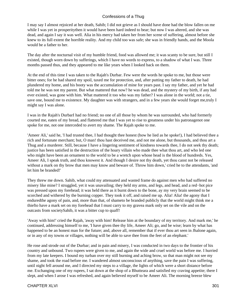I may say I almost rejoiced at her death, Sahib; I did not grieve as I should have done had the blow fallen on me while I was yet in prosperity then it would have been hard indeed to bear; but now I was altered, and she was dead, and again I say it was well. Alia in his mercy had taken her from her scene of suffering, almost before she knew to its full extent the horrible reality. And my child too was safe; she was in friendly hands, and the Moola would be a father to her.

The day after the nocturnal visit of my humble friend, food was allowed me; it was scanty to be sure, but still I existed, though worn down by sufferings, which I have no words to express, to a shadow of what I was. Three months passed thus, and they appeared to me like years when I looked back on them.

At the end of this time I was taken to the Rajah's Durbar. Few were the words he spoke to me, but those were bitter ones; for he had shared my spoil, taxed me for protection, and, after putting my father to death, he had plundered my home, and his booty was the accumulation of mine for years past. I say my father, and yet he had told me he was not my parent. But what mattered that now? he was dead, and the mystery of my birth, if any had ever existed, was gone with him. What mattered it too who was my father? I was alone in the world; not a tie, save one, bound me to existence. My daughter was with strangers, and in a few years she would forget me, truly I might say I was alone.

I was in the Rajah's DurbarI had no friend; no one of all those by whom he was surrounded, who had formerly courted me, eaten of my bread, and flattered me that I was yet to rise to greatness under his patronage not one spoke for me, not one interceded to avert my shame. The Rajah spoke to me.

'Ameer Ali,' said he, 'I had trusted thee, I had thought thee honest (how he lied as he spoke!), I had believed thee a rich and fortunate merchant; but, O man! thou hast deceived me, and not me alone, but thousands, and thou art a Thug and a murderer. Still, because I have a lingering sentiment of kindness towards thee, I do not seek thy death; justice has been satisfied in the destruction of the hoary villain who made thee what thou art, and who led one who might have been an ornament to the world to be a wretch upon whose head is the blood of hundreds. Yes, Ameer Ali, I speak truth, and thou knowest it. And though I desire not thy death, yet thou canst not be released without a mark on thy brow that men may know and beware of. Throw him down,' cried he to the attendants, 'and let him be branded!'

They threw me down. Sahib, what could my attenuated and wasted frame do against men who had suffered no misery like mine? I struggled, yet it was unavailing; they held my arms, and legs, and head, and a red−hot pice was pressed upon my forehead; it was held there as it burnt down to the bone, ay my very brain seemed to be scorched and withered by the burning copper. They took it off, and raised me up. Alia! Alia! the agony that I endured the agony of pain, and, more than that, of shame to be branded publicly that the world might think me a thief to have a mark set on my forehead that I must carry to my grave a mark only set on the vile and on the outcasts from society Sahib, it was a bitter cup to quaff!

'Away with him!' cried the Rajah, 'away with him! Release him at the boundary of my territory. And mark me,' he continued, addressing himself to me, 'I have given thee thy life, Ameer Ali; go, and be wise; learn by what has happened to be an honest man for the future; and, above all, remember that if ever thou art seen in Jhalone again, or in any of my towns or villages, nothing will be able to save thee from the feet of an elephant.'

He rose and strode out of the Durbar; and in pain and misery, I was conducted in two days to the frontier of his country and unbound. Two rupees were given to me, and again the wide and cruel world was before me. I hurried from my late keepers. I bound my turban over my still burning and aching brow, so that man might not see my shame, and took the road before me. I wandered almost unconscious of anything, save the pain I was suffering, until night fell around me, and I directed my steps to a village, the lights of which were a short distance before me. Exchanging one of my rupees, I sat down at the shop of a Bhutteara and satisfied my craving appetite; there I slept, and when I arose I was refreshed, and again believed myself to be Ameer Ali. The morning breeze blew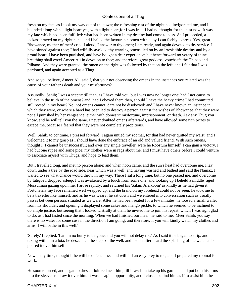fresh on my face as I took my way out of the town; the refreshing rest of the night had invigorated me, and I bounded along with a light heart yes, with a light heart, for I was free! I had no thought for the past now. It was my fate which had been fulfilled: what had been written in my destiny had come to pass. As I proceeded, a jackass brayed on my right hand, and I hailed the favourable omen with a joy I can feebly express. Yes, great Bhowanee, mother of men! cried I aloud, I answer to thy omen; I am ready, and again devoted to thy service. I have sinned against thee; I had wilfully avoided thy warning omens, led on by an irresistible destiny and by a proud heart. I have been punished, and have bought a dear experience; but henceforward no votary of thine breathing shall excel Ameer Ali in devotion to thee; and therefore, great goddess, vouchsafe the Thibao and Pilhaoo. And they were granted; the omen on the right was followed by that on the left, and I felt that I was pardoned, and again accepted as a Thug.

And so you believe, Ameer Ali, said I, that your not observing the omens in the instances you related was the cause of your father's death and your misfortunes?

Assuredly, Sahib; I was a sceptic till then, as I have told you, but I was now no longer one; had I not cause to believe in the truth of the omens? and, had I obeyed them then, should I have the heavy crime I had committed still rooted in my heart? No, no! omens cannot, dare not be disobeyed; and I have never known an instance in which they were, or where a band has been led to destroy a person against the wishes of Bhowanee, that they were not all punished by her vengeance, either with domestic misfortune, imprisonment, or death. Ask any Thug you know, and he will tell you the same. I never doubted omens afterwards, and have allowed some rich prizes to escape me, because I feared that they were not completely propitious.

Well, Sahib, to continue. I pressed forward: I again untied my roomal, for that had never quitted my waist, and I welcomed it to my grasp as I should have done the embrace of an old and valued friend. With such omens, thought I, I cannot be unsuccessful; and over any single traveller, were he Roostum himself, I can gain a victory. I had but one rupee and some pice; my clothes were in rags about me, and I must have others before I could venture to associate myself with Thugs, and hope to lead them.

But I travelled long, and met no person alone; and when noon came, and the sun's heat had overcome me, I lay down under a tree by the road side, near which was a well; and having washed and bathed and said the Namaz, I waited to see what chance would throw in my way. There I sat a long time, but no one passed me, and overcome by fatigue I dropped asleep. I was awakened by a touch from some one, and looking up I beheld a middle−aged Mussulman gazing upon me. I arose rapidly, and returned his 'Salam Aleikoom' as kindly as he had given it. Fortunately my face remained well wrapped up, and the brand on my forehead could not be seen; he took me to be a traveller like himself, and as he was weary, he sat down and we entered into conversation such as usually passes between persons situated as we were. After he had been seated for a few minutes, he loosed a small wallet from his shoulder, and opening it displayed some cakes and mango pickle, to which he seemed to be inclined to do ample justice; but seeing that I looked wistfully at them he invited me to join his repast, which I was right glad to do, as I had fasted since the morning. When we had finished our meal, he said to me, 'Meer Sahib, you say there is no water for some coss in the direction I am going; and therefore, if you will kindly watch my clothes and arms, I will bathe in this well.'

'Surely,' I replied; 'I am in no hurry to be gone, and you will not delay me.' As I said it he began to strip, and taking with him a lota, he descended the steps of the well, and I soon after heard the splashing of the water as he poured it over himself.

Now is my time, thought I; he will be defenceless, and will fall an easy prey to me; and I prepared my roomal for work.

He soon returned, and began to dress. I loitered near him, till I saw him take up his garment and put both his arms into the sleeves to draw it over him. It was a capital opportunity, and I closed behind him as if to assist him; he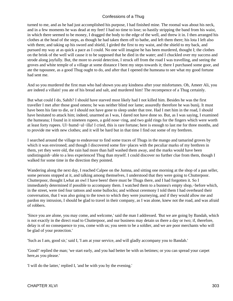turned to me, and as he had just accomplished his purpose, I had finished mine. The roomal was about his neck, and in a few moments he was dead at my feet! I had no time to lose; so hastily stripping the band from his waist, in which there seemed to be money, I dragged the body to the edge of the well, and threw it in. I then arranged his clothes at the head of the steps, as though he had taken them off to bathe, and left them there; his lota I left also with them; and taking up his sword and shield, I girded the first to my waist, and the shield to my back, and pursued my way at as quick a pace as I could. No one will imagine he has been murdered, thought I; the clothes on the brink of the well will cause it to be supposed that he died in the water; and I chuckled over my success and strode along joyfully. But, the more to avoid detection, I struck off from the road I was travelling, and seeing the groves and white temple of a village at some distance I bent my steps towards it; there I purchased some goor, and ate the tupounee, as a good Thug ought to do, and after that I opened the humeana to see what my good fortune had sent me.

And so you murdered the first man who had shown you any kindness after your misfortunes. Oh, Ameer Ali, you are indeed a villain! you ate of his bread and salt, and murdered him! The recompence of a Thug certainly.

But what could I do, Sahib? I should have starved most likely had I not killed him. Besides he was the first traveller I met after those good omens; he was neither blind nor lame; assuredly therefore he was bunij. It must have been his fate to die, or I should not have gone to sleep under that tree. Had I met him in the road, I should have hesitated to attack him; indeed, unarmed as I was, I dared not have done so. But, as I was saying, I examined the humeana; I found in it nineteen rupees, a gold nose−ring, and two gold rings for the fingers which were worth at least forty rupees. Ul−humd−ul−illa! I cried, this is rare fortune; here is enough to last me for three months, and to provide me with new clothes; and it will be hard but in that time I find out some of my brethren.

I searched around the village to endeavour to find some traces of Thugs in the mango and tamarind groves by which it was environed; and though I discovered some fire−places with the peculiar marks of my brethren in them, yet they were old, the rain had more than half washed them away, and the marks would have been undistinguish−able to a less experienced Thug than myself. I could discover no further clue from them, though I walked for some time in the direction they pointed.

Wandering along the next day, I reached Calpee on the Jumna, and sitting one morning at the shop of a pan seller, some persons stopped at it, and talking among themselves, I understood that they were going to Chutterpoor. Chutterpoor, thought I, what an owl I have been! there must be Thugs there, and I had forgotten it. So I immediately determined if possible to accompany them. I watched them to a bunnea's empty shop,−before which, in the street, were tied four tattoos and some bullocks; and without ceremony I told them I had overheard their conversation, that I was also going to the town to which they were journeying, and if they would allow me and pardon my intrusion, I should be glad to travel in their company, as I was alone, knew not the road, and was afraid of robbers.

'Since you are alone, you may come, and welcome,' said the man I addressed. 'But we are going by Bandah, which is not exactly in the direct road to Chutterpoor, and our business may detain us there a day or two; if, therefore, delay is of no consequence to you, come with us; you seem to be a soldier, and we are poor merchants who will be glad of your protection.'

'Such as I am, good sir,' said I, 'I am at your service, and will gladly accompany you to Bandah.'

'Good!' replied the man; 'we start early, and you had better be with us betimes; or you can spread your carpet here, as you please.'

'I will do the latter,' replied I, 'and be with you by the evening.'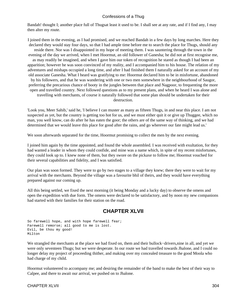Bandah! thought I; another place full of Thugs at least it used to be. I shall see at any rate, and if I find any, I may then alter my route.

I joined them in the evening, as I had promised, and we reached Bandah in a few days by long marches. Here they declared they would stay four days, so that I had ample time before me to search the place for Thugs, should any reside there. Nor was I disappointed in my hope of meeting them. I was sauntering through the town in the evening of the day we arrived, when I met Hoormut, an old follower of Ganesha; he did not at first recognise me, as may readily be imagined, and when I gave him our token of recognition he stared as though I had been an apparition; however he was soon convinced of my reality, and I accompanied him to his house. The relation of my adventures and mishaps occupied a long time, and after I had finished them I naturally asked for an account of my old associate Ganesha. What I heard was gratifying to me: Hoormut declared him to be in misfortune, abandoned by his followers, and that he was wandering with one or two men somewhere in the neighbourhood of Saugor, preferring the precarious chance of booty in the jungles between that place and Nagpoor, to frequenting the more open and travelled country. Next followed questions as to my present plans, and when he heard I was alone and travelling with merchants, of course it naturally followed that some plan should be undertaken for their destruction.

'Look you, Meer Sahib,' said he, 'I believe I can muster as many as fifteen Thugs, in and near this place. I am not suspected as yet, but the country is getting too hot for us, and we must either quit it or give up Thuggee, which no man, you well know, can do after he has eaten the goor; the others are of the same way of thinking, and we had determined that we would leave this place for good after the rains, and go wherever our fate might lead us.'

We soon afterwards separated for the time, Hoormut promising to collect the men by the next evening.

I joined him again by the time appointed, and found the whole assembled. I was received with exultation, for they had wanted a leader in whom they could confide, and mine was a name which, in spite of my recent misfortunes, they could look up to. I knew none of them, but they swore on the pickaxe to follow me; Hoormut vouched for their several capabilities and fidelity, and I was satisfied.

Our plan was soon formed. They were to go by two stages to a village they knew; there they were to wait for my arrival with the merchants. Beyond the village was a favourite bhil of theirs, and they would have everything prepared against our coming up.

All this being settled, we fixed the next morning (it being Monday and a lucky day) to observe the omens and open the expedition with due form. The omens were declared to be satisfactory, and by noon my new companions had started with their families for their station on the road.

## **CHAPTER XLVII**

So farewell hope, and with hope farewell fear; Farewell remorse; all good to me is lost. Evil, be thou my good! Milton

We strangled the merchants at the place we had fixed on, them and their bullock–drivers, nine in all, and yet we were only seventeen Thugs; but we were desperate. In our route we had travelled towards Jhalone, and I could no longer delay my project of proceeding thither, and making over my concealed treasure to the good Moola who had charge of my child.

Hoormut volunteered to accompany me; and desiring the remainder of the band to make the best of their way to Calpee, and there to await our arrival, we pushed on to Jhalone.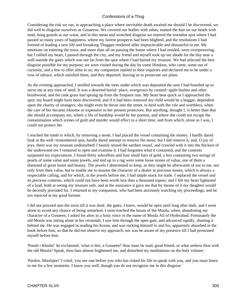Considering the risk we ran, in approaching a place where inevitable death awaited *me* should I be discovered, we did well to disguise ourselves as Gosaeens. We covered our bodies with ashes, matted the hair on our heads with mud, hung gourds at our waist, and in this mean and wretched disguise we entered the townthat spot where I had passed so many years of happiness, where my fairest prospects had been blighted, and the resolutions I had formed of leading a new life and forsaking Thuggee rendered alike impracticable and distasteful to me. My emotions on entering the town, and more than all on passing the house where I had resided, were overpowering; but I rallied my heart; I passed through the city, and my friend and myself took up our abode for the day near a well outside the gates which was not far from the spot where I had buried my treasure. We had selected the best disguise possible for my purpose; we were visited during the day by some Hindoos, who came, some out of curiosity, and a few to offer alms to us; my companion replied to their inquiries and declared me to be under a vow of silence, which satisfied them, and they departed, leaving us to prosecute our plans.

As the evening approached, I strolled towards the trees under which was deposited the sum I had hoarded up to serve me at any time of need. It was a deserted burial−place, overgrown by custard−apple bushes and other brushwood, and the rank grass had sprung up from the frequent rain. My heart beat quick as I approached the spot; my hoard might have been discovered, and if it had been removed my child would be a beggar, dependent upon the charity of strangers; she might even be thrust into the street, to herd with the vile and worthless, when the care of her became irksome or expensive to her present protectors. But anything, thought I, is better than that she should accompany me, where a life of hardship would be her portion, and where she could not escape the contamination which scenes of guilt and murder would effect in a short time, and from which, alone as I was, I could not protect her.

I reached the tomb in which, by removing a stone, I had placed the vessel containing the money. I hardly dared look at the well−remembered spot, hardly dared attempt to remove the stone; but I did remove it, and, O joy of joys, there was my treasure undisturbed! I hastily seized the earthen vessel, and crawled with it into the thickest of the underwood ere I ventured to open and examine it. I had forgotten what it contained, and the contents surpassed my expectations. I found thirty ashruffees and four small bars of gold, a box containing two strings of pearls of some value and some jewels, and tied up in a rag were some loose stones of value, one of them a diamond of great lustre and beauty. The jewels I determined to keep, as they might be afterwards of use to me, not only from their value, but to enable me to assume the character of a dealer in precious stones, which is always a respectable calling, and for which, in the jewels before me, I had ample stock for trade. I replaced the vessel and its precious contents, which could not have been worth less than a thousand rupees; and I felt my heart lightened of a load, both at seeing my treasure safe, and at the assurance it gave me that by means of it my daughter would be decently provided for. I returned to my companion, who had been anxiously watching my proceedings, and he too rejoiced at my good fortune.

I did not proceed into the town till it was dusk: the gates, I knew, would be open until long after dark, and I went alone to avoid any chance of being remarked. I soon reached the house of the Moola, when, abandoning my character of a Gosaeen, I asked for alms in a lusty voice in the name of Moula Ali of Hyderabad. Fortunately the old Moola was sitting alone in his verandah; I saw him through the open gate, and advanced rapidly, shutting it behind me. He was engaged in reading his Koran, and was rocking himself to and fro, apparently absorbed in the book before him, so that he did not observe my approach; nor was he aware of my presence till I had prostrated myself before him.

'Punah i Khoda!' he exclaimed; 'what is this, a Gosaeen? thou must be mad, good friend; or what seekest thou with the old Moola? Speak, thou hast almost frightened me, and disturbed my meditations on the holy volume.'

'Pardon, Moolajee!' I cried; 'you see one before you who has risked his life to speak with you, and you must listen to me for a few moments. I know you well, though you do not recognise me in this disguise.'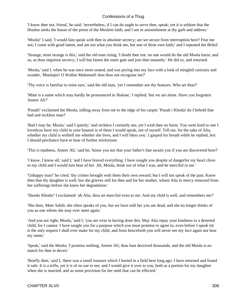'I know thee not, friend,' he said; 'nevertheless, if I can do aught to serve thee, speak; yet it is seldom that the Hindoo seeks the house of the priest of the Moslem faith; and I am in astonishment at thy garb and address.'

'Moola!' I said, 'I would fain speak with thee in absolute secrecy; are we secure from interruption here? Fear me not; I come with good intent, and am not what you think me, but one of thine own faith;' and I repeated the Belief.

'Strange, most strange is this,' said the old man rising; 'I doubt thee not: no one would do the old Moola harm; and so, as thou requirest secrecy, I will but fasten the outer gate and join thee instantly.' He did so, and returned.

'Moola,' said I, when he was once more seated, and was prying into my face with a look of mingled curiosity and wonder, 'Moolajee! O Wullee Mahomed! dost thou not recognise me?'

'Thy voice is familiar to mine ears,' said the old man, 'yet I remember not thy features. Who art thou?'

'Mine is a name which may hardly be pronounced in Jhalone,' I replied; 'but we are alone. Have you forgotten Ameer Ali?'

'Punah!' exclaimed the Moola, sidling away from me to the edge of his carpet; 'Punah i Khoda! do I behold that bad and reckless man?'

'Bad I may be, Moola,' said I quietly; 'and reckless I certainly am; yet I wish thee no harm. You were kind to one I loved you have my child in your house it is of them I would speak, not of myself. Tell me, for the sake of Alia, whether my child is well tell me whether she lives, and I will bless you.' I gasped for breath while he replied, lest I should perchance have to hear of further misfortune.

'This is madness, Ameer Ali,' said he; 'know you not that your father's fate awaits you if you are discovered here?'

'I know, I know all,' said I; 'and I have braved everything. I have sought you despite of dangerfor my heart clove to my child and I would fain hear of her. Ah, Moola, think not of what I was, and be merciful to me.'

'Unhappy man!' he cried; 'thy crimes brought with them their own reward; but I will not speak of the past. Know then that thy daughter is well; but she grieves still for thee and for her mother, whom Alia in mercy removed from her sufferings before she knew her degradation.'

'Shookr Khoda!' I exclaimed: 'ah Alia, thou art merciful even to me. And my child is well, and remembers me?'

'She does, Meer Sahib; she often speaks of you, but we have told her you are dead, and she no longer thinks of you as one whom she may ever meet again.'

'And you are right, Moola,' said I; 'you are wise in having done this. May Alia repay your kindness to a deserted child, for I cannot. I have sought you for a purpose which you must promise to agree to, even before I speak it it is the only request I shall ever make for my child, and from henceforth you will never see my face again nor hear my name.'

'Speak,' said the Moola; 'I promise nothing, Ameer Ali; thou hast deceived thousands, and the old Moola is no match for thee in deceit.'

'Briefly then,' said I, 'there was a small treasure which I buried in a field here long ago: I have returned and found it safe. It is a trifle, yet it is of no use to me; and I would give it over to you, both as a portion for my daughter when she is married, and as some provision for her until that can be effected.'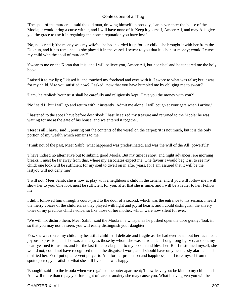'The spoil of the murdered,' said the old man, drawing himself up proudly, 'can never enter the house of the Moola; it would bring a curse with it, and I will have none of it. Keep it yourself, Ameer Ali, and may Alia give you the grace to use it in regaining the honest reputation you have lost.'

'No, no,' cried I; 'the money was my wife's; she had hoarded it up for our child: she brought it with her from the Dukhun, and it has remained as she placed it in the vessel. I swear to you that it is honest money; would I curse my child with the spoil of murders?'

'Swear to me on the Koran that it is, and I will believe you, Ameer Ali, but not else;' and he tendered me the holy book.

I raised it to my lips; I kissed it, and touched my forehead and eyes with it. I swore to what was false; but it was for my child. 'Are you satisfied now?' I asked; 'now that you have humbled me by obliging me to swear?'

'I am,' he replied; 'your trust shall be carefully and religiously kept. Have you the money with you?'

'No,' said I; 'but I will go and return with it instantly. Admit me alone; I will cough at your gate when I arrive.'

I hastened to the spot I have before described; I hastily seized my treasure and returned to the Moola: he was waiting for me at the gate of his house, and we entered it together.

'Here is all I have,' said I, pouring out the contents of the vessel on the carpet; 'it is not much, but it is the only portion of my wealth which remains to me.'

'Think not of the past, Meer Sahib, what happened was predestinated, and was the will of the All−powerful!'

'I have indeed no alternative but to submit, good Moola. But my time is short, and night advances; ere morning breaks, I must be far away from this, where my associates expect me. One favour I would beg, it is, to see my child: one look will be sufficient for my soul to dwell on in after years, for I am assured that it will be the last you will not deny me?'

'I will not, Meer Sahib; she is now at play with a neighbour's child in the zenana, and if you will follow me I will show her to you. One look must be sufficient for you; after that she is mine, and I will be a father to her. Follow me.'

I did; I followed him through a court−yard to the door of a second, which was the entrance to his zenana. I heard the merry voices of the children, as they played with light and joyful hearts, and I could distinguish the silvery tones of my precious child's voice, so like those of her mother, which were now silent for ever.

'We will not disturb them, Meer Sahib,' said the Moola in a whisper as he pushed open the door gently; 'look in, so that you may not be seen; you will easily distinguish your daughter.'

Yes, she was there, my child, my beautiful child! still delicate and fragile as she had ever been; but her face had a joyous expression, and she was as merry as those by whom she was surrounded. Long, long I gazed, and oh, my heart yearned to rush in, and for the last time to clasp her to my bosom and bless her. But I restrained myself; she would not, could not have recognised me in the disguise I wore, and I should have only needlessly alarmed and terrified her. Yet I put up a fervent prayer to Alia for her protection and happiness, and I tore myself from the spot dejected, yet satisfied–that she still lived and was happy.

'Enough!' said I to the Moola when we regained the outer apartment; 'I now leave you; be kind to my child, and Alia will more than repay you for aught of care or anxiety she may cause you. What I have given you will be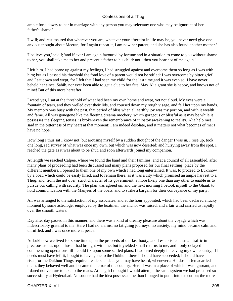ample for a dowry to her in marriage with any person you may select any one who may be ignorant of her father's shame.'

'I will; and rest assured that wherever you are, whatever your after−lot in life may be, you never need give one anxious thought about Meeran; for I again repeat it, I am now her parent, and she has also found another mother.'

'I believe you,' said I; 'and if ever I am again favoured by fortune and in a situation to come to you without shame to her, you shall take me to her and present a father to his child: until then you hear not of me again.'

I left him. I had borne up against my feelings, I had struggled against and overcome them so long as I was with him; but as I passed his threshold the fond love of a parent would not be stifled: I was overcome by bitter grief, and I sat down and wept, for I felt that I had seen my child for the last time, and it was even so; I have never beheld her since, Sahib, nor ever been able to get a clue to her fate. May Alia grant she is happy, and knows not of mine! But of this more hereafter.

I wept! yes, I sat at the threshold of what had been my own home and wept, yet not aloud. My eyes were a fountain of tears, and they welled over their lids, and coursed down my rough visage, and fell hot upon my hands. My memory was busy with the past, that period of bliss when all earthly joy was my portion, and with it wealth and fame. All was gone gone like the fleeting dream a mockery, which gorgeous or blissful as it may be while it possesses the sleeping senses, is broken even the remembrance of it lost by awakening to reality. Alia help me! I said in the bitterness of my heart at that moment; I am indeed desolate, and it matters not what becomes of me: I have no hope.

How long I thus sat I know not; but arousing myself by a sudden thought of the danger I was in, I rose up, took one long, sad survey of what was once my own, but which was now deserted; and hurrying away from the spot, I reached the gate as it was about to be shut, and soon afterwards joined my companion.

At length we reached Calpee, where we found the band and their families; and at a council of all assembled, after many plans of proceeding had been discussed and many plans proposed for our final settling−place by the different members, I opened to them one of my own which I had long entertained. It was, to proceed to Lukhnow by a boat, which could be easily hired, and to remain there, as it was a city which promised an ample harvest to a Thug; and, from the not over−strict character of its government, a more likely one than any other to enable us to pursue our calling with security. The plan was agreed on; and the next morning I betook myself to the Ghaut, to hold communication with the Manjees of the boats, and to strike a bargain for their conveyance of my party.

All was arranged to the satisfaction of my associates; and at the hour appointed, which had been declared a lucky moment by some astrologer employed by the boatmen, the anchor was raised, and a fair wind carried us rapidly over the smooth waters.

Day after day passed in this manner, and there was a kind of dreamy pleasure about the voyage which was indescribably grateful to me. Here I had no alarms, no fatiguing journeys, no anxiety; my mind became calm and unruffled, and I was once more at peace.

At Lukhnow we lived for some time upon the proceeds of our last booty, and I established a small traffic in precious stones upon those I had brought with me; but it yielded small returns to me, and I only delayed commencing operations till I could fix upon some settled plans. I had erred deeply in leaving my own country; if I needs must have left it, I ought to have gone to the Dukhun: there I should have succeeded; I should have risen, for the Dukhun Thugs required leaders, and, as you may have heard, whenever a Hindostan Jemadar led them, they behaved well and became the terror of the country. Here, I was in a place of which I was ignorant, and I dared not venture to take to the roads. At length I thought I would attempt the same system we had practised so successfully at Hyderabad. No sooner had the idea possessed me than I longed to put it into execution; the more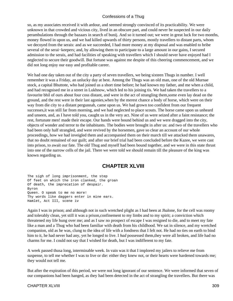so, as my associates received it with ardour, and seemed strongly convinced of its practicability. We were unknown in that crowded and vicious city, lived in an obscure part, and could never be suspected in our daily perambulations through the bazaars in search of bunij. And so it turned out; we were in great luck for two months, money flowed in upon us, and we had killed upwards of thirty persons, mostly travellers to distant parts, whom we decoyed from the serais: and as we succeeded, I had more money at my disposal and was enabled to bribe several of the serai−keepers; and, by allowing them to participate to a large amount in our gains, I secured admission to the serais, and had facilities of speaking with travellers which I should never have enjoyed had I neglected to secure their goodwill. But fortune was against me despite of this cheering commencement, and we did not long enjoy our easy and profitable career.

We had one day taken out of the city a party of seven travellers, we being sixteen Thugs in number. I well remember it was a Friday, an unlucky day at best. Among the Thugs was an old man, one of the old Murnae stock, a capital Bhuttote, who had joined us a short time before; he had known my father, and me when a child, and had recognised me in a street in Lukhnow, which led to his joining tis. We had taken the travellers to a favourite bhil of ours about four coss distant, and were in the act of strangling them, some even lay dead on the ground, and the rest were in their last agonies,when by the merest chance a body of horse, which were on their way from die city to a distant pergunnah, came upon us. We had grown too confident from our frequent successes, it was still far from morning, and we had neglected to place scouts. The horse came upon us unheard and unseen, and, as I have told you, caught us in the very act. Nine of us were seized after a faint resistance; the rest, fortunate men! made their escape. Our hands were bound behind us and we were dragged into the city, objects of wonder and terror to the inhabitants. The bodies were brought in after us: and two of the travellers who had been only half strangled, and were revived by the horsemen, gave so clear an account of our whole proceedings, how we had inveigled them and accompanied them on their march till we attacked them unawares, that no doubt remained of our guilt; and after our brief trial had been concluded before the Kazee, we were cast into prison, to await our fate. The old Thug and myself had been bound together, and we were in this state thrust into one of the narrow cells of the jail. There we were told we should remain till the pleasure of the king was known regarding us.

## **CHAPTER XLVIII**

The sigh of long imprisonment, the step Of feet on which the iron clanked, the groan Of death, the imprecation of despair. Byron Queen. O speak to me no more! Thy words like daggers enter in mine ears. Hamlet, Act III, scene iv

Again I was in prison; and although not in such wretched plight as I had been at Jhalone, for the cell was roomy and tolerably clean, yet still it was a prison, confinement to my limbs and to my spirit; a conviction which threatened my life hung over me; and as I saw no prospect of escape I was resigned to die, and to meet my fate like a man and a Thug who had been familiar with death from his childhood. We sat in silence, and my wretched companion, old as he was, clung to the idea of life with a fondness that I felt not. He had no ties on earth to bind him to it, he had never had any, yet he longed to live. I *had* possessed them, they were all broken, and life had no charms for me. I could not say that I wished for death, but I was indifferent to my fate.

A week passed thusa long, interminable week. In vain was it that I implored my jailers to relieve me from suspense, to tell me whether I was to live or die: either they knew not, or their hearts were hardened towards me; they would not tell me.

But after the expiration of this period, we were not long ignorant of our sentence. We were informed that seven of our companions had been hanged, as they had been detected in the act of strangling the travellers. But there was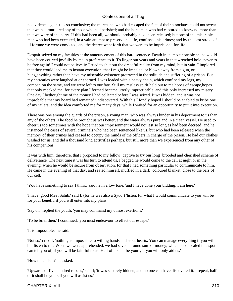no evidence against us so conclusive; the merchants who had escaped the fate of their associates could not swear that we had murdered any of those who had perished; and the horsemen who had captured us knew no more than that we were of the party. If this had been all, we should probably have been released; but one of the miserable men who had been executed, in a vain attempt to preserve his life, confessed his crimes; and by this last stroke of ill fortune we were convicted, and the decree went forth that we were to be imprisoned for life.

Despair seized on my faculties at the announcement of this hard sentence. Death in its most horrible shape would have been courted joyfully by me in preference to it. To linger out years and years in that wretched hole, never to be free again! I could not believe it: I tried to shut out the dreadful reality from my mind, but in vain. I implored that they would lead me to instant execution, that I might be impaled, or blown away from a gun, or hung, anything rather than have my miserable existence protracted in the solitude and suffering of a prison. But my entreaties were laughed at or scorned. I was loaded with a heavy chain, which confined my legs, my companion the same, and we were left to our fate. Still my restless spirit held out to me hopes of escape, hopes that only mocked me, for every plan I formed became utterly impracticable, and this only increased my misery. One day I bethought me of the money I had collected before I was seized. It was hidden, and it was not improbable that my hoard had remained undiscovered. With this I fondly hoped I should be enabled to bribe one of my jailers; and the idea comforted me for many days, while I waited for an opportunity to put it into execution.

There was one among the guards of the prison, a young man, who was always kinder in his deportment to us than any of the others. The food he brought us was better, and the water always pure and in a clean vessel. He used to cheer us too sometimes with the hope that our imprisonment would not last so long as had been decreed; and he instanced the cases of several criminals who had been sentenced like us, but who had been released when the memory of their crimes had ceased to occupy the minds of the officers in charge of the prison. He had our clothes washed for us, and did a thousand kind acts trifles perhaps, but still more than we experienced from any other of his companions.

It was with him, therefore, that I proposed to my fellow−captive to try our long−brooded and cherished scheme of deliverance. The next time it was his turn to attend us, I begged he would come to the cell at night or in the evening, when he would be secure from observation, for that I had something particular to communicate to him. He came in the evening of that day, and seated himself, muffled in a dark−coloured blanket, close to the bars of our cell.

'You have something to say I think,' said he in a low tone, 'and I have done your bidding; I am here.'

'I have, good Meet Sahib,' said I, (for he was also a Syud;) 'listen, for what I would communicate to you will be for your benefit, if you will enter into my plans.'

'Say on,' replied the youth; 'you may command my utmost exertions.'

'To be brief then,' I continued, 'you must endeavour to effect our escape.'

'It is impossible,' he said.

'Not so,' cried I; 'nothing is impossible to willing hands and stout hearts. You can manage everything if you will but listen to me. When we were apprehended, we had saved a round sum of money, which is concealed in a spot I can tell you of, if you will be faithful to us. Half of it shall be yours, if you will only aid us.'

'How much is it?' he asked.

'Upwards of five hundred rupees,' said I; 'it was securely hidden, and no one can have discovered it. I repeat, half of it shall be yours if you will assist us.'

#### CHAPTER XLVIII 310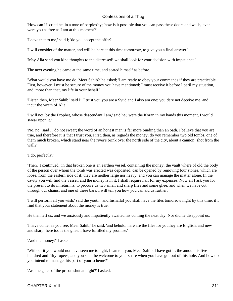'How can I?' cried he, in a tone of perplexity; 'how is it possible that you can pass these doors and walls, even were you as free as I am at this moment?'

'Leave that to me,' said I; 'do you accept the offer?'

'I will consider of the matter, and will be here at this time tomorrow, to give you a final answer.'

'May Alia send you kind thoughts to the distressed! we shall look for your decision with impatience.'

The next evening he came at the same time, and seated himself as before.

'What would you have me do, Meer Sahib?' he asked; 'I am ready to obey your commands if they are practicable. First, however, I must be secure of the money you have mentioned; I must receive it before I peril my situation, and, more than that, my life in your behalf.'

'Listen then, Meer Sahib,' said I; 'I trust you, you are a Syud and I also am one; you dare not deceive me, and incur the wrath of Alia.'

'I will not, by the Prophet, whose descendant I am,' said he; 'were the Koran in my hands this moment, I would swear upon it.'

'No, no,' said I, 'do not swear; the word of an honest man is far more binding than an oath. I believe that you are true, and therefore it is that I trust you. First, then, as regards the money; do you remember two old tombs, one of them much broken, which stand near the river's brink over the north side of the city, about a cannon−shot from the wall?'

'I do, perfectly.'

'Then,' I continued, 'in that broken one is an earthen vessel, containing the money; the vault where of old the body of the person over whom the tomb was erected was deposited, can be opened by removing four stones, which are loose, from the eastern side of it; they are neither large nor heavy, and you can manage the matter alone. In the cavity you will find the vessel, and the money is in it. I shall require half for my expenses. Now all I ask you for the present to do in return is, to procure us two small and sharp files and some ghee; and when we have cut through our chains, and one of these bars, I will tell you how you can aid us further.'

'I will perform all you wish,' said the youth; 'and Inshalla! you shall have the files tomorrow night by this time, if I find that your statement about the money is true.'

He then left us, and we anxiously and impatiently awaited his coming the next day. Nor did he disappoint us.

'I have come, as you see, Meer Sahib,' he said; 'and behold, here are the files for youthey are English, and new and sharp; here too is the ghee. I have fulfilled my promise.'

'And the money?' I asked.

'Without it you would not have seen me tonight, I can tell you, Meer Sahib. I have got it; the amount is five hundred and fifty rupees, and you shall be welcome to your share when you have got out of this hole. And how do you intend to manage this part of your scheme?'

'Are the gates of the prison shut at night?' I asked.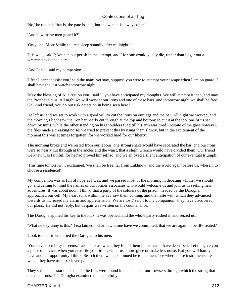'No,' he replied; 'that is, the gate is shut, but the wicket is always open.'

'And how many men guard it?'

'Only one, Meer Sahib; the rest sleep soundly after midnight.'

'It is well,' said I; 'we can but perish in the attempt, and I for one would gladly die, rather than linger out a wretched existence here.'

'And I also,' said my companion.

'I fear I cannot assist you,' said the man: 'yet stay, suppose you were to attempt your escape when I am on guard. I shall have the last watch tomorrow night.'

'May the blessing of Alia rest on you!' said I; 'you have anticipated my thoughts. We will attempt it then, and may the Prophet aid us. All night we will work at our irons and one of these bars, and tomorrow night we shall be free. Go, kind friend, you do but risk detection in being seen here.'

He left us, and we set to work with a good will to cut the irons on our legs and the bar. All night we worked, and the morning's light saw the iron bar nearly cut through at the top and bottom; to cut it at the top, one of us sat down by turns, while the other standing on his shoulders filed till his arm was tired. Despite of the ghee however, the files made a creaking noise; we tried to prevent this by using them slowly, but in the excitement of the moment this was at times forgotten, for we worked hard for our liberty.

The morning broke and we rested from our labour; one strong shake would have separated the bar, and our irons were so nearly cut through at the ancles and the waist, that a slight wrench would have divided them. Our friend we knew was faithful, for he had proved himself so, and we enjoyed a silent anticipation of our eventual triumph.

'This time tomorrow,' I exclaimed, 'we shall be free, far from Lukhnow, and the world again before us, wherein to choose a residence!'

My companion was as full of hope as I was, and we passed most of the morning in debating whither we should go, and calling to mind the names of our former associates who would welcome us and join us in seeking new adventures. It was about noon, I think, that a party of the soldiers of the prison, headed by the Darogha, approached our cell. My heart sunk within me as I saw them coming, and the haste with which they advanced towards us increased my alarm and apprehension. 'We are lost!' said I to my companion; 'they have discovered our plans.' He did not reply, but despair was written on his countenance.

The Darogha applied his key to the lock; it was opened, and the whole party rushed in and seized us.

'What new tyranny is this?' I exclaimed; 'what new crime have we committed, that we are again to be ill−treated?'

'Look to their irons!' cried the Darogha to his men.

'You have been busy it seems,' said he to us, when they found them in the state I have described. 'Let me give you a piece of advice; when you next file your irons, either use more ghee or make less noise. But you will hardly have another opportunity I think. Search them well,' continued he to the men; 'see where these instruments are which they have used so cleverly.'

They stripped us stark naked, and the files were found in the bands of our trowsers through which the string that ties them runs. The Darogha examined them carefully.

#### CHAPTER XLVIII 312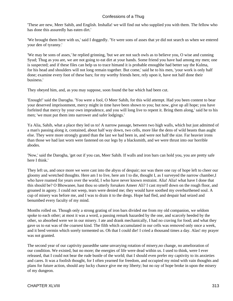'These are new, Meer Sahib, and English. Inshalla! we will find out who supplied you with them. The fellow who has done this assuredly has eaten dirt.'

'We brought them here with us,' said I doggedly. 'Ye were sons of asses that ye did not search us when we entered your den of tyranny.'

'We may be sons of asses,' he replied grinning, 'but we are not such owls as to believe you, O wise and cunning Syud; Thug as you are, we are not going to eat dirt at your hands. Some friend you have had among my men; one is suspected; and if these files can help us to trace him and it is probable enough he had better say the Kulma, for his head and shoulders will not long remain together. But come,' said he to his men, 'your work is only half done; examine every foot of these bars; for my worthy friends here, rely upon it, have not half done their business.'

They obeyed him, and, as you may suppose, soon found the bar which had been cut.

'Enough!' said the Darogha. 'You were a fool, O Meer Sahib, for this wild attempt. Had you been content to bear your deserved imprisonment, mercy might in time have been shown to you; but now, give up all hope; you have forfeited that mercy by your own imprudence, and you will long live to repent it. Bring them along,' said he to his men; 'we must put them into narrower and safer lodgings.'

Ya Alia, Sahib, what a place they led us to! A narrow passage, between two high walls, which but just admitted of a man's passing along it, contained, about half way down, two cells, more like the dens of wild beasts than aught else. They were more strongly grated than the last we had been in, and were not half the size. Far heavier irons than those we had last worn were fastened on our legs by a blacksmith, and we were thrust into our horrible abodes.

'Now,' said the Darogha, 'get out if you can, Meer Sahib. If walls and iron bars can hold you, you are pretty safe here I think.'

They left us, and once more we were cast into the abyss of despair; nor was there one ray of hope left to cheer our gloomy and wretched thoughts. Here am I to live, here am I to die, thought I, as I surveyed the narrow chamber,I who have roamed for years over the world, I who have never known restraint. Alia! Alia! what have I done that this should be? O Bhowanee, hast thou so utterly forsaken Ameer Ali? I cast myself down on the rough floor, and groaned in agony. I could not weep, tears were denied me; they would have soothed my overburthened soul. A cup of misery was before me, and I was to drain it to the dregs. Hope had fled, and despair had seized and benumbed every faculty of my mind.

Months rolled on. Though only a strong grating of iron bars divided me from my old companion, we seldom spoke to each other; at most it was a word, a passing remark hazarded by the one, and scarcely heeded by the other, so absorbed were we in our misery. I ate and drank mechanically, I had no craving for food; and what they gave us to eat was of the coarsest kind. The filth which accumulated in our cells was removed only once a week, and it bred vermin which sorely tormented us. Oh that I could die! I cried a thousand times a day. Alas! my prayer was not granted.

The second year of our captivity passed the same unvarying rotation of misery, no change, no amelioration of our condition. We existed, but no more; the energies of life were dead within us. I used to think, were I ever released, that I could not bear the rude bustle of the world; that I should even prefer my captivity to its anxieties and cares. It was a foolish thought, for I often yearned for freedom, and occupied my mind with vain thoughts and plans for future action, should any lucky chance give me my liberty; but no ray of hope broke in upon the misery of my dungeon.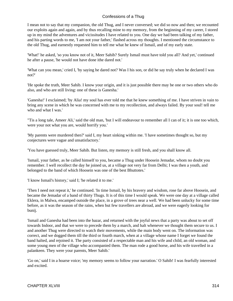I mean not to say that my companion, the old Thug, and I never conversed; we did so now and then; we recounted our exploits again and again, and by thus recalling mine to my memory, from the beginning of my career, I stored up in my mind the adventures and vicissitudes I have related to you. One day we had been talking of my father, and his parting words to me, 'I am not your father,' flashed across my thoughts. I mentioned the circumstance to the old Thug, and earnestly requested him to tell me what he knew of Ismail, and of my early state.

'What!' he asked, 'so you know not of it, Meer Sahib? Surely Ismail must have told you all? And yet,' continued he after a pause, 'he would not have done it he dared not.'

'What can you mean,' cried I, 'by saying he dared not? Was I his son, or did he say truly when he declared I was not?'

'He spoke the truth, Meer Sahib. I know your origin, and it is just possible there may be one or two others who do also, and who are still living: one of these is Ganesha.'

'Ganesha!' I exclaimed; 'by Alia! my soul has ever told me that he knew something of me. I have striven in vain to bring any scene in which he was concerned with me to my recollection, and always failed. By your soul! tell me who and what I was.'

"Tis a long tale, Ameer Ali,' said the old man, 'but I will endeavour to remember all I can of it; it is one too which, were your not what you are, would horrify you.'

'My parents were murdered then?' said I, my heart sinking within me. 'I have sometimes thought so, but my conjectures were vague and unsatisfactory.'

'You have guessed truly, Meer Sahib. But listen, my memory is still fresh, and you shall know all.

'Ismail, your father, as he called himself to you, became a Thug under Hoosein Jemadar, whom no doubt you remember. I well recollect the day he joined us, at a village not very far from Delhi; I was then a youth, and belonged to the band of which Hoosein was one of the best Bhuttotes.'

'I know Ismail's history,' said I; 'he related it to me.'

'Then I need not repeat it,' he continued. 'In time Ismail, by his bravery and wisdom, rose far above Hoosein, and became the Jemadar of a band of thirty Thugs. It is of this time I would speak. We were one day at a village called Eklera, in Malwa, encamped outside the place, in a grove of trees near a well. We had been unlucky for some time before, as it was the season of the rains, when but few travellers are abroad, and we were eagerly looking for bunij.

'Ismail and Ganesha had been into the bazar, and returned with the joyful news that a party was about to set off towards Indoor, and that we were to precede them by a march, and halt whenever we thought them secure to us. I and another Thug were directed to watch their movements, while the main body went on. The information was correct, and we dogged them till the third or fourth march, when at a village whose name I forget we found the band halted, and rejoined it. The party consisted of a respectable man and his wife and child, an old woman, and some young men of the village who accompanied them. The man rode a good horse, and his wife travelled in a palankeen. They were your parents, Meer Sahib.'

'Go on,' said I in a hoarse voice; 'my memory seems to follow your narration.' O Sahib! I was fearfully interested and excited.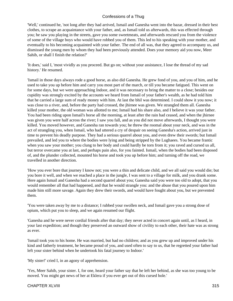'Well,' continued he, 'not long after they had arrived, Ismail and Ganesha went into the bazar, dressed in their best clothes, to scrape an acquaintance with your father, and, as Ismail told us afterwards, this was effected through you; he saw you playing in the streets, gave you some sweetmeats, and afterwards rescued you from the violence of some of the village boys who would have robbed you of them. This led to his speaking with your mother, and eventually to his becoming acquainted with your father. The end of all was, that they agreed to accompany us, and dismissed the young men by whom they had been previously attended. Does your memory aid you now, Meer Sahib, or shall I finish the relation?'

'It does,' said I, 'most vividly as you proceed. But go on; without your assistance, I lose the thread of my sad history.' He resumed.

'Ismail in those days always rode a good horse, as also did Ganesha. He grew fond of you, and you of him, and he used to take you up before him and carry you most part of the march, or till you became fatigued. This went on for some days, but we were approaching Indoor, and it was necessary to bring the matter to a close; besides our cupidity was strongly excited by the accounts we heard from Ismail of your father's wealth, as he had told him that he carried a large sum of ready money with him. At last the bhil was determined. I could show it you now; it was close to a river, and, before the party had crossed, the jhirnee was given. We strangled them all. Ganesha killed your mother, the old woman was allotted to me; Ismail had his share also, and I believe it was your father. You had been riding upon Ismail's horse all the morning, at least after the rain had ceased, and when the jhirnee was given you were half across the river; I saw you fall, and as you did not move afterwards, I thought you were killed. You moved however, and Ganesha ran towards you; he threw the roomal about your neck, and was in the act of strangling you, when Ismail, who had uttered a cry of despair on seeing Ganesha's action, arrived just in time to prevent his deadly purpose. They had a serious quarrel about you, and even drew their swords; but Ismail prevailed, and led you to where the bodies were lying and being stripped by the Lughaees. You became frantic when you saw your mother; you clung to her body and could hardly be torn from it; you raved and cursed us all, but terror overcame you at last, and perhaps pain also, for you fainted. Ismail, when the bodies had been disposed of, and the plunder collected, mounted his horse and took you up before him; and turning off the road, we travelled in another direction.

'How you ever bore that journey I know not; you were a thin and delicate child, and we all said you would die; but you bore it well, and when we reached a place in the jungle, I was sent to a village for milk, and you drank some. Here again Ismail and Ganesha had a second quarrel about you; Ganesha said you were too old to adopt, that you would remember all that had happened, and that he would strangle you: and the abuse that you poured upon him made him still more savage. Again they drew their swords, and would have fought about you, but we prevented them.

'You were taken away by me to a distance; I rubbed your swollen neck, and Ismail gave you a strong dose of opium, which put you to sleep, and we again resumed our flight.

'Ganesha and he were never cordial friends after that day; they never acted in concert again until, as I heard, in your last expedition; and though they preserved an outward show of civility to each other, their hate was as strong as ever.

'Ismail took you to his home. He was married, but had no children; and as you grew up and improved under his kind and fatherly treatment, he became proud of you, and used often to say to us, that he regretted your father had left your sister behind when he undertook his fatal journey to Indoor.'

'My sister!' cried I, in an agony of apprehension.

'Yes, Meer Sahib, your sister. I, for one, heard your father say that he left her behind, as she was too young to be moved. You might get news of her at Eklera if you ever get out of this cursed hole.'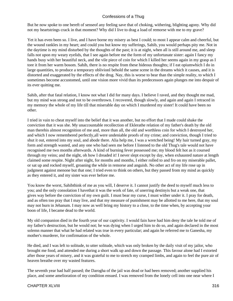But he now spoke to one bereft of sense of any feeling save that of choking, withering, blighting agony. Why did not my heartstrings crack in that moment? Why did I live to drag a load of remorse with me to my grave?

Yet it has even been so. I live, and I have borne my misery as best I could; to most I appear calm and cheerful, but the wound rankles in my heart; and could you but know my sufferings, Sahib, you would perhaps pity me. Not in the daytime is my mind disturbed by the thoughts of the past; it is at night, when all is still around me, and sleep falls not upon my weary eyelids, that I see again before me the form of my unfortunate sister: again I fancy my hands busy with her beautiful neck, and the vile piece of coin for which I killed her seems again in my grasp as I tore it from her warm bosom. Sahib, there is no respite from these hideous thoughts; if I eat opiumwhich I do in large quantities, to produce a temporary oblivion I behold the same scene in the dreams which it causes, and it is distorted and exaggerated by the effects of the drug. Nay, this is worse to bear than the simple reality, to which I sometimes become accustomed, until one vision more vivid than its predecessors again plunges me into despair of its ever quitting me.

Sahib, after that fatal relation, I know not what I did for many days. I believe I raved, and they thought me mad, but my mind was strong and not to be overthrown. I recovered, though slowly, and again and again I retraced in my memory the whole of my life till that miserable day on which I murdered my sister! It could have been no other.

I tried in vain to cheat myself into the belief that it was another, but no effort that I made could shake the conviction that it was she. My unaccountable recollection of Eklera the relation of my father's death by the old man there his almost recognition of me and, more than all, the old and worthless coin for which I destroyed her, and which I now remembered perfectly, all were undeniable proofs of my crime; and conviction, though I tried to shut it out, entered into my soul, and abode there. Alia help me, I was a wretched being! My hair turned gray, my form and strength wasted, and any one who had seen me before I listened to the old Thug's tale would not have recognised me two months afterwards. A kind of burning fever possessed me; my blood felt hot as it coursed through my veins; and the night, oh how I dreaded it! I never slept except by day, when exhausted nature at length claimed some respite. Night after night, for months and months, I either rolled to and fro on my miserable pallet, or sat up and rocked myself, groaning the while in remorse and anguish. No other act of my life rose up in judgment against me none but that one; I tried even to think on others, but they passed from my mind as quickly as they entered it, and my sister was ever before me.

You know the worst, Sahibthink of me as you will, I deserve it. I cannot justify the deed to myself much less to you; and the only consolation I have that it was the work of fate, of unerring destiny is but a weak one, that gives way before the conviction of my own guilt. I must bear my curse, I must wither under it. I pray for death, and as often too pray that I may live, and that my measure of punishment may be allotted to me here, that my soul may not burn in Jehanum. I may now as well bring my history to a close, to the time when, by accepting your boon of life, I became dead to the world.

My old companion died in the fourth year of our captivity. I would fain have had him deny the tale he told me of my father's destruction, but he would not; he was dying when I urged him to do so, and again declared in the most solemn manner that what he had related was true in every particular; and again he referred me to Ganesha, my mother's murderer, for confirmation of the whole.

He died, and I was left to solitude, to utter solitude, which was only broken by the daily visit of my jailor, who brought me food, and attended me during a short walk up and down the passage. This favour alone had I extorted after those years of misery, and it was grateful to me to stretch my cramped limbs, and again to feel the pure air of heaven breathe over my wasted features.

The seventh year had half passed; the Darogha of the jail was dead or had been removed; another supplied his place, and some amelioration of my condition ensued. I was removed from the lonely cell into one near where I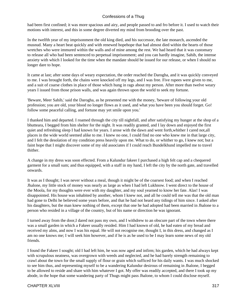had been first confined; it was more spacious and airy, and people passed to and fro before it. I used to watch their motions with interest, and this in some degree diverted my mind from brooding over the past.

In the twelfth year of my imprisonment the old king died, and his successor, the late monarch, ascended the musnud. Many a heart beat quickly and with renewed hope hope that had almost died within the hearts of those wretches who were immured within the walls and of mine among the rest. We had heard that it was customary to release all who had been sentenced to perpetual imprisonment; and you can hardly imagine, Sahib, the intense anxiety with which I looked for the time when the mandate should be issued for our release, or when I should no longer dare to hope.

It came at last; after some days of weary expectation, the order reached the Darogha, and it was quickly conveyed to me. I was brought forth, the chains were knocked off my legs, and I was free. Five rupees were given to me, and a suit of coarse clothes in place of those which hung in rags about my person. After more than twelve weary years I issued from those prison walls, and was again thrown upon the world to seek my fortune.

'Beware, Meer Sahib,' said the Darogha, as he presented me with the money, 'beware of following your old profession; you are old, your blood no longer flows as it used, and what you have been you should forget. Go! follow some peaceful calling, and fortune may yet smile upon you.'

I thanked him and departed. I roamed through the city till nightfall, and after satisfying my hunger at the shop of a bhutteara, I begged from him shelter for the night. It was readily granted, and I lay down and enjoyed the first quiet and refreshing sleep I had known for years. I arose with the dawn and went forth, whither I cared not, all places in the wide world seemed alike to me. I knew no one, I could find no one who knew me in that large city, and I felt the desolation of my condition press heavily upon me. What to do, or whither to go, I knew not; but a faint hope that I might discover some of my old associates if I could reach Bundelkhund impelled me to travel thither.

A change in my dress was soon effected. From a Kalundur fakeer I purchased a high felt cap and a chequered garment for a small sum; and thus equipped, with a staff in my hand, I left the city by the north gate, and travelled onwards.

It was as I thought; I was never without a meal, though it might be of the coarsest food; and when I reached Jhalone, my little stock of money was nearly as large as when I had left Lukhnow. I went direct to the house of the Moola, for my thoughts were ever with my daughter, and my soul yearned to know her fate. Alas! I was disappointed. His house was inhabited by another, whom I knew not, and all he could tell me was that the old man had gone to Delhi he believed some years before, and that he had not heard any tidings of him since. I asked after his daughters, but the man knew nothing of them, except that one he had adopted had been married in Jhalone to a person who resided in a village of the country, but of his name or direction he was ignorant.

I turned away from the door,I dared not pass my own, and I withdrew to an obscure part of the town where there was a small garden in which a Fakeer usually resided. Him I had known of old, he had eaten of my bread and received my alms, and now I was his equal. He will not recognise me, thought I, in this dress, and changed as I am no one knows me; I will seek him however, and if he is as he used to be I may learn some news of my old friends.

I found the Fakeer I sought; old I had left him, he was now aged and infirm; his garden, which he had always kept with scrupulous neatness, was overgrown with weeds and neglected, and he had barely strength remaining to crawl about the town for the small supply of flour or grain which sufficed for his daily wants. I was much shocked to see him thus, and representing myself to be a wandering Kalundur desirous of remaining in Jhalone, I begged to be allowed to reside and share with him whatever I got. My offer was readily accepted, and there I took up my abode, in the hope that some wandering party of Thugs might pass Jhalone, to whom I could disclose myself.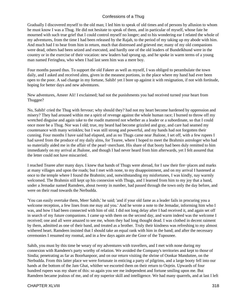Gradually I discovered myself to the old man; I led him to speak of old times and of persons by allusion to whom he must know I was a Thug. He did not hesitate to speak of them, and in particular of myself, whose fate he mourned with such true grief that I could control myself no longer; and to his wondering ear I related the whole of my adventures, from the time I had been released by the Rajah, to the period of my taking up my abode with him. And much had I to hear from him in return, much that distressed and grieved me; many of my old companions were dead, others had been seized and executed, and hardly one of the old leaders of Bundelkhund were in the country or in the exercise of their vocation: new leaders had sprung up, and he spoke in warm terms of a young man named Feringhea, who when I had last seen him was a mere boy.

Four months passed thus. To support the old Fakeer as well as myself, I was obliged to perambulate the town daily, and I asked and received alms, given in the meanest portions, in the place where my hand had ever been open to the poor. A sad change in my fortune, Sahib! yet I bore up against it with resignation, if not with fortitude, hoping for better days and new adventures.

New adventures, Ameer Ali! I exclaimed; had not the punishments you had received turned your heart from Thuggee?

No, Sahib! cried the Thug with fervour; why should they? had not my heart become hardened by oppression and misery? They had aroused within me a spirit of revenge against the whole human race; I burned to throw off my wretched disguise and again take to the road it mattered not whether as a leader or a subordinate, so that I could once more be a Thug. Nor was I old; true, my beard had become grizzled and gray, and care had seamed my countenance with many wrinkles; but I was still strong and powerful, and my hands had not forgotten their cunning. Four months I have said had elapsed, and as no Thugs came near Jhalone, I set off, with a few rupees I had saved from the produce of my daily alms, for Tearee, where I hoped to meet the Brahmin astrologer who had so materially aided me in the affair of the pearl−merchant. His share of that booty had been duly remitted to him immediately on my arrival at Jhalone, and though I had never heard from him afterwards, yet I felt assured that the letter could not have miscarried.

I reached Tearee after many days. I knew that bands of Thugs were abroad, for I saw their fire−places and marks at many villages and upon the roads; but I met with none, to my disappointment, and on my arrival I hastened at once to the temple where I found the Brahmin; and, notwithstanding my misfortunes, I was kindly, nay warmly welcomed. The Brahmin still kept up his connexion with Thugs, and I learned from him to my joy that a band, under a Jemadar named Ramdeen, about twenty in number, had passed through the town only the day before, and were on their road towards the Nerbudda.

'You can easily overtake them, Meer Sahib,' he said; 'and if your old fame as a leader fails in procuring you a welcome reception, a few lines from me may aid you.' And he wrote a note to the Jemadar, informing him who I was, and how I had been connected with him of old. I did not long delay after I had received it, and again set off in search of my future companions. I came up with them on the second day, and warm indeed was the welcome I received; one and all were amazed to see me, whom they had long thought dead. I was clothed in decent raiment by them, admitted as one of their band, and treated as a brother. Truly their kindness was refreshing to my almost withered heart. Ramdeen insisted that I should take an equal rank with him in the band; and after the necessary ceremonies I resumed my roomal, and in a few days again ate the Goor of the Tupounee.

Sahib, you must by this time be weary of my adventures with travellers, and I met with none during my connexion with Ramdeen's party worthy of relation. We avoided the Company's territories and kept to those of Sindia; penetrating as far as Boorhanpoor, and on our return visiting the shrine of Oonkar Manduttee, on the Nerbudda. From this latter place we were fortunate in enticing a party of pilgrims, and a large booty fell into our hands at the bottom of the Jam Ghat, whither we escorted them on their return to Oojein. Upwards of four hundred rupees was my share of this: so again you see me independent and fortune smiling upon me. But Ramdeen became jealous of me, and of my superior skill and intelligence. We had many quarrels, and at last I left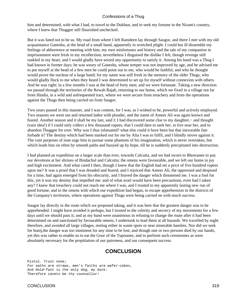him and determined, with what I had, to travel to the Dukhun, and to seek my fortune in the Nizam's country, where I knew that Thuggee still flourished unchecked.

But it was fated not to be so. My road from where I left Ramdeen lay through Saugor, and there I met with my old acquaintance Ganesha, at the head of a small band, apparently in wretched plight. I could but ill dissemble my feelings of abhorrence at meeting with him; my own misfortunes and history and the tale of my companion in imprisonment were fresh in my recollection; nevertheless I disguised the dislike I felt, though revenge still rankled in my heart, and I would gladly have seized any opportunity to satisfy it. Among his band was a Thug I had known in former days; he was weary of Ganesha, whose temper was not improved by age, and he advised me to put myself at the head of a few men he could point out to me, who would be faithful, and who he thought would prove the nucleus of a large band; for my name was still fresh in the memory of the older Thugs, who would gladly flock to me when they heard I was determined to set up for myself without connexion with others. And he was right; in a few months I was at the head of forty men; and we were fortunate. Taking a new direction we passed through the territories of the Rewah Rajah, returning to our home, which we fixed in a village not far from Hindia, in a wild and unfrequented tract, where we were secure from treachery and from the operations against the Thugs then being carried on from Saugor.

Two years passed in this manner, and I was content, for I was, as I wished to be, powerful and actively employed. Two seasons we went out and returned laden with plunder, and the name of Ameer Ali was again known and feared. Another season and it shall be my last, said I; I had discovered some clue to my daughter,− and thought (vain idea!) if I could only collect a few thousand rupees, that I could dare to seek her, to live near her, and to abandon Thuggee for ever. Why was I thus infatuated? what else could it have been but that inexorable fate forbade it? The destiny which had been marked out for me by Alia I was to fulfil, and I blindly strove against it. The vain purposes of man urge him to pursue some phantom of his imagination, which is never overtaken, but which leads him on often by smooth paths and buoyed up by hope, till he is suddenly precipitated into destruction.

I had planned an expedition on a larger scale than ever, towards Calcutta, and we had sworn to Bhowanee to pay our devotions at her shrines of Bindachul and Calcutta; the omens were favourable, and we left our home in joy and high excitement. And what cared I then, though I knew that the English had set a price of five hundred rupees upon me? It was a proof that I was dreaded and feared, and I rejoiced that Ameer Ali, the oppressed and despised for a time, had again emerged from his obscurity, and I braved the danger which threatened me. I was a fool for this, yet it was my destiny that impelled me: and of what avail would have been precautions, even had I taken any? I knew that treachery could not reach me where I was, and I trusted to my apparently lasting new run of good fortune, and to the omens with which our expedition had begun, to escape apprehension in the districts of the Company's territories, where operations against Thugs were being carried on with much success.

Saugor lay directly in the route which we proposed taking, and it was here that the greatest danger was to be apprehended. I might have avoided it perhaps, but I trusted to the celerity and secrecy of my movements for a few days until we should pass it; and as my band were unanimous in refusing to change the route after it had been determined on and sanctioned by favourable omens, I undertook to lead them at all hazards. We travelled by night therefore, and avoided all large villages, resting either in waste spots or near miserable hamlets. Nor did we seek for bunij, the danger was too imminent for any time to be lost; and though one or two persons died by our hands, yet this was rather to enable us to eat the Goor of the Tupounee, and to perform such ceremonies as were absolutely necessary for the propitiation of our patroness, and our consequent success.

## **CONCLUSION**

Pistol. Trust none; For oaths are straws, men's faiths are wafer−cakes, And Hold−fast is the only dog, my duck: Therefore caveto be thy counsellor!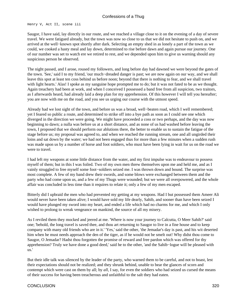Henry V, Act II, scene iii

Saugor, I have said, lay directly in our route, and we reached a village close to it on the evening of a day of severe travel. We were fatigued already, but the town was now so close to us that we did not hesitate to push on, and we arrived at the well−known spot shortly after dark. Selecting an empty shed in as lonely a part of the town as we could, we cooked a hasty meal and lay down, determined to rise before dawn and again pursue our journey. One of our number was set to watch ere we retired to rest, and we depended upon him to give us warning should any suspicious person be observed.

The night passed, and I arose, roused my followers, and long before day had dawned we were beyond the gates of the town. 'See,' said I to my friend, 'our much−dreaded danger is past; we are now again on our way, and we shall leave this spot at least ten coss behind us before noon; beyond that there is nothing to fear, and we shall travel with light hearts.' Alas! I spoke as my sanguine hope prompted me to do; but it was not fated to be as we thought. Again treachery had been at work, and when I conceived I possessed a band free from all suspicion, two traitors, as I afterwards heard, had already laid a deep plan for my apprehension. Of this however I will tell you hereafter; you are now with me on the road, and you see us urging our course with the utmost speed.

Already had we lost sight of the town, and before us was a broad, well−beaten road, which I well remembered; yet I feared so public a route, and determined to strike off into a bye path as soon as I could see one which diverged in the direction we were going. We might have proceeded a coss or two perhaps, and the day was now beginning to dawn; a nulla was before us at a short distance, and as none of us had washed before leaving the town, I proposed that we should perform our ablutions there, the better to enable us to sustain the fatigue of the stage before us; my proposal was agreed to, and when we reached the running stream, one and all ungirded their loins and sat down by the water; we had not been engaged thus for more than a few minutes when a sudden rush was made upon us by a number of horse and foot soldiers, who must have been lying in wait for us on the road we were to travel.

I had left my weapons at some little distance from the water, and my first impulse was to endeavour to possess myself of them; but in this I was foiled. Two of my own men threw themselves upon me and held me, and as I vainly struggled to free myself some foot−soldiers seized me. I was thrown down and bound. The surprise was most complete. A few of my band drew their swords, and some blows were exchanged between them and the party who had come upon us, and a few of my Thugs were wounded; but we were all overpowered, and the whole affair was concluded in less time than it requires to relate it; only a few of my men escaped.

Bitterly did I upbraid the men who had prevented my getting at my weapons. Had I but possessed them Ameer Ali would never have been taken alive; I would have sold my life dearly, Sahib, and sooner than have been seized I would have plunged my sword into my heart, and ended a life which had no charms for me, and which I only wished to prolong to wreak vengeance on mankind, the source of all my misery.

As I reviled them they mocked and jeered at me. 'Where is now your journey to Calcutta, O Meer Sahib?' said one; 'behold, the long travel is saved thee, and thou art returning to Saugor to live in a fine house and to keep company with many old friends who are in it.' 'Yes,' said the other, 'the Jemadar's day is past, and his wit deserted him when he must needs approach the den of the tiger, as if he would not be smelt out! Why didst thou come to Saugor, O Jemadar? Hadst thou forgotten the promise of reward and free pardon which was offered for thy apprehension? Truly we have done a good deed,' said he to the other, 'and the Sahib−logue will be pleased with us.'

But their idle talk was silenced by the leader of the party, who warned them to be careful, and not to boast, lest their expectations should not be realized; and they shrunk behind, unable to bear the glances of scorn and contempt which were cast on them by all; by *all,* I say, for even the soldiers who had seized us cursed the means of their success for having been treacherous and unfaithful to the salt they had eaten.

#### CONCLUSION 320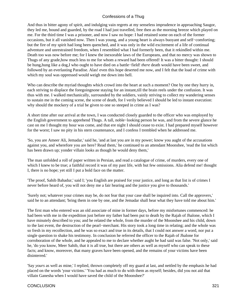And thus in bitter agony of spirit, and indulging vain regrets at my senseless imprudence in approaching Saugor, they led me, bound and guarded, by the road I had just travelled, free then as the morning breeze which played on me. For the third time I was a prisoner, and now I saw no hope: I had retained some on each of the former occasions, but it all vanished now. Then I was young, and a young heart is always buoyant and self−comforting; but the fire of my spirit had long been quenched, and it was only in the wild excitement of a life of continual adventure and unrestrained freedom, when I resembled what I had formerly been, that it rekindled within me. Death too was now before me; for I knew the inexorable laws of the Europeans, and that no mercy was shown to Thugs of any grade, how much less to me for whom a reward had been offered! It was a bitter thought: I should be hung, hung like a dog, I who ought to have died on a battle−field! *there* death would have been sweet, and followed by an everlasting Paradise. Alas! even this hope deserted me now, and I felt that the load of crime with which my soul was oppressed would weigh me down into hell.

Who can describe the myriad thoughts which crowd into the heart at such a moment? One by one they hurry in, each striving to displace the foregoing none staying for an instant, till the brain reels under the confusion. It was thus with me. I walked mechanically, surrounded by the soldiers, vainly striving to collect my wandering senses to sustain me in the coming scene, the scene of death, for I verily believed I should be led to instant execution: why should the mockery of a trial be given to one so steeped in crime as I was?

A short time after our arrival at the town, I was conducted closely guarded to the officer who was employed by the English government to apprehend Thugs. A tall, noble−looking person he was, and from the severe glance he cast on me I thought my hour was come, and that ere night I should cease to exist. I had prepared myself however for the worst; I saw no pity in his stern countenance, and I confess I trembled when he addressed me.

'So, you are Ameer Ali, Jemadar,' said he, 'and at last you are in my power; know you aught of the accusations against you, and wherefore you are here? Read them,' he continued to an attendant Moonshee, 'read the list which has been drawn up; yonder villain looks as though he would deny them,'

The man unfolded a roll of paper written in Persian, and read a catalogue of crime, of murders, every one of which I knew to be true; a faithful record it was of my past life, with but few omissions. Alia defend me! thought I, there is no hope; yet still I put a bold face on the matter.

'The proof, Sahib Bahadur,' said I; 'you English are praised for your justice, and long as that list is of crimes I never before heard of, you will not deny me a fair hearing and the justice you give to thousands.'

'Surely not; whatever your crimes may be, do not fear that your case shall be inquired into. Call the approvers,' said he to an attendant; 'bring them in one by one, and the Jemadar shall hear what they have told me about him.'

The first man who entered was an old associate of mine in former days, before my misfortunes commenced: he had been with me in the expedition just before my father had been put to death by the Rajah of Jhalone, which I have minutely described to you; and he related the whole, from the murder of the Moonshee and his child, down to the last event, the destruction of the pearl−merchant. His story took a long time in relating; and the whole was so fresh in my recollection, and he was so exact and true in its details, that I could not answer a word, nor put a single question to shake his testimony. In conclusion he referred the officer to the Rajah of Jhalone for corroboration of the whole, and he appealed to me to declare whether aught he had said was false. 'Not only,' said he, 'do you know, Meer Sahib, that it is all true, but there are others as well as myself who can speak to these facts; and know, moreover, that many graves have been opened, and the remains of your victims have been disinterred.'

'Say *yours* as well as mine,' I replied, thrown completely off my guard at last, and nettled by the emphasis he had placed on the words 'your victims.' 'You had as much to do with them as myself; besides, did you not aid that villain Ganesha when I would have saved the child of the Moonshee?'

#### CONCLUSION 321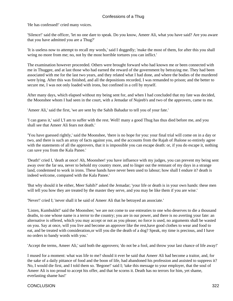'He has confessed!' cried many voices.

'Silence!' said the officer, 'let no one dare to speak. Do you know, Ameer Ali, what you have said? Are you aware that you have admitted you are a Thug?'

'It is useless now to attempt to recall my words,' said I doggedly; 'make the most of them, for after this you shall wring no more from me; no, not by the most horrible tortures you can inflict.'

The examination however proceeded. Others were brought forward who had known me or been connected with me in Thuggee, and at last those who had earned the reward of the government by betraying me. They had been associated with me for the last two years, and they related what I had done, and where the bodies of the murdered were lying. After this was finished, and all the depositions recorded, I was remanded to prison; and the better to secure me, I was not only loaded with irons, but confined in a cell by myself.

After many days, which elapsed without my being sent for, and when I had concluded that my fate was decided, the Moonshee whom I had seen in the court, with a Jemadar of Nujeeb's and two of the approvers, came to me.

'Ameer Ali,' said the first, 'we are sent by the Sahib Bahadur to tell you of your fate.'

'I can guess it,' said I,'I am to suffer with the rest. Well! many a good Thug has thus died before me, and you shall see that Ameer Ali fears not death.'

'You have guessed rightly,' said the Moonshee, 'there is no hope for you: your final trial will come on in a day or two, and there is such an array of facts against you, and the accounts from the Rajah of Jhalone so entirely agree with the statements of all the approvers, that it is impossible you can escape death: or, if you do escape it, nothing can save you from the Kala Panee.'

'Death!' cried I, 'death at once! Ah, Moonshee! you have influence with my judges, you can prevent my being sent away over the far sea, never to behold my country more, and to linger out the remnant of my days in a strange land, condemned to work in irons. These hands have never been used to labour; how shall I endure it? death is indeed welcome, compared with the Kala Panee.'

'But why should it be either, Meer Sahib?' asked the Jemadar; 'your life or death is in your own hands: these men will tell you how they are treated by the master they serve, and you may be like them if you are wise.'

'Never!' cried I; 'never shall it be said of Ameer Ali that he betrayed an associate.'

'Listen, Kumbukht!' said the Moonshee; 'we are not come to use entreaties to one who deserves to die a thousand deaths, to one whose name is a terror to the country; you are in our power, and there is no averting your fate: an alternative is offered, which you may accept or not as you please; no force is used, no arguments shall be wasted on you. Say at once, will you live and become an approver like the rest, have good clothes to wear and food to eat, and be treated with consideration, or will you die the death of a dog? Speak, my time is precious, and I have no orders to bandy words with you.'

'Accept the terms, Ameer Ali,' said both the approvers; 'do not be a fool, and throw your last chance of life away!'

I mused for a moment: what was life to me? should it ever be said that Ameer Ali had become a traitor, and, for the sake of a daily pittance of food and the boon of life, had abandoned his profession and assisted to suppress it? No, I would die first, and I told them so. 'Begone!' said I; 'take this message to your employer, that the soul of Ameer Ali is too proud to accept his offer, and that he scorns it. Death has no terrors for him, yet shame, everlasting shame has!'

#### CONCLUSION 322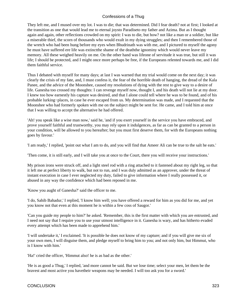They left me, and I mused over my lot. I was to die; that was determined. Did I fear death? not at first; I looked at the transition as one that would lead me to eternal joysto Paradiseto my father and Azima. But as I thought again and again, other reflections crowded on my spirit: I was to die, but how? not like a man or a soldier, but like a miserable thief, the scorn of thousands who would exult in my dying struggles; and then I remembered those of the wretch who had been hung before my eyes when Bhudrinath was with me, and I pictured to myself the agony he must have suffered ere life was extinct the shame of the death the ignominy which would never leave my memory. All these weighed heavily on me. On the other hand was life one of servitude it was true, but still it was life; I should be protected, and I might once more perhaps be free, if the Europeans relented towards me, and I did them faithful service.

Thus I debated with myself for many days; at last I was warned that my trial would come on the next day; it was clearly the crisis of my fate, and, I must confess it, the fear of the horrible death of hanging, the dread of the Kala Panee, and the advice of the Moonshee, caused my resolutions of dying with the rest to give way to a desire of life. Ganesha too crossed my thoughts: I can revenge myself now, thought I, and his death will not lie at my door. I knew too how earnestly his capture was desired, and that I alone could tell where he was to be found, and of his probable lurking−places, in case he ever escaped from us. My determination was made, and I requested that the Moonshee who had formerly spoken with me on the subject might be sent for. He came, and I told him at once that I was willing to accept the alternative he had offered.

'Ah! you speak like a wise man now,' said he, 'and if you exert yourself in the service you have embraced, and prove yourself faithful and trustworthy, you may rely upon it indulgences, as far as can be granted to a person in your condition, will be allowed to you hereafter; but you must first deserve them, for with the Europeans nothing goes by favour.'

'I am ready,' I replied, 'point out what I am to do, and you will find that Ameer Ali can be true to the salt he eats.'

'Then come, it is still early, and I will take you at once to the Court, there you will receive your instructions.'

My prison irons were struck off, and a light steel rod with a ring attached to it fastened about my right leg, so that it left me at perfect liberty to walk, but not to run, and I was duly admitted as an approver, under the threat of instant execution in case I ever neglected my duty, failed to give information where I really possessed it, or abused in any way the confidence which had been reposed in me.

'Know you aught of Ganesha?' said the officer to me.

'I do, Sahib Bahadur,' I replied, 'I know him well; you have offered a reward for him as you did for me, and yet you know not that even at this moment he is within a few coss of Saugor.'

'Can you guide my people to him?' he asked. 'Remember, this is the first matter with which you are entrusted, and I need not say that I require you to use your utmost intelligence in it. Ganesha is wary, and has hitherto evaded every attempt which has been made to apprehend him.'

'I will undertake it,' I exclaimed. 'It is possible he does not know of my capture; and if you will give me six of your own men, I will disguise them, and pledge myself to bring him to you; and not only him, but Himmut, who is I know with him.'

'Ha!' cried the officer, 'Himmut also! he is as bad as the other.'

'He is as good a Thug,' I replied, 'and more cannot be said. But we lose time; select your men, let them be the bravest and most active you havetheir weapons may be needed. I will too ask you for a sword.'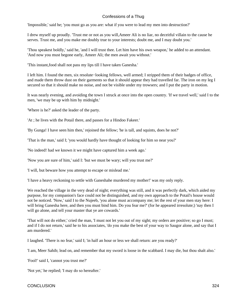'Impossible,' said he; 'you must go as you are: what if you were to lead my men into destruction?'

I drew myself up proudly. Trust me or not as you will, Ameer Ali is no liar, no deceitful villain to the cause he serves. Trust me, and you make me doubly true to your interests; doubt me, and I may doubt you.'

'Thou speakest boldly,' said he, 'and I will trust thee. Let him have his own weapon,' he added to an attendant. 'And now you must begone early, Ameer Ali; the men await you without.'

'This instant, food shall not pass my lips till I have taken Ganesha.'

I left him. I found the men, six resolute−looking fellows, well armed; I stripped them of their badges of office, and made them throw dust on their garments so that it should appear they had travelled far. The iron on my leg I secured so that it should make no noise, and not be visible under my trowsers; and I put the party in motion.

It was nearly evening, and avoiding the town I struck at once into the open country. 'If we travel well,' said I to the men, 'we may be up with him by midnight.'

'Where is he?' asked the leader of the party.

'At ; he lives with the Potail there, and passes for a Hindoo Fakeer.'

'By Gunga! I have seen him then,' rejoined the fellow; 'he is tall, and squints, does he not?'

'That is the man,' said I; 'you would hardly have thought of looking for him so near you?'

'No indeed! had we known it we might have captured him a week ago.'

'Now you are sure of him,' said I: 'but we must be wary; will you trust me?'

'I will, but beware how you attempt to escape or mislead me.'

'I have a heavy reckoning to settle with Ganeshahe murdered my mother!' was my only reply.

We reached the village in the very dead of night; everything was still, and it was perfectly dark, which aided my purpose, for my companion's face could not be distinguished, and my own approach to the Potail's house would not be noticed. 'Now,' said I to the Nujeeb, 'you alone must accompany me; let the rest of your men stay here: I will bring Ganesha here, and then you must bind him. Do you fear me?' (for he appeared irresolute;) 'nay then I will go alone, and tell your master that ye are cowards.'

'That will not do either,' cried the man, 'I must not let you out of my sight; my orders are positive; so go I must; and if I do not return,' said he to his associates, 'do you make the best of your way to Saugor alone, and say that I am murdered.'

I laughed. 'There is no fear,' said I; 'in half an hour or less we shall return: are you ready?'

'I am, Meer Sahib; lead on, and remember that my sword is loose in the scabbard. I may die, but thou shalt also.'

'Fool!' said I, 'cannot you trust me?'

'Not yet,' he replied; 'I may do so hereafter.'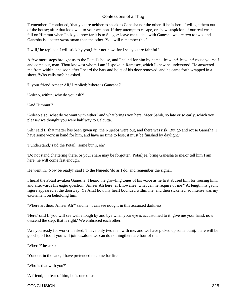'Remember,' I continued, 'that you are neither to speak to Ganesha nor the other, if he is here. I will get them out of the house; after that look well to your weapon. If they attempt to escape, or show suspicion of our real errand, fall on Himmut when I ask you how far it is to Saugor: leave me to deal with Ganesha; we are two to two, and Ganesha is a better swordsman than the other. You will remember this.'

'I will,' he replied; 'I will stick by you,I fear not now, for I see you are faithful.'

A few more steps brought us to the Potail's house, and I called for him by name. 'Jeswunt! Jeswunt! rouse yourself and come out, man. Thou knowest whom I am.' I spoke in Ramasee, which I knew he understood. He answered me from within, and soon after I heard the bars and bolts of his door removed, and he came forth wrapped in a sheet. 'Who calls me?' he asked.

'I, your friend Ameer Ali,' I replied; 'where is Ganesha?'

'Asleep, within; why do you ask?'

'And Himmut?'

'Asleep also; what do ye want with either? and what brings you here, Meer Sahib, so late or so early, which you please? we thought you were half way to Calcutta.'

'Ah,' said I, 'that matter has been given up; the Nujeebs were out, and there was risk. But go and rouse Ganesha, I have some work in hand for him, and have no time to lose; it must be finished by daylight.'

'I understand,' said the Potail, 'some bunij, eh?'

'Do not stand chattering there, or your share may be forgotten, Potailjee; bring Ganesha to me, or tell him I am here, he will come fast enough.'

He went in. 'Now be ready!' said I to the Nujeeb; 'do as I do, and remember the signal.'

I heard the Potail awaken Ganesha; I heard the growling tones of his voice as he first abused him for rousing him, and afterwards his eager question, 'Ameer Ali here! ai Bhowanee, what can he require of me?' At length his gaunt figure appeared at the doorway. Ya Alia! how my heart bounded within me, and then sickened, so intense was my excitement on beholding him.

'Where art thou, Ameer Ali?' said he; 'I can see nought in this accursed darkness.'

'Here,' said I, 'you will see well enough by and bye when your eye is accustomed to it; give me your hand; now descend the step; that is right.' We embraced each other.

'Are you ready for work?' I asked, 'I have only two men with me, and we have picked up some bunij; there will be good spoil too if you will join us, alone we can do nothing there are four of them.'

'Where?' he asked.

'Yonder, in the lane; I have pretended to come for fire.'

'Who is that with you?'

'A friend; no fear of him, he is one of us.'

CONCLUSION 325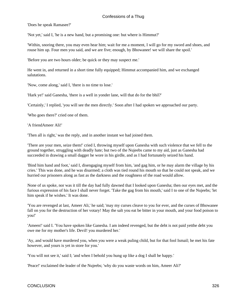'Does he speak Ramasee?'

'Not yet,' said I, 'he is a new hand, but a promising one: but where is Himmut?'

'Within, snoring there, you may even hear him; wait for me a moment, I will go for my sword and shoes, and rouse him up. Four men you said, and we are five; enough, by Bhowanee! we will share the spoil.'

'Before you are two hours older; be quick or they may suspect me.'

He went in, and returned in a short time fully equipped; Himmut accompanied him, and we exchanged salutations.

'Now, come along,' said I, 'there is no time to lose.'

'Hark ye!' said Ganesha, 'there is a well in yonder lane, will that do for the bhil?'

'Certainly,' I replied, 'you will see the men directly.' Soon after I had spoken we approached our party.

'Who goes there?' cried one of them.

'A friend Ameer Ali!'

'Then all is right,' was the reply, and in another instant we had joined them.

'There are your men, seize them!' cried I, throwing myself upon Ganesha with such violence that we fell to the ground together, struggling with deadly hate; but two of the Nujeebs came to my aid, just as Ganesha had succeeded in drawing a small dagger he wore in his girdle, and as I had fortunately seized his hand.

'Bind him hand and foot,' said I, disengaging myself from him, 'and gag him, or he may alarm the village by his cries.' This was done, and he was disarmed; a cloth was tied round his mouth so that he could not speak, and we hurried our prisoners along as fast as the darkness and the roughness of the road would allow.

None of us spoke, nor was it till the day had fully dawned that I looked upon Ganesha; then our eyes met, and the furious expression of his face I shall never forget. 'Take the gag from his mouth,' said I to one of the Nujeebs; 'let him speak if he wishes.' It was done.

'You are revenged at last, Ameer Ali,' he said; 'may my curses cleave to you for ever, and the curses of Bhowanee fall on you for the destruction of her votary! May the salt you eat be bitter in your mouth, and your food poison to you!'

'Ameen!' said I. 'You have spoken like Ganesha. I am indeed revenged, but the debt is not paid yet the debt you owe me for my mother's life. Devil! you murdered her.'

'Ay, and would have murdered you, when you were a weak puling child, but for that fool Ismail; he met his fate however, and yours is yet in store for you.'

'You will not see it,' said I; 'and when I behold you hung up like a dog I shall be happy.'

'Peace!' exclaimed the leader of the Nujeebs; 'why do you waste words on him, Ameer Ali?'